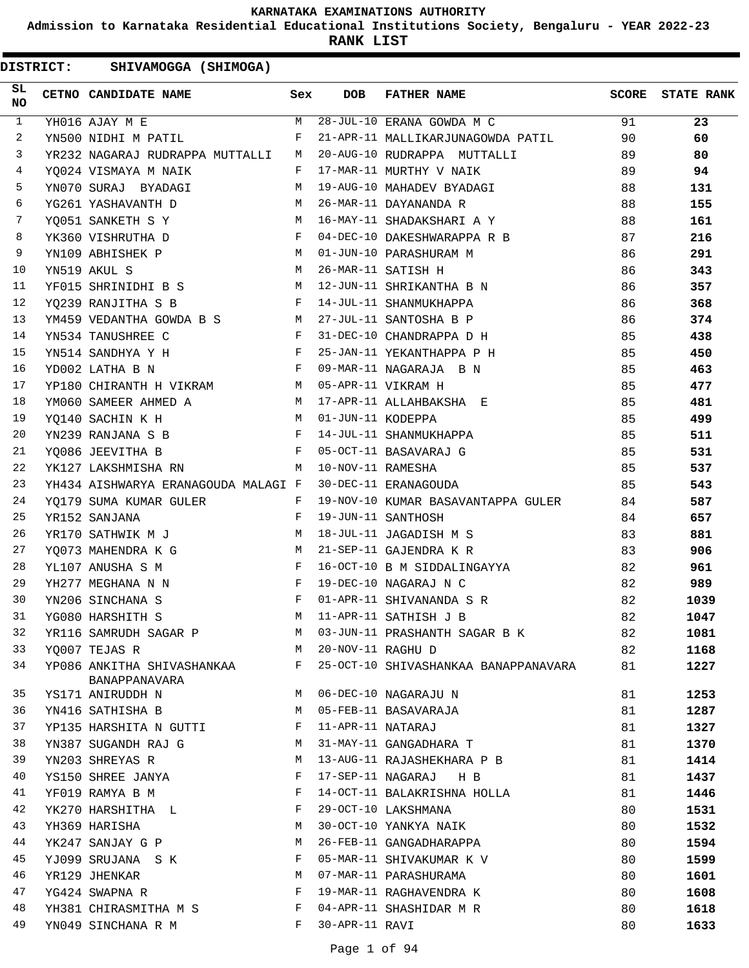**Admission to Karnataka Residential Educational Institutions Society, Bengaluru - YEAR 2022-23**

**RANK LIST**

| SL.<br><b>NO</b> | CETNO CANDIDATE NAME                                                 | Sex          | <b>DOB</b>        | <b>FATHER NAME</b>                                               |    | <b>SCORE</b> STATE RANK |
|------------------|----------------------------------------------------------------------|--------------|-------------------|------------------------------------------------------------------|----|-------------------------|
| $\mathbf{1}$     | YH016 AJAY M E                                                       |              |                   | M 28-JUL-10 ERANA GOWDA M C                                      | 91 | 23                      |
| $\overline{2}$   | YN500 NIDHI M PATIL                                                  | F            |                   | 21-APR-11 MALLIKARJUNAGOWDA PATIL                                | 90 | 60                      |
| 3                | YR232 NAGARAJ RUDRAPPA MUTTALLI M                                    |              |                   | 20-AUG-10 RUDRAPPA MUTTALLI                                      | 89 | 80                      |
| $\overline{4}$   | and the state of the state of the Party<br>YO024 VISMAYA M NAIK      |              |                   | 17-MAR-11 MURTHY V NAIK                                          | 89 | 94                      |
| 5                | YN070 SURAJ BYADAGI<br>M                                             |              |                   | 19-AUG-10 MAHADEV BYADAGI                                        | 88 | 131                     |
| 6                | YG261 YASHAVANTH D<br>M <sub>1</sub>                                 |              |                   | 26-MAR-11 DAYANANDA R                                            | 88 | 155                     |
| $7\phantom{.0}$  |                                                                      |              |                   | YQ051 SANKETH S Y M 16-MAY-11 SHADAKSHARI A Y                    | 88 | 161                     |
| 8                | YK360 VISHRUTHA D                                                    |              |                   | 04-DEC-10 DAKESHWARAPPA R B                                      | 87 | 216                     |
| 9                | YN109 ABHISHEK P                                                     |              |                   | M 01-JUN-10 PARASHURAM M                                         | 86 | 291                     |
| 10               | M<br>YN519 AKUL S                                                    |              |                   | 26-MAR-11 SATISH H                                               | 86 | 343                     |
| 11               | YF015 SHRINIDHI B S M 12-JUN-11 SHRIKANTHA B N                       |              |                   |                                                                  | 86 | 357                     |
| 12               | $\mathbf{F}$ and $\mathbf{F}$ and $\mathbf{F}$<br>YQ239 RANJITHA S B |              |                   | 14-JUL-11 SHANMUKHAPPA                                           | 86 | 368                     |
| 13               | YM459 VEDANTHA GOWDA B S M 27-JUL-11 SANTOSHA B P                    |              |                   |                                                                  | 86 | 374                     |
| 14               | YN534 TANUSHREE C                                                    |              |                   | F 31-DEC-10 CHANDRAPPA D H                                       | 85 | 438                     |
| 15               | YN514 SANDHYA Y H                                                    |              |                   | 25-JAN-11 YEKANTHAPPA P H                                        | 85 | 450                     |
| 16               | YD002 LATHA B N                                                      |              |                   | F 09-MAR-11 NAGARAJA B N                                         | 85 | 463                     |
| 17               | YP180 CHIRANTH H VIKRAM M 05-APR-11 VIKRAM H                         |              |                   |                                                                  | 85 | 477                     |
| 18               | YM060 SAMEER AHMED A                                                 |              |                   | M 17-APR-11 ALLAHBAKSHA E                                        | 85 | 481                     |
| 19               | <b>Example 19</b> M<br>YQ140 SACHIN K H                              |              | 01-JUN-11 KODEPPA |                                                                  | 85 | 499                     |
| 20               | $\mathbf{F}$ and $\mathbf{F}$ and $\mathbf{F}$<br>YN239 RANJANA S B  |              |                   | 14-JUL-11 SHANMUKHAPPA                                           | 85 | 511                     |
| 21               | YO086 JEEVITHA B                                                     | $\mathbf{F}$ |                   | 05-OCT-11 BASAVARAJ G                                            | 85 | 531                     |
| 22               | YK127 LAKSHMISHA RN<br><b>Example 18</b> M                           |              | 10-NOV-11 RAMESHA |                                                                  | 85 | 537                     |
| 23               | YH434 AISHWARYA ERANAGOUDA MALAGI F                                  |              |                   | 30-DEC-11 ERANAGOUDA                                             | 85 | 543                     |
| 24               |                                                                      |              |                   | YQ179 SUMA KUMAR GULER $F$ 19-NOV-10 KUMAR BASAVANTAPPA GULER 34 |    | 587                     |
| 25               | YR152 SANJANA                                                        | $\mathbf{F}$ |                   | 19-JUN-11 SANTHOSH                                               | 84 | 657                     |
| 26               |                                                                      |              |                   |                                                                  | 83 | 881                     |
| 27               | YQ073 MAHENDRA K G M                                                 |              |                   | 21-SEP-11 GAJENDRA K R                                           | 83 | 906                     |
| 28               | $\mathbf{F}$<br>YL107 ANUSHA S M                                     |              |                   | 16-OCT-10 B M SIDDALINGAYYA                                      | 82 | 961                     |
| 29               | YH277 MEGHANA N N                                                    | $\mathbf{F}$ |                   | 19-DEC-10 NAGARAJ N C                                            | 82 | 989                     |
| 30               | YN206 SINCHANA S                                                     |              |                   | F 01-APR-11 SHIVANANDA S R                                       | 82 | 1039                    |
| 31               | YG080 HARSHITH S                                                     |              |                   | M 11-APR-11 SATHISH J B                                          | 82 | 1047                    |
| 32               | YR116 SAMRUDH SAGAR P                                                | M            |                   | 03-JUN-11 PRASHANTH SAGAR B K                                    | 82 | 1081                    |
| 33               | YO007 TEJAS R                                                        | M            | 20-NOV-11 RAGHU D |                                                                  | 82 | 1168                    |
| 34               | YP086 ANKITHA SHIVASHANKAA<br>BANAPPANAVARA                          | F            |                   | 25-OCT-10 SHIVASHANKAA BANAPPANAVARA                             | 81 | 1227                    |
| 35               | YS171 ANIRUDDH N                                                     | M            |                   | 06-DEC-10 NAGARAJU N                                             | 81 | 1253                    |
| 36               | YN416 SATHISHA B                                                     | M            |                   | 05-FEB-11 BASAVARAJA                                             | 81 | 1287                    |
| 37               | YP135 HARSHITA N GUTTI                                               | F            | 11-APR-11 NATARAJ |                                                                  | 81 | 1327                    |
| 38               | YN387 SUGANDH RAJ G                                                  | M            |                   | 31-MAY-11 GANGADHARA T                                           | 81 | 1370                    |
| 39               | YN203 SHREYAS R                                                      | М            |                   | 13-AUG-11 RAJASHEKHARA P B                                       | 81 | 1414                    |
| 40               | YS150 SHREE JANYA                                                    | F            |                   | 17-SEP-11 NAGARAJ<br>H B                                         | 81 | 1437                    |
| 41               | YF019 RAMYA B M                                                      | F            |                   | 14-OCT-11 BALAKRISHNA HOLLA                                      | 81 | 1446                    |
| 42               | YK270 HARSHITHA L                                                    | F            |                   | 29-OCT-10 LAKSHMANA                                              | 80 | 1531                    |
| 43               | YH369 HARISHA                                                        | M            |                   | 30-OCT-10 YANKYA NAIK                                            | 80 | 1532                    |
| 44               | YK247 SANJAY G P                                                     | М            |                   | 26-FEB-11 GANGADHARAPPA                                          | 80 | 1594                    |
| 45               | YJ099 SRUJANA S K                                                    | F            |                   | 05-MAR-11 SHIVAKUMAR K V                                         | 80 | 1599                    |
| 46               | YR129 JHENKAR                                                        | М            |                   | 07-MAR-11 PARASHURAMA                                            | 80 | 1601                    |
| 47               | YG424 SWAPNA R                                                       | F            |                   | 19-MAR-11 RAGHAVENDRA K                                          | 80 | 1608                    |
| 48               | YH381 CHIRASMITHA M S                                                | F            |                   | 04-APR-11 SHASHIDAR M R                                          | 80 | 1618                    |
| 49               | YN049 SINCHANA R M                                                   | F            | 30-APR-11 RAVI    |                                                                  | 80 | 1633                    |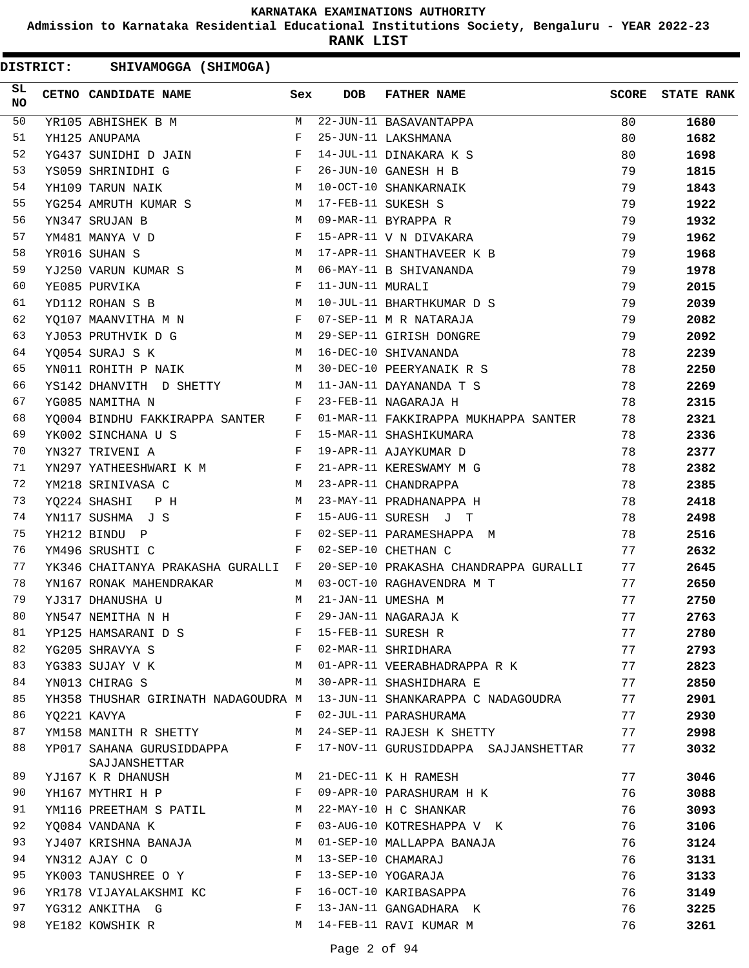**Admission to Karnataka Residential Educational Institutions Society, Bengaluru - YEAR 2022-23**

**RANK LIST**

| SL<br><b>NO</b> | CETNO CANDIDATE NAME                                                                                                                                                                                                                                 | Sex | <b>DOB</b>       | <b>FATHER NAME</b>                                                    | <b>SCORE</b> | <b>STATE RANK</b> |
|-----------------|------------------------------------------------------------------------------------------------------------------------------------------------------------------------------------------------------------------------------------------------------|-----|------------------|-----------------------------------------------------------------------|--------------|-------------------|
| 50              | YR105 ABHISHEK B M                                                                                                                                                                                                                                   |     |                  | M 22-JUN-11 BASAVANTAPPA                                              | 80           | 1680              |
| 51              | YH125 ANUPAMA                                                                                                                                                                                                                                        | F   |                  | 25-JUN-11 LAKSHMANA                                                   | 80           | 1682              |
| 52              | YG437 SUNIDHI D JAIN F                                                                                                                                                                                                                               |     |                  | 14-JUL-11 DINAKARA K S                                                | 80           | 1698              |
| 53              | $\mathbb{F}^{\mathbb{Z}}$ . The set of $\mathbb{F}^{\mathbb{Z}}$<br>YS059 SHRINIDHI G                                                                                                                                                                |     |                  | 26-JUN-10 GANESH H B                                                  | 79           | 1815              |
| 54              | M 10-OCT-10 SHANKARNAIK<br>YH109 TARUN NAIK                                                                                                                                                                                                          |     |                  |                                                                       | 79           | 1843              |
| 55              | YG254 AMRUTH KUMAR S M 17-FEB-11 SUKESH S                                                                                                                                                                                                            |     |                  |                                                                       | 79           | 1922              |
| 56              | YN347 SRUJAN B                                                                                                                                                                                                                                       |     |                  | M 09-MAR-11 BYRAPPA R                                                 | 79           | 1932              |
| 57              | YM481 MANYA V D                                                                                                                                                                                                                                      |     |                  | F 15-APR-11 V N DIVAKARA                                              | 79           | 1962              |
| 58              | YR016 SUHAN S                                                                                                                                                                                                                                        |     |                  | M 17-APR-11 SHANTHAVEER K B                                           | 79           | 1968              |
| 59              | YJ250 VARUN KUMAR S M 06-MAY-11 B SHIVANANDA                                                                                                                                                                                                         |     |                  |                                                                       | 79           | 1978              |
| 60              | $\mathbf{F}$<br>YE085 PURVIKA                                                                                                                                                                                                                        |     | 11-JUN-11 MURALI |                                                                       | 79           | 2015              |
| 61              | M<br>YD112 ROHAN S B                                                                                                                                                                                                                                 |     |                  | 10-JUL-11 BHARTHKUMAR D S                                             | 79           | 2039              |
| 62              | YQ107 MAANVITHA M N W F 07-SEP-11 M R NATARAJA                                                                                                                                                                                                       |     |                  |                                                                       | 79           | 2082              |
| 63              |                                                                                                                                                                                                                                                      |     |                  |                                                                       | 79           | 2092              |
| 64              | M 16-DEC-10 SHIVANANDA<br>YQ054 SURAJ S K                                                                                                                                                                                                            |     |                  |                                                                       | 78           | 2239              |
| 65              | YN011 ROHITH P NAIK                                                                                                                                                                                                                                  |     |                  | M 30-DEC-10 PEERYANAIK R S                                            | 78           | 2250              |
| 66              |                                                                                                                                                                                                                                                      |     |                  | YS142 DHANVITH D SHETTY M 11-JAN-11 DAYANANDA T S                     | 78           | 2269              |
| 67              | YG085 NAMITHA N<br>$\mathbf{F}$ and the set of the set of the set of the set of the set of the set of the set of the set of the set of the set of the set of the set of the set of the set of the set of the set of the set of the set of the set of |     |                  | 23-FEB-11 NAGARAJA H                                                  | 78           | 2315              |
| 68              |                                                                                                                                                                                                                                                      |     |                  | YQ004 BINDHU FAKKIRAPPA SANTER F 01-MAR-11 FAKKIRAPPA MUKHAPPA SANTER | 78           | 2321              |
| 69              | YK002 SINCHANA U S<br>F 15-MAR-11 SHASHIKUMARA                                                                                                                                                                                                       |     |                  |                                                                       | 78           | 2336              |
| 70              | F 19-APR-11 AJAYKUMAR D<br>YN327 TRIVENI A                                                                                                                                                                                                           |     |                  |                                                                       | 78           | 2377              |
| 71              | YN297 YATHEESHWARI K M<br>$$\rm F$$                                                                                                                                                                                                                  |     |                  | 21-APR-11 KERESWAMY M G                                               | 78           | 2382              |
| 72              | YM218 SRINIVASA C                                                                                                                                                                                                                                    |     |                  | M 23-APR-11 CHANDRAPPA                                                | 78           | 2385              |
| 73              | YQ224 SHASHI P H                                                                                                                                                                                                                                     |     |                  | M 23-MAY-11 PRADHANAPPA H                                             | 78           | 2418              |
| 74              | YN117 SUSHMA J S                                                                                                                                                                                                                                     |     |                  | F 15-AUG-11 SURESH J T                                                | 78           | 2498              |
| 75              | YH212 BINDU P<br>$\mathbf F$ . The contract of the contract of the contract of $\mathbf F$                                                                                                                                                           |     |                  | 02-SEP-11 PARAMESHAPPA M                                              | 78           | 2516              |
| 76              | $\mathbf{F}$ and $\mathbf{F}$ and $\mathbf{F}$<br>YM496 SRUSHTI C                                                                                                                                                                                    |     |                  | 02-SEP-10 CHETHAN C                                                   | 77           | 2632              |
| 77              | YK346 CHAITANYA PRAKASHA GURALLI F                                                                                                                                                                                                                   |     |                  | 20-SEP-10 PRAKASHA CHANDRAPPA GURALLI                                 | 77           | 2645              |
| 78              | YN167 RONAK MAHENDRAKAR M M 03-OCT-10 RAGHAVENDRA M T                                                                                                                                                                                                |     |                  |                                                                       | 77           | 2650              |
| 79              | YJ317 DHANUSHA U<br><b>M</b>                                                                                                                                                                                                                         |     |                  | 21-JAN-11 UMESHA M                                                    | 77           | 2750              |
| 80              | YN547 NEMITHA N H                                                                                                                                                                                                                                    | F   |                  | 29-JAN-11 NAGARAJA K                                                  | 77           | 2763              |
| 81              | YP125 HAMSARANI D S                                                                                                                                                                                                                                  | F   |                  | 15-FEB-11 SURESH R                                                    | 77           | 2780              |
| 82              | YG205 SHRAVYA S                                                                                                                                                                                                                                      | F   |                  | 02-MAR-11 SHRIDHARA                                                   | 77           | 2793              |
| 83              | YG383 SUJAY V K                                                                                                                                                                                                                                      | M   |                  | 01-APR-11 VEERABHADRAPPA R K                                          | 77           | 2823              |
| 84              | YN013 CHIRAG S                                                                                                                                                                                                                                       | M   |                  | 30-APR-11 SHASHIDHARA E                                               | 77           | 2850              |
| 85              | YH358 THUSHAR GIRINATH NADAGOUDRA M                                                                                                                                                                                                                  |     |                  | 13-JUN-11 SHANKARAPPA C NADAGOUDRA                                    | 77           | 2901              |
| 86              | YQ221 KAVYA                                                                                                                                                                                                                                          | F   |                  | 02-JUL-11 PARASHURAMA                                                 | 77           | 2930              |
| 87              | YM158 MANITH R SHETTY                                                                                                                                                                                                                                | М   |                  | 24-SEP-11 RAJESH K SHETTY                                             | 77           | 2998              |
| 88              | YP017 SAHANA GURUSIDDAPPA<br>SAJJANSHETTAR                                                                                                                                                                                                           | F   |                  | 17-NOV-11 GURUSIDDAPPA SAJJANSHETTAR                                  | 77           | 3032              |
| 89              | YJ167 K R DHANUSH                                                                                                                                                                                                                                    | M   |                  | 21-DEC-11 K H RAMESH                                                  | 77           | 3046              |
| 90              | YH167 MYTHRI H P                                                                                                                                                                                                                                     | F   |                  | 09-APR-10 PARASHURAM H K                                              | 76           | 3088              |
| 91              | YM116 PREETHAM S PATIL                                                                                                                                                                                                                               | M   |                  | 22-MAY-10 H C SHANKAR                                                 | 76           | 3093              |
| 92              | YO084 VANDANA K                                                                                                                                                                                                                                      | F   |                  | 03-AUG-10 KOTRESHAPPA V K                                             | 76           | 3106              |
| 93              | YJ407 KRISHNA BANAJA                                                                                                                                                                                                                                 | M   |                  | 01-SEP-10 MALLAPPA BANAJA                                             | 76           | 3124              |
| 94              | YN312 AJAY C O                                                                                                                                                                                                                                       | M   |                  | 13-SEP-10 CHAMARAJ                                                    | 76           | 3131              |
| 95              | YK003 TANUSHREE O Y                                                                                                                                                                                                                                  | F   |                  | 13-SEP-10 YOGARAJA                                                    | 76           | 3133              |
| 96              | YR178 VIJAYALAKSHMI KC                                                                                                                                                                                                                               | F   |                  | 16-OCT-10 KARIBASAPPA                                                 | 76           | 3149              |
| 97              | YG312 ANKITHA G                                                                                                                                                                                                                                      | F   |                  | 13-JAN-11 GANGADHARA K                                                | 76           | 3225              |
| 98              | YE182 KOWSHIK R                                                                                                                                                                                                                                      | M   |                  | 14-FEB-11 RAVI KUMAR M                                                | 76           | 3261              |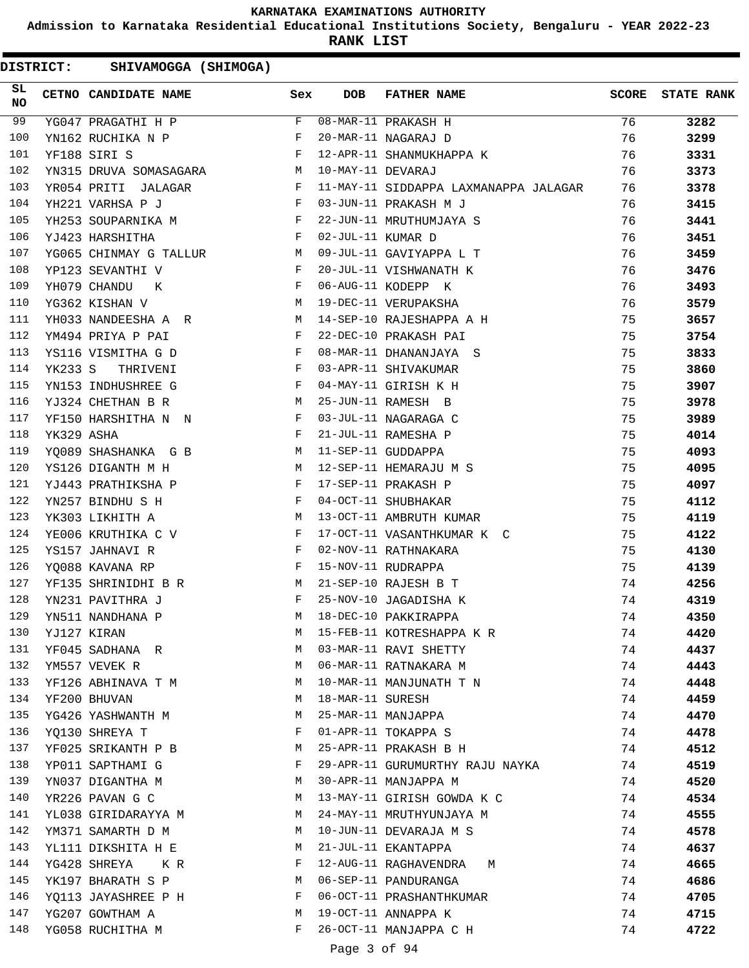**Admission to Karnataka Residential Educational Institutions Society, Bengaluru - YEAR 2022-23**

**RANK LIST**

DISTRICT: SHIVAMOGGA (SHIMOGA)

| SL<br><b>NO</b> |            | CETNO CANDIDATE NAME                                                                                                                                                                                                          | Sex          | DOB               | FATHER NAME                                | <b>SCORE</b> | <b>STATE RANK</b> |
|-----------------|------------|-------------------------------------------------------------------------------------------------------------------------------------------------------------------------------------------------------------------------------|--------------|-------------------|--------------------------------------------|--------------|-------------------|
| 99              |            | YG047 PRAGATHI H P                                                                                                                                                                                                            | $F$ –        |                   | 08-MAR-11 PRAKASH H<br>20-MAR-11 NAGARAJ D | 76           | 3282              |
| 100             |            | YN162 RUCHIKA N P                                                                                                                                                                                                             | F            |                   |                                            | 76           | 3299              |
| 101             |            | $\mathbf{F}$ and the state of the state $\mathbf{F}$<br>YF188 SIRI S                                                                                                                                                          |              |                   | 12-APR-11 SHANMUKHAPPA K                   | 76           | 3331              |
| 102             |            | M<br>YN315 DRUVA SOMASAGARA                                                                                                                                                                                                   |              | 10-MAY-11 DEVARAJ |                                            | 76           | 3373              |
| 103             |            | YR054 PRITI JALAGAR F                                                                                                                                                                                                         |              |                   | 11-MAY-11 SIDDAPPA LAXMANAPPA JALAGAR 76   |              | 3378              |
| 104             |            | YH221 VARHSA P J<br>$\mathbf{F}$ . The contract of the set of the $\mathbf{F}$                                                                                                                                                |              |                   | 03-JUN-11 PRAKASH M J                      | 76           | 3415              |
| 105             |            | YH253 SOUPARNIKA MARIAN PRODUCED PRODUCED PRODUCED PRODUCED PRODUCED PRODUCED PRODUCED PRODUCED PRODUCED PRODUCED PRODUCED PRODUCED PRODUCED PRODUCED PRODUCED PRODUCED PRODUCED PRODUCED PRODUCED PRODUCED PRODUCED PRODUCED |              |                   | 22-JUN-11 MRUTHUMJAYA S                    | 76           | 3441              |
| 106             |            | $\mathbb{F}^{\mathbb{Z}}$ . The set of $\mathbb{F}^{\mathbb{Z}}$<br>YJ423 HARSHITHA                                                                                                                                           |              | 02-JUL-11 KUMAR D |                                            | 76           | 3451              |
| 107             |            | YG065 CHINMAY G TALLUR M 09-JUL-11 GAVIYAPPA L T                                                                                                                                                                              |              |                   |                                            | 76           | 3459              |
| 108             |            | YP123 SEVANTHI V<br><b>Experimental Service Service Service</b>                                                                                                                                                               |              |                   | 20-JUL-11 VISHWANATH K                     | 76           | 3476              |
| 109             |            | $\mathbf{F}$ and $\mathbf{F}$<br>YH079 CHANDU<br>K                                                                                                                                                                            |              |                   | 06-AUG-11 KODEPP K                         | 76           | 3493              |
| 110             |            | M<br>YG362 KISHAN V                                                                                                                                                                                                           |              |                   | 19-DEC-11 VERUPAKSHA                       | 76           | 3579              |
| 111             |            | YH033 NANDEESHA A R M                                                                                                                                                                                                         |              |                   | 14-SEP-10 RAJESHAPPA A H                   | 75           | 3657              |
| 112             |            | YM494 PRIYA P PAI<br>$\mathbf{F}$ and the contract of the contract $\mathbf{F}$                                                                                                                                               |              |                   | 22-DEC-10 PRAKASH PAI                      | 75           | 3754              |
| 113             |            | $\mathbf{F}$ and $\mathbf{F}$ and $\mathbf{F}$<br>YS116 VISMITHA G D                                                                                                                                                          |              |                   | 08-MAR-11 DHANANJAYA S                     | 75           | 3833              |
| 114             |            | $\mathbf{F}$ and $\mathbf{F}$ and $\mathbf{F}$<br>YK233 S THRIVENI                                                                                                                                                            |              |                   | 03-APR-11 SHIVAKUMAR                       | 75           | 3860              |
| 115             |            | $\mathbf{F}$ and the state of the state $\mathbf{F}$<br>YN153 INDHUSHREE G                                                                                                                                                    |              |                   | 04-MAY-11 GIRISH K H                       | 75           | 3907              |
| 116             |            | YJ324 CHETHAN B R<br><b>Solution</b> M                                                                                                                                                                                        |              |                   | 25-JUN-11 RAMESH B                         | 75           | 3978              |
| 117             |            | YF150 HARSHITHA N N F                                                                                                                                                                                                         |              |                   | 03-JUL-11 NAGARAGA C                       | 75           | 3989              |
| 118             | YK329 ASHA | $\mathbf{F}$                                                                                                                                                                                                                  |              |                   | 21-JUL-11 RAMESHA P                        | 75           | 4014              |
| 119             |            | YQ089 SHASHANKA G B M 11-SEP-11 GUDDAPPA                                                                                                                                                                                      |              |                   |                                            | 75           | 4093              |
| 120             |            | YS126 DIGANTH M H<br>M 12-SEP-11 HEMARAJU M S                                                                                                                                                                                 |              |                   |                                            | 75           | 4095              |
| 121             |            | $\mathbf{F}$ and $\mathbf{F}$ and $\mathbf{F}$<br>YJ443 PRATHIKSHA P                                                                                                                                                          |              |                   | 17-SEP-11 PRAKASH P                        | 75           | 4097              |
| 122             |            | YN257 BINDHU S H                                                                                                                                                                                                              |              |                   | 04-OCT-11 SHUBHAKAR                        | 75           | 4112              |
| 123             |            | M <sub>1</sub><br>YK303 LIKHITH A                                                                                                                                                                                             |              |                   | 13-OCT-11 AMBRUTH KUMAR                    | 75           | 4119              |
| 124             |            | YE006 KRUTHIKA C V F                                                                                                                                                                                                          |              |                   | 17-OCT-11 VASANTHKUMAR K C                 | 75           | 4122              |
| 125             |            | $\mathbf{F}$ and $\mathbf{F}$ and $\mathbf{F}$<br>YS157 JAHNAVI R                                                                                                                                                             |              |                   | 02-NOV-11 RATHNAKARA                       | 75           | 4130              |
| 126             |            | YQ088 KAVANA RP                                                                                                                                                                                                               | $\mathbf{F}$ |                   | 15-NOV-11 RUDRAPPA                         | 75           | 4139              |
| 127             |            | YF135 SHRINIDHI B R M 21-SEP-10 RAJESH B T                                                                                                                                                                                    |              |                   |                                            | 74           | 4256              |
| 128             |            | YN231 PAVITHRA J<br>$\mathbf{F}$ . The contract of the contract of $\mathbf{F}$                                                                                                                                               |              |                   | 25-NOV-10 JAGADISHA K                      | 74           | 4319              |
| 129             |            | YN511 NANDHANA P                                                                                                                                                                                                              | M            |                   | 18-DEC-10 PAKKIRAPPA                       | 74           | 4350              |
| 130             |            | YJ127 KIRAN                                                                                                                                                                                                                   | М            |                   | 15-FEB-11 KOTRESHAPPA K R                  | 74           | 4420              |
| 131             |            | YF045 SADHANA R                                                                                                                                                                                                               | M            |                   | 03-MAR-11 RAVI SHETTY                      | 74           | 4437              |
| 132             |            | YM557 VEVEK R                                                                                                                                                                                                                 | M            |                   | 06-MAR-11 RATNAKARA M                      | 74           | 4443              |
| 133             |            | YF126 ABHINAVA T M                                                                                                                                                                                                            | M            |                   | 10-MAR-11 MANJUNATH T N                    | 74           | 4448              |
| 134             |            | YF200 BHUVAN                                                                                                                                                                                                                  | М            | 18-MAR-11 SURESH  |                                            | 74           | 4459              |
| 135             |            | YG426 YASHWANTH M                                                                                                                                                                                                             | М            |                   | 25-MAR-11 MANJAPPA                         | 74           | 4470              |
| 136             |            | YQ130 SHREYA T                                                                                                                                                                                                                | F            |                   | 01-APR-11 TOKAPPA S                        | 74           | 4478              |
| 137             |            | YF025 SRIKANTH P B                                                                                                                                                                                                            | M            |                   | 25-APR-11 PRAKASH B H                      | 74           | 4512              |
| 138             |            | YP011 SAPTHAMI G                                                                                                                                                                                                              | F            |                   | 29-APR-11 GURUMURTHY RAJU NAYKA            | 74           | 4519              |
| 139             |            | YN037 DIGANTHA M                                                                                                                                                                                                              | М            |                   | 30-APR-11 MANJAPPA M                       | 74           | 4520              |
| 140             |            | YR226 PAVAN G C                                                                                                                                                                                                               | M            |                   | 13-MAY-11 GIRISH GOWDA K C                 | 74           | 4534              |
| 141             |            | YL038 GIRIDARAYYA M                                                                                                                                                                                                           | M            |                   | 24-MAY-11 MRUTHYUNJAYA M                   | 74           | 4555              |
| 142             |            | YM371 SAMARTH D M                                                                                                                                                                                                             | M            |                   | 10-JUN-11 DEVARAJA M S                     | 74           | 4578              |
| 143             |            | YL111 DIKSHITA H E                                                                                                                                                                                                            | M            |                   | 21-JUL-11 EKANTAPPA                        | 74           | 4637              |
| 144             |            | YG428 SHREYA<br>KR.                                                                                                                                                                                                           | F            |                   | 12-AUG-11 RAGHAVENDRA M                    | 74           | 4665              |
| 145             |            | YK197 BHARATH S P                                                                                                                                                                                                             | M            |                   | 06-SEP-11 PANDURANGA                       | 74           | 4686              |
| 146             |            | YQ113 JAYASHREE P H                                                                                                                                                                                                           | F            |                   | 06-OCT-11 PRASHANTHKUMAR                   | 74           | 4705              |
| 147             |            | YG207 GOWTHAM A                                                                                                                                                                                                               | М            |                   | 19-OCT-11 ANNAPPA K                        | 74           | 4715              |
| 148             |            | YG058 RUCHITHA M                                                                                                                                                                                                              | F            |                   | 26-OCT-11 MANJAPPA C H                     | 74           | 4722              |

Page 3 of 94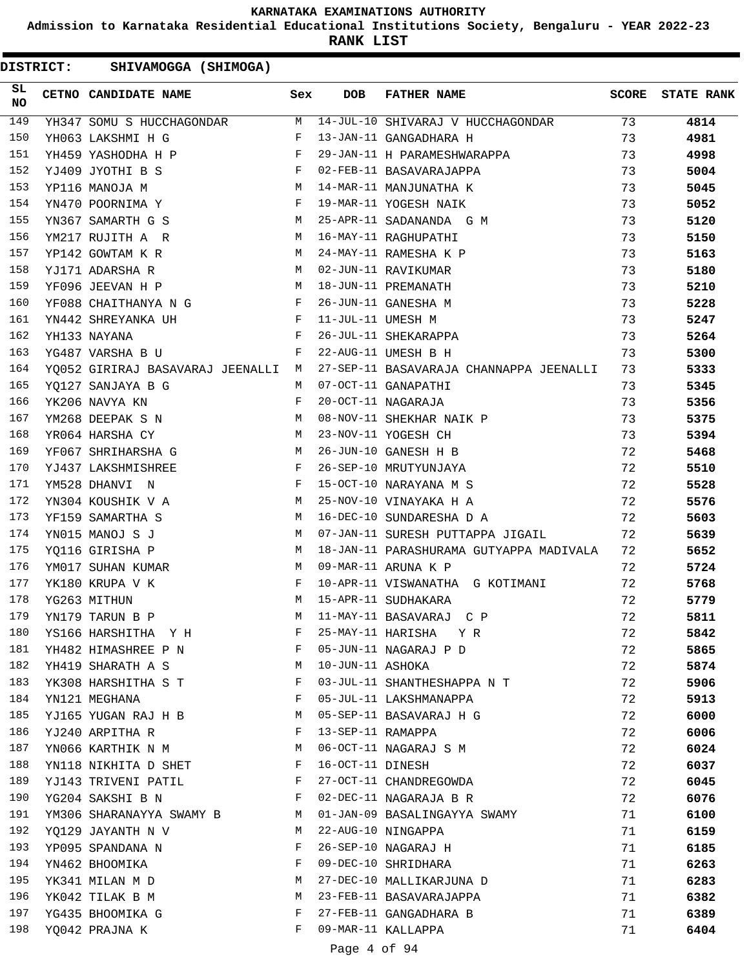**Admission to Karnataka Residential Educational Institutions Society, Bengaluru - YEAR 2022-23**

**RANK LIST**

DISTRICT: SHIVAMOGGA (SHIMOGA)

| SL<br><b>NO</b> | CETNO CANDIDATE NAME                                                            | Sex | <b>DOB</b>        | FATHER NAME                                                                | <b>SCORE</b> | <b>STATE RANK</b> |
|-----------------|---------------------------------------------------------------------------------|-----|-------------------|----------------------------------------------------------------------------|--------------|-------------------|
| 149             |                                                                                 |     |                   | YH347 SOMU S HUCCHAGONDAR M 14-JUL-10 SHIVARAJ V HUCCHAGONDAR 73           |              | 4814              |
| 150             | YH063 LAKSHMI H G F                                                             |     |                   | 13-JAN-11 GANGADHARA H                                                     | 73           | 4981              |
| 151             | $\mathbf{F}$ and $\mathbf{F}$ are $\mathbf{F}$<br>YH459 YASHODHA H P            |     |                   | 29-JAN-11 H PARAMESHWARAPPA                                                | 73           | 4998              |
| 152             | $\mathbf{F} = \mathbf{F} \times \mathbf{F}$<br>YJ409 JYOTHI B S                 |     |                   | 02-FEB-11 BASAVARAJAPPA                                                    | 73           | 5004              |
| 153             | M 14-MAR-11 MANJUNATHA K<br>YP116 MANOJA M                                      |     |                   |                                                                            | 73           | 5045              |
| 154             | YN470 POORNIMA Y F                                                              |     |                   | 19-MAR-11 YOGESH NAIK                                                      | 73           | 5052              |
| 155             | YN367 SAMARTH G S                                                               |     |                   | M 25-APR-11 SADANANDA G M                                                  | 73           | 5120              |
| 156             | M 16-MAY-11 RAGHUPATHI<br>YM217 RUJITH A R                                      |     |                   |                                                                            | 73           | 5150              |
| 157             | YP142 GOWTAM K R<br>M 24-MAY-11 RAMESHA K P                                     |     |                   |                                                                            | 73           | 5163              |
| 158             | YJ171 ADARSHA R                                                                 | M   |                   | 02-JUN-11 RAVIKUMAR                                                        | 73           | 5180              |
| 159             | YF096 JEEVAN H P                                                                | M   |                   | 18-JUN-11 PREMANATH                                                        | 73           | 5210              |
| 160             | YF088 CHAITHANYA N G F                                                          |     |                   | 26-JUN-11 GANESHA M                                                        | 73           | 5228              |
| 161             | F 11-JUL-11 UMESH M<br>YN442 SHREYANKA UH                                       |     |                   |                                                                            | 73           | 5247              |
| 162             | $\mathbf{F}$ and the set of $\mathbf{F}$ and $\mathbf{F}$<br>YH133 NAYANA       |     |                   | 26-JUL-11 SHEKARAPPA                                                       | 73           | 5264              |
| 163             | $\mathbf{F}$<br>YG487 VARSHA B U                                                |     |                   | 22-AUG-11 UMESH B H                                                        | 73           | 5300              |
| 164             |                                                                                 |     |                   | YQ052 GIRIRAJ BASAVARAJ JEENALLI M 27-SEP-11 BASAVARAJA CHANNAPPA JEENALLI | 73           | 5333              |
| 165             | M 07-OCT-11 GANAPATHI<br>YO127 SANJAYA B G                                      |     |                   |                                                                            | 73           | 5345              |
| 166             | YK206 NAVYA KN                                                                  | F   |                   | 20-OCT-11 NAGARAJA                                                         | 73           | 5356              |
| 167             | YM268 DEEPAK S N M                                                              |     |                   | 08-NOV-11 SHEKHAR NAIK P                                                   | 73           | 5375              |
| 168             | $\mathbb{M}$<br>YR064 HARSHA CY                                                 |     |                   | 23-NOV-11 YOGESH CH                                                        | 73           | 5394              |
| 169             | YF067 SHRIHARSHA G M 26-JUN-10 GANESH H B                                       |     |                   |                                                                            | 72           | 5468              |
| 170             | $\mathbf{F}$ and $\mathbf{F}$ are the set of $\mathbf{F}$<br>YJ437 LAKSHMISHREE |     |                   | 26-SEP-10 MRUTYUNJAYA                                                      | 72           | 5510              |
| 171             | $\mathbb F$<br>YM528 DHANVI N                                                   |     |                   | 15-OCT-10 NARAYANA M S                                                     | 72           | 5528              |
| 172             |                                                                                 |     |                   | YN304 KOUSHIK V A M 25-NOV-10 VINAYAKA H A                                 | 72           | 5576              |
| 173             | YF159 SAMARTHA S                                                                |     |                   | M 16-DEC-10 SUNDARESHA D A                                                 | 72           | 5603              |
| 174             | YN015 MANOJ S J                                                                 | M   |                   | 07-JAN-11 SURESH PUTTAPPA JIGAIL                                           | 72           | 5639              |
| 175             | M<br>YQ116 GIRISHA P                                                            |     |                   | 18-JAN-11 PARASHURAMA GUTYAPPA MADIVALA                                    | 72           | 5652              |
| 176             | YM017 SUHAN KUMAR M 09-MAR-11 ARUNA K P                                         |     |                   |                                                                            | 72           | 5724              |
| 177             | YK180 KRUPA V K                                                                 |     |                   | F 10-APR-11 VISWANATHA G KOTIMANI                                          | 72           | 5768              |
| 178             | M 15-APR-11 SUDHAKARA<br>YG263 MITHUN                                           |     |                   |                                                                            | 72           | 5779              |
| 179             | YN179 TARUN B P                                                                 | M   |                   | 11-MAY-11 BASAVARAJ C P                                                    | 72           | 5811              |
| 180             | YS166 HARSHITHA Y H                                                             | F   |                   | 25-MAY-11 HARISHA Y R                                                      | 72           | 5842              |
| 181             | YH482 HIMASHREE P N                                                             | F   |                   | 05-JUN-11 NAGARAJ P D                                                      | 72           | 5865              |
| 182             | YH419 SHARATH A S                                                               | M   | 10-JUN-11 ASHOKA  |                                                                            | 72           | 5874              |
| 183             | YK308 HARSHITHA S T                                                             | F   |                   | 03-JUL-11 SHANTHESHAPPA N T                                                | 72           | 5906              |
| 184             | YN121 MEGHANA                                                                   | F   |                   | 05-JUL-11 LAKSHMANAPPA                                                     | 72           | 5913              |
| 185             | YJ165 YUGAN RAJ H B                                                             | M   |                   | 05-SEP-11 BASAVARAJ H G                                                    | 72           | 6000              |
| 186             | YJ240 ARPITHA R                                                                 | F   | 13-SEP-11 RAMAPPA |                                                                            | 72           | 6006              |
| 187             | YN066 KARTHIK N M                                                               | M   |                   | 06-OCT-11 NAGARAJ S M                                                      | 72           | 6024              |
| 188             | YN118 NIKHITA D SHET                                                            | F   | 16-OCT-11 DINESH  |                                                                            | 72           | 6037              |
| 189             | YJ143 TRIVENI PATIL                                                             | F   |                   | 27-OCT-11 CHANDREGOWDA                                                     | 72           | 6045              |
| 190             | YG204 SAKSHI B N                                                                | F   |                   | 02-DEC-11 NAGARAJA B R                                                     | 72           | 6076              |
| 191             | YM306 SHARANAYYA SWAMY B                                                        | M   |                   | 01-JAN-09 BASALINGAYYA SWAMY                                               | 71           | 6100              |
| 192             | YO129 JAYANTH N V                                                               | M   |                   | 22-AUG-10 NINGAPPA                                                         | 71           | 6159              |
| 193             | YP095 SPANDANA N                                                                | F   |                   | 26-SEP-10 NAGARAJ H                                                        | 71           | 6185              |
| 194             | YN462 BHOOMIKA                                                                  | F   |                   | 09-DEC-10 SHRIDHARA                                                        | 71           | 6263              |
| 195             | YK341 MILAN M D                                                                 | M   |                   | 27-DEC-10 MALLIKARJUNA D                                                   | 71           | 6283              |
| 196             | YK042 TILAK B M                                                                 | M   |                   | 23-FEB-11 BASAVARAJAPPA                                                    | 71           | 6382              |
| 197             | YG435 BHOOMIKA G                                                                | F   |                   | 27-FEB-11 GANGADHARA B                                                     | 71           | 6389              |
| 198             | YQ042 PRAJNA K                                                                  | F   |                   | 09-MAR-11 KALLAPPA                                                         | 71           | 6404              |

# Page 4 of 94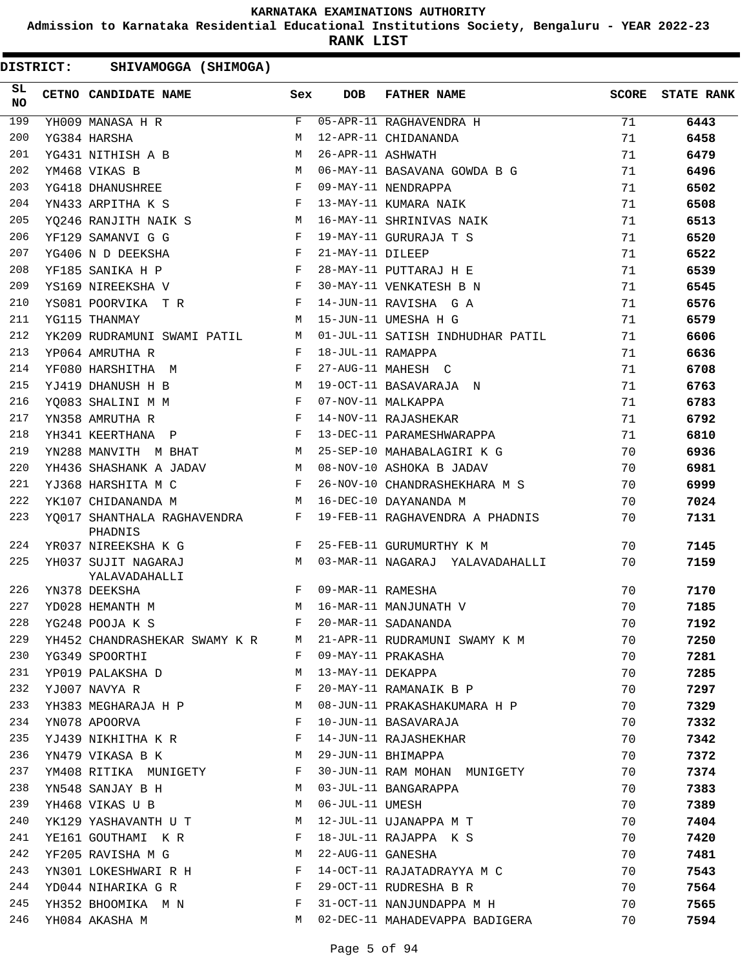**Admission to Karnataka Residential Educational Institutions Society, Bengaluru - YEAR 2022-23**

**RANK LIST**

| SL.<br><b>NO</b> | <b>CETNO CANDIDATE NAME</b>                                                  | Sex | <b>DOB</b>        | <b>FATHER NAME</b>                                                | <b>SCORE</b> | <b>STATE RANK</b> |
|------------------|------------------------------------------------------------------------------|-----|-------------------|-------------------------------------------------------------------|--------------|-------------------|
| 199              | YH009 MANASA H R                                                             | F   |                   | 05-APR-11 RAGHAVENDRA H                                           | 71           | 6443              |
| 200              | YG384 HARSHA                                                                 | M   |                   | 12-APR-11 CHIDANANDA                                              | 71           | 6458              |
| 201              | YG431 NITHISH A B                                                            | М   | 26-APR-11 ASHWATH |                                                                   | 71           | 6479              |
| 202              | YM468 VIKAS B                                                                | М   |                   | 06-MAY-11 BASAVANA GOWDA B G                                      | 71           | 6496              |
| 203              | YG418 DHANUSHREE                                                             | F   |                   | 09-MAY-11 NENDRAPPA                                               | 71           | 6502              |
| 204              | YN433 ARPITHA K S                                                            | F   |                   | 13-MAY-11 KUMARA NAIK                                             | 71           | 6508              |
| 205              | YQ246 RANJITH NAIK S                                                         | M   |                   | 16-MAY-11 SHRINIVAS NAIK                                          | 71           | 6513              |
| 206              | YF129 SAMANVI G G                                                            | F   |                   | 19-MAY-11 GURURAJA T S                                            | 71           | 6520              |
| 207              | YG406 N D DEEKSHA                                                            | F   | 21-MAY-11 DILEEP  |                                                                   | 71           | 6522              |
| 208              | YF185 SANIKA H P                                                             | F   |                   | 28-MAY-11 PUTTARAJ H E                                            | 71           | 6539              |
| 209              | YS169 NIREEKSHA V                                                            | F   |                   | 30-MAY-11 VENKATESH B N                                           | 71           | 6545              |
| 210              | YS081 POORVIKA TR                                                            | F   |                   | 14-JUN-11 RAVISHA G A                                             | 71           | 6576              |
| 211              | YG115 THANMAY                                                                | M   |                   | 15-JUN-11 UMESHA H G                                              | 71           | 6579              |
| 212              | YK209 RUDRAMUNI SWAMI PATIL                                                  | M   |                   | 01-JUL-11 SATISH INDHUDHAR PATIL                                  | 71           | 6606              |
| 213              | YP064 AMRUTHA R                                                              | F   | 18-JUL-11 RAMAPPA |                                                                   | 71           | 6636              |
| 214              | YF080 HARSHITHA M                                                            | F   |                   | 27-AUG-11 MAHESH C                                                | 71           | 6708              |
| 215              | YJ419 DHANUSH H B                                                            | M   |                   | 19-OCT-11 BASAVARAJA N                                            | 71           | 6763              |
| 216              | YQ083 SHALINI M M                                                            | F   |                   | 07-NOV-11 MALKAPPA                                                | 71           | 6783              |
| 217              | YN358 AMRUTHA R                                                              | F   |                   | 14-NOV-11 RAJASHEKAR                                              | 71           | 6792              |
| 218              | YH341 KEERTHANA P                                                            | F   |                   | 13-DEC-11 PARAMESHWARAPPA                                         | 71           | 6810              |
| 219              | YN288 MANVITH M BHAT                                                         | M   |                   | 25-SEP-10 MAHABALAGIRI K G                                        | 70           | 6936              |
| 220              | YH436 SHASHANK A JADAV                                                       | M   |                   | 08-NOV-10 ASHOKA B JADAV                                          | 70           | 6981              |
| 221              | YJ368 HARSHITA M C                                                           | F   |                   | 26-NOV-10 CHANDRASHEKHARA M S                                     | 70           | 6999              |
| 222              | YK107 CHIDANANDA M                                                           | M   |                   | 16-DEC-10 DAYANANDA M                                             | 70           | 7024              |
| 223              | YQ017 SHANTHALA RAGHAVENDRA<br>PHADNIS                                       | F   |                   | 19-FEB-11 RAGHAVENDRA A PHADNIS                                   | 70           | 7131              |
| 224              | YR037 NIREEKSHA K G                                                          | F   |                   | 25-FEB-11 GURUMURTHY K M                                          | 70           | 7145              |
| 225              | YH037 SUJIT NAGARAJ<br>YALAVADAHALLI                                         | M   |                   | 03-MAR-11 NAGARAJ YALAVADAHALLI                                   | 70           | 7159              |
| 226              | YN378 DEEKSHA                                                                | F   | 09-MAR-11 RAMESHA |                                                                   | 70           | 7170              |
| 227              | YD028 HEMANTH M                                                              | M   |                   | 16-MAR-11 MANJUNATH V                                             | 70           | 7185              |
| 228              | YG248 POOJA K S                                                              | F   |                   | 20-MAR-11 SADANANDA                                               | 70           | 7192              |
|                  |                                                                              |     |                   | 229 YH452 CHANDRASHEKAR SWAMY K R M 21-APR-11 RUDRAMUNI SWAMY K M | 70           | 7250              |
| 230              | YG349 SPOORTHI                                                               |     |                   | F 09-MAY-11 PRAKASHA                                              | 70           | 7281              |
| 231              | YP019 PALAKSHA D M 13-MAY-11 DEKAPPA                                         |     |                   |                                                                   | 70           | 7285              |
| 232              | YJ007 NAVYA R                                   F   20-MAY-11 RAMANAIK B P   |     |                   |                                                                   | 70           | 7297              |
| 233              | YH383 MEGHARAJA H P M 08-JUN-11 PRAKASHAKUMARA H P                           |     |                   |                                                                   | 70           | 7329              |
| 234              | YN078 APOORVA                                                                |     |                   | F 10-JUN-11 BASAVARAJA                                            | 70           | 7332              |
| 235              | YJ439 NIKHITHA K R                                 F   14-JUN-11 RAJASHEKHAR |     |                   |                                                                   | 70           | 7342              |
|                  | 236 YN479 VIKASA B K M 29-JUN-11 BHIMAPPA                                    |     |                   |                                                                   | 70           | 7372              |
| 237              |                                                                              |     |                   | YM408 RITIKA MUNIGETY F 30-JUN-11 RAM MOHAN MUNIGETY              | 70           | 7374              |
| 238              | YN548 SANJAY B H M 03-JUL-11 BANGARAPPA                                      |     |                   |                                                                   | 70           | 7383              |
| 239              | YH468 VIKAS U B M 06-JUL-11 UMESH                                            |     |                   |                                                                   | 70           | 7389              |
| 240              | YK129 YASHAVANTH U T M 12-JUL-11 UJANAPPA M T                                |     |                   |                                                                   | 70           | 7404              |
| 241              | YE161 GOUTHAMIKR F 18-JUL-11 RAJAPPAKS                                       |     |                   |                                                                   | 70           | 7420              |
| 242              | YF205 RAVISHA M G                                                            |     |                   | M 22-AUG-11 GANESHA                                               | 70           | 7481              |
| 243              |                                                                              |     |                   | YN301 LOKESHWARI R H F 14-OCT-11 RAJATADRAYYA M C 70              |              | 7543              |
|                  |                                                                              |     |                   | 244 YD044 NIHARIKA GR F 29-OCT-11 RUDRESHA BR 70                  |              | 7564              |
| 245              | YH352 BHOOMIKA M N S T 31-OCT-11 NANJUNDAPPA M H                             |     |                   | $70$                                                              |              | 7565              |
| 246              | YH084 AKASHA M                                                               |     |                   | M 02-DEC-11 MAHADEVAPPA BADIGERA                                  | 70           | 7594              |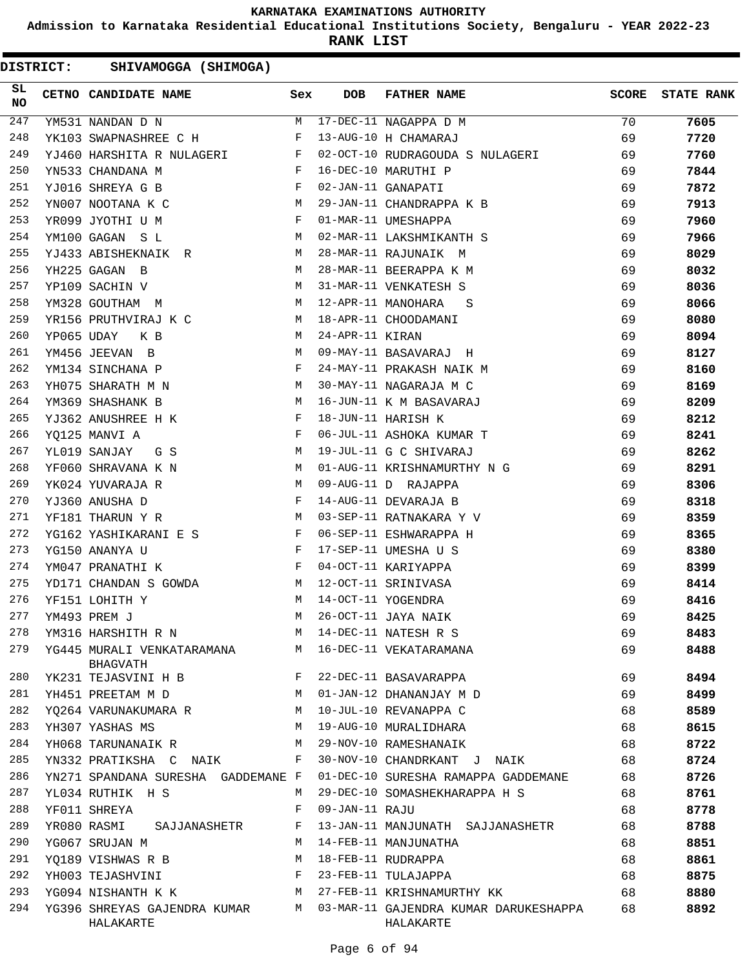**Admission to Karnataka Residential Educational Institutions Society, Bengaluru - YEAR 2022-23**

**RANK LIST**

| SL<br><b>NO</b> |            | CETNO CANDIDATE NAME                                                                                                                        | Sex          | DOB             | <b>FATHER NAME</b>                                 | <b>SCORE</b> | <b>STATE RANK</b> |
|-----------------|------------|---------------------------------------------------------------------------------------------------------------------------------------------|--------------|-----------------|----------------------------------------------------|--------------|-------------------|
| 247             |            | YM531 NANDAN D N                                                                                                                            |              |                 | M 17-DEC-11 NAGAPPA D M                            | 70           | 7605              |
| 248             |            | YK103 SWAPNASHREE C H F                                                                                                                     |              |                 | 13-AUG-10 H CHAMARAJ                               | 69           | 7720              |
| 249             |            | YJ460 HARSHITA R NULAGERI F                                                                                                                 |              |                 | 02-OCT-10 RUDRAGOUDA S NULAGERI                    | 69           | 7760              |
| 250             |            | $\mathbf{F}$<br>YN533 CHANDANA M                                                                                                            |              |                 | 16-DEC-10 MARUTHI P                                | 69           | 7844              |
| 251             |            | YJ016 SHREYA G B<br>$\mathbf{F}$ and the state of the state $\mathbf{F}$                                                                    |              |                 | 02-JAN-11 GANAPATI                                 | 69           | 7872              |
| 252             |            | YN007 NOOTANA K C<br><b>Example 19</b> M                                                                                                    |              |                 | 29-JAN-11 CHANDRAPPA K B                           | 69           | 7913              |
| 253             |            | <b>Experimental Service Service</b><br>YR099 JYOTHI U M                                                                                     |              |                 | 01-MAR-11 UMESHAPPA                                | 69           | 7960              |
| 254             |            | YM100 GAGAN S L                                                                                                                             |              |                 | M 02-MAR-11 LAKSHMIKANTH S                         | 69           | 7966              |
| 255             |            | YJ433 ABISHEKNAIK R M                                                                                                                       |              |                 | 28-MAR-11 RAJUNAIK M                               | 69           | 8029              |
| 256             |            | YH225 GAGAN B<br>$\mathbb{M}$ and $\mathbb{M}$                                                                                              |              |                 | 28-MAR-11 BEERAPPA K M                             | 69           | 8032              |
| 257             |            | <b>M</b><br>YP109 SACHIN V                                                                                                                  |              |                 | 31-MAR-11 VENKATESH S                              | 69           | 8036              |
| 258             |            | YM328 GOUTHAM M                                                                                                                             | M            |                 | 12-APR-11 MANOHARA S                               | 69           | 8066              |
| 259             |            | YR156 PRUTHVIRAJ K C M 18-APR-11 CHOODAMANI                                                                                                 |              |                 |                                                    | 69           | 8080              |
| 260             | YP065 UDAY | K B<br><u>March 2001</u>                                                                                                                    |              | 24-APR-11 KIRAN |                                                    | 69           | 8094              |
| 261             |            | M<br>YM456 JEEVAN B                                                                                                                         |              |                 | 09-MAY-11 BASAVARAJ H                              | 69           | 8127              |
| 262             |            | YM134 SINCHANA P                                                                                                                            | $\mathbf{F}$ |                 | 24-MAY-11 PRAKASH NAIK M                           | 69           | 8160              |
| 263             |            | YH075 SHARATH M N<br><b>M</b>                                                                                                               |              |                 | 30-MAY-11 NAGARAJA M C                             | 69           | 8169              |
| 264             |            | YM369 SHASHANK B<br><b>Example 19</b> M                                                                                                     |              |                 | 16-JUN-11 K M BASAVARAJ                            | 69           | 8209              |
| 265             |            | YJ362 ANUSHREE H K<br><b>Example 19</b>                                                                                                     |              |                 | 18-JUN-11 HARISH K                                 | 69           | 8212              |
| 266             |            | YQ125 MANVI A                                                                                                                               | $\mathbf{F}$ |                 | 06-JUL-11 ASHOKA KUMAR T                           | 69           | 8241              |
| 267             |            | YL019 SANJAY GS M                                                                                                                           |              |                 | 19-JUL-11 G C SHIVARAJ                             | 69           | 8262              |
| 268             |            | YF060 SHRAVANA K N<br><b>Example 20</b> Manual Manual Manual Manual Manual Manual Manual Manual Manual Manual Manual Manual Manual Manual M |              |                 | 01-AUG-11 KRISHNAMURTHY N G                        | 69           | 8291              |
| 269             |            | M <sub>N</sub><br>YK024 YUVARAJA R                                                                                                          |              |                 | 09-AUG-11 D RAJAPPA                                | 69           | 8306              |
| 270             |            | $\mathbf{F}$ and $\mathbf{F}$ . The set of $\mathbf{F}$<br>YJ360 ANUSHA D                                                                   |              |                 | 14-AUG-11 DEVARAJA B                               | 69           | 8318              |
| 271             |            | YF181 THARUN Y R<br>M                                                                                                                       |              |                 | 03-SEP-11 RATNAKARA Y V                            | 69           | 8359              |
| 272             |            | YG162 YASHIKARANI E S<br>F                                                                                                                  |              |                 | 06-SEP-11 ESHWARAPPA H                             | 69           | 8365              |
| 273             |            | $\mathbf{F}$<br>YG150 ANANYA U                                                                                                              |              |                 | 17-SEP-11 UMESHA U S                               | 69           | 8380              |
| 274             |            | $\mathbf{F}$<br>YM047 PRANATHI K                                                                                                            |              |                 | 04-OCT-11 KARIYAPPA                                | 69           | 8399              |
| 275             |            | YD171 CHANDAN S GOWDA M                                                                                                                     |              |                 | 12-OCT-11 SRINIVASA                                | 69           | 8414              |
| 276             |            | YF151 LOHITH Y<br><b>M</b>                                                                                                                  |              |                 | 14-OCT-11 YOGENDRA                                 | 69           | 8416              |
| 277             |            | YM493 PREM J                                                                                                                                | M            |                 | 26-OCT-11 JAYA NAIK                                | 69           | 8425              |
| 278             |            | YM316 HARSHITH R N                                                                                                                          | M            |                 | 14-DEC-11 NATESH R S                               | 69           | 8483              |
| 279             |            | YG445 MURALI VENKATARAMANA M 16-DEC-11 VEKATARAMANA                                                                                         |              |                 |                                                    | 69           | 8488              |
|                 |            | BHAGVATH                                                                                                                                    |              |                 |                                                    |              |                   |
| 280             |            | YK231 TEJASVINI H B                                                                                                                         | F            |                 | 22-DEC-11 BASAVARAPPA                              | 69           | 8494              |
| 281             |            | YH451 PREETAM M D                                                                                                                           | M            |                 | 01-JAN-12 DHANANJAY M D                            | 69           | 8499              |
| 282             |            | YQ264 VARUNAKUMARA R                                                                                                                        | M            |                 | 10-JUL-10 REVANAPPA C                              | 68           | 8589              |
| 283             |            | YH307 YASHAS MS                                                                                                                             | M            |                 | 19-AUG-10 MURALIDHARA                              | 68           | 8615              |
| 284             |            | YH068 TARUNANAIK R                                                                                                                          | М            |                 | 29-NOV-10 RAMESHANAIK                              | 68           | 8722              |
| 285             |            | YN332 PRATIKSHA C NAIK                                                                                                                      | F            |                 | 30-NOV-10 CHANDRKANT J NAIK                        | 68           | 8724              |
| 286             |            | YN271 SPANDANA SURESHA GADDEMANE F                                                                                                          |              |                 | 01-DEC-10 SURESHA RAMAPPA GADDEMANE                | 68           | 8726              |
| 287             |            | YL034 RUTHIK H S                                                                                                                            | М            |                 | 29-DEC-10 SOMASHEKHARAPPA H S                      | 68           | 8761              |
| 288             |            | YF011 SHREYA                                                                                                                                | F            | 09-JAN-11 RAJU  |                                                    | 68           | 8778              |
| 289             |            | YR080 RASMI<br>SAJJANASHETR                                                                                                                 | F            |                 | 13-JAN-11 MANJUNATH SAJJANASHETR                   | 68           | 8788              |
| 290             |            | YG067 SRUJAN M                                                                                                                              | M            |                 | 14-FEB-11 MANJUNATHA                               | 68           | 8851              |
| 291             |            | YO189 VISHWAS R B                                                                                                                           | M            |                 | 18-FEB-11 RUDRAPPA                                 | 68           | 8861              |
| 292             |            | YH003 TEJASHVINI                                                                                                                            | F            |                 | 23-FEB-11 TULAJAPPA                                | 68           | 8875              |
| 293             |            | YG094 NISHANTH K K M                                                                                                                        |              |                 | 27-FEB-11 KRISHNAMURTHY KK                         | 68           | 8880              |
| 294             |            | YG396 SHREYAS GAJENDRA KUMAR M<br>HALAKARTE                                                                                                 |              |                 | 03-MAR-11 GAJENDRA KUMAR DARUKESHAPPA<br>HALAKARTE | 68           | 8892              |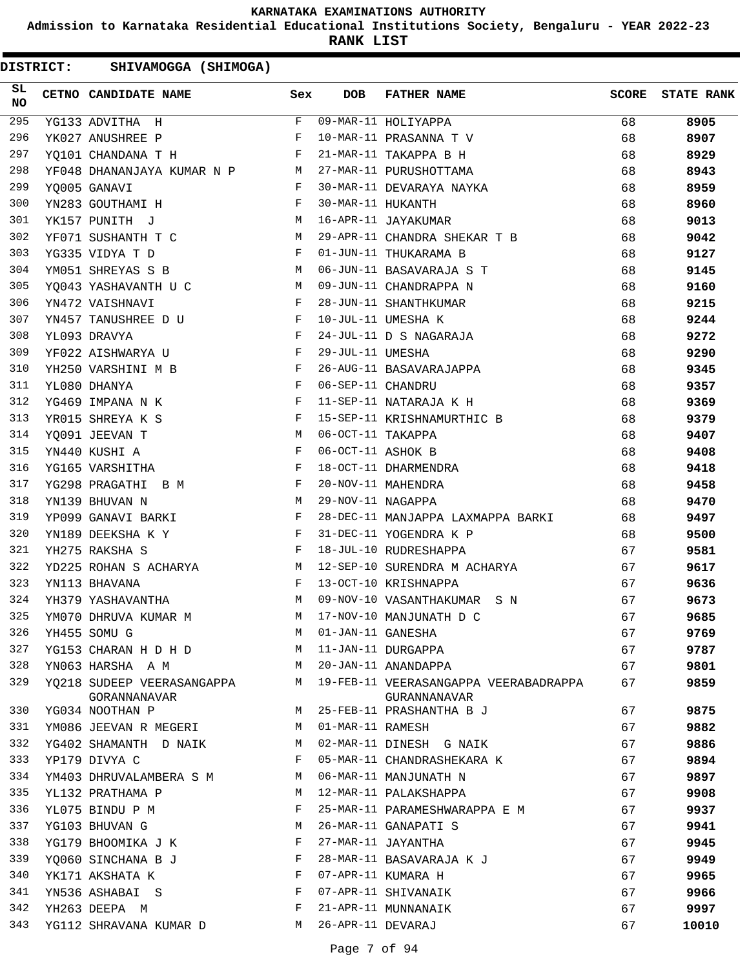**Admission to Karnataka Residential Educational Institutions Society, Bengaluru - YEAR 2022-23**

**RANK LIST**

| SL<br><b>NO</b> | CETNO CANDIDATE NAME                                                               | Sex          | <b>DOB</b>        | <b>FATHER NAME</b>                                    | SCORE | <b>STATE RANK</b> |
|-----------------|------------------------------------------------------------------------------------|--------------|-------------------|-------------------------------------------------------|-------|-------------------|
| 295             | YG133 ADVITHA H                                                                    |              |                   | F 09-MAR-11 HOLIYAPPA                                 | 68    | 8905              |
| 296             | YK027 ANUSHREE P                                                                   | F            |                   | 10-MAR-11 PRASANNA T V                                | 68    | 8907              |
| 297             | YQ101 CHANDANA T H                                                                 |              |                   | 21-MAR-11 TAKAPPA B H                                 | 68    | 8929              |
| 298             | YF048 DHANANJAYA KUMAR N P M 27-MAR-11 PURUSHOTTAMA                                |              |                   |                                                       | 68    | 8943              |
| 299             | YO005 GANAVI                                                                       | $\mathbf{F}$ |                   | 30-MAR-11 DEVARAYA NAYKA                              | 68    | 8959              |
| 300             | $\mathbf{F}$<br>YN283 GOUTHAMI H                                                   |              | 30-MAR-11 HUKANTH |                                                       | 68    | 8960              |
| 301             | YK157 PUNITH J                                                                     | M            |                   | 16-APR-11 JAYAKUMAR                                   | 68    | 9013              |
| 302             | $\mathbf M$<br>YF071 SUSHANTH T C                                                  |              |                   | 29-APR-11 CHANDRA SHEKAR T B                          | 68    | 9042              |
| 303             | YG335 VIDYA T D                                                                    | F            |                   | 01-JUN-11 THUKARAMA B                                 | 68    | 9127              |
| 304             | YM051 SHREYAS S B<br><b>M</b>                                                      |              |                   | 06-JUN-11 BASAVARAJA S T                              | 68    | 9145              |
| 305             | YQ043 YASHAVANTH U C M                                                             |              |                   | 09-JUN-11 CHANDRAPPA N                                | 68    | 9160              |
| 306             | $\mathbf{F}$<br>YN472 VAISHNAVI                                                    |              |                   | 28-JUN-11 SHANTHKUMAR                                 | 68    | 9215              |
| 307             | YN457 TANUSHREE D U                                                                | $\mathbf{F}$ |                   | 10-JUL-11 UMESHA K                                    | 68    | 9244              |
| 308             | $\mathbf{F}$<br>YL093 DRAVYA                                                       |              |                   | 24-JUL-11 D S NAGARAJA                                | 68    | 9272              |
| 309             | $\mathbf{F}$ and the contract of the contract of $\mathbf{F}$<br>YF022 AISHWARYA U |              | 29-JUL-11 UMESHA  |                                                       | 68    | 9290              |
| 310             | $\mathbf{F}$<br>YH250 VARSHINI M B                                                 |              |                   | 26-AUG-11 BASAVARAJAPPA                               | 68    | 9345              |
| 311             | YL080 DHANYA                                                                       | $\mathbb{F}$ | 06-SEP-11 CHANDRU |                                                       | 68    | 9357              |
| 312             | $\mathbf{F}$ and the contract of the contract of $\mathbf{F}$<br>YG469 IMPANA N K  |              |                   | 11-SEP-11 NATARAJA K H                                | 68    | 9369              |
| 313             | <b>Example 2</b> F<br>YR015 SHREYA K S                                             |              |                   | 15-SEP-11 KRISHNAMURTHIC B                            | 68    | 9379              |
| 314             | M<br>YQ091 JEEVAN T                                                                |              | 06-OCT-11 TAKAPPA |                                                       | 68    | 9407              |
| 315             | YN440 KUSHI A                                                                      | F            | 06-OCT-11 ASHOK B |                                                       | 68    | 9408              |
| 316             | <b>Experimental Street Except Street Except</b><br>YG165 VARSHITHA                 |              |                   | 18-OCT-11 DHARMENDRA                                  | 68    | 9418              |
| 317             | $\mathbf{F}$ . The contract of the contract of $\mathbf{F}$<br>YG298 PRAGATHI B M  |              |                   | 20-NOV-11 MAHENDRA                                    | 68    | 9458              |
| 318             | M<br>YN139 BHUVAN N                                                                |              | 29-NOV-11 NAGAPPA |                                                       | 68    | 9470              |
| 319             | YP099 GANAVI BARKI                                                                 | $\mathbf{F}$ |                   | 28-DEC-11 MANJAPPA LAXMAPPA BARKI 68                  |       | 9497              |
| 320             | YN189 DEEKSHA K Y F                                                                |              |                   | 31-DEC-11 YOGENDRA K P                                | 68    | 9500              |
| 321             | and the state of the state of the Fig.<br>YH275 RAKSHA S                           |              |                   | 18-JUL-10 RUDRESHAPPA                                 | 67    | 9581              |
| 322             | YD225 ROHAN S ACHARYA M                                                            |              |                   | 12-SEP-10 SURENDRA M ACHARYA                          | 67    | 9617              |
| 323             | YN113 BHAVANA                                                                      | $\mathbf{F}$ |                   | 13-OCT-10 KRISHNAPPA                                  | 67    | 9636              |
| 324             | M <sub>1</sub><br>YH379 YASHAVANTHA                                                |              |                   | 09-NOV-10 VASANTHAKUMAR S N                           | 67    | 9673              |
| 325             | YM070 DHRUVA KUMAR M                                                               |              |                   | M 17-NOV-10 MANJUNATH D C                             | 67    | 9685              |
| 326             | YH455 SOMU G                                                                       | М            | 01-JAN-11 GANESHA |                                                       | 67    | 9769              |
| 327             | YG153 CHARAN H D H D                                                               | M            |                   | 11-JAN-11 DURGAPPA                                    | 67    | 9787              |
| 328             | YN063 HARSHA A M                                                                   | M            |                   | 20-JAN-11 ANANDAPPA                                   | 67    | 9801              |
| 329             | YQ218 SUDEEP VEERASANGAPPA<br>GORANNANAVAR                                         | M            |                   | 19-FEB-11 VEERASANGAPPA VEERABADRAPPA<br>GURANNANAVAR | 67    | 9859              |
| 330             | YG034 NOOTHAN P                                                                    | M            |                   | 25-FEB-11 PRASHANTHA B J                              | 67    | 9875              |
| 331             | YM086 JEEVAN R MEGERI                                                              | M            | 01-MAR-11 RAMESH  |                                                       | 67    | 9882              |
| 332             | YG402 SHAMANTH D NAIK                                                              | M            |                   | 02-MAR-11 DINESH G NAIK                               | 67    | 9886              |
| 333             | YP179 DIVYA C                                                                      | F            |                   | 05-MAR-11 CHANDRASHEKARA K                            | 67    | 9894              |
| 334             | YM403 DHRUVALAMBERA S M                                                            | М            |                   | 06-MAR-11 MANJUNATH N                                 | 67    | 9897              |
| 335             | YL132 PRATHAMA P                                                                   | М            |                   | 12-MAR-11 PALAKSHAPPA                                 | 67    | 9908              |
| 336             | YL075 BINDU P M                                                                    | F            |                   | 25-MAR-11 PARAMESHWARAPPA E M                         | 67    | 9937              |
| 337             | YG103 BHUVAN G                                                                     | М            |                   | 26-MAR-11 GANAPATI S                                  | 67    | 9941              |
| 338             | YG179 BHOOMIKA J K                                                                 | F            |                   | 27-MAR-11 JAYANTHA                                    | 67    | 9945              |
| 339             | YQ060 SINCHANA B J                                                                 | F            |                   | 28-MAR-11 BASAVARAJA K J                              | 67    | 9949              |
| 340             | YK171 AKSHATA K                                                                    | F            |                   | 07-APR-11 KUMARA H                                    | 67    | 9965              |
| 341             | YN536 ASHABAI S                                                                    | F            |                   | 07-APR-11 SHIVANAIK                                   | 67    | 9966              |
| 342             | YH263 DEEPA M                                                                      | F            |                   | 21-APR-11 MUNNANAIK                                   | 67    | 9997              |
| 343             | YG112 SHRAVANA KUMAR D                                                             | М            | 26-APR-11 DEVARAJ |                                                       | 67    | 10010             |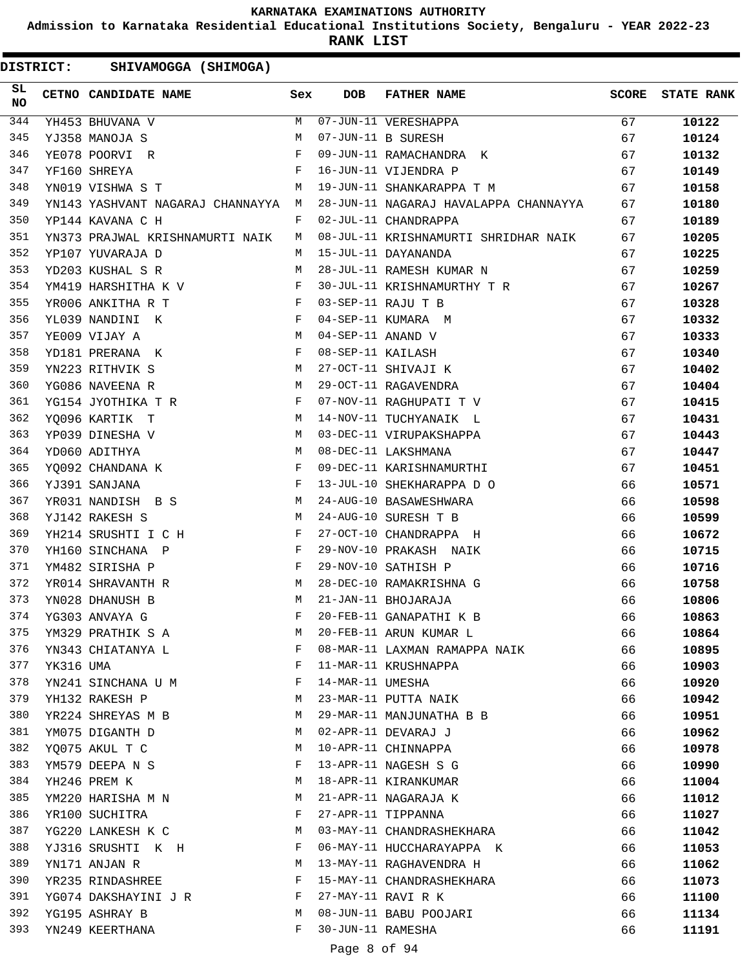**Admission to Karnataka Residential Educational Institutions Society, Bengaluru - YEAR 2022-23**

**RANK LIST**

| SL<br>NO |           | <b>CETNO CANDIDATE NAME</b>                                         | Sex          | <b>DOB</b>        | <b>FATHER NAME</b>                    | <b>SCORE</b> | <b>STATE RANK</b> |
|----------|-----------|---------------------------------------------------------------------|--------------|-------------------|---------------------------------------|--------------|-------------------|
| 344      |           | YH453 BHUVANA V                                                     | M            |                   | 07-JUN-11 VERESHAPPA                  | 67           | 10122             |
| 345      |           | YJ358 MANOJA S                                                      | M            |                   | 07-JUN-11 B SURESH                    | 67           | 10124             |
| 346      |           | YE078 POORVI R                                                      | $_{\rm F}$   |                   | 09-JUN-11 RAMACHANDRA K               | 67           | 10132             |
| 347      |           | YF160 SHREYA                                                        | F            |                   | 16-JUN-11 VIJENDRA P                  | 67           | 10149             |
| 348      |           | YN019 VISHWA S T                                                    | М            |                   | 19-JUN-11 SHANKARAPPA T M             | 67           | 10158             |
| 349      |           | YN143 YASHVANT NAGARAJ CHANNAYYA M                                  |              |                   | 28-JUN-11 NAGARAJ HAVALAPPA CHANNAYYA | 67           | 10180             |
| 350      |           | YP144 KAVANA C H                                                    | F            |                   | 02-JUL-11 CHANDRAPPA                  | 67           | 10189             |
| 351      |           | YN373 PRAJWAL KRISHNAMURTI NAIK                                     | M            |                   | 08-JUL-11 KRISHNAMURTI SHRIDHAR NAIK  | 67           | 10205             |
| 352      |           | YP107 YUVARAJA D                                                    | M            |                   | 15-JUL-11 DAYANANDA                   | 67           | 10225             |
| 353      |           | YD203 KUSHAL S R                                                    | M            |                   | 28-JUL-11 RAMESH KUMAR N              | 67           | 10259             |
| 354      |           | YM419 HARSHITHA K V                                                 | F            |                   | 30-JUL-11 KRISHNAMURTHY T R           | 67           | 10267             |
| 355      |           | $\mathbf{F}$ and $\mathbf{F}$ and $\mathbf{F}$<br>YR006 ANKITHA R T |              |                   | 03-SEP-11 RAJU T B                    | 67           | 10328             |
| 356      |           | YL039 NANDINI K                                                     | F            |                   | 04-SEP-11 KUMARA M                    | 67           | 10332             |
| 357      |           | YE009 VIJAY A                                                       | М            | 04-SEP-11 ANAND V |                                       | 67           | 10333             |
| 358      |           | YD181 PRERANA K                                                     | F            | 08-SEP-11 KAILASH |                                       | 67           | 10340             |
| 359      |           | M<br>YN223 RITHVIK S                                                |              |                   | 27-OCT-11 SHIVAJI K                   | 67           | 10402             |
| 360      |           | YG086 NAVEENA R                                                     | М            |                   | 29-OCT-11 RAGAVENDRA                  | 67           | 10404             |
| 361      |           | YG154 JYOTHIKA T R                                                  | $\mathbf{F}$ |                   | 07-NOV-11 RAGHUPATI T V               | 67           | 10415             |
| 362      |           | YQ096 KARTIK T                                                      | М            |                   | 14-NOV-11 TUCHYANAIK L                | 67           | 10431             |
| 363      |           | YP039 DINESHA V                                                     | М            |                   | 03-DEC-11 VIRUPAKSHAPPA               | 67           | 10443             |
| 364      |           | YD060 ADITHYA                                                       | M            |                   | 08-DEC-11 LAKSHMANA                   | 67           | 10447             |
| 365      |           | YQ092 CHANDANA K                                                    | F            |                   | 09-DEC-11 KARISHNAMURTHI              | 67           | 10451             |
| 366      |           | YJ391 SANJANA                                                       | F            |                   | 13-JUL-10 SHEKHARAPPA D O             | 66           | 10571             |
| 367      |           | M<br>YR031 NANDISH B S                                              |              |                   | 24-AUG-10 BASAWESHWARA                | 66           | 10598             |
| 368      |           | YJ142 RAKESH S                                                      | M            |                   | 24-AUG-10 SURESH T B                  | 66           | 10599             |
| 369      |           | YH214 SRUSHTI I C H                                                 | F            |                   | 27-OCT-10 CHANDRAPPA H                | 66           | 10672             |
| 370      |           | YH160 SINCHANA P                                                    | F            |                   | 29-NOV-10 PRAKASH NAIK                | 66           | 10715             |
| 371      |           | YM482 SIRISHA P                                                     | F            |                   | 29-NOV-10 SATHISH P                   | 66           | 10716             |
| 372      |           | YR014 SHRAVANTH R                                                   | M            |                   | 28-DEC-10 RAMAKRISHNA G               | 66           | 10758             |
| 373      |           | YN028 DHANUSH B                                                     | М            |                   | 21-JAN-11 BHOJARAJA                   | 66           | 10806             |
| 374      |           | YG303 ANVAYA G                                                      | F            |                   | 20-FEB-11 GANAPATHI K B               | 66           | 10863             |
| 375      |           | YM329 PRATHIK S A                                                   | М            |                   | 20-FEB-11 ARUN KUMAR L                | 66           | 10864             |
| 376      |           | YN343 CHIATANYA L                                                   | F            |                   | 08-MAR-11 LAXMAN RAMAPPA NAIK         | 66           | 10895             |
| 377      | YK316 UMA |                                                                     | F            |                   | 11-MAR-11 KRUSHNAPPA                  | 66           | 10903             |
| 378      |           | YN241 SINCHANA U M                                                  | F            | 14-MAR-11 UMESHA  |                                       | 66           | 10920             |
| 379      |           | YH132 RAKESH P                                                      | M            |                   | 23-MAR-11 PUTTA NAIK                  | 66           |                   |
| 380      |           |                                                                     | М            |                   | 29-MAR-11 MANJUNATHA B B              | 66           | 10942             |
| 381      |           | YR224 SHREYAS M B<br>YM075 DIGANTH D                                | M            |                   | 02-APR-11 DEVARAJ J                   |              | 10951             |
|          |           |                                                                     |              |                   |                                       | 66           | 10962             |
| 382      |           | YQ075 AKUL T C                                                      | М            |                   | 10-APR-11 CHINNAPPA                   | 66           | 10978             |
| 383      |           | YM579 DEEPANS                                                       | F            |                   | 13-APR-11 NAGESH S G                  | 66           | 10990             |
| 384      |           | YH246 PREM K                                                        | M            |                   | 18-APR-11 KIRANKUMAR                  | 66           | 11004             |
| 385      |           | YM220 HARISHA M N                                                   | M            |                   | 21-APR-11 NAGARAJA K                  | 66           | 11012             |
| 386      |           | YR100 SUCHITRA                                                      | F            |                   | 27-APR-11 TIPPANNA                    | 66           | 11027             |
| 387      |           | YG220 LANKESH K C                                                   | М            |                   | 03-MAY-11 CHANDRASHEKHARA             | 66           | 11042             |
| 388      |           | YJ316 SRUSHTI K H                                                   | F            |                   | 06-MAY-11 HUCCHARAYAPPA K             | 66           | 11053             |
| 389      |           | YN171 ANJAN R                                                       | M            |                   | 13-MAY-11 RAGHAVENDRA H               | 66           | 11062             |
| 390      |           | YR235 RINDASHREE                                                    | F            |                   | 15-MAY-11 CHANDRASHEKHARA             | 66           | 11073             |
| 391      |           | YG074 DAKSHAYINI J R                                                | F            |                   | 27-MAY-11 RAVI R K                    | 66           | 11100             |
| 392      |           | YG195 ASHRAY B                                                      | M            |                   | 08-JUN-11 BABU POOJARI                | 66           | 11134             |
| 393      |           | YN249 KEERTHANA                                                     | F            | 30-JUN-11 RAMESHA |                                       | 66           | 11191             |
|          |           |                                                                     |              | Page 8 of 94      |                                       |              |                   |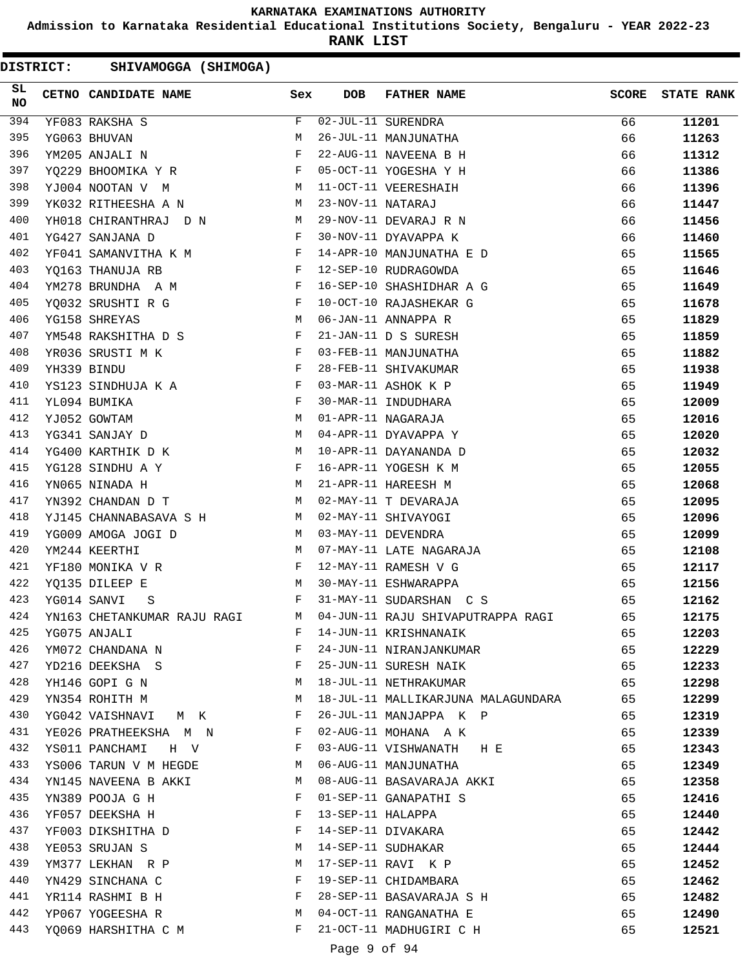**Admission to Karnataka Residential Educational Institutions Society, Bengaluru - YEAR 2022-23**

**RANK LIST**

| SL<br><b>NO</b> | CETNO CANDIDATE NAME                                                          | Sex          | DOB               | FATHER NAME                        | <b>SCORE</b> | <b>STATE RANK</b> |
|-----------------|-------------------------------------------------------------------------------|--------------|-------------------|------------------------------------|--------------|-------------------|
| 394             | YF083 RAKSHA S                                                                | F            |                   | $\overline{02-JUL-11}$ SURENDRA    | 66           | 11201             |
| 395             | YG063 BHUVAN                                                                  | М            |                   | 26-JUL-11 MANJUNATHA               | 66           | 11263             |
| 396             | YM205 ANJALI N                                                                | F            |                   | 22-AUG-11 NAVEENA B H              | 66           | 11312             |
| 397             | YQ229 BHOOMIKA Y R                                                            | F            |                   | 05-OCT-11 YOGESHA Y H              | 66           | 11386             |
| 398             | <b>M</b><br>YJ004 NOOTAN V M                                                  |              |                   | 11-OCT-11 VEERESHAIH               | 66           | 11396             |
| 399             | YK032 RITHEESHA A N                                                           | M            | 23-NOV-11 NATARAJ |                                    | 66           | 11447             |
| 400             | YH018 CHIRANTHRAJ D N M                                                       |              |                   | 29-NOV-11 DEVARAJ R N              | 66           | 11456             |
| 401             | YG427 SANJANA D                                                               | $\mathbf{F}$ |                   | 30-NOV-11 DYAVAPPA K               | 66           | 11460             |
| 402             | YF041 SAMANVITHA K M F                                                        |              |                   | 14-APR-10 MANJUNATHA E D           | 65           | 11565             |
| 403             | YQ163 THANUJA RB F                                                            |              |                   | 12-SEP-10 RUDRAGOWDA               | 65           | 11646             |
| 404             | YM278 BRUNDHA A M $$\rm F$$                                                   |              |                   | 16-SEP-10 SHASHIDHAR A G           | 65           | 11649             |
| 405             | YQ032 SRUSHTI R G<br>YG158 SHREYAS<br>$\mathbb{R}^n$ . In Fig.                |              |                   | 10-OCT-10 RAJASHEKAR G             | 65           | 11678             |
| 406             |                                                                               | M            |                   | 06-JAN-11 ANNAPPA R                | 65           | 11829             |
| 407             | YM548 RAKSHITHA D S F                                                         |              |                   | 21-JAN-11 D S SURESH               | 65           | 11859             |
| 408             | YR036 SRUSTI M K F                                                            |              |                   | 03-FEB-11 MANJUNATHA               | 65           | 11882             |
| 409             | YH339 BINDU                                                                   | $\mathbb{F}$ |                   | 28-FEB-11 SHIVAKUMAR               | 65           | 11938             |
| 410             | YS123 SINDHUJA K A F                                                          |              |                   | 03-MAR-11 ASHOK K P                | 65           | 11949             |
| 411             | $\mathbf{F}$ and the contract of the contract of $\mathbf{F}$<br>YL094 BUMIKA |              |                   | 30-MAR-11 INDUDHARA                | 65           | 12009             |
| 412             | YJ052 GOWTAM                                                                  | M            |                   | 01-APR-11 NAGARAJA                 | 65           | 12016             |
| 413             | YG341 SANJAY D                                                                | M            |                   | 04-APR-11 DYAVAPPA Y               | 65           | 12020             |
| 414             | YG400 KARTHIK D K M                                                           |              |                   | 10-APR-11 DAYANANDA D              | 65           | 12032             |
| 415             | $\mathbf{F}$ and the contract of $\mathbf{F}$<br>YG128 SINDHU A Y             |              |                   | 16-APR-11 YOGESH K M               | 65           | 12055             |
| 416             | M<br>YN065 NINADA H                                                           |              |                   | 21-APR-11 HAREESH M                | 65           | 12068             |
| 417             | YN392 CHANDAN D T                                                             | M            |                   | 02-MAY-11 T DEVARAJA               | 65           | 12095             |
| 418             | YJ145 CHANNABASAVA S H                                                        |              |                   | 02-MAY-11 SHIVAYOGI                | 65           | 12096             |
| 419             | YG009 AMOGA JOGI D                                                            | M            |                   | 03-MAY-11 DEVENDRA                 | 65           | 12099             |
| 420             | YM244 KEERTHI                                                                 | M            |                   | 07-MAY-11 LATE NAGARAJA            | 65           | 12108             |
| 421             | $\mathbf{F}$<br>YF180 MONIKA V R                                              |              |                   | 12-MAY-11 RAMESH V G               | 65           | 12117             |
| 422             | YQ135 DILEEP E<br>M <sub>1</sub>                                              |              |                   | 30-MAY-11 ESHWARAPPA               | 65           | 12156             |
| 423             | $\mathbf{F}$ and $\mathbf{F}$<br>YG014 SANVI<br>S                             |              |                   | 31-MAY-11 SUDARSHAN C S            | 65           | 12162             |
| 424             | YN163 CHETANKUMAR RAJU RAGI M                                                 |              |                   | 04-JUN-11 RAJU SHIVAPUTRAPPA RAGI  | 65           | 12175             |
| 425             | YG075 ANJALI                                                                  | F            |                   | 14-JUN-11 KRISHNANAIK              | 65           | 12203             |
| 426             | YM072 CHANDANA N                                                              | F            |                   | 24-JUN-11 NIRANJANKUMAR            | 65           | 12229             |
| 427             | YD216 DEEKSHA S                                                               | F            |                   | 25-JUN-11 SURESH NAIK              | 65           | 12233             |
| 428             | YH146 GOPI G N                                                                | М            |                   | 18-JUL-11 NETHRAKUMAR              | 65           | 12298             |
| 429             | YN354 ROHITH M                                                                | М            |                   | 18-JUL-11 MALLIKARJUNA MALAGUNDARA | 65           | 12299             |
| 430             | YG042 VAISHNAVI<br>M K                                                        | F            |                   | 26-JUL-11 MANJAPPA K P             | 65           | 12319             |
| 431             | YE026 PRATHEEKSHA M N                                                         | F            |                   | 02-AUG-11 MOHANA A K               | 65           | 12339             |
| 432             | YS011 PANCHAMI<br>H V                                                         | F            |                   | 03-AUG-11 VISHWANATH H E           | 65           | 12343             |
| 433             | YS006 TARUN V M HEGDE                                                         | M            |                   | 06-AUG-11 MANJUNATHA               | 65           | 12349             |
| 434             | YN145 NAVEENA B AKKI                                                          | M            |                   | 08-AUG-11 BASAVARAJA AKKI          | 65           | 12358             |
| 435             | YN389 POOJA G H                                                               | F            |                   | 01-SEP-11 GANAPATHI S              | 65           | 12416             |
| 436             | YF057 DEEKSHA H                                                               | F            | 13-SEP-11 HALAPPA |                                    | 65           | 12440             |
| 437             | YF003 DIKSHITHA D                                                             | F            |                   | 14-SEP-11 DIVAKARA                 | 65           | 12442             |
| 438             | YE053 SRUJAN S                                                                | М            |                   | 14-SEP-11 SUDHAKAR                 | 65           | 12444             |
| 439             | YM377 LEKHAN R P                                                              | М            |                   | 17-SEP-11 RAVI K P                 | 65           | 12452             |
| 440             | YN429 SINCHANA C                                                              | F            |                   | 19-SEP-11 CHIDAMBARA               | 65           | 12462             |
| 441             | YR114 RASHMI B H                                                              | F            |                   | 28-SEP-11 BASAVARAJA S H           | 65           | 12482             |
| 442             | YP067 YOGEESHA R                                                              | М            |                   | 04-OCT-11 RANGANATHA E             | 65           | 12490             |
| 443             | YQ069 HARSHITHA C M                                                           | F            |                   | 21-OCT-11 MADHUGIRI C H            | 65           | 12521             |
|                 |                                                                               |              | Page 9 of 94      |                                    |              |                   |
|                 |                                                                               |              |                   |                                    |              |                   |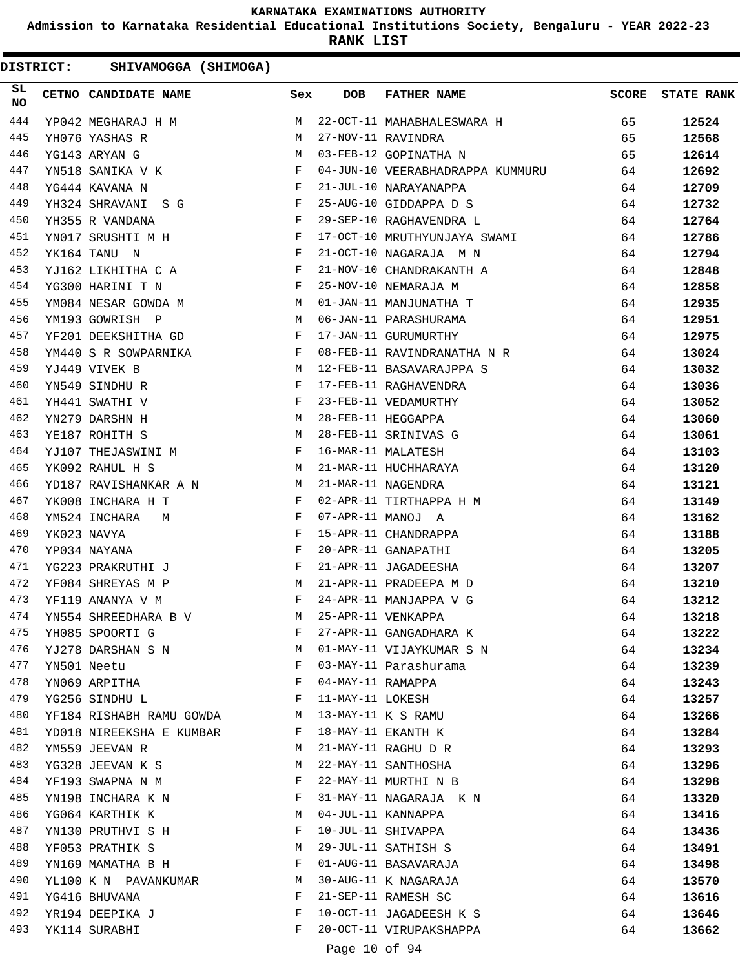**Admission to Karnataka Residential Educational Institutions Society, Bengaluru - YEAR 2022-23**

**RANK LIST**

| SL<br><b>NO</b> | CETNO CANDIDATE NAME                                                                                                                                                                                                                                | Sex          | <b>DOB</b>        | FATHER NAME                                                               | SCORE | <b>STATE RANK</b> |
|-----------------|-----------------------------------------------------------------------------------------------------------------------------------------------------------------------------------------------------------------------------------------------------|--------------|-------------------|---------------------------------------------------------------------------|-------|-------------------|
| 444             | $YP042$ MEGHARAJ H M                                                                                                                                                                                                                                |              |                   | 22-OCT-11 MAHABHALESWARA H                                                | 65    | 12524             |
| 445             | YH076 YASHAS R                                                                                                                                                                                                                                      | M            |                   | 27-NOV-11 RAVINDRA                                                        | 65    | 12568             |
| 446             | YG143 ARYAN G                                                                                                                                                                                                                                       | М            |                   | 03-FEB-12 GOPINATHA N                                                     | 65    | 12614             |
| 447             | YN518 SANIKA V K                                                                                                                                                                                                                                    | $\mathbf{F}$ |                   | 04-JUN-10 VEERABHADRAPPA KUMMURU                                          | 64    | 12692             |
| 448             | $\mathbb{R}^n$ . The set of the set of the set of the set of the set of the set of the set of the set of the set of the set of the set of the set of the set of the set of the set of the set of the set of the set of the set of<br>YG444 KAVANA N |              |                   | 21-JUL-10 NARAYANAPPA                                                     | 64    | 12709             |
| 449             | $\mathbf{F}$ . The contract of the contract of $\mathbf{F}$ .<br>YH324 SHRAVANI S G                                                                                                                                                                 |              |                   | 25-AUG-10 GIDDAPPA D S                                                    | 64    | 12732             |
| 450             | $\mathbf{F}$ and $\mathbf{F}$ and $\mathbf{F}$<br>YH355 R VANDANA                                                                                                                                                                                   |              |                   | 29-SEP-10 RAGHAVENDRA L                                                   | 64    | 12764             |
| 451             | YNO17 SRUSHTI M H                                                                                                                                                                                                                                   |              |                   | 17-OCT-10 MRUTHYUNJAYA SWAMI                                              | 64    | 12786             |
| 452             | $\mathbf{F}$ . The set of the set of the set of the set of the set of the set of the set of the set of the set of the set of the set of the set of the set of the set of the set of the set of the set of the set of the set of t<br>YK164 TANU N   |              |                   | 21-OCT-10 NAGARAJA M N                                                    | 64    | 12794             |
| 453             | YJ162 LIKHITHA C A F                                                                                                                                                                                                                                |              |                   | 21-NOV-10 CHANDRAKANTH A                                                  | 64    | 12848             |
| 454             | $\mathbf{F}$<br>YG300 HARINI T N                                                                                                                                                                                                                    |              |                   | 25-NOV-10 NEMARAJA M                                                      | 64    | 12858             |
| 455             | YM084 NESAR GOWDA M                                                                                                                                                                                                                                 | M            |                   |                                                                           | 64    | 12935             |
| 456             | YM193 GOWRISH P<br>M <sub>1</sub>                                                                                                                                                                                                                   |              |                   | 25-NOV-10 NEPRACADA PI<br>01-JAN-11 MANJUNATHA T<br>06-JAN-11 PARASHURAMA | 64    | 12951             |
| 457             | YF201 DEEKSHITHA GD F                                                                                                                                                                                                                               |              |                   | 17-JAN-11 GURUMURTHY                                                      | 64    | 12975             |
| 458             | YM440 S R SOWPARNIKA F                                                                                                                                                                                                                              |              |                   | 08-FEB-11 RAVINDRANATHA N R                                               | 64    | 13024             |
| 459             | YJ449 VIVEK B                                                                                                                                                                                                                                       | M            |                   | 12-FEB-11 BASAVARAJPPA S                                                  | 64    | 13032             |
| 460             | $\mathbf{F}$<br>YN549 SINDHU R                                                                                                                                                                                                                      |              |                   | 17-FEB-11 RAGHAVENDRA                                                     | 64    | 13036             |
| 461             | $\mathbf{F}$ and $\mathbf{F}$ and $\mathbf{F}$<br>YH441 SWATHI V                                                                                                                                                                                    |              |                   | 23-FEB-11 VEDAMURTHY                                                      | 64    | 13052             |
| 462             | M<br>YN279 DARSHN H                                                                                                                                                                                                                                 |              |                   | 28-FEB-11 HEGGAPPA                                                        | 64    | 13060             |
| 463             | M<br>YE187 ROHITH S                                                                                                                                                                                                                                 |              |                   | 28-FEB-11 SRINIVAS G                                                      | 64    | 13061             |
| 464             | YJ107 THEJASWINI M F                                                                                                                                                                                                                                |              |                   | 16-MAR-11 MALATESH                                                        | 64    | 13103             |
| 465             | <b>M</b><br>YK092 RAHUL H S                                                                                                                                                                                                                         |              |                   | 21-MAR-11 HUCHHARAYA                                                      | 64    | 13120             |
| 466             | YD187 RAVISHANKAR A N M                                                                                                                                                                                                                             |              |                   | 21-MAR-11 NAGENDRA                                                        | 64    | 13121             |
| 467             | YK008 INCHARA H T                                                                                                                                                                                                                                   | $\mathbf{F}$ |                   | 02-APR-11 TIRTHAPPA H M                                                   | 64    | 13149             |
| 468             | $\mathbb{F}^{\mathbb{Z}}$ . The state of the state $\mathbb{F}^{\mathbb{Z}}$<br>YM524 INCHARA<br>M                                                                                                                                                  |              |                   | 07-APR-11 MANOJ A                                                         | 64    | 13162             |
| 469             | YK023 NAVYA<br><b>Example 20</b> F                                                                                                                                                                                                                  |              |                   | 15-APR-11 CHANDRAPPA                                                      | 64    | 13188             |
| 470             | $\mathbf{F}$<br>YP034 NAYANA                                                                                                                                                                                                                        |              |                   | 20-APR-11 GANAPATHI                                                       | 64    | 13205             |
| 471             | YG223 PRAKRUTHI J                                                                                                                                                                                                                                   | $\mathbf{F}$ |                   | 21-APR-11 JAGADEESHA                                                      | 64    | 13207             |
| 472             | M <sub>N</sub><br>YF084 SHREYAS M P                                                                                                                                                                                                                 |              |                   | 21-APR-11 PRADEEPA M D                                                    | 64    | 13210             |
| 473             | $\mathbf{F}$ . The contract of the contract of $\mathbf{F}$ .<br>YF119 ANANYA V M                                                                                                                                                                   |              |                   | 24-APR-11 MANJAPPA V G                                                    | 64    | 13212             |
| 474             | YN554 SHREEDHARA B V                                                                                                                                                                                                                                | M            |                   | 25-APR-11 VENKAPPA                                                        | 64    | 13218             |
| 475             | YH085 SPOORTI G                                                                                                                                                                                                                                     | F            |                   | 27-APR-11 GANGADHARA K                                                    | 64    | 13222             |
| 476             | YJ278 DARSHAN S N                                                                                                                                                                                                                                   | М            |                   | 01-MAY-11 VIJAYKUMAR S N                                                  | 64    | 13234             |
| 477             | YN501 Neetu                                                                                                                                                                                                                                         | F            |                   | 03-MAY-11 Parashurama                                                     | 64    | 13239             |
| 478             | YN069 ARPITHA                                                                                                                                                                                                                                       | F            | 04-MAY-11 RAMAPPA |                                                                           | 64    | 13243             |
| 479             | YG256 SINDHU L                                                                                                                                                                                                                                      | F            | 11-MAY-11 LOKESH  |                                                                           | 64    | 13257             |
| 480             | YF184 RISHABH RAMU GOWDA                                                                                                                                                                                                                            | М            |                   | 13-MAY-11 K S RAMU                                                        | 64    | 13266             |
| 481             | YD018 NIREEKSHA E KUMBAR                                                                                                                                                                                                                            | F            |                   | 18-MAY-11 EKANTH K                                                        | 64    | 13284             |
| 482             | YM559 JEEVAN R                                                                                                                                                                                                                                      | М            |                   | 21-MAY-11 RAGHU D R                                                       | 64    | 13293             |
| 483             | YG328 JEEVAN K S                                                                                                                                                                                                                                    | М            |                   | 22-MAY-11 SANTHOSHA                                                       | 64    | 13296             |
| 484             | YF193 SWAPNA N M                                                                                                                                                                                                                                    | F            |                   | 22-MAY-11 MURTHI N B                                                      | 64    | 13298             |
| 485             | YN198 INCHARA K N                                                                                                                                                                                                                                   | F            |                   | 31-MAY-11 NAGARAJA K N                                                    | 64    | 13320             |
| 486             | YG064 KARTHIK K                                                                                                                                                                                                                                     | М            |                   | 04-JUL-11 KANNAPPA                                                        | 64    | 13416             |
| 487             | YN130 PRUTHVI S H                                                                                                                                                                                                                                   | F            |                   | 10-JUL-11 SHIVAPPA                                                        | 64    | 13436             |
| 488             | YF053 PRATHIK S                                                                                                                                                                                                                                     | M            |                   | 29-JUL-11 SATHISH S                                                       | 64    | 13491             |
| 489             | YN169 MAMATHA B H                                                                                                                                                                                                                                   | F            |                   | 01-AUG-11 BASAVARAJA                                                      | 64    | 13498             |
| 490             | YL100 K N PAVANKUMAR                                                                                                                                                                                                                                | M            |                   | 30-AUG-11 K NAGARAJA                                                      | 64    | 13570             |
| 491             | YG416 BHUVANA                                                                                                                                                                                                                                       | F            |                   | 21-SEP-11 RAMESH SC                                                       | 64    | 13616             |
| 492             | YR194 DEEPIKA J                                                                                                                                                                                                                                     | F            |                   | 10-OCT-11 JAGADEESH K S                                                   | 64    | 13646             |
| 493             | YK114 SURABHI                                                                                                                                                                                                                                       | F            |                   | 20-OCT-11 VIRUPAKSHAPPA                                                   | 64    | 13662             |
|                 |                                                                                                                                                                                                                                                     |              |                   |                                                                           |       |                   |
|                 |                                                                                                                                                                                                                                                     |              | Page 10 of 94     |                                                                           |       |                   |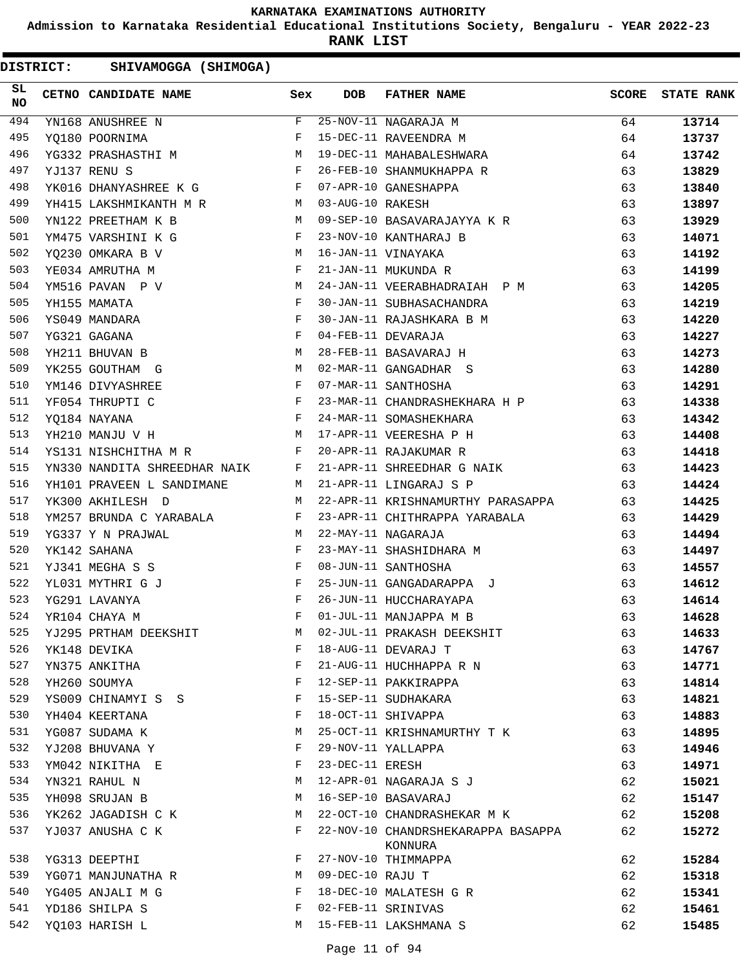**Admission to Karnataka Residential Educational Institutions Society, Bengaluru - YEAR 2022-23**

**RANK LIST**

| SL<br><b>NO</b> | CETNO CANDIDATE NAME                                                                   | Sex | <b>DOB</b>       | <b>FATHER NAME</b>                            | SCORE | <b>STATE RANK</b> |
|-----------------|----------------------------------------------------------------------------------------|-----|------------------|-----------------------------------------------|-------|-------------------|
| 494             | YN168 ANUSHREE N                                                                       | F   |                  | 25-NOV-11 NAGARAJA M                          | 64    | 13714             |
| 495             | YQ180 POORNIMA                                                                         | F   |                  | 15-DEC-11 RAVEENDRA M                         | 64    | 13737             |
| 496             | YG332 PRASHASTHI M                                                                     |     |                  | 19-DEC-11 MAHABALESHWARA                      | 64    | 13742             |
| 497             | $\mathbf{F}$<br>YJ137 RENU S                                                           |     |                  | 26-FEB-10 SHANMUKHAPPA R                      | 63    | 13829             |
| 498             | YK016 DHANYASHREE K G F                                                                |     |                  | 07-APR-10 GANESHAPPA                          | 63    | 13840             |
| 499             | YH415 LAKSHMIKANTH M R M 03-AUG-10 RAKESH                                              |     |                  |                                               | 63    | 13897             |
| 500             | YN122 PREETHAM K B<br>$M_{\rm H}$                                                      |     |                  | 09-SEP-10 BASAVARAJAYYA K R                   | 63    | 13929             |
| 501             | $\mathbb{F}^{\mathbb{Z}}$ . The set of $\mathbb{F}^{\mathbb{Z}}$<br>YM475 VARSHINI K G |     |                  | 23-NOV-10 KANTHARAJ B                         | 63    | 14071             |
| 502             | YQ230 OMKARA B V                                                                       | M   |                  | 16-JAN-11 VINAYAKA                            | 63    | 14192             |
| 503             | $\mathbf{F}$ . The $\mathbf{F}$<br>YE034 AMRUTHA M                                     |     |                  | 21-JAN-11 MUKUNDA R                           | 63    | 14199             |
| 504             | M<br>YM516 PAVAN P V                                                                   |     |                  | 24-JAN-11 VEERABHADRAIAH P M                  | 63    | 14205             |
| 505             | <b>Example 19</b><br>YH155 MAMATA                                                      |     |                  | 30-JAN-11 SUBHASACHANDRA                      | 63    | 14219             |
| 506             | YS049 MANDARA                                                                          | F   |                  | 30-JAN-11 RAJASHKARA B M                      | 63    | 14220             |
| 507             | YG321 GAGANA                                                                           | F   |                  | 04-FEB-11 DEVARAJA                            | 63    | 14227             |
| 508             | YH211 BHUVAN B                                                                         | M   |                  | 28-FEB-11 BASAVARAJ H                         | 63    | 14273             |
| 509             | <b>M</b><br>YK255 GOUTHAM G                                                            |     |                  | 02-MAR-11 GANGADHAR S                         | 63    | 14280             |
| 510             | YM146 DIVYASHREE                                                                       | F   |                  | 07-MAR-11 SANTHOSHA                           | 63    | 14291             |
| 511             | YF054 THRUPTI C<br>$\mathbf{F}$ . The $\mathbf{F}$                                     |     |                  | 23-MAR-11 CHANDRASHEKHARA H P                 | 63    | 14338             |
| 512             | $\mathbf{F}$<br>YQ184 NAYANA                                                           |     |                  | 24-MAR-11 SOMASHEKHARA                        | 63    | 14342             |
| 513             | M<br>YH210 MANJU V H                                                                   |     |                  | 17-APR-11 VEERESHA P H                        | 63    | 14408             |
| 514             | $\mathbf{F}$<br>YS131 NISHCHITHA M R                                                   |     |                  | 20-APR-11 RAJAKUMAR R                         | 63    | 14418             |
| 515             | YN330 NANDITA SHREEDHAR NAIK F                                                         |     |                  | 21-APR-11 SHREEDHAR G NAIK                    | 63    | 14423             |
| 516             | YH101 PRAVEEN L SANDIMANE<br>$M_{\rm H}$ and $M_{\rm H}$                               |     |                  | 21-APR-11 LINGARAJ S P                        | 63    | 14424             |
| 517             | YK300 AKHILESH D                                                                       | M   |                  | 22-APR-11 KRISHNAMURTHY PARASAPPA             | 63    | 14425             |
| 518             | YM257 BRUNDA C YARABALA F                                                              |     |                  | 23-APR-11 CHITHRAPPA YARABALA                 | 63    | 14429             |
| 519             | YG337 Y N PRAJWAL<br><b>M</b>                                                          |     |                  | 22-MAY-11 NAGARAJA                            | 63    | 14494             |
| 520             | YK142 SAHANA                                                                           | F   |                  | 23-MAY-11 SHASHIDHARA M                       | 63    | 14497             |
| 521             | $\mathbf{F}$ and $\mathbf{F}$<br>YJ341 MEGHA S S                                       |     |                  | 08-JUN-11 SANTHOSHA                           | 63    | 14557             |
| 522             | YL031 MYTHRI G J                                                                       | F   |                  | 25-JUN-11 GANGADARAPPA J                      | 63    | 14612             |
| 523             | YG291 LAVANYA                                                                          | F   |                  | 26-JUN-11 HUCCHARAYAPA                        | 63    | 14614             |
| 524             | YR104 CHAYA M                                                                          | F   |                  | 01-JUL-11 MANJAPPA M B                        | 63    | 14628             |
| 525             | YJ295 PRTHAM DEEKSHIT                                                                  | M   |                  | 02-JUL-11 PRAKASH DEEKSHIT                    | 63    | 14633             |
| 526             | YK148 DEVIKA                                                                           | F   |                  | 18-AUG-11 DEVARAJ T                           | 63    | 14767             |
| 527             | YN375 ANKITHA                                                                          | F   |                  | 21-AUG-11 HUCHHAPPA R N                       | 63    | 14771             |
| 528             | YH260 SOUMYA                                                                           | F   |                  | 12-SEP-11 PAKKIRAPPA                          | 63    | 14814             |
| 529             | YS009 CHINAMYI S S                                                                     | F   |                  | 15-SEP-11 SUDHAKARA                           | 63    | 14821             |
| 530             | YH404 KEERTANA                                                                         | F   |                  | 18-OCT-11 SHIVAPPA                            | 63    | 14883             |
| 531             | YG087 SUDAMA K                                                                         | М   |                  | 25-OCT-11 KRISHNAMURTHY T K                   | 63    | 14895             |
| 532             | YJ208 BHUVANA Y                                                                        | F   |                  | 29-NOV-11 YALLAPPA                            | 63    | 14946             |
| 533             | YM042 NIKITHA E                                                                        | F   | 23-DEC-11 ERESH  |                                               | 63    | 14971             |
| 534             | YN321 RAHUL N                                                                          | M   |                  | 12-APR-01 NAGARAJA S J                        | 62    | 15021             |
| 535             | YH098 SRUJAN B                                                                         | М   |                  | 16-SEP-10 BASAVARAJ                           | 62    | 15147             |
| 536             | YK262 JAGADISH C K                                                                     | M   |                  | 22-OCT-10 CHANDRASHEKAR M K                   | 62    | 15208             |
| 537             | YJ037 ANUSHA C K                                                                       | F   |                  | 22-NOV-10 CHANDRSHEKARAPPA BASAPPA<br>KONNURA | 62    | 15272             |
| 538             | YG313 DEEPTHI                                                                          | F   |                  | 27-NOV-10 THIMMAPPA                           | 62    | 15284             |
| 539             | YG071 MANJUNATHA R                                                                     | M   | 09-DEC-10 RAJU T |                                               | 62    | 15318             |
| 540             | YG405 ANJALI M G                                                                       | F   |                  | 18-DEC-10 MALATESH G R                        | 62    | 15341             |
| 541             | YD186 SHILPA S                                                                         | F   |                  | 02-FEB-11 SRINIVAS                            | 62    | 15461             |
| 542             | YQ103 HARISH L                                                                         | М   |                  | 15-FEB-11 LAKSHMANA S                         | 62    | 15485             |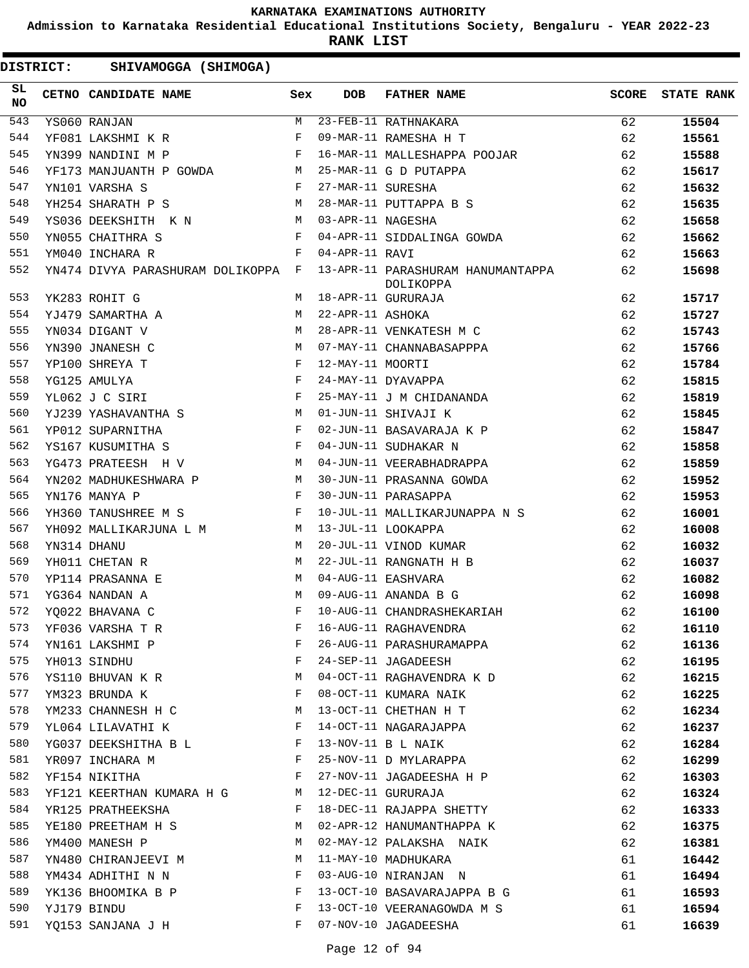**Admission to Karnataka Residential Educational Institutions Society, Bengaluru - YEAR 2022-23**

**RANK LIST**

| SL<br><b>NO</b> | CETNO CANDIDATE NAME                                                                                                                         | Sex          | <b>DOB</b>        | <b>FATHER NAME</b>                             | <b>SCORE</b> | <b>STATE RANK</b> |
|-----------------|----------------------------------------------------------------------------------------------------------------------------------------------|--------------|-------------------|------------------------------------------------|--------------|-------------------|
| 543             | YS060 RANJAN                                                                                                                                 | M            |                   | 23-FEB-11 RATHNAKARA                           | 62           | 15504             |
| 544             | YF081 LAKSHMI K R                                                                                                                            | F            |                   | 09-MAR-11 RAMESHA H T                          | 62           | 15561             |
| 545             | YN399 NANDINI M P                                                                                                                            | $\mathbf{F}$ |                   | 16-MAR-11 MALLESHAPPA POOJAR                   | 62           | 15588             |
| 546             | YF173 MANJUANTH P GOWDA M                                                                                                                    |              |                   | 25-MAR-11 G D PUTAPPA                          | 62           | 15617             |
| 547             | $\mathbf{F}$ and $\mathbf{F}$<br>YN101 VARSHA S                                                                                              |              | 27-MAR-11 SURESHA |                                                | 62           | 15632             |
| 548             | <b>M</b><br>YH254 SHARATH P S                                                                                                                |              |                   | 28-MAR-11 PUTTAPPA B S                         | 62           | 15635             |
| 549             | YS036 DEEKSHITH K N                                                                                                                          | M            | 03-APR-11 NAGESHA |                                                | 62           | 15658             |
| 550             | YN055 CHAITHRA S                                                                                                                             | F            |                   | 04-APR-11 SIDDALINGA GOWDA                     | 62           | 15662             |
| 551             | YM040 INCHARA R                                                                                                                              | F            | 04-APR-11 RAVI    |                                                | 62           | 15663             |
| 552             | YN474 DIVYA PARASHURAM DOLIKOPPA F                                                                                                           |              |                   | 13-APR-11 PARASHURAM HANUMANTAPPA<br>DOLIKOPPA | 62           | 15698             |
| 553             | YK283 ROHIT G                                                                                                                                | M            |                   | 18-APR-11 GURURAJA                             | 62           | 15717             |
| 554             | YJ479 SAMARTHA A                                                                                                                             | M            | 22-APR-11 ASHOKA  |                                                | 62           | 15727             |
| 555             | YN034 DIGANT V                                                                                                                               | M            |                   | 28-APR-11 VENKATESH M C                        | 62           | 15743             |
| 556             | YN390 JNANESH C                                                                                                                              | М            |                   | 07-MAY-11 CHANNABASAPPPA                       | 62           | 15766             |
| 557             | YP100 SHREYA T                                                                                                                               | F            | 12-MAY-11 MOORTI  |                                                | 62           | 15784             |
| 558             | $\mathbf{F}$<br>YG125 AMULYA                                                                                                                 |              |                   | 24-MAY-11 DYAVAPPA                             | 62           | 15815             |
| 559             | YL062 J C SIRI                                                                                                                               | F            |                   | 25-MAY-11 J M CHIDANANDA                       | 62           | 15819             |
| 560             | YJ239 YASHAVANTHA S<br><b>Example 20</b> Manual Manual Manual Manual Manual Manual Manual Manual Manual Manual Manual Manual Manual Manual M |              |                   | 01-JUN-11 SHIVAJI K                            | 62           | 15845             |
| 561             | YP012 SUPARNITHA                                                                                                                             | F            |                   | 02-JUN-11 BASAVARAJA K P                       | 62           | 15847             |
| 562             | YS167 KUSUMITHA S                                                                                                                            | F            |                   | 04-JUN-11 SUDHAKAR N                           | 62           | 15858             |
| 563             | YG473 PRATEESH H V                                                                                                                           | M            |                   | 04-JUN-11 VEERABHADRAPPA                       | 62           | 15859             |
| 564             | YN202 MADHUKESHWARA P                                                                                                                        | M            |                   | 30-JUN-11 PRASANNA GOWDA                       | 62           | 15952             |
| 565             | YN176 MANYA P                                                                                                                                | F            |                   | 30-JUN-11 PARASAPPA                            | 62           | 15953             |
| 566             | YH360 TANUSHREE M S                                                                                                                          | F            |                   | 10-JUL-11 MALLIKARJUNAPPA N S                  | 62           | 16001             |
| 567             | YH092 MALLIKARJUNA L M                                                                                                                       | M            |                   | 13-JUL-11 LOOKAPPA                             | 62           | 16008             |
| 568             | YN314 DHANU                                                                                                                                  | M            |                   | 20-JUL-11 VINOD KUMAR                          | 62           | 16032             |
| 569             | YH011 CHETAN R                                                                                                                               | M            |                   | 22-JUL-11 RANGNATH H B                         | 62           | 16037             |
| 570             | YP114 PRASANNA E                                                                                                                             | M            |                   | 04-AUG-11 EASHVARA                             | 62           | 16082             |
| 571             | YG364 NANDAN A                                                                                                                               | M            |                   | 09-AUG-11 ANANDA B G                           | 62           | 16098             |
| 572             | YO022 BHAVANA C                                                                                                                              | F            |                   | 10-AUG-11 CHANDRASHEKARIAH                     | 62           | 16100             |
| 573             | YF036 VARSHA T R                                                                                                                             | F            |                   | 16-AUG-11 RAGHAVENDRA                          | 62           | 16110             |
| 574             | YN161 LAKSHMI P                                                                                                                              | F            |                   | 26-AUG-11 PARASHURAMAPPA                       | 62           | 16136             |
| 575             | YH013 SINDHU                                                                                                                                 | F            |                   | 24-SEP-11 JAGADEESH                            | 62           | 16195             |
| 576             | YS110 BHUVAN K R                                                                                                                             | М            |                   | 04-OCT-11 RAGHAVENDRA K D                      | 62           | 16215             |
| 577             | YM323 BRUNDA K                                                                                                                               | F            |                   | 08-OCT-11 KUMARA NAIK                          | 62           | 16225             |
| 578             | YM233 CHANNESH H C                                                                                                                           | М            |                   | 13-OCT-11 CHETHAN H T                          | 62           | 16234             |
| 579             | YL064 LILAVATHI K                                                                                                                            | F            |                   | 14-OCT-11 NAGARAJAPPA                          | 62           | 16237             |
| 580             | YG037 DEEKSHITHA B L                                                                                                                         | F            |                   | 13-NOV-11 B L NAIK                             | 62           | 16284             |
| 581             | YR097 INCHARA M                                                                                                                              | F            |                   | 25-NOV-11 D MYLARAPPA                          | 62           | 16299             |
| 582             | YF154 NIKITHA                                                                                                                                | F            |                   | 27-NOV-11 JAGADEESHA H P                       | 62           | 16303             |
| 583             | YF121 KEERTHAN KUMARA H G                                                                                                                    | М            |                   | 12-DEC-11 GURURAJA                             | 62           | 16324             |
| 584             | YR125 PRATHEEKSHA                                                                                                                            | F            |                   | 18-DEC-11 RAJAPPA SHETTY                       | 62           | 16333             |
| 585             | YE180 PREETHAM H S                                                                                                                           | М            |                   | 02-APR-12 HANUMANTHAPPA K                      | 62           | 16375             |
| 586             | YM400 MANESH P                                                                                                                               | М            |                   | 02-MAY-12 PALAKSHA NAIK                        | 62           | 16381             |
| 587             | YN480 CHIRANJEEVI M                                                                                                                          | М            |                   | 11-MAY-10 MADHUKARA                            | 61           | 16442             |
| 588             | YM434 ADHITHI N N                                                                                                                            | F            |                   | 03-AUG-10 NIRANJAN N                           | 61           | 16494             |
| 589             | YK136 BHOOMIKA B P                                                                                                                           | F            |                   | 13-OCT-10 BASAVARAJAPPA B G                    | 61           | 16593             |
| 590             | YJ179 BINDU                                                                                                                                  | F            |                   | 13-OCT-10 VEERANAGOWDA M S                     | 61           | 16594             |
| 591             | YQ153 SANJANA J H                                                                                                                            | F            |                   | 07-NOV-10 JAGADEESHA                           | 61           | 16639             |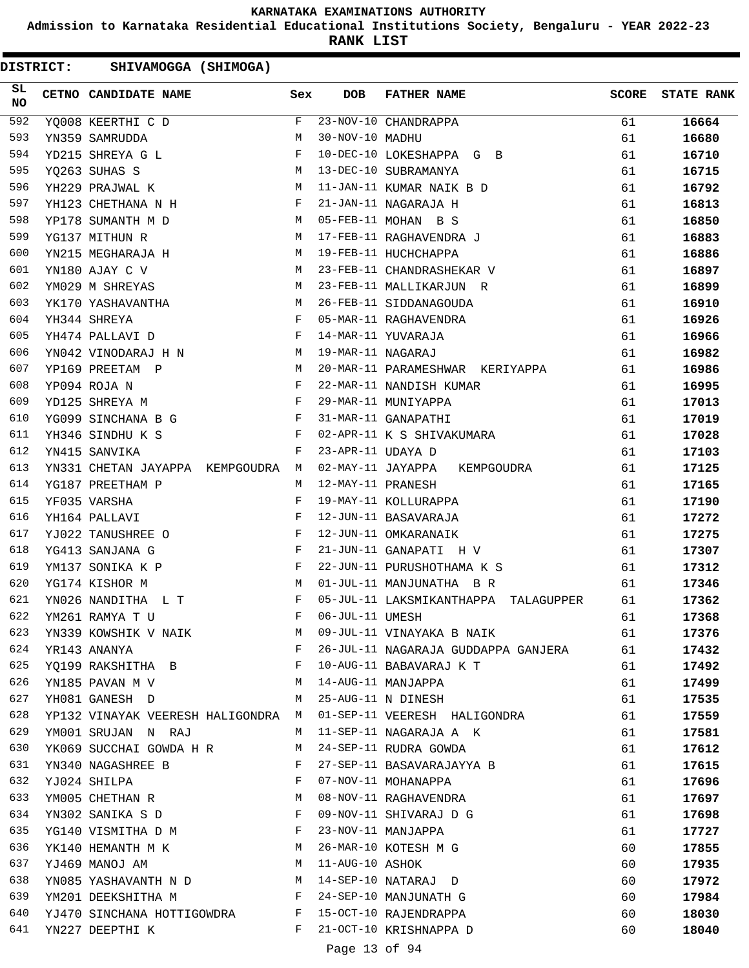**Admission to Karnataka Residential Educational Institutions Society, Bengaluru - YEAR 2022-23**

**RANK LIST**

DISTRICT: SHIVAMOGGA (SHIMOGA)

| SL<br><b>NO</b> | CETNO CANDIDATE NAME                                                                                                                 | Sex          | DOB               | <b>FATHER NAME</b>                   | <b>SCORE</b> | <b>STATE RANK</b> |
|-----------------|--------------------------------------------------------------------------------------------------------------------------------------|--------------|-------------------|--------------------------------------|--------------|-------------------|
| 592             | YQ008 KEERTHI C D                                                                                                                    | F            |                   | $23-NOV-10$ CHANDRAPPA               | 61           | 16664             |
| 593             | YN359 SAMRUDDA                                                                                                                       | M            | 30-NOV-10 MADHU   |                                      | 61           | 16680             |
| 594             | YD215 SHREYA G L                                                                                                                     | F            |                   | 10-DEC-10 LOKESHAPPA G B             | 61           | 16710             |
| 595             | YO263 SUHAS S                                                                                                                        | M            |                   | 13-DEC-10 SUBRAMANYA                 | 61           | 16715             |
| 596             | YH229 PRAJWAL K<br><b>M</b>                                                                                                          |              |                   | 11-JAN-11 KUMAR NAIK B D             | 61           | 16792             |
| 597             | YH123 CHETHANA N H                                                                                                                   | F            |                   | 21-JAN-11 NAGARAJA H                 | 61           | 16813             |
| 598             | YP178 SUMANTH M D                                                                                                                    | M            |                   | 05-FEB-11 MOHAN B S                  | 61           | 16850             |
| 599             | YG137 MITHUN R                                                                                                                       | М            |                   | 17-FEB-11 RAGHAVENDRA J              | 61           | 16883             |
| 600             | YN215 MEGHARAJA H                                                                                                                    | М            |                   | 19-FEB-11 HUCHCHAPPA                 | 61           | 16886             |
| 601             | YN180 AJAY C V                                                                                                                       | M            |                   | 23-FEB-11 CHANDRASHEKAR V            | 61           | 16897             |
| 602             | YM029 M SHREYAS                                                                                                                      | M            |                   | 23-FEB-11 MALLIKARJUN R              | 61           | 16899             |
| 603             | YK170 YASHAVANTHA                                                                                                                    | M            |                   | 26-FEB-11 SIDDANAGOUDA               | 61           | 16910             |
| 604             | YH344 SHREYA                                                                                                                         | F            |                   | 05-MAR-11 RAGHAVENDRA                | 61           | 16926             |
| 605             | YH474 PALLAVI D                                                                                                                      | $\mathbf{F}$ |                   | 14-MAR-11 YUVARAJA                   | 61           | 16966             |
| 606             | YN042 VINODARAJ H N                                                                                                                  | M            | 19-MAR-11 NAGARAJ |                                      | 61           | 16982             |
| 607             | YP169 PREETAM P                                                                                                                      | М            |                   | 20-MAR-11 PARAMESHWAR KERIYAPPA      | 61           | 16986             |
| 608             | YP094 ROJA N                                                                                                                         | F            |                   | 22-MAR-11 NANDISH KUMAR              | 61           | 16995             |
| 609             | and the state of the state of the Party of the State of the State of the State of the State of the State of the<br>YD125 SHREYA M    |              |                   | 29-MAR-11 MUNIYAPPA                  | 61           | 17013             |
| 610             | $\mathbf{F}$ and $\mathbf{F}$<br>YG099 SINCHANA B G                                                                                  |              |                   | 31-MAR-11 GANAPATHI                  | 61           | 17019             |
| 611             | YH346 SINDHU K S                                                                                                                     | F            |                   | 02-APR-11 K S SHIVAKUMARA            | 61           | 17028             |
| 612             | YN415 SANVIKA                                                                                                                        | F            | 23-APR-11 UDAYA D |                                      | 61           | 17103             |
| 613             | YN331 CHETAN JAYAPPA KEMPGOUDRA M                                                                                                    |              |                   | 02-MAY-11 JAYAPPA KEMPGOUDRA         | 61           | 17125             |
| 614             | YG187 PREETHAM P                                                                                                                     | М            | 12-MAY-11 PRANESH |                                      | 61           | 17165             |
| 615             | YF035 VARSHA                                                                                                                         | F            |                   | 19-MAY-11 KOLLURAPPA                 | 61           | 17190             |
| 616             | YH164 PALLAVI                                                                                                                        | F            |                   | 12-JUN-11 BASAVARAJA                 | 61           | 17272             |
| 617             | YJ022 TANUSHREE O<br>and the state of the state of the Party of the Party of the Party of the Party of the Party of the Party of the |              |                   | 12-JUN-11 OMKARANAIK                 | 61           | 17275             |
| 618             | YG413 SANJANA G                                                                                                                      | $\mathbf{F}$ |                   | 21-JUN-11 GANAPATI H V               | 61           | 17307             |
| 619             | YM137 SONIKA K P                                                                                                                     | F            |                   | 22-JUN-11 PURUSHOTHAMA K S           | 61           | 17312             |
| 620             | YG174 KISHOR M                                                                                                                       | M            |                   | 01-JUL-11 MANJUNATHA B R             | 61           | 17346             |
| 621             | YN026 NANDITHA L T                                                                                                                   | F            |                   | 05-JUL-11 LAKSMIKANTHAPPA TALAGUPPER | 61           | 17362             |
| 622             | YM261 RAMYA T U                                                                                                                      | $_{\rm F}$   | 06-JUL-11 UMESH   |                                      | 61           | 17368             |
| 623             | YN339 KOWSHIK V NAIK                                                                                                                 | M            |                   | 09-JUL-11 VINAYAKA B NAIK            | 61           | 17376             |
| 624             | YR143 ANANYA                                                                                                                         | F            |                   | 26-JUL-11 NAGARAJA GUDDAPPA GANJERA  | 61           | 17432             |
| 625             | YQ199 RAKSHITHA B F                                                                                                                  |              |                   | 10-AUG-11 BABAVARAJ K T              | 61           | 17492             |
| 626             | M<br>YN185 PAVAN M V                                                                                                                 |              |                   | 14-AUG-11 MANJAPPA                   | 61           | 17499             |
| 627             | YH081 GANESH D                                                                                                                       |              |                   | M 25-AUG-11 N DINESH                 | 61           | 17535             |
| 628             | YP132 VINAYAK VEERESH HALIGONDRA M                                                                                                   |              |                   | 01-SEP-11 VEERESH HALIGONDRA         | 61           | 17559             |
| 629             | YM001 SRUJAN N RAJ                                                                                                                   | M            |                   | 11-SEP-11 NAGARAJA A K               | 61           | 17581             |
| 630             | YK069 SUCCHAI GOWDA H R                                                                                                              | M            |                   | 24-SEP-11 RUDRA GOWDA                | 61           | 17612             |
| 631             | YN340 NAGASHREE B                                                                                                                    | F            |                   | 27-SEP-11 BASAVARAJAYYA B            | 61           | 17615             |
| 632             | YJ024 SHILPA                                                                                                                         | F            |                   | 07-NOV-11 MOHANAPPA                  | 61           | 17696             |
| 633             | YM005 CHETHAN R                                                                                                                      | М            |                   | 08-NOV-11 RAGHAVENDRA                | 61           | 17697             |
| 634             | YN302 SANIKA S D                                                                                                                     | $\mathbf{F}$ |                   | 09-NOV-11 SHIVARAJ D G               | 61           | 17698             |
| 635             | YG140 VISMITHA D M                                                                                                                   | F            |                   | 23-NOV-11 MANJAPPA                   | 61           | 17727             |
| 636             | YK140 HEMANTH M K M                                                                                                                  |              |                   | 26-MAR-10 KOTESH M G                 | 60           | 17855             |
| 637             | YJ469 MANOJ AM                                                                                                                       | M            | 11-AUG-10 ASHOK   |                                      | 60           | 17935             |
| 638             | YN085 YASHAVANTH N D M                                                                                                               |              |                   | 14-SEP-10 NATARAJ D                  | 60           | 17972             |
| 639             | YM201 DEEKSHITHA M                                                                                                                   | $\mathbf{F}$ |                   | 24-SEP-10 MANJUNATH G                | 60           | 17984             |
| 640             | YJ470 SINCHANA HOTTIGOWDRA F                                                                                                         |              |                   | 15-OCT-10 RAJENDRAPPA                | 60           | 18030             |
| 641             | YN227 DEEPTHI K                                                                                                                      | F            |                   | 21-OCT-10 KRISHNAPPA D               | 60           | 18040             |

Page 13 of 94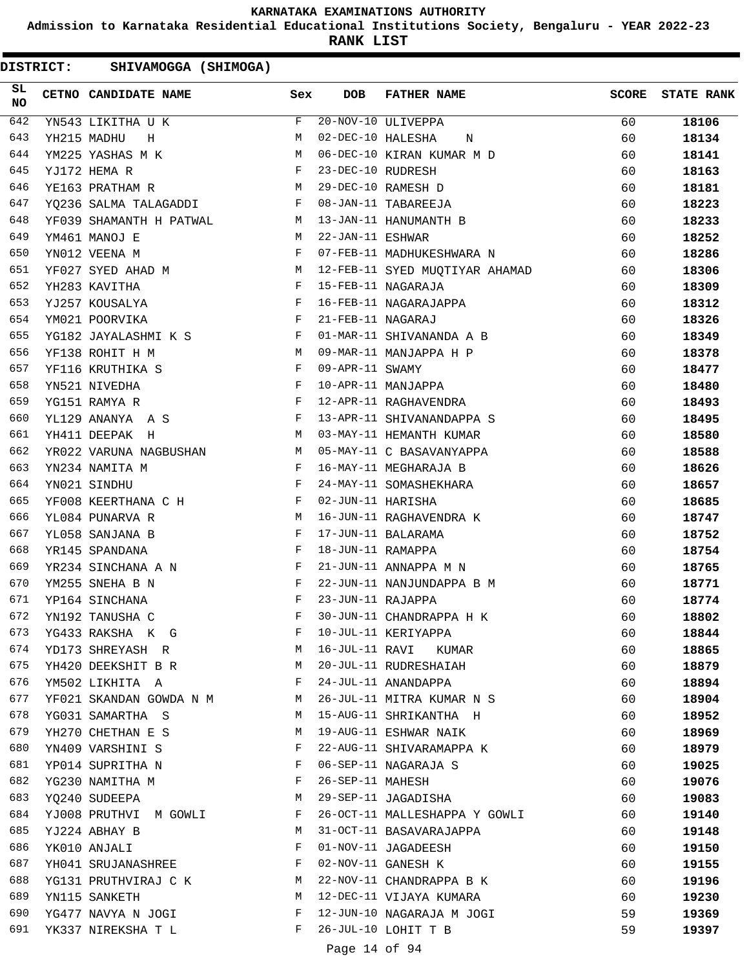**Admission to Karnataka Residential Educational Institutions Society, Bengaluru - YEAR 2022-23**

**RANK LIST**

| SL<br><b>NO</b> | <b>CETNO CANDIDATE NAME</b>                                        | Sex                                            | DOB               | <b>FATHER NAME</b>             | SCORE | <b>STATE RANK</b> |
|-----------------|--------------------------------------------------------------------|------------------------------------------------|-------------------|--------------------------------|-------|-------------------|
| 642             | YN543 LIKITHA U K                                                  | F                                              |                   | 20-NOV-10 ULIVEPPA             | 60    | 18106             |
| 643             | YH215 MADHU<br>H                                                   | M                                              | 02-DEC-10 HALESHA | N                              | 60    | 18134             |
| 644             | YM225 YASHAS M K                                                   | M                                              |                   | 06-DEC-10 KIRAN KUMAR M D      | 60    | 18141             |
| 645             | YJ172 HEMA R                                                       | $\mathbf{F}$                                   | 23-DEC-10 RUDRESH |                                | 60    | 18163             |
| 646             | YE163 PRATHAM R                                                    | M                                              |                   | 29-DEC-10 RAMESH D             | 60    | 18181             |
| 647             | YQ236 SALMA TALAGADDI F                                            |                                                |                   | 08-JAN-11 TABAREEJA            | 60    | 18223             |
| 648             | YF039 SHAMANTH H PATWAL M                                          |                                                |                   | 13-JAN-11 HANUMANTH B          | 60    | 18233             |
| 649             | YM461 MANOJ E                                                      | M                                              | 22-JAN-11 ESHWAR  |                                | 60    | 18252             |
| 650             | YN012 VEENA M                                                      | F                                              |                   | 07-FEB-11 MADHUKESHWARA N      | 60    | 18286             |
| 651             | YF027 SYED AHAD M<br>M <sub>N</sub>                                |                                                |                   | 12-FEB-11 SYED MUQTIYAR AHAMAD | 60    | 18306             |
| 652             | YH283 KAVITHA                                                      | F                                              |                   | 15-FEB-11 NAGARAJA             | 60    | 18309             |
| 653             | YJ257 KOUSALYA                                                     | <b>Example 20</b>                              |                   | 16-FEB-11 NAGARAJAPPA          | 60    | 18312             |
| 654             | YM021 POORVIKA                                                     | $\mathbf{F}$                                   | 21-FEB-11 NAGARAJ |                                | 60    | 18326             |
| 655             | YG182 JAYALASHMI K S F                                             |                                                |                   | 01-MAR-11 SHIVANANDA A B       | 60    | 18349             |
| 656             | YF138 ROHIT H M<br><b>M</b>                                        |                                                |                   | 09-MAR-11 MANJAPPA H P         | 60    | 18378             |
| 657             | YF116 KRUTHIKA S                                                   | $\mathbf{F}$                                   | 09-APR-11 SWAMY   |                                | 60    | 18477             |
| 658             | YN521 NIVEDHA                                                      | $\mathbf{F}$                                   |                   | 10-APR-11 MANJAPPA             | 60    | 18480             |
| 659             | YG151 RAMYA R                                                      | $\mathbf{F}$                                   |                   | 12-APR-11 RAGHAVENDRA          | 60    | 18493             |
| 660             | YL129 ANANYA A S<br>$\mathbf{F}$ and $\mathbf{F}$ and $\mathbf{F}$ |                                                |                   | 13-APR-11 SHIVANANDAPPA S      | 60    | 18495             |
| 661             | YH411 DEEPAK H                                                     | M                                              |                   | 03-MAY-11 HEMANTH KUMAR        | 60    | 18580             |
| 662             | YR022 VARUNA NAGBUSHAN M                                           |                                                |                   | 05-MAY-11 C BASAVANYAPPA       | 60    | 18588             |
| 663             | YN234 NAMITA M                                                     | $\mathbf{F}$ . The set of $\mathbf{F}$         |                   | 16-MAY-11 MEGHARAJA B          | 60    | 18626             |
| 664             | YN021 SINDHU                                                       | $\mathbf{F}$ and $\mathbf{F}$ and $\mathbf{F}$ |                   | 24-MAY-11 SOMASHEKHARA         | 60    | 18657             |
| 665             | YF008 KEERTHANA C H $$\rm F$$                                      |                                                | 02-JUN-11 HARISHA |                                | 60    | 18685             |
| 666             | YL084 PUNARVA R                                                    | M                                              |                   | 16-JUN-11 RAGHAVENDRA K        | 60    | 18747             |
| 667             | YL058 SANJANA B                                                    | F                                              |                   | 17-JUN-11 BALARAMA             | 60    | 18752             |
| 668             | YR145 SPANDANA                                                     | F                                              | 18-JUN-11 RAMAPPA |                                | 60    | 18754             |
| 669             | ${\tt YR234}$ SINCHANA A N $$\tt F$$                               |                                                |                   | 21-JUN-11 ANNAPPA M N          | 60    | 18765             |
| 670             | YM255 SNEHA B N                                                    | F                                              |                   | 22-JUN-11 NANJUNDAPPA B M      | 60    | 18771             |
| 671             | YP164 SINCHANA                                                     | F                                              | 23-JUN-11 RAJAPPA |                                | 60    | 18774             |
| 672             | YN192 TANUSHA C                                                    | F                                              |                   | 30-JUN-11 CHANDRAPPA H K       | 60    | 18802             |
| 673             | YG433 RAKSHA K G                                                   | F                                              |                   | 10-JUL-11 KERIYAPPA            | 60    | 18844             |
| 674             | YD173 SHREYASH R                                                   | M                                              |                   | 16-JUL-11 RAVI KUMAR           | 60    | 18865             |
| 675             | YH420 DEEKSHIT B R                                                 | M                                              |                   | 20-JUL-11 RUDRESHAIAH          | 60    | 18879             |
| 676             | YM502 LIKHITA A                                                    | F                                              |                   | 24-JUL-11 ANANDAPPA            | 60    | 18894             |
| 677             | YF021 SKANDAN GOWDA N M                                            | M                                              |                   | 26-JUL-11 MITRA KUMAR N S      | 60    | 18904             |
| 678             | YG031 SAMARTHA S                                                   | М                                              |                   | 15-AUG-11 SHRIKANTHA H         | 60    | 18952             |
| 679             | YH270 CHETHAN E S                                                  | M                                              |                   | 19-AUG-11 ESHWAR NAIK          | 60    | 18969             |
| 680             | YN409 VARSHINI S                                                   | F                                              |                   | 22-AUG-11 SHIVARAMAPPA K       | 60    | 18979             |
| 681             | YP014 SUPRITHA N                                                   | F                                              |                   | 06-SEP-11 NAGARAJA S           | 60    | 19025             |
| 682             | YG230 NAMITHA M                                                    | F                                              | 26-SEP-11 MAHESH  |                                | 60    | 19076             |
| 683             | YQ240 SUDEEPA                                                      | M                                              |                   | 29-SEP-11 JAGADISHA            | 60    | 19083             |
| 684             | YJ008 PRUTHVI M GOWLI                                              | F                                              |                   | 26-OCT-11 MALLESHAPPA Y GOWLI  | 60    | 19140             |
| 685             | YJ224 ABHAY B                                                      | М                                              |                   | 31-OCT-11 BASAVARAJAPPA        | 60    | 19148             |
| 686             | YK010 ANJALI                                                       | F                                              |                   | 01-NOV-11 JAGADEESH            | 60    | 19150             |
| 687             | YH041 SRUJANASHREE                                                 | F                                              |                   | 02-NOV-11 GANESH K             | 60    | 19155             |
| 688             | YG131 PRUTHVIRAJ C K                                               | M                                              |                   | 22-NOV-11 CHANDRAPPA B K       | 60    | 19196             |
| 689             | YN115 SANKETH                                                      | M                                              |                   | 12-DEC-11 VIJAYA KUMARA        | 60    | 19230             |
| 690             | YG477 NAVYA N JOGI                                                 | F                                              |                   | 12-JUN-10 NAGARAJA M JOGI      | 59    | 19369             |
| 691             | YK337 NIREKSHA T L                                                 | F                                              |                   | 26-JUL-10 LOHIT T B            | 59    | 19397             |
|                 |                                                                    |                                                |                   |                                |       |                   |
|                 |                                                                    |                                                | Page 14 of 94     |                                |       |                   |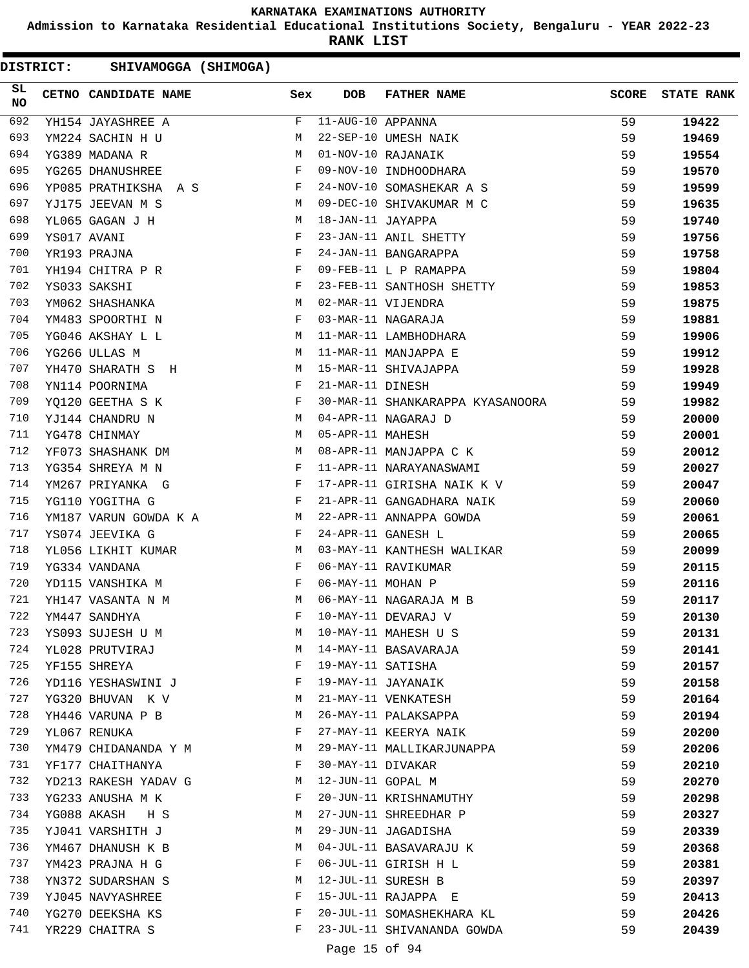**Admission to Karnataka Residential Educational Institutions Society, Bengaluru - YEAR 2022-23**

**RANK LIST**

| SL<br><b>NO</b> | CETNO CANDIDATE NAME  | Sex | <b>DOB</b>              | <b>FATHER NAME</b>               | <b>SCORE</b> | <b>STATE RANK</b> |
|-----------------|-----------------------|-----|-------------------------|----------------------------------|--------------|-------------------|
| 692             | YH154 JAYASHREE A     | F   | $11 - AUG - 10$ APPANNA |                                  | 59           | 19422             |
| 693             | YM224 SACHIN H U      | М   |                         | 22-SEP-10 UMESH NAIK             | 59           | 19469             |
| 694             | YG389 MADANA R        | М   |                         | 01-NOV-10 RAJANAIK               | 59           | 19554             |
| 695             | YG265 DHANUSHREE      | F   |                         | 09-NOV-10 INDHOODHARA            | 59           | 19570             |
| 696             | YP085 PRATHIKSHA A S  | F   |                         | 24-NOV-10 SOMASHEKAR A S         | 59           | 19599             |
| 697             | YJ175 JEEVAN M S      | М   |                         | 09-DEC-10 SHIVAKUMAR M C         | 59           | 19635             |
| 698             | YL065 GAGAN J H       | М   | 18-JAN-11 JAYAPPA       |                                  | 59           | 19740             |
| 699             | YS017 AVANI           | F   |                         | 23-JAN-11 ANIL SHETTY            | 59           | 19756             |
| 700             | YR193 PRAJNA          | F   |                         | 24-JAN-11 BANGARAPPA             | 59           | 19758             |
| 701             | YH194 CHITRA P R      | F   |                         | 09-FEB-11 L P RAMAPPA            | 59           | 19804             |
| 702             | YS033 SAKSHI          | F   |                         | 23-FEB-11 SANTHOSH SHETTY        | 59           | 19853             |
| 703             | YM062 SHASHANKA       | М   |                         | 02-MAR-11 VIJENDRA               | 59           | 19875             |
| 704             | YM483 SPOORTHI N      | F   |                         | 03-MAR-11 NAGARAJA               | 59           | 19881             |
| 705             | YG046 AKSHAY L L      | М   |                         | 11-MAR-11 LAMBHODHARA            | 59           | 19906             |
| 706             | YG266 ULLAS M         | М   |                         | 11-MAR-11 MANJAPPA E             | 59           | 19912             |
| 707             | YH470 SHARATH S H     | М   |                         | 15-MAR-11 SHIVAJAPPA             | 59           | 19928             |
| 708             | YN114 POORNIMA        | F   | 21-MAR-11 DINESH        |                                  | 59           | 19949             |
| 709             | YO120 GEETHA S K      | F   |                         | 30-MAR-11 SHANKARAPPA KYASANOORA | 59           | 19982             |
| 710             | YJ144 CHANDRU N       | М   |                         | 04-APR-11 NAGARAJ D              | 59           | 20000             |
| 711             | YG478 CHINMAY         | М   | 05-APR-11 MAHESH        |                                  | 59           | 20001             |
| 712             | YF073 SHASHANK DM     | М   |                         | 08-APR-11 MANJAPPA C K           | 59           | 20012             |
| 713             | YG354 SHREYA M N      | F   |                         | 11-APR-11 NARAYANASWAMI          | 59           | 20027             |
| 714             | YM267 PRIYANKA G      | F   |                         | 17-APR-11 GIRISHA NAIK K V       | 59           | 20047             |
| 715             | YG110 YOGITHA G       | F   |                         | 21-APR-11 GANGADHARA NAIK        | 59           | 20060             |
| 716             | YM187 VARUN GOWDA K A | M   |                         | 22-APR-11 ANNAPPA GOWDA          | 59           | 20061             |
| 717             | YS074 JEEVIKA G       | F   |                         | 24-APR-11 GANESH L               | 59           | 20065             |
| 718             | YL056 LIKHIT KUMAR    | M   |                         | 03-MAY-11 KANTHESH WALIKAR       | 59           | 20099             |
| 719             | YG334 VANDANA         | F   |                         | 06-MAY-11 RAVIKUMAR              | 59           | 20115             |
| 720             | YD115 VANSHIKA M      | F   | 06-MAY-11 MOHAN P       |                                  | 59           | 20116             |
| 721             | YH147 VASANTA N M     | М   |                         | 06-MAY-11 NAGARAJA M B           | 59           | 20117             |
| 722             | YM447 SANDHYA         | F   |                         | 10-MAY-11 DEVARAJ V              | 59           | 20130             |
| 723             | YS093 SUJESH U M      | М   |                         | 10-MAY-11 MAHESH U S             | 59           | 20131             |
| 724             | YL028 PRUTVIRAJ       | М   |                         | 14-MAY-11 BASAVARAJA             | 59           | 20141             |
| 725             | YF155 SHREYA          | F   | 19-MAY-11 SATISHA       |                                  | 59           | 20157             |
| 726             | YD116 YESHASWINI J    | F   |                         | 19-MAY-11 JAYANAIK               | 59           | 20158             |
| 727             | YG320 BHUVAN K V      | M   |                         | 21-MAY-11 VENKATESH              | 59           | 20164             |
| 728             | YH446 VARUNA P B      | М   |                         | 26-MAY-11 PALAKSAPPA             | 59           | 20194             |
| 729             | YL067 RENUKA          | F   |                         | 27-MAY-11 KEERYA NAIK            | 59           | 20200             |
| 730             | YM479 CHIDANANDA Y M  | М   |                         | 29-MAY-11 MALLIKARJUNAPPA        | 59           | 20206             |
| 731             | YF177 CHAITHANYA      | F   | 30-MAY-11 DIVAKAR       |                                  | 59           | 20210             |
| 732             | YD213 RAKESH YADAV G  | M   | 12-JUN-11 GOPAL M       |                                  | 59           | 20270             |
| 733             | YG233 ANUSHA M K      | F   |                         | 20-JUN-11 KRISHNAMUTHY           | 59           | 20298             |
| 734             | YG088 AKASH<br>H S    | M   |                         | 27-JUN-11 SHREEDHAR P            | 59           | 20327             |
| 735             | YJ041 VARSHITH J      | M   |                         | 29-JUN-11 JAGADISHA              | 59           | 20339             |
| 736             | YM467 DHANUSH K B     | M   |                         | 04-JUL-11 BASAVARAJU K           | 59           | 20368             |
| 737             | YM423 PRAJNA H G      | F   |                         | 06-JUL-11 GIRISH H L             | 59           | 20381             |
| 738             | YN372 SUDARSHAN S     | M   |                         | 12-JUL-11 SURESH B               | 59           | 20397             |
| 739             | YJ045 NAVYASHREE      | F   |                         | 15-JUL-11 RAJAPPA E              | 59           | 20413             |
| 740             | YG270 DEEKSHA KS      | F   |                         | 20-JUL-11 SOMASHEKHARA KL        | 59           | 20426             |
| 741             | YR229 CHAITRA S       | F   |                         | 23-JUL-11 SHIVANANDA GOWDA       | 59           | 20439             |
|                 |                       |     |                         |                                  |              |                   |
|                 |                       |     | Page 15 of 94           |                                  |              |                   |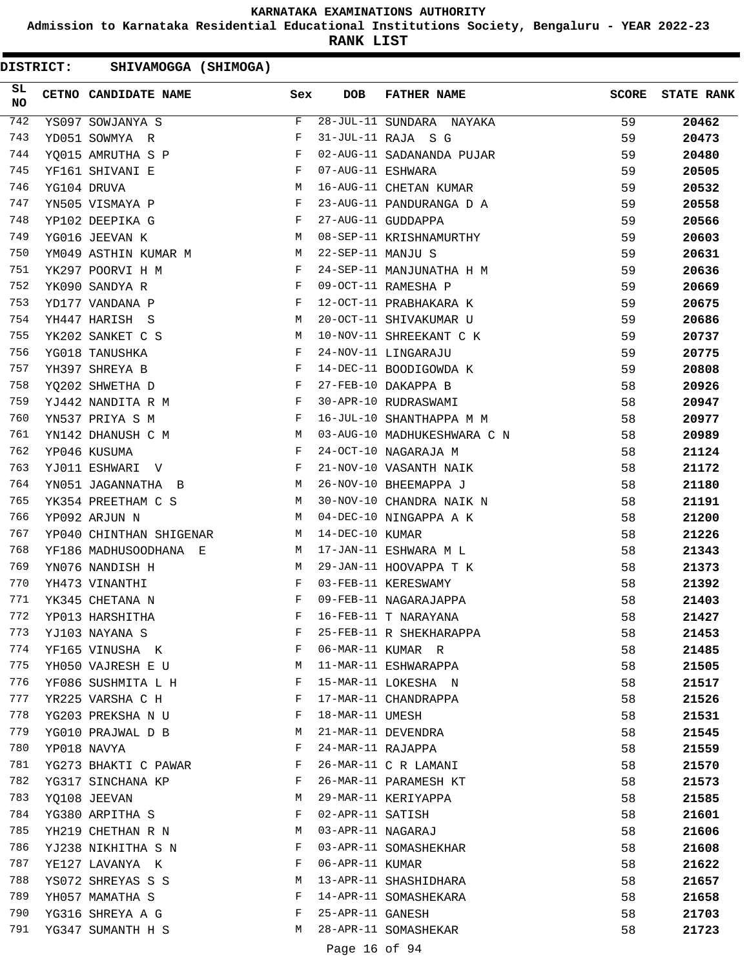**Admission to Karnataka Residential Educational Institutions Society, Bengaluru - YEAR 2022-23**

**RANK LIST**

DISTRICT: SHIVAMOGGA (SHIMOGA)

| SL<br><b>NO</b> | CETNO CANDIDATE NAME    | Sex          | <b>DOB</b>        | <b>FATHER NAME</b>          | <b>SCORE</b> | <b>STATE RANK</b> |
|-----------------|-------------------------|--------------|-------------------|-----------------------------|--------------|-------------------|
| 742             | YS097 SOWJANYA S        | F            |                   | 28-JUL-11 SUNDARA NAYAKA    | 59           | 20462             |
| 743             | YD051 SOWMYA R          | F            |                   | 31-JUL-11 RAJA S G          | 59           | 20473             |
| 744             | YQ015 AMRUTHA S P       | F            |                   | 02-AUG-11 SADANANDA PUJAR   | 59           | 20480             |
| 745             | YF161 SHIVANI E         | F            | 07-AUG-11 ESHWARA |                             | 59           | 20505             |
| 746             | YG104 DRUVA             | М            |                   | 16-AUG-11 CHETAN KUMAR      | 59           | 20532             |
| 747             | YN505 VISMAYA P         | F            |                   | 23-AUG-11 PANDURANGA D A    | 59           | 20558             |
| 748             | YP102 DEEPIKA G         | F            |                   | 27-AUG-11 GUDDAPPA          | 59           | 20566             |
| 749             | YG016 JEEVAN K          | M            |                   | 08-SEP-11 KRISHNAMURTHY     | 59           | 20603             |
| 750             | YM049 ASTHIN KUMAR M    |              | 22-SEP-11 MANJU S |                             | 59           | 20631             |
| 751             | YK297 POORVI H M        | F            |                   | 24-SEP-11 MANJUNATHA H M    | 59           | 20636             |
| 752             | YK090 SANDYA R          | F            |                   | 09-OCT-11 RAMESHA P         | 59           | 20669             |
| 753             | YD177 VANDANA P         | $_{\rm F}$   |                   | 12-OCT-11 PRABHAKARA K      | 59           | 20675             |
| 754             | YH447 HARISH S          | М            |                   | 20-OCT-11 SHIVAKUMAR U      | 59           | 20686             |
| 755             | YK202 SANKET C S        | M            |                   | 10-NOV-11 SHREEKANT C K     | 59           | 20737             |
| 756             | YG018 TANUSHKA          | F            |                   | 24-NOV-11 LINGARAJU         | 59           | 20775             |
| 757             | YH397 SHREYA B          | $\mathbf{F}$ |                   | 14-DEC-11 BOODIGOWDA K      | 59           | 20808             |
| 758             | YQ202 SHWETHA D         | F            |                   | 27-FEB-10 DAKAPPA B         | 58           | 20926             |
| 759             | YJ442 NANDITA R M       | F            |                   | 30-APR-10 RUDRASWAMI        | 58           | 20947             |
| 760             | YN537 PRIYA S M         | F            |                   | 16-JUL-10 SHANTHAPPA M M    | 58           | 20977             |
| 761             | YN142 DHANUSH C M       | M            |                   | 03-AUG-10 MADHUKESHWARA C N | 58           | 20989             |
| 762             | YP046 KUSUMA            | F            |                   | 24-OCT-10 NAGARAJA M        | 58           | 21124             |
| 763             | YJ011 ESHWARI V         | F            |                   | 21-NOV-10 VASANTH NAIK      | 58           | 21172             |
| 764             | YN051 JAGANNATHA B      | M            |                   | 26-NOV-10 BHEEMAPPA J       | 58           | 21180             |
| 765             | YK354 PREETHAM C S      | M            |                   | 30-NOV-10 CHANDRA NAIK N    | 58           | 21191             |
| 766             | YP092 ARJUN N           | M            |                   | 04-DEC-10 NINGAPPA A K      | 58           | 21200             |
| 767             | YP040 CHINTHAN SHIGENAR | М            | 14-DEC-10 KUMAR   |                             | 58           | 21226             |
| 768             | YF186 MADHUSOODHANA E   | M            |                   | 17-JAN-11 ESHWARA M L       | 58           | 21343             |
| 769             | YN076 NANDISH H         | M            |                   | 29-JAN-11 HOOVAPPA T K      | 58           | 21373             |
| 770             | YH473 VINANTHI          | F            |                   | 03-FEB-11 KERESWAMY         | 58           | 21392             |
| 771             | YK345 CHETANA N         | F            |                   | 09-FEB-11 NAGARAJAPPA       | 58           |                   |
| 772             | YP013 HARSHITHA         | F            |                   | 16-FEB-11 T NARAYANA        | 58           | 21403             |
|                 |                         | F            |                   |                             |              | 21427             |
| 773             | YJ103 NAYANA S          | F            |                   | 25-FEB-11 R SHEKHARAPPA     | 58           | 21453             |
| 774             | YF165 VINUSHA K         |              |                   | 06-MAR-11 KUMAR R           | 58           | 21485             |
| 775             | YH050 VAJRESH E U       | М            |                   | 11-MAR-11 ESHWARAPPA        | 58           | 21505             |
| 776             | YF086 SUSHMITA L H      | F            |                   | 15-MAR-11 LOKESHA N         | 58           | 21517             |
| 777             | YR225 VARSHA C H        | F            |                   | 17-MAR-11 CHANDRAPPA        | 58           | 21526             |
| 778             | YG203 PREKSHA N U       | F            | 18-MAR-11 UMESH   |                             | 58           | 21531             |
| 779             | YG010 PRAJWAL D B       | М            |                   | 21-MAR-11 DEVENDRA          | 58           | 21545             |
| 780             | YP018 NAVYA             | F            | 24-MAR-11 RAJAPPA |                             | 58           | 21559             |
| 781             | YG273 BHAKTI C PAWAR    | F            |                   | 26-MAR-11 C R LAMANI        | 58           | 21570             |
| 782             | YG317 SINCHANA KP       | F            |                   | 26-MAR-11 PARAMESH KT       | 58           | 21573             |
| 783             | YQ108 JEEVAN            | М            |                   | 29-MAR-11 KERIYAPPA         | 58           | 21585             |
| 784             | YG380 ARPITHA S         | F            | 02-APR-11 SATISH  |                             | 58           | 21601             |
| 785             | YH219 CHETHAN R N       | M            | 03-APR-11 NAGARAJ |                             | 58           | 21606             |
| 786             | YJ238 NIKHITHA S N      | F            |                   | 03-APR-11 SOMASHEKHAR       | 58           | 21608             |
| 787             | YE127 LAVANYA K         | F            | 06-APR-11 KUMAR   |                             | 58           | 21622             |
| 788             | YS072 SHREYAS S S       | М            |                   | 13-APR-11 SHASHIDHARA       | 58           | 21657             |
| 789             | YH057 MAMATHA S         | F            |                   | 14-APR-11 SOMASHEKARA       | 58           | 21658             |
| 790             | YG316 SHREYA A G        | F            | 25-APR-11 GANESH  |                             | 58           | 21703             |
| 791             | YG347 SUMANTH H S       | М            |                   | 28-APR-11 SOMASHEKAR        | 58           | 21723             |
|                 |                         |              |                   | 7 <sup>2</sup>              |              |                   |

Page 16 of 94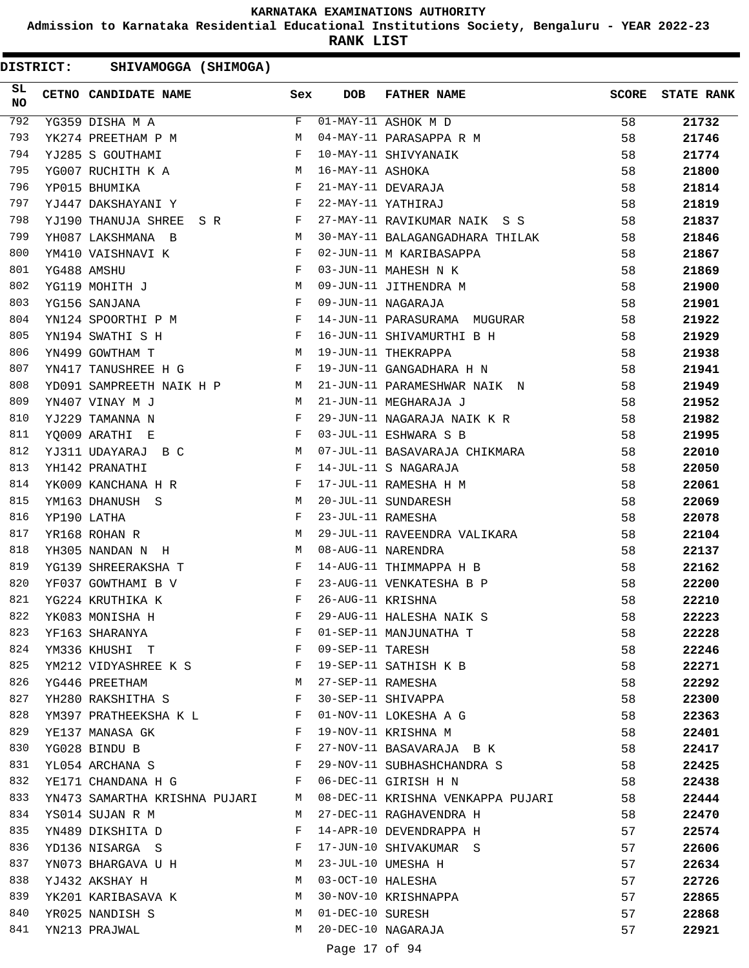**Admission to Karnataka Residential Educational Institutions Society, Bengaluru - YEAR 2022-23**

**RANK LIST**

DISTRICT: SHIVAMOGGA (SHIMOGA)

| SL<br>NO | CETNO CANDIDATE NAME                                                                | Sex | <b>DOB</b>        | <b>FATHER NAME</b>                           | <b>SCORE</b> | <b>STATE RANK</b> |
|----------|-------------------------------------------------------------------------------------|-----|-------------------|----------------------------------------------|--------------|-------------------|
| 792      | YG359 DISHA M A                                                                     | F   |                   | $\overline{01}$ -MAY-11 ASHOK M D            | 58           | 21732             |
| 793      | YK274 PREETHAM P M                                                                  | M   |                   | 04-MAY-11 PARASAPPA R M                      | 58           | 21746             |
| 794      | YJ285 S GOUTHAMI                                                                    | F   |                   | 10-MAY-11 SHIVYANAIK                         | 58           | 21774             |
| 795      | YG007 RUCHITH K A M<br>YP015 BHUMIKA F                                              |     | 16-MAY-11 ASHOKA  |                                              | 58           | 21800             |
| 796      |                                                                                     |     |                   | 21-MAY-11 DEVARAJA                           | 58           | 21814             |
| 797      | $\mathbf{F}$ and the state of the state $\mathbf{F}$<br>YJ447 DAKSHAYANI Y          |     |                   | 22-MAY-11 YATHIRAJ                           | 58           | 21819             |
| 798      | YJ190 THANUJA SHREE S R F                                                           |     |                   | 27-MAY-11 RAVIKUMAR NAIK S S                 | 58           | 21837             |
| 799      | YH087 LAKSHMANA B                                                                   | M   |                   | 30-MAY-11 BALAGANGADHARA THILAK              | 58           | 21846             |
| 800      | YM410 VAISHNAVI K                                                                   | F   |                   | 02-JUN-11 M KARIBASAPPA                      | 58           | 21867             |
| 801      | YG488 AMSHU                                                                         | F   |                   | 03-JUN-11 MAHESH N K                         | 58           | 21869             |
| 802      | YG119 MOHITH J                                                                      | M   |                   | 09-JUN-11 JITHENDRA M                        | 58           | 21900             |
| 803      | YG156 SANJANA                                                                       | F   |                   | 09-JUN-11 NAGARAJA                           | 58           | 21901             |
| 804      | YN124 SPOORTHI P M F                                                                |     |                   | 14-JUN-11 PARASURAMA MUGURAR                 | 58           | 21922             |
| 805      | $\mathbf{F}$ and $\mathbf{F}$ and $\mathbf{F}$ and $\mathbf{F}$<br>YN194 SWATHI S H |     |                   | 16-JUN-11 SHIVAMURTHI B H                    | 58           | 21929             |
| 806      | M<br>YN499 GOWTHAM T                                                                |     |                   | 19-JUN-11 THEKRAPPA                          | 58           | 21938             |
| 807      | YN417 TANUSHREE H G                                                                 | F   |                   | 19-JUN-11 GANGADHARA H N                     | 58           | 21941             |
| 808      | YD091 SAMPREETH NAIK H P M                                                          |     |                   | 21-JUN-11 PARAMESHWAR NAIK N                 | 58           | 21949             |
| 809      | YN407 VINAY M J<br><b>N</b>                                                         |     |                   | 21-JUN-11 MEGHARAJA J                        | 58           | 21952             |
| 810      | $\mathbf{F}$<br>YJ229 TAMANNA N                                                     |     |                   | 29-JUN-11 NAGARAJA NAIK K R                  | 58           | 21982             |
| 811      | YQ009 ARATHI E                                                                      | F   |                   | 03-JUL-11 ESHWARA S B                        | 58           | 21995             |
| 812      | YJ311 UDAYARAJ B C                                                                  | M   |                   | 07-JUL-11 BASAVARAJA CHIKMARA                | 58           | 22010             |
| 813      | YH142 PRANATHI                                                                      | F   |                   | 14-JUL-11 S NAGARAJA                         | 58           | 22050             |
| 814      | $\mathbf{F}$<br>YK009 KANCHANA H R                                                  |     |                   |                                              | 58           | 22061             |
| 815      | YM163 DHANUSH S                                                                     | M   |                   | 17-JUL-11 RAMESHA H M<br>20-JUL-11 SUNDARESH | 58           | 22069             |
| 816      | YP190 LATHA                                                                         | F   | 23-JUL-11 RAMESHA |                                              | 58           | 22078             |
| 817      | YR168 ROHAN R                                                                       | M   |                   | 29-JUL-11 RAVEENDRA VALIKARA                 | 58           | 22104             |
| 818      | YH305 NANDAN N H                                                                    | M   |                   | 08-AUG-11 NARENDRA                           | 58           | 22137             |
| 819      | YG139 SHREERAKSHA T                                                                 | F   |                   | 14-AUG-11 THIMMAPPA H B                      | 58           | 22162             |
| 820      | YF037 GOWTHAMI B V                                                                  | F   |                   | 23-AUG-11 VENKATESHA B P                     | 58           | 22200             |
| 821      | YG224 KRUTHIKA K                                                                    | F   | 26-AUG-11 KRISHNA |                                              | 58           | 22210             |
| 822      | YK083 MONISHA H                                                                     | F   |                   | 29-AUG-11 HALESHA NAIK S                     | 58           | 22223             |
| 823      | YF163 SHARANYA                                                                      | F   |                   | 01-SEP-11 MANJUNATHA T                       | 58           | 22228             |
| 824      | YM336 KHUSHI T                                                                      | F   | 09-SEP-11 TARESH  |                                              | 58           | 22246             |
| 825      |                                                                                     | F   |                   | 19-SEP-11 SATHISH K B                        | 58           | 22271             |
| 826      | YM212 VIDYASHREE K S<br>YG446 PREETHAM                                              | M   | 27-SEP-11 RAMESHA |                                              | 58           | 22292             |
| 827      |                                                                                     | F   |                   | 30-SEP-11 SHIVAPPA                           |              |                   |
| 828      | YH280 RAKSHITHA S                                                                   | F   |                   | 01-NOV-11 LOKESHA A G                        | 58           | 22300             |
| 829      | YM397 PRATHEEKSHA K L                                                               | F   |                   |                                              | 58           | 22363             |
|          | YE137 MANASA GK                                                                     | F   |                   | 19-NOV-11 KRISHNA M                          | 58           | 22401             |
| 830      | YG028 BINDU B                                                                       |     |                   | 27-NOV-11 BASAVARAJA B K                     | 58           | 22417             |
| 831      | YL054 ARCHANA S                                                                     | F   |                   | 29-NOV-11 SUBHASHCHANDRA S                   | 58           | 22425             |
| 832      | YE171 CHANDANA H G                                                                  | F   |                   | 06-DEC-11 GIRISH H N                         | 58           | 22438             |
| 833      | YN473 SAMARTHA KRISHNA PUJARI                                                       | M   |                   | 08-DEC-11 KRISHNA VENKAPPA PUJARI            | 58           | 22444             |
| 834      | YS014 SUJAN R M                                                                     | M   |                   | 27-DEC-11 RAGHAVENDRA H                      | 58           | 22470             |
| 835      | YN489 DIKSHITA D                                                                    | F   |                   | 14-APR-10 DEVENDRAPPA H                      | 57           | 22574             |
| 836      | YD136 NISARGA S                                                                     | F   |                   | 17-JUN-10 SHIVAKUMAR S                       | 57           | 22606             |
| 837      | YN073 BHARGAVA U H                                                                  | M   |                   | 23-JUL-10 UMESHA H                           | 57           | 22634             |
| 838      | YJ432 AKSHAY H                                                                      | М   | 03-OCT-10 HALESHA |                                              | 57           | 22726             |
| 839      | YK201 KARIBASAVA K                                                                  | М   |                   | 30-NOV-10 KRISHNAPPA                         | 57           | 22865             |
| 840      | YR025 NANDISH S                                                                     | M   | 01-DEC-10 SURESH  |                                              | 57           | 22868             |
| 841      | YN213 PRAJWAL                                                                       | M   |                   | 20-DEC-10 NAGARAJA                           | 57           | 22921             |
|          |                                                                                     |     |                   |                                              |              |                   |

Page 17 of 94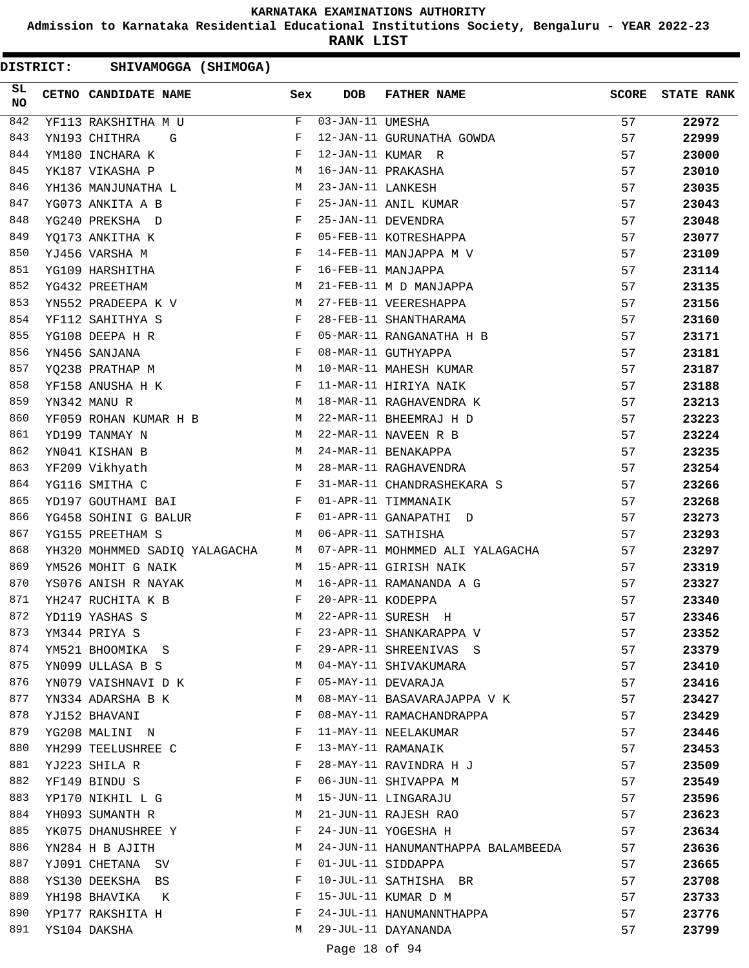**Admission to Karnataka Residential Educational Institutions Society, Bengaluru - YEAR 2022-23**

**RANK LIST**

|                 | <b>DISTRICT:</b> | SHIVAMOGGA (SHIMOGA)          |              |                   |                                    |              |                   |
|-----------------|------------------|-------------------------------|--------------|-------------------|------------------------------------|--------------|-------------------|
| SL<br><b>NO</b> |                  | CETNO CANDIDATE NAME          | Sex          | <b>DOB</b>        | <b>FATHER NAME</b>                 | <b>SCORE</b> | <b>STATE RANK</b> |
| 842             |                  | YF113 RAKSHITHA M U           | F            | 03-JAN-11 UMESHA  |                                    | 57           | 22972             |
| 843             |                  | YN193 CHITHRA<br>G            | F            |                   | 12-JAN-11 GURUNATHA GOWDA          | 57           | 22999             |
| 844             |                  | YM180 INCHARA K               | F            |                   | 12-JAN-11 KUMAR R                  | 57           | 23000             |
| 845             |                  | YK187 VIKASHA P               | M            |                   | 16-JAN-11 PRAKASHA                 | 57           | 23010             |
| 846             |                  | YH136 MANJUNATHA L            | M            | 23-JAN-11 LANKESH |                                    | 57           | 23035             |
| 847             |                  | YG073 ANKITA A B              | F            |                   | 25-JAN-11 ANIL KUMAR               | 57           | 23043             |
| 848             |                  | YG240 PREKSHA D               | F            |                   | 25-JAN-11 DEVENDRA                 | 57           | 23048             |
| 849             |                  | YQ173 ANKITHA K               | F            |                   | 05-FEB-11 KOTRESHAPPA              | 57           | 23077             |
| 850             |                  | YJ456 VARSHA M                | F            |                   | 14-FEB-11 MANJAPPA M V             | 57           | 23109             |
| 851             |                  | YG109 HARSHITHA               | F            |                   | 16-FEB-11 MANJAPPA                 | 57           | 23114             |
| 852             |                  | YG432 PREETHAM                | М            |                   | 21-FEB-11 M D MANJAPPA             | 57           | 23135             |
| 853             |                  | YN552 PRADEEPA K V            | М            |                   | 27-FEB-11 VEERESHAPPA              | 57           | 23156             |
| 854             |                  | YF112 SAHITHYA S              | F            |                   | 28-FEB-11 SHANTHARAMA              | 57           | 23160             |
| 855             |                  | YG108 DEEPA H R               | F            |                   | 05-MAR-11 RANGANATHA H B           | 57           | 23171             |
| 856             |                  | YN456 SANJANA                 | F            |                   | 08-MAR-11 GUTHYAPPA                | 57           | 23181             |
| 857             |                  | YQ238 PRATHAP M               | М            |                   | 10-MAR-11 MAHESH KUMAR             | 57           | 23187             |
| 858             |                  | YF158 ANUSHA H K              | F            |                   | 11-MAR-11 HIRIYA NAIK              | 57           | 23188             |
| 859             |                  | YN342 MANU R                  | M            |                   | 18-MAR-11 RAGHAVENDRA K            | 57           | 23213             |
| 860             |                  | YF059 ROHAN KUMAR H B         | M            |                   | 22-MAR-11 BHEEMRAJ H D             | 57           | 23223             |
| 861             |                  | YD199 TANMAY N                | М            |                   | 22-MAR-11 NAVEEN R B               | 57           | 23224             |
| 862             |                  | YN041 KISHAN B                | М            |                   | 24-MAR-11 BENAKAPPA                | 57           | 23235             |
| 863             |                  | YF209 Vikhyath                | M            |                   | 28-MAR-11 RAGHAVENDRA              | 57           | 23254             |
| 864             |                  | YG116 SMITHA C                | F            |                   | 31-MAR-11 CHANDRASHEKARA S         | 57           | 23266             |
| 865             |                  | YD197 GOUTHAMI BAI            | $\mathbf{F}$ |                   | 01-APR-11 TIMMANAIK                | 57           | 23268             |
| 866             |                  | YG458 SOHINI G BALUR          | F            |                   | 01-APR-11 GANAPATHI D              | 57           | 23273             |
| 867             |                  | YG155 PREETHAM S              | M            |                   | 06-APR-11 SATHISHA                 | 57           | 23293             |
| 868             |                  | YH320 MOHMMED SADIQ YALAGACHA | M            |                   | 07-APR-11 MOHMMED ALI YALAGACHA    | 57           | 23297             |
| 869             |                  | YM526 MOHIT G NAIK            | M            |                   | 15-APR-11 GIRISH NAIK              | 57           | 23319             |
| 870             |                  | YS076 ANISH R NAYAK           | М            |                   | 16-APR-11 RAMANANDA A G            | 57           | 23327             |
| 871             |                  | YH247 RUCHITA K B             | F            | 20-APR-11 KODEPPA |                                    | 57           | 23340             |
| 872             |                  | YD119 YASHAS S                | М            |                   | 22-APR-11 SURESH H                 | 57           | 23346             |
| 873             |                  | YM344 PRIYA S                 | F            |                   | 23-APR-11 SHANKARAPPA V            | 57           | 23352             |
| 874             |                  | YM521 BHOOMIKA S              | F            |                   | 29-APR-11 SHREENIVAS S             | 57           | 23379             |
| 875             |                  | YN099 ULLASA B S              | М            |                   | 04-MAY-11 SHIVAKUMARA              | 57           | 23410             |
| 876             |                  | YN079 VAISHNAVI D K           | F            |                   | 05-MAY-11 DEVARAJA                 | 57           | 23416             |
| 877             |                  | YN334 ADARSHA B K             | М            |                   | 08-MAY-11 BASAVARAJAPPA V K        | 57           | 23427             |
| 878             |                  | YJ152 BHAVANI                 | F            |                   | 08-MAY-11 RAMACHANDRAPPA           | 57           | 23429             |
| 879             |                  | YG208 MALINI N                | F            |                   | 11-MAY-11 NEELAKUMAR               | 57           | 23446             |
| 880             |                  | YH299 TEELUSHREE C            | F            |                   | 13-MAY-11 RAMANAIK                 | 57           | 23453             |
| 881             |                  | YJ223 SHILA R                 | F            |                   | 28-MAY-11 RAVINDRA H J             | 57           | 23509             |
| 882             |                  | YF149 BINDU S                 | F            |                   | 06-JUN-11 SHIVAPPA M               | 57           | 23549             |
| 883             |                  | YP170 NIKHIL L G              | M            |                   | 15-JUN-11 LINGARAJU                | 57           | 23596             |
| 884             |                  | YH093 SUMANTH R               | M            |                   | 21-JUN-11 RAJESH RAO               | 57           | 23623             |
| 885             |                  | YK075 DHANUSHREE Y            | F            |                   | 24-JUN-11 YOGESHA H                | 57           | 23634             |
| 886             |                  | YN284 H B AJITH               | M            |                   | 24-JUN-11 HANUMANTHAPPA BALAMBEEDA | 57           | 23636             |
| 887             |                  | YJ091 CHETANA SV              | F            |                   | 01-JUL-11 SIDDAPPA                 | 57           | 23665             |
| 888             |                  | YS130 DEEKSHA BS              | F            |                   | 10-JUL-11 SATHISHA BR              | 57           | 23708             |
| 889             |                  | YH198 BHAVIKA<br>K            | F            |                   | 15-JUL-11 KUMAR D M                | 57           | 23733             |
| 890             |                  | YP177 RAKSHITA H              | F            |                   | 24-JUL-11 HANUMANNTHAPPA           | 57           | 23776             |
| 891             |                  | YS104 DAKSHA                  | M            |                   | 29-JUL-11 DAYANANDA                | 57           | 23799             |
|                 |                  |                               |              | Page 18 of 94     |                                    |              |                   |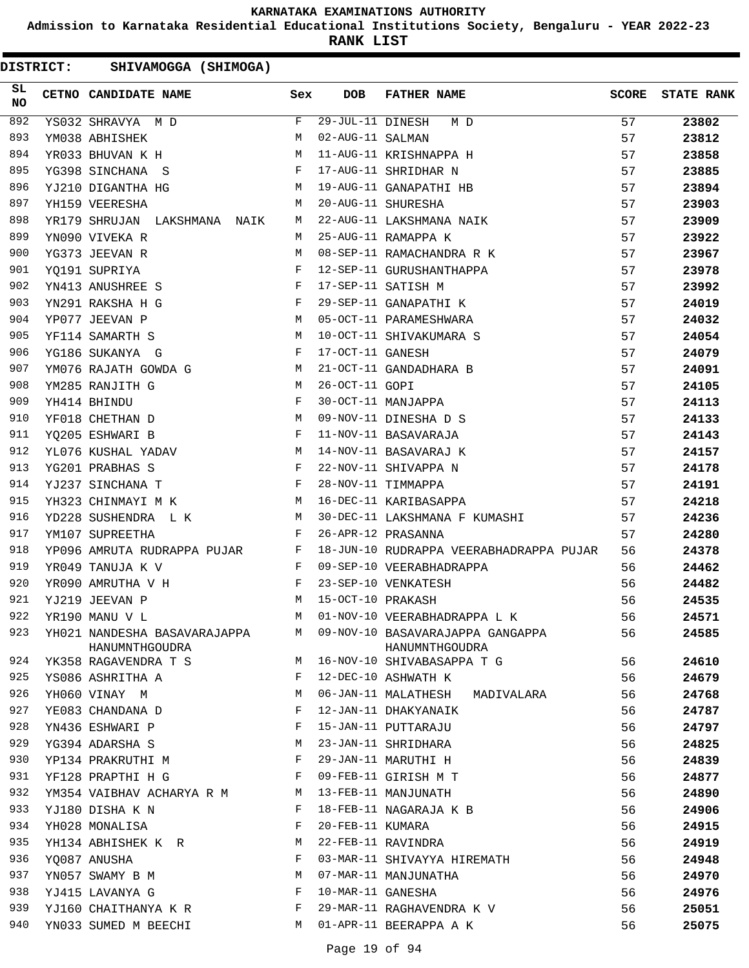**Admission to Karnataka Residential Educational Institutions Society, Bengaluru - YEAR 2022-23**

**RANK LIST**

|                 | <b>DISTRICT:</b> | SHIVAMOGGA (SHIMOGA)                           |              |                   |                                                      |              |                   |
|-----------------|------------------|------------------------------------------------|--------------|-------------------|------------------------------------------------------|--------------|-------------------|
| SL<br><b>NO</b> |                  | CETNO CANDIDATE NAME                           | Sex          | <b>DOB</b>        | <b>FATHER NAME</b>                                   | <b>SCORE</b> | <b>STATE RANK</b> |
| 892             |                  | YS032 SHRAVYA M D                              | F            | 29-JUL-11 DINESH  | M D                                                  | 57           | 23802             |
| 893             |                  | YM038 ABHISHEK                                 | M            | 02-AUG-11 SALMAN  |                                                      | 57           | 23812             |
| 894             |                  | YR033 BHUVAN K H                               | M            |                   | 11-AUG-11 KRISHNAPPA H                               | 57           | 23858             |
| 895             |                  | YG398 SINCHANA S                               | F            |                   | 17-AUG-11 SHRIDHAR N                                 | 57           | 23885             |
| 896             |                  | YJ210 DIGANTHA HG                              | M            |                   | 19-AUG-11 GANAPATHI HB                               | 57           | 23894             |
| 897             |                  | YH159 VEERESHA                                 | M            |                   | 20-AUG-11 SHURESHA                                   | 57           | 23903             |
| 898             |                  | YR179 SHRUJAN LAKSHMANA NAIK                   | М            |                   | 22-AUG-11 LAKSHMANA NAIK                             | 57           | 23909             |
| 899             |                  | YN090 VIVEKA R                                 | M            |                   | 25-AUG-11 RAMAPPA K                                  | 57           | 23922             |
| 900             |                  | YG373 JEEVAN R                                 | M            |                   | 08-SEP-11 RAMACHANDRA R K                            | 57           | 23967             |
| 901             |                  | YQ191 SUPRIYA                                  | F            |                   | 12-SEP-11 GURUSHANTHAPPA                             | 57           | 23978             |
| 902             |                  | YN413 ANUSHREE S                               | F            |                   | 17-SEP-11 SATISH M                                   | 57           | 23992             |
| 903             |                  | YN291 RAKSHA H G                               | F            |                   | 29-SEP-11 GANAPATHI K                                | 57           | 24019             |
| 904             |                  | YP077 JEEVAN P                                 | M            |                   | 05-OCT-11 PARAMESHWARA                               | 57           | 24032             |
| 905             |                  | YF114 SAMARTH S                                | M            |                   | 10-OCT-11 SHIVAKUMARA S                              | 57           | 24054             |
| 906             |                  | YG186 SUKANYA G                                | F            | 17-OCT-11 GANESH  |                                                      | 57           | 24079             |
| 907             |                  | YM076 RAJATH GOWDA G                           | M            |                   | 21-OCT-11 GANDADHARA B                               | 57           | 24091             |
| 908             |                  | YM285 RANJITH G                                | M            | 26-OCT-11 GOPI    |                                                      | 57           | 24105             |
| 909             |                  | YH414 BHINDU                                   | F            |                   | 30-OCT-11 MANJAPPA                                   | 57           | 24113             |
| 910             |                  | YF018 CHETHAN D                                | M            |                   | 09-NOV-11 DINESHA D S                                | 57           | 24133             |
| 911             |                  | YQ205 ESHWARI B                                | F            |                   | 11-NOV-11 BASAVARAJA                                 | 57           | 24143             |
| 912             |                  | YL076 KUSHAL YADAV                             | M            |                   | 14-NOV-11 BASAVARAJ K                                | 57           | 24157             |
| 913             |                  | YG201 PRABHAS S                                | F            |                   | 22-NOV-11 SHIVAPPA N                                 | 57           | 24178             |
| 914             |                  | YJ237 SINCHANA T                               | F            |                   | 28-NOV-11 TIMMAPPA                                   | 57           | 24191             |
| 915             |                  | YH323 CHINMAYI M K                             | M            |                   | 16-DEC-11 KARIBASAPPA                                | 57           | 24218             |
| 916             |                  | YD228 SUSHENDRA L K                            | М            |                   | 30-DEC-11 LAKSHMANA F KUMASHI                        | 57           | 24236             |
| 917             |                  | YM107 SUPREETHA                                | F            |                   | 26-APR-12 PRASANNA                                   | 57           | 24280             |
| 918             |                  | YP096 AMRUTA RUDRAPPA PUJAR                    | $\mathbf{F}$ |                   | 18-JUN-10 RUDRAPPA VEERABHADRAPPA PUJAR              | 56           | 24378             |
| 919             |                  | YR049 TANUJA K V                               | F            |                   | 09-SEP-10 VEERABHADRAPPA                             | 56           | 24462             |
| 920             |                  | YR090 AMRUTHA V H                              | F            |                   | 23-SEP-10 VENKATESH                                  | 56           | 24482             |
| 921             |                  | YJ219 JEEVAN P                                 | M            | 15-OCT-10 PRAKASH |                                                      | 56           | 24535             |
| 922             |                  | YR190 MANU V L                                 | M            |                   | 01-NOV-10 VEERABHADRAPPA L K                         | 56           | 24571             |
| 923             |                  | YH021 NANDESHA BASAVARAJAPPA<br>HANUMNTHGOUDRA |              |                   | M 09-NOV-10 BASAVARAJAPPA GANGAPPA<br>HANUMNTHGOUDRA | 56           | 24585             |
| 924             |                  | YK358 RAGAVENDRA T S                           | M            |                   | 16-NOV-10 SHIVABASAPPA T G                           | 56           | 24610             |
| 925             |                  | YS086 ASHRITHA A                               | F            |                   | 12-DEC-10 ASHWATH K                                  | 56           | 24679             |
| 926             |                  | YH060 VINAY M                                  | M            |                   | 06-JAN-11 MALATHESH<br>MADIVALARA                    | 56           | 24768             |
| 927             |                  | YE083 CHANDANA D                               | F            |                   | 12-JAN-11 DHAKYANAIK                                 | 56           | 24787             |
| 928             |                  | YN436 ESHWARI P                                | F            |                   | 15-JAN-11 PUTTARAJU                                  | 56           | 24797             |
| 929             |                  | YG394 ADARSHA S                                | M            |                   | 23-JAN-11 SHRIDHARA                                  | 56           | 24825             |
| 930             |                  | YP134 PRAKRUTHI M                              | F            |                   | 29-JAN-11 MARUTHI H                                  | 56           | 24839             |
| 931             |                  | YF128 PRAPTHI H G                              | F            |                   | 09-FEB-11 GIRISH M T                                 | 56           | 24877             |
| 932             |                  | YM354 VAIBHAV ACHARYA R M                      | M            |                   | 13-FEB-11 MANJUNATH                                  | 56           | 24890             |
| 933             |                  | YJ180 DISHA K N                                | F            |                   | 18-FEB-11 NAGARAJA K B                               | 56           | 24906             |
| 934             |                  | YH028 MONALISA                                 | F            | 20-FEB-11 KUMARA  |                                                      | 56           | 24915             |
| 935             |                  | YH134 ABHISHEK K R                             | М            |                   | 22-FEB-11 RAVINDRA                                   | 56           | 24919             |
| 936             |                  | YQ087 ANUSHA                                   | F            |                   | 03-MAR-11 SHIVAYYA HIREMATH                          | 56           | 24948             |
| 937             |                  | YN057 SWAMY B M                                | М            |                   | 07-MAR-11 MANJUNATHA                                 | 56           | 24970             |
| 938             |                  | YJ415 LAVANYA G                                | F            | 10-MAR-11 GANESHA |                                                      | 56           | 24976             |
| 939             |                  | YJ160 CHAITHANYA K R                           | F            |                   | 29-MAR-11 RAGHAVENDRA K V                            | 56           | 25051             |
| 940             |                  | YN033 SUMED M BEECHI                           | M            |                   | 01-APR-11 BEERAPPA A K                               | 56           | 25075             |
|                 |                  |                                                |              |                   |                                                      |              |                   |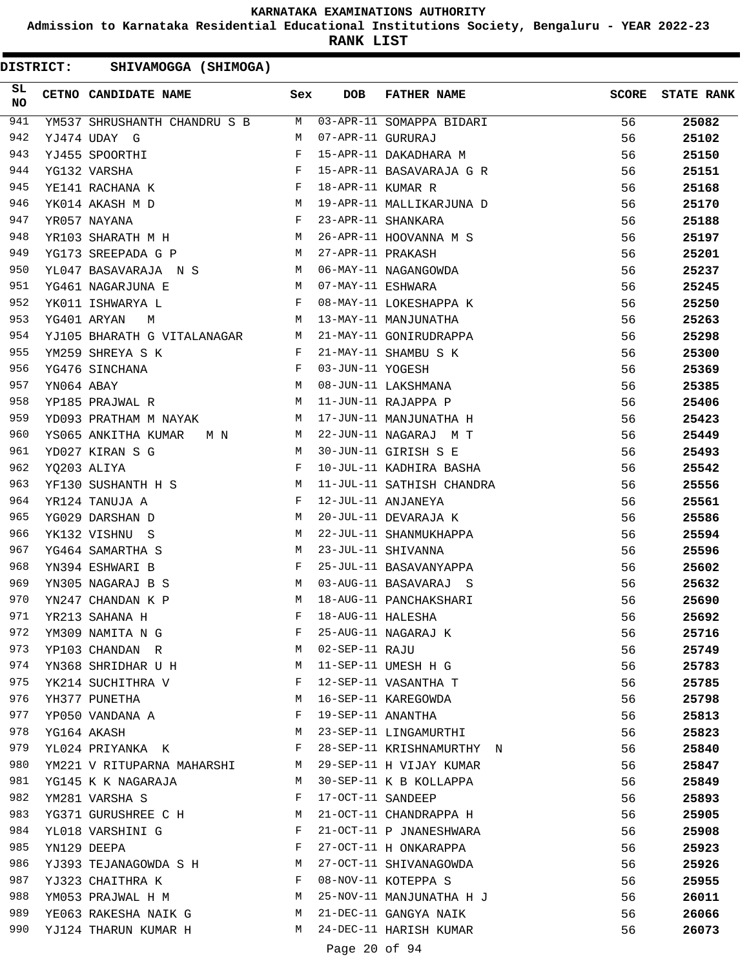**Admission to Karnataka Residential Educational Institutions Society, Bengaluru - YEAR 2022-23**

**RANK LIST**

DISTRICT: SHIVAMOGGA (SHIMOGA)

| SL<br><b>NO</b> |            | CETNO CANDIDATE NAME                                                  | Sex          | DOB               | FATHER NAME                                       | <b>SCORE</b> | <b>STATE RANK</b> |
|-----------------|------------|-----------------------------------------------------------------------|--------------|-------------------|---------------------------------------------------|--------------|-------------------|
| 941             |            | YM537 SHRUSHANTH CHANDRU S B                                          |              |                   | M 03-APR-11 SOMAPPA BIDARI                        | 56           | 25082             |
| 942             |            | YJ474 UDAY G                                                          | M            | 07-APR-11 GURURAJ |                                                   | 56           | 25102             |
| 943             |            | YJ455 SPOORTHI                                                        | F            |                   | 15-APR-11 DAKADHARA M                             | 56           | 25150             |
| 944             |            | YG132 VARSHA                                                          | F            |                   | 15-APR-11 BASAVARAJA G R                          | 56           | 25151             |
| 945             |            | YE141 RACHANA K                                                       | F            | 18-APR-11 KUMAR R |                                                   | 56           | 25168             |
| 946             |            | M <sub>1</sub><br>YK014 AKASH M D                                     |              |                   | 19-APR-11 MALLIKARJUNA D                          | 56           | 25170             |
| 947             |            | $\mathbf{F}$<br>YR057 NAYANA                                          |              |                   | 23-APR-11 SHANKARA                                | 56           | 25188             |
| 948             |            | YR103 SHARATH M H                                                     | M            |                   | 26-APR-11 HOOVANNA M S                            | 56           | 25197             |
| 949             |            | YG173 SREEPADA G P                                                    | M            | 27-APR-11 PRAKASH |                                                   | 56           | 25201             |
| 950             |            | YL047 BASAVARAJA N S                                                  | M            |                   | 06-MAY-11 NAGANGOWDA                              | 56           | 25237             |
| 951             |            | <b>M</b><br>YG461 NAGARJUNA E                                         |              | 07-MAY-11 ESHWARA |                                                   | 56           | 25245             |
| 952             |            | $\mathbb F$<br>YK011 ISHWARYA L                                       |              |                   |                                                   | 56           | 25250             |
| 953             |            | M<br>YG401 ARYAN<br>М                                                 |              |                   | 08-MAY-11 LOKESHAPPA K<br>13-MAY-11 MANJUNATHA    | 56           | 25263             |
| 954             |            | YJ105 BHARATH G VITALANAGAR M                                         |              |                   | 21-MAY-11 GONIRUDRAPPA                            | 56           | 25298             |
| 955             |            | YM259 SHREYA S K<br>$\mathbf{F}$ . The set of the set of $\mathbf{F}$ |              |                   | 21-MAY-11 SHAMBU S K                              | 56           | 25300             |
| 956             |            | $\mathbf{F}$<br>YG476 SINCHANA                                        |              | 03-JUN-11 YOGESH  |                                                   | 56           | 25369             |
| 957             | YN064 ABAY |                                                                       | M            |                   | 08-JUN-11 LAKSHMANA                               | 56           | 25385             |
| 958             |            | YP185 PRAJWAL R                                                       | M            |                   | 11-JUN-11 RAJAPPA P                               | 56           | 25406             |
| 959             |            | YD093 PRATHAM M NAYAK                                                 | M            |                   | 17-JUN-11 MANJUNATHA H                            | 56           | 25423             |
| 960             |            | YS065 ANKITHA KUMAR M N<br>M                                          |              |                   | 22-JUN-11 NAGARAJ M T                             | 56           | 25449             |
| 961             |            | YD027 KIRAN S G<br>M                                                  |              |                   | 30-JUN-11 GIRISH S E                              | 56           | 25493             |
| 962             |            | $\mathbf{F}$ and $\mathbf{F}$<br>YQ203 ALIYA                          |              |                   | 10-JUL-11 KADHIRA BASHA                           | 56           | 25542             |
| 963             |            | YF130 SUSHANTH H S M                                                  |              |                   | 11-JUL-11 SATHISH CHANDRA                         | 56           | 25556             |
| 964             |            | YR124 TANUJA A                                                        | $\mathbf{F}$ |                   | 12-JUL-11 ANJANEYA                                | 56           | 25561             |
| 965             |            | YG029 DARSHAN D                                                       | М            |                   | 20-JUL-11 DEVARAJA K                              | 56           | 25586             |
| 966             |            | YK132 VISHNU S                                                        | M            |                   | 22-JUL-11 SHANMUKHAPPA                            | 56           | 25594             |
| 967             |            | YG464 SAMARTHA S                                                      | M            |                   | 23-JUL-11 SHIVANNA                                | 56           | 25596             |
| 968             |            | YN394 ESHWARI B                                                       | F            |                   | 25-JUL-11 BASAVANYAPPA                            | 56           | 25602             |
| 969             |            | YN305 NAGARAJ B S                                                     | M            |                   | 03-AUG-11 BASAVARAJ S                             | 56           | 25632             |
| 970             |            | YN247 CHANDAN K P                                                     | M            |                   | 18-AUG-11 PANCHAKSHARI                            | 56           | 25690             |
| 971             |            | YR213 SAHANA H                                                        | F            | 18-AUG-11 HALESHA |                                                   | 56           | 25692             |
| 972             |            | YM309 NAMITA N G                                                      | F            |                   | 25-AUG-11 NAGARAJ K                               | 56           | 25716             |
| 973             |            | YP103 CHANDAN R                                                       | M            | 02-SEP-11 RAJU    |                                                   | 56           | 25749             |
| 974             |            | YN368 SHRIDHAR U H                                                    | М            |                   | 11-SEP-11 UMESH H G                               | 56           | 25783             |
| 975             |            | YK214 SUCHITHRA V                                                     | F            |                   | 12-SEP-11 VASANTHA T                              | 56           | 25785             |
| 976             |            | YH377 PUNETHA                                                         | М            |                   | 16-SEP-11 KAREGOWDA                               | 56           | 25798             |
| 977             |            | YP050 VANDANA A                                                       | F            | 19-SEP-11 ANANTHA |                                                   | 56           | 25813             |
| 978             |            | YG164 AKASH                                                           | М            |                   | 23-SEP-11 LINGAMURTHI                             | 56           | 25823             |
| 979             |            | YL024 PRIYANKA K                                                      | F            |                   | 28-SEP-11 KRISHNAMURTHY N                         | 56           | 25840             |
| 980             |            | YM221 V RITUPARNA MAHARSHI                                            | M            |                   | 29-SEP-11 H VIJAY KUMAR                           | 56           | 25847             |
| 981             |            | YG145 K K NAGARAJA                                                    | M            |                   | 30-SEP-11 K B KOLLAPPA                            | 56           |                   |
| 982             |            | YM281 VARSHA S                                                        | F            |                   |                                                   |              | 25849             |
| 983             |            |                                                                       |              | 17-OCT-11 SANDEEP |                                                   | 56           | 25893             |
| 984             |            | YG371 GURUSHREE C H                                                   | М<br>F       |                   | 21-OCT-11 CHANDRAPPA H<br>21-OCT-11 P JNANESHWARA | 56           | 25905             |
| 985             |            | YL018 VARSHINI G                                                      | F            |                   |                                                   | 56           | 25908             |
|                 |            | YN129 DEEPA                                                           |              |                   | 27-OCT-11 H ONKARAPPA                             | 56           | 25923             |
| 986             |            | YJ393 TEJANAGOWDA S H                                                 | М            |                   | 27-OCT-11 SHIVANAGOWDA                            | 56           | 25926             |
| 987             |            | YJ323 CHAITHRA K                                                      | F            |                   | 08-NOV-11 KOTEPPA S                               | 56           | 25955             |
| 988             |            | YM053 PRAJWAL H M                                                     | М            |                   | 25-NOV-11 MANJUNATHA H J                          | 56           | 26011             |
| 989             |            | YE063 RAKESHA NAIK G                                                  | M            |                   | 21-DEC-11 GANGYA NAIK                             | 56           | 26066             |
| 990             |            | YJ124 THARUN KUMAR H                                                  | M            |                   | 24-DEC-11 HARISH KUMAR                            | 56           | 26073             |

Page 20 of 94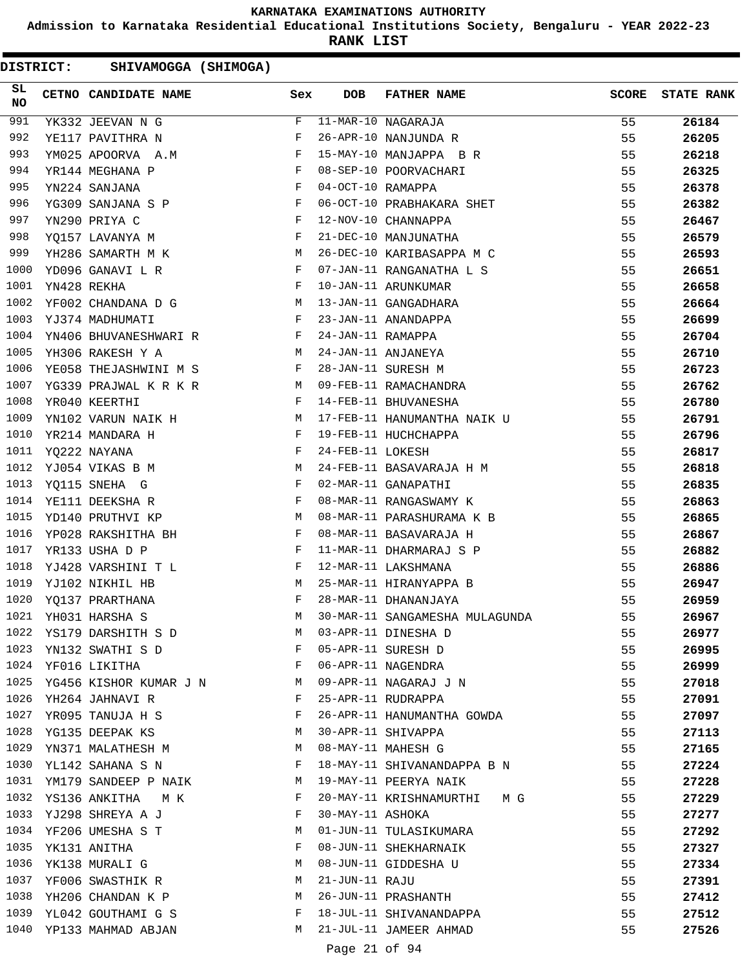**Admission to Karnataka Residential Educational Institutions Society, Bengaluru - YEAR 2022-23**

**RANK LIST**

| SL<br><b>NO</b> |             | CETNO CANDIDATE NAME                                                              |                               | DOB               | <b>FATHER NAME</b>             | <b>SCORE</b> | <b>STATE RANK</b> |
|-----------------|-------------|-----------------------------------------------------------------------------------|-------------------------------|-------------------|--------------------------------|--------------|-------------------|
| 991             |             | YK332 JEEVAN N G                                                                  | F                             |                   | $11-MAR-10$ NAGARAJA           | 55           | 26184             |
| 992             |             | YE117 PAVITHRA N                                                                  | F                             |                   | 26-APR-10 NANJUNDA R           | 55           | 26205             |
| 993             |             | YM025 APOORVA A.M                                                                 | $\mathbf{F}$                  |                   | 15-MAY-10 MANJAPPA B R         | 55           | 26218             |
| 994             |             | YR144 MEGHANA P                                                                   | $\mathbf{F}$                  |                   | 08-SEP-10 POORVACHARI          | 55           | 26325             |
| 995             |             | YN224 SANJANA                                                                     | $\mathbf{F}$ and $\mathbf{F}$ | 04-OCT-10 RAMAPPA |                                | 55           | 26378             |
| 996             |             | $\mathbf{F}$ and $\mathbf{F}$ and $\mathbf{F}$<br>YG309 SANJANA S P               |                               |                   | 06-OCT-10 PRABHAKARA SHET      | 55           | 26382             |
| 997             |             | $\mathbf{F}$<br>YN290 PRIYA C                                                     |                               |                   | 12-NOV-10 CHANNAPPA            | 55           | 26467             |
| 998             |             | YQ157 LAVANYA M                                                                   | $\mathbf{F}$                  |                   | 21-DEC-10 MANJUNATHA           | 55           | 26579             |
| 999             |             | YH286 SAMARTH M K<br><b>M</b>                                                     |                               |                   | 26-DEC-10 KARIBASAPPA M C      | 55           | 26593             |
| 1000            |             | $\mathbf{F}$ . The contract of the contract of $\mathbf{F}$ .<br>YD096 GANAVI L R |                               |                   | 07-JAN-11 RANGANATHA L S       | 55           | 26651             |
| 1001            | YN428 REKHA |                                                                                   | $\mathbf{F}$                  |                   | 10-JAN-11 ARUNKUMAR            | 55           | 26658             |
| 1002            |             | YF002 CHANDANA D G M                                                              |                               |                   | 13-JAN-11 GANGADHARA           | 55           | 26664             |
| 1003            |             | YJ374 MADHUMATI<br>$\mathbf{F}$ and the contract of $\mathbf{F}$                  |                               |                   | 23-JAN-11 ANANDAPPA            | 55           | 26699             |
| 1004            |             | YN406 BHUVANESHWARI R F                                                           |                               | 24-JAN-11 RAMAPPA |                                | 55           | 26704             |
| 1005            |             | YH306 RAKESH Y A                                                                  | M                             |                   | 24-JAN-11 ANJANEYA             | 55           | 26710             |
| 1006            |             | $\mathbf{F}$ and $\mathbf{F}$ and $\mathbf{F}$<br>YE058 THEJASHWINI M S           |                               |                   | 28-JAN-11 SURESH M             | 55           | 26723             |
| 1007            |             | YG339 PRAJWAL K R K R<br>M <sub>1</sub>                                           |                               |                   | 09-FEB-11 RAMACHANDRA          | 55           | 26762             |
| 1008            |             | <b>Example 2</b> F<br>YR040 KEERTHI                                               |                               |                   | 14-FEB-11 BHUVANESHA           | 55           | 26780             |
| 1009            |             | YN102 VARUN NAIK H                                                                |                               |                   | 17-FEB-11 HANUMANTHA NAIK U    | 55           | 26791             |
| 1010            |             | YR214 MANDARA H                                                                   | F                             |                   | 19-FEB-11 HUCHCHAPPA           | 55           | 26796             |
| 1011            |             | YQ222 NAYANA                                                                      | $\mathbf{F}$ and $\mathbf{F}$ | 24-FEB-11 LOKESH  |                                | 55           | 26817             |
| 1012            |             | <b>M</b><br>YJ054 VIKAS B M                                                       |                               |                   | 24-FEB-11 BASAVARAJA H M       | 55           | 26818             |
| 1013            |             | YQ115 SNEHA G                                                                     | $\mathbf{F}$                  |                   | 02-MAR-11 GANAPATHI            | 55           | 26835             |
| 1014            |             | YE111 DEEKSHA R                                                                   | F                             |                   | 08-MAR-11 RANGASWAMY K         | 55           | 26863             |
| 1015            |             | YD140 PRUTHVI KP<br><b>M</b>                                                      |                               |                   | 08-MAR-11 PARASHURAMA K B      | 55           | 26865             |
| 1016            |             | YP028 RAKSHITHA BH F                                                              |                               |                   | 08-MAR-11 BASAVARAJA H         | 55           | 26867             |
| 1017            |             | YR133 USHA D P                                                                    | $\mathbf{F}$                  |                   | 11-MAR-11 DHARMARAJ S P        | 55           | 26882             |
| 1018            |             | YJ428 VARSHINI T L                                                                | $\mathbf{F}$                  |                   | 12-MAR-11 LAKSHMANA            | 55           | 26886             |
| 1019            |             | YJ102 NIKHIL HB                                                                   | M                             |                   | 25-MAR-11 HIRANYAPPA B         | 55           | 26947             |
| 1020            |             | YQ137 PRARTHANA                                                                   | F                             |                   | 28-MAR-11 DHANANJAYA           | 55           | 26959             |
| 1021            |             | YH031 HARSHA S                                                                    | M                             |                   | 30-MAR-11 SANGAMESHA MULAGUNDA | 55           | 26967             |
| 1022            |             | YS179 DARSHITH S D                                                                | M                             |                   | 03-APR-11 DINESHA D            | 55           | 26977             |
| 1023            |             | YN132 SWATHI S D                                                                  | F                             |                   | 05-APR-11 SURESH D             | 55           | 26995             |
|                 |             | 1024 YF016 LIKITHA                                                                | in the state of the Fig.      |                   | 06-APR-11 NAGENDRA             | 55           | 26999             |
|                 |             | 1025 YG456 KISHOR KUMAR J N M                                                     |                               |                   | 09-APR-11 NAGARAJ J N          | 55           | 27018             |
| 1026            |             | YH264 JAHNAVI R                                                                   | F                             |                   | 25-APR-11 RUDRAPPA             | 55           | 27091             |
| 1027            |             | YR095 TANUJA H S                                                                  | F                             |                   | 26-APR-11 HANUMANTHA GOWDA     | 55           | 27097             |
| 1028            |             | YG135 DEEPAK KS                                                                   | M                             |                   | 30-APR-11 SHIVAPPA             | 55           | 27113             |
| 1029            |             | YN371 MALATHESH M                                                                 | M                             |                   | 08-MAY-11 MAHESH G             | 55           | 27165             |
| 1030            |             | YL142 SAHANA S N                                                                  | F                             |                   | 18-MAY-11 SHIVANANDAPPA B N    | 55           | 27224             |
| 1031            |             | YM179 SANDEEP P NAIK                                                              | M                             |                   | 19-MAY-11 PEERYA NAIK          | 55           | 27228             |
| 1032            |             | YS136 ANKITHA M K                                                                 | F                             |                   | 20-MAY-11 KRISHNAMURTHI M G    | 55           | 27229             |
|                 |             | 1033 YJ298 SHREYA A J                                                             | F                             | 30-MAY-11 ASHOKA  |                                | 55           | 27277             |
| 1034            |             | YF206 UMESHA S T                                                                  | M                             |                   | 01-JUN-11 TULASIKUMARA         | 55           | 27292             |
| 1035            |             | YK131 ANITHA                                                                      | F                             |                   | 08-JUN-11 SHEKHARNAIK          | 55           | 27327             |
| 1036            |             | YK138 MURALI G                                                                    | M                             |                   | 08-JUN-11 GIDDESHA U           | 55           | 27334             |
|                 |             | 1037 YF006 SWASTHIK R                                                             | M                             | 21-JUN-11 RAJU    |                                | 55           | 27391             |
| 1038            |             | YH206 CHANDAN K P                                                                 | M                             |                   | 26-JUN-11 PRASHANTH            | 55           | 27412             |
| 1039            |             | YL042 GOUTHAMI G S                                                                | F                             |                   | 18-JUL-11 SHIVANANDAPPA        | 55           | 27512             |
|                 |             | 1040 YP133 MAHMAD ABJAN                                                           | M                             |                   | 21-JUL-11 JAMEER AHMAD         | 55           | 27526             |
|                 |             |                                                                                   |                               |                   |                                |              |                   |
|                 |             |                                                                                   |                               | Page 21 of 94     |                                |              |                   |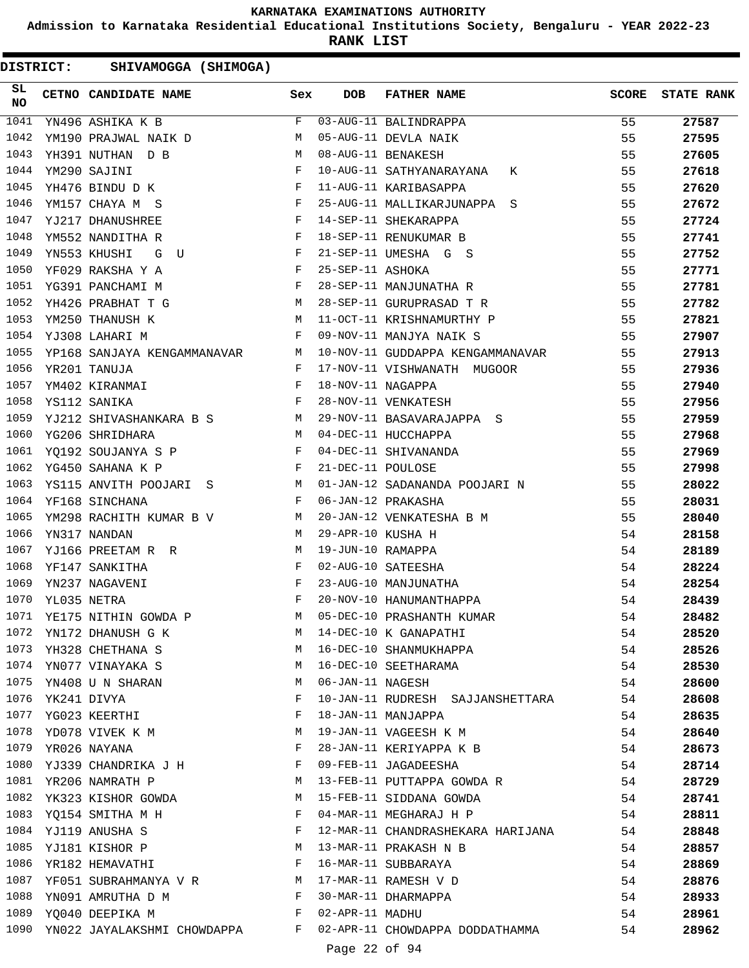**Admission to Karnataka Residential Educational Institutions Society, Bengaluru - YEAR 2022-23**

**RANK LIST**

| <b>DISTRICT:</b> |             | SHIVAMOGGA (SHIMOGA)          |                                                                                                                                                                                                                                   |              |                   |                                                      |              |                   |
|------------------|-------------|-------------------------------|-----------------------------------------------------------------------------------------------------------------------------------------------------------------------------------------------------------------------------------|--------------|-------------------|------------------------------------------------------|--------------|-------------------|
| SL<br>NO         |             | CETNO CANDIDATE NAME          |                                                                                                                                                                                                                                   | Sex          | <b>DOB</b>        | <b>FATHER NAME</b>                                   | <b>SCORE</b> | <b>STATE RANK</b> |
| 1041             |             | YN496 ASHIKA K B              |                                                                                                                                                                                                                                   | F            |                   | 03-AUG-11 BALINDRAPPA                                | 55           | 27587             |
| 1042             |             | YM190 PRAJWAL NAIK D          |                                                                                                                                                                                                                                   | М            |                   | 05-AUG-11 DEVLA NAIK                                 | 55           | 27595             |
| 1043             |             | YH391 NUTHAN D B              |                                                                                                                                                                                                                                   | M            |                   | 08-AUG-11 BENAKESH                                   | 55           | 27605             |
| 1044             |             | YM290 SAJINI                  |                                                                                                                                                                                                                                   | F            |                   | 10-AUG-11 SATHYANARAYANA<br>К                        | 55           | 27618             |
| 1045             |             | YH476 BINDU D K               |                                                                                                                                                                                                                                   | F            |                   | 11-AUG-11 KARIBASAPPA                                | 55           | 27620             |
| 1046             |             | YM157 CHAYA M S               |                                                                                                                                                                                                                                   | F            |                   | 25-AUG-11 MALLIKARJUNAPPA S                          | 55           | 27672             |
| 1047             |             | YJ217 DHANUSHREE              |                                                                                                                                                                                                                                   | F            |                   | 14-SEP-11 SHEKARAPPA                                 | 55           | 27724             |
| 1048             |             | YM552 NANDITHA R              |                                                                                                                                                                                                                                   | F            |                   | 18-SEP-11 RENUKUMAR B                                | 55           | 27741             |
| 1049             |             | YN553 KHUSHI<br>G<br>U        |                                                                                                                                                                                                                                   | F            |                   | 21-SEP-11 UMESHA G S                                 | 55           | 27752             |
| 1050             |             | YF029 RAKSHA Y A              |                                                                                                                                                                                                                                   | F            | 25-SEP-11 ASHOKA  |                                                      | 55           | 27771             |
| 1051             |             | YG391 PANCHAMI M              |                                                                                                                                                                                                                                   | $\mathbf{F}$ |                   | 28-SEP-11 MANJUNATHA R                               | 55           | 27781             |
| 1052             |             | YH426 PRABHAT T G             |                                                                                                                                                                                                                                   | M            |                   | 28-SEP-11 GURUPRASAD T R                             | 55           | 27782             |
| 1053             |             | YM250 THANUSH K               |                                                                                                                                                                                                                                   | M            |                   | 11-OCT-11 KRISHNAMURTHY P                            | 55           | 27821             |
| 1054             |             | YJ308 LAHARI M                |                                                                                                                                                                                                                                   | F            |                   | 09-NOV-11 MANJYA NAIK S                              | 55           | 27907             |
| 1055             |             | YP168 SANJAYA KENGAMMANAVAR M |                                                                                                                                                                                                                                   |              |                   | 10-NOV-11 GUDDAPPA KENGAMMANAVAR                     | 55           | 27913             |
| 1056             |             | YR201 TANUJA                  |                                                                                                                                                                                                                                   | F            |                   | 17-NOV-11 VISHWANATH MUGOOR                          | 55           | 27936             |
| 1057             |             | YM402 KIRANMAI                |                                                                                                                                                                                                                                   | F            | 18-NOV-11 NAGAPPA |                                                      | 55           | 27940             |
| 1058             |             | YS112 SANIKA                  |                                                                                                                                                                                                                                   | F            |                   | 28-NOV-11 VENKATESH                                  | 55           | 27956             |
| 1059             |             | YJ212 SHIVASHANKARA B S       |                                                                                                                                                                                                                                   | M            |                   | 29-NOV-11 BASAVARAJAPPA S                            | 55           | 27959             |
| 1060             |             | YG206 SHRIDHARA               |                                                                                                                                                                                                                                   | М            |                   | 04-DEC-11 HUCCHAPPA                                  | 55           | 27968             |
| 1061             |             | YO192 SOUJANYA S P            |                                                                                                                                                                                                                                   | F            |                   | 04-DEC-11 SHIVANANDA                                 | 55           | 27969             |
| 1062             |             | YG450 SAHANA K P              |                                                                                                                                                                                                                                   | F            | 21-DEC-11 POULOSE |                                                      | 55           | 27998             |
| 1063             |             | YS115 ANVITH POOJARI S        |                                                                                                                                                                                                                                   | M            |                   | 01-JAN-12 SADANANDA POOJARI N                        | 55           | 28022             |
| 1064             |             | YF168 SINCHANA                |                                                                                                                                                                                                                                   | F            |                   | 06-JAN-12 PRAKASHA                                   | 55           | 28031             |
| 1065             |             | YM298 RACHITH KUMAR B V       |                                                                                                                                                                                                                                   | М            |                   | 20-JAN-12 VENKATESHA B M                             | 55           | 28040             |
| 1066             |             | YN317 NANDAN                  |                                                                                                                                                                                                                                   | M            | 29-APR-10 KUSHA H |                                                      | 54           | 28158             |
| 1067             |             | YJ166 PREETAM R R             |                                                                                                                                                                                                                                   | M            | 19-JUN-10 RAMAPPA |                                                      | 54           | 28189             |
| 1068             |             | YF147 SANKITHA                |                                                                                                                                                                                                                                   | F            |                   | 02-AUG-10 SATEESHA                                   | 54           | 28224             |
| 1069             |             | YN237 NAGAVENI                |                                                                                                                                                                                                                                   | F            |                   | 23-AUG-10 MANJUNATHA                                 | 54           | 28254             |
| 1070             | YL035 NETRA |                               |                                                                                                                                                                                                                                   | F            |                   | 20-NOV-10 HANUMANTHAPPA                              | 54           | 28439             |
| 1071             |             |                               |                                                                                                                                                                                                                                   |              |                   |                                                      | 54           |                   |
|                  |             | YE175 NITHIN GOWDA P          |                                                                                                                                                                                                                                   | M            |                   | M 05-DEC-10 PRASHANTH KUMAR<br>14-DEC-10 K GANAPATHI |              | 28482             |
|                  |             | 1072 YN172 DHANUSH G K        |                                                                                                                                                                                                                                   |              |                   |                                                      | 54           | 28520             |
| 1073             |             | YH328 CHETHANA S              | <b>M</b>                                                                                                                                                                                                                          |              |                   | 16-DEC-10 SHANMUKHAPPA                               | 54           | 28526             |
|                  |             | 1074 YN077 VINAYAKA S         |                                                                                                                                                                                                                                   | M            |                   | 16-DEC-10 SEETHARAMA                                 | 54           | 28530             |
| 1075             |             | YN408 U N SHARAN              |                                                                                                                                                                                                                                   | M            | 06-JAN-11 NAGESH  |                                                      | 54           | 28600             |
| 1076             |             | YK241 DIVYA                   |                                                                                                                                                                                                                                   | F            |                   | 10-JAN-11 RUDRESH SAJJANSHETTARA                     | 54           | 28608             |
| 1077             |             | YG023 KEERTHI                 |                                                                                                                                                                                                                                   | F            |                   | 18-JAN-11 MANJAPPA                                   | 54           | 28635             |
| 1078             |             | YD078 VIVEK K M               |                                                                                                                                                                                                                                   | М            |                   | 19-JAN-11 VAGEESH K M                                | 54           | 28640             |
| 1079             |             | YR026 NAYANA                  |                                                                                                                                                                                                                                   | F            |                   | 28-JAN-11 KERIYAPPA K B                              | 54           | 28673             |
| 1080             |             | YJ339 CHANDRIKA J H           |                                                                                                                                                                                                                                   | F            |                   | 09-FEB-11 JAGADEESHA                                 | 54           | 28714             |
| 1081             |             | YR206 NAMRATH P               | <b>Example 20</b> M                                                                                                                                                                                                               |              |                   | 13-FEB-11 PUTTAPPA GOWDA R                           | 54           | 28729             |
| 1082             |             | YK323 KISHOR GOWDA M          |                                                                                                                                                                                                                                   |              |                   | 15-FEB-11 SIDDANA GOWDA                              | 54           | 28741             |
|                  |             | 1083 YQ154 SMITHA M H         |                                                                                                                                                                                                                                   | F            |                   | 04-MAR-11 MEGHARAJ H P                               | 54           | 28811             |
|                  |             | 1084 YJ119 ANUSHA S           |                                                                                                                                                                                                                                   | F            |                   | 12-MAR-11 CHANDRASHEKARA HARIJANA                    | 54           | 28848             |
| 1085             |             | YJ181 KISHOR P                |                                                                                                                                                                                                                                   | M            |                   | 13-MAR-11 PRAKASH N B                                | 54           | 28857             |
| 1086             |             | YR182 HEMAVATHI F             |                                                                                                                                                                                                                                   |              |                   | 16-MAR-11 SUBBARAYA                                  | 54           | 28869             |
| 1087             |             | YF051 SUBRAHMANYA V R M       |                                                                                                                                                                                                                                   |              |                   | 17-MAR-11 RAMESH V D                                 | 54           | 28876             |
| 1088             |             | YN091 AMRUTHA D M             |                                                                                                                                                                                                                                   | $\mathbb{F}$ |                   | 30-MAR-11 DHARMAPPA                                  | 54           | 28933             |
| 1089             |             | YQ040 DEEPIKA M               | $\mathbf{F}$ . The set of the set of the set of the set of the set of the set of the set of the set of the set of the set of the set of the set of the set of the set of the set of the set of the set of the set of the set of t |              | 02-APR-11 MADHU   |                                                      | 54           | 28961             |
| 1090             |             | YN022 JAYALAKSHMI CHOWDAPPA F |                                                                                                                                                                                                                                   |              |                   | 02-APR-11 CHOWDAPPA DODDATHAMMA                      | 54           | 28962             |
|                  |             |                               |                                                                                                                                                                                                                                   |              | Page 22 of 94     |                                                      |              |                   |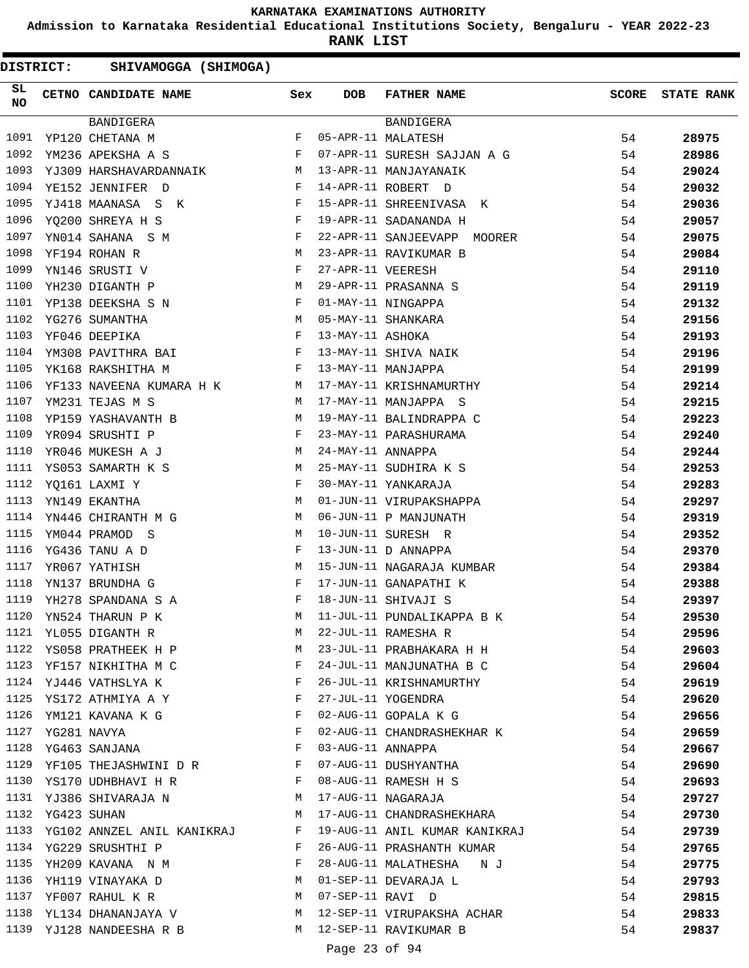**Admission to Karnataka Residential Educational Institutions Society, Bengaluru - YEAR 2022-23**

**RANK LIST**

DISTRICT: SHIVAMOGGA (SHIMOGA)

| SL<br><b>NO</b> | CETNO CANDIDATE NAME Sex                                                                                                                                                                                                                               |                                      | <b>DOB</b>        | FATHER NAME                                        | <b>SCORE</b> | <b>STATE RANK</b> |
|-----------------|--------------------------------------------------------------------------------------------------------------------------------------------------------------------------------------------------------------------------------------------------------|--------------------------------------|-------------------|----------------------------------------------------|--------------|-------------------|
|                 | BANDIGERA                                                                                                                                                                                                                                              |                                      |                   | BANDIGERA                                          |              |                   |
| 1091            | $\mathbf{F}$<br>YP120 CHETANA M                                                                                                                                                                                                                        |                                      |                   | 05-APR-11 MALATESH                                 | 54           | 28975             |
| 1092            | $\mathbf{F}$ . The set of the set of the set of the set of the set of the set of the set of the set of the set of the set of the set of the set of the set of the set of the set of the set of the set of the set of the set of t<br>YM236 APEKSHA A S |                                      |                   | 07-APR-11 SURESH SAJJAN A G                        | 54           | 28986             |
| 1093            | YJ309 HARSHAVARDANNAIK M                                                                                                                                                                                                                               |                                      |                   | 13-APR-11 MANJAYANAIK                              | 54           | 29024             |
| 1094            | YE152 JENNIFER D<br>$\mathbf{F}$                                                                                                                                                                                                                       |                                      |                   | 14-APR-11 ROBERT D                                 | 54           | 29032             |
| 1095            | $\mathbf{F}$ and the set of the set of the set of the set of the set of the set of the set of the set of the set of the set of the set of the set of the set of the set of the set of the set of the set of the set of the set of<br>YJ418 MAANASA S K |                                      |                   | 15-APR-11 SHREENIVASA K                            | 54           | 29036             |
| 1096            | $\mathbb{F}^{\mathbb{Z}}$ . The set of $\mathbb{F}^{\mathbb{Z}}$<br>YQ200 SHREYA H S                                                                                                                                                                   |                                      |                   | 19-APR-11 SADANANDA H                              | 54           | 29057             |
| 1097            | $\mathbf{F}^{\mathcal{A}}$<br>YN014 SAHANA S M                                                                                                                                                                                                         |                                      |                   | 22-APR-11 SANJEEVAPP MOORER                        | 54           | 29075             |
| 1098            | M<br>YF194 ROHAN R                                                                                                                                                                                                                                     |                                      |                   | 23-APR-11 RAVIKUMAR B                              | 54           | 29084             |
| 1099            | $\mathbf{F}$ and the contract of the contract of $\mathbf{F}$<br>YN146 SRUSTI V                                                                                                                                                                        |                                      | 27-APR-11 VEERESH |                                                    | 54           | 29110             |
| 1100            | YH230 DIGANTH P                                                                                                                                                                                                                                        | M                                    |                   | 29-APR-11 PRASANNA S                               | 54           | 29119             |
| 1101            | YP138 DEEKSHA S N                                                                                                                                                                                                                                      | F                                    |                   | 01-MAY-11 NINGAPPA                                 | 54           | 29132             |
| 1102            | YG276 SUMANTHA                                                                                                                                                                                                                                         |                                      |                   | 05-MAY-11 SHANKARA                                 | 54           | 29156             |
| 1103            | $\begin{aligned} \mathbf{M} \\ \mathbf{F} \end{aligned}$<br>YF046 DEEPIKA                                                                                                                                                                              |                                      | 13-MAY-11 ASHOKA  |                                                    | 54           | 29193             |
| 1104            | YM308 PAVITHRA BAI                                                                                                                                                                                                                                     |                                      |                   | 13-MAY-11 SHIVA NAIK                               | 54           | 29196             |
| 1105            | YK168 RAKSHITHA M                                                                                                                                                                                                                                      | $\mathbf{F}$                         |                   | 13-MAY-11 MANJAPPA                                 | 54           | 29199             |
| 1106            |                                                                                                                                                                                                                                                        |                                      |                   | 17-MAY-11 KRISHNAMURTHY                            | 54           |                   |
|                 | YF133 NAVEENA KUMARA H K M                                                                                                                                                                                                                             |                                      |                   |                                                    |              | 29214             |
| 1107            | YM231 TEJAS M S<br><b>M</b>                                                                                                                                                                                                                            |                                      |                   | 17-MAY-11 MANJAPPA S                               | 54           | 29215             |
| 1108            | YP159 YASHAVANTH B                                                                                                                                                                                                                                     | M<br>$\mathbf{F}$ . The $\mathbf{F}$ |                   | 19-MAY-11 BALINDRAPPA C                            | 54           | 29223             |
| 1109            | YR094 SRUSHTI P                                                                                                                                                                                                                                        |                                      |                   | 23-MAY-11 PARASHURAMA                              | 54           | 29240             |
| 1110            | M <sub>N</sub><br>YR046 MUKESH A J                                                                                                                                                                                                                     |                                      | 24-MAY-11 ANNAPPA |                                                    | 54           | 29244             |
| 1111            | M <sub>N</sub><br>YS053 SAMARTH K S                                                                                                                                                                                                                    |                                      |                   | 25-MAY-11 SUDHIRA K S                              | 54           | 29253             |
| 1112            | $\mathbf{F}$ and $\mathbf{F}$<br>YQ161 LAXMI Y                                                                                                                                                                                                         |                                      |                   | 30-MAY-11 YANKARAJA                                | 54           | 29283             |
| 1113            | YN149 EKANTHA                                                                                                                                                                                                                                          | M                                    |                   | 01-JUN-11 VIRUPAKSHAPPA                            | 54           | 29297             |
| 1114            | YN446 CHIRANTH M G                                                                                                                                                                                                                                     | M                                    |                   | 06-JUN-11 P MANJUNATH                              | 54           | 29319             |
| 1115            | YM044 PRAMOD S                                                                                                                                                                                                                                         | M                                    |                   | 10-JUN-11 SURESH R                                 | 54           | 29352             |
| 1116            | YG436 TANU A D                                                                                                                                                                                                                                         | F                                    |                   | 13-JUN-11 D ANNAPPA                                | 54           | 29370             |
| 1117            | YR067 YATHISH                                                                                                                                                                                                                                          | M                                    |                   | 15-JUN-11 NAGARAJA KUMBAR<br>17-JUN-11 GANAPATHI K | 54           | 29384             |
| 1118            | YN137 BRUNDHA G                                                                                                                                                                                                                                        | F                                    |                   |                                                    | 54           | 29388             |
| 1119            | YH278 SPANDANA S A F                                                                                                                                                                                                                                   |                                      |                   | 18-JUN-11 SHIVAJI S                                | 54           | 29397             |
| 1120            | YN524 THARUN P K                                                                                                                                                                                                                                       | M                                    |                   | 11-JUL-11 PUNDALIKAPPA B K                         | 54           | 29530             |
| 1121            | YL055 DIGANTH R                                                                                                                                                                                                                                        | М                                    |                   | 22-JUL-11 RAMESHA R                                | 54           | 29596             |
| 1122            | YS058 PRATHEEK H P                                                                                                                                                                                                                                     | M                                    |                   | 23-JUL-11 PRABHAKARA H H                           | 54           | 29603             |
|                 | 1123 YF157 NIKHITHA M C<br>the contract of the contract of the Property of the Property of the Property of the Property of the Property of                                                                                                             |                                      |                   | 24-JUL-11 MANJUNATHA B C                           | 54           | 29604             |
|                 | 1124 YJ446 VATHSLYA K                                                                                                                                                                                                                                  | F                                    |                   | 26-JUL-11 KRISHNAMURTHY                            | 54           | 29619             |
| 1125            | YS172 ATHMIYA A Y                                                                                                                                                                                                                                      | $\mathbf{F}$                         |                   | 27-JUL-11 YOGENDRA                                 | 54           | 29620             |
| 1126            | YM121 KAVANA K G                                                                                                                                                                                                                                       | F                                    |                   | 02-AUG-11 GOPALA K G                               | 54           | 29656             |
| 1127            | YG281 NAVYA                                                                                                                                                                                                                                            | F                                    |                   | 02-AUG-11 CHANDRASHEKHAR K                         | 54           | 29659             |
| 1128            | YG463 SANJANA                                                                                                                                                                                                                                          | F                                    | 03-AUG-11 ANNAPPA |                                                    | 54           | 29667             |
|                 | 1129 YF105 THEJASHWINI D R                                                                                                                                                                                                                             | F                                    |                   | 07-AUG-11 DUSHYANTHA                               | 54           | 29690             |
| 1130            | YS170 UDHBHAVI H R                                                                                                                                                                                                                                     | F                                    |                   | 08-AUG-11 RAMESH H S                               | 54           | 29693             |
| 1131            | YJ386 SHIVARAJA N                                                                                                                                                                                                                                      | M                                    |                   | 17-AUG-11 NAGARAJA                                 | 54           | 29727             |
| 1132            | YG423 SUHAN                                                                                                                                                                                                                                            | M                                    |                   | 17-AUG-11 CHANDRASHEKHARA                          | 54           | 29730             |
| 1133            | YG102 ANNZEL ANIL KANIKRAJ F                                                                                                                                                                                                                           |                                      |                   | 19-AUG-11 ANIL KUMAR KANIKRAJ                      | 54           | 29739             |
| 1134            |                                                                                                                                                                                                                                                        | F                                    |                   | 26-AUG-11 PRASHANTH KUMAR                          |              |                   |
| 1135            | YG229 SRUSHTHI P                                                                                                                                                                                                                                       |                                      |                   |                                                    | 54           | 29765             |
|                 | YH209 KAVANA N M                                                                                                                                                                                                                                       |                                      |                   | 28-AUG-11 MALATHESHA NJ                            | 54           | 29775             |
| 1136            | YH119 VINAYAKA D                                                                                                                                                                                                                                       | M                                    |                   | 01-SEP-11 DEVARAJA L                               | 54           | 29793             |
| 1137            | YF007 RAHUL K R                                                                                                                                                                                                                                        | M                                    | 07-SEP-11 RAVI D  |                                                    | 54           | 29815             |
| 1138            | YL134 DHANANJAYA V                                                                                                                                                                                                                                     |                                      |                   | M 12-SEP-11 VIRUPAKSHA ACHAR                       | 54           | 29833             |
|                 | 1139 YJ128 NANDEESHA R B                                                                                                                                                                                                                               |                                      |                   | M 12-SEP-11 RAVIKUMAR B<br>$\sim$ $\sim$           | 54           | 29837             |

Page 23 of 94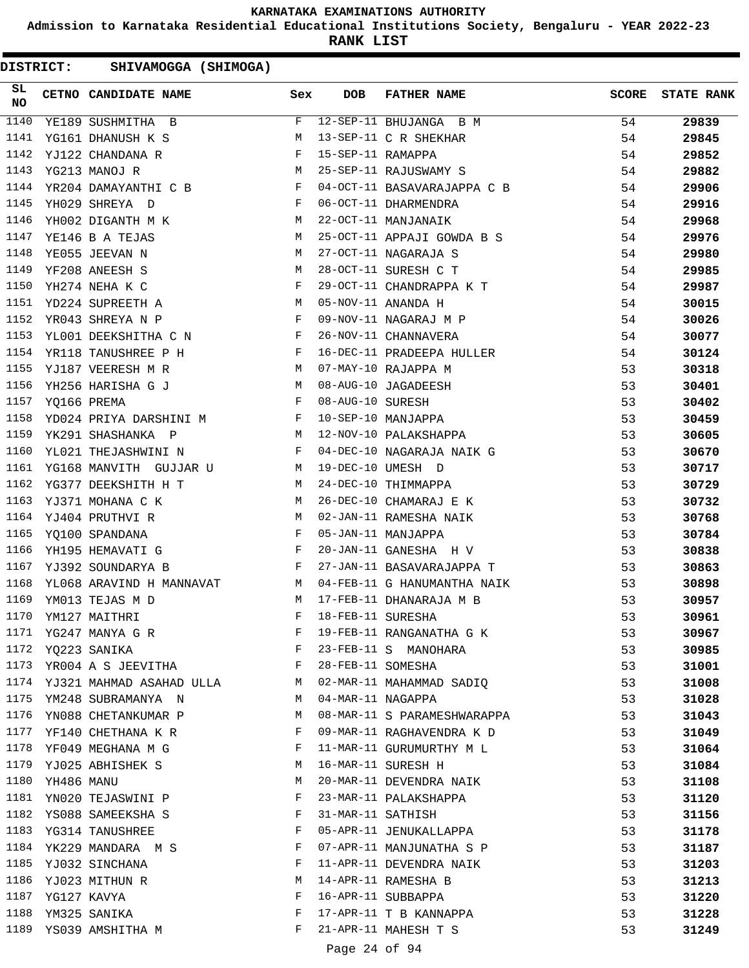**Admission to Karnataka Residential Educational Institutions Society, Bengaluru - YEAR 2022-23**

**RANK LIST**

| SL<br><b>NO</b> |            | CETNO CANDIDATE NAME Sex                                                          |              | <b>DOB</b>        | FATHER NAME                                                             | <b>SCORE</b> | <b>STATE RANK</b> |
|-----------------|------------|-----------------------------------------------------------------------------------|--------------|-------------------|-------------------------------------------------------------------------|--------------|-------------------|
| 1140            |            | YE189 SUSHMITHA B                                                                 | F            |                   | 12-SEP-11 BHUJANGA B M                                                  | 54           | 29839             |
| 1141            |            | M<br>YG161 DHANUSH K S                                                            |              |                   | 13-SEP-11 C R SHEKHAR                                                   | 54           | 29845             |
| 1142            |            | $\begin{aligned} \mathbf{F} \\ \mathbf{M} \end{aligned}$<br>YJ122 CHANDANA R      |              | 15-SEP-11 RAMAPPA |                                                                         | 54           | 29852             |
| 1143            |            | YG213 MANOJ R                                                                     |              |                   | 25-SEP-11 RAJUSWAMY S                                                   | 54           | 29882             |
| 1144            |            | YR204 DAMAYANTHI C B F                                                            |              |                   | 04-OCT-11 BASAVARAJAPPA C B                                             | 54           | 29906             |
| 1145            |            | $\mathbf{F}$<br>YH029 SHREYA D                                                    |              |                   | 06-OCT-11 DHARMENDRA                                                    | 54           | 29916             |
| 1146            |            | YH002 DIGANTH M K                                                                 | M            |                   | 22-OCT-11 MANJANAIK                                                     | 54           | 29968             |
| 1147            |            | M<br>YE146 B A TEJAS                                                              |              |                   | 25-OCT-11 APPAJI GOWDA B S                                              | 54           | 29976             |
| 1148            |            | <b>M</b><br>YE055 JEEVAN N                                                        |              |                   | 27-OCT-11 NAGARAJA S                                                    | 54           | 29980             |
| 1149            |            | M<br>YF208 ANEESH S                                                               |              |                   | 28-OCT-11 SURESH C T                                                    | 54           | 29985             |
| 1150            |            | $\mathbf{F}$<br>YH274 NEHA K C                                                    |              |                   |                                                                         | 54           | 29987             |
| 1151            |            | M <sub>N</sub><br>YD224 SUPREETH A                                                |              |                   |                                                                         | 54           | 30015             |
| 1152            |            | $\mathbf{F}$ and the contract of the contract of $\mathbf{F}$<br>YR043 SHREYA N P |              |                   | 29-OCT-11 CHANDRAPPA K T<br>05-NOV-11 ANANDA H<br>09-NOV-11 NAGARAJ M P | 54           | 30026             |
| 1153            |            | YL001 DEEKSHITHA C N F                                                            |              |                   | 26-NOV-11 CHANNAVERA                                                    | 54           | 30077             |
| 1154            |            | YR118 TANUSHREE P H                                                               | $\mathbf{F}$ |                   | 16-DEC-11 PRADEEPA HULLER                                               | 54           | 30124             |
| 1155            |            | M <sub>N</sub><br>YJ187 VEERESH M R                                               |              |                   | 07-MAY-10 RAJAPPA M                                                     | 53           | 30318             |
| 1156            |            | YH256 HARISHA G J M                                                               |              |                   | 08-AUG-10 JAGADEESH                                                     | 53           | 30401             |
| 1157            |            | $\mathbf{F}$<br>YQ166 PREMA                                                       |              | 08-AUG-10 SURESH  |                                                                         | 53           | 30402             |
| 1158            |            | YD024 PRIYA DARSHINI M<br>F                                                       |              |                   | 10-SEP-10 MANJAPPA                                                      | 53           | 30459             |
| 1159            |            | M <sub>1</sub><br>YK291 SHASHANKA P                                               |              |                   | 12-NOV-10 PALAKSHAPPA                                                   | 53           | 30605             |
| 1160            |            | $\mathbf{F}$ and the state of $\mathbf{F}$<br>YL021 THEJASHWINI N                 |              |                   | 04-DEC-10 NAGARAJA NAIK G                                               | 53           | 30670             |
| 1161            |            | YG168 MANVITH GUJJAR U M                                                          |              |                   | 19-DEC-10 UMESH D                                                       | 53           | 30717             |
| 1162            |            | M<br>YG377 DEEKSHITH H T                                                          |              |                   | 24-DEC-10 THIMMAPPA                                                     | 53           | 30729             |
| 1163            |            | YJ371 MOHANA C K<br>M <sub>N</sub>                                                |              |                   | 26-DEC-10 CHAMARAJ E K                                                  | 53           | 30732             |
| 1164            |            | YJ404 PRUTHVI R<br>M                                                              |              |                   | 02-JAN-11 RAMESHA NAIK                                                  | 53           | 30768             |
| 1165            |            | $\mathbf{F}^{\mathcal{A}}$<br>YQ100 SPANDANA                                      |              |                   | 05-JAN-11 MANJAPPA                                                      | 53           | 30784             |
| 1166            |            | $\mathbf{F}$<br>YH195 HEMAVATI G                                                  |              |                   | 20-JAN-11 GANESHA H V                                                   | 53           | 30838             |
| 1167            |            | $\mathbf{F}$<br>YJ392 SOUNDARYA B                                                 |              |                   | 27-JAN-11 BASAVARAJAPPA T                                               | 53           | 30863             |
| 1168            |            | YL068 ARAVIND H MANNAVAT M                                                        |              |                   | 04-FEB-11 G HANUMANTHA NAIK                                             | 53           | 30898             |
| 1169            |            | YM013 TEJAS M D                                                                   |              |                   | 17-FEB-11 DHANARAJA M B                                                 | 53           | 30957             |
| 1170            |            | $\begin{aligned} \mathbf{M} \\ \mathbf{F} \end{aligned}$<br>YM127 MAITHRI         |              | 18-FEB-11 SURESHA |                                                                         | 53           | 30961             |
| 1171            |            | YG247 MANYA G R                                                                   | F            |                   | 19-FEB-11 RANGANATHA G K                                                | 53           | 30967             |
| 1172            |            | YQ223 SANIKA                                                                      | F            |                   | 23-FEB-11 S MANOHARA                                                    | 53           | 30985             |
|                 |            | 1173 YROO4 A S JEEVITHA F                                                         |              | 28-FEB-11 SOMESHA |                                                                         | 53           | 31001             |
|                 |            | 1174 YJ321 MAHMAD ASAHAD ULLA M                                                   |              |                   | 02-MAR-11 MAHAMMAD SADIQ                                                | 53           | 31008             |
| 1175            |            | YM248 SUBRAMANYA N                                                                | <b>M</b>     | 04-MAR-11 NAGAPPA |                                                                         | 53           | 31028             |
| 1176            |            | YN088 CHETANKUMAR P                                                               | М            |                   | 08-MAR-11 S PARAMESHWARAPPA                                             | 53           | 31043             |
| 1177            |            | YF140 CHETHANA K R                                                                | F            |                   | 09-MAR-11 RAGHAVENDRA K D                                               | 53           | 31049             |
|                 |            | 1178 YF049 MEGHANA M G                                                            | F            |                   | 11-MAR-11 GURUMURTHY M L                                                | 53           | 31064             |
| 1179            |            | YJ025 ABHISHEK S                                                                  | М            |                   | 16-MAR-11 SURESH H                                                      | 53           | 31084             |
| 1180            | YH486 MANU |                                                                                   | М            |                   | 20-MAR-11 DEVENDRA NAIK                                                 | 53           | 31108             |
| 1181            |            | YN020 TEJASWINI P                                                                 | F            |                   | 23-MAR-11 PALAKSHAPPA                                                   | 53           | 31120             |
|                 |            | 1182 YS088 SAMEEKSHA S                                                            | F            | 31-MAR-11 SATHISH |                                                                         | 53           | 31156             |
| 1183            |            | YG314 TANUSHREE                                                                   | F            |                   | 05-APR-11 JENUKALLAPPA                                                  | 53           | 31178             |
| 1184            |            | YK229 MANDARA M S                                                                 | F            |                   | 07-APR-11 MANJUNATHA S P                                                | 53           | 31187             |
| 1185            |            | YJ032 SINCHANA                                                                    | F            |                   | 11-APR-11 DEVENDRA NAIK                                                 | 53           | 31203             |
| 1186            |            | YJ023 MITHUN R                                                                    | М            |                   | 14-APR-11 RAMESHA B                                                     | 53           | 31213             |
| 1187            |            | YG127 KAVYA                                                                       | F            |                   | 16-APR-11 SUBBAPPA                                                      | 53           | 31220             |
| 1188            |            | YM325 SANIKA                                                                      | F            |                   | 17-APR-11 T B KANNAPPA                                                  | 53           | 31228             |
| 1189            |            | YS039 AMSHITHA M                                                                  | F            |                   | 21-APR-11 MAHESH T S                                                    | 53           | 31249             |
|                 |            |                                                                                   |              |                   |                                                                         |              |                   |
|                 |            |                                                                                   |              | Page 24 of 94     |                                                                         |              |                   |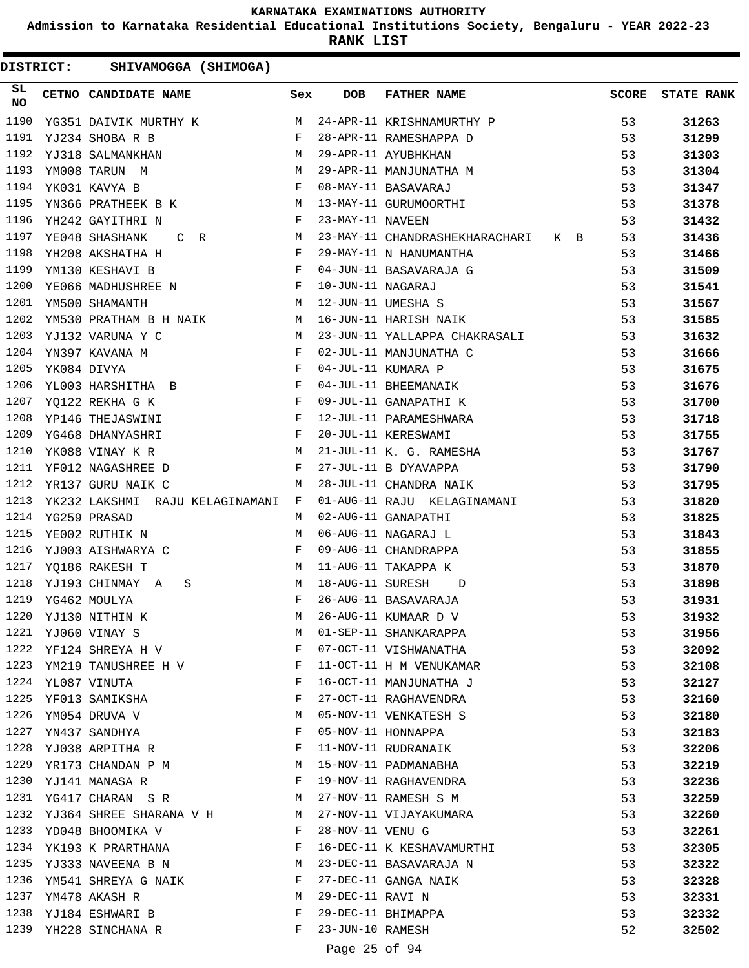**Admission to Karnataka Residential Educational Institutions Society, Bengaluru - YEAR 2022-23**

**RANK LIST**

| SL<br><b>NO</b> | CETNO CANDIDATE NAME Sex                                                                                                          |              | <b>DOB</b>        | <b>FATHER NAME</b>                 | <b>SCORE</b> | <b>STATE RANK</b> |
|-----------------|-----------------------------------------------------------------------------------------------------------------------------------|--------------|-------------------|------------------------------------|--------------|-------------------|
| 1190            | YG351 DAIVIK MURTHY K M 24-APR-11 KRISHNAMURTHY P                                                                                 |              |                   |                                    | 53           | 31263             |
| 1191            | $\mathbf{F}$ and $\mathbf{F}$ and $\mathbf{F}$<br>YJ234 SHOBA R B                                                                 |              |                   | 28-APR-11 RAMESHAPPA D             | 53           | 31299             |
| 1192            | M <sub>N</sub><br>YJ318 SALMANKHAN                                                                                                |              |                   | 29-APR-11 AYUBHKHAN                | 53           | 31303             |
| 1193            | M<br>YM008 TARUN M                                                                                                                |              |                   | 29-APR-11 MANJUNATHA M             | 53           | 31304             |
| 1194            | $\mathbf{F}$<br>YK031 KAVYA B                                                                                                     |              |                   | 08-MAY-11 BASAVARAJ                | 53           | 31347             |
| 1195            | YN366 PRATHEEK B K M                                                                                                              |              |                   | 13-MAY-11 GURUMOORTHI              | 53           | 31378             |
| 1196            | YH242 GAYITHRI N                                                                                                                  | $\mathbf{F}$ | 23-MAY-11 NAVEEN  |                                    | 53           | 31432             |
| 1197            | YE048 SHASHANK<br>M <sub>1</sub><br>$C$ R                                                                                         |              |                   | 23-MAY-11 CHANDRASHEKHARACHARI K B | 53           | 31436             |
| 1198            | YH208 AKSHATHA H<br>$\mathbf{F}$                                                                                                  |              |                   | 29-MAY-11 N HANUMANTHA             | 53           | 31466             |
| 1199            | $\mathbf{F}$<br>YM130 KESHAVI B                                                                                                   |              |                   | 04-JUN-11 BASAVARAJA G             | 53           | 31509             |
| 1200            | YE066 MADHUSHREE N<br>YM500 SHAMANTH M                                                                                            |              | 10-JUN-11 NAGARAJ |                                    | 53           | 31541             |
| 1201            |                                                                                                                                   |              |                   | 12-JUN-11 UMESHA S                 | 53           | 31567             |
| 1202            | YM530 PRATHAM B H NAIK M                                                                                                          |              |                   | 16-JUN-11 HARISH NAIK              | 53           | 31585             |
| 1203            | YJ132 VARUNA Y C<br>M <sub>1</sub>                                                                                                |              |                   | 23-JUN-11 YALLAPPA CHAKRASALI      | 53           | 31632             |
| 1204            | $\begin{array}{ccccc}\n\mathbf{F} & & & \mathbf{F} \\ \mathbf{F} & & & \mathbf{F}\n\end{array}$<br>YN397 KAVANA M                 |              |                   | 02-JUL-11 MANJUNATHA C             | 53           | 31666             |
| 1205            | YK084 DIVYA                                                                                                                       |              |                   | 04-JUL-11 KUMARA P                 | 53           | 31675             |
| 1206            | YL003 HARSHITHA B F                                                                                                               |              |                   | 04-JUL-11 BHEEMANAIK               | 53           | 31676             |
| 1207            | and the contract of the contract of the Party of the Party of the Party of the Party of the Party of the Party<br>YO122 REKHA G K |              |                   | 09-JUL-11 GANAPATHI K              | 53           | 31700             |
| 1208            | YP146 THEJASWINI                                                                                                                  | $\mathbf{F}$ |                   | 12-JUL-11 PARAMESHWARA             | 53           | 31718             |
| 1209            | YG468 DHANYASHRI                                                                                                                  | $\mathbf{F}$ |                   | 20-JUL-11 KERESWAMI                | 53           | 31755             |
| 1210            | YK088 VINAY K R<br><b>M</b>                                                                                                       |              |                   | 21-JUL-11 K. G. RAMESHA            | 53           | 31767             |
| 1211            | $\mathbf{F}$ . The contract of the contract of $\mathbf{F}$ .<br>YF012 NAGASHREE D                                                |              |                   | 27-JUL-11 B DYAVAPPA               | 53           | 31790             |
| 1212            | YR137 GURU NAIK C                                                                                                                 | M            |                   | 28-JUL-11 CHANDRA NAIK             | 53           | 31795             |
| 1213            | YK232 LAKSHMI RAJU KELAGINAMANI F                                                                                                 |              |                   | 01-AUG-11 RAJU KELAGINAMANI        | 53           | 31820             |
| 1214            | YG259 PRASAD                                                                                                                      | М            |                   | 02-AUG-11 GANAPATHI                | 53           | 31825             |
| 1215            | YE002 RUTHIK N                                                                                                                    | М            |                   | 06-AUG-11 NAGARAJ L                | 53           | 31843             |
| 1216            | YJ003 AISHWARYA C                                                                                                                 | F            |                   | 09-AUG-11 CHANDRAPPA               | 53           | 31855             |
| 1217            | YQ186 RAKESH T                                                                                                                    | M            |                   | 11-AUG-11 TAKAPPA K                | 53           | 31870             |
| 1218            | YJ193 CHINMAY A<br>$\mathbf{M}$<br>S                                                                                              |              | 18-AUG-11 SURESH  | $\Box$                             | 53           | 31898             |
| 1219            | YG462 MOULYA                                                                                                                      | F            |                   | 26-AUG-11 BASAVARAJA               | 53           | 31931             |
| 1220            | YJ130 NITHIN K                                                                                                                    | M            |                   | 26-AUG-11 KUMAAR D V               | 53           | 31932             |
| 1221            | YJ060 VINAY S                                                                                                                     | М            |                   | 01-SEP-11 SHANKARAPPA              | 53           | 31956             |
| 1222            | YF124 SHREYA H V                                                                                                                  | F            |                   | 07-OCT-11 VISHWANATHA              | 53           | 32092             |
| 1223            | YM219 TANUSHREE H V                                                                                                               | F            |                   | 11-OCT-11 H M VENUKAMAR            | 53           | 32108             |
|                 | 1224 YL087 VINUTA                                                                                                                 | F            |                   | 16-OCT-11 MANJUNATHA J             | 53           | 32127             |
| 1225            | YF013 SAMIKSHA                                                                                                                    | F            |                   | 27-OCT-11 RAGHAVENDRA              | 53           | 32160             |
| 1226            | YM054 DRUVA V                                                                                                                     | М            |                   | 05-NOV-11 VENKATESH S              | 53           | 32180             |
| 1227            | YN437 SANDHYA                                                                                                                     | F            |                   | 05-NOV-11 HONNAPPA                 | 53           | 32183             |
| 1228            | YJ038 ARPITHA R                                                                                                                   | F            |                   | 11-NOV-11 RUDRANAIK                | 53           | 32206             |
| 1229            | YR173 CHANDAN P M                                                                                                                 | M            |                   | 15-NOV-11 PADMANABHA               | 53           | 32219             |
| 1230            | YJ141 MANASA R                                                                                                                    | F            |                   | 19-NOV-11 RAGHAVENDRA              | 53           | 32236             |
| 1231            | YG417 CHARAN SR                                                                                                                   | M            |                   | 27-NOV-11 RAMESH S M               | 53           | 32259             |
|                 | 1232 YJ364 SHREE SHARANA V H                                                                                                      | M            |                   | 27-NOV-11 VIJAYAKUMARA             | 53           | 32260             |
| 1233            | YD048 BHOOMIKA V                                                                                                                  | F            | 28-NOV-11 VENU G  |                                    | 53           | 32261             |
| 1234            | YK193 K PRARTHANA                                                                                                                 | F            |                   | 16-DEC-11 K KESHAVAMURTHI          | 53           | 32305             |
| 1235            | YJ333 NAVEENA B N                                                                                                                 | М            |                   | 23-DEC-11 BASAVARAJA N             | 53           | 32322             |
| 1236            | YM541 SHREYA G NAIK                                                                                                               | F            |                   | 27-DEC-11 GANGA NAIK               | 53           | 32328             |
| 1237            | YM478 AKASH R                                                                                                                     | М            | 29-DEC-11 RAVI N  |                                    | 53           | 32331             |
| 1238            | YJ184 ESHWARI B                                                                                                                   | F            |                   | 29-DEC-11 BHIMAPPA                 | 53           | 32332             |
| 1239            | YH228 SINCHANA R                                                                                                                  | F            | 23-JUN-10 RAMESH  |                                    | 52           | 32502             |
|                 |                                                                                                                                   |              | Page 25 of 94     |                                    |              |                   |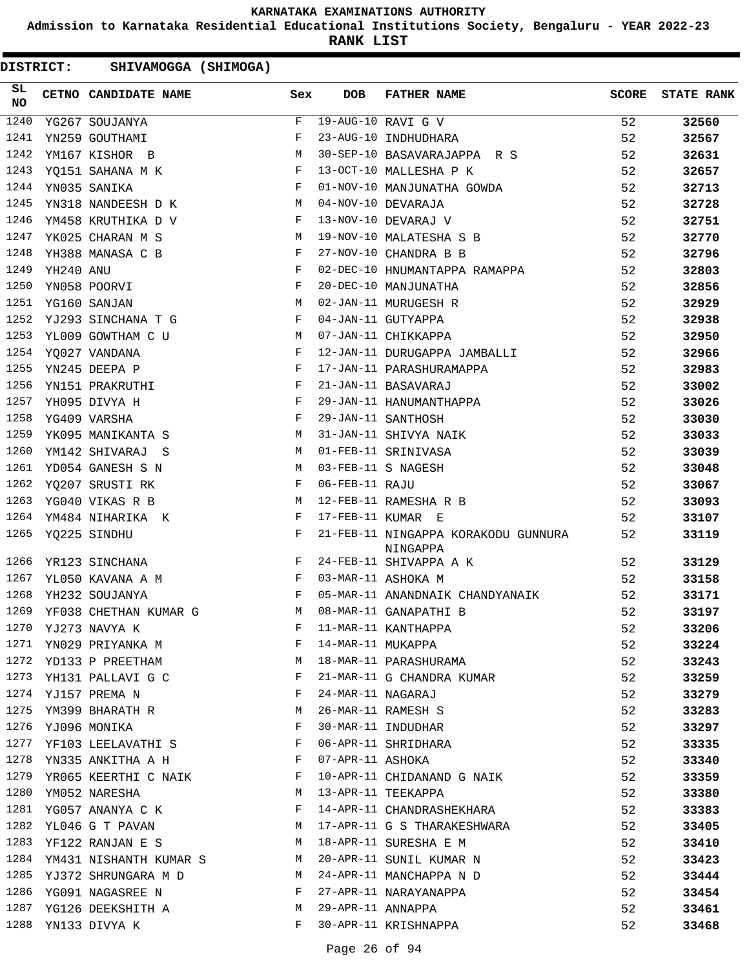**Admission to Karnataka Residential Educational Institutions Society, Bengaluru - YEAR 2022-23**

**RANK LIST**

| <b>DISTRICT:</b> |           | SHIVAMOGGA (SHIMOGA)          |          |              |                   |                                                 |       |                   |
|------------------|-----------|-------------------------------|----------|--------------|-------------------|-------------------------------------------------|-------|-------------------|
| SL<br><b>NO</b>  |           | CETNO CANDIDATE NAME          |          | Sex          | <b>DOB</b>        | FATHER NAME                                     | SCORE | <b>STATE RANK</b> |
| 1240             |           | YG267 SOUJANYA                |          | F            |                   | $19 - AUG - 10 RAVI G V$                        | 52    | 32560             |
| 1241             |           | YN259 GOUTHAMI                |          | F            |                   | 23-AUG-10 INDHUDHARA                            | 52    | 32567             |
| 1242             |           | YM167 KISHOR B                |          | М            |                   | 30-SEP-10 BASAVARAJAPPA R S                     | 52    | 32631             |
| 1243             |           | YQ151 SAHANA M K              |          | F            |                   | 13-OCT-10 MALLESHA P K                          | 52    | 32657             |
| 1244             |           | YN035 SANIKA                  |          | F            |                   | 01-NOV-10 MANJUNATHA GOWDA                      | 52    | 32713             |
| 1245             |           | YN318 NANDEESH D K            |          | M            |                   | 04-NOV-10 DEVARAJA                              | 52    | 32728             |
| 1246             |           | YM458 KRUTHIKA D V            |          | F            |                   | 13-NOV-10 DEVARAJ V                             | 52    | 32751             |
| 1247             |           | YK025 CHARAN M S              |          | M            |                   | 19-NOV-10 MALATESHA S B                         | 52    | 32770             |
| 1248             |           | YH388 MANASA C B              |          | F            |                   | 27-NOV-10 CHANDRA B B                           | 52    | 32796             |
| 1249             | YH240 ANU |                               |          | F            |                   | 02-DEC-10 HNUMANTAPPA RAMAPPA                   | 52    | 32803             |
| 1250             |           | YN058 POORVI                  |          | $_{\rm F}$   |                   | 20-DEC-10 MANJUNATHA                            | 52    | 32856             |
| 1251             |           | YG160 SANJAN                  |          | M            |                   | 02-JAN-11 MURUGESH R                            | 52    | 32929             |
| 1252             |           | YJ293 SINCHANA T G            |          | F            |                   | 04-JAN-11 GUTYAPPA                              | 52    | 32938             |
| 1253             |           | YL009 GOWTHAM C U             |          | M            |                   | 07-JAN-11 CHIKKAPPA                             | 52    | 32950             |
| 1254             |           | YQ027 VANDANA                 |          | F            |                   | 12-JAN-11 DURUGAPPA JAMBALLI                    | 52    | 32966             |
| 1255             |           | YN245 DEEPA P                 |          | F            |                   | 17-JAN-11 PARASHURAMAPPA                        | 52    | 32983             |
| 1256             |           | YN151 PRAKRUTHI               |          | F            |                   | 21-JAN-11 BASAVARAJ                             | 52    | 33002             |
| 1257             |           | YH095 DIVYA H                 |          | F            |                   | 29-JAN-11 HANUMANTHAPPA                         | 52    | 33026             |
| 1258             |           | YG409 VARSHA                  |          | $_{\rm F}$   |                   | 29-JAN-11 SANTHOSH                              | 52    | 33030             |
| 1259             |           | YK095 MANIKANTA S             |          | М            |                   | 31-JAN-11 SHIVYA NAIK                           | 52    | 33033             |
| 1260             |           | YM142 SHIVARAJ S              |          | M            |                   | 01-FEB-11 SRINIVASA                             | 52    | 33039             |
| 1261             |           | YD054 GANESH S N              |          | M            |                   | 03-FEB-11 S NAGESH                              | 52    | 33048             |
| 1262             |           | YQ207 SRUSTI RK               |          | F            | 06-FEB-11 RAJU    |                                                 | 52    | 33067             |
| 1263             |           | YG040 VIKAS R B               |          | M            |                   | 12-FEB-11 RAMESHA R B                           | 52    | 33093             |
| 1264             |           | YM484 NIHARIKA K              |          | F            | 17-FEB-11 KUMAR E |                                                 | 52    | 33107             |
| 1265             |           | YQ225 SINDHU                  |          | F            |                   | 21-FEB-11 NINGAPPA KORAKODU GUNNURA<br>NINGAPPA | 52    | 33119             |
| 1266             |           | YR123 SINCHANA                |          | F            |                   | 24-FEB-11 SHIVAPPA A K                          | 52    | 33129             |
| 1267             |           | YL050 KAVANA A M              |          | $\mathbf{F}$ |                   | 03-MAR-11 ASHOKA M                              | 52    | 33158             |
| 1268             |           | YH232 SOUJANYA                |          | F            |                   | 05-MAR-11 ANANDNAIK CHANDYANAIK                 | 52    | 33171             |
|                  |           | 1269 YF038 CHETHAN KUMAR G    |          |              |                   | M 08-MAR-11 GANAPATHI B                         | 52    | 33197             |
| 1270             |           | YJ273 NAVYA K                 |          | F            |                   | 11-MAR-11 KANTHAPPA                             | 52    | 33206             |
| 1271             |           | YN029 PRIYANKA M              |          | F            | 14-MAR-11 MUKAPPA |                                                 | 52    | 33224             |
|                  |           | 1272 YD133 P PREETHAM         |          | M            |                   | 18-MAR-11 PARASHURAMA                           | 52    | 33243             |
| 1273             |           | YH131 PALLAVI G C             |          | F            |                   | 21-MAR-11 G CHANDRA KUMAR                       | 52    | 33259             |
|                  |           | 1274 YJ157 PREMA N            |          | F            | 24-MAR-11 NAGARAJ |                                                 | 52    | 33279             |
| 1275             |           | YM399 BHARATH R               |          | M            |                   | 26-MAR-11 RAMESH S                              | 52    | 33283             |
|                  |           | 1276 YJ096 MONIKA             |          | F            |                   | 30-MAR-11 INDUDHAR                              | 52    | 33297             |
| 1277             |           | YF103 LEELAVATHI S            |          | F            |                   | 06-APR-11 SHRIDHARA                             | 52    | 33335             |
| 1278             |           | YN335 ANKITHA A H             |          | F            | 07-APR-11 ASHOKA  |                                                 | 52    | 33340             |
| 1279             |           | YR065 KEERTHI C NAIK          |          | F            |                   | 10-APR-11 CHIDANAND G NAIK                      | 52    | 33359             |
| 1280             |           | YM052 NARESHA                 |          | M            |                   | 13-APR-11 TEEKAPPA                              | 52    | 33380             |
| 1281             |           | YG057 ANANYA C K              |          | F            |                   | 14-APR-11 CHANDRASHEKHARA                       | 52    | 33383             |
| 1282             |           | YL046 G T PAVAN               |          | M            |                   | 17-APR-11 G S THARAKESHWARA                     | 52    | 33405             |
| 1283             |           | YF122 RANJAN E S              | <b>M</b> |              |                   | 18-APR-11 SURESHA E M                           | 52    | 33410             |
|                  |           | 1284 YM431 NISHANTH KUMAR S M |          |              |                   | 20-APR-11 SUNIL KUMAR N                         | 52    | 33423             |
| 1285             |           | YJ372 SHRUNGARA M D           |          | M            |                   | 24-APR-11 MANCHAPPA N D                         | 52    | 33444             |
| 1286             |           | YG091 NAGASREE N              |          | F            |                   | 27-APR-11 NARAYANAPPA                           | 52    | 33454             |
| 1287             |           | YG126 DEEKSHITH A             |          | M            | 29-APR-11 ANNAPPA |                                                 | 52    | 33461             |
|                  |           | 1288 YN133 DIVYA K            |          | F            |                   | 30-APR-11 KRISHNAPPA                            | 52    | 33468             |
|                  |           |                               |          |              |                   |                                                 |       |                   |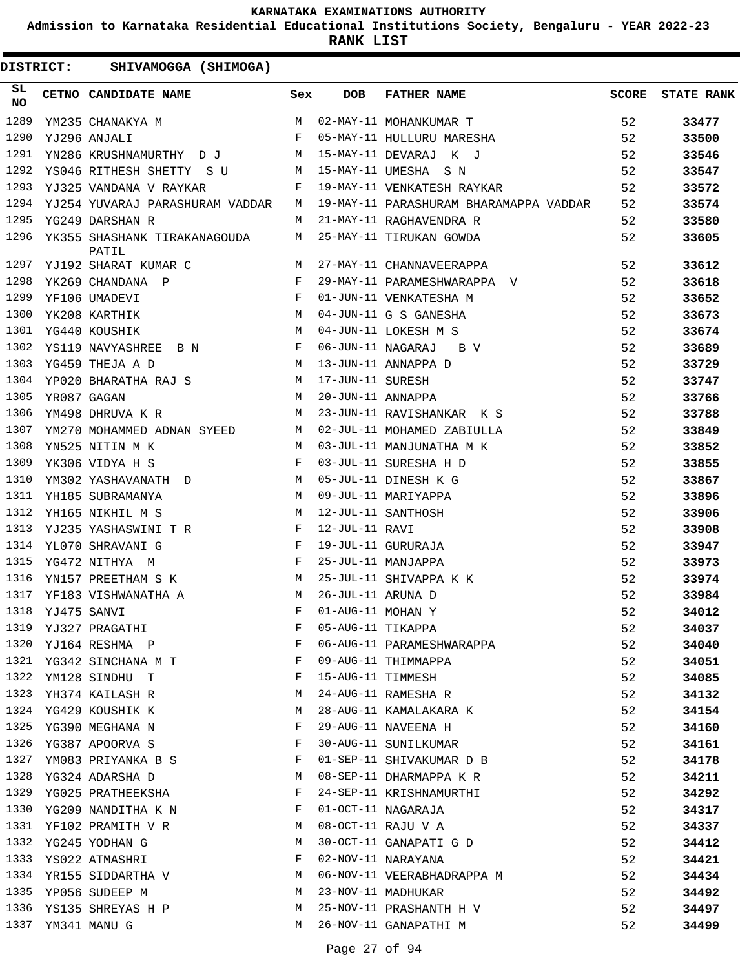**Admission to Karnataka Residential Educational Institutions Society, Bengaluru - YEAR 2022-23**

**RANK LIST**

| SL<br>NO |             | CETNO CANDIDATE NAME                                                               | Sex          | <b>DOB</b>          | FATHER NAME                                         | SCORE | <b>STATE RANK</b> |
|----------|-------------|------------------------------------------------------------------------------------|--------------|---------------------|-----------------------------------------------------|-------|-------------------|
| 1289     |             | $\begin{array}{c} \mathbf{M} \\ \mathbf{F} \end{array}$<br>YM235 CHANAKYA M        |              |                     | 02-MAY-11 MOHANKUMAR T<br>05-MAY-11 HULLURU MARESHA | 52    | 33477             |
| 1290     |             | YJ296 ANJALI                                                                       |              |                     |                                                     | 52    | 33500             |
| 1291     |             | YN286 KRUSHNAMURTHY DJ M                                                           |              |                     | 15-MAY-11 DEVARAJ K J                               | 52    | 33546             |
| 1292     |             | YS046 RITHESH SHETTY S U                                                           | M            |                     | 15-MAY-11 UMESHA S N                                | 52    | 33547             |
| 1293     |             | YJ325 VANDANA V RAYKAR                                                             | F            |                     | 19-MAY-11 VENKATESH RAYKAR                          | 52    | 33572             |
| 1294     |             | YJ254 YUVARAJ PARASHURAM VADDAR                                                    | M            |                     | 19-MAY-11 PARASHURAM BHARAMAPPA VADDAR              | 52    | 33574             |
| 1295     |             | YG249 DARSHAN R                                                                    | M            |                     | 21-MAY-11 RAGHAVENDRA R                             | 52    | 33580             |
| 1296     |             | YK355 SHASHANK TIRAKANAGOUDA<br>PATIL                                              | M            |                     | 25-MAY-11 TIRUKAN GOWDA                             | 52    | 33605             |
|          |             | 1297 YJ192 SHARAT KUMAR C                                                          | M            |                     | 27-MAY-11 CHANNAVEERAPPA                            | 52    | 33612             |
| 1298     |             | $\mathbf{F}$ and $\mathbf{F}$<br>YK269 CHANDANA P                                  |              |                     | 29-MAY-11 PARAMESHWARAPPA V                         | 52    | 33618             |
| 1299     |             | $\begin{array}{c}\n\text{F} \\ \text{F} \\ \text{M}\n\end{array}$<br>YF106 UMADEVI |              |                     | 01-JUN-11 VENKATESHA M                              | 52    | 33652             |
| 1300     |             | YK208 KARTHIK                                                                      |              |                     | 04-JUN-11 G S GANESHA                               | 52    | 33673             |
| 1301     |             | $M_{\odot}$<br>YG440 KOUSHIK                                                       |              |                     | 04-JUN-11 LOKESH M S                                | 52    | 33674             |
| 1302     |             | YS119 NAVYASHREE B N                                                               | $\mathbf{F}$ |                     | 06-JUN-11 NAGARAJ B V                               | 52    | 33689             |
| 1303     |             | YG459 THEJA A D                                                                    | M            |                     | 13-JUN-11 ANNAPPA D                                 | 52    | 33729             |
| 1304     |             | YP020 BHARATHA RAJ S M                                                             |              | 17-JUN-11 SURESH    |                                                     | 52    | 33747             |
| 1305     |             | $M_{\rm H}$<br>YR087 GAGAN                                                         |              | 20-JUN-11 ANNAPPA   |                                                     | 52    | 33766             |
| 1306     |             | YM498 DHRUVA K R                                                                   | M            |                     | 23-JUN-11 RAVISHANKAR K S                           | 52    | 33788             |
| 1307     |             | YM270 MOHAMMED ADNAN SYEED                                                         | M            |                     | 02-JUL-11 MOHAMED ZABIULLA                          | 52    | 33849             |
| 1308     |             | YN525 NITIN M K                                                                    | M            |                     | 03-JUL-11 MANJUNATHA M K                            | 52    | 33852             |
| 1309     |             | YK306 VIDYA H S                                                                    | F            |                     | 03-JUL-11 SURESHA H D                               | 52    | 33855             |
| 1310     |             | YM302 YASHAVANATH D M                                                              |              |                     | 05-JUL-11 DINESH K G                                | 52    | 33867             |
| 1311     |             | YH185 SUBRAMANYA                                                                   | M            |                     | 09-JUL-11 MARIYAPPA                                 | 52    | 33896             |
| 1312     |             | YH165 NIKHIL M S<br><b>M</b>                                                       |              |                     | 12-JUL-11 SANTHOSH                                  | 52    | 33906             |
| 1313     |             | YJ235 YASHASWINI T R F                                                             |              | 12-JUL-11 RAVI      |                                                     | 52    | 33908             |
| 1314     |             | $\mathbf{F}$ and $\mathbf{F}$<br>YL070 SHRAVANI G                                  |              |                     | 19-JUL-11 GURURAJA                                  | 52    | 33947             |
| 1315     |             | YG472 NITHYA M                                                                     | F            |                     | 25-JUL-11 MANJAPPA                                  | 52    | 33973             |
| 1316     |             | YN157 PREETHAM S K                                                                 | M            |                     | 25-JUL-11 SHIVAPPA K K                              | 52    | 33974             |
| 1317     |             | YF183 VISHWANATHA A                                                                | M            | 26-JUL-11 ARUNA D   |                                                     | 52    | 33984             |
| 1318     | YJ475 SANVI |                                                                                    | F            | 01-AUG-11 MOHAN Y   |                                                     | 52    | 34012             |
|          |             | 1319 YJ327 PRAGATHI                                                                |              | F 05-AUG-11 TIKAPPA |                                                     | 52    | 34037             |
| 1320     |             | YJ164 RESHMA P                                                                     | F            |                     | 06-AUG-11 PARAMESHWARAPPA                           | 52    | 34040             |
| 1321     |             | YG342 SINCHANA M T                                                                 | F            |                     | 09-AUG-11 THIMMAPPA                                 | 52    | 34051             |
| 1322     |             | YM128 SINDHU T                                                                     | F            | 15-AUG-11 TIMMESH   |                                                     | 52    | 34085             |
| 1323     |             | YH374 KAILASH R                                                                    | M            |                     | 24-AUG-11 RAMESHA R                                 | 52    | 34132             |
| 1324     |             | YG429 KOUSHIK K                                                                    | М            |                     | 28-AUG-11 KAMALAKARA K                              | 52    | 34154             |
| 1325     |             | YG390 MEGHANA N                                                                    | F            |                     | 29-AUG-11 NAVEENA H                                 | 52    | 34160             |
| 1326     |             | YG387 APOORVA S                                                                    | F            |                     | 30-AUG-11 SUNILKUMAR                                | 52    | 34161             |
| 1327     |             | YM083 PRIYANKA B S                                                                 | F            |                     | 01-SEP-11 SHIVAKUMAR D B                            | 52    | 34178             |
| 1328     |             | YG324 ADARSHA D                                                                    | М            |                     | 08-SEP-11 DHARMAPPA K R                             | 52    | 34211             |
| 1329     |             | YG025 PRATHEEKSHA                                                                  | F            |                     | 24-SEP-11 KRISHNAMURTHI                             | 52    | 34292             |
| 1330     |             | YG209 NANDITHA K N                                                                 | F            |                     | 01-OCT-11 NAGARAJA                                  | 52    | 34317             |
| 1331     |             | YF102 PRAMITH V R                                                                  | M            |                     | 08-OCT-11 RAJU V A                                  | 52    | 34337             |
| 1332     |             | YG245 YODHAN G                                                                     | M            |                     | 30-OCT-11 GANAPATI G D                              | 52    | 34412             |
| 1333     |             | YS022 ATMASHRI                                                                     | F            |                     | 02-NOV-11 NARAYANA                                  | 52    | 34421             |
| 1334     |             | YR155 SIDDARTHA V                                                                  | M            |                     | 06-NOV-11 VEERABHADRAPPA M                          | 52    | 34434             |
| 1335     |             | YP056 SUDEEP M                                                                     | M            |                     | 23-NOV-11 MADHUKAR                                  | 52    | 34492             |
| 1336     |             | YS135 SHREYAS H P                                                                  | М            |                     | 25-NOV-11 PRASHANTH H V                             | 52    | 34497             |
| 1337     |             | YM341 MANU G                                                                       | М            |                     | 26-NOV-11 GANAPATHI M                               | 52    | 34499             |
|          |             |                                                                                    |              |                     |                                                     |       |                   |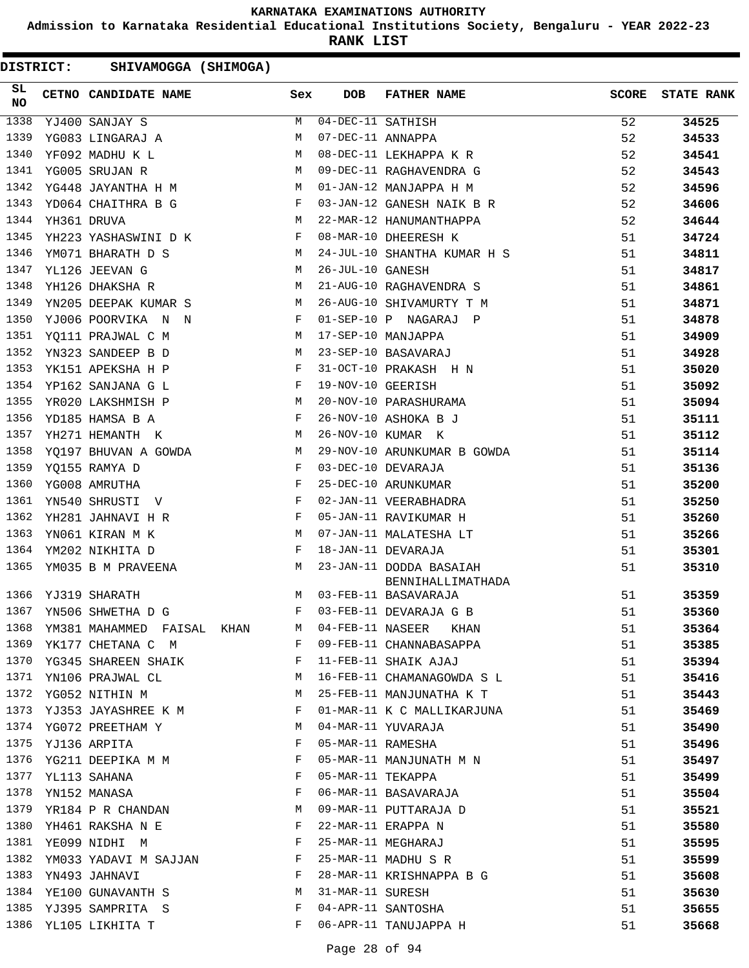**Admission to Karnataka Residential Educational Institutions Society, Bengaluru - YEAR 2022-23**

**RANK LIST**

| SL<br><b>NO</b> | CETNO CANDIDATE NAME Sex                                                                                                                                                                                                                               |              | <b>DOB</b>        | <b>FATHER NAME</b>          | <b>SCORE</b> | <b>STATE RANK</b> |
|-----------------|--------------------------------------------------------------------------------------------------------------------------------------------------------------------------------------------------------------------------------------------------------|--------------|-------------------|-----------------------------|--------------|-------------------|
| 1338            | YJ400 SANJAY S                                                                                                                                                                                                                                         | M            | 04-DEC-11 SATHISH |                             | 52           | 34525             |
| 1339            | YG083 LINGARAJ A                                                                                                                                                                                                                                       | M            | 07-DEC-11 ANNAPPA |                             | 52           | 34533             |
| 1340            | YF092 MADHU K L                                                                                                                                                                                                                                        | M            |                   | 08-DEC-11 LEKHAPPA K R      | 52           | 34541             |
| 1341            | YG005 SRUJAN R                                                                                                                                                                                                                                         | M            |                   | 09-DEC-11 RAGHAVENDRA G     | 52           | 34543             |
| 1342            | YG448 JAYANTHA H M                                                                                                                                                                                                                                     |              |                   | 01-JAN-12 MANJAPPA H M      | 52           | 34596             |
| 1343            | YD064 CHAITHRA B G F                                                                                                                                                                                                                                   |              |                   | 03-JAN-12 GANESH NAIK B R   | 52           | 34606             |
| 1344            | YH361 DRUVA                                                                                                                                                                                                                                            | M            |                   | 22-MAR-12 HANUMANTHAPPA     | 52           | 34644             |
| 1345            | YH223 YASHASWINI D K                                                                                                                                                                                                                                   | F            |                   | 08-MAR-10 DHEERESH K        | 51           | 34724             |
| 1346            | YM071 BHARATH D S<br><b>M</b>                                                                                                                                                                                                                          |              |                   | 24-JUL-10 SHANTHA KUMAR H S | 51           | 34811             |
| 1347            | YL126 JEEVAN G<br>$\mathbf{M}$                                                                                                                                                                                                                         |              | 26-JUL-10 GANESH  |                             | 51           | 34817             |
| 1348            | YH126 DHAKSHA R                                                                                                                                                                                                                                        | M            |                   | 21-AUG-10 RAGHAVENDRA S     | 51           | 34861             |
| 1349            | YN205 DEEPAK KUMAR S<br>M <sub>1</sub>                                                                                                                                                                                                                 |              |                   | 26-AUG-10 SHIVAMURTY T M    | 51           | 34871             |
| 1350            | YJ006 POORVIKA N N<br>$\mathbf{F}$                                                                                                                                                                                                                     |              |                   | 01-SEP-10 P NAGARAJ P       | 51           | 34878             |
| 1351            | YO111 PRAJWAL C M<br>$\mathbb{M}$                                                                                                                                                                                                                      |              |                   | 17-SEP-10 MANJAPPA          | 51           | 34909             |
| 1352            | M<br>YN323 SANDEEP B D                                                                                                                                                                                                                                 |              |                   | 23-SEP-10 BASAVARAJ         | 51           | 34928             |
| 1353            | YK151 APEKSHA H P                                                                                                                                                                                                                                      | F            |                   | 31-OCT-10 PRAKASH H N       | 51           | 35020             |
| 1354            | $\mathbf{F}$ and the contract of the contract $\mathbf{F}$<br>YP162 SANJANA G L                                                                                                                                                                        |              | 19-NOV-10 GEERISH |                             | 51           | 35092             |
| 1355            | YR020 LAKSHMISH P<br>$\mathbf{M}$                                                                                                                                                                                                                      |              |                   | 20-NOV-10 PARASHURAMA       | 51           | 35094             |
| 1356            | YD185 HAMSA B A                                                                                                                                                                                                                                        | $\mathbf{F}$ |                   | 26-NOV-10 ASHOKA B J        | 51           | 35111             |
| 1357            | YH271 HEMANTH K                                                                                                                                                                                                                                        | M            |                   | 26-NOV-10 KUMAR K           | 51           | 35112             |
| 1358            | YQ197 BHUVAN A GOWDA M                                                                                                                                                                                                                                 |              |                   | 29-NOV-10 ARUNKUMAR B GOWDA | 51           | 35114             |
| 1359            | $\mathbf{F}$<br>YQ155 RAMYA D                                                                                                                                                                                                                          |              |                   | 03-DEC-10 DEVARAJA          | 51           | 35136             |
| 1360            | $\mathbf{F}$<br>YG008 AMRUTHA                                                                                                                                                                                                                          |              |                   | 25-DEC-10 ARUNKUMAR         | 51           | 35200             |
| 1361            | YN540 SHRUSTI V                                                                                                                                                                                                                                        | F            |                   | 02-JAN-11 VEERABHADRA       | 51           | 35250             |
| 1362            | YH281 JAHNAVI H R<br>$\mathbf{F}$ and the set of the set of the set of the set of the set of the set of the set of the set of the set of the set of the set of the set of the set of the set of the set of the set of the set of the set of the set of |              |                   | 05-JAN-11 RAVIKUMAR H       | 51           | 35260             |
| 1363            | YN061 KIRAN M K                                                                                                                                                                                                                                        | M            |                   | 07-JAN-11 MALATESHA LT      | 51           | 35266             |
| 1364            | YM202 NIKHITA D                                                                                                                                                                                                                                        | $\mathbf{F}$ |                   | 18-JAN-11 DEVARAJA          | 51           | 35301             |
| 1365            | YM035 B M PRAVEENA M                                                                                                                                                                                                                                   |              |                   | 23-JAN-11 DODDA BASAIAH     | 51           | 35310             |
|                 |                                                                                                                                                                                                                                                        |              |                   | BENNIHALLIMATHADA           |              |                   |
| 1366            | YJ319 SHARATH                                                                                                                                                                                                                                          | M            |                   | 03-FEB-11 BASAVARAJA        | 51           | 35359             |
| 1367            | YN506 SHWETHA D G                                                                                                                                                                                                                                      | F            |                   | 03-FEB-11 DEVARAJA G B      | 51           | 35360             |
| 1368            | YM381 MAHAMMED FAISAL KHAN                                                                                                                                                                                                                             | M            |                   | 04-FEB-11 NASEER<br>KHAN    | 51           | 35364             |
| 1369            | YK177 CHETANA C M                                                                                                                                                                                                                                      | F            |                   | 09-FEB-11 CHANNABASAPPA     | 51           | 35385             |
| 1370            | YG345 SHAREEN SHAIK                                                                                                                                                                                                                                    | F            |                   | 11-FEB-11 SHAIK AJAJ        | 51           | 35394             |
| 1371            | YN106 PRAJWAL CL                                                                                                                                                                                                                                       | М            |                   | 16-FEB-11 CHAMANAGOWDA S L  | 51           | 35416             |
| 1372            | YG052 NITHIN M                                                                                                                                                                                                                                         | М            |                   | 25-FEB-11 MANJUNATHA K T    | 51           | 35443             |
| 1373            | YJ353 JAYASHREE K M                                                                                                                                                                                                                                    | F            |                   | 01-MAR-11 K C MALLIKARJUNA  | 51           | 35469             |
|                 | 1374 YG072 PREETHAM Y                                                                                                                                                                                                                                  | M            |                   | 04-MAR-11 YUVARAJA          | 51           | 35490             |
| 1375            | YJ136 ARPITA                                                                                                                                                                                                                                           | F            | 05-MAR-11 RAMESHA |                             | 51           | 35496             |
| 1376            | YG211 DEEPIKA M M                                                                                                                                                                                                                                      | F            |                   | 05-MAR-11 MANJUNATH M N     | 51           | 35497             |
| 1377            | YL113 SAHANA                                                                                                                                                                                                                                           | F            | 05-MAR-11 TEKAPPA |                             | 51           | 35499             |
| 1378            | YN152 MANASA                                                                                                                                                                                                                                           | F            |                   | 06-MAR-11 BASAVARAJA        | 51           | 35504             |
| 1379            | YR184 P R CHANDAN                                                                                                                                                                                                                                      | M            |                   | 09-MAR-11 PUTTARAJA D       | 51           | 35521             |
| 1380            | YH461 RAKSHA N E                                                                                                                                                                                                                                       | F            |                   | 22-MAR-11 ERAPPA N          | 51           | 35580             |
| 1381            | YE099 NIDHI M                                                                                                                                                                                                                                          | F            |                   | 25-MAR-11 MEGHARAJ          | 51           | 35595             |
| 1382            | YM033 YADAVI M SAJJAN                                                                                                                                                                                                                                  | F            |                   | 25-MAR-11 MADHU S R         | 51           | 35599             |
| 1383            | YN493 JAHNAVI                                                                                                                                                                                                                                          | F            |                   | 28-MAR-11 KRISHNAPPA B G    | 51           | 35608             |
| 1384            | YE100 GUNAVANTH S                                                                                                                                                                                                                                      | М            | 31-MAR-11 SURESH  |                             | 51           | 35630             |
| 1385            | YJ395 SAMPRITA S                                                                                                                                                                                                                                       | F            |                   | 04-APR-11 SANTOSHA          | 51           | 35655             |
| 1386            | YL105 LIKHITA T                                                                                                                                                                                                                                        | F            |                   | 06-APR-11 TANUJAPPA H       | 51           | 35668             |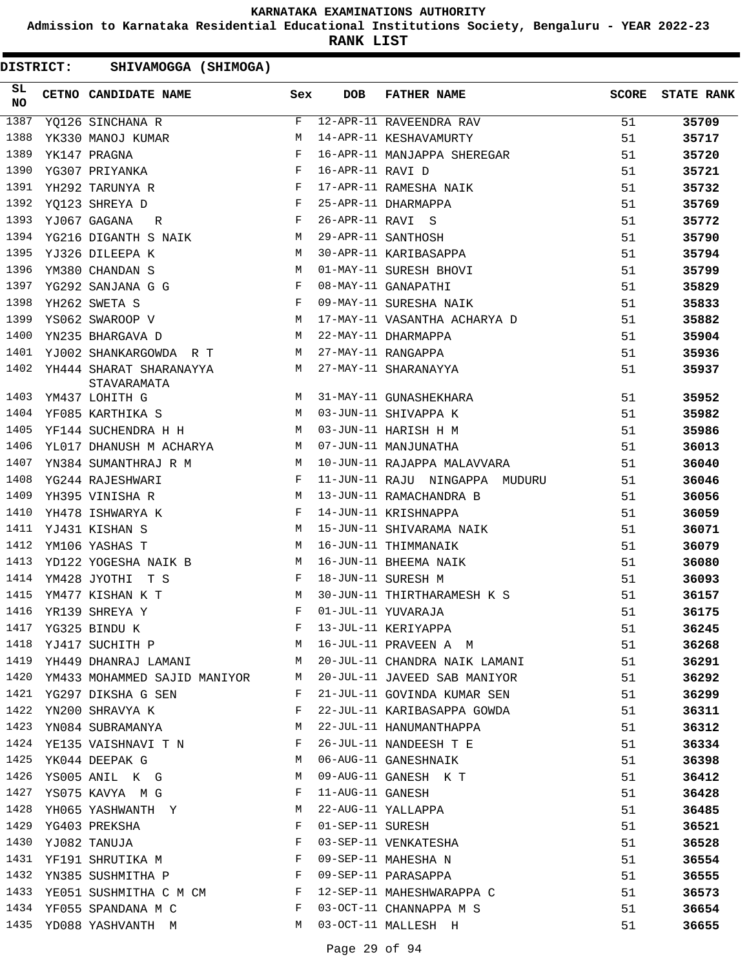**Admission to Karnataka Residential Educational Institutions Society, Bengaluru - YEAR 2022-23**

**RANK LIST**

| SL<br><b>NO</b> | CETNO CANDIDATE NAME                                                              | Sex          | DOB              | FATHER NAME                    | <b>SCORE</b> | <b>STATE RANK</b> |
|-----------------|-----------------------------------------------------------------------------------|--------------|------------------|--------------------------------|--------------|-------------------|
| 1387            | YQ126 SINCHANA R                                                                  | F            |                  | 12-APR-11 RAVEENDRA RAV        | 51           | 35709             |
| 1388            | YK330 MANOJ KUMAR                                                                 | M            |                  | 14-APR-11 KESHAVAMURTY         | 51           | 35717             |
| 1389            | YK147 PRAGNA                                                                      | $\mathbf{F}$ |                  | 16-APR-11 MANJAPPA SHEREGAR    | 51           | 35720             |
| 1390            | YG307 PRIYANKA                                                                    | $\mathbf{F}$ | 16-APR-11 RAVI D |                                | 51           | 35721             |
| 1391            | $\mathbf{F} = \mathbf{F} \times \mathbf{F} \times \mathbf{F}$<br>YH292 TARUNYA R  |              |                  | 17-APR-11 RAMESHA NAIK         | 51           | 35732             |
| 1392            | <b>Experimental Service Service</b><br>YQ123 SHREYA D                             |              |                  | 25-APR-11 DHARMAPPA            | 51           | 35769             |
| 1393            | $\mathbf{F}$<br>YJ067 GAGANA<br>R                                                 |              | 26-APR-11 RAVI S |                                | 51           | 35772             |
| 1394            | YG216 DIGANTH S NAIK                                                              | M            |                  | 29-APR-11 SANTHOSH             | 51           | 35790             |
| 1395            | YJ326 DILEEPA K                                                                   | M            |                  | 30-APR-11 KARIBASAPPA          | 51           | 35794             |
| 1396            | YM380 CHANDAN S<br>$\mathbf{M}$                                                   |              |                  | 01-MAY-11 SURESH BHOVI         | 51           | 35799             |
| 1397            | $\mathbf{F}$ and $\mathbf{F}$ and $\mathbf{F}$<br>YG292 SANJANA G G               |              |                  | 08-MAY-11 GANAPATHI            | 51           | 35829             |
| 1398            | $\mathbf{F}^{\mathrm{c}}$ . The $\mathbf{F}^{\mathrm{c}}$<br>YH262 SWETA S        |              |                  | 09-MAY-11 SURESHA NAIK         | 51           | 35833             |
| 1399            | $\overline{M}$<br>YS062 SWAROOP V                                                 |              |                  | 17-MAY-11 VASANTHA ACHARYA D   | 51           | 35882             |
| 1400            | <b>M</b><br>YN235 BHARGAVA D                                                      |              |                  | 22-MAY-11 DHARMAPPA            | 51           | 35904             |
| 1401            | YJ002 SHANKARGOWDA R T M                                                          |              |                  | 27-MAY-11 RANGAPPA             | 51           | 35936             |
| 1402            | YH444 SHARAT SHARANAYYA<br>M <sub>1</sub><br>STAVARAMATA                          |              |                  | 27-MAY-11 SHARANAYYA           | 51           | 35937             |
| 1403            | YM437 LOHITH G                                                                    |              |                  | M 31-MAY-11 GUNASHEKHARA       | 51           | 35952             |
| 1404            | YF085 KARTHIKA S                                                                  | M            |                  | 03-JUN-11 SHIVAPPA K           | 51           | 35982             |
| 1405            | YF144 SUCHENDRA H H                                                               |              |                  | 03-JUN-11 HARISH H M           | 51           | 35986             |
| 1406            | YL017 DHANUSH M ACHARYA M                                                         |              |                  | 07-JUN-11 MANJUNATHA           | 51           | 36013             |
| 1407            | $M_{\odot}$<br>YN384 SUMANTHRAJ R M                                               |              |                  | 10-JUN-11 RAJAPPA MALAVVARA    | 51           | 36040             |
| 1408            | YG244 RAJESHWARI                                                                  | $$\rm \,F$$  |                  | 11-JUN-11 RAJU NINGAPPA MUDURU | 51           | 36046             |
| 1409            | M <sub>1</sub><br>YH395 VINISHA R                                                 |              |                  | 13-JUN-11 RAMACHANDRA B        | 51           | 36056             |
| 1410            | $\mathbf{F}$ and the contract of the contract of $\mathbf{F}$<br>YH478 ISHWARYA K |              |                  | 14-JUN-11 KRISHNAPPA           | 51           | 36059             |
| 1411            | M<br>YJ431 KISHAN S                                                               |              |                  | 15-JUN-11 SHIVARAMA NAIK       | 51           | 36071             |
| 1412            | YM106 YASHAS T                                                                    | M            |                  | 16-JUN-11 THIMMANAIK           | 51           | 36079             |
| 1413            | YD122 YOGESHA NAIK B                                                              | M            |                  | 16-JUN-11 BHEEMA NAIK          | 51           | 36080             |
| 1414            | YM428 JYOTHI T S                                                                  | F            |                  | 18-JUN-11 SURESH M             | 51           | 36093             |
| 1415            | YM477 KISHAN K T                                                                  | M            |                  | 30-JUN-11 THIRTHARAMESH K S    | 51           | 36157             |
| 1416            | YR139 SHREYA Y                                                                    | F            |                  | 01-JUL-11 YUVARAJA             | 51           | 36175             |
| 1417            | YG325 BINDU K                                                                     | F            |                  | 13-JUL-11 KERIYAPPA            | 51           | 36245             |
| 1418            | YJ417 SUCHITH P                                                                   | M            |                  | 16-JUL-11 PRAVEEN A M          | 51           | 36268             |
| 1419            | YH449 DHANRAJ LAMANI M                                                            |              |                  | 20-JUL-11 CHANDRA NAIK LAMANI  | 51           | 36291             |
| 1420            | YM433 MOHAMMED SAJID MANIYOR M                                                    |              |                  | 20-JUL-11 JAVEED SAB MANIYOR   | 51           | 36292             |
| 1421            | YG297 DIKSHA G SEN                                                                | F            |                  | 21-JUL-11 GOVINDA KUMAR SEN    | 51           | 36299             |
| 1422            | YN200 SHRAVYA K                                                                   | F            |                  | 22-JUL-11 KARIBASAPPA GOWDA    | 51           | 36311             |
| 1423            | YN084 SUBRAMANYA                                                                  | M            |                  | 22-JUL-11 HANUMANTHAPPA        | 51           | 36312             |
| 1424            | YE135 VAISHNAVI T N                                                               | F            |                  | 26-JUL-11 NANDEESH T E         | 51           | 36334             |
| 1425            | YK044 DEEPAK G                                                                    | М            |                  | 06-AUG-11 GANESHNAIK           | 51           | 36398             |
| 1426            | YS005 ANIL K G                                                                    | М            |                  | 09-AUG-11 GANESH K T           | 51           | 36412             |
| 1427            | YS075 KAVYA MG                                                                    | F            | 11-AUG-11 GANESH |                                | 51           | 36428             |
| 1428            | YH065 YASHWANTH Y                                                                 | M            |                  | 22-AUG-11 YALLAPPA             | 51           | 36485             |
| 1429            | YG403 PREKSHA                                                                     | F            | 01-SEP-11 SURESH |                                | 51           | 36521             |
| 1430            | YJ082 TANUJA                                                                      | F            |                  | 03-SEP-11 VENKATESHA           | 51           | 36528             |
| 1431            | YF191 SHRUTIKA M                                                                  | $\mathbf{F}$ |                  | 09-SEP-11 MAHESHA N            | 51           | 36554             |
| 1432            | YN385 SUSHMITHA P                                                                 | $\mathbf{F}$ |                  | 09-SEP-11 PARASAPPA            | 51           | 36555             |
| 1433            | YE051 SUSHMITHA C M CM F                                                          |              |                  | 12-SEP-11 MAHESHWARAPPA C      | 51           | 36573             |
| 1434            | YF055 SPANDANA M C                                                                | F            |                  | 03-OCT-11 CHANNAPPA M S        | 51           | 36654             |
|                 | 1435 YD088 YASHVANTH M                                                            | M            |                  | 03-OCT-11 MALLESH H            | 51           | 36655             |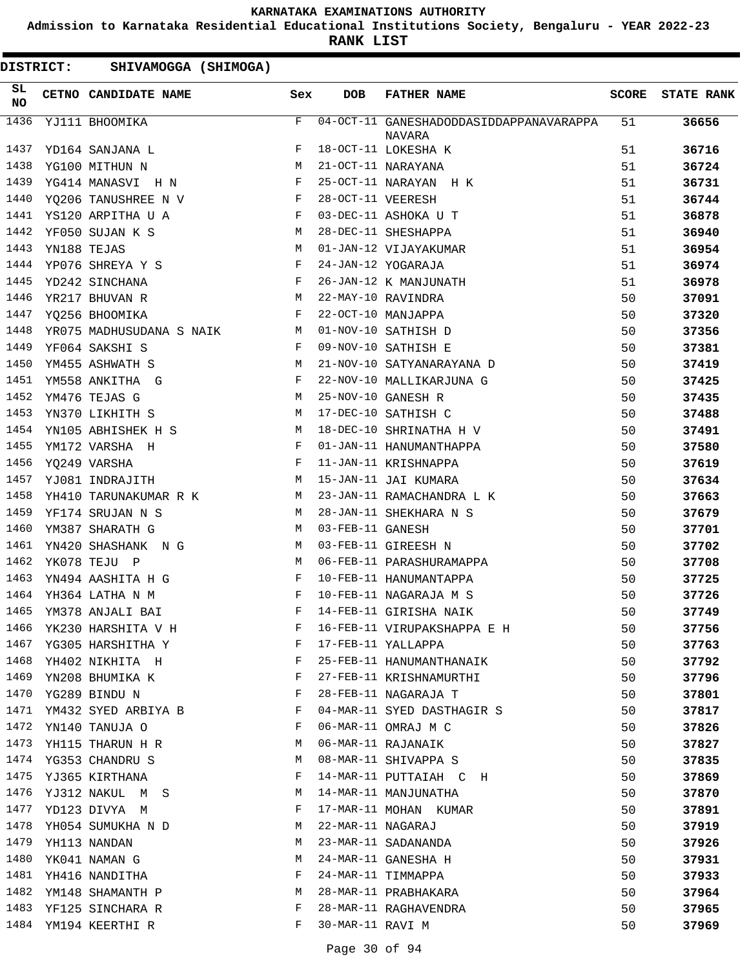**Admission to Karnataka Residential Educational Institutions Society, Bengaluru - YEAR 2022-23**

**RANK LIST**

| <b>DISTRICT:</b> |             | SHIVAMOGGA (SHIMOGA)                       |              |                   |                                                   |              |                   |
|------------------|-------------|--------------------------------------------|--------------|-------------------|---------------------------------------------------|--------------|-------------------|
| SL<br>NO         |             | CETNO CANDIDATE NAME                       | Sex          | <b>DOB</b>        | <b>FATHER NAME</b>                                | <b>SCORE</b> | <b>STATE RANK</b> |
| 1436             |             | YJ111 BHOOMIKA                             | F            |                   | 04-OCT-11 GANESHADODDASIDDAPPANAVARAPPA<br>NAVARA | 51           | 36656             |
| 1437             |             | YD164 SANJANA L                            | F            |                   | 18-OCT-11 LOKESHA K                               | 51           | 36716             |
| 1438             |             | YG100 MITHUN N                             | M            |                   | 21-OCT-11 NARAYANA                                | 51           | 36724             |
| 1439             |             | YG414 MANASVI H N                          | F            |                   | 25-OCT-11 NARAYAN H K                             | 51           | 36731             |
| 1440             |             | YQ206 TANUSHREE N V                        | $\mathbf{F}$ | 28-OCT-11 VEERESH |                                                   | 51           | 36744             |
| 1441             |             | YS120 ARPITHA U A                          | F            |                   | 03-DEC-11 ASHOKA U T                              | 51           | 36878             |
| 1442             |             | YF050 SUJAN K S                            | М            |                   | 28-DEC-11 SHESHAPPA                               | 51           | 36940             |
| 1443             | YN188 TEJAS |                                            | M            |                   | 01-JAN-12 VIJAYAKUMAR                             | 51           | 36954             |
| 1444             |             | YP076 SHREYA Y S                           | $_{\rm F}$   |                   | 24-JAN-12 YOGARAJA                                | 51           | 36974             |
| 1445             |             | YD242 SINCHANA                             | F            |                   | 26-JAN-12 K MANJUNATH                             | 51           | 36978             |
| 1446             |             | YR217 BHUVAN R                             | М            |                   | 22-MAY-10 RAVINDRA                                | 50           | 37091             |
| 1447             |             | YQ256 BHOOMIKA                             | F            |                   | 22-OCT-10 MANJAPPA                                | 50           | 37320             |
| 1448             |             | YR075 MADHUSUDANA S NAIK<br>M <sub>N</sub> |              |                   | 01-NOV-10 SATHISH D                               | 50           | 37356             |
| 1449             |             | YF064 SAKSHI S                             | F            |                   | 09-NOV-10 SATHISH E                               | 50           | 37381             |
| 1450             |             | YM455 ASHWATH S                            | М            |                   | 21-NOV-10 SATYANARAYANA D                         | 50           | 37419             |
| 1451             |             | YM558 ANKITHA G                            | F            |                   | 22-NOV-10 MALLIKARJUNA G                          | 50           | 37425             |
| 1452             |             | YM476 TEJAS G                              | M            |                   | 25-NOV-10 GANESH R                                | 50           | 37435             |
| 1453             |             | YN370 LIKHITH S                            | M            |                   | 17-DEC-10 SATHISH C                               | 50           | 37488             |
| 1454             |             | YN105 ABHISHEK H S                         | M            |                   | 18-DEC-10 SHRINATHA H V                           | 50           | 37491             |
| 1455             |             | YM172 VARSHA H                             | F            |                   | 01-JAN-11 HANUMANTHAPPA                           | 50           | 37580             |
| 1456             |             | YQ249 VARSHA                               | F            |                   | 11-JAN-11 KRISHNAPPA                              | 50           | 37619             |
| 1457             |             | YJ081 INDRAJITH                            | M            |                   | 15-JAN-11 JAI KUMARA                              | 50           | 37634             |
| 1458             |             | YH410 TARUNAKUMAR R K                      | M            |                   | 23-JAN-11 RAMACHANDRA L K                         | 50           | 37663             |
| 1459             |             | YF174 SRUJAN N S                           | M            |                   | 28-JAN-11 SHEKHARA N S                            | 50           | 37679             |
| 1460             |             | YM387 SHARATH G                            | M            | 03-FEB-11 GANESH  |                                                   | 50           | 37701             |
| 1461             |             | YN420 SHASHANK N G                         | M            |                   | 03-FEB-11 GIREESH N                               | 50           | 37702             |
| 1462             |             | YK078 TEJU P                               | M            |                   | 06-FEB-11 PARASHURAMAPPA                          | 50           | 37708             |
| 1463             |             | YN494 AASHITA H G                          | F            |                   | 10-FEB-11 HANUMANTAPPA                            | 50           | 37725             |
|                  |             | 1464 YH364 LATHA N M                       | F            |                   | 10-FEB-11 NAGARAJA M S                            | 50           | 37726             |
|                  |             | 1465 YM378 ANJALI BAI                      |              |                   | F 14-FEB-11 GIRISHA NAIK                          | 50           | 37749             |
| 1466             |             | YK230 HARSHITA V H                         | F            |                   | 16-FEB-11 VIRUPAKSHAPPA E H                       | 50           | 37756             |
| 1467             |             | YG305 HARSHITHA Y                          | F            |                   | 17-FEB-11 YALLAPPA                                | 50           | 37763             |
| 1468             |             | YH402 NIKHITA H                            | F            |                   | 25-FEB-11 HANUMANTHANAIK                          | 50           | 37792             |
| 1469             |             | YN208 BHUMIKA K                            | F            |                   | 27-FEB-11 KRISHNAMURTHI                           | 50           | 37796             |
| 1470             |             | YG289 BINDU N                              | F            |                   | 28-FEB-11 NAGARAJA T                              | 50           | 37801             |
| 1471             |             | YM432 SYED ARBIYA B                        | F            |                   | 04-MAR-11 SYED DASTHAGIR S                        | 50           | 37817             |
| 1472             |             | YN140 TANUJA O                             | F            |                   | 06-MAR-11 OMRAJ M C                               | 50           | 37826             |
| 1473             |             | YH115 THARUN H R                           | М            |                   | 06-MAR-11 RAJANAIK                                | 50           | 37827             |
| 1474             |             | YG353 CHANDRU S                            | М            |                   | 08-MAR-11 SHIVAPPA S                              | 50           | 37835             |
| 1475             |             | YJ365 KIRTHANA                             | F            |                   | 14-MAR-11 PUTTAIAH C H                            | 50           | 37869             |
| 1476             |             | YJ312 NAKUL M S                            | М            |                   | 14-MAR-11 MANJUNATHA                              | 50           | 37870             |
| 1477             |             | YD123 DIVYA M                              | F            |                   | 17-MAR-11 MOHAN KUMAR                             | 50           | 37891             |
| 1478             |             | YH054 SUMUKHA N D                          | М            | 22-MAR-11 NAGARAJ |                                                   | 50           | 37919             |
| 1479             |             | YH113 NANDAN                               | М            |                   | 23-MAR-11 SADANANDA                               | 50           | 37926             |
| 1480             |             | YK041 NAMAN G                              | М            |                   | 24-MAR-11 GANESHA H                               | 50           | 37931             |
| 1481             |             | YH416 NANDITHA                             | F            |                   | 24-MAR-11 TIMMAPPA                                | 50           | 37933             |
| 1482             |             | YM148 SHAMANTH P                           | М            |                   | 28-MAR-11 PRABHAKARA                              | 50           | 37964             |
| 1483             |             | YF125 SINCHARA R                           | F            |                   | 28-MAR-11 RAGHAVENDRA                             | 50           | 37965             |
| 1484             |             | YM194 KEERTHI R                            | F            | 30-MAR-11 RAVI M  |                                                   | 50           | 37969             |
|                  |             |                                            |              |                   |                                                   |              |                   |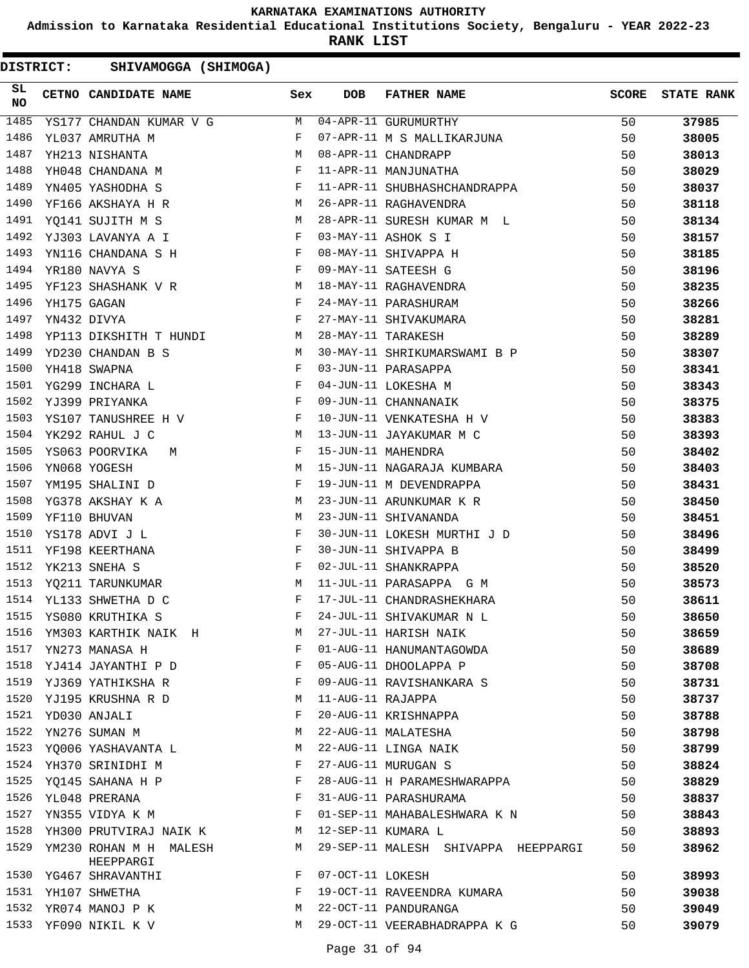**Admission to Karnataka Residential Educational Institutions Society, Bengaluru - YEAR 2022-23**

**RANK LIST**

| SL<br><b>NO</b> | CETNO CANDIDATE NAME                                                                                                                                                                                                                                 | Sex          | <b>DOB</b>        | <b>FATHER NAME</b>                              | SCORE | <b>STATE RANK</b> |
|-----------------|------------------------------------------------------------------------------------------------------------------------------------------------------------------------------------------------------------------------------------------------------|--------------|-------------------|-------------------------------------------------|-------|-------------------|
| 1485            |                                                                                                                                                                                                                                                      |              |                   | YS177 CHANDAN KUMAR V G M 04-APR-11 GURUMURTHY  | 50    | 37985             |
| 1486            | $\mathbf{F}$ and the set of the set of the set of the set of the set of the set of the set of the set of the set of the set of the set of the set of the set of the set of the set of the set of the set of the set of the set of<br>YL037 AMRUTHA M |              |                   | 07-APR-11 M S MALLIKARJUNA                      | 50    | 38005             |
| 1487            | <b>M</b><br>YH213 NISHANTA                                                                                                                                                                                                                           |              |                   | 08-APR-11 CHANDRAPP                             | 50    | 38013             |
| 1488            | $\mathbf{F}$<br>YH048 CHANDANA M                                                                                                                                                                                                                     |              |                   | 11-APR-11 MANJUNATHA                            | 50    | 38029             |
| 1489            | $\mathbf{F}$<br>YN405 YASHODHA S                                                                                                                                                                                                                     |              |                   | 11-APR-11 SHUBHASHCHANDRAPPA                    | 50    | 38037             |
| 1490            | YF166 AKSHAYA H R M                                                                                                                                                                                                                                  |              |                   | 26-APR-11 RAGHAVENDRA                           | 50    | 38118             |
| 1491            | M<br>YQ141 SUJITH M S                                                                                                                                                                                                                                |              |                   | 28-APR-11 SURESH KUMAR M L                      | 50    | 38134             |
| 1492            | YJ303 LAVANYA A I $\hfill$ $\hfill$ F                                                                                                                                                                                                                |              |                   | 03-MAY-11 ASHOK S I                             | 50    | 38157             |
| 1493            | YN116 CHANDANA S H                                                                                                                                                                                                                                   |              |                   | 08-MAY-11 SHIVAPPA H                            | 50    | 38185             |
| 1494            | $\mathbf{F}^{\mathcal{A}}_{\mathcal{A}}=\mathbf{F}^{\mathcal{A}}_{\mathcal{A}}\mathbf{F}^{\mathcal{A}}_{\mathcal{A}}$<br>YR180 NAVYA S                                                                                                               |              |                   | 09-MAY-11 SATEESH G                             | 50    | 38196             |
| 1495            | YF123 SHASHANK V R M                                                                                                                                                                                                                                 |              |                   | 18-MAY-11 RAGHAVENDRA                           | 50    | 38235             |
| 1496            | $\mathbf{F}$<br>YH175 GAGAN                                                                                                                                                                                                                          |              |                   | 24-MAY-11 PARASHURAM                            | 50    | 38266             |
| 1497            | $\mathbf F$<br>YN432 DIVYA                                                                                                                                                                                                                           |              |                   | 27-MAY-11 SHIVAKUMARA                           | 50    | 38281             |
| 1498            | YP113 DIKSHITH T HUNDI M                                                                                                                                                                                                                             |              |                   | 28-MAY-11 TARAKESH                              | 50    | 38289             |
| 1499            | YD230 CHANDAN B S<br>M <sub>N</sub>                                                                                                                                                                                                                  |              |                   | 30-MAY-11 SHRIKUMARSWAMI B P                    | 50    | 38307             |
| 1500            | YH418 SWAPNA                                                                                                                                                                                                                                         |              |                   | 03-JUN-11 PARASAPPA                             | 50    | 38341             |
| 1501            | YG299 INCHARA L                                                                                                                                                                                                                                      |              |                   | 04-JUN-11 LOKESHA M                             | 50    | 38343             |
| 1502            | YJ399 PRIYANKA                                                                                                                                                                                                                                       |              |                   | 09-JUN-11 CHANNANAIK                            | 50    | 38375             |
| 1503            | YS107 TANUSHREE H V F                                                                                                                                                                                                                                |              |                   | 10-JUN-11 VENKATESHA H V                        | 50    | 38383             |
| 1504            | M<br>YK292 RAHUL J C                                                                                                                                                                                                                                 |              |                   | 13-JUN-11 JAYAKUMAR M C<br>15-JUN-11 MAHENDRA   | 50    | 38393             |
| 1505            | YS063 POORVIKA<br>M <sub>N</sub>                                                                                                                                                                                                                     | $\mathbf{F}$ |                   |                                                 | 50    | 38402             |
| 1506            | M <sub>N</sub><br>YN068 YOGESH                                                                                                                                                                                                                       |              |                   | 15-JUN-11 NAGARAJA KUMBARA                      | 50    | 38403             |
| 1507            | $\mathbb{R}^n$ . The contract of the state $\mathbb{R}^n$<br>YM195 SHALINI D                                                                                                                                                                         |              |                   | 19-JUN-11 M DEVENDRAPPA                         | 50    | 38431             |
| 1508            | YG378 AKSHAY K A M                                                                                                                                                                                                                                   |              |                   | 23-JUN-11 ARUNKUMAR K R                         | 50    | 38450             |
| 1509            | YF110 BHUVAN                                                                                                                                                                                                                                         | M            |                   | 23-JUN-11 SHIVANANDA                            | 50    | 38451             |
| 1510            | YS178 ADVI J L                                                                                                                                                                                                                                       | F            |                   | 30-JUN-11 LOKESH MURTHI J D                     | 50    | 38496             |
| 1511            | $\mathbf{F}$ and $\mathbf{F}$<br>YF198 KEERTHANA                                                                                                                                                                                                     |              |                   | 30-JUN-11 SHIVAPPA B                            | 50    | 38499             |
| 1512            | $\mathbf{F}$<br>YK213 SNEHA S                                                                                                                                                                                                                        |              |                   | 02-JUL-11 SHANKRAPPA<br>11-JUL-11 PARASAPPA G M | 50    | 38520             |
| 1513            | YQ211 TARUNKUMAR                                                                                                                                                                                                                                     | M            |                   |                                                 | 50    | 38573             |
| 1514            | YL133 SHWETHA D C                                                                                                                                                                                                                                    | F            |                   | 17-JUL-11 CHANDRASHEKHARA                       | 50    | 38611             |
|                 | 1515 YS080 KRUTHIKA S                                                                                                                                                                                                                                | $\mathbf F$  |                   | 24-JUL-11 SHIVAKUMAR N L                        | 50    | 38650             |
| 1516            | YM303 KARTHIK NAIK H                                                                                                                                                                                                                                 | M            |                   | 27-JUL-11 HARISH NAIK                           | 50    | 38659             |
| 1517            | YN273 MANASA H                                                                                                                                                                                                                                       | F            |                   | 01-AUG-11 HANUMANTAGOWDA                        | 50    | 38689             |
| 1518            | YJ414 JAYANTHI P D                                                                                                                                                                                                                                   | F            |                   | 05-AUG-11 DHOOLAPPA P                           | 50    | 38708             |
| 1519            | YJ369 YATHIKSHA R                                                                                                                                                                                                                                    | F            |                   | 09-AUG-11 RAVISHANKARA S                        | 50    | 38731             |
| 1520            | YJ195 KRUSHNA R D                                                                                                                                                                                                                                    | M            | 11-AUG-11 RAJAPPA |                                                 | 50    | 38737             |
| 1521            | YD030 ANJALI                                                                                                                                                                                                                                         | F            |                   | 20-AUG-11 KRISHNAPPA                            | 50    | 38788             |
| 1522            | YN276 SUMAN M                                                                                                                                                                                                                                        | М            |                   | 22-AUG-11 MALATESHA                             | 50    | 38798             |
| 1523            | YQ006 YASHAVANTA L                                                                                                                                                                                                                                   | M            |                   | 22-AUG-11 LINGA NAIK                            | 50    | 38799             |
| 1524            | YH370 SRINIDHI M                                                                                                                                                                                                                                     | F            |                   | 27-AUG-11 MURUGAN S                             | 50    | 38824             |
| 1525            | YQ145 SAHANA H P                                                                                                                                                                                                                                     | F            |                   | 28-AUG-11 H PARAMESHWARAPPA                     | 50    | 38829             |
| 1526            | YL048 PRERANA                                                                                                                                                                                                                                        | F            |                   | 31-AUG-11 PARASHURAMA                           | 50    | 38837             |
| 1527            | YN355 VIDYA K M                                                                                                                                                                                                                                      | F            |                   | 01-SEP-11 MAHABALESHWARA K N                    | 50    | 38843             |
| 1528            | YH300 PRUTVIRAJ NAIK K                                                                                                                                                                                                                               | M            |                   | 12-SEP-11 KUMARA L                              | 50    | 38893             |
| 1529            | YM230 ROHAN M H MALESH<br>HEEPPARGI                                                                                                                                                                                                                  | М            |                   | 29-SEP-11 MALESH SHIVAPPA HEEPPARGI             | 50    | 38962             |
|                 | 1530 YG467 SHRAVANTHI                                                                                                                                                                                                                                | F            | 07-OCT-11 LOKESH  |                                                 | 50    | 38993             |
| 1531            | YH107 SHWETHA                                                                                                                                                                                                                                        | F            |                   | 19-OCT-11 RAVEENDRA KUMARA                      | 50    | 39038             |
| 1532            | YR074 MANOJ P K                                                                                                                                                                                                                                      | М            |                   | 22-OCT-11 PANDURANGA                            | 50    | 39049             |
|                 | 1533 YF090 NIKIL K V                                                                                                                                                                                                                                 | М            |                   | 29-OCT-11 VEERABHADRAPPA K G                    | 50    | 39079             |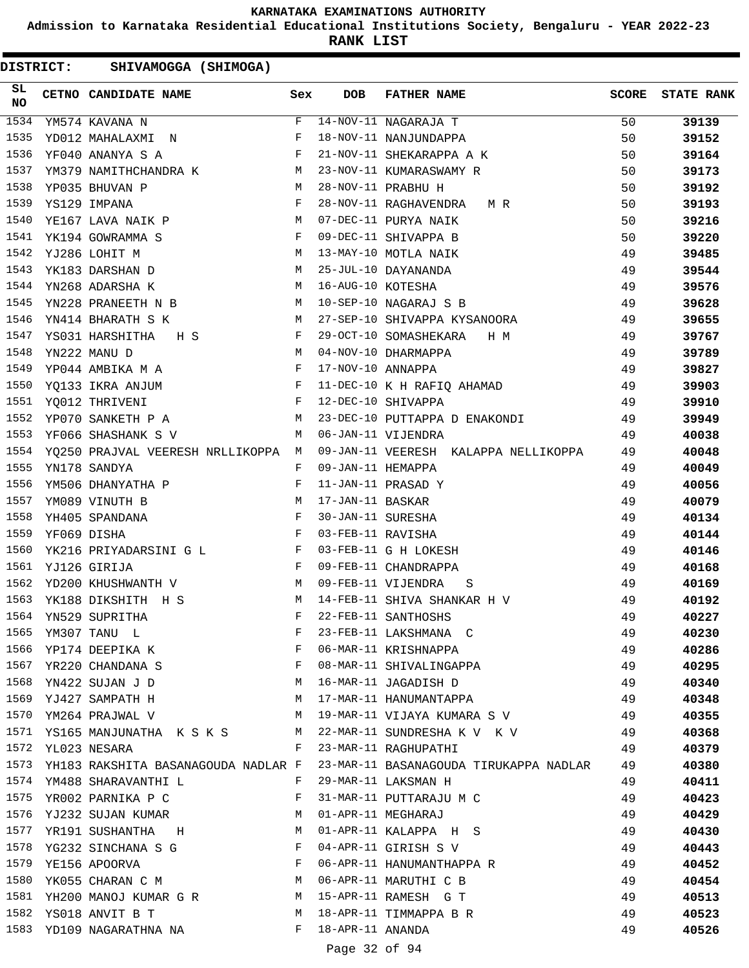**Admission to Karnataka Residential Educational Institutions Society, Bengaluru - YEAR 2022-23**

**RANK LIST**

DISTRICT: SHIVAMOGGA (SHIMOGA)

| SL<br><b>NO</b> | CETNO CANDIDATE NAME Sex                                                            |              | <b>DOB</b>         | <b>FATHER NAME</b>                     | <b>SCORE</b> | <b>STATE RANK</b> |
|-----------------|-------------------------------------------------------------------------------------|--------------|--------------------|----------------------------------------|--------------|-------------------|
| 1534            | YM574 KAVANA N                                                                      | F            |                    | 14-NOV-11 NAGARAJA T                   | 50           | 39139             |
| 1535            | YD012 MAHALAXMI N                                                                   | F            |                    | 18-NOV-11 NANJUNDAPPA                  | 50           | 39152             |
| 1536            | $\mathbf{F}$<br>YF040 ANANYA S A                                                    |              |                    | 21-NOV-11 SHEKARAPPA A K               | 50           | 39164             |
| 1537            | YM379 NAMITHCHANDRA K M                                                             |              |                    | 23-NOV-11 KUMARASWAMY R                | 50           | 39173             |
| 1538            | <b>M</b><br>YP035 BHUVAN P                                                          |              |                    | 28-NOV-11 PRABHU H                     | 50           | 39192             |
| 1539            | $\mathbf{F}$ and $\mathbf{F}$ and $\mathbf{F}$<br>YS129 IMPANA                      |              |                    | 28-NOV-11 RAGHAVENDRA MR               | 50           | 39193             |
| 1540            | M<br>YE167 LAVA NAIK P                                                              |              |                    | 07-DEC-11 PURYA NAIK                   | 50           | 39216             |
| 1541            | YK194 GOWRAMMA S                                                                    | F            |                    | 09-DEC-11 SHIVAPPA B                   | 50           | 39220             |
| 1542            | YJ286 LOHIT M<br>M <sub>N</sub>                                                     |              |                    | 13-MAY-10 MOTLA NAIK                   | 49           | 39485             |
| 1543            | M<br>YK183 DARSHAN D                                                                |              |                    | 25-JUL-10 DAYANANDA                    | 49           | 39544             |
| 1544            | YN268 ADARSHA K                                                                     | M            | 16-AUG-10 KOTESHA  |                                        | 49           | 39576             |
| 1545            | YN228 PRANEETH N B M                                                                |              |                    | 10-SEP-10 NAGARAJ S B                  | 49           | 39628             |
| 1546            | YN414 BHARATH S K<br><b>M</b>                                                       |              |                    | 27-SEP-10 SHIVAPPA KYSANOORA           | 49           | 39655             |
| 1547            | $\mathbf{F}$ and $\mathbf{F}$ and $\mathbf{F}$<br>YS031 HARSHITHA<br>H S            |              |                    | 29-OCT-10 SOMASHEKARA H M              | 49           | 39767             |
| 1548            | M<br>YN222 MANU D                                                                   |              |                    | 04-NOV-10 DHARMAPPA                    | 49           | 39789             |
| 1549            | $\mathbb{F}^{\mathbb{Z}}$ . The state $\mathbb{F}^{\mathbb{Z}}$<br>YP044 AMBIKA M A |              | 17-NOV-10 ANNAPPA  |                                        | 49           | 39827             |
| 1550            | $\mathbf{F}$ . The set of $\mathbf{F}$<br>YQ133 IKRA ANJUM                          |              |                    | 11-DEC-10 K H RAFIQ AHAMAD 49          |              | 39903             |
| 1551            | $\mathbb F$ . The set of $\mathbb F$<br>YQ012 THRIVENI                              |              |                    | 12-DEC-10 SHIVAPPA                     | 49           | 39910             |
| 1552            | M<br>YP070 SANKETH P A                                                              |              |                    | 23-DEC-10 PUTTAPPA D ENAKONDI          | 49           | 39949             |
| 1553            | YF066 SHASHANK S V                                                                  | M            |                    | 06-JAN-11 VIJENDRA                     | 49           | 40038             |
| 1554            | YQ250 PRAJVAL VEERESH NRLLIKOPPA M                                                  |              |                    | 09-JAN-11 VEERESH KALAPPA NELLIKOPPA   | 49           | 40048             |
| 1555            | YN178 SANDYA                                                                        | F            | 09-JAN-11 HEMAPPA  |                                        | 49           | 40049             |
| 1556            | YM506 DHANYATHA P                                                                   | F            |                    | 11-JAN-11 PRASAD Y                     | 49           | 40056             |
| 1557            | YM089 VINUTH B                                                                      | M            | 17-JAN-11 BASKAR   |                                        | 49           | 40079             |
| 1558            | $\mathbf{F}$<br>YH405 SPANDANA                                                      |              | 30-JAN-11 SURESHA  |                                        | 49           | 40134             |
| 1559            | $\mathbf{F}$<br>YF069 DISHA                                                         |              | 03-FEB-11 RAVISHA  |                                        | 49           | 40144             |
| 1560            | YK216 PRIYADARSINI G L F                                                            |              |                    | 03-FEB-11 G H LOKESH                   | 49           | 40146             |
| 1561            | YJ126 GIRIJA                                                                        | $\mathbf{F}$ |                    | 09-FEB-11 CHANDRAPPA                   | 49           | 40168             |
| 1562            | M <sub>1</sub><br>YD200 KHUSHWANTH V                                                |              |                    | 09-FEB-11 VIJENDRA<br>S                | 49           | 40169             |
| 1563            | YK188 DIKSHITH H S                                                                  | М            |                    | 14-FEB-11 SHIVA SHANKAR H V            | 49           | 40192             |
| 1564            | YN529 SUPRITHA                                                                      | F            |                    | 22-FEB-11 SANTHOSHS                    | 49           | 40227             |
| 1565            | YM307 TANU L                                                                        | F            |                    | 23-FEB-11 LAKSHMANA C                  | 49           | 40230             |
| 1566            | YP174 DEEPIKA K                                                                     | F            |                    | 06-MAR-11 KRISHNAPPA                   | 49           | 40286             |
| 1567            | $\mathbf{F}$ and the state of the state $\mathbf{F}$<br>YR220 CHANDANA S            |              |                    | 08-MAR-11 SHIVALINGAPPA                | 49           | 40295             |
| 1568            | M<br>YN422 SUJAN J D                                                                |              |                    | 16-MAR-11 JAGADISH D                   | 49           | 40340             |
| 1569            | YJ427 SAMPATH H                                                                     | M            |                    | 17-MAR-11 HANUMANTAPPA                 | 49           | 40348             |
| 1570            | YM264 PRAJWAL V<br><b>M</b>                                                         |              |                    | 19-MAR-11 VIJAYA KUMARA S V 49         |              | 40355             |
| 1571            | YS165 MANJUNATHA K S K S M                                                          |              |                    | 22-MAR-11 SUNDRESHA K V K V (49)       |              | 40368             |
| 1572            | YL023 NESARA                                                                        | F            |                    | 23-MAR-11 RAGHUPATHI                   | 49           | 40379             |
| 1573            | YH183 RAKSHITA BASANAGOUDA NADLAR F                                                 |              |                    | 23-MAR-11 BASANAGOUDA TIRUKAPPA NADLAR | 49           | 40380             |
|                 | 1574 YM488 SHARAVANTHI L                                                            | F            |                    | 29-MAR-11 LAKSMAN H                    | 49           | 40411             |
| 1575            | YR002 PARNIKA P C                                                                   | F            |                    | 31-MAR-11 PUTTARAJU M C                | 49           | 40423             |
| 1576            | YJ232 SUJAN KUMAR                                                                   | M            |                    | 01-APR-11 MEGHARAJ                     | 49           | 40429             |
| 1577            | YR191 SUSHANTHA H                                                                   | M            |                    | 01-APR-11 KALAPPA H S                  | 49           | 40430             |
| 1578            | YG232 SINCHANA S G F                                                                |              |                    | 04-APR-11 GIRISH S V                   | 49           | 40443             |
| 1579            | YE156 APOORVA                                                                       | F            |                    | 06-APR-11 HANUMANTHAPPA R              | 49           | 40452             |
| 1580            | YK055 CHARAN C M M                                                                  |              |                    | 06-APR-11 MARUTHI C B                  | 49           | 40454             |
| 1581            | YH200 MANOJ KUMAR G R M                                                             |              |                    | 15-APR-11 RAMESH G T                   | 49           | 40513             |
| 1582            | YS018 ANVIT B T                                                                     | M            |                    | 18-APR-11 TIMMAPPA B R                 | 49           | 40523             |
|                 | 1583 YD109 NAGARATHNA NA                                                            |              | F 18-APR-11 ANANDA |                                        | 49           | 40526             |

Page 32 of 94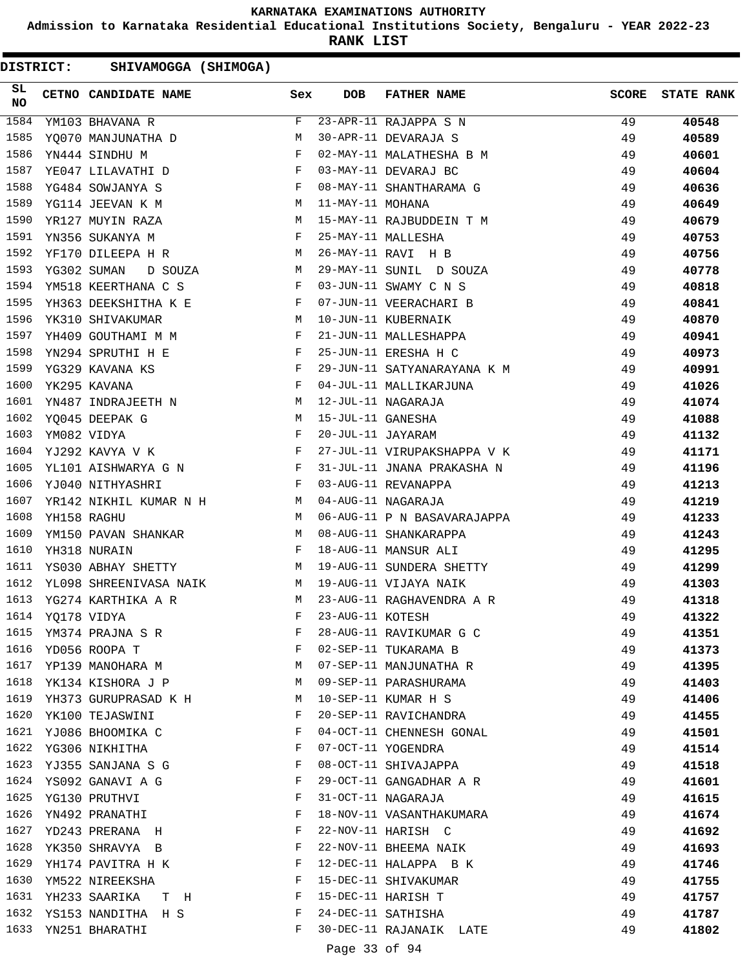**Admission to Karnataka Residential Educational Institutions Society, Bengaluru - YEAR 2022-23**

**RANK LIST**

| SL<br>NO |                  | CETNO CANDIDATE NAME Sex                                                                                                                                                                                                                                |              | <b>DOB</b>        | <b>FATHER NAME</b>                     | <b>SCORE</b> | <b>STATE RANK</b> |
|----------|------------------|---------------------------------------------------------------------------------------------------------------------------------------------------------------------------------------------------------------------------------------------------------|--------------|-------------------|----------------------------------------|--------------|-------------------|
| 1584     |                  | YM103 BHAVANA R                                                                                                                                                                                                                                         | F            |                   | $\overline{23 - APR} - 11$ RAJAPPA S N | 49           | 40548             |
| 1585     |                  | <b>M</b><br>YQ070 MANJUNATHA D                                                                                                                                                                                                                          |              |                   | 30-APR-11 DEVARAJA S                   | 49           | 40589             |
| 1586     |                  | YN444 SINDHU M                                                                                                                                                                                                                                          | $\mathbf{F}$ |                   | 02-MAY-11 MALATHESHA B M               | 49           | 40601             |
| 1587     |                  | $\mathbf{F}$ and $\mathbf{F}$ and $\mathbf{F}$<br>YE047 LILAVATHI D                                                                                                                                                                                     |              |                   | 03-MAY-11 DEVARAJ BC                   | 49           | 40604             |
| 1588     |                  | YG484 SOWJANYA S<br>and the state of the state of the state of the state of the state of the state of the state of the state of the                                                                                                                     |              |                   | 08-MAY-11 SHANTHARAMA G                | 49           | 40636             |
| 1589     |                  | $\mathbf M$<br>YG114 JEEVAN K M                                                                                                                                                                                                                         |              | 11-MAY-11 MOHANA  |                                        | 49           | 40649             |
| 1590     |                  | YR127 MUYIN RAZA                                                                                                                                                                                                                                        | M            |                   | 15-MAY-11 RAJBUDDEIN T M               | 49           | 40679             |
| 1591     |                  | YN356 SUKANYA M                                                                                                                                                                                                                                         | F            |                   | 25-MAY-11 MALLESHA                     | 49           | 40753             |
| 1592     |                  | YF170 DILEEPA H R<br><b>M</b>                                                                                                                                                                                                                           |              |                   | 26-MAY-11 RAVI H B                     | 49           | 40756             |
| 1593     |                  | $M_{\rm H}$ and $M_{\rm H}$<br>YG302 SUMAN<br>D SOUZA                                                                                                                                                                                                   |              |                   | 29-MAY-11 SUNIL D SOUZA                | 49           | 40778             |
| 1594     |                  | $\mathbf{F}$ . The set of $\mathbf{F}$<br>YM518 KEERTHANA C S                                                                                                                                                                                           |              |                   | 03-JUN-11 SWAMY C N S                  | 49           | 40818             |
| 1595     |                  | YH363 DEEKSHITHA K E F                                                                                                                                                                                                                                  |              |                   | 07-JUN-11 VEERACHARI B                 | 49           | 40841             |
| 1596     |                  | YK310 SHIVAKUMAR<br><b>Example 19</b> May 19 May 19 May 19 May 19 May 19 May 19 May 19 May 19 May 19 May 19 May 19 May 19 May 19 May 19 May 19 May 19 May 19 May 19 May 19 May 19 May 19 May 19 May 19 May 19 May 19 May 19 May 19 May 19 May 19 May 19 |              |                   | 10-JUN-11 KUBERNAIK                    | 49           | 40870             |
| 1597     |                  | $\mathbf{F}$ and $\mathbf{F}$ and $\mathbf{F}$<br>YH409 GOUTHAMI M M                                                                                                                                                                                    |              |                   | 21-JUN-11 MALLESHAPPA                  | 49           | 40941             |
| 1598     |                  | YN294 SPRUTHI H E                                                                                                                                                                                                                                       | $\mathbf{F}$ |                   | 25-JUN-11 ERESHA H C                   | 49           | 40973             |
| 1599     |                  | $\mathbb F$<br>YG329 KAVANA KS                                                                                                                                                                                                                          |              |                   | 29-JUN-11 SATYANARAYANA K M            | 49           | 40991             |
| 1600     |                  | YK295 KAVANA<br>and the state of the Fig.                                                                                                                                                                                                               |              |                   | 04-JUL-11 MALLIKARJUNA                 | 49           | 41026             |
| 1601     |                  | YN487 INDRAJEETH N M                                                                                                                                                                                                                                    |              |                   | 12-JUL-11 NAGARAJA                     | 49           | 41074             |
| 1602     |                  | YQ045 DEEPAK G                                                                                                                                                                                                                                          | M            | 15-JUL-11 GANESHA |                                        | 49           | 41088             |
| 1603     |                  | YM082 VIDYA                                                                                                                                                                                                                                             | F            | 20-JUL-11 JAYARAM |                                        | 49           | 41132             |
| 1604     |                  | $\mathbf{F}$ and the contract of $\mathbf{F}$<br>YJ292 KAVYA V K                                                                                                                                                                                        |              |                   | 27-JUL-11 VIRUPAKSHAPPA V K            | 49           | 41171             |
| 1605     |                  | YL101 AISHWARYA G N F                                                                                                                                                                                                                                   |              |                   | 31-JUL-11 JNANA PRAKASHA N             | 49           | 41196             |
| 1606     |                  | YJ040 NITHYASHRI                                                                                                                                                                                                                                        | $\mathbf{F}$ |                   | 03-AUG-11 REVANAPPA                    | 49           | 41213             |
| 1607     |                  | YR142 NIKHIL KUMAR N H                                                                                                                                                                                                                                  |              |                   | 04-AUG-11 NAGARAJA                     | 49           | 41219             |
| 1608     |                  | YH158 RAGHU<br>$M_{\rm H}$ and $M_{\rm H}$                                                                                                                                                                                                              |              |                   | 06-AUG-11 P N BASAVARAJAPPA            | 49           | 41233             |
| 1609     |                  | YM150 PAVAN SHANKAR M                                                                                                                                                                                                                                   |              |                   | 08-AUG-11 SHANKARAPPA                  | 49           | 41243             |
| 1610     |                  | YH318 NURAIN                                                                                                                                                                                                                                            | F            |                   | 18-AUG-11 MANSUR ALI                   | 49           | 41295             |
| 1611     |                  | YS030 ABHAY SHETTY M                                                                                                                                                                                                                                    |              |                   | 19-AUG-11 SUNDERA SHETTY               | 49           | 41299             |
| 1612     |                  | YL098 SHREENIVASA NAIK M                                                                                                                                                                                                                                |              |                   | 19-AUG-11 VIJAYA NAIK                  | 49           | 41303             |
| 1613     |                  | YG274 KARTHIKA A R                                                                                                                                                                                                                                      | M            |                   | 23-AUG-11 RAGHAVENDRA A R              | 49           | 41318             |
|          | 1614 YQ178 VIDYA |                                                                                                                                                                                                                                                         | F            | 23-AUG-11 KOTESH  |                                        | 49           | 41322             |
| 1615     |                  | YM374 PRAJNA S R                                                                                                                                                                                                                                        | F            |                   | 28-AUG-11 RAVIKUMAR G C                | 49           | 41351             |
| 1616     |                  | YD056 ROOPA T                                                                                                                                                                                                                                           | F            |                   | 02-SEP-11 TUKARAMA B                   | 49           | 41373             |
| 1617     |                  | M<br>YP139 MANOHARA M                                                                                                                                                                                                                                   |              |                   | 07-SEP-11 MANJUNATHA R                 | 49           | 41395             |
| 1618     |                  | YK134 KISHORA J P                                                                                                                                                                                                                                       | M            |                   | 09-SEP-11 PARASHURAMA                  | 49           | 41403             |
| 1619     |                  | YH373 GURUPRASAD K H<br><b>M</b>                                                                                                                                                                                                                        |              |                   | 10-SEP-11 KUMAR H S                    | 49           | 41406             |
| 1620     |                  | YK100 TEJASWINI                                                                                                                                                                                                                                         | F            |                   | 20-SEP-11 RAVICHANDRA                  | 49           | 41455             |
| 1621     |                  | YJ086 BHOOMIKA C                                                                                                                                                                                                                                        | F            |                   | 04-OCT-11 CHENNESH GONAL               | 49           | 41501             |
| 1622     |                  | YG306 NIKHITHA                                                                                                                                                                                                                                          | F            |                   | 07-OCT-11 YOGENDRA                     | 49           | 41514             |
| 1623     |                  | YJ355 SANJANA S G                                                                                                                                                                                                                                       | F            |                   | 08-OCT-11 SHIVAJAPPA                   | 49           | 41518             |
| 1624     |                  | YS092 GANAVI A G                                                                                                                                                                                                                                        | F            |                   | 29-OCT-11 GANGADHAR A R                | 49           | 41601             |
| 1625     |                  | YG130 PRUTHVI                                                                                                                                                                                                                                           | F            |                   | 31-OCT-11 NAGARAJA                     | 49           | 41615             |
| 1626     |                  | YN492 PRANATHI                                                                                                                                                                                                                                          | F            |                   | 18-NOV-11 VASANTHAKUMARA               | 49           | 41674             |
| 1627     |                  | YD243 PRERANA H                                                                                                                                                                                                                                         | F            |                   | 22-NOV-11 HARISH C                     | 49           | 41692             |
| 1628     |                  | YK350 SHRAVYA B                                                                                                                                                                                                                                         | F            |                   | 22-NOV-11 BHEEMA NAIK                  | 49           | 41693             |
| 1629     |                  | YH174 PAVITRA H K                                                                                                                                                                                                                                       | F            |                   | 12-DEC-11 HALAPPA B K                  | 49           | 41746             |
| 1630     |                  | YM522 NIREEKSHA                                                                                                                                                                                                                                         | F            |                   | 15-DEC-11 SHIVAKUMAR                   | 49           | 41755             |
| 1631     |                  | YH233 SAARIKA TH                                                                                                                                                                                                                                        | F            |                   | 15-DEC-11 HARISH T                     | 49           | 41757             |
| 1632     |                  | YS153 NANDITHA H S                                                                                                                                                                                                                                      | F            |                   | 24-DEC-11 SATHISHA                     | 49           | 41787             |
| 1633     |                  | YN251 BHARATHI                                                                                                                                                                                                                                          | F            |                   | 30-DEC-11 RAJANAIK LATE                | 49           | 41802             |
|          |                  |                                                                                                                                                                                                                                                         |              |                   |                                        |              |                   |
|          |                  |                                                                                                                                                                                                                                                         |              | Page 33 of 94     |                                        |              |                   |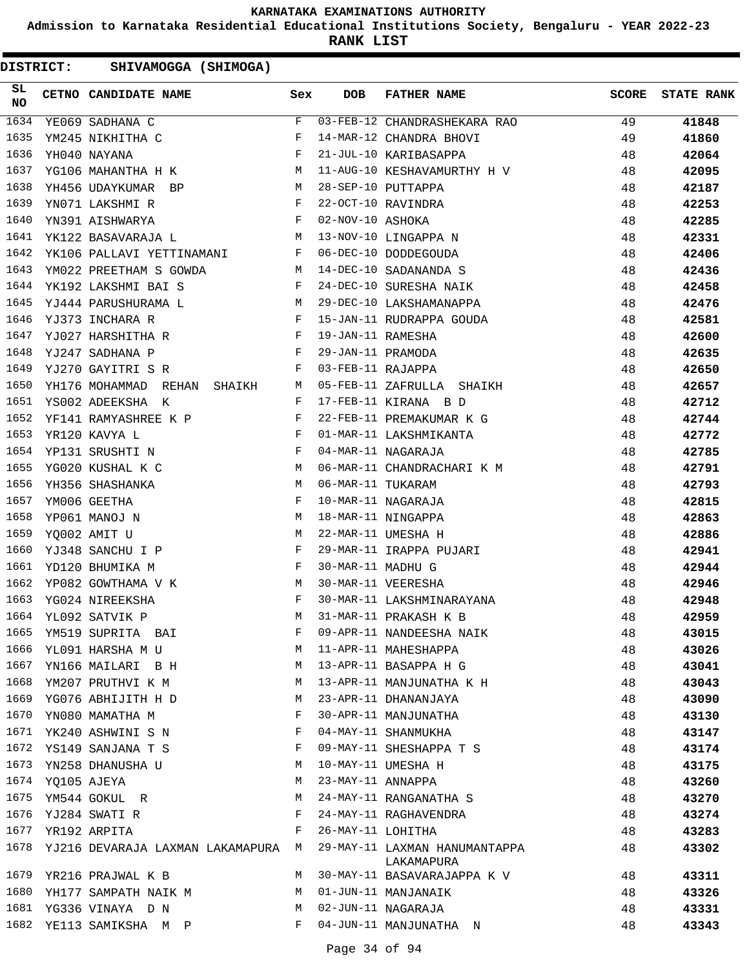**Admission to Karnataka Residential Educational Institutions Society, Bengaluru - YEAR 2022-23**

**RANK LIST**

| SL<br><b>NO</b> |                  | CETNO CANDIDATE NAME Sex                                                                                                                                                                                                                             |              | <b>DOB</b>        | FATHER NAME                   | SCORE | <b>STATE RANK</b> |
|-----------------|------------------|------------------------------------------------------------------------------------------------------------------------------------------------------------------------------------------------------------------------------------------------------|--------------|-------------------|-------------------------------|-------|-------------------|
| 1634            |                  | YE069 SADHANA C                                                                                                                                                                                                                                      | F            |                   | 03-FEB-12 CHANDRASHEKARA RAO  | 49    | 41848             |
| 1635            |                  | YM245 NIKHITHA C                                                                                                                                                                                                                                     | F            |                   | 14-MAR-12 CHANDRA BHOVI       | 49    | 41860             |
| 1636            |                  | YH040 NAYANA                                                                                                                                                                                                                                         | $\mathbf{F}$ |                   | 21-JUL-10 KARIBASAPPA         | 48    | 42064             |
| 1637            |                  | YG106 MAHANTHA H K M                                                                                                                                                                                                                                 |              |                   | 11-AUG-10 KESHAVAMURTHY H V   | 48    | 42095             |
| 1638            |                  | YH456 UDAYKUMAR BP<br><b>M</b>                                                                                                                                                                                                                       |              |                   | 28-SEP-10 PUTTAPPA            | 48    | 42187             |
| 1639            |                  | $\mathbf{F}$ and the set of the set of the set of the set of the set of the set of the set of the set of the set of the set of the set of the set of the set of the set of the set of the set of the set of the set of the set of<br>YN071 LAKSHMI R |              |                   | 22-OCT-10 RAVINDRA            | 48    | 42253             |
| 1640            |                  | $\mathbf{F}$<br>YN391 AISHWARYA                                                                                                                                                                                                                      |              | 02-NOV-10 ASHOKA  |                               | 48    | 42285             |
| 1641            |                  | YK122 BASAVARAJA L                                                                                                                                                                                                                                   | M            |                   | 13-NOV-10 LINGAPPA N          | 48    | 42331             |
| 1642            |                  | YK106 PALLAVI YETTINAMANI F                                                                                                                                                                                                                          |              |                   | 06-DEC-10 DODDEGOUDA          | 48    | 42406             |
| 1643            |                  | <b>M</b><br>YM022 PREETHAM S GOWDA                                                                                                                                                                                                                   |              |                   | 14-DEC-10 SADANANDA S         | 48    | 42436             |
| 1644            |                  | $\mathbf{F}$ and $\mathbf{F}$<br>YK192 LAKSHMI BAI S                                                                                                                                                                                                 |              |                   | 24-DEC-10 SURESHA NAIK        | 48    | 42458             |
| 1645            |                  | YJ444 PARUSHURAMA L<br>M <sub>1</sub>                                                                                                                                                                                                                |              |                   | 29-DEC-10 LAKSHAMANAPPA       | 48    | 42476             |
| 1646            |                  | $\mathbf{F}$ and the state of the state $\mathbf{F}$<br>YJ373 INCHARA R                                                                                                                                                                              |              |                   | 15-JAN-11 RUDRAPPA GOUDA      | 48    | 42581             |
| 1647            |                  | $\mathbf{F}$<br>YJ027 HARSHITHA R                                                                                                                                                                                                                    |              | 19-JAN-11 RAMESHA |                               | 48    | 42600             |
| 1648            |                  | YJ247 SADHANA P                                                                                                                                                                                                                                      | F            | 29-JAN-11 PRAMODA |                               | 48    | 42635             |
| 1649            |                  | YJ270 GAYITRI S R                                                                                                                                                                                                                                    | F            | 03-FEB-11 RAJAPPA |                               | 48    | 42650             |
| 1650            |                  | YH176 MOHAMMAD REHAN SHAIKH M                                                                                                                                                                                                                        |              |                   | 05-FEB-11 ZAFRULLA SHAIKH     | 48    | 42657             |
| 1651            |                  | YS002 ADEEKSHA K                                                                                                                                                                                                                                     | F            |                   | 17-FEB-11 KIRANA B D          | 48    | 42712             |
| 1652            |                  | YF141 RAMYASHREE K P                                                                                                                                                                                                                                 | $\mathbf{F}$ |                   | 22-FEB-11 PREMAKUMAR K G      | 48    | 42744             |
| 1653            |                  | YR120 KAVYA L                                                                                                                                                                                                                                        | $\mathbb F$  |                   | 01-MAR-11 LAKSHMIKANTA        | 48    | 42772             |
| 1654            |                  | $\mathbf{F}$ and $\mathbf{F}$ and $\mathbf{F}$<br>YP131 SRUSHTI N                                                                                                                                                                                    |              |                   | 04-MAR-11 NAGARAJA            | 48    | 42785             |
| 1655            |                  | $M_{\odot}$<br>YG020 KUSHAL K C                                                                                                                                                                                                                      |              |                   | 06-MAR-11 CHANDRACHARI K M    | 48    | 42791             |
| 1656            |                  | YH356 SHASHANKA                                                                                                                                                                                                                                      | M            | 06-MAR-11 TUKARAM |                               | 48    | 42793             |
| 1657            |                  | YM006 GEETHA                                                                                                                                                                                                                                         | F            |                   | 10-MAR-11 NAGARAJA            | 48    | 42815             |
| 1658            |                  | M <sub>1</sub><br>YP061 MANOJ N                                                                                                                                                                                                                      |              |                   | 18-MAR-11 NINGAPPA            | 48    | 42863             |
| 1659            |                  | $M_{\rm H}$<br>YQ002 AMIT U                                                                                                                                                                                                                          |              |                   | 22-MAR-11 UMESHA H            | 48    | 42886             |
| 1660            |                  | YJ348 SANCHU I P                                                                                                                                                                                                                                     | $\mathbf{F}$ |                   | 29-MAR-11 IRAPPA PUJARI       | 48    | 42941             |
| 1661            |                  | YD120 BHUMIKA M                                                                                                                                                                                                                                      | $\mathbf{F}$ | 30-MAR-11 MADHU G |                               | 48    | 42944             |
| 1662            |                  | YP082 GOWTHAMA V K M                                                                                                                                                                                                                                 |              |                   | 30-MAR-11 VEERESHA            | 48    | 42946             |
| 1663            |                  | YG024 NIREEKSHA                                                                                                                                                                                                                                      | F            |                   | 30-MAR-11 LAKSHMINARAYANA     | 48    | 42948             |
|                 |                  | 1664 YL092 SATVIK P                                                                                                                                                                                                                                  | M            |                   | 31-MAR-11 PRAKASH K B         | 48    | 42959             |
| 1665            |                  | YM519 SUPRITA BAI                                                                                                                                                                                                                                    | F            |                   | 09-APR-11 NANDEESHA NAIK      | 48    | 43015             |
| 1666            |                  | YL091 HARSHA M U                                                                                                                                                                                                                                     | M            |                   | 11-APR-11 MAHESHAPPA          | 48    | 43026             |
| 1667            |                  | YN166 MAILARI B H                                                                                                                                                                                                                                    | М            |                   | 13-APR-11 BASAPPA H G         | 48    | 43041             |
| 1668            |                  | YM207 PRUTHVI K M                                                                                                                                                                                                                                    | М            |                   | 13-APR-11 MANJUNATHA K H      | 48    | 43043             |
| 1669            |                  | YG076 ABHIJITH H D                                                                                                                                                                                                                                   | М            |                   | 23-APR-11 DHANANJAYA          | 48    | 43090             |
| 1670            |                  | YN080 MAMATHA M                                                                                                                                                                                                                                      | F            |                   | 30-APR-11 MANJUNATHA          | 48    | 43130             |
| 1671            |                  | YK240 ASHWINI S N                                                                                                                                                                                                                                    | F            |                   | 04-MAY-11 SHANMUKHA           | 48    | 43147             |
| 1672            |                  | YS149 SANJANA T S                                                                                                                                                                                                                                    | F            |                   | 09-MAY-11 SHESHAPPA T S       | 48    | 43174             |
| 1673            |                  | YN258 DHANUSHA U                                                                                                                                                                                                                                     | M            |                   | 10-MAY-11 UMESHA H            | 48    | 43175             |
|                 | 1674 YQ105 AJEYA |                                                                                                                                                                                                                                                      | М            | 23-MAY-11 ANNAPPA |                               | 48    | 43260             |
| 1675            |                  | YM544 GOKUL R                                                                                                                                                                                                                                        | М            |                   | 24-MAY-11 RANGANATHA S        | 48    | 43270             |
| 1676            |                  | YJ284 SWATI R                                                                                                                                                                                                                                        | F            |                   | 24-MAY-11 RAGHAVENDRA         | 48    | 43274             |
| 1677            |                  | YR192 ARPITA                                                                                                                                                                                                                                         | F            | 26-MAY-11 LOHITHA |                               | 48    | 43283             |
| 1678            |                  | YJ216 DEVARAJA LAXMAN LAKAMAPURA                                                                                                                                                                                                                     | М            |                   | 29-MAY-11 LAXMAN HANUMANTAPPA | 48    | 43302             |
|                 |                  |                                                                                                                                                                                                                                                      |              |                   | LAKAMAPURA                    |       |                   |
| 1679            |                  | YR216 PRAJWAL K B                                                                                                                                                                                                                                    | М            |                   | 30-MAY-11 BASAVARAJAPPA K V   | 48    | 43311             |
| 1680            |                  | YH177 SAMPATH NAIK M                                                                                                                                                                                                                                 | М            |                   | 01-JUN-11 MANJANAIK           | 48    | 43326             |
| 1681            |                  | YG336 VINAYA D N                                                                                                                                                                                                                                     | М            |                   | 02-JUN-11 NAGARAJA            | 48    | 43331             |
|                 |                  | 1682 YE113 SAMIKSHA M P                                                                                                                                                                                                                              | F            |                   | 04-JUN-11 MANJUNATHA N        | 48    | 43343             |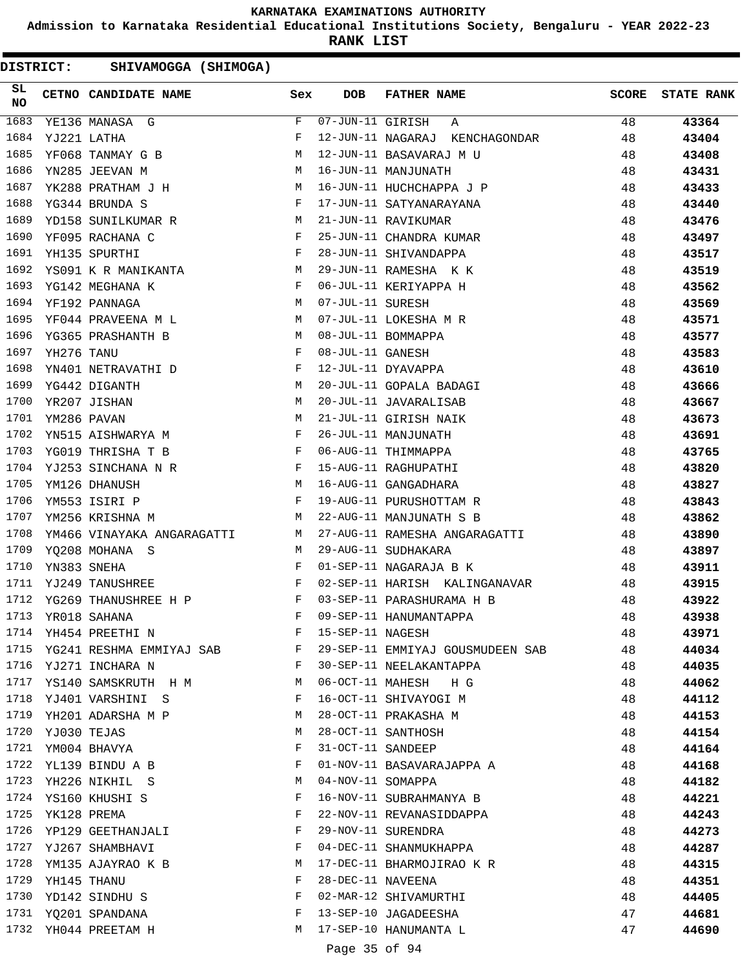**Admission to Karnataka Residential Educational Institutions Society, Bengaluru - YEAR 2022-23**

**RANK LIST**

| SL<br><b>NO</b> |                  | CETNO CANDIDATE NAME                                                                                                                                                                                                                                   | Sex          | <b>DOB</b>                     | <b>FATHER NAME</b>               | <b>SCORE</b> | <b>STATE RANK</b> |
|-----------------|------------------|--------------------------------------------------------------------------------------------------------------------------------------------------------------------------------------------------------------------------------------------------------|--------------|--------------------------------|----------------------------------|--------------|-------------------|
| 1683            |                  | YE136 MANASA G                                                                                                                                                                                                                                         | F            | $\overline{07}$ -JUN-11 GIRISH | Α                                | 48           | 43364             |
| 1684            |                  | YJ221 LATHA                                                                                                                                                                                                                                            | F            |                                | 12-JUN-11 NAGARAJ KENCHAGONDAR   | 48           | 43404             |
| 1685            |                  | YF068 TANMAY G B                                                                                                                                                                                                                                       | М            |                                | 12-JUN-11 BASAVARAJ M U          | 48           | 43408             |
| 1686            |                  | YN285 JEEVAN M<br><b>M</b>                                                                                                                                                                                                                             |              |                                | 16-JUN-11 MANJUNATH              | 48           | 43431             |
| 1687            |                  | YK288 PRATHAM J H<br><b>M</b>                                                                                                                                                                                                                          |              |                                | 16-JUN-11 HUCHCHAPPA J P         | 48           | 43433             |
| 1688            |                  | $\mathbf{F}$<br>YG344 BRUNDA S                                                                                                                                                                                                                         |              |                                | 17-JUN-11 SATYANARAYANA          | 48           | 43440             |
| 1689            |                  | YD158 SUNILKUMAR R                                                                                                                                                                                                                                     | M            |                                | 21-JUN-11 RAVIKUMAR              | 48           | 43476             |
| 1690            |                  | YF095 RACHANA C                                                                                                                                                                                                                                        | F            |                                | 25-JUN-11 CHANDRA KUMAR          | 48           | 43497             |
| 1691            |                  | YH135 SPURTHI                                                                                                                                                                                                                                          | $_{\rm F}$   |                                | 28-JUN-11 SHIVANDAPPA            | 48           | 43517             |
| 1692            |                  | YS091 K R MANIKANTA M                                                                                                                                                                                                                                  |              |                                | 29-JUN-11 RAMESHA K K            | 48           | 43519             |
| 1693            |                  | $\begin{aligned} \mathbf{F} \\ \mathbf{M} \end{aligned}$<br>YG142 MEGHANA K                                                                                                                                                                            |              |                                | 06-JUL-11 KERIYAPPA H            | 48           | 43562             |
| 1694            |                  | YF192 PANNAGA                                                                                                                                                                                                                                          |              | 07-JUL-11 SURESH               |                                  | 48           | 43569             |
| 1695            |                  | YF044 PRAVEENA M L M                                                                                                                                                                                                                                   |              |                                | 07-JUL-11 LOKESHA M R            | 48           | 43571             |
| 1696            |                  | M <sub>N</sub><br>YG365 PRASHANTH B                                                                                                                                                                                                                    |              |                                | 08-JUL-11 BOMMAPPA               | 48           | 43577             |
| 1697            | YH276 TANU       |                                                                                                                                                                                                                                                        | $\mathbf{F}$ | 08-JUL-11 GANESH               |                                  | 48           | 43583             |
| 1698            |                  | YN401 NETRAVATHI D $$\rm F$$                                                                                                                                                                                                                           |              |                                | 12-JUL-11 DYAVAPPA               | 48           | 43610             |
| 1699            |                  | YG442 DIGANTH<br><b>M</b>                                                                                                                                                                                                                              |              |                                | 20-JUL-11 GOPALA BADAGI          | 48           | 43666             |
| 1700            |                  | YR207 JISHAN                                                                                                                                                                                                                                           | M            |                                | 20-JUL-11 JAVARALISAB            | 48           | 43667             |
| 1701            |                  | YM286 PAVAN                                                                                                                                                                                                                                            | M            |                                | 21-JUL-11 GIRISH NAIK            | 48           | 43673             |
| 1702            |                  | YN515 AISHWARYA M                                                                                                                                                                                                                                      | $\mathbf{F}$ |                                | 26-JUL-11 MANJUNATH              | 48           | 43691             |
| 1703            |                  | YG019 THRISHA T B<br>$\mathbf{F}$ and the set of the set of the set of the set of the set of the set of the set of the set of the set of the set of the set of the set of the set of the set of the set of the set of the set of the set of the set of |              |                                | 06-AUG-11 THIMMAPPA              | 48           | 43765             |
| 1704            |                  | YJ253 SINCHANA N R<br>F                                                                                                                                                                                                                                |              |                                | 15-AUG-11 RAGHUPATHI             | 48           | 43820             |
| 1705            |                  | YM126 DHANUSH                                                                                                                                                                                                                                          |              |                                | 16-AUG-11 GANGADHARA             | 48           | 43827             |
| 1706            |                  | $\begin{aligned} \mathbb{M} \\ \mathbb{F} \end{aligned}$<br>YM553 ISIRI P                                                                                                                                                                              |              |                                | 19-AUG-11 PURUSHOTTAM R          | 48           | 43843             |
| 1707            |                  | YM256 KRISHNA M                                                                                                                                                                                                                                        | M            |                                | 22-AUG-11 MANJUNATH S B          | 48           | 43862             |
| 1708            |                  | YM466 VINAYAKA ANGARAGATTI M                                                                                                                                                                                                                           |              |                                | 27-AUG-11 RAMESHA ANGARAGATTI    | 48           | 43890             |
| 1709            |                  | YQ208 MOHANA S                                                                                                                                                                                                                                         | M            |                                | 29-AUG-11 SUDHAKARA              | 48           | 43897             |
| 1710            |                  | YN383 SNEHA                                                                                                                                                                                                                                            | F            |                                | 01-SEP-11 NAGARAJA B K           | 48           | 43911             |
| 1711            |                  | $\mathbf{F}$ and the contract of the contract $\mathbf{F}$<br>YJ249 TANUSHREE                                                                                                                                                                          |              |                                | 02-SEP-11 HARISH KALINGANAVAR    | 48           | 43915             |
| 1712            |                  | YG269 THANUSHREE H P F                                                                                                                                                                                                                                 |              |                                | 03-SEP-11 PARASHURAMA H B        | 48           | 43922             |
| 1713            |                  | YR018 SAHANA                                                                                                                                                                                                                                           | F            |                                | 09-SEP-11 HANUMANTAPPA           | 48           | 43938             |
|                 |                  | 1714 YH454 PREETHI N                                                                                                                                                                                                                                   | F            | 15-SEP-11 NAGESH               |                                  | 48           | 43971             |
|                 |                  | 1715 YG241 RESHMA EMMIYAJ SAB                                                                                                                                                                                                                          | F            |                                | 29-SEP-11 EMMIYAJ GOUSMUDEEN SAB | 48           | 44034             |
|                 |                  | 1716 YJ271 INCHARA N                                                                                                                                                                                                                                   | $\mathbf{F}$ |                                | 30-SEP-11 NEELAKANTAPPA          | 48           | 44035             |
|                 |                  | 1717 YS140 SAMSKRUTH H M                                                                                                                                                                                                                               | M            |                                | 06-OCT-11 MAHESH HG              | 48           | 44062             |
| 1718            |                  | YJ401 VARSHINI S                                                                                                                                                                                                                                       | F            |                                | 16-OCT-11 SHIVAYOGI M            | 48           | 44112             |
| 1719            |                  | YH201 ADARSHA M P                                                                                                                                                                                                                                      | M            |                                | 28-OCT-11 PRAKASHA M             | 48           | 44153             |
| 1720            |                  | YJ030 TEJAS                                                                                                                                                                                                                                            | М            |                                | 28-OCT-11 SANTHOSH               | 48           | 44154             |
|                 |                  | 1721 YM004 BHAVYA                                                                                                                                                                                                                                      | F            |                                | 31-OCT-11 SANDEEP                | 48           | 44164             |
|                 |                  | 1722 YL139 BINDU A B                                                                                                                                                                                                                                   | F            |                                | 01-NOV-11 BASAVARAJAPPA A        | 48           | 44168             |
|                 |                  | 1723 YH226 NIKHIL S                                                                                                                                                                                                                                    | M            | 04-NOV-11 SOMAPPA              |                                  | 48           | 44182             |
|                 |                  | 1724 YS160 KHUSHI S                                                                                                                                                                                                                                    | F            |                                | 16-NOV-11 SUBRAHMANYA B          | 48           | 44221             |
|                 | 1725 YK128 PREMA |                                                                                                                                                                                                                                                        | F            |                                | 22-NOV-11 REVANASIDDAPPA         | 48           | 44243             |
| 1726            |                  | YP129 GEETHANJALI                                                                                                                                                                                                                                      | F            |                                | 29-NOV-11 SURENDRA               | 48           | 44273             |
|                 |                  | 1727 YJ267 SHAMBHAVI                                                                                                                                                                                                                                   | F            |                                | 04-DEC-11 SHANMUKHAPPA           | 48           | 44287             |
| 1728            |                  | YM135 AJAYRAO K B                                                                                                                                                                                                                                      | М            |                                | 17-DEC-11 BHARMOJIRAO K R        | 48           | 44315             |
|                 | 1729 YH145 THANU |                                                                                                                                                                                                                                                        | F            | 28-DEC-11 NAVEENA              |                                  | 48           | 44351             |
|                 |                  | 1730 YD142 SINDHU S                                                                                                                                                                                                                                    | F            |                                | 02-MAR-12 SHIVAMURTHI            | 48           | 44405             |
|                 |                  | 1731 YQ201 SPANDANA                                                                                                                                                                                                                                    | F            |                                | 13-SEP-10 JAGADEESHA             | 47           | 44681             |
|                 |                  | 1732 YH044 PREETAM H                                                                                                                                                                                                                                   | M            |                                | 17-SEP-10 HANUMANTA L            | 47           | 44690             |
|                 |                  |                                                                                                                                                                                                                                                        |              |                                |                                  |              |                   |
|                 |                  |                                                                                                                                                                                                                                                        |              | Page 35 of 94                  |                                  |              |                   |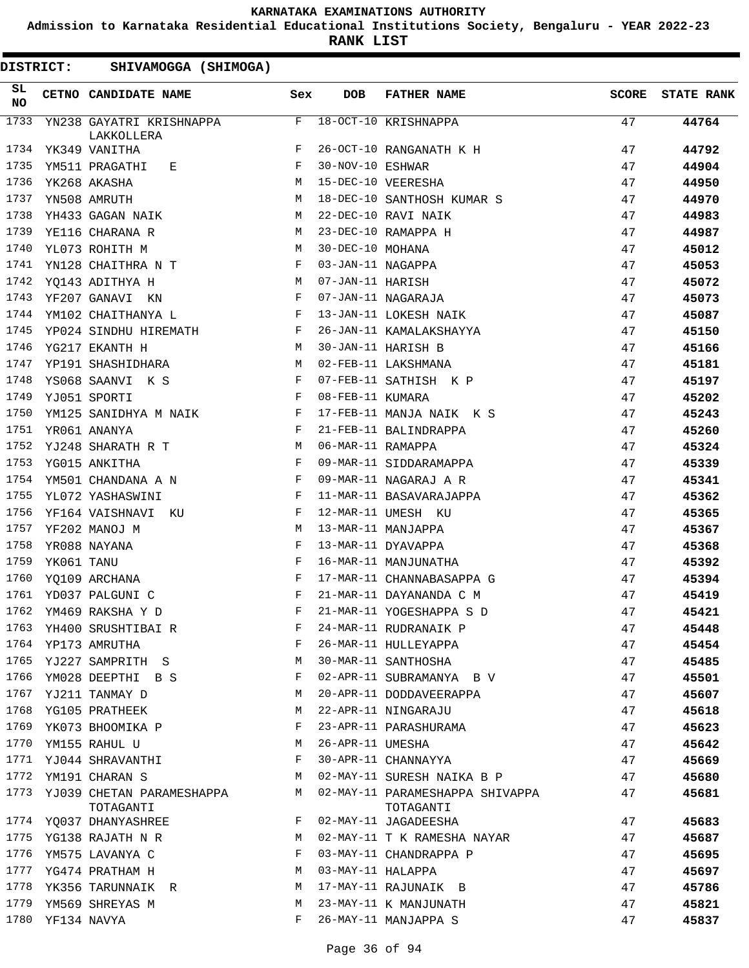**Admission to Karnataka Residential Educational Institutions Society, Bengaluru - YEAR 2022-23**

**RANK LIST**

| <b>DISTRICT:</b> |            | SHIVAMOGGA (SHIMOGA)                   |              |                    |                                               |              |                   |
|------------------|------------|----------------------------------------|--------------|--------------------|-----------------------------------------------|--------------|-------------------|
| SL<br><b>NO</b>  |            | CETNO CANDIDATE NAME                   | Sex          | <b>DOB</b>         | <b>FATHER NAME</b>                            | <b>SCORE</b> | <b>STATE RANK</b> |
| 1733             |            | YN238 GAYATRI KRISHNAPPA<br>LAKKOLLERA | F            |                    | 18-OCT-10 KRISHNAPPA                          | 47           | 44764             |
| 1734             |            | YK349 VANITHA                          | F            |                    | 26-OCT-10 RANGANATH K H                       | 47           | 44792             |
| 1735             |            | YM511 PRAGATHI<br>E                    | F            | 30-NOV-10 ESHWAR   |                                               | 47           | 44904             |
| 1736             |            | YK268 AKASHA                           | M            |                    | 15-DEC-10 VEERESHA                            | 47           | 44950             |
| 1737             |            | YN508 AMRUTH                           | M            |                    | 18-DEC-10 SANTHOSH KUMAR S                    | 47           | 44970             |
| 1738             |            | YH433 GAGAN NAIK                       | М            |                    | 22-DEC-10 RAVI NAIK                           | 47           | 44983             |
| 1739             |            | YE116 CHARANA R                        | М            |                    | 23-DEC-10 RAMAPPA H                           | 47           | 44987             |
| 1740             |            | YL073 ROHITH M                         | M            | 30-DEC-10 MOHANA   |                                               | 47           | 45012             |
| 1741             |            | YN128 CHAITHRA N T                     | $\mathbf{F}$ | 03-JAN-11 NAGAPPA  |                                               | 47           | 45053             |
| 1742             |            | YQ143 ADITHYA H                        | M            | 07-JAN-11 HARISH   |                                               | 47           | 45072             |
| 1743             |            | YF207 GANAVI KN                        | F            |                    | 07-JAN-11 NAGARAJA                            | 47           | 45073             |
| 1744             |            | YM102 CHAITHANYA L                     | $\mathbf{F}$ |                    | 13-JAN-11 LOKESH NAIK                         | 47           | 45087             |
| 1745             |            | YP024 SINDHU HIREMATH                  | $\mathbf{F}$ |                    | 26-JAN-11 KAMALAKSHAYYA                       | 47           | 45150             |
| 1746             |            | YG217 EKANTH H                         | M            | 30-JAN-11 HARISH B |                                               | 47           | 45166             |
| 1747             |            | YP191 SHASHIDHARA                      | M            |                    | 02-FEB-11 LAKSHMANA                           | 47           | 45181             |
| 1748             |            | YS068 SAANVI K S                       | $\mathbf{F}$ |                    | 07-FEB-11 SATHISH K P                         | 47           | 45197             |
| 1749             |            | YJ051 SPORTI                           | $\mathbf{F}$ | 08-FEB-11 KUMARA   |                                               | 47           | 45202             |
| 1750             |            | YM125 SANIDHYA M NAIK                  | F            |                    | 17-FEB-11 MANJA NAIK K S                      | 47           | 45243             |
| 1751             |            | YR061 ANANYA                           | F            |                    | 21-FEB-11 BALINDRAPPA                         | 47           | 45260             |
| 1752             |            | YJ248 SHARATH R T                      | M            | 06-MAR-11 RAMAPPA  |                                               | 47           | 45324             |
| 1753             |            | YG015 ANKITHA                          | $_{\rm F}$   |                    | 09-MAR-11 SIDDARAMAPPA                        | 47           | 45339             |
| 1754             |            | YM501 CHANDANA A N                     | F            |                    | 09-MAR-11 NAGARAJ A R                         | 47           | 45341             |
| 1755             |            | YL072 YASHASWINI                       | F            |                    | 11-MAR-11 BASAVARAJAPPA                       | 47           | 45362             |
| 1756             |            | YF164 VAISHNAVI KU                     | F            |                    | 12-MAR-11 UMESH KU                            | 47           | 45365             |
| 1757             |            | YF202 MANOJ M                          | М            |                    | 13-MAR-11 MANJAPPA                            | 47           | 45367             |
| 1758             |            | YR088 NAYANA                           | F            |                    | 13-MAR-11 DYAVAPPA                            | 47           | 45368             |
| 1759             | YK061 TANU |                                        | F            |                    | 16-MAR-11 MANJUNATHA                          | 47           | 45392             |
| 1760             |            |                                        | F            |                    | 17-MAR-11 CHANNABASAPPA G                     | 47           | 45394             |
|                  |            | YQ109 ARCHANA<br>1761 YD037 PALGUNI C  | F            |                    | 21-MAR-11 DAYANANDA C M                       | 47           |                   |
|                  |            |                                        | F            |                    |                                               | 47           | 45419<br>45421    |
| 1763             |            | 1762 YM469 RAKSHA Y D                  | F            |                    | 21-MAR-11 YOGESHAPPA S D                      |              |                   |
| 1764             |            | YH400 SRUSHTIBAI R                     | F            |                    | 24-MAR-11 RUDRANAIK P<br>26-MAR-11 HULLEYAPPA | 47           | 45448             |
|                  |            | YP173 AMRUTHA                          |              |                    |                                               | 47           | 45454             |
| 1765             |            | YJ227 SAMPRITH S                       | М            |                    | 30-MAR-11 SANTHOSHA                           | 47           | 45485             |
| 1766             |            | YM028 DEEPTHI B S                      | F            |                    | 02-APR-11 SUBRAMANYA B V                      | 47           | 45501             |
| 1767             |            | YJ211 TANMAY D                         | М            |                    | 20-APR-11 DODDAVEERAPPA                       | 47           | 45607             |
| 1768             |            | YG105 PRATHEEK                         | М            |                    | 22-APR-11 NINGARAJU                           | 47           | 45618             |
| 1769             |            | YK073 BHOOMIKA P                       | F            |                    | 23-APR-11 PARASHURAMA                         | 47           | 45623             |
| 1770             |            | YM155 RAHUL U                          | М            | 26-APR-11 UMESHA   |                                               | 47           | 45642             |
| 1771             |            | YJ044 SHRAVANTHI                       | F            |                    | 30-APR-11 CHANNAYYA                           | 47           | 45669             |
| 1772             |            | YM191 CHARAN S                         | М            |                    | 02-MAY-11 SURESH NAIKA B P                    | 47           | 45680             |
| 1773             |            | YJ039 CHETAN PARAMESHAPPA<br>TOTAGANTI | M            |                    | 02-MAY-11 PARAMESHAPPA SHIVAPPA<br>TOTAGANTI  | 47           | 45681             |
| 1774             |            | YQ037 DHANYASHREE                      | F            |                    | 02-MAY-11 JAGADEESHA                          | 47           | 45683             |
| 1775             |            | YG138 RAJATH N R                       | M            |                    | 02-MAY-11 T K RAMESHA NAYAR                   | 47           | 45687             |
| 1776             |            | YM575 LAVANYA C                        | F            |                    | 03-MAY-11 CHANDRAPPA P                        | 47           | 45695             |
| 1777             |            | YG474 PRATHAM H                        | M            | 03-MAY-11 HALAPPA  |                                               | 47           | 45697             |
| 1778             |            | YK356 TARUNNAIK R                      | М            |                    | 17-MAY-11 RAJUNAIK B                          | 47           | 45786             |
| 1779             |            | YM569 SHREYAS M                        | M            |                    | 23-MAY-11 K MANJUNATH                         | 47           | 45821             |
| 1780             |            | YF134 NAVYA                            | F            |                    | 26-MAY-11 MANJAPPA S                          | 47           | 45837             |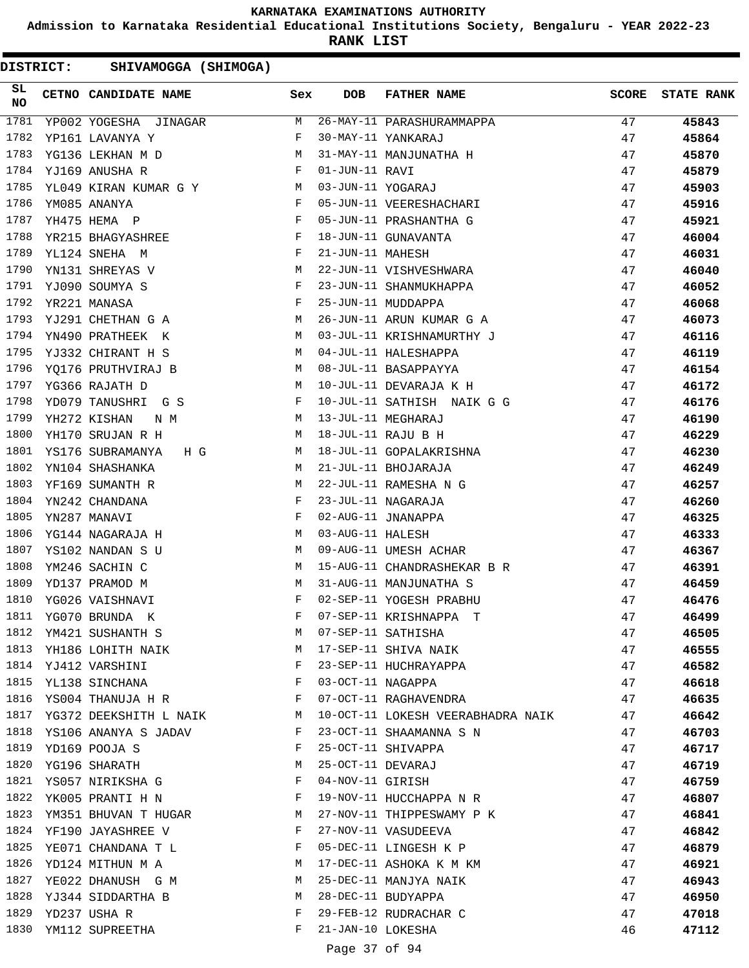**Admission to Karnataka Residential Educational Institutions Society, Bengaluru - YEAR 2022-23**

**RANK LIST**

| SL<br><b>NO</b> | CETNO CANDIDATE NAME    | Sex        | <b>DOB</b>        | FATHER NAME                       | <b>SCORE</b> | <b>STATE RANK</b> |
|-----------------|-------------------------|------------|-------------------|-----------------------------------|--------------|-------------------|
| 1781            | YP002 YOGESHA JINAGAR   | M          |                   | 26-MAY-11 PARASHURAMMAPPA         | 47           | 45843             |
| 1782            | YP161 LAVANYA Y         | F          |                   | 30-MAY-11 YANKARAJ                | 47           | 45864             |
| 1783            | YG136 LEKHAN M D        | М          |                   | 31-MAY-11 MANJUNATHA H            | 47           | 45870             |
| 1784            | YJ169 ANUSHA R          | F          | 01-JUN-11 RAVI    |                                   | 47           | 45879             |
| 1785            | YL049 KIRAN KUMAR G Y M |            | 03-JUN-11 YOGARAJ |                                   | 47           | 45903             |
| 1786            | YM085 ANANYA            | F          |                   | 05-JUN-11 VEERESHACHARI           | 47           | 45916             |
| 1787            | YH475 HEMA P            | F          |                   | 05-JUN-11 PRASHANTHA G            | 47           | 45921             |
| 1788            | YR215 BHAGYASHREE       | $-F$       |                   | 18-JUN-11 GUNAVANTA               | 47           | 46004             |
| 1789            | YL124 SNEHA M           | F          | 21-JUN-11 MAHESH  |                                   | 47           | 46031             |
| 1790            | YN131 SHREYAS V         | М          |                   | 22-JUN-11 VISHVESHWARA            | 47           | 46040             |
| 1791            | YJ090 SOUMYA S          | F          |                   | 23-JUN-11 SHANMUKHAPPA            | 47           | 46052             |
| 1792            | YR221 MANASA            | F          |                   | 25-JUN-11 MUDDAPPA                | 47           | 46068             |
| 1793            | YJ291 CHETHAN G A       | M          |                   | 26-JUN-11 ARUN KUMAR G A          | 47           | 46073             |
| 1794            | YN490 PRATHEEK K        | M          |                   | 03-JUL-11 KRISHNAMURTHY J         | 47           | 46116             |
| 1795            | YJ332 CHIRANT H S       | M          |                   | 04-JUL-11 HALESHAPPA              | 47           | 46119             |
| 1796            | YQ176 PRUTHVIRAJ B      | M          |                   | 08-JUL-11 BASAPPAYYA              | 47           | 46154             |
| 1797            | YG366 RAJATH D          | M          |                   | 10-JUL-11 DEVARAJA K H            | 47           | 46172             |
| 1798            | YD079 TANUSHRI G S      | F          |                   | 10-JUL-11 SATHISH NAIK G G        | 47           | 46176             |
| 1799            | YH272 KISHAN<br>N M     | M          |                   | 13-JUL-11 MEGHARAJ                | 47           | 46190             |
| 1800            | YH170 SRUJAN R H        | M          |                   | 18-JUL-11 RAJU B H                | 47           | 46229             |
| 1801            | YS176 SUBRAMANYA<br>H G | M          |                   | 18-JUL-11 GOPALAKRISHNA           | 47           | 46230             |
| 1802            | YN104 SHASHANKA         | M          |                   | 21-JUL-11 BHOJARAJA               | 47           | 46249             |
| 1803            | YF169 SUMANTH R         | M          |                   | 22-JUL-11 RAMESHA N G             | 47           | 46257             |
| 1804            | YN242 CHANDANA          | $_{\rm F}$ |                   | 23-JUL-11 NAGARAJA                | 47           | 46260             |
| 1805            | YN287 MANAVI            | F          |                   | 02-AUG-11 JNANAPPA                | 47           | 46325             |
| 1806            | YG144 NAGARAJA H        | M          | 03-AUG-11 HALESH  |                                   | 47           | 46333             |
| 1807            | YS102 NANDAN S U        | M          |                   | 09-AUG-11 UMESH ACHAR             | 47           | 46367             |
| 1808            | YM246 SACHIN C          | M          |                   | 15-AUG-11 CHANDRASHEKAR B R       | 47           | 46391             |
| 1809            | YD137 PRAMOD M          | M          |                   | 31-AUG-11 MANJUNATHA S            | 47           | 46459             |
| 1810            | YG026 VAISHNAVI         | F          |                   | 02-SEP-11 YOGESH PRABHU           | 47           | 46476             |
| 1811            | YG070 BRUNDA K          | F          |                   | 07-SEP-11 KRISHNAPPA T            | 47           | 46499             |
| 1812            | YM421 SUSHANTH S        | M          |                   | 07-SEP-11 SATHISHA                | 47           | 46505             |
| 1813            | YH186 LOHITH NAIK       | M          |                   | 17-SEP-11 SHIVA NAIK              | 47           | 46555             |
|                 | 1814 YJ412 VARSHINI     | F          |                   | 23-SEP-11 HUCHRAYAPPA             | 47           | 46582             |
| 1815            | YL138 SINCHANA          | F          | 03-OCT-11 NAGAPPA |                                   | 47           | 46618             |
|                 | 1816 YS004 THANUJA H R  | F          |                   | 07-OCT-11 RAGHAVENDRA             | 47           | 46635             |
| 1817            | YG372 DEEKSHITH L NAIK  | M          |                   | 10-OCT-11 LOKESH VEERABHADRA NAIK | 47           | 46642             |
| 1818            | YS106 ANANYA S JADAV    | F          |                   | 23-OCT-11 SHAAMANNA S N           | 47           | 46703             |
| 1819            | YD169 POOJA S           | F          |                   | 25-OCT-11 SHIVAPPA                | 47           | 46717             |
| 1820            | YG196 SHARATH           | М          | 25-OCT-11 DEVARAJ |                                   | 47           | 46719             |
| 1821            | YS057 NIRIKSHA G        | F          | 04-NOV-11 GIRISH  |                                   | 47           | 46759             |
| 1822            | YK005 PRANTI H N        | F          |                   | 19-NOV-11 HUCCHAPPA N R           | 47           | 46807             |
| 1823            | YM351 BHUVAN T HUGAR    | M          |                   | 27-NOV-11 THIPPESWAMY P K         | 47           | 46841             |
|                 | 1824 YF190 JAYASHREE V  | F          |                   | 27-NOV-11 VASUDEEVA               | 47           | 46842             |
| 1825            | YE071 CHANDANA T L      | F          |                   | 05-DEC-11 LINGESH K P             | 47           | 46879             |
| 1826            | YD124 MITHUN M A        | М          |                   | 17-DEC-11 ASHOKA K M KM           | 47           | 46921             |
| 1827            | YE022 DHANUSH G M       | М          |                   | 25-DEC-11 MANJYA NAIK             | 47           | 46943             |
|                 | 1828 YJ344 SIDDARTHA B  | М          |                   | 28-DEC-11 BUDYAPPA                | 47           | 46950             |
| 1829            | YD237 USHA R            | F          |                   | 29-FEB-12 RUDRACHAR C             | 47           | 47018             |
| 1830            | YM112 SUPREETHA         | F          | 21-JAN-10 LOKESHA |                                   | 46           | 47112             |
|                 |                         |            |                   |                                   |              |                   |
|                 |                         |            | Page 37 of 94     |                                   |              |                   |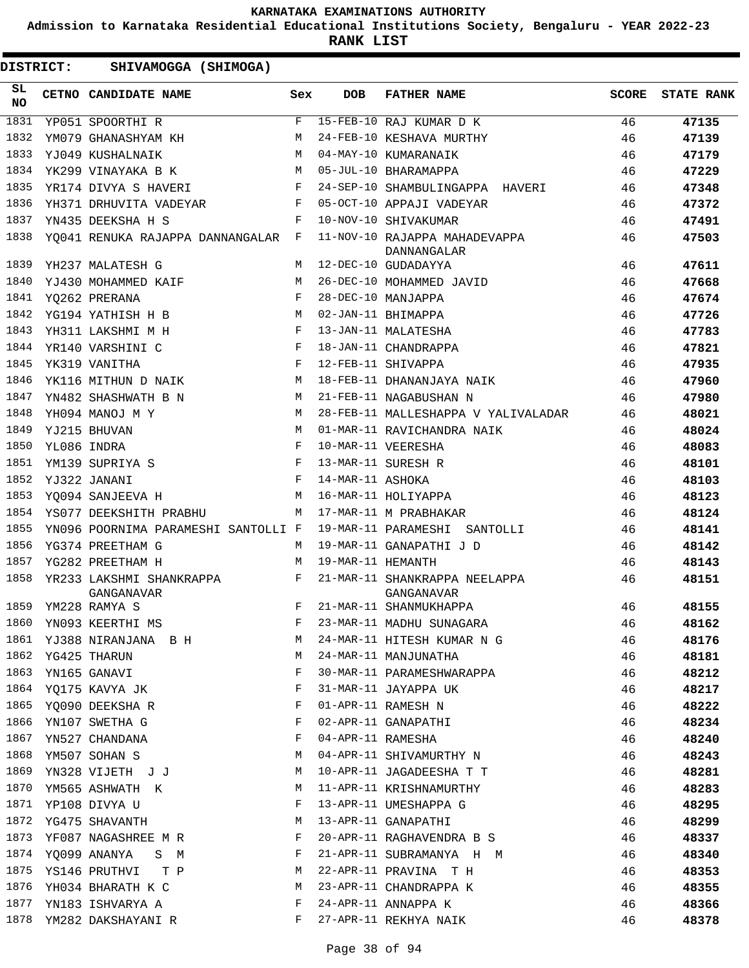**Admission to Karnataka Residential Educational Institutions Society, Bengaluru - YEAR 2022-23**

**RANK LIST**

| 1831<br>F<br>15-FEB-10 RAJ KUMAR D K<br>46<br>47135<br>YP051 SPOORTHI R<br>1832<br>YM079 GHANASHYAM KH<br>24-FEB-10 KESHAVA MURTHY<br>46<br>M<br>47139<br>1833<br>04-MAY-10 KUMARANAIK<br>46<br>YJ049 KUSHALNAIK<br>M<br>47179<br>YK299 VINAYAKA B K<br>1834<br>M<br>05-JUL-10 BHARAMAPPA<br>46<br>47229<br>1835<br>YR174 DIVYA S HAVERI F<br>24-SEP-10 SHAMBULINGAPPA HAVERI<br>46<br>47348<br>1836<br>F<br>05-OCT-10 APPAJI VADEYAR<br>46<br>YH371 DRHUVITA VADEYAR<br>47372<br>1837<br>10-NOV-10 SHIVAKUMAR<br>46<br>YN435 DEEKSHA H S<br>F<br>47491<br>1838<br>11-NOV-10 RAJAPPA MAHADEVAPPA<br>46<br>YQ041 RENUKA RAJAPPA DANNANGALAR F<br>47503<br>DANNANGALAR<br>1839<br>12-DEC-10 GUDADAYYA<br>46<br>YH237 MALATESH G<br>M<br>47611<br>1840<br>YJ430 MOHAMMED KAIF<br>26-DEC-10 MOHAMMED JAVID<br>46<br>M<br>47668<br>1841<br>F<br>28-DEC-10 MANJAPPA<br>46<br>YO262 PRERANA<br>47674<br>1842<br>02-JAN-11 BHIMAPPA<br>46<br>YG194 YATHISH H B<br>M<br>47726<br>YH311 LAKSHMI M H<br>1843<br>13-JAN-11 MALATESHA<br>46<br>$\mathbf{F}$<br>47783<br>1844<br>$\begin{array}{c} \mathbf{F} \\ \mathbf{F} \end{array}$<br>18-JAN-11 CHANDRAPPA<br>46<br>YR140 VARSHINI C<br>47821<br>1845<br>12-FEB-11 SHIVAPPA<br>46<br>YK319 VANITHA<br>47935<br>1846<br>18-FEB-11 DHANANJAYA NAIK<br>YK116 MITHUN D NAIK<br>М<br>46<br>47960<br>M<br>1847<br>21-FEB-11 NAGABUSHAN N<br>46<br>YN482 SHASHWATH B N<br>47980<br>1848<br>YH094 MANOJ M Y<br>M<br>28-FEB-11 MALLESHAPPA V YALIVALADAR<br>46<br>48021<br>1849<br>46<br>YJ215 BHUVAN<br>M<br>01-MAR-11 RAVICHANDRA NAIK<br>48024<br>1850<br>YL086 INDRA<br>F<br>10-MAR-11 VEERESHA<br>46<br>48083<br>$\mathbf{F}$ and $\mathbf{F}$ and $\mathbf{F}$<br>1851<br>13-MAR-11 SURESH R<br>46<br>YM139 SUPRIYA S<br>48101<br>1852<br>$\mathbf{F}$<br>14-MAR-11 ASHOKA<br>46<br>YJ322 JANANI<br>48103<br>1853<br><b>M</b><br>16-MAR-11 HOLIYAPPA<br>46<br>YO094 SANJEEVA H<br>48123<br>1854<br>YS077 DEEKSHITH PRABHU<br>17-MAR-11 M PRABHAKAR<br>46<br>48124<br>M<br>1855<br>19-MAR-11 PARAMESHI SANTOLLI<br>YN096 POORNIMA PARAMESHI SANTOLLI F<br>46<br>48141<br>1856<br>19-MAR-11 GANAPATHI J D<br>46<br>YG374 PREETHAM G<br>48142<br>M<br>1857<br>19-MAR-11 HEMANTH<br>46<br>YG282 PREETHAM H<br>48143<br>M<br>1858<br>YR233 LAKSHMI SHANKRAPPA F<br>21-MAR-11 SHANKRAPPA NEELAPPA<br>46<br>48151<br>GANGANAVAR<br>GANGANAVAR<br>46<br>1859<br>YM228 RAMYA S<br>F<br>21-MAR-11 SHANMUKHAPPA<br>48155<br>46<br>1860 YN093 KEERTHI MS<br>F 23-MAR-11 MADHU SUNAGARA<br>48162<br>1861 YJ388 NIRANJANA B H M 24-MAR-11 HITESH KUMAR N G<br>46<br>48176<br>46<br>1862 YG425 THARUN<br>48181<br>M 24-MAR-11 MANJUNATHA<br>30-MAR-11 PARAMESHWARAPPA 46<br>1863 YN165 GANAVI<br>$\mathbf{F}$ and $\mathbf{F}$<br>48212<br>1864 YQ175 KAVYA JK<br>46<br>31-MAR-11 JAYAPPA UK<br>48217<br>1865 YQ090 DEEKSHA R<br>46<br>F<br>01-APR-11 RAMESH N<br>48222<br>1866 YN107 SWETHA G<br>46<br>02-APR-11 GANAPATHI<br>48234<br>$\mathbf{F}$<br>46<br>1867 YN527 CHANDANA<br>04-APR-11 RAMESHA<br>48240<br>F<br>M 04-APR-11 SHIVAMURTHY N<br>1868 YM507 SOHAN S<br>46<br>48243<br>1869 YN328 VIJETH J J<br>M 10-APR-11 JAGADEESHA T T<br>- 46<br>48281<br>1870 YM565 ASHWATH K<br>46<br>48283<br>M 11-APR-11 KRISHNAMURTHY<br>46<br>1871 YP108 DIVYA U F 13-APR-11 UMESHAPPA G<br>48295<br>46<br>1872 YG475 SHAVANTH<br>13-APR-11 GANAPATHI<br>48299<br>M<br>1873 YF087 NAGASHREE M R<br>46<br>$\mathbf{F}$<br>20-APR-11 RAGHAVENDRA B S<br>48337<br>46<br>1874 YQ099 ANANYA S M F 21-APR-11 SUBRAMANYA H M<br>48340<br>46<br>1875 YS146 PRUTHVI T P M 22-APR-11 PRAVINA T H<br>48353<br>1876 YH034 BHARATH K C M 23-APR-11 CHANDRAPPA K<br>46<br>48355<br>F 24-APR-11 ANNAPPA K<br>1877 YN183 ISHVARYA A<br>46<br>48366<br>1878 YM282 DAKSHAYANI R<br>F 27-APR-11 REKHYA NAIK<br>46<br>48378 | SL<br><b>NO</b> | CETNO CANDIDATE NAME | Sex | <b>DOB</b> | <b>FATHER NAME</b> | SCORE | <b>STATE RANK</b> |
|-----------------------------------------------------------------------------------------------------------------------------------------------------------------------------------------------------------------------------------------------------------------------------------------------------------------------------------------------------------------------------------------------------------------------------------------------------------------------------------------------------------------------------------------------------------------------------------------------------------------------------------------------------------------------------------------------------------------------------------------------------------------------------------------------------------------------------------------------------------------------------------------------------------------------------------------------------------------------------------------------------------------------------------------------------------------------------------------------------------------------------------------------------------------------------------------------------------------------------------------------------------------------------------------------------------------------------------------------------------------------------------------------------------------------------------------------------------------------------------------------------------------------------------------------------------------------------------------------------------------------------------------------------------------------------------------------------------------------------------------------------------------------------------------------------------------------------------------------------------------------------------------------------------------------------------------------------------------------------------------------------------------------------------------------------------------------------------------------------------------------------------------------------------------------------------------------------------------------------------------------------------------------------------------------------------------------------------------------------------------------------------------------------------------------------------------------------------------------------------------------------------------------------------------------------------------------------------------------------------------------------------------------------------------------------------------------------------------------------------------------------------------------------------------------------------------------------------------------------------------------------------------------------------------------------------------------------------------------------------------------------------------------------------------------------------------------------------------------------------------------------------------------------------------------------------------------------------------------------------------------------------------------------------------------------------------------------------------------------------------------------------------------------------------------------------------------------------------------------------------------------------------------------------------------------------------------------------------------------------------------------------------------------------------------------------------------------------------------------------------------------------------------------------------------------------------------------|-----------------|----------------------|-----|------------|--------------------|-------|-------------------|
|                                                                                                                                                                                                                                                                                                                                                                                                                                                                                                                                                                                                                                                                                                                                                                                                                                                                                                                                                                                                                                                                                                                                                                                                                                                                                                                                                                                                                                                                                                                                                                                                                                                                                                                                                                                                                                                                                                                                                                                                                                                                                                                                                                                                                                                                                                                                                                                                                                                                                                                                                                                                                                                                                                                                                                                                                                                                                                                                                                                                                                                                                                                                                                                                                                                                                                                                                                                                                                                                                                                                                                                                                                                                                                                                                                                                                             |                 |                      |     |            |                    |       |                   |
|                                                                                                                                                                                                                                                                                                                                                                                                                                                                                                                                                                                                                                                                                                                                                                                                                                                                                                                                                                                                                                                                                                                                                                                                                                                                                                                                                                                                                                                                                                                                                                                                                                                                                                                                                                                                                                                                                                                                                                                                                                                                                                                                                                                                                                                                                                                                                                                                                                                                                                                                                                                                                                                                                                                                                                                                                                                                                                                                                                                                                                                                                                                                                                                                                                                                                                                                                                                                                                                                                                                                                                                                                                                                                                                                                                                                                             |                 |                      |     |            |                    |       |                   |
|                                                                                                                                                                                                                                                                                                                                                                                                                                                                                                                                                                                                                                                                                                                                                                                                                                                                                                                                                                                                                                                                                                                                                                                                                                                                                                                                                                                                                                                                                                                                                                                                                                                                                                                                                                                                                                                                                                                                                                                                                                                                                                                                                                                                                                                                                                                                                                                                                                                                                                                                                                                                                                                                                                                                                                                                                                                                                                                                                                                                                                                                                                                                                                                                                                                                                                                                                                                                                                                                                                                                                                                                                                                                                                                                                                                                                             |                 |                      |     |            |                    |       |                   |
|                                                                                                                                                                                                                                                                                                                                                                                                                                                                                                                                                                                                                                                                                                                                                                                                                                                                                                                                                                                                                                                                                                                                                                                                                                                                                                                                                                                                                                                                                                                                                                                                                                                                                                                                                                                                                                                                                                                                                                                                                                                                                                                                                                                                                                                                                                                                                                                                                                                                                                                                                                                                                                                                                                                                                                                                                                                                                                                                                                                                                                                                                                                                                                                                                                                                                                                                                                                                                                                                                                                                                                                                                                                                                                                                                                                                                             |                 |                      |     |            |                    |       |                   |
|                                                                                                                                                                                                                                                                                                                                                                                                                                                                                                                                                                                                                                                                                                                                                                                                                                                                                                                                                                                                                                                                                                                                                                                                                                                                                                                                                                                                                                                                                                                                                                                                                                                                                                                                                                                                                                                                                                                                                                                                                                                                                                                                                                                                                                                                                                                                                                                                                                                                                                                                                                                                                                                                                                                                                                                                                                                                                                                                                                                                                                                                                                                                                                                                                                                                                                                                                                                                                                                                                                                                                                                                                                                                                                                                                                                                                             |                 |                      |     |            |                    |       |                   |
|                                                                                                                                                                                                                                                                                                                                                                                                                                                                                                                                                                                                                                                                                                                                                                                                                                                                                                                                                                                                                                                                                                                                                                                                                                                                                                                                                                                                                                                                                                                                                                                                                                                                                                                                                                                                                                                                                                                                                                                                                                                                                                                                                                                                                                                                                                                                                                                                                                                                                                                                                                                                                                                                                                                                                                                                                                                                                                                                                                                                                                                                                                                                                                                                                                                                                                                                                                                                                                                                                                                                                                                                                                                                                                                                                                                                                             |                 |                      |     |            |                    |       |                   |
|                                                                                                                                                                                                                                                                                                                                                                                                                                                                                                                                                                                                                                                                                                                                                                                                                                                                                                                                                                                                                                                                                                                                                                                                                                                                                                                                                                                                                                                                                                                                                                                                                                                                                                                                                                                                                                                                                                                                                                                                                                                                                                                                                                                                                                                                                                                                                                                                                                                                                                                                                                                                                                                                                                                                                                                                                                                                                                                                                                                                                                                                                                                                                                                                                                                                                                                                                                                                                                                                                                                                                                                                                                                                                                                                                                                                                             |                 |                      |     |            |                    |       |                   |
|                                                                                                                                                                                                                                                                                                                                                                                                                                                                                                                                                                                                                                                                                                                                                                                                                                                                                                                                                                                                                                                                                                                                                                                                                                                                                                                                                                                                                                                                                                                                                                                                                                                                                                                                                                                                                                                                                                                                                                                                                                                                                                                                                                                                                                                                                                                                                                                                                                                                                                                                                                                                                                                                                                                                                                                                                                                                                                                                                                                                                                                                                                                                                                                                                                                                                                                                                                                                                                                                                                                                                                                                                                                                                                                                                                                                                             |                 |                      |     |            |                    |       |                   |
|                                                                                                                                                                                                                                                                                                                                                                                                                                                                                                                                                                                                                                                                                                                                                                                                                                                                                                                                                                                                                                                                                                                                                                                                                                                                                                                                                                                                                                                                                                                                                                                                                                                                                                                                                                                                                                                                                                                                                                                                                                                                                                                                                                                                                                                                                                                                                                                                                                                                                                                                                                                                                                                                                                                                                                                                                                                                                                                                                                                                                                                                                                                                                                                                                                                                                                                                                                                                                                                                                                                                                                                                                                                                                                                                                                                                                             |                 |                      |     |            |                    |       |                   |
|                                                                                                                                                                                                                                                                                                                                                                                                                                                                                                                                                                                                                                                                                                                                                                                                                                                                                                                                                                                                                                                                                                                                                                                                                                                                                                                                                                                                                                                                                                                                                                                                                                                                                                                                                                                                                                                                                                                                                                                                                                                                                                                                                                                                                                                                                                                                                                                                                                                                                                                                                                                                                                                                                                                                                                                                                                                                                                                                                                                                                                                                                                                                                                                                                                                                                                                                                                                                                                                                                                                                                                                                                                                                                                                                                                                                                             |                 |                      |     |            |                    |       |                   |
|                                                                                                                                                                                                                                                                                                                                                                                                                                                                                                                                                                                                                                                                                                                                                                                                                                                                                                                                                                                                                                                                                                                                                                                                                                                                                                                                                                                                                                                                                                                                                                                                                                                                                                                                                                                                                                                                                                                                                                                                                                                                                                                                                                                                                                                                                                                                                                                                                                                                                                                                                                                                                                                                                                                                                                                                                                                                                                                                                                                                                                                                                                                                                                                                                                                                                                                                                                                                                                                                                                                                                                                                                                                                                                                                                                                                                             |                 |                      |     |            |                    |       |                   |
|                                                                                                                                                                                                                                                                                                                                                                                                                                                                                                                                                                                                                                                                                                                                                                                                                                                                                                                                                                                                                                                                                                                                                                                                                                                                                                                                                                                                                                                                                                                                                                                                                                                                                                                                                                                                                                                                                                                                                                                                                                                                                                                                                                                                                                                                                                                                                                                                                                                                                                                                                                                                                                                                                                                                                                                                                                                                                                                                                                                                                                                                                                                                                                                                                                                                                                                                                                                                                                                                                                                                                                                                                                                                                                                                                                                                                             |                 |                      |     |            |                    |       |                   |
|                                                                                                                                                                                                                                                                                                                                                                                                                                                                                                                                                                                                                                                                                                                                                                                                                                                                                                                                                                                                                                                                                                                                                                                                                                                                                                                                                                                                                                                                                                                                                                                                                                                                                                                                                                                                                                                                                                                                                                                                                                                                                                                                                                                                                                                                                                                                                                                                                                                                                                                                                                                                                                                                                                                                                                                                                                                                                                                                                                                                                                                                                                                                                                                                                                                                                                                                                                                                                                                                                                                                                                                                                                                                                                                                                                                                                             |                 |                      |     |            |                    |       |                   |
|                                                                                                                                                                                                                                                                                                                                                                                                                                                                                                                                                                                                                                                                                                                                                                                                                                                                                                                                                                                                                                                                                                                                                                                                                                                                                                                                                                                                                                                                                                                                                                                                                                                                                                                                                                                                                                                                                                                                                                                                                                                                                                                                                                                                                                                                                                                                                                                                                                                                                                                                                                                                                                                                                                                                                                                                                                                                                                                                                                                                                                                                                                                                                                                                                                                                                                                                                                                                                                                                                                                                                                                                                                                                                                                                                                                                                             |                 |                      |     |            |                    |       |                   |
|                                                                                                                                                                                                                                                                                                                                                                                                                                                                                                                                                                                                                                                                                                                                                                                                                                                                                                                                                                                                                                                                                                                                                                                                                                                                                                                                                                                                                                                                                                                                                                                                                                                                                                                                                                                                                                                                                                                                                                                                                                                                                                                                                                                                                                                                                                                                                                                                                                                                                                                                                                                                                                                                                                                                                                                                                                                                                                                                                                                                                                                                                                                                                                                                                                                                                                                                                                                                                                                                                                                                                                                                                                                                                                                                                                                                                             |                 |                      |     |            |                    |       |                   |
|                                                                                                                                                                                                                                                                                                                                                                                                                                                                                                                                                                                                                                                                                                                                                                                                                                                                                                                                                                                                                                                                                                                                                                                                                                                                                                                                                                                                                                                                                                                                                                                                                                                                                                                                                                                                                                                                                                                                                                                                                                                                                                                                                                                                                                                                                                                                                                                                                                                                                                                                                                                                                                                                                                                                                                                                                                                                                                                                                                                                                                                                                                                                                                                                                                                                                                                                                                                                                                                                                                                                                                                                                                                                                                                                                                                                                             |                 |                      |     |            |                    |       |                   |
|                                                                                                                                                                                                                                                                                                                                                                                                                                                                                                                                                                                                                                                                                                                                                                                                                                                                                                                                                                                                                                                                                                                                                                                                                                                                                                                                                                                                                                                                                                                                                                                                                                                                                                                                                                                                                                                                                                                                                                                                                                                                                                                                                                                                                                                                                                                                                                                                                                                                                                                                                                                                                                                                                                                                                                                                                                                                                                                                                                                                                                                                                                                                                                                                                                                                                                                                                                                                                                                                                                                                                                                                                                                                                                                                                                                                                             |                 |                      |     |            |                    |       |                   |
|                                                                                                                                                                                                                                                                                                                                                                                                                                                                                                                                                                                                                                                                                                                                                                                                                                                                                                                                                                                                                                                                                                                                                                                                                                                                                                                                                                                                                                                                                                                                                                                                                                                                                                                                                                                                                                                                                                                                                                                                                                                                                                                                                                                                                                                                                                                                                                                                                                                                                                                                                                                                                                                                                                                                                                                                                                                                                                                                                                                                                                                                                                                                                                                                                                                                                                                                                                                                                                                                                                                                                                                                                                                                                                                                                                                                                             |                 |                      |     |            |                    |       |                   |
|                                                                                                                                                                                                                                                                                                                                                                                                                                                                                                                                                                                                                                                                                                                                                                                                                                                                                                                                                                                                                                                                                                                                                                                                                                                                                                                                                                                                                                                                                                                                                                                                                                                                                                                                                                                                                                                                                                                                                                                                                                                                                                                                                                                                                                                                                                                                                                                                                                                                                                                                                                                                                                                                                                                                                                                                                                                                                                                                                                                                                                                                                                                                                                                                                                                                                                                                                                                                                                                                                                                                                                                                                                                                                                                                                                                                                             |                 |                      |     |            |                    |       |                   |
|                                                                                                                                                                                                                                                                                                                                                                                                                                                                                                                                                                                                                                                                                                                                                                                                                                                                                                                                                                                                                                                                                                                                                                                                                                                                                                                                                                                                                                                                                                                                                                                                                                                                                                                                                                                                                                                                                                                                                                                                                                                                                                                                                                                                                                                                                                                                                                                                                                                                                                                                                                                                                                                                                                                                                                                                                                                                                                                                                                                                                                                                                                                                                                                                                                                                                                                                                                                                                                                                                                                                                                                                                                                                                                                                                                                                                             |                 |                      |     |            |                    |       |                   |
|                                                                                                                                                                                                                                                                                                                                                                                                                                                                                                                                                                                                                                                                                                                                                                                                                                                                                                                                                                                                                                                                                                                                                                                                                                                                                                                                                                                                                                                                                                                                                                                                                                                                                                                                                                                                                                                                                                                                                                                                                                                                                                                                                                                                                                                                                                                                                                                                                                                                                                                                                                                                                                                                                                                                                                                                                                                                                                                                                                                                                                                                                                                                                                                                                                                                                                                                                                                                                                                                                                                                                                                                                                                                                                                                                                                                                             |                 |                      |     |            |                    |       |                   |
|                                                                                                                                                                                                                                                                                                                                                                                                                                                                                                                                                                                                                                                                                                                                                                                                                                                                                                                                                                                                                                                                                                                                                                                                                                                                                                                                                                                                                                                                                                                                                                                                                                                                                                                                                                                                                                                                                                                                                                                                                                                                                                                                                                                                                                                                                                                                                                                                                                                                                                                                                                                                                                                                                                                                                                                                                                                                                                                                                                                                                                                                                                                                                                                                                                                                                                                                                                                                                                                                                                                                                                                                                                                                                                                                                                                                                             |                 |                      |     |            |                    |       |                   |
|                                                                                                                                                                                                                                                                                                                                                                                                                                                                                                                                                                                                                                                                                                                                                                                                                                                                                                                                                                                                                                                                                                                                                                                                                                                                                                                                                                                                                                                                                                                                                                                                                                                                                                                                                                                                                                                                                                                                                                                                                                                                                                                                                                                                                                                                                                                                                                                                                                                                                                                                                                                                                                                                                                                                                                                                                                                                                                                                                                                                                                                                                                                                                                                                                                                                                                                                                                                                                                                                                                                                                                                                                                                                                                                                                                                                                             |                 |                      |     |            |                    |       |                   |
|                                                                                                                                                                                                                                                                                                                                                                                                                                                                                                                                                                                                                                                                                                                                                                                                                                                                                                                                                                                                                                                                                                                                                                                                                                                                                                                                                                                                                                                                                                                                                                                                                                                                                                                                                                                                                                                                                                                                                                                                                                                                                                                                                                                                                                                                                                                                                                                                                                                                                                                                                                                                                                                                                                                                                                                                                                                                                                                                                                                                                                                                                                                                                                                                                                                                                                                                                                                                                                                                                                                                                                                                                                                                                                                                                                                                                             |                 |                      |     |            |                    |       |                   |
|                                                                                                                                                                                                                                                                                                                                                                                                                                                                                                                                                                                                                                                                                                                                                                                                                                                                                                                                                                                                                                                                                                                                                                                                                                                                                                                                                                                                                                                                                                                                                                                                                                                                                                                                                                                                                                                                                                                                                                                                                                                                                                                                                                                                                                                                                                                                                                                                                                                                                                                                                                                                                                                                                                                                                                                                                                                                                                                                                                                                                                                                                                                                                                                                                                                                                                                                                                                                                                                                                                                                                                                                                                                                                                                                                                                                                             |                 |                      |     |            |                    |       |                   |
|                                                                                                                                                                                                                                                                                                                                                                                                                                                                                                                                                                                                                                                                                                                                                                                                                                                                                                                                                                                                                                                                                                                                                                                                                                                                                                                                                                                                                                                                                                                                                                                                                                                                                                                                                                                                                                                                                                                                                                                                                                                                                                                                                                                                                                                                                                                                                                                                                                                                                                                                                                                                                                                                                                                                                                                                                                                                                                                                                                                                                                                                                                                                                                                                                                                                                                                                                                                                                                                                                                                                                                                                                                                                                                                                                                                                                             |                 |                      |     |            |                    |       |                   |
|                                                                                                                                                                                                                                                                                                                                                                                                                                                                                                                                                                                                                                                                                                                                                                                                                                                                                                                                                                                                                                                                                                                                                                                                                                                                                                                                                                                                                                                                                                                                                                                                                                                                                                                                                                                                                                                                                                                                                                                                                                                                                                                                                                                                                                                                                                                                                                                                                                                                                                                                                                                                                                                                                                                                                                                                                                                                                                                                                                                                                                                                                                                                                                                                                                                                                                                                                                                                                                                                                                                                                                                                                                                                                                                                                                                                                             |                 |                      |     |            |                    |       |                   |
|                                                                                                                                                                                                                                                                                                                                                                                                                                                                                                                                                                                                                                                                                                                                                                                                                                                                                                                                                                                                                                                                                                                                                                                                                                                                                                                                                                                                                                                                                                                                                                                                                                                                                                                                                                                                                                                                                                                                                                                                                                                                                                                                                                                                                                                                                                                                                                                                                                                                                                                                                                                                                                                                                                                                                                                                                                                                                                                                                                                                                                                                                                                                                                                                                                                                                                                                                                                                                                                                                                                                                                                                                                                                                                                                                                                                                             |                 |                      |     |            |                    |       |                   |
|                                                                                                                                                                                                                                                                                                                                                                                                                                                                                                                                                                                                                                                                                                                                                                                                                                                                                                                                                                                                                                                                                                                                                                                                                                                                                                                                                                                                                                                                                                                                                                                                                                                                                                                                                                                                                                                                                                                                                                                                                                                                                                                                                                                                                                                                                                                                                                                                                                                                                                                                                                                                                                                                                                                                                                                                                                                                                                                                                                                                                                                                                                                                                                                                                                                                                                                                                                                                                                                                                                                                                                                                                                                                                                                                                                                                                             |                 |                      |     |            |                    |       |                   |
|                                                                                                                                                                                                                                                                                                                                                                                                                                                                                                                                                                                                                                                                                                                                                                                                                                                                                                                                                                                                                                                                                                                                                                                                                                                                                                                                                                                                                                                                                                                                                                                                                                                                                                                                                                                                                                                                                                                                                                                                                                                                                                                                                                                                                                                                                                                                                                                                                                                                                                                                                                                                                                                                                                                                                                                                                                                                                                                                                                                                                                                                                                                                                                                                                                                                                                                                                                                                                                                                                                                                                                                                                                                                                                                                                                                                                             |                 |                      |     |            |                    |       |                   |
|                                                                                                                                                                                                                                                                                                                                                                                                                                                                                                                                                                                                                                                                                                                                                                                                                                                                                                                                                                                                                                                                                                                                                                                                                                                                                                                                                                                                                                                                                                                                                                                                                                                                                                                                                                                                                                                                                                                                                                                                                                                                                                                                                                                                                                                                                                                                                                                                                                                                                                                                                                                                                                                                                                                                                                                                                                                                                                                                                                                                                                                                                                                                                                                                                                                                                                                                                                                                                                                                                                                                                                                                                                                                                                                                                                                                                             |                 |                      |     |            |                    |       |                   |
|                                                                                                                                                                                                                                                                                                                                                                                                                                                                                                                                                                                                                                                                                                                                                                                                                                                                                                                                                                                                                                                                                                                                                                                                                                                                                                                                                                                                                                                                                                                                                                                                                                                                                                                                                                                                                                                                                                                                                                                                                                                                                                                                                                                                                                                                                                                                                                                                                                                                                                                                                                                                                                                                                                                                                                                                                                                                                                                                                                                                                                                                                                                                                                                                                                                                                                                                                                                                                                                                                                                                                                                                                                                                                                                                                                                                                             |                 |                      |     |            |                    |       |                   |
|                                                                                                                                                                                                                                                                                                                                                                                                                                                                                                                                                                                                                                                                                                                                                                                                                                                                                                                                                                                                                                                                                                                                                                                                                                                                                                                                                                                                                                                                                                                                                                                                                                                                                                                                                                                                                                                                                                                                                                                                                                                                                                                                                                                                                                                                                                                                                                                                                                                                                                                                                                                                                                                                                                                                                                                                                                                                                                                                                                                                                                                                                                                                                                                                                                                                                                                                                                                                                                                                                                                                                                                                                                                                                                                                                                                                                             |                 |                      |     |            |                    |       |                   |
|                                                                                                                                                                                                                                                                                                                                                                                                                                                                                                                                                                                                                                                                                                                                                                                                                                                                                                                                                                                                                                                                                                                                                                                                                                                                                                                                                                                                                                                                                                                                                                                                                                                                                                                                                                                                                                                                                                                                                                                                                                                                                                                                                                                                                                                                                                                                                                                                                                                                                                                                                                                                                                                                                                                                                                                                                                                                                                                                                                                                                                                                                                                                                                                                                                                                                                                                                                                                                                                                                                                                                                                                                                                                                                                                                                                                                             |                 |                      |     |            |                    |       |                   |
|                                                                                                                                                                                                                                                                                                                                                                                                                                                                                                                                                                                                                                                                                                                                                                                                                                                                                                                                                                                                                                                                                                                                                                                                                                                                                                                                                                                                                                                                                                                                                                                                                                                                                                                                                                                                                                                                                                                                                                                                                                                                                                                                                                                                                                                                                                                                                                                                                                                                                                                                                                                                                                                                                                                                                                                                                                                                                                                                                                                                                                                                                                                                                                                                                                                                                                                                                                                                                                                                                                                                                                                                                                                                                                                                                                                                                             |                 |                      |     |            |                    |       |                   |
|                                                                                                                                                                                                                                                                                                                                                                                                                                                                                                                                                                                                                                                                                                                                                                                                                                                                                                                                                                                                                                                                                                                                                                                                                                                                                                                                                                                                                                                                                                                                                                                                                                                                                                                                                                                                                                                                                                                                                                                                                                                                                                                                                                                                                                                                                                                                                                                                                                                                                                                                                                                                                                                                                                                                                                                                                                                                                                                                                                                                                                                                                                                                                                                                                                                                                                                                                                                                                                                                                                                                                                                                                                                                                                                                                                                                                             |                 |                      |     |            |                    |       |                   |
|                                                                                                                                                                                                                                                                                                                                                                                                                                                                                                                                                                                                                                                                                                                                                                                                                                                                                                                                                                                                                                                                                                                                                                                                                                                                                                                                                                                                                                                                                                                                                                                                                                                                                                                                                                                                                                                                                                                                                                                                                                                                                                                                                                                                                                                                                                                                                                                                                                                                                                                                                                                                                                                                                                                                                                                                                                                                                                                                                                                                                                                                                                                                                                                                                                                                                                                                                                                                                                                                                                                                                                                                                                                                                                                                                                                                                             |                 |                      |     |            |                    |       |                   |
|                                                                                                                                                                                                                                                                                                                                                                                                                                                                                                                                                                                                                                                                                                                                                                                                                                                                                                                                                                                                                                                                                                                                                                                                                                                                                                                                                                                                                                                                                                                                                                                                                                                                                                                                                                                                                                                                                                                                                                                                                                                                                                                                                                                                                                                                                                                                                                                                                                                                                                                                                                                                                                                                                                                                                                                                                                                                                                                                                                                                                                                                                                                                                                                                                                                                                                                                                                                                                                                                                                                                                                                                                                                                                                                                                                                                                             |                 |                      |     |            |                    |       |                   |
|                                                                                                                                                                                                                                                                                                                                                                                                                                                                                                                                                                                                                                                                                                                                                                                                                                                                                                                                                                                                                                                                                                                                                                                                                                                                                                                                                                                                                                                                                                                                                                                                                                                                                                                                                                                                                                                                                                                                                                                                                                                                                                                                                                                                                                                                                                                                                                                                                                                                                                                                                                                                                                                                                                                                                                                                                                                                                                                                                                                                                                                                                                                                                                                                                                                                                                                                                                                                                                                                                                                                                                                                                                                                                                                                                                                                                             |                 |                      |     |            |                    |       |                   |
|                                                                                                                                                                                                                                                                                                                                                                                                                                                                                                                                                                                                                                                                                                                                                                                                                                                                                                                                                                                                                                                                                                                                                                                                                                                                                                                                                                                                                                                                                                                                                                                                                                                                                                                                                                                                                                                                                                                                                                                                                                                                                                                                                                                                                                                                                                                                                                                                                                                                                                                                                                                                                                                                                                                                                                                                                                                                                                                                                                                                                                                                                                                                                                                                                                                                                                                                                                                                                                                                                                                                                                                                                                                                                                                                                                                                                             |                 |                      |     |            |                    |       |                   |
|                                                                                                                                                                                                                                                                                                                                                                                                                                                                                                                                                                                                                                                                                                                                                                                                                                                                                                                                                                                                                                                                                                                                                                                                                                                                                                                                                                                                                                                                                                                                                                                                                                                                                                                                                                                                                                                                                                                                                                                                                                                                                                                                                                                                                                                                                                                                                                                                                                                                                                                                                                                                                                                                                                                                                                                                                                                                                                                                                                                                                                                                                                                                                                                                                                                                                                                                                                                                                                                                                                                                                                                                                                                                                                                                                                                                                             |                 |                      |     |            |                    |       |                   |
|                                                                                                                                                                                                                                                                                                                                                                                                                                                                                                                                                                                                                                                                                                                                                                                                                                                                                                                                                                                                                                                                                                                                                                                                                                                                                                                                                                                                                                                                                                                                                                                                                                                                                                                                                                                                                                                                                                                                                                                                                                                                                                                                                                                                                                                                                                                                                                                                                                                                                                                                                                                                                                                                                                                                                                                                                                                                                                                                                                                                                                                                                                                                                                                                                                                                                                                                                                                                                                                                                                                                                                                                                                                                                                                                                                                                                             |                 |                      |     |            |                    |       |                   |
|                                                                                                                                                                                                                                                                                                                                                                                                                                                                                                                                                                                                                                                                                                                                                                                                                                                                                                                                                                                                                                                                                                                                                                                                                                                                                                                                                                                                                                                                                                                                                                                                                                                                                                                                                                                                                                                                                                                                                                                                                                                                                                                                                                                                                                                                                                                                                                                                                                                                                                                                                                                                                                                                                                                                                                                                                                                                                                                                                                                                                                                                                                                                                                                                                                                                                                                                                                                                                                                                                                                                                                                                                                                                                                                                                                                                                             |                 |                      |     |            |                    |       |                   |
|                                                                                                                                                                                                                                                                                                                                                                                                                                                                                                                                                                                                                                                                                                                                                                                                                                                                                                                                                                                                                                                                                                                                                                                                                                                                                                                                                                                                                                                                                                                                                                                                                                                                                                                                                                                                                                                                                                                                                                                                                                                                                                                                                                                                                                                                                                                                                                                                                                                                                                                                                                                                                                                                                                                                                                                                                                                                                                                                                                                                                                                                                                                                                                                                                                                                                                                                                                                                                                                                                                                                                                                                                                                                                                                                                                                                                             |                 |                      |     |            |                    |       |                   |
|                                                                                                                                                                                                                                                                                                                                                                                                                                                                                                                                                                                                                                                                                                                                                                                                                                                                                                                                                                                                                                                                                                                                                                                                                                                                                                                                                                                                                                                                                                                                                                                                                                                                                                                                                                                                                                                                                                                                                                                                                                                                                                                                                                                                                                                                                                                                                                                                                                                                                                                                                                                                                                                                                                                                                                                                                                                                                                                                                                                                                                                                                                                                                                                                                                                                                                                                                                                                                                                                                                                                                                                                                                                                                                                                                                                                                             |                 |                      |     |            |                    |       |                   |
|                                                                                                                                                                                                                                                                                                                                                                                                                                                                                                                                                                                                                                                                                                                                                                                                                                                                                                                                                                                                                                                                                                                                                                                                                                                                                                                                                                                                                                                                                                                                                                                                                                                                                                                                                                                                                                                                                                                                                                                                                                                                                                                                                                                                                                                                                                                                                                                                                                                                                                                                                                                                                                                                                                                                                                                                                                                                                                                                                                                                                                                                                                                                                                                                                                                                                                                                                                                                                                                                                                                                                                                                                                                                                                                                                                                                                             |                 |                      |     |            |                    |       |                   |
|                                                                                                                                                                                                                                                                                                                                                                                                                                                                                                                                                                                                                                                                                                                                                                                                                                                                                                                                                                                                                                                                                                                                                                                                                                                                                                                                                                                                                                                                                                                                                                                                                                                                                                                                                                                                                                                                                                                                                                                                                                                                                                                                                                                                                                                                                                                                                                                                                                                                                                                                                                                                                                                                                                                                                                                                                                                                                                                                                                                                                                                                                                                                                                                                                                                                                                                                                                                                                                                                                                                                                                                                                                                                                                                                                                                                                             |                 |                      |     |            |                    |       |                   |
|                                                                                                                                                                                                                                                                                                                                                                                                                                                                                                                                                                                                                                                                                                                                                                                                                                                                                                                                                                                                                                                                                                                                                                                                                                                                                                                                                                                                                                                                                                                                                                                                                                                                                                                                                                                                                                                                                                                                                                                                                                                                                                                                                                                                                                                                                                                                                                                                                                                                                                                                                                                                                                                                                                                                                                                                                                                                                                                                                                                                                                                                                                                                                                                                                                                                                                                                                                                                                                                                                                                                                                                                                                                                                                                                                                                                                             |                 |                      |     |            |                    |       |                   |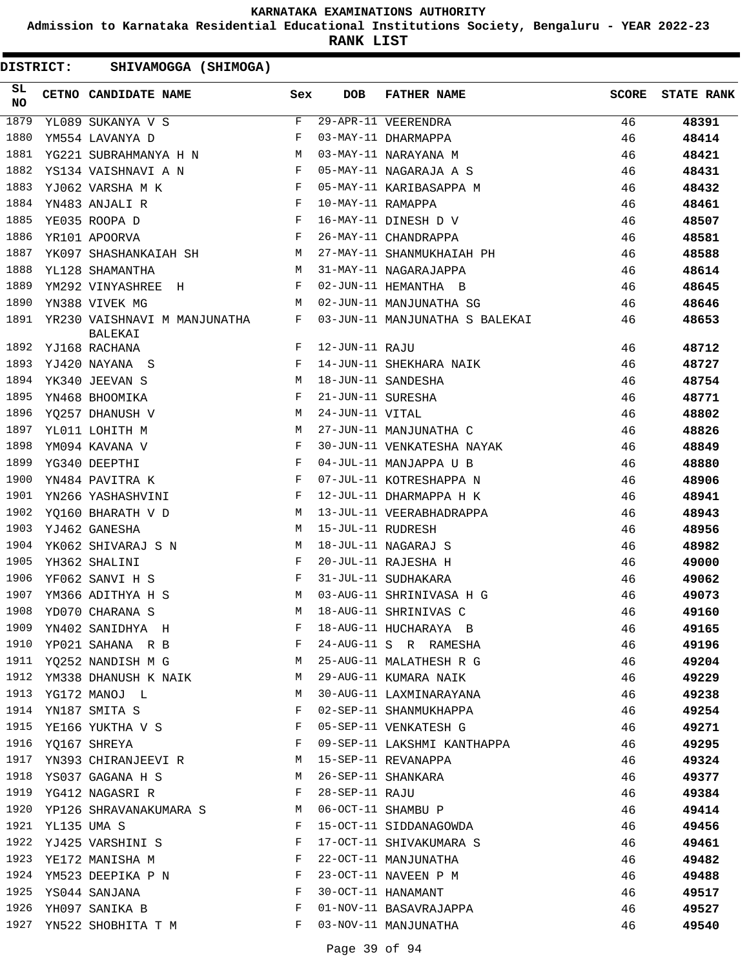**Admission to Karnataka Residential Educational Institutions Society, Bengaluru - YEAR 2022-23**

**RANK LIST**

|                 | <b>DISTRICT:</b> | SHIVAMOGGA (SHIMOGA)                                                                                                                                           |              |                   |                                |              |                   |
|-----------------|------------------|----------------------------------------------------------------------------------------------------------------------------------------------------------------|--------------|-------------------|--------------------------------|--------------|-------------------|
| SL<br><b>NO</b> |                  | CETNO CANDIDATE NAME                                                                                                                                           | Sex          | <b>DOB</b>        | <b>FATHER NAME</b>             | <b>SCORE</b> | <b>STATE RANK</b> |
| 1879            |                  | YL089 SUKANYA V S                                                                                                                                              | F            |                   | 29-APR-11 VEERENDRA            | 46           | 48391             |
| 1880            |                  | YM554 LAVANYA D                                                                                                                                                | $\mathbf{F}$ |                   | 03-MAY-11 DHARMAPPA            | 46           | 48414             |
| 1881            |                  | YG221 SUBRAHMANYA H N                                                                                                                                          | M            |                   | 03-MAY-11 NARAYANA M           | 46           | 48421             |
| 1882            |                  | YS134 VAISHNAVI A N                                                                                                                                            | F            |                   | 05-MAY-11 NAGARAJA A S         | 46           | 48431             |
| 1883            |                  | YJ062 VARSHA M K<br>$\mathbf{F}$ and the contract of $\mathbf{F}$                                                                                              |              |                   | 05-MAY-11 KARIBASAPPA M        | 46           | 48432             |
| 1884            |                  | YN483 ANJALI R<br><b>Example 20</b> Section 20 and 20 Section 20 and 20 Section 20 and 20 Section 20 and 20 Section 20 and 20 Section 20 $\overline{\text{F}}$ |              | 10-MAY-11 RAMAPPA |                                | 46           | 48461             |
| 1885            |                  | $\mathbf{F}$<br>YE035 ROOPA D                                                                                                                                  |              |                   | 16-MAY-11 DINESH D V           | 46           | 48507             |
| 1886            |                  | YR101 APOORVA                                                                                                                                                  | F            |                   | 26-MAY-11 CHANDRAPPA           | 46           | 48581             |
| 1887            |                  | YK097 SHASHANKAIAH SH                                                                                                                                          | M            |                   | 27-MAY-11 SHANMUKHAIAH PH      | 46           | 48588             |
| 1888            |                  | YL128 SHAMANTHA                                                                                                                                                | М            |                   | 31-MAY-11 NAGARAJAPPA          | 46           | 48614             |
| 1889            |                  | YM292 VINYASHREE H                                                                                                                                             | F            |                   | 02-JUN-11 HEMANTHA B           | 46           | 48645             |
| 1890            |                  | YN388 VIVEK MG                                                                                                                                                 | М            |                   | 02-JUN-11 MANJUNATHA SG        | 46           | 48646             |
| 1891            |                  | YR230 VAISHNAVI M MANJUNATHA<br>BALEKAI                                                                                                                        | F            |                   | 03-JUN-11 MANJUNATHA S BALEKAI | 46           | 48653             |
| 1892            |                  | YJ168 RACHANA                                                                                                                                                  | F            | 12-JUN-11 RAJU    |                                | 46           | 48712             |
| 1893            |                  | YJ420 NAYANA S                                                                                                                                                 | F            |                   | 14-JUN-11 SHEKHARA NAIK        | 46           | 48727             |
| 1894            |                  | YK340 JEEVAN S                                                                                                                                                 | M            |                   | 18-JUN-11 SANDESHA             | 46           | 48754             |
| 1895            |                  | YN468 BHOOMIKA                                                                                                                                                 | F            | 21-JUN-11 SURESHA |                                | 46           | 48771             |
| 1896            |                  | YQ257 DHANUSH V                                                                                                                                                | M            | 24-JUN-11 VITAL   |                                | 46           | 48802             |
| 1897            |                  | YL011 LOHITH M                                                                                                                                                 | М            |                   | 27-JUN-11 MANJUNATHA C         | 46           | 48826             |
| 1898            |                  | YM094 KAVANA V                                                                                                                                                 | F            |                   | 30-JUN-11 VENKATESHA NAYAK     | 46           | 48849             |
| 1899            |                  | YG340 DEEPTHI                                                                                                                                                  | F            |                   | 04-JUL-11 MANJAPPA U B         | 46           | 48880             |
| 1900            |                  | YN484 PAVITRA K                                                                                                                                                | F            |                   | 07-JUL-11 KOTRESHAPPA N        | 46           | 48906             |
| 1901            |                  | YN266 YASHASHVINI<br>and the state of the Fig.                                                                                                                 |              |                   | 12-JUL-11 DHARMAPPA H K        | 46           | 48941             |
| 1902            |                  | YQ160 BHARATH V D                                                                                                                                              | M            |                   | 13-JUL-11 VEERABHADRAPPA       | 46           | 48943             |
| 1903            |                  | YJ462 GANESHA                                                                                                                                                  | M            | 15-JUL-11 RUDRESH |                                | 46           | 48956             |
| 1904            |                  | YK062 SHIVARAJ S N                                                                                                                                             | M            |                   | 18-JUL-11 NAGARAJ S            | 46           | 48982             |
| 1905            |                  | YH362 SHALINI                                                                                                                                                  | F            |                   | 20-JUL-11 RAJESHA H            | 46           | 49000             |
| 1906            |                  | YF062 SANVI H S                                                                                                                                                | F            |                   | 31-JUL-11 SUDHAKARA            | 46           | 49062             |
|                 |                  | 1907 YM366 ADITHYA H S                                                                                                                                         | M            |                   | 03-AUG-11 SHRINIVASA H G       | 46           | 49073             |
|                 |                  | 1908 YD070 CHARANA S                                                                                                                                           |              |                   | M 18-AUG-11 SHRINIVAS C        | 46           | 49160             |
| 1909            |                  | YN402 SANIDHYA H                                                                                                                                               | F            |                   | 18-AUG-11 HUCHARAYA B          | 46           | 49165             |
| 1910            |                  | YP021 SAHANA R B F                                                                                                                                             |              |                   | 24-AUG-11 S R RAMESHA          | 46           | 49196             |
| 1911            |                  | YQ252 NANDISH M G                                                                                                                                              | M            |                   | 25-AUG-11 MALATHESH R G        | 46           | 49204             |
| 1912            |                  | YM338 DHANUSH K NAIK M                                                                                                                                         |              |                   | 29-AUG-11 KUMARA NAIK          | 46           | 49229             |
| 1913            |                  | YG172 MANOJ L                                                                                                                                                  | M            |                   | 30-AUG-11 LAXMINARAYANA        | 46           | 49238             |
| 1914            |                  | YN187 SMITA S                                                                                                                                                  | F            |                   | 02-SEP-11 SHANMUKHAPPA         | 46           | 49254             |
| 1915            |                  | YE166 YUKTHA V S                                                                                                                                               | F            |                   | 05-SEP-11 VENKATESH G          | 46           | 49271             |
| 1916            |                  | YQ167 SHREYA                                                                                                                                                   | F            |                   | 09-SEP-11 LAKSHMI KANTHAPPA    | 46           | 49295             |
| 1917            |                  | YN393 CHIRANJEEVI R M                                                                                                                                          |              |                   | 15-SEP-11 REVANAPPA            | 46           | 49324             |
| 1918            |                  | YS037 GAGANA H S                                                                                                                                               | М            |                   | 26-SEP-11 SHANKARA             | 46           | 49377             |
| 1919            |                  | YG412 NAGASRI R                                                                                                                                                | F            | 28-SEP-11 RAJU    |                                | 46           | 49384             |
| 1920            |                  | YP126 SHRAVANAKUMARA S M                                                                                                                                       |              |                   | 06-OCT-11 SHAMBU P             | 46           | 49414             |
| 1921            | YL135 UMA S      |                                                                                                                                                                | F            |                   | 15-OCT-11 SIDDANAGOWDA         | 46           | 49456             |
| 1922            |                  | YJ425 VARSHINI S                                                                                                                                               | F            |                   | 17-OCT-11 SHIVAKUMARA S        | 46           | 49461             |
| 1923            |                  | YE172 MANISHA M                                                                                                                                                | $\mathbf{F}$ |                   | 22-OCT-11 MANJUNATHA           | 46           | 49482             |
| 1924            |                  | YM523 DEEPIKA P N                                                                                                                                              | F            |                   | 23-OCT-11 NAVEEN P M           | 46           | 49488             |
| 1925            |                  | YS044 SANJANA                                                                                                                                                  | F            |                   | 30-OCT-11 HANAMANT             | 46           | 49517             |
| 1926            |                  | YH097 SANIKA B                                                                                                                                                 | F            |                   | 01-NOV-11 BASAVRAJAPPA         | 46           | 49527             |
|                 |                  | 1927 YN522 SHOBHITA T M                                                                                                                                        | F            |                   | 03-NOV-11 MANJUNATHA           | 46           | 49540             |
|                 |                  |                                                                                                                                                                |              |                   |                                |              |                   |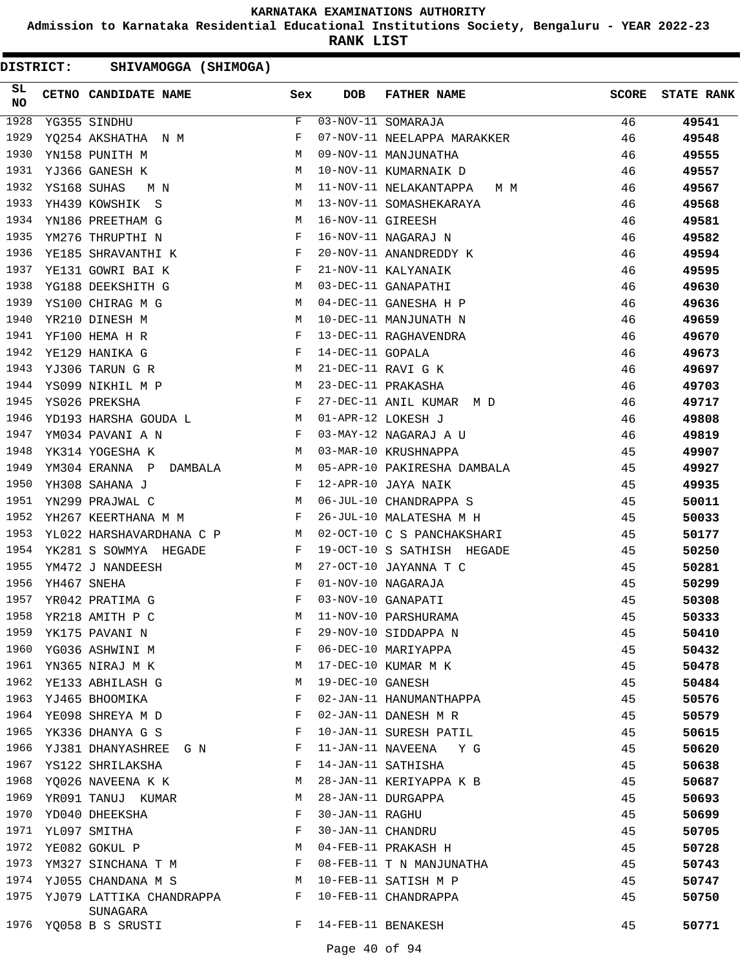**Admission to Karnataka Residential Educational Institutions Society, Bengaluru - YEAR 2022-23**

**RANK LIST**

| SL<br><b>NO</b> | CETNO CANDIDATE NAME Sex                                                           |              | <b>DOB</b>        | FATHER NAME                                                     | <b>SCORE</b> | <b>STATE RANK</b> |
|-----------------|------------------------------------------------------------------------------------|--------------|-------------------|-----------------------------------------------------------------|--------------|-------------------|
| 1928            | YG355 SINDHU                                                                       | F            |                   | 03-NOV-11 SOMARAJA                                              | 46           | 49541             |
| 1929            | YQ254 AKSHATHA N M                                                                 | $\mathbf{F}$ |                   | 07-NOV-11 NEELAPPA MARAKKER                                     | 46           | 49548             |
| 1930            | M <sub>N</sub><br>YN158 PUNITH M                                                   |              |                   | 09-NOV-11 MANJUNATHA<br>10-NOV-11 KUMARNAIK D<br>11 NOV 11 ---- | 46           | 49555             |
| 1931            | YJ366 GANESH K                                                                     | M            |                   |                                                                 | 46           | 49557             |
| 1932            | YS168 SUHAS<br>$\mathbb M$<br>M N                                                  |              |                   | 11-NOV-11 NELAKANTAPPA M M                                      | 46           | 49567             |
| 1933            | <b>M</b><br>YH439 KOWSHIK S                                                        |              |                   | 13-NOV-11 SOMASHEKARAYA                                         | 46           | 49568             |
| 1934            | $\mathbf M$<br>YN186 PREETHAM G                                                    |              | 16-NOV-11 GIREESH |                                                                 | 46           | 49581             |
| 1935            | YM276 THRUPTHI N                                                                   | $\mathbf{F}$ |                   | 16-NOV-11 NAGARAJ N                                             | 46           | 49582             |
| 1936            | YE185 SHRAVANTHI K F                                                               |              |                   | 20-NOV-11 ANANDREDDY K                                          | 46           | 49594             |
| 1937            | $\mathbf{F}$ . The contract of the contract of $\mathbf{F}$<br>YE131 GOWRI BAI K   |              |                   | 21-NOV-11 KALYANAIK                                             | 46           | 49595             |
| 1938            | <b>M</b><br>YG188 DEEKSHITH G                                                      |              |                   | 03-DEC-11 GANAPATHI                                             | 46           | 49630             |
| 1939            | M<br>YS100 CHIRAG M G                                                              |              |                   | 04-DEC-11 GANESHA H P                                           | 46           | 49636             |
| 1940            | YR210 DINESH M<br>M <sub>1</sub>                                                   |              |                   | 10-DEC-11 MANJUNATH N                                           | 46           | 49659             |
| 1941            | $\mathbf{F}$ and $\mathbf{F}$ and $\mathbf{F}$<br>YF100 HEMA H R                   |              |                   | 13-DEC-11 RAGHAVENDRA                                           | 46           | 49670             |
| 1942            | $\mathbb F$<br>YE129 HANIKA G                                                      |              | 14-DEC-11 GOPALA  |                                                                 | 46           | 49673             |
| 1943            | M <sub>N</sub><br>YJ306 TARUN G R                                                  |              |                   | 21-DEC-11 RAVI G K                                              | 46           | 49697             |
| 1944            | YS099 NIKHIL M P<br><b>M</b>                                                       |              |                   | 23-DEC-11 PRAKASHA                                              | 46           | 49703             |
| 1945            | $\mathbf{F}$ and $\mathbf{F}$ and $\mathbf{F}$<br>YS026 PREKSHA                    |              |                   | 27-DEC-11 ANIL KUMAR M D                                        | 46           | 49717             |
| 1946            | YD193 HARSHA GOUDA L $$\tt M$$                                                     |              |                   | 01-APR-12 LOKESH J                                              | 46           | 49808             |
| 1947            | $\mathbb F$<br>YM034 PAVANI A N                                                    |              |                   | 03-MAY-12 NAGARAJ A U                                           | 46           | 49819             |
| 1948            | M<br>YK314 YOGESHA K                                                               |              |                   | 03-MAR-10 KRUSHNAPPA                                            | 45           | 49907             |
| 1949            | YM304 ERANNA P DAMBALA M                                                           |              |                   | 05-APR-10 PAKIRESHA DAMBALA                                     | 45           | 49927             |
| 1950            | $\mathbb{F}^{\mathbb{Z}}$ . The set of $\mathbb{F}^{\mathbb{Z}}$<br>YH308 SAHANA J |              |                   | 12-APR-10 JAYA NAIK                                             | 45           | 49935             |
| 1951            | M<br>YN299 PRAJWAL C                                                               |              |                   | 06-JUL-10 CHANDRAPPA S                                          | 45           | 50011             |
| 1952            | YH267 KEERTHANA M M<br>and the state of the state of the Barbara                   |              |                   | 26-JUL-10 MALATESHA M H                                         | 45           | 50033             |
| 1953            | YL022 HARSHAVARDHANA C P M                                                         |              |                   | 02-OCT-10 C S PANCHAKSHARI                                      | 45           | 50177             |
| 1954            | YK281 S SOWMYA HEGADE F                                                            |              |                   | 19-OCT-10 S SATHISH HEGADE                                      | 45           | 50250             |
| 1955            | $\overline{M}$<br>YM472 J NANDEESH                                                 |              |                   | 27-OCT-10 JAYANNA T C                                           | 45           | 50281             |
| 1956            | YH467 SNEHA<br>$\mathbf{F}$ and $\mathbf{F}$ and $\mathbf{F}$                      |              |                   | 01-NOV-10 NAGARAJA                                              | 45           | 50299             |
| 1957            | $\mathbf{F}$ and $\mathbf{F}$ and $\mathbf{F}$<br>YR042 PRATIMA G                  |              |                   | 03-NOV-10 GANAPATI                                              | 45           | 50308             |
| 1958            | YR218 AMITH P C                                                                    | M            |                   | 11-NOV-10 PARSHURAMA                                            | 45           | 50333             |
| 1959            | YK175 PAVANI N                                                                     | F            |                   | 29-NOV-10 SIDDAPPA N                                            | 45           | 50410             |
| 1960            | YG036 ASHWINI M                                                                    | F            |                   | 06-DEC-10 MARIYAPPA                                             | 45           | 50432             |
| 1961            | YN365 NIRAJ M K                                                                    | М            |                   | 17-DEC-10 KUMAR M K                                             | 45           | 50478             |
| 1962            | YE133 ABHILASH G                                                                   | М            | 19-DEC-10 GANESH  |                                                                 | 45           | 50484             |
| 1963            | YJ465 BHOOMIKA                                                                     | F            |                   | 02-JAN-11 HANUMANTHAPPA                                         | 45           | 50576             |
| 1964            | YE098 SHREYA M D                                                                   | F            |                   | 02-JAN-11 DANESH M R                                            | 45           | 50579             |
| 1965            | YK336 DHANYA G S                                                                   | F            |                   | 10-JAN-11 SURESH PATIL                                          | 45           | 50615             |
| 1966            | YJ381 DHANYASHREE G N                                                              | F            |                   | 11-JAN-11 NAVEENA Y G                                           | 45           | 50620             |
| 1967            | YS122 SHRILAKSHA                                                                   | F            |                   | 14-JAN-11 SATHISHA                                              | 45           | 50638             |
| 1968            | YQ026 NAVEENA K K                                                                  | M            |                   | 28-JAN-11 KERIYAPPA K B                                         | 45           | 50687             |
| 1969            | YR091 TANUJ KUMAR                                                                  | М            |                   | 28-JAN-11 DURGAPPA                                              | 45           | 50693             |
| 1970            | YD040 DHEEKSHA                                                                     | F            | 30-JAN-11 RAGHU   |                                                                 | 45           | 50699             |
| 1971            | YL097 SMITHA                                                                       | F            | 30-JAN-11 CHANDRU |                                                                 | 45           | 50705             |
| 1972            | YE082 GOKUL P                                                                      | М            |                   | 04-FEB-11 PRAKASH H                                             | 45           | 50728             |
| 1973            | YM327 SINCHANA T M                                                                 | F            |                   | 08-FEB-11 T N MANJUNATHA                                        | 45           | 50743             |
| 1974            | YJ055 CHANDANA M S                                                                 | M            |                   | 10-FEB-11 SATISH M P                                            | 45           | 50747             |
| 1975            | YJ079 LATTIKA CHANDRAPPA<br>SUNAGARA                                               | F            |                   | 10-FEB-11 CHANDRAPPA                                            | 45           | 50750             |
|                 | 1976 YQ058 B S SRUSTI                                                              | F            |                   | 14-FEB-11 BENAKESH                                              | 45           | 50771             |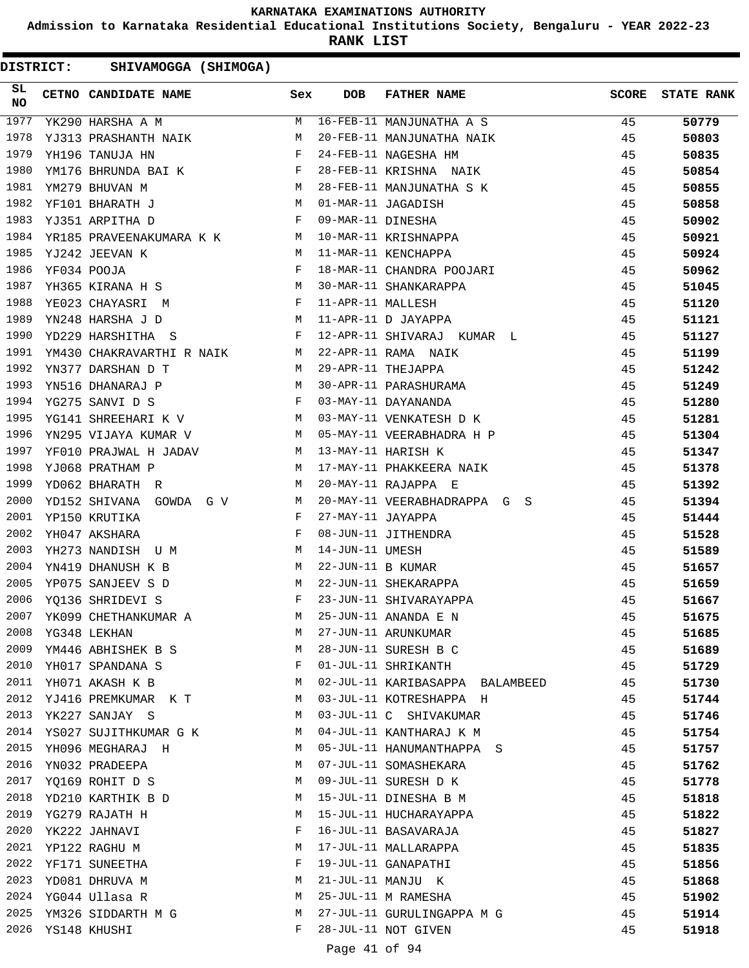**Admission to Karnataka Residential Educational Institutions Society, Bengaluru - YEAR 2022-23**

**RANK LIST**

DISTRICT: SHIVAMOGGA (SHIMOGA)

| SL<br>NO | CETNO CANDIDATE NAME Sex                                                                                                                                                      |   | <b>DOB</b>        | FATHER NAME                                                                                                                                     | <b>SCORE</b> | <b>STATE RANK</b> |
|----------|-------------------------------------------------------------------------------------------------------------------------------------------------------------------------------|---|-------------------|-------------------------------------------------------------------------------------------------------------------------------------------------|--------------|-------------------|
| 1977     | YK290 HARSHA A M                                                                                                                                                              | M |                   | 16-FEB-11 MANJUNATHA A S                                                                                                                        | 45           | 50779             |
| 1978     | YJ313 PRASHANTH NAIK M                                                                                                                                                        |   |                   |                                                                                                                                                 | 45           | 50803             |
| 1979     | $\mathbf{F}$ and $\mathbf{F}$ and $\mathbf{F}$<br>YH196 TANUJA HN                                                                                                             |   |                   | 24-FEB-11 NAGESHA HM<br>28-FEB-11 KRISHNA NAIK                                                                                                  | 45           | 50835             |
| 1980     | YM176 BHRUNDA BAI K $\begin{array}{lll} \texttt{YM279} & \texttt{BHUVAN} & \texttt{M} & \texttt{M} \\ \texttt{MM279} & \texttt{BHUVAN} & \texttt{M} & \texttt{M} \end{array}$ |   |                   |                                                                                                                                                 | 45           | 50854             |
| 1981     |                                                                                                                                                                               |   |                   | 28-FEB-11 MANJUNATHA S K                                                                                                                        | 45           | 50855             |
| 1982     | <b>M</b><br>YF101 BHARATH J                                                                                                                                                   |   |                   | 01-MAR-11 JAGADISH<br>09-MAR-11 DINESHA<br>10-MAR-11 KRISHNAPPA<br>11-MAR-11 KENCHAPPA<br>18-MAR-11 CHANDRA POOJARI                             | 45           | 50858             |
| 1983     | $\mathbf{F}$ and $\mathbf{F}$ and $\mathbf{F}$<br>YJ351 ARPITHA D                                                                                                             |   |                   |                                                                                                                                                 | 45           | 50902             |
| 1984     | YR185 PRAVEENAKUMARA K K M                                                                                                                                                    |   |                   |                                                                                                                                                 | 45           | 50921             |
| 1985     | YJ242 JEEVAN K<br><b>M</b>                                                                                                                                                    |   |                   |                                                                                                                                                 | 45           | 50924             |
| 1986     | $\mathbb{F}$ . The set of $\mathbb{F}^n$<br>YF034 POOJA                                                                                                                       |   |                   |                                                                                                                                                 | 45           | 50962             |
| 1987     | M<br>YH365 KIRANA H S                                                                                                                                                         |   |                   | 30-MAR-11 SHANKARAPPA                                                                                                                           | 45           | 51045             |
| 1988     |                                                                                                                                                                               |   | 11-APR-11 MALLESH |                                                                                                                                                 | 45           | 51120             |
| 1989     | YEO23 CHAYASRI M<br>YN248 HARSHA J D M                                                                                                                                        |   |                   | 11-APR-11 D JAYAPPA                                                                                                                             | 45           | 51121             |
| 1990     | $\mathbf{F}$ and $\mathbf{F}$ are $\mathbf{F}$ . The set of $\mathbf{F}$<br>YD229 HARSHITHA S                                                                                 |   |                   | 12-APR-11 SHIVARAJ KUMAR L                                                                                                                      | 45           | 51127             |
| 1991     | YM430 CHAKRAVARTHI R NAIK M                                                                                                                                                   |   |                   | 22-APR-11 RAMA NAIK<br>29-APR-11 THEJAPPA<br>30-APR-11 PARASHURAMA<br>03-MAY-11 DAYANANDA<br>03-MAY-11 VENKATESH D K<br>05-MAY-11 VENKATESH D K | 45           | 51199             |
| 1992     | YN377 DARSHAN D T                                                                                                                                                             | M |                   |                                                                                                                                                 | 45           | 51242             |
| 1993     | M <sub>N</sub><br>YN516 DHANARAJ P                                                                                                                                            |   |                   |                                                                                                                                                 | 45           | 51249             |
| 1994     | $\mathbf{F}$ and the contract of the contract of $\mathbf{F}$<br>YG275 SANVI D S                                                                                              |   |                   |                                                                                                                                                 | 45           | 51280             |
| 1995     | YG141 SHREEHARI K V M                                                                                                                                                         |   |                   |                                                                                                                                                 | 45           | 51281             |
| 1996     | YN295 VIJAYA KUMAR V M                                                                                                                                                        |   |                   |                                                                                                                                                 | 45           | 51304             |
| 1997     | YF010 PRAJWAL H JADAV M                                                                                                                                                       |   |                   | 05-MAY-11 VEERABHADRA H P<br>13-MAY-11 HARTSH K<br>13-MAY-11 HARISH K                                                                           | 45           | 51347             |
| 1998     | YJ068 PRATHAM P<br>M <sub>1</sub>                                                                                                                                             |   |                   | 17-MAY-11 PHAKKEERA NAIK                                                                                                                        | 45           | 51378             |
| 1999     | M<br>YD062 BHARATH R                                                                                                                                                          |   |                   | 20-MAY-11 RAJAPPA E                                                                                                                             | 45           | 51392             |
| 2000     | YD152 SHIVANA GOWDA G V M                                                                                                                                                     |   |                   | 20-MAY-11 VEERABHADRAPPA G S                                                                                                                    | 45           | 51394             |
| 2001     | YP150 KRUTIKA<br>$\mathbf{F}$ and $\mathbf{F}$                                                                                                                                |   | 27-MAY-11 JAYAPPA |                                                                                                                                                 | 45           | 51444             |
| 2002     | $\mathbf{F}$ and $\mathbf{F}$<br>YH047 AKSHARA                                                                                                                                |   |                   | 08-JUN-11 JITHENDRA                                                                                                                             | 45           | 51528             |
| 2003     | YH273 NANDISH U M                                                                                                                                                             |   | 14-JUN-11 UMESH   |                                                                                                                                                 | 45           | 51589             |
| 2004     | YN419 DHANUSH K B                                                                                                                                                             |   | 22-JUN-11 B KUMAR |                                                                                                                                                 | 45           | 51657             |
| 2005     | $\begin{aligned} \mathbb{M} \\ \mathbb{M} \end{aligned}$<br>YP075 SANJEEV S D                                                                                                 |   |                   | 22-JUN-11 SHEKARAPPA                                                                                                                            | 45           | 51659             |
| 2006     | $\mathbf{F}$ . The set of $\mathbf{F}$<br>YQ136 SHRIDEVI S                                                                                                                    |   |                   | 23-JUN-11 SHIVARAYAPPA                                                                                                                          | 45           | 51667             |
| 2007     | YK099 CHETHANKUMAR A M                                                                                                                                                        |   |                   | 25-JUN-11 ANANDA E N                                                                                                                            | 45           | 51675             |
| 2008     | YG348 LEKHAN                                                                                                                                                                  | М |                   | 27-JUN-11 ARUNKUMAR                                                                                                                             | 45           | 51685             |
| 2009     | YM446 ABHISHEK B S                                                                                                                                                            | M |                   | 28-JUN-11 SURESH B C                                                                                                                            | 45           | 51689             |
| 2010     | YH017 SPANDANA S                                                                                                                                                              | F |                   | 01-JUL-11 SHRIKANTH                                                                                                                             | 45           | 51729             |
| 2011     | YH071 AKASH K B                                                                                                                                                               | M |                   | 02-JUL-11 KARIBASAPPA BALAMBEED                                                                                                                 | 45           | 51730             |
| 2012     | YJ416 PREMKUMAR KT                                                                                                                                                            | M |                   | 03-JUL-11 KOTRESHAPPA H                                                                                                                         | 45           | 51744             |
| 2013     | YK227 SANJAY S                                                                                                                                                                | M |                   | 03-JUL-11 C SHIVAKUMAR                                                                                                                          | 45           | 51746             |
| 2014     | YS027 SUJITHKUMAR G K                                                                                                                                                         | M |                   | 04-JUL-11 KANTHARAJ K M                                                                                                                         | 45           | 51754             |
| 2015     | YH096 MEGHARAJ H                                                                                                                                                              | M |                   | 05-JUL-11 HANUMANTHAPPA S                                                                                                                       | 45           | 51757             |
| 2016     | YN032 PRADEEPA                                                                                                                                                                | M |                   | 07-JUL-11 SOMASHEKARA                                                                                                                           | 45           | 51762             |
| 2017     | YQ169 ROHIT D S                                                                                                                                                               | M |                   | 09-JUL-11 SURESH D K                                                                                                                            | 45           | 51778             |
| 2018     | YD210 KARTHIK B D                                                                                                                                                             | M |                   | 15-JUL-11 DINESHA B M                                                                                                                           | 45           | 51818             |
| 2019     | YG279 RAJATH H                                                                                                                                                                | M |                   | 15-JUL-11 HUCHARAYAPPA                                                                                                                          | 45           | 51822             |
| 2020     | YK222 JAHNAVI                                                                                                                                                                 | F |                   | 16-JUL-11 BASAVARAJA                                                                                                                            | 45           | 51827             |
| 2021     | YP122 RAGHU M                                                                                                                                                                 | М |                   | 17-JUL-11 MALLARAPPA                                                                                                                            | 45           | 51835             |
| 2022     | YF171 SUNEETHA                                                                                                                                                                | F |                   | 19-JUL-11 GANAPATHI                                                                                                                             | 45           | 51856             |
| 2023     | YD081 DHRUVA M                                                                                                                                                                | М |                   | 21-JUL-11 MANJU K                                                                                                                               | 45           |                   |
|          | 2024 YG044 Ullasa R                                                                                                                                                           | М |                   | 25-JUL-11 M RAMESHA                                                                                                                             |              | 51868             |
|          |                                                                                                                                                                               |   |                   |                                                                                                                                                 | 45           | 51902             |
| 2025     | YM326 SIDDARTH M G                                                                                                                                                            | M |                   | 27-JUL-11 GURULINGAPPA M G                                                                                                                      | 45           | 51914             |
|          | 2026 YS148 KHUSHI                                                                                                                                                             | F |                   | 28-JUL-11 NOT GIVEN                                                                                                                             | 45           | 51918             |

Page 41 of 94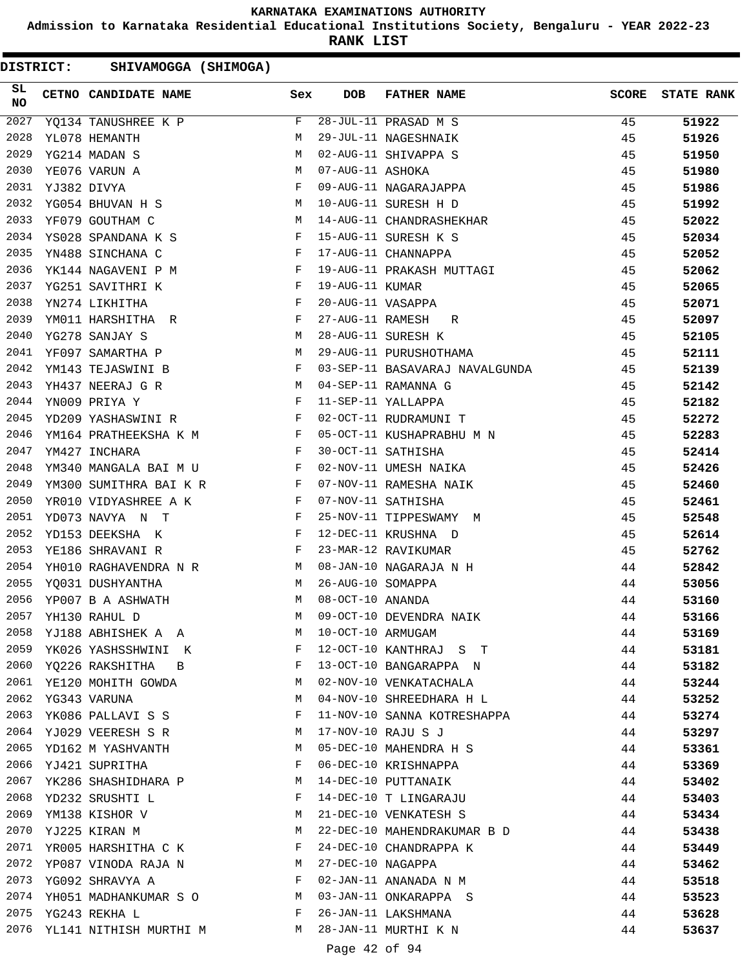**Admission to Karnataka Residential Educational Institutions Society, Bengaluru - YEAR 2022-23**

**RANK LIST**

| SL<br><b>NO</b> |             | CETNO CANDIDATE NAME Sex                                                                                                                                                                                                                                |              | DOB               | <b>FATHER NAME</b>             | <b>SCORE</b> | <b>STATE RANK</b> |
|-----------------|-------------|---------------------------------------------------------------------------------------------------------------------------------------------------------------------------------------------------------------------------------------------------------|--------------|-------------------|--------------------------------|--------------|-------------------|
| 2027            |             | YQ134 TANUSHREE K P $\overline{F}$                                                                                                                                                                                                                      |              |                   | 28-JUL-11 PRASAD M S           | 45           | 51922             |
| 2028            |             | YL078 HEMANTH                                                                                                                                                                                                                                           | M            |                   | 29-JUL-11 NAGESHNAIK           | 45           | 51926             |
| 2029            |             | YG214 MADAN S                                                                                                                                                                                                                                           | M            |                   | 02-AUG-11 SHIVAPPA S           | 45           | 51950             |
| 2030            |             | YE076 VARUN A                                                                                                                                                                                                                                           | M            | 07-AUG-11 ASHOKA  |                                | 45           | 51980             |
| 2031            | YJ382 DIVYA |                                                                                                                                                                                                                                                         | F            |                   | 09-AUG-11 NAGARAJAPPA          | 45           | 51986             |
| 2032            |             | M <sub>N</sub><br>YG054 BHUVAN H S                                                                                                                                                                                                                      |              |                   | 10-AUG-11 SURESH H D           | 45           | 51992             |
| 2033            |             | M<br>YF079 GOUTHAM C                                                                                                                                                                                                                                    |              |                   | 14-AUG-11 CHANDRASHEKHAR       | 45           | 52022             |
| 2034            |             | YS028 SPANDANA K S                                                                                                                                                                                                                                      | F            |                   | 15-AUG-11 SURESH K S           | 45           | 52034             |
| 2035            |             | $\mathbf{F}$ . The $\mathbf{F}$<br>YN488 SINCHANA C                                                                                                                                                                                                     |              |                   | 17-AUG-11 CHANNAPPA            | 45           | 52052             |
| 2036            |             | YK144 NAGAVENI P M F                                                                                                                                                                                                                                    |              |                   | 19-AUG-11 PRAKASH MUTTAGI      | 45           | 52062             |
| 2037            |             | $\mathbb{R}^n$ . The set of the $\mathbb{R}^n$<br>YG251 SAVITHRI K                                                                                                                                                                                      |              | 19-AUG-11 KUMAR   |                                | 45           | 52065             |
| 2038            |             | YN274 LIKHITHA                                                                                                                                                                                                                                          | $\mathbf{F}$ | 20-AUG-11 VASAPPA |                                | 45           | 52071             |
| 2039            |             | $\mathbb F$ . The set of the set of the set of the set of the set of the set of the set of the set of the set of the set of the set of the set of the set of the set of the set of the set of the set of the set of the set of the<br>YM011 HARSHITHA R |              | 27-AUG-11 RAMESH  | R                              | 45           | 52097             |
| 2040            |             | M <sub>1</sub><br>YG278 SANJAY S                                                                                                                                                                                                                        |              |                   | 28-AUG-11 SURESH K             | 45           | 52105             |
| 2041            |             | $\mathbf M$<br>YF097 SAMARTHA P                                                                                                                                                                                                                         |              |                   | 29-AUG-11 PURUSHOTHAMA         | 45           | 52111             |
| 2042            |             | YM143 TEJASWINI B                                                                                                                                                                                                                                       | F            |                   | 03-SEP-11 BASAVARAJ NAVALGUNDA | 45           | 52139             |
| 2043            |             | M <sub>1</sub><br>YH437 NEERAJ G R                                                                                                                                                                                                                      |              |                   | 04-SEP-11 RAMANNA G            | 45           | 52142             |
| 2044            |             | $\mathbb{R}^n$ . The contract of the contract of the set of the set of the set of the set of the set of the set of the set of the set of the set of the set of the set of the set of the set of the set of the set of the set of<br>YN009 PRIYA Y       |              |                   | 11-SEP-11 YALLAPPA             | 45           | 52182             |
| 2045            |             | YD209 YASHASWINI R F                                                                                                                                                                                                                                    |              |                   | 02-OCT-11 RUDRAMUNI T          | 45           | 52272             |
| 2046            |             | YM164 PRATHEEKSHA K M F                                                                                                                                                                                                                                 |              |                   | 05-OCT-11 KUSHAPRABHU M N      | 45           | 52283             |
| 2047            |             | $\mathbb{F}^{\mathbb{Z}}$ . In the set of $\mathbb{F}^{\mathbb{Z}}$<br>YM427 INCHARA                                                                                                                                                                    |              |                   | 30-OCT-11 SATHISHA             | 45           | 52414             |
| 2048            |             | YM340 MANGALA BAI M U F                                                                                                                                                                                                                                 |              |                   | 02-NOV-11 UMESH NAIKA          | 45           | 52426             |
| 2049            |             | YM300 SUMITHRA BAI K R F                                                                                                                                                                                                                                |              |                   | 07-NOV-11 RAMESHA NAIK         | 45           | 52460             |
| 2050            |             | YR010 VIDYASHREE A K                                                                                                                                                                                                                                    | F            |                   | 07-NOV-11 SATHISHA             | 45           | 52461             |
| 2051            |             | $\mathbf{F}$ and $\mathbf{F}$ and $\mathbf{F}$<br>YD073 NAVYA N T                                                                                                                                                                                       |              |                   | 25-NOV-11 TIPPESWAMY M         | 45           | 52548             |
| 2052            |             | $\mathbf{F}$ and the contract of the contract of $\mathbf{F}$<br>YD153 DEEKSHA K                                                                                                                                                                        |              |                   | 12-DEC-11 KRUSHNA D            | 45           | 52614             |
| 2053            |             | and the contract of the Party of the Party of the Party of the Party of the Party of the Party of the Party of<br>YE186 SHRAVANI R                                                                                                                      |              |                   | 23-MAR-12 RAVIKUMAR            | 45           | 52762             |
| 2054            |             | YH010 RAGHAVENDRA N R M                                                                                                                                                                                                                                 |              |                   | 08-JAN-10 NAGARAJA N H         | 44           | 52842             |
| 2055            |             | YQ031 DUSHYANTHA<br>M <sub>N</sub>                                                                                                                                                                                                                      |              | 26-AUG-10 SOMAPPA |                                | 44           | 53056             |
| 2056            |             | <b>M</b><br>YP007 B A ASHWATH                                                                                                                                                                                                                           |              | 08-OCT-10 ANANDA  |                                | 44           | 53160             |
| 2057            |             | YH130 RAHUL D                                                                                                                                                                                                                                           | M            |                   | 09-OCT-10 DEVENDRA NAIK        | 44           | 53166             |
| 2058            |             | YJ188 ABHISHEK A A                                                                                                                                                                                                                                      | М            | 10-OCT-10 ARMUGAM |                                | 44           | 53169             |
| 2059            |             | YK026 YASHSSHWINI K                                                                                                                                                                                                                                     | F            |                   | 12-OCT-10 KANTHRAJ S T         | 44           | 53181             |
| 2060            |             | YQ226 RAKSHITHA B                                                                                                                                                                                                                                       | F            |                   | 13-OCT-10 BANGARAPPA N         | 44           | 53182             |
|                 |             | 2061 YE120 MOHITH GOWDA                                                                                                                                                                                                                                 | M            |                   | 02-NOV-10 VENKATACHALA         | 44           | 53244             |
|                 |             | 2062 YG343 VARUNA                                                                                                                                                                                                                                       | М            |                   | 04-NOV-10 SHREEDHARA H L       | 44           | 53252             |
| 2063            |             | YK086 PALLAVI S S                                                                                                                                                                                                                                       | F            |                   | 11-NOV-10 SANNA KOTRESHAPPA    | 44           | 53274             |
| 2064            |             | YJ029 VEERESH S R                                                                                                                                                                                                                                       | M            |                   | 17-NOV-10 RAJU S J             | 44           | 53297             |
| 2065            |             | YD162 M YASHVANTH                                                                                                                                                                                                                                       | M            |                   | 05-DEC-10 MAHENDRA H S         | 44           | 53361             |
| 2066            |             | YJ421 SUPRITHA                                                                                                                                                                                                                                          | F            |                   | 06-DEC-10 KRISHNAPPA           | 44           | 53369             |
| 2067            |             | YK286 SHASHIDHARA P                                                                                                                                                                                                                                     | M            |                   | 14-DEC-10 PUTTANAIK            | 44           | 53402             |
| 2068            |             | YD232 SRUSHTI L                                                                                                                                                                                                                                         | F            |                   | 14-DEC-10 T LINGARAJU          | 44           | 53403             |
| 2069            |             | YM138 KISHOR V                                                                                                                                                                                                                                          | М            |                   | 21-DEC-10 VENKATESH S          | 44           | 53434             |
| 2070            |             | YJ225 KIRAN M                                                                                                                                                                                                                                           | M            |                   | 22-DEC-10 MAHENDRAKUMAR B D    | 44           | 53438             |
| 2071            |             | YR005 HARSHITHA C K                                                                                                                                                                                                                                     | F            |                   | 24-DEC-10 CHANDRAPPA K         | 44           | 53449             |
| 2072            |             | YP087 VINODA RAJA N                                                                                                                                                                                                                                     | M            | 27-DEC-10 NAGAPPA |                                | 44           | 53462             |
| 2073            |             | YG092 SHRAVYA A                                                                                                                                                                                                                                         | F            |                   | 02-JAN-11 ANANADA N M          | 44           | 53518             |
|                 |             | 2074 YH051 MADHANKUMAR S O                                                                                                                                                                                                                              | M            |                   | 03-JAN-11 ONKARAPPA S          | 44           | 53523             |
| 2075            |             | YG243 REKHA L                                                                                                                                                                                                                                           | F            |                   | 26-JAN-11 LAKSHMANA            | 44           | 53628             |
|                 |             | 2076 YL141 NITHISH MURTHI M                                                                                                                                                                                                                             | M            |                   | 28-JAN-11 MURTHI K N           | 44           | 53637             |
|                 |             |                                                                                                                                                                                                                                                         |              |                   |                                |              |                   |
|                 |             |                                                                                                                                                                                                                                                         |              | Page 42 of 94     |                                |              |                   |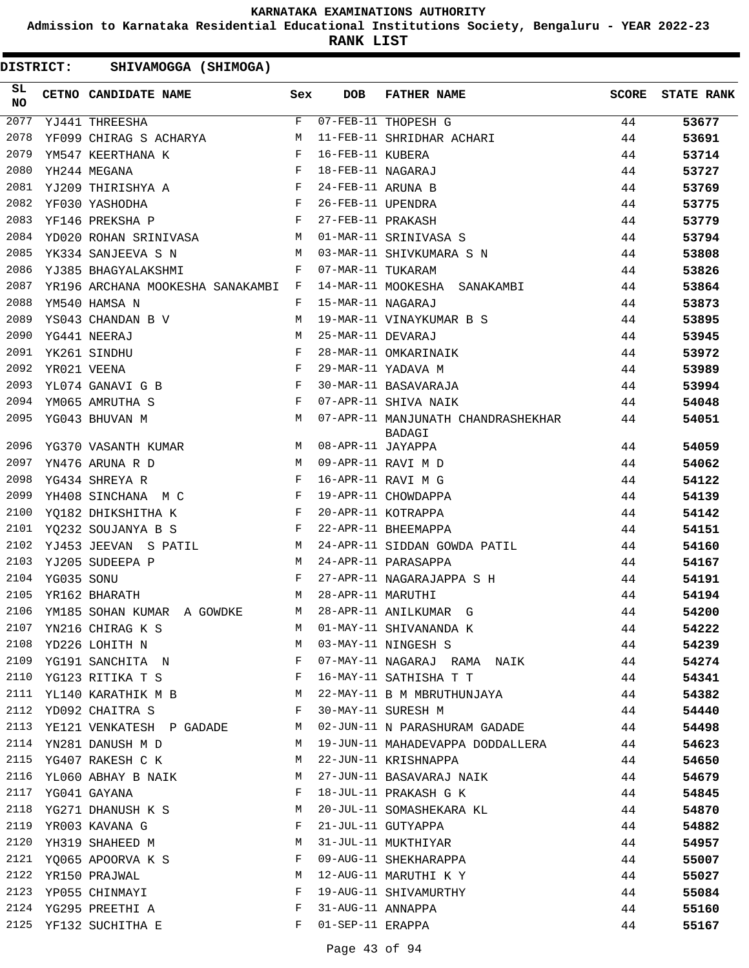**Admission to Karnataka Residential Educational Institutions Society, Bengaluru - YEAR 2022-23**

**RANK LIST**

| SL<br><b>NO</b> |            | CETNO CANDIDATE NAME Sex                                                                                                                                                                                                                               |              | <b>DOB</b>        | <b>FATHER NAME</b>                                  | SCORE | <b>STATE RANK</b> |
|-----------------|------------|--------------------------------------------------------------------------------------------------------------------------------------------------------------------------------------------------------------------------------------------------------|--------------|-------------------|-----------------------------------------------------|-------|-------------------|
| 2077            |            | YJ441 THREESHA                                                                                                                                                                                                                                         | F            |                   | 07-FEB-11 THOPESH G                                 | 44    | 53677             |
| 2078            |            | <b>M</b><br>YF099 CHIRAG S ACHARYA                                                                                                                                                                                                                     |              |                   | 11-FEB-11 SHRIDHAR ACHARI                           | 44    | 53691             |
| 2079            |            | $\mathbf F$ . The set of $\mathbf F$<br>YM547 KEERTHANA K                                                                                                                                                                                              |              | 16-FEB-11 KUBERA  |                                                     | 44    | 53714             |
| 2080            |            | $\mathbf{F}$<br>YH244 MEGANA                                                                                                                                                                                                                           |              | 18-FEB-11 NAGARAJ |                                                     | 44    | 53727             |
| 2081            |            | $\mathbf{F}$ and the set of the set of the set of the set of the set of the set of the set of the set of the set of the set of the set of the set of the set of the set of the set of the set of the set of the set of the set of<br>YJ209 THIRISHYA A |              | 24-FEB-11 ARUNA B |                                                     | 44    | 53769             |
| 2082            |            | <b>Experimental Service State</b><br>YF030 YASHODHA                                                                                                                                                                                                    |              | 26-FEB-11 UPENDRA |                                                     | 44    | 53775             |
| 2083            |            | YF146 PREKSHA P                                                                                                                                                                                                                                        | $\mathbf{F}$ | 27-FEB-11 PRAKASH |                                                     | 44    | 53779             |
| 2084            |            | YD020 ROHAN SRINIVASA M                                                                                                                                                                                                                                |              |                   | 01-MAR-11 SRINIVASA S                               | 44    | 53794             |
| 2085            |            | YK334 SANJEEVA S N                                                                                                                                                                                                                                     | M            |                   | 03-MAR-11 SHIVKUMARA S N                            | 44    | 53808             |
| 2086            |            | YJ385 BHAGYALAKSHMI                                                                                                                                                                                                                                    | F            | 07-MAR-11 TUKARAM |                                                     | 44    | 53826             |
| 2087            |            | YR196 ARCHANA MOOKESHA SANAKAMBI F                                                                                                                                                                                                                     |              |                   | 14-MAR-11 MOOKESHA SANAKAMBI                        | 44    | 53864             |
| 2088            |            | YM540 HAMSA N                                                                                                                                                                                                                                          | F            | 15-MAR-11 NAGARAJ |                                                     | 44    | 53873             |
| 2089            |            | YS043 CHANDAN B V                                                                                                                                                                                                                                      | М            |                   | 19-MAR-11 VINAYKUMAR B S                            | 44    | 53895             |
| 2090            |            | YG441 NEERAJ                                                                                                                                                                                                                                           | M            | 25-MAR-11 DEVARAJ |                                                     | 44    | 53945             |
| 2091            |            | YK261 SINDHU                                                                                                                                                                                                                                           | $\mathbf{F}$ |                   | 28-MAR-11 OMKARINAIK                                | 44    | 53972             |
| 2092            |            | YR021 VEENA                                                                                                                                                                                                                                            | $_{\rm F}$   |                   | 29-MAR-11 YADAVA M                                  | 44    | 53989             |
| 2093            |            | $\mathbf{F}$ and the contract of the contract of $\mathbf{F}$<br>YL074 GANAVI G B                                                                                                                                                                      |              |                   | 30-MAR-11 BASAVARAJA                                | 44    | 53994             |
| 2094            |            | $\mathbf{F}$ and $\mathbf{F}$<br>YM065 AMRUTHA S                                                                                                                                                                                                       |              |                   | 07-APR-11 SHIVA NAIK                                | 44    | 54048             |
| 2095            |            | <b>M</b><br>YG043 BHUVAN M                                                                                                                                                                                                                             |              |                   | 07-APR-11 MANJUNATH CHANDRASHEKHAR<br><b>BADAGI</b> | 44    | 54051             |
| 2096            |            | M<br>YG370 VASANTH KUMAR                                                                                                                                                                                                                               |              | 08-APR-11 JAYAPPA |                                                     | 44    | 54059             |
| 2097            |            | YN476 ARUNA R D                                                                                                                                                                                                                                        | M            |                   | 09-APR-11 RAVI M D                                  | 44    | 54062             |
| 2098            |            | YG434 SHREYA R                                                                                                                                                                                                                                         | $_{\rm F}$   |                   | 16-APR-11 RAVI M G                                  | 44    | 54122             |
| 2099            |            | $\mathbf{F}$ and the set of the set of $\mathbf{F}$<br>YH408 SINCHANA M C                                                                                                                                                                              |              |                   | 19-APR-11 CHOWDAPPA                                 | 44    | 54139             |
| 2100            |            | $\mathbf{F}$ and $\mathbf{F}$ and $\mathbf{F}$<br>YO182 DHIKSHITHA K                                                                                                                                                                                   |              |                   | 20-APR-11 KOTRAPPA                                  | 44    | 54142             |
| 2101            |            | YO232 SOUJANYA B S                                                                                                                                                                                                                                     | $\mathbf{F}$ |                   | 22-APR-11 BHEEMAPPA                                 | 44    | 54151             |
| 2102            |            | YJ453 JEEVAN S PATIL<br>M <sub>N</sub>                                                                                                                                                                                                                 |              |                   | 24-APR-11 SIDDAN GOWDA PATIL                        | 44    | 54160             |
| 2103            |            | YJ205 SUDEEPA P<br><b>Example 19</b> M                                                                                                                                                                                                                 |              |                   | 24-APR-11 PARASAPPA                                 | 44    | 54167             |
| 2104            | YG035 SONU | $\mathbf{F}$ and $\mathbf{F}$                                                                                                                                                                                                                          |              |                   | 27-APR-11 NAGARAJAPPA S H                           | 44    | 54191             |
| 2105            |            | YR162 BHARATH                                                                                                                                                                                                                                          | М            | 28-APR-11 MARUTHI |                                                     | 44    | 54194             |
| 2106            |            | YM185 SOHAN KUMAR A GOWDKE                                                                                                                                                                                                                             | M            |                   | 28-APR-11 ANILKUMAR G                               | 44    | 54200             |
| 2107            |            | YN216 CHIRAG K S                                                                                                                                                                                                                                       | M            |                   | 01-MAY-11 SHIVANANDA K                              | 44    | 54222             |
| 2108            |            | YD226 LOHITH N                                                                                                                                                                                                                                         | М            |                   | 03-MAY-11 NINGESH S                                 | 44    | 54239             |
| 2109            |            | YG191 SANCHITA N                                                                                                                                                                                                                                       | F            |                   | 07-MAY-11 NAGARAJ RAMA NAIK                         | 44    | 54274             |
| 2110            |            | YG123 RITIKA T S                                                                                                                                                                                                                                       | F            |                   | 16-MAY-11 SATHISHA T T                              | 44    | 54341             |
| 2111            |            | YL140 KARATHIK M B                                                                                                                                                                                                                                     | M            |                   | 22-MAY-11 B M MBRUTHUNJAYA                          | 44    | 54382             |
| 2112            |            | YD092 CHAITRA S                                                                                                                                                                                                                                        | F            |                   | 30-MAY-11 SURESH M                                  | 44    | 54440             |
| 2113            |            | YE121 VENKATESH P GADADE                                                                                                                                                                                                                               | M            |                   | 02-JUN-11 N PARASHURAM GADADE                       | 44    | 54498             |
| 2114            |            | YN281 DANUSH M D                                                                                                                                                                                                                                       | М            |                   | 19-JUN-11 MAHADEVAPPA DODDALLERA                    | 44    | 54623             |
| 2115            |            | YG407 RAKESH C K                                                                                                                                                                                                                                       | М            |                   | 22-JUN-11 KRISHNAPPA                                | 44    | 54650             |
| 2116            |            | YL060 ABHAY B NAIK                                                                                                                                                                                                                                     | М            |                   | 27-JUN-11 BASAVARAJ NAIK                            | 44    | 54679             |
| 2117            |            | YG041 GAYANA                                                                                                                                                                                                                                           | F            |                   | 18-JUL-11 PRAKASH G K                               | 44    | 54845             |
| 2118            |            | YG271 DHANUSH K S                                                                                                                                                                                                                                      | М            |                   | 20-JUL-11 SOMASHEKARA KL                            | 44    | 54870             |
| 2119            |            | YR003 KAVANA G                                                                                                                                                                                                                                         | F            |                   | 21-JUL-11 GUTYAPPA                                  | 44    | 54882             |
| 2120            |            | YH319 SHAHEED M                                                                                                                                                                                                                                        | М            |                   | 31-JUL-11 MUKTHIYAR                                 | 44    | 54957             |
| 2121            |            | YQ065 APOORVA K S                                                                                                                                                                                                                                      | F            |                   | 09-AUG-11 SHEKHARAPPA                               | 44    | 55007             |
| 2122            |            | YR150 PRAJWAL                                                                                                                                                                                                                                          | М            |                   | 12-AUG-11 MARUTHI K Y                               | 44    | 55027             |
| 2123            |            | YP055 CHINMAYI                                                                                                                                                                                                                                         | F            |                   | 19-AUG-11 SHIVAMURTHY                               | 44    | 55084             |
| 2124            |            | YG295 PREETHI A                                                                                                                                                                                                                                        | F            | 31-AUG-11 ANNAPPA |                                                     | 44    | 55160             |
|                 |            | 2125 YF132 SUCHITHA E                                                                                                                                                                                                                                  | F            | 01-SEP-11 ERAPPA  |                                                     | 44    | 55167             |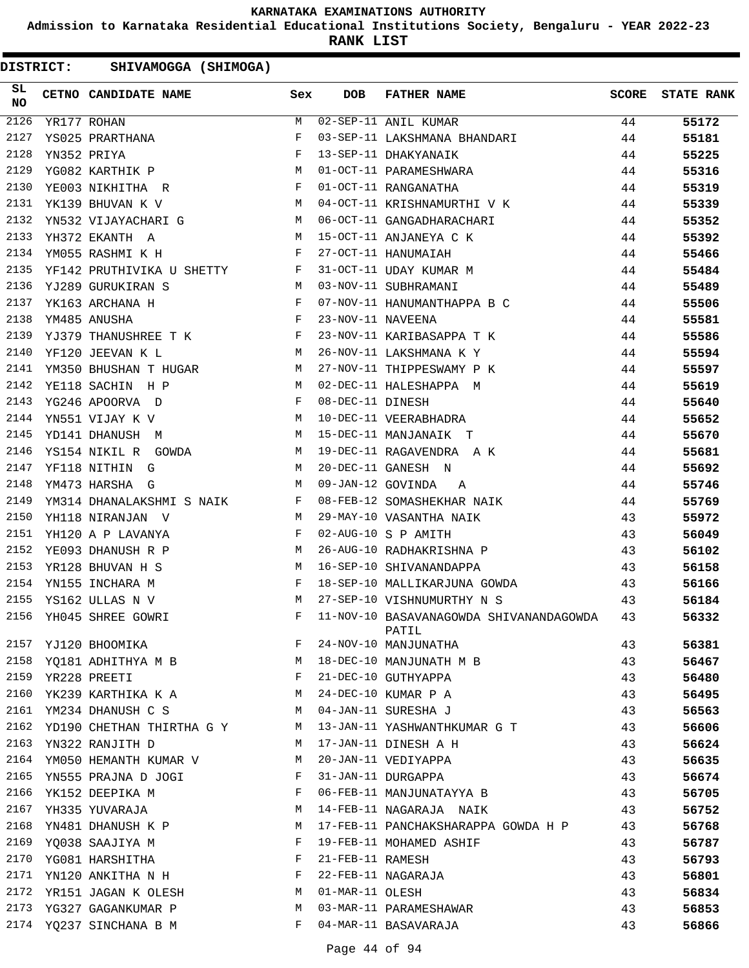**Admission to Karnataka Residential Educational Institutions Society, Bengaluru - YEAR 2022-23**

**RANK LIST**

| SL<br><b>NO</b> | CETNO CANDIDATE NAME                                                               | Sex          | DOB               | <b>FATHER NAME</b>                                                                     | <b>SCORE</b> | <b>STATE RANK</b> |
|-----------------|------------------------------------------------------------------------------------|--------------|-------------------|----------------------------------------------------------------------------------------|--------------|-------------------|
| 2126            | YR177 ROHAN                                                                        | M            |                   | 02-SEP-11 ANIL KUMAR                                                                   | 44           | 55172             |
| 2127            | YS025 PRARTHANA                                                                    | F            |                   | 03-SEP-11 LAKSHMANA BHANDARI                                                           | 44           | 55181             |
| 2128            | $\begin{aligned} \mathbf{F} \\ \mathbf{M} \end{aligned}$<br>YN352 PRIYA            |              |                   | 13-SEP-11 DHAKYANAIK<br>01-OCT-11 PARAMESHWARA<br>01-OCT-11 RANGANATHA                 | 44           | 55225             |
| 2129            | YG082 KARTHIK P                                                                    |              |                   |                                                                                        | 44           | 55316             |
| 2130            | YE003 NIKHITHA R                                                                   | $\mathbf{F}$ |                   |                                                                                        | 44           | 55319             |
| 2131            | <b>M</b><br>YK139 BHUVAN K V                                                       |              |                   | 04-OCT-11 KRISHNAMURTHI V K                                                            | 44           | 55339             |
| 2132            | YN532 VIJAYACHARI G M                                                              |              |                   | 06-OCT-11 GANGADHARACHARI                                                              | 44           | 55352             |
| 2133            | M<br>YH372 EKANTH A                                                                |              |                   | 15-OCT-11 ANJANEYA C K                                                                 | 44           | 55392             |
| 2134            | YM055 RASHMI K H                                                                   | $\mathbb{F}$ |                   | 27-OCT-11 HANUMAIAH                                                                    | 44           | 55466             |
| 2135            | YF142 PRUTHIVIKA U SHETTY F                                                        |              |                   | 31-OCT-11 UDAY KUMAR M                                                                 | 44           | 55484             |
| 2136            | M <sub>1</sub><br>YJ289 GURUKIRAN S                                                |              |                   | 03-NOV-11 SUBHRAMANI                                                                   | 44           | 55489             |
| 2137            | YK163 ARCHANA H                                                                    |              |                   | 07-NOV-11 HANUMANTHAPPA B C                                                            | 44           | 55506             |
| 2138            | $\begin{array}{c} \mathbf{F} \\ \mathbf{F} \end{array}$<br>YM485 ANUSHA            |              | 23-NOV-11 NAVEENA |                                                                                        | 44           | 55581             |
| 2139            | YJ379 THANUSHREE T K F                                                             |              |                   | 23-NOV-11 KARIBASAPPA T K                                                              | 44           | 55586             |
| 2140            | M<br>YF120 JEEVAN K L                                                              |              |                   | 26-NOV-11 LAKSHMANA K Y                                                                | 44           | 55594             |
| 2141            | YM350 BHUSHAN T HUGAR M                                                            |              |                   | 27-NOV-11 THIPPESWAMY P K                                                              | 44           | 55597             |
| 2142            | M<br>YE118 SACHIN H P                                                              |              |                   | 02-DEC-11 HALESHAPPA M                                                                 | 44           | 55619             |
| 2143            | $\mathbf{F}$ and the contract of the contract of $\mathbf{F}$ .<br>YG246 APOORVA D |              | 08-DEC-11 DINESH  |                                                                                        | 44           | 55640             |
| 2144            | <b>M</b><br>YN551 VIJAY K V                                                        |              |                   | 10-DEC-11 VEERABHADRA                                                                  | 44           | 55652             |
| 2145            | M<br>YD141 DHANUSH M                                                               |              |                   | 15-DEC-11 MANJANAIK T                                                                  | 44           | 55670             |
| 2146            |                                                                                    |              |                   |                                                                                        | 44           | 55681             |
| 2147            |                                                                                    |              |                   | YS154 NIKIL R GOWDA M 19-DEC-11 RAGAVENDRA A K<br>YF118 NITHING M M 20-DEC-11 GANESH N | 44           | 55692             |
| 2148            | $\mathbb{M}$<br>YM473 HARSHA G                                                     |              | 09-JAN-12 GOVINDA | A                                                                                      | 44           | 55746             |
| 2149            | YM314 DHANALAKSHMI S NAIK F                                                        |              |                   | 08-FEB-12 SOMASHEKHAR NAIK                                                             | 44           | 55769             |
| 2150            | YH118 NIRANJAN V<br>M <sub>N</sub>                                                 |              |                   | 29-MAY-10 VASANTHA NAIK                                                                | 43           | 55972             |
| 2151            | $\mathbf{F}$ and $\mathbf{F}$ are the set of $\mathbf{F}$<br>YH120 A P LAVANYA     |              |                   | 02-AUG-10 S P AMITH                                                                    | 43           | 56049             |
| 2152            | <b>M</b><br>YE093 DHANUSH R P                                                      |              |                   | 26-AUG-10 RADHAKRISHNA P                                                               | 43           | 56102             |
| 2153            | YR128 BHUVAN H S                                                                   |              |                   | 16-SEP-10 SHIVANANDAPPA                                                                | 43           | 56158             |
| 2154            | $\begin{aligned} \mathbb{M} \\ \mathbb{F} \end{aligned}$<br>YN155 INCHARA M        |              |                   | 18-SEP-10 MALLIKARJUNA GOWDA                                                           | 43           | 56166             |
| 2155            | M<br>YS162 ULLAS N V                                                               |              |                   | 27-SEP-10 VISHNUMURTHY N S                                                             | 43           | 56184             |
| 2156            | YH045 SHREE GOWRI                                                                  | F            |                   | 11-NOV-10 BASAVANAGOWDA SHIVANANDAGOWDA<br>PATIL                                       | 43           | 56332             |
| 2157            | YJ120 BHOOMIKA                                                                     | F            |                   | 24-NOV-10 MANJUNATHA                                                                   | 43           | 56381             |
| 2158            | YQ181 ADHITHYA M B                                                                 | М            |                   | 18-DEC-10 MANJUNATH M B                                                                | 43           | 56467             |
| 2159            | YR228 PREETI                                                                       | F            |                   | 21-DEC-10 GUTHYAPPA                                                                    | 43           | 56480             |
| 2160            | YK239 KARTHIKA K A                                                                 | M            |                   | 24-DEC-10 KUMAR P A                                                                    | 43           | 56495             |
| 2161            | YM234 DHANUSH C S                                                                  | М            |                   | 04-JAN-11 SURESHA J                                                                    | 43           | 56563             |
| 2162            | YD190 CHETHAN THIRTHA G Y                                                          | M            |                   | 13-JAN-11 YASHWANTHKUMAR G T                                                           | 43           | 56606             |
| 2163            | YN322 RANJITH D                                                                    | M            |                   | 17-JAN-11 DINESH A H                                                                   | 43           | 56624             |
| 2164            | YM050 HEMANTH KUMAR V                                                              | М            |                   | 20-JAN-11 VEDIYAPPA                                                                    | 43           | 56635             |
| 2165            | YN555 PRAJNA D JOGI                                                                | F            |                   | 31-JAN-11 DURGAPPA                                                                     | 43           | 56674             |
| 2166            | YK152 DEEPIKA M                                                                    | F            |                   | 06-FEB-11 MANJUNATAYYA B                                                               | 43           | 56705             |
| 2167            | YH335 YUVARAJA                                                                     | М            |                   | 14-FEB-11 NAGARAJA NAIK                                                                | 43           | 56752             |
| 2168            | YN481 DHANUSH K P                                                                  | М            |                   | 17-FEB-11 PANCHAKSHARAPPA GOWDA H P                                                    | 43           | 56768             |
| 2169            | YQ038 SAAJIYA M                                                                    | F            |                   | 19-FEB-11 MOHAMED ASHIF                                                                | 43           | 56787             |
| 2170            | YG081 HARSHITHA                                                                    | F            | 21-FEB-11 RAMESH  |                                                                                        | 43           | 56793             |
| 2171            | YN120 ANKITHA N H                                                                  | F            |                   | 22-FEB-11 NAGARAJA                                                                     | 43           | 56801             |
| 2172            | YR151 JAGAN K OLESH                                                                | М            | 01-MAR-11 OLESH   |                                                                                        | 43           | 56834             |
| 2173            | YG327 GAGANKUMAR P                                                                 | М            |                   | 03-MAR-11 PARAMESHAWAR                                                                 | 43           | 56853             |
| 2174            | YQ237 SINCHANA B M                                                                 | F            |                   | 04-MAR-11 BASAVARAJA                                                                   | 43           | 56866             |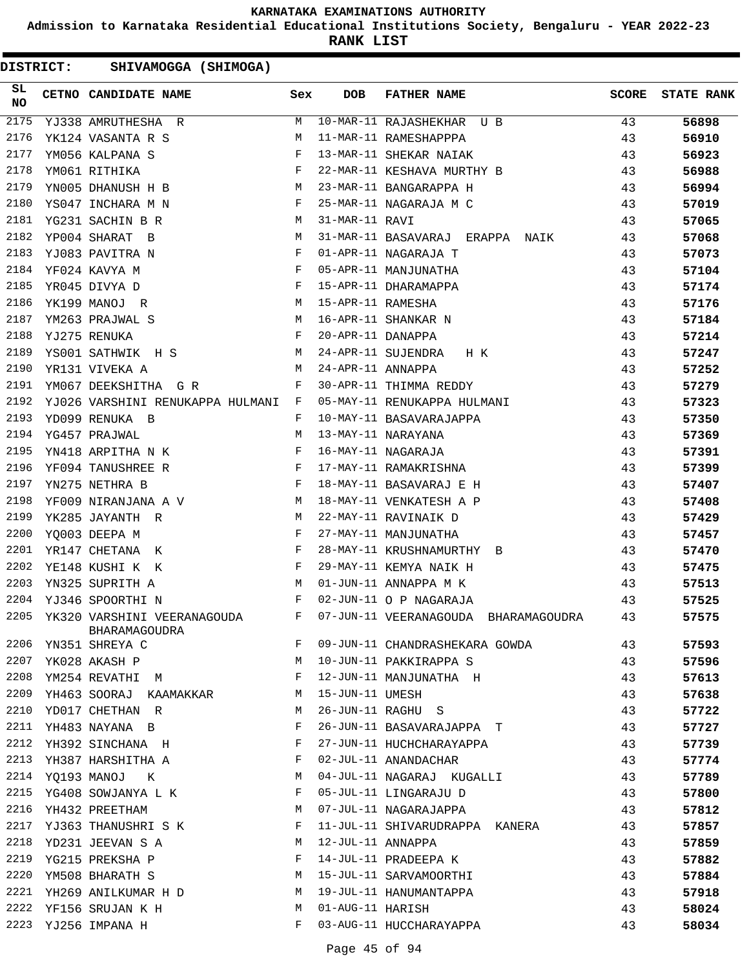**Admission to Karnataka Residential Educational Institutions Society, Bengaluru - YEAR 2022-23**

**RANK LIST**

| SL<br><b>NO</b> | CETNO CANDIDATE NAME Sex                                                           |              | <b>DOB</b>        | <b>FATHER NAME</b>                   | <b>SCORE</b> | <b>STATE RANK</b> |
|-----------------|------------------------------------------------------------------------------------|--------------|-------------------|--------------------------------------|--------------|-------------------|
| 2175            | YJ338 AMRUTHESHA R                                                                 | M            |                   | 10-MAR-11 RAJASHEKHAR U B            | 43           | 56898             |
| 2176            | M<br>YK124 VASANTA R S                                                             |              |                   | 11-MAR-11 RAMESHAPPPA                | 43           | 56910             |
| 2177            | $\begin{array}{c}\n\text{F} \\ \text{F}\n\end{array}$<br>YM056 KALPANA S           |              |                   | 13-MAR-11 SHEKAR NAIAK               | 43           | 56923             |
| 2178            | YM061 RITHIKA                                                                      |              |                   | 22-MAR-11 KESHAVA MURTHY B           | 43           | 56988             |
| 2179            | <b>M</b><br>YN005 DHANUSH H B                                                      |              |                   | 23-MAR-11 BANGARAPPA H               | 43           | 56994             |
| 2180            | $\mathbf{F}$ and the contract of the contract of $\mathbf{F}$<br>YS047 INCHARA M N |              |                   | 25-MAR-11 NAGARAJA M C               | 43           | 57019             |
| 2181            | YG231 SACHIN B R                                                                   | M            | 31-MAR-11 RAVI    |                                      | 43           | 57065             |
| 2182            | YP004 SHARAT B<br>M <sub>N</sub>                                                   |              |                   | 31-MAR-11 BASAVARAJ ERAPPA NAIK      | 43           | 57068             |
| 2183            | YJ083 PAVITRA N<br>$\mathbf{F}$ and the contract of the contract $\mathbf{F}$      |              |                   | 01-APR-11 NAGARAJA T                 | 43           | 57073             |
| 2184            | $\mathbf{F}$<br>YF024 KAVYA M                                                      |              |                   | 05-APR-11 MANJUNATHA                 | 43           | 57104             |
| 2185            | $$\rm F$$ M<br>YR045 DIVYA D                                                       |              |                   | 15-APR-11 DHARAMAPPA                 | 43           | 57174             |
| 2186            | YK199 MANOJ R                                                                      |              | 15-APR-11 RAMESHA |                                      | 43           | 57176             |
| 2187            | M <sub>1</sub><br>YM263 PRAJWAL S                                                  |              |                   | 16-APR-11 SHANKAR N                  | 43           | 57184             |
| 2188            | $\mathbf{F}$ and $\mathbf{F}$<br>YJ275 RENUKA                                      |              | 20-APR-11 DANAPPA |                                      | 43           | 57214             |
| 2189            | YS001 SATHWIK H S M                                                                |              |                   | 24-APR-11 SUJENDRA H K               | 43           | 57247             |
| 2190            | YR131 VIVEKA A                                                                     | M            | 24-APR-11 ANNAPPA |                                      | 43           | 57252             |
| 2191            | YM067 DEEKSHITHA G R                                                               | F            |                   | 30-APR-11 THIMMA REDDY               | 43           | 57279             |
| 2192            | YJ026 VARSHINI RENUKAPPA HULMANI F                                                 |              |                   | 05-MAY-11 RENUKAPPA HULMANI          | 43           | 57323             |
| 2193            | YD099 RENUKA B                                                                     | F            |                   | 10-MAY-11 BASAVARAJAPPA              | 43           | 57350             |
| 2194            | YG457 PRAJWAL<br>M <sub>N</sub>                                                    |              |                   | 13-MAY-11 NARAYANA                   | 43           | 57369             |
| 2195            | $\mathbf{F}$ and $\mathbf{F}$ and $\mathbf{F}$<br>YN418 ARPITHA N K                |              |                   | 16-MAY-11 NAGARAJA                   | 43           | 57391             |
| 2196            | $\mathbf{F}$<br>YF094 TANUSHREE R                                                  |              |                   | 17-MAY-11 RAMAKRISHNA                | 43           | 57399             |
| 2197            | YN275 NETHRA B                                                                     | $\mathbf{F}$ |                   | 18-MAY-11 BASAVARAJ E H              | 43           | 57407             |
| 2198            | YF009 NIRANJANA A V M                                                              |              |                   | 18-MAY-11 VENKATESH A P              | 43           | 57408             |
| 2199            | YK285 JAYANTH R<br><b>M</b>                                                        |              |                   | 22-MAY-11 RAVINAIK D                 | 43           | 57429             |
| 2200            | YQ003 DEEPA M<br><b>Example 19</b>                                                 |              |                   | 27-MAY-11 MANJUNATHA                 | 43           | 57457             |
| 2201            | YR147 CHETANA K                                                                    | $\mathbf{F}$ |                   | 28-MAY-11 KRUSHNAMURTHY B            | 43           | 57470             |
| 2202            | $\mathbb F$<br>YE148 KUSHI K K                                                     |              |                   | 29-MAY-11 KEMYA NAIK H               | 43           | 57475             |
| 2203            | YN325 SUPRITH A<br><b>M</b>                                                        |              |                   | 01-JUN-11 ANNAPPA M K                | 43           | 57513             |
| 2204            | $\mathbf{F}$ and $\mathbf{F}$ and $\mathbf{F}$<br>YJ346 SPOORTHI N                 |              |                   | 02-JUN-11 O P NAGARAJA               | 43           | 57525             |
| 2205            | $\mathbf{F}$<br>YK320 VARSHINI VEERANAGOUDA<br>BHARAMAGOUDRA                       |              |                   | 07-JUN-11 VEERANAGOUDA BHARAMAGOUDRA | 43           | 57575             |
| 2206            | YN351 SHREYA C                                                                     | F            |                   | 09-JUN-11 CHANDRASHEKARA GOWDA       | 43           | 57593             |
| 2207            | YK028 AKASH P                                                                      | M            |                   | 10-JUN-11 PAKKIRAPPA S               | 43           | 57596             |
| 2208            | YM254 REVATHI<br>M                                                                 | F            |                   | 12-JUN-11 MANJUNATHA H               | 43           | 57613             |
| 2209            | YH463 SOORAJ<br>KAAMAKKAR                                                          | М            | 15-JUN-11 UMESH   |                                      | 43           | 57638             |
| 2210            | YD017 CHETHAN R                                                                    | М            |                   | 26-JUN-11 RAGHU S                    | 43           | 57722             |
| 2211            | YH483 NAYANA B                                                                     | F            |                   | 26-JUN-11 BASAVARAJAPPA T            | 43           | 57727             |
| 2212            | YH392 SINCHANA H                                                                   | F            |                   | 27-JUN-11 HUCHCHARAYAPPA             | 43           | 57739             |
| 2213            | YH387 HARSHITHA A                                                                  | F            |                   | 02-JUL-11 ANANDACHAR                 | 43           | 57774             |
| 2214            | YQ193 MANOJ<br>К                                                                   | М            |                   | 04-JUL-11 NAGARAJ KUGALLI            | 43           | 57789             |
| 2215            | YG408 SOWJANYA L K                                                                 | F            |                   | 05-JUL-11 LINGARAJU D                | 43           | 57800             |
| 2216            | YH432 PREETHAM                                                                     | М            |                   | 07-JUL-11 NAGARAJAPPA                | 43           | 57812             |
| 2217            | YJ363 THANUSHRI S K                                                                | F            |                   | 11-JUL-11 SHIVARUDRAPPA KANERA       | 43           | 57857             |
| 2218            | YD231 JEEVAN S A                                                                   | М            | 12-JUL-11 ANNAPPA |                                      | 43           | 57859             |
| 2219            | YG215 PREKSHA P                                                                    | F            |                   | 14-JUL-11 PRADEEPA K                 | 43           | 57882             |
| 2220            | YM508 BHARATH S                                                                    | М            |                   | 15-JUL-11 SARVAMOORTHI               | 43           | 57884             |
| 2221            | YH269 ANILKUMAR H D                                                                | М            |                   | 19-JUL-11 HANUMANTAPPA               | 43           | 57918             |
| 2222            | YF156 SRUJAN K H                                                                   | М            | 01-AUG-11 HARISH  |                                      | 43           | 58024             |
| 2223            | YJ256 IMPANA H                                                                     | F            |                   | 03-AUG-11 HUCCHARAYAPPA              | 43           | 58034             |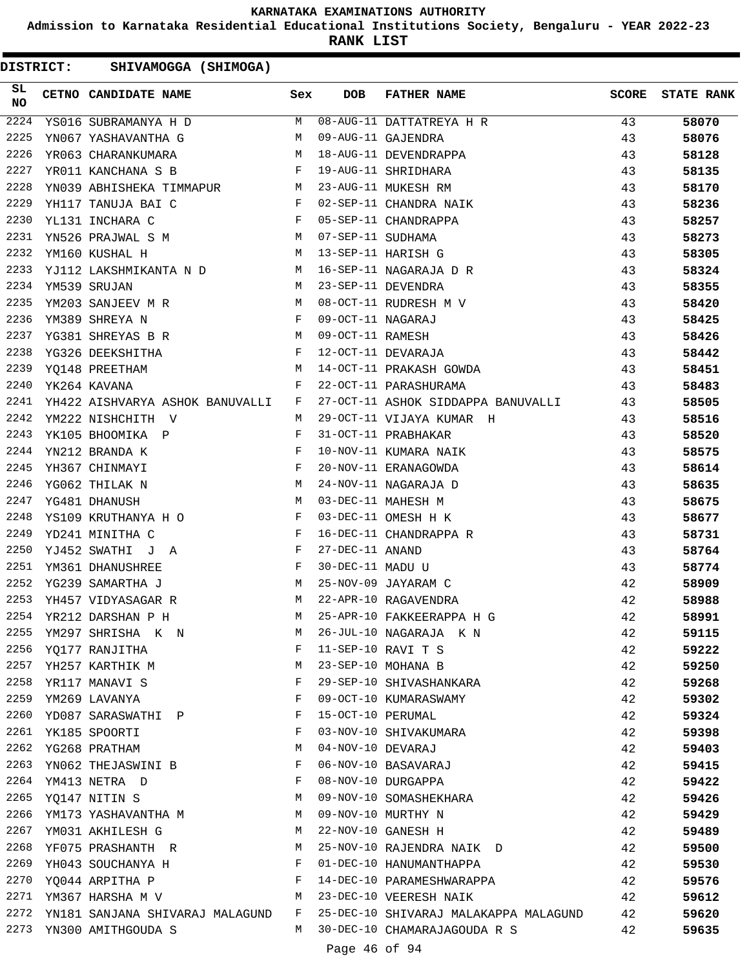**Admission to Karnataka Residential Educational Institutions Society, Bengaluru - YEAR 2022-23**

**RANK LIST**

| SL<br><b>NO</b> | CETNO CANDIDATE NAME Sex                                                                                                                       |              | <b>DOB</b>        | FATHER NAME                                                                                                                                                                                                                            | <b>SCORE</b> | <b>STATE RANK</b> |
|-----------------|------------------------------------------------------------------------------------------------------------------------------------------------|--------------|-------------------|----------------------------------------------------------------------------------------------------------------------------------------------------------------------------------------------------------------------------------------|--------------|-------------------|
| 2224            |                                                                                                                                                |              |                   | VSO16 SUBRAMANYA H D M 08-AUG-11 DATTATREYA H R<br>YNO67 YASHAVANTHA G M 09-AUG-11 GAJENDRA<br>YRO63 CHARANKUMARA M 18-AUG-11 DEVENDRAPPA<br>YRO11 KANCHANA S B F 19-AUG-11 SHRIDHARA<br>YNO39 ABHISHEKA TIMMAPUR M 23-AUG-11 MUKESH R | 43           | 58070             |
| 2225            |                                                                                                                                                |              |                   |                                                                                                                                                                                                                                        | 43           | 58076             |
| 2226            |                                                                                                                                                |              |                   |                                                                                                                                                                                                                                        | 43           | 58128             |
| 2227            |                                                                                                                                                |              |                   |                                                                                                                                                                                                                                        | 43           | 58135             |
| 2228            |                                                                                                                                                |              |                   |                                                                                                                                                                                                                                        | 43           | 58170             |
| 2229            | $\mathbf{F}$ and $\mathbf{F}$ are $\mathbf{F}$ . The $\mathbf{F}$<br>YH117 TANUJA BAI C                                                        |              |                   | 02-SEP-11 CHANDRA NAIK                                                                                                                                                                                                                 | 43           | 58236             |
| 2230            | YL131 INCHARA C<br>YN526 PRAJWAL S M<br>YN526 PRAJWAL S M<br>M 07-SEP-11 SUDHAMA                                                               |              |                   | 05-SEP-11 CHANDRAPPA                                                                                                                                                                                                                   | 43           | 58257             |
| 2231            |                                                                                                                                                |              |                   |                                                                                                                                                                                                                                        | 43           | 58273             |
| 2232            | YM160 KUSHAL H<br><b>M</b>                                                                                                                     |              |                   | 13-SEP-11 HARISH G                                                                                                                                                                                                                     | 43           | 58305             |
| 2233            | YJ112 LAKSHMIKANTA N D M                                                                                                                       |              |                   | 16-SEP-11 NAGARAJA D R                                                                                                                                                                                                                 | 43           | 58324             |
| 2234            | M<br>YM539 SRUJAN                                                                                                                              |              |                   | 23-SEP-11 DEVENDRA                                                                                                                                                                                                                     | 43           | 58355             |
| 2235            | YM203 SANJEEV M R M                                                                                                                            |              |                   |                                                                                                                                                                                                                                        | 43           | 58420             |
| 2236            | $\mathbf{F}$ . The set of $\mathbf{F}$<br>YM389 SHREYA N                                                                                       |              |                   | 08-OCT-11 RUDRESH M V<br>09-OCT-11 NAGARAJ<br>09-OCT-11 RAMESH<br>12-OCT-11 DEVARAJA<br>14 OCT-11 DEVARAJA                                                                                                                             | 43           | 58425             |
| 2237            | YG381 SHREYAS B R M                                                                                                                            |              |                   |                                                                                                                                                                                                                                        | 43           | 58426             |
| 2238            |                                                                                                                                                |              |                   |                                                                                                                                                                                                                                        | 43           | 58442             |
| 2239            | YG326 DEEKSHITHA<br>YQ148 PREETHAM M<br>TIRAG TE                                                                                               |              |                   | 14-OCT-11 PRAKASH GOWDA                                                                                                                                                                                                                | 43           | 58451             |
| 2240            | $\mathbf{F}$ and $\mathbf{F}$ and $\mathbf{F}$<br>YK264 KAVANA                                                                                 |              |                   | 22-OCT-11 PARASHURAMA<br>43                                                                                                                                                                                                            |              | 58483             |
| 2241            | YH422 AISHVARYA ASHOK BANUVALLI F                                                                                                              |              |                   | 27-OCT-11 ASHOK SIDDAPPA BANUVALLI 43                                                                                                                                                                                                  |              | 58505             |
| 2242            | YM222 NISHCHITH V                                                                                                                              | M            |                   |                                                                                                                                                                                                                                        | 43           | 58516             |
| 2243            | $\mathbf{F}$ and the set of $\mathbf{F}$<br>YK105 BHOOMIKA P                                                                                   |              |                   | 29-OCT-11 VIJAYA KUMAR H<br>31-OCT-11 PRABHAKAR                                                                                                                                                                                        | 43           | 58520             |
| 2244            | $\mathbf{F}$ and $\mathbf{F}$<br>YN212 BRANDA K                                                                                                |              |                   | 10-NOV-11 KUMARA NAIK                                                                                                                                                                                                                  | 43           | 58575             |
| 2245            | $\mathbf{F}$<br>YH367 CHINMAYI                                                                                                                 |              |                   | 20-NOV-11 ERANAGOWDA                                                                                                                                                                                                                   | 43           | 58614             |
| 2246            | YG062 THILAK N                                                                                                                                 |              |                   | 24-NOV-11 NAGARAJA D                                                                                                                                                                                                                   | 43           | 58635             |
| 2247            | $\begin{array}{c}\n M \\  M\n \end{array}$<br>YG481 DHANUSH                                                                                    |              |                   | 03-DEC-11 MAHESH M                                                                                                                                                                                                                     | 43           |                   |
| 2248            |                                                                                                                                                |              |                   | 03-DEC-11 OMESH H K                                                                                                                                                                                                                    |              | 58675             |
| 2249            | YS109 KRUTHANYA H O F<br><b>Experimental Street Except Street Street Street Street Street Street Street Street Street Street Street Street</b> |              |                   |                                                                                                                                                                                                                                        | 43           | 58677             |
| 2250            | YD241 MINITHA C                                                                                                                                | $\mathbf{F}$ | 27-DEC-11 ANAND   | 16-DEC-11 CHANDRAPPA R                                                                                                                                                                                                                 | 43           | 58731             |
|                 | YJ452 SWATHI J A                                                                                                                               | $\mathbf{F}$ |                   |                                                                                                                                                                                                                                        | 43           | 58764             |
| 2251            | YM361 DHANUSHREE                                                                                                                               |              | 30-DEC-11 MADU U  |                                                                                                                                                                                                                                        | 43           | 58774             |
| 2252            | M <sub>N</sub><br>YG239 SAMARTHA J                                                                                                             |              |                   | 25-NOV-09 JAYARAM C                                                                                                                                                                                                                    | 42           | 58909             |
| 2253            | YH457 VIDYASAGAR R M                                                                                                                           |              |                   | 22-APR-10 RAGAVENDRA                                                                                                                                                                                                                   | 42           | 58988             |
|                 | 2254 YR212 DARSHAN P H                                                                                                                         | M            |                   | 25-APR-10 FAKKEERAPPA H G                                                                                                                                                                                                              | 42           | 58991             |
| 2255            | YM297 SHRISHA K N                                                                                                                              | M            |                   | 26-JUL-10 NAGARAJA K N                                                                                                                                                                                                                 | 42           | 59115             |
| 2256            | YQ177 RANJITHA                                                                                                                                 | F            |                   | 11-SEP-10 RAVI T S                                                                                                                                                                                                                     | 42           | 59222             |
|                 | 2257 YH257 KARTHIK M                                                                                                                           |              |                   | 23-SEP-10 MOHANA B                                                                                                                                                                                                                     | 42           | 59250             |
|                 | 2258 YR117 MANAVI S                                                                                                                            | F            |                   | 29-SEP-10 SHIVASHANKARA                                                                                                                                                                                                                | 42           | 59268             |
| 2259            | YM269 LAVANYA                                                                                                                                  | F            |                   | 09-OCT-10 KUMARASWAMY                                                                                                                                                                                                                  | 42           | 59302             |
| 2260            | YD087 SARASWATHI P                                                                                                                             | F            | 15-OCT-10 PERUMAL |                                                                                                                                                                                                                                        | 42           | 59324             |
| 2261            | YK185 SPOORTI                                                                                                                                  | F            |                   | 03-NOV-10 SHIVAKUMARA                                                                                                                                                                                                                  | 42           | 59398             |
| 2262            | YG268 PRATHAM                                                                                                                                  | М            | 04-NOV-10 DEVARAJ |                                                                                                                                                                                                                                        | 42           | 59403             |
| 2263            | YN062 THEJASWINI B                                                                                                                             | F            |                   | 06-NOV-10 BASAVARAJ                                                                                                                                                                                                                    | 42           | 59415             |
|                 | 2264 YM413 NETRA D                                                                                                                             | F            |                   | 08-NOV-10 DURGAPPA                                                                                                                                                                                                                     | 42           | 59422             |
| 2265            | $M_{\rm H}$ and $M_{\rm H}$<br>YQ147 NITIN S                                                                                                   |              |                   | 09-NOV-10 SOMASHEKHARA                                                                                                                                                                                                                 | 42           | 59426             |
|                 | 2266 YM173 YASHAVANTHA M                                                                                                                       | M            |                   | 09-NOV-10 MURTHY N                                                                                                                                                                                                                     | 42           | 59429             |
|                 | 2267 YM031 AKHILESH G                                                                                                                          | M            |                   | 22-NOV-10 GANESH H                                                                                                                                                                                                                     | 42           | 59489             |
| 2268            | YF075 PRASHANTH R                                                                                                                              | M            |                   | 25-NOV-10 RAJENDRA NAIK D                                                                                                                                                                                                              | 42           | 59500             |
| 2269            | YH043 SOUCHANYA H                                                                                                                              | F            |                   | 01-DEC-10 HANUMANTHAPPA                                                                                                                                                                                                                | 42           | 59530             |
| 2270            | YQ044 ARPITHA P                                                                                                                                | F            |                   | 14-DEC-10 PARAMESHWARAPPA                                                                                                                                                                                                              | 42           | 59576             |
|                 | 2271 YM367 HARSHA M V M 23-DEC-10 VEERESH NAIK                                                                                                 |              |                   |                                                                                                                                                                                                                                        | 42           | 59612             |
| 2272            | YN181 SANJANA SHIVARAJ MALAGUND                                                                                                                | $\mathbf{F}$ |                   | 25-DEC-10 SHIVARAJ MALAKAPPA MALAGUND 42                                                                                                                                                                                               |              | 59620             |
|                 | 2273 YN300 AMITHGOUDA S                                                                                                                        | M            |                   | 30-DEC-10 CHAMARAJAGOUDA R S                                                                                                                                                                                                           | 42           | 59635             |
|                 |                                                                                                                                                |              | Page 46 of 94     |                                                                                                                                                                                                                                        |              |                   |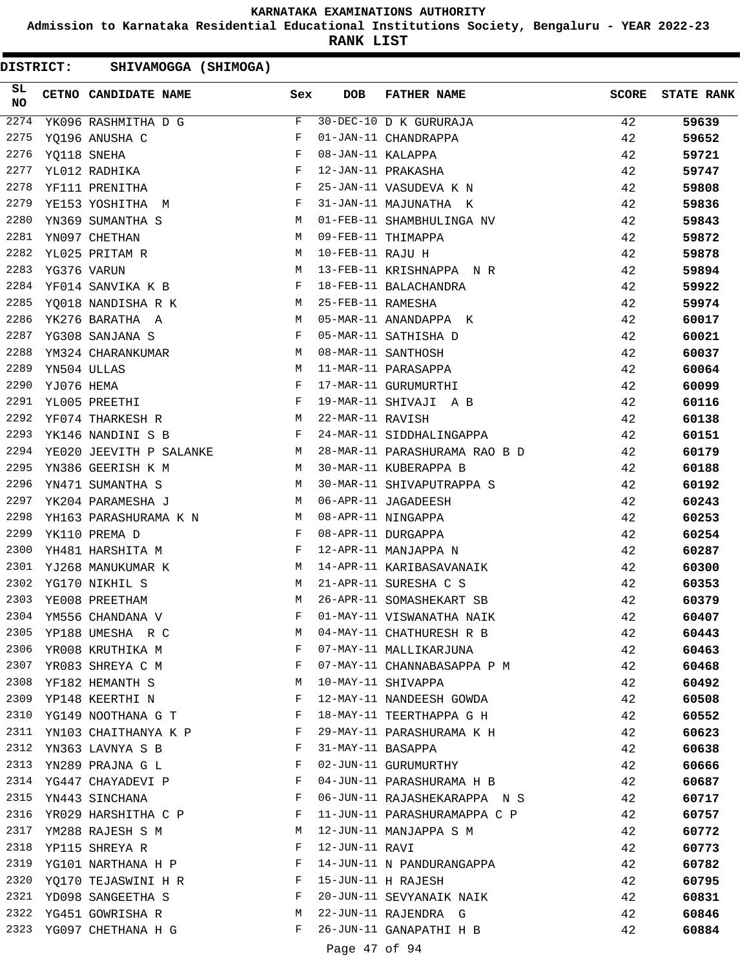**Admission to Karnataka Residential Educational Institutions Society, Bengaluru - YEAR 2022-23**

**RANK LIST**

| 2274<br>F<br>30-DEC-10 D K GURURAJA<br>42<br>59639<br>YK096 RASHMITHA D G<br>2275<br>42<br>YO196 ANUSHA C<br>F<br>01-JAN-11 CHANDRAPPA<br>59652<br>2276<br>$_{\rm F}$<br>08-JAN-11 KALAPPA<br>42<br>YQ118 SNEHA<br>59721<br>2277<br>F<br>YL012 RADHIKA<br>12-JAN-11 PRAKASHA<br>42<br>59747<br>$\mathbb{R}^n$ . The set of the set of the set of the set of the set of the set of the set of the set of the set of the set of the set of the set of the set of the set of the set of the set of the set of the set of the set of<br>2278<br>YF111 PRENITHA<br>25-JAN-11 VASUDEVA K N<br>42<br>59808<br>$\mathbf{F}$ and $\mathbf{F}$ and $\mathbf{F}$<br>2279<br>YE153 YOSHITHA M<br>31-JAN-11 MAJUNATHA K<br>42<br>59836<br>2280<br>YN369 SUMANTHA S<br>M<br>01-FEB-11 SHAMBHULINGA NV<br>42<br>59843<br>2281<br>YN097 CHETHAN<br>M<br>09-FEB-11 THIMAPPA<br>42<br>59872<br>2282<br>YL025 PRITAM R<br>M<br>10-FEB-11 RAJU H<br>42<br>59878<br>2283<br>YG376 VARUN<br>M<br>13-FEB-11 KRISHNAPPA N R<br>42<br>59894<br>2284<br>$\mathbf{F}$<br>18-FEB-11 BALACHANDRA<br>YF014 SANVIKA K B<br>42<br>59922<br>2285<br>YQ018 NANDISHA R K M<br>25-FEB-11 RAMESHA<br>42<br>59974<br>2286<br>YK276 BARATHA A<br><b>M</b><br>05-MAR-11 ANANDAPPA K<br>42<br>60017<br>$\mathbf{F}$ and the contract of the contract of $\mathbf{F}$<br>2287<br>YG308 SANJANA S<br>05-MAR-11 SATHISHA D<br>42<br>60021<br>YM324 CHARANKUMAR M<br>2288<br>08-MAR-11 SANTHOSH<br>42<br>60037 | <b>STATE RANK</b> |
|-------------------------------------------------------------------------------------------------------------------------------------------------------------------------------------------------------------------------------------------------------------------------------------------------------------------------------------------------------------------------------------------------------------------------------------------------------------------------------------------------------------------------------------------------------------------------------------------------------------------------------------------------------------------------------------------------------------------------------------------------------------------------------------------------------------------------------------------------------------------------------------------------------------------------------------------------------------------------------------------------------------------------------------------------------------------------------------------------------------------------------------------------------------------------------------------------------------------------------------------------------------------------------------------------------------------------------------------------------------------------------------------------------------------------------------------------------------------|-------------------|
|                                                                                                                                                                                                                                                                                                                                                                                                                                                                                                                                                                                                                                                                                                                                                                                                                                                                                                                                                                                                                                                                                                                                                                                                                                                                                                                                                                                                                                                                   |                   |
|                                                                                                                                                                                                                                                                                                                                                                                                                                                                                                                                                                                                                                                                                                                                                                                                                                                                                                                                                                                                                                                                                                                                                                                                                                                                                                                                                                                                                                                                   |                   |
|                                                                                                                                                                                                                                                                                                                                                                                                                                                                                                                                                                                                                                                                                                                                                                                                                                                                                                                                                                                                                                                                                                                                                                                                                                                                                                                                                                                                                                                                   |                   |
|                                                                                                                                                                                                                                                                                                                                                                                                                                                                                                                                                                                                                                                                                                                                                                                                                                                                                                                                                                                                                                                                                                                                                                                                                                                                                                                                                                                                                                                                   |                   |
|                                                                                                                                                                                                                                                                                                                                                                                                                                                                                                                                                                                                                                                                                                                                                                                                                                                                                                                                                                                                                                                                                                                                                                                                                                                                                                                                                                                                                                                                   |                   |
|                                                                                                                                                                                                                                                                                                                                                                                                                                                                                                                                                                                                                                                                                                                                                                                                                                                                                                                                                                                                                                                                                                                                                                                                                                                                                                                                                                                                                                                                   |                   |
|                                                                                                                                                                                                                                                                                                                                                                                                                                                                                                                                                                                                                                                                                                                                                                                                                                                                                                                                                                                                                                                                                                                                                                                                                                                                                                                                                                                                                                                                   |                   |
|                                                                                                                                                                                                                                                                                                                                                                                                                                                                                                                                                                                                                                                                                                                                                                                                                                                                                                                                                                                                                                                                                                                                                                                                                                                                                                                                                                                                                                                                   |                   |
|                                                                                                                                                                                                                                                                                                                                                                                                                                                                                                                                                                                                                                                                                                                                                                                                                                                                                                                                                                                                                                                                                                                                                                                                                                                                                                                                                                                                                                                                   |                   |
|                                                                                                                                                                                                                                                                                                                                                                                                                                                                                                                                                                                                                                                                                                                                                                                                                                                                                                                                                                                                                                                                                                                                                                                                                                                                                                                                                                                                                                                                   |                   |
|                                                                                                                                                                                                                                                                                                                                                                                                                                                                                                                                                                                                                                                                                                                                                                                                                                                                                                                                                                                                                                                                                                                                                                                                                                                                                                                                                                                                                                                                   |                   |
|                                                                                                                                                                                                                                                                                                                                                                                                                                                                                                                                                                                                                                                                                                                                                                                                                                                                                                                                                                                                                                                                                                                                                                                                                                                                                                                                                                                                                                                                   |                   |
|                                                                                                                                                                                                                                                                                                                                                                                                                                                                                                                                                                                                                                                                                                                                                                                                                                                                                                                                                                                                                                                                                                                                                                                                                                                                                                                                                                                                                                                                   |                   |
|                                                                                                                                                                                                                                                                                                                                                                                                                                                                                                                                                                                                                                                                                                                                                                                                                                                                                                                                                                                                                                                                                                                                                                                                                                                                                                                                                                                                                                                                   |                   |
|                                                                                                                                                                                                                                                                                                                                                                                                                                                                                                                                                                                                                                                                                                                                                                                                                                                                                                                                                                                                                                                                                                                                                                                                                                                                                                                                                                                                                                                                   |                   |
| 2289<br>YN504 ULLAS<br>M<br>11-MAR-11 PARASAPPA<br>42<br>60064                                                                                                                                                                                                                                                                                                                                                                                                                                                                                                                                                                                                                                                                                                                                                                                                                                                                                                                                                                                                                                                                                                                                                                                                                                                                                                                                                                                                    |                   |
| 2290<br>F<br>YJ076 HEMA<br>17-MAR-11 GURUMURTHI<br>42<br>60099                                                                                                                                                                                                                                                                                                                                                                                                                                                                                                                                                                                                                                                                                                                                                                                                                                                                                                                                                                                                                                                                                                                                                                                                                                                                                                                                                                                                    |                   |
| 2291<br><b>Example 2</b><br>42<br>YL005 PREETHI<br>19-MAR-11 SHIVAJI A B<br>60116                                                                                                                                                                                                                                                                                                                                                                                                                                                                                                                                                                                                                                                                                                                                                                                                                                                                                                                                                                                                                                                                                                                                                                                                                                                                                                                                                                                 |                   |
| M<br>2292<br>22-MAR-11 RAVISH<br>YF074 THARKESH R<br>42<br>60138                                                                                                                                                                                                                                                                                                                                                                                                                                                                                                                                                                                                                                                                                                                                                                                                                                                                                                                                                                                                                                                                                                                                                                                                                                                                                                                                                                                                  |                   |
| $\mathbb{F}$<br>2293<br>YK146 NANDINI S B<br>24-MAR-11 SIDDHALINGAPPA<br>42<br>60151                                                                                                                                                                                                                                                                                                                                                                                                                                                                                                                                                                                                                                                                                                                                                                                                                                                                                                                                                                                                                                                                                                                                                                                                                                                                                                                                                                              |                   |
| 2294<br>YE020 JEEVITH P SALANKE M 28-MAR-11 PARASHURAMA RAO B D<br>42<br>60179                                                                                                                                                                                                                                                                                                                                                                                                                                                                                                                                                                                                                                                                                                                                                                                                                                                                                                                                                                                                                                                                                                                                                                                                                                                                                                                                                                                    |                   |
| $M_{\rm H}$ and $M_{\rm H}$<br>2295<br>YN386 GEERISH K M<br>30-MAR-11 KUBERAPPA B<br>42<br>60188                                                                                                                                                                                                                                                                                                                                                                                                                                                                                                                                                                                                                                                                                                                                                                                                                                                                                                                                                                                                                                                                                                                                                                                                                                                                                                                                                                  |                   |
| M<br>2296<br>30-MAR-11 SHIVAPUTRAPPA S<br>YN471 SUMANTHA S<br>42<br>60192                                                                                                                                                                                                                                                                                                                                                                                                                                                                                                                                                                                                                                                                                                                                                                                                                                                                                                                                                                                                                                                                                                                                                                                                                                                                                                                                                                                         |                   |
| 2297<br>YK204 PARAMESHA J<br>M<br>06-APR-11 JAGADEESH<br>42<br>60243                                                                                                                                                                                                                                                                                                                                                                                                                                                                                                                                                                                                                                                                                                                                                                                                                                                                                                                                                                                                                                                                                                                                                                                                                                                                                                                                                                                              |                   |
| 2298<br>YH163 PARASHURAMA K N M<br>08-APR-11 NINGAPPA<br>42<br>60253                                                                                                                                                                                                                                                                                                                                                                                                                                                                                                                                                                                                                                                                                                                                                                                                                                                                                                                                                                                                                                                                                                                                                                                                                                                                                                                                                                                              |                   |
| 2299<br>YK110 PREMA D<br>F<br>08-APR-11 DURGAPPA<br>42<br>60254                                                                                                                                                                                                                                                                                                                                                                                                                                                                                                                                                                                                                                                                                                                                                                                                                                                                                                                                                                                                                                                                                                                                                                                                                                                                                                                                                                                                   |                   |
| 2300<br>YH481 HARSHITA M<br>F<br>12-APR-11 MANJAPPA N<br>42<br>60287                                                                                                                                                                                                                                                                                                                                                                                                                                                                                                                                                                                                                                                                                                                                                                                                                                                                                                                                                                                                                                                                                                                                                                                                                                                                                                                                                                                              |                   |
| 2301<br>YJ268 MANUKUMAR K<br>M<br>14-APR-11 KARIBASAVANAIK<br>42<br>60300                                                                                                                                                                                                                                                                                                                                                                                                                                                                                                                                                                                                                                                                                                                                                                                                                                                                                                                                                                                                                                                                                                                                                                                                                                                                                                                                                                                         |                   |
| 2302<br>YG170 NIKHIL S<br>M<br>21-APR-11 SURESHA C S<br>42<br>60353                                                                                                                                                                                                                                                                                                                                                                                                                                                                                                                                                                                                                                                                                                                                                                                                                                                                                                                                                                                                                                                                                                                                                                                                                                                                                                                                                                                               |                   |
| 2303<br>YE008 PREETHAM<br>M<br>26-APR-11 SOMASHEKART SB<br>42<br>60379                                                                                                                                                                                                                                                                                                                                                                                                                                                                                                                                                                                                                                                                                                                                                                                                                                                                                                                                                                                                                                                                                                                                                                                                                                                                                                                                                                                            |                   |
| 2304<br>F<br>01-MAY-11 VISWANATHA NAIK<br>YM556 CHANDANA V<br>42<br>60407                                                                                                                                                                                                                                                                                                                                                                                                                                                                                                                                                                                                                                                                                                                                                                                                                                                                                                                                                                                                                                                                                                                                                                                                                                                                                                                                                                                         |                   |
| 2305<br>04-MAY-11 CHATHURESH R B<br>YP188 UMESHA R C<br>42<br>60443<br>M                                                                                                                                                                                                                                                                                                                                                                                                                                                                                                                                                                                                                                                                                                                                                                                                                                                                                                                                                                                                                                                                                                                                                                                                                                                                                                                                                                                          |                   |
| 2306<br>YR008 KRUTHIKA M<br>F<br>07-MAY-11 MALLIKARJUNA<br>42<br>60463                                                                                                                                                                                                                                                                                                                                                                                                                                                                                                                                                                                                                                                                                                                                                                                                                                                                                                                                                                                                                                                                                                                                                                                                                                                                                                                                                                                            |                   |
| 2307<br>YR083 SHREYA C M<br>F<br>07-MAY-11 CHANNABASAPPA P M<br>42<br>60468                                                                                                                                                                                                                                                                                                                                                                                                                                                                                                                                                                                                                                                                                                                                                                                                                                                                                                                                                                                                                                                                                                                                                                                                                                                                                                                                                                                       |                   |
| 2308<br>YF182 HEMANTH S<br>10-MAY-11 SHIVAPPA<br>42<br>M<br>60492                                                                                                                                                                                                                                                                                                                                                                                                                                                                                                                                                                                                                                                                                                                                                                                                                                                                                                                                                                                                                                                                                                                                                                                                                                                                                                                                                                                                 |                   |
| 2309<br>YP148 KEERTHI N<br>F<br>12-MAY-11 NANDEESH GOWDA<br>42<br>60508                                                                                                                                                                                                                                                                                                                                                                                                                                                                                                                                                                                                                                                                                                                                                                                                                                                                                                                                                                                                                                                                                                                                                                                                                                                                                                                                                                                           |                   |
| 2310<br>YG149 NOOTHANA G T<br>F<br>18-MAY-11 TEERTHAPPA G H<br>42<br>60552                                                                                                                                                                                                                                                                                                                                                                                                                                                                                                                                                                                                                                                                                                                                                                                                                                                                                                                                                                                                                                                                                                                                                                                                                                                                                                                                                                                        |                   |
| 2311<br>YN103 CHAITHANYA K P<br>29-MAY-11 PARASHURAMA K H<br>42<br>F<br>60623                                                                                                                                                                                                                                                                                                                                                                                                                                                                                                                                                                                                                                                                                                                                                                                                                                                                                                                                                                                                                                                                                                                                                                                                                                                                                                                                                                                     |                   |
| 2312<br>31-MAY-11 BASAPPA<br>YN363 LAVNYA S B<br>F<br>42<br>60638                                                                                                                                                                                                                                                                                                                                                                                                                                                                                                                                                                                                                                                                                                                                                                                                                                                                                                                                                                                                                                                                                                                                                                                                                                                                                                                                                                                                 |                   |
| 2313<br>YN289 PRAJNA G L<br>F<br>02-JUN-11 GURUMURTHY<br>42<br>60666                                                                                                                                                                                                                                                                                                                                                                                                                                                                                                                                                                                                                                                                                                                                                                                                                                                                                                                                                                                                                                                                                                                                                                                                                                                                                                                                                                                              |                   |
| 2314<br>YG447 CHAYADEVI P<br>F<br>04-JUN-11 PARASHURAMA H B<br>42<br>60687                                                                                                                                                                                                                                                                                                                                                                                                                                                                                                                                                                                                                                                                                                                                                                                                                                                                                                                                                                                                                                                                                                                                                                                                                                                                                                                                                                                        |                   |
| 2315<br>YN443 SINCHANA<br>F<br>06-JUN-11 RAJASHEKARAPPA N S<br>42<br>60717                                                                                                                                                                                                                                                                                                                                                                                                                                                                                                                                                                                                                                                                                                                                                                                                                                                                                                                                                                                                                                                                                                                                                                                                                                                                                                                                                                                        |                   |
| 2316<br>YR029 HARSHITHA C P<br>F<br>11-JUN-11 PARASHURAMAPPA C P<br>42<br>60757                                                                                                                                                                                                                                                                                                                                                                                                                                                                                                                                                                                                                                                                                                                                                                                                                                                                                                                                                                                                                                                                                                                                                                                                                                                                                                                                                                                   |                   |
| 2317<br>YM288 RAJESH S M<br>М<br>12-JUN-11 MANJAPPA S M<br>42<br>60772                                                                                                                                                                                                                                                                                                                                                                                                                                                                                                                                                                                                                                                                                                                                                                                                                                                                                                                                                                                                                                                                                                                                                                                                                                                                                                                                                                                            |                   |
| 2318<br>12-JUN-11 RAVI<br>YP115 SHREYA R<br>F<br>42<br>60773                                                                                                                                                                                                                                                                                                                                                                                                                                                                                                                                                                                                                                                                                                                                                                                                                                                                                                                                                                                                                                                                                                                                                                                                                                                                                                                                                                                                      |                   |
| YG101 NARTHANA H P<br>2319<br>F<br>14-JUN-11 N PANDURANGAPPA<br>42<br>60782                                                                                                                                                                                                                                                                                                                                                                                                                                                                                                                                                                                                                                                                                                                                                                                                                                                                                                                                                                                                                                                                                                                                                                                                                                                                                                                                                                                       |                   |
| YQ170 TEJASWINI H R<br>2320<br>15-JUN-11 H RAJESH<br>F<br>42<br>60795                                                                                                                                                                                                                                                                                                                                                                                                                                                                                                                                                                                                                                                                                                                                                                                                                                                                                                                                                                                                                                                                                                                                                                                                                                                                                                                                                                                             |                   |
| 2321 YD098 SANGEETHA S<br>F<br>20-JUN-11 SEVYANAIK NAIK<br>42<br>60831                                                                                                                                                                                                                                                                                                                                                                                                                                                                                                                                                                                                                                                                                                                                                                                                                                                                                                                                                                                                                                                                                                                                                                                                                                                                                                                                                                                            |                   |
| 2322<br>YG451 GOWRISHA R<br>22-JUN-11 RAJENDRA G<br>42<br>M<br>60846                                                                                                                                                                                                                                                                                                                                                                                                                                                                                                                                                                                                                                                                                                                                                                                                                                                                                                                                                                                                                                                                                                                                                                                                                                                                                                                                                                                              |                   |
| 26-JUN-11 GANAPATHI H B<br>2323 YG097 CHETHANA H G<br>F<br>42<br>60884                                                                                                                                                                                                                                                                                                                                                                                                                                                                                                                                                                                                                                                                                                                                                                                                                                                                                                                                                                                                                                                                                                                                                                                                                                                                                                                                                                                            |                   |
| Page 47 of 94                                                                                                                                                                                                                                                                                                                                                                                                                                                                                                                                                                                                                                                                                                                                                                                                                                                                                                                                                                                                                                                                                                                                                                                                                                                                                                                                                                                                                                                     |                   |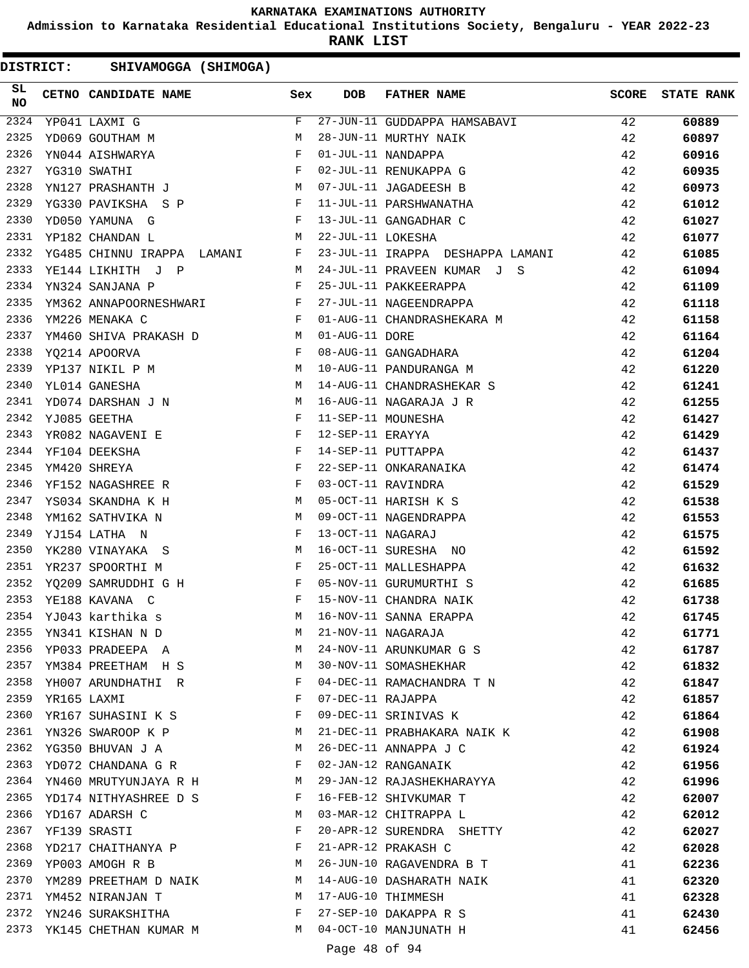**Admission to Karnataka Residential Educational Institutions Society, Bengaluru - YEAR 2022-23**

**RANK LIST**

| SL<br>NO |             | CETNO CANDIDATE NAME                                                                                                                                                                                                                                           | Sex          | <b>DOB</b>        | FATHER NAME                      | <b>SCORE</b> | <b>STATE RANK</b> |
|----------|-------------|----------------------------------------------------------------------------------------------------------------------------------------------------------------------------------------------------------------------------------------------------------------|--------------|-------------------|----------------------------------|--------------|-------------------|
| 2324     |             | YP041 LAXMI G                                                                                                                                                                                                                                                  | $F$ and      |                   | 27-JUN-11 GUDDAPPA HAMSABAVI     | 42           | 60889             |
| 2325     |             | YD069 GOUTHAM M                                                                                                                                                                                                                                                | M            |                   | 28-JUN-11 MURTHY NAIK            | 42           | 60897             |
| 2326     |             | $\mathbf{F}$ and the state of $\mathbf{F}$<br>YN044 AISHWARYA                                                                                                                                                                                                  |              |                   | 01-JUL-11 NANDAPPA               | 42           | 60916             |
| 2327     |             | YG310 SWATHI                                                                                                                                                                                                                                                   | $\mathbf{F}$ |                   | 02-JUL-11 RENUKAPPA G            | 42           | 60935             |
| 2328     |             | YN127 PRASHANTH J $\,$ M                                                                                                                                                                                                                                       |              |                   | 07-JUL-11 JAGADEESH B            | 42           | 60973             |
| 2329     |             | YG330 PAVIKSHA S P F F                                                                                                                                                                                                                                         |              |                   | 11-JUL-11 PARSHWANATHA           | 42           | 61012             |
| 2330     |             | $\mathbf{F}$ and $\mathbf{F}$ and $\mathbf{F}$<br>YD050 YAMUNA G                                                                                                                                                                                               |              |                   | 13-JUL-11 GANGADHAR C            | 42           | 61027             |
| 2331     |             | YP182 CHANDAN L                                                                                                                                                                                                                                                | M            | 22-JUL-11 LOKESHA |                                  | 42           | 61077             |
| 2332     |             | YG485 CHINNU IRAPPA LAMANI F                                                                                                                                                                                                                                   |              |                   | 23-JUL-11 IRAPPA DESHAPPA LAMANI | 42           | 61085             |
| 2333     |             | YE144 LIKHITH J P<br><b>M</b>                                                                                                                                                                                                                                  |              |                   | 24-JUL-11 PRAVEEN KUMAR J S      | 42           | 61094             |
| 2334     |             | $\mathbf{F}$ and $\mathbf{F}$ and $\mathbf{F}$<br>YN324 SANJANA P                                                                                                                                                                                              |              |                   | 25-JUL-11 PAKKEERAPPA            | 42           | 61109             |
| 2335     |             | YM362 ANNAPOORNESHWARI F                                                                                                                                                                                                                                       |              |                   | 27-JUL-11 NAGEENDRAPPA           | 42           | 61118             |
| 2336     |             | $\mathbf F$<br>YM226 MENAKA C                                                                                                                                                                                                                                  |              |                   | 01-AUG-11 CHANDRASHEKARA M       | 42           | 61158             |
| 2337     |             | YM460 SHIVA PRAKASH D M                                                                                                                                                                                                                                        |              | 01-AUG-11 DORE    |                                  | 42           | 61164             |
| 2338     |             | $\mathbf{F}$ . The set of $\mathbf{F}$<br>YQ214 APOORVA                                                                                                                                                                                                        |              |                   | 08-AUG-11 GANGADHARA             | 42           | 61204             |
| 2339     |             | YP137 NIKIL P M                                                                                                                                                                                                                                                |              |                   | 10-AUG-11 PANDURANGA M           | 42           | 61220             |
| 2340     |             | YL014 GANESHA                                                                                                                                                                                                                                                  | M            |                   | 14-AUG-11 CHANDRASHEKAR S        | 42           | 61241             |
| 2341     |             | YD074 DARSHAN J N M                                                                                                                                                                                                                                            |              |                   | 16-AUG-11 NAGARAJA J R           | 42           | 61255             |
| 2342     |             | $\mathbf{F}$ and the state of $\mathbf{F}$<br>YJ085 GEETHA                                                                                                                                                                                                     |              |                   | 11-SEP-11 MOUNESHA               | 42           | 61427             |
| 2343     |             |                                                                                                                                                                                                                                                                |              | 12-SEP-11 ERAYYA  |                                  | 42           | 61429             |
| 2344     |             | $\begin{array}{lllll} \texttt{Y}\texttt{R082} & \texttt{NAGAVENI} & \texttt{E} & \texttt{F}\\ \texttt{Y}\texttt{F104} & \texttt{DE}\texttt{E}\texttt{SSHA} & & & & \texttt{F} \end{array}$                                                                     |              |                   | 14-SEP-11 PUTTAPPA               | 42           | 61437             |
| 2345     |             | $\mathbf{F}$ and $\mathbf{F}$ and $\mathbf{F}$<br>YM420 SHREYA                                                                                                                                                                                                 |              |                   | 22-SEP-11 ONKARANAIKA            | 42           | 61474             |
| 2346     |             | $\mathbb F$ . The set of the set of the set of the set of the set of the set of the set of the set of the set of the set of the set of the set of the set of the set of the set of the set of the set of the set of the set of the<br>YF152 NAGASHREE R        |              |                   | 03-OCT-11 RAVINDRA               | 42           | 61529             |
| 2347     |             | M<br>YS034 SKANDHA K H                                                                                                                                                                                                                                         |              |                   | 05-OCT-11 HARISH K S             | 42           | 61538             |
| 2348     |             | YM162 SATHVIKA N                                                                                                                                                                                                                                               | M            |                   | 09-OCT-11 NAGENDRAPPA            | 42           | 61553             |
| 2349     |             | YJ154 LATHA N                                                                                                                                                                                                                                                  | F            | 13-OCT-11 NAGARAJ |                                  | 42           | 61575             |
| 2350     |             | $M_{\odot}$<br>YK280 VINAYAKA S                                                                                                                                                                                                                                |              |                   | 16-OCT-11 SURESHA NO             | 42           | 61592             |
| 2351     |             | YR237 SPOORTHI M                                                                                                                                                                                                                                               | F            |                   | 25-OCT-11 MALLESHAPPA            | 42           | 61632             |
| 2352     |             | YQ209 SAMRUDDHI G H<br>$\mathbb{F}^{\mathbb{Z}}$ . The set of the set of the set of the set of the set of the set of the set of the set of the set of the set of the set of the set of the set of the set of the set of the set of the set of the set of the s |              |                   | 05-NOV-11 GURUMURTHI S           | 42           | 61685             |
| 2353     |             | $\mathbf{F}$ and the state of the state $\mathbf{F}$<br>YE188 KAVANA C                                                                                                                                                                                         |              |                   | 15-NOV-11 CHANDRA NAIK           | 42           | 61738             |
|          |             | 2354 YJ043 karthika s                                                                                                                                                                                                                                          |              |                   | M 16-NOV-11 SANNA ERAPPA         | 42           | 61745             |
| 2355     |             | YN341 KISHAN N D                                                                                                                                                                                                                                               | М            |                   | 21-NOV-11 NAGARAJA               | 42           | 61771             |
| 2356     |             |                                                                                                                                                                                                                                                                | M            |                   | 24-NOV-11 ARUNKUMAR G S          |              |                   |
| 2357     |             | YP033 PRADEEPA A                                                                                                                                                                                                                                               | M            |                   |                                  | 42           | 61787             |
| 2358     |             | YM384 PREETHAM H S                                                                                                                                                                                                                                             | F            |                   | 30-NOV-11 SOMASHEKHAR            | 42           | 61832             |
|          |             | YH007 ARUNDHATHI R                                                                                                                                                                                                                                             |              |                   | 04-DEC-11 RAMACHANDRA T N        | 42           | 61847             |
| 2359     | YR165 LAXMI |                                                                                                                                                                                                                                                                | F            | 07-DEC-11 RAJAPPA |                                  | 42           | 61857             |
| 2360     |             | YR167 SUHASINI K S                                                                                                                                                                                                                                             | F            |                   | 09-DEC-11 SRINIVAS K             | 42           | 61864             |
| 2361     |             | YN326 SWAROOP K P                                                                                                                                                                                                                                              | M            |                   | 21-DEC-11 PRABHAKARA NAIK K      | 42           | 61908             |
| 2362     |             | YG350 BHUVAN J A                                                                                                                                                                                                                                               | M            |                   | 26-DEC-11 ANNAPPA J C            | 42           | 61924             |
| 2363     |             | YD072 CHANDANA G R                                                                                                                                                                                                                                             | F            |                   | 02-JAN-12 RANGANAIK              | 42           | 61956             |
|          |             | 2364 YN460 MRUTYUNJAYA R H                                                                                                                                                                                                                                     | M            |                   | 29-JAN-12 RAJASHEKHARAYYA        | 42           | 61996             |
| 2365     |             | YD174 NITHYASHREE D S                                                                                                                                                                                                                                          | F            |                   | 16-FEB-12 SHIVKUMAR T            | 42           | 62007             |
| 2366     |             | YD167 ADARSH C                                                                                                                                                                                                                                                 | M            |                   | 03-MAR-12 CHITRAPPA L            | 42           | 62012             |
| 2367     |             | YF139 SRASTI                                                                                                                                                                                                                                                   | F            |                   | 20-APR-12 SURENDRA SHETTY        | 42           | 62027             |
| 2368     |             | YD217 CHAITHANYA P                                                                                                                                                                                                                                             | F            |                   | 21-APR-12 PRAKASH C              | 42           | 62028             |
| 2369     |             | YP003 AMOGH R B                                                                                                                                                                                                                                                | M            |                   | 26-JUN-10 RAGAVENDRA B T         | 41           | 62236             |
| 2370     |             | YM289 PREETHAM D NAIK                                                                                                                                                                                                                                          | M            |                   | 14-AUG-10 DASHARATH NAIK         | 41           | 62320             |
|          |             | 2371 YM452 NIRANJAN T                                                                                                                                                                                                                                          | M            |                   | 17-AUG-10 THIMMESH               | 41           | 62328             |
| 2372     |             | YN246 SURAKSHITHA                                                                                                                                                                                                                                              | F            |                   | 27-SEP-10 DAKAPPA R S            | 41           | 62430             |
|          |             | 2373 YK145 CHETHAN KUMAR M                                                                                                                                                                                                                                     | M            |                   | 04-OCT-10 MANJUNATH H            | 41           | 62456             |
|          |             |                                                                                                                                                                                                                                                                |              | Page 48 of 94     |                                  |              |                   |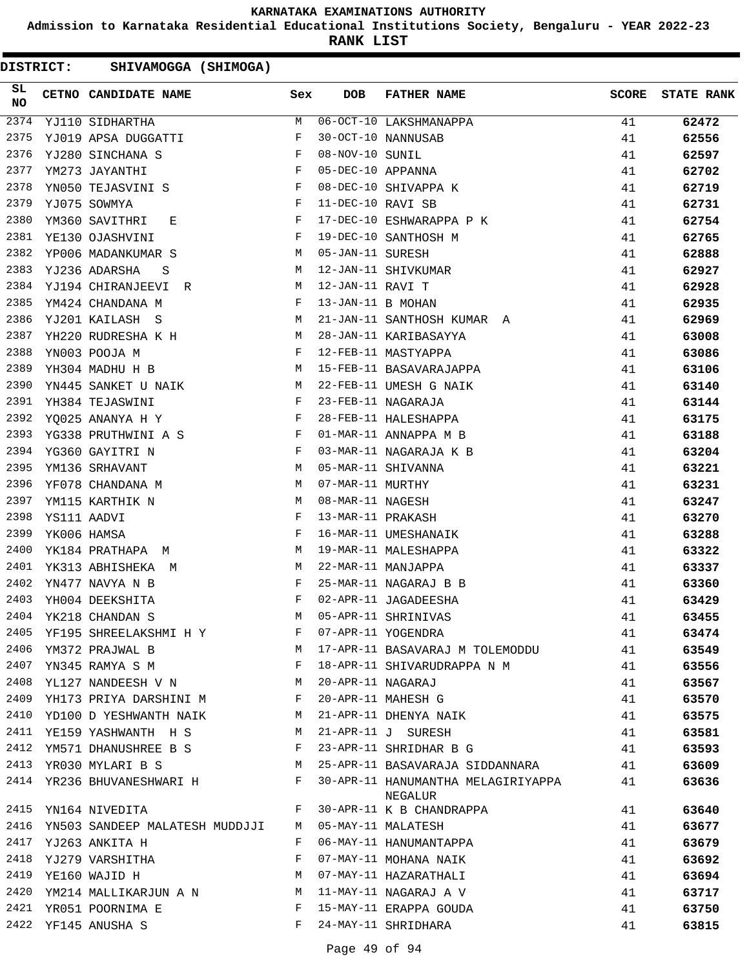**Admission to Karnataka Residential Educational Institutions Society, Bengaluru - YEAR 2022-23**

**RANK LIST**

| <b>DISTRICT:</b> |             | SHIVAMOGGA (SHIMOGA)           |                                                               |     |                    |                                    |              |                   |
|------------------|-------------|--------------------------------|---------------------------------------------------------------|-----|--------------------|------------------------------------|--------------|-------------------|
| SL<br><b>NO</b>  |             | CETNO CANDIDATE NAME           |                                                               | Sex | <b>DOB</b>         | <b>FATHER NAME</b>                 | <b>SCORE</b> | <b>STATE RANK</b> |
| 2374             |             | YJ110 SIDHARTHA                |                                                               | M   |                    | 06-OCT-10 LAKSHMANAPPA             | 41           | 62472             |
| 2375             |             | YJ019 APSA DUGGATTI            |                                                               | F   |                    | 30-OCT-10 NANNUSAB                 | 41           | 62556             |
| 2376             |             | YJ280 SINCHANA S               |                                                               | F   | 08-NOV-10 SUNIL    |                                    | 41           | 62597             |
| 2377             |             | YM273 JAYANTHI                 |                                                               | F   | 05-DEC-10 APPANNA  |                                    | 41           | 62702             |
| 2378             |             | YN050 TEJASVINI S              |                                                               | F   |                    | 08-DEC-10 SHIVAPPA K               | 41           | 62719             |
| 2379             |             | YJ075 SOWMYA                   |                                                               | F   | 11-DEC-10 RAVI SB  |                                    | 41           | 62731             |
| 2380             |             | YM360 SAVITHRI<br>Е            |                                                               | F   |                    | 17-DEC-10 ESHWARAPPA P K           | 41           | 62754             |
| 2381             |             | YE130 OJASHVINI                |                                                               | F   |                    | 19-DEC-10 SANTHOSH M               | 41           | 62765             |
| 2382             |             | YP006 MADANKUMAR S             |                                                               | М   | 05-JAN-11 SURESH   |                                    | 41           | 62888             |
| 2383             |             | YJ236 ADARSHA<br>S             |                                                               | M   |                    | 12-JAN-11 SHIVKUMAR                | 41           | 62927             |
| 2384             |             | YJ194 CHIRANJEEVI<br>R         |                                                               | M   | 12-JAN-11 RAVI T   |                                    | 41           | 62928             |
| 2385             |             | YM424 CHANDANA M               |                                                               | F   | 13-JAN-11 B MOHAN  |                                    | 41           | 62935             |
| 2386             |             | YJ201 KAILASH S                |                                                               | M   |                    | 21-JAN-11 SANTHOSH KUMAR A         | 41           | 62969             |
| 2387             |             | YH220 RUDRESHA K H             |                                                               | M   |                    | 28-JAN-11 KARIBASAYYA              | 41           | 63008             |
| 2388             |             | YN003 POOJA M                  |                                                               | F   |                    | 12-FEB-11 MASTYAPPA                | 41           | 63086             |
| 2389             |             | YH304 MADHU H B                |                                                               | М   |                    | 15-FEB-11 BASAVARAJAPPA            | 41           | 63106             |
| 2390             |             | YN445 SANKET U NAIK            |                                                               | М   |                    | 22-FEB-11 UMESH G NAIK             | 41           | 63140             |
| 2391             |             | YH384 TEJASWINI                |                                                               | F   |                    | 23-FEB-11 NAGARAJA                 | 41           | 63144             |
| 2392             |             | YQ025 ANANYA H Y               |                                                               | F   |                    | 28-FEB-11 HALESHAPPA               | 41           | 63175             |
| 2393             |             | YG338 PRUTHWINI A S            |                                                               | F   |                    | 01-MAR-11 ANNAPPA M B              | 41           | 63188             |
| 2394             |             | YG360 GAYITRI N                |                                                               | F   |                    | 03-MAR-11 NAGARAJA K B             | 41           | 63204             |
| 2395             |             | YM136 SRHAVANT                 |                                                               | M   | 05-MAR-11 SHIVANNA |                                    | 41           | 63221             |
| 2396             |             | YF078 CHANDANA M               |                                                               | М   | 07-MAR-11 MURTHY   |                                    | 41           | 63231             |
| 2397             |             | YM115 KARTHIK N                |                                                               | M   | 08-MAR-11 NAGESH   |                                    | 41           | 63247             |
| 2398             | YS111 AADVI |                                |                                                               | F   | 13-MAR-11 PRAKASH  |                                    | 41           | 63270             |
| 2399             | YK006 HAMSA |                                |                                                               | F   |                    | 16-MAR-11 UMESHANAIK               | 41           | 63288             |
| 2400             |             | YK184 PRATHAPA M               |                                                               | M   |                    | 19-MAR-11 MALESHAPPA               | 41           | 63322             |
| 2401             |             | YK313 ABHISHEKA M              |                                                               | M   | 22-MAR-11 MANJAPPA |                                    | 41           | 63337             |
| 2402             |             | YN477 NAVYA N B                |                                                               | F   |                    | 25-MAR-11 NAGARAJ B B              | 41           | 63360             |
| 2403             |             | YH004 DEEKSHITA                |                                                               | F   |                    | 02-APR-11 JAGADEESHA               | 41           | 63429             |
|                  |             | 2404 YK218 CHANDAN S           |                                                               | M   |                    | 05-APR-11 SHRINIVAS                | 41           | 63455             |
| 2405             |             | YF195 SHREELAKSHMI H Y         |                                                               |     |                    | F 07-APR-11 YOGENDRA               | 41           | 63474             |
| 2406             |             | YM372 PRAJWAL B                | M <sub>1</sub>                                                |     |                    | 17-APR-11 BASAVARAJ M TOLEMODDU    | 41           | 63549             |
| 2407             |             | YN345 RAMYA S M                | $\mathbf{F}$ . The contract of the contract of $\mathbf{F}$ . |     |                    | 18-APR-11 SHIVARUDRAPPA N M        | 41           | 63556             |
|                  |             | 2408 YL127 NANDEESH V N        |                                                               | M   | 20-APR-11 NAGARAJ  |                                    | 41           | 63567             |
| 2409             |             | YH173 PRIYA DARSHINI M         |                                                               | F   |                    | 20-APR-11 MAHESH G                 | 41           | 63570             |
| 2410             |             | YD100 D YESHWANTH NAIK         |                                                               | M   |                    | 21-APR-11 DHENYA NAIK              | 41           | 63575             |
| 2411             |             | YE159 YASHWANTH H S            |                                                               | M   |                    | 21-APR-11 J SURESH                 | 41           | 63581             |
|                  |             | 2412 YM571 DHANUSHREE B S      |                                                               | F   |                    | 23-APR-11 SHRIDHAR B G             | 41           | 63593             |
|                  |             | 2413 YR030 MYLARI B S          |                                                               | M   |                    | 25-APR-11 BASAVARAJA SIDDANNARA    | 41           | 63609             |
|                  |             | 2414 YR236 BHUVANESHWARI H     |                                                               | F   |                    | 30-APR-11 HANUMANTHA MELAGIRIYAPPA | 41           | 63636             |
|                  |             |                                |                                                               |     |                    | NEGALUR                            |              |                   |
| 2415             |             | YN164 NIVEDITA                 |                                                               | F   |                    | 30-APR-11 K B CHANDRAPPA           | 41           | 63640             |
| 2416             |             | YN503 SANDEEP MALATESH MUDDJJI |                                                               | M   |                    | 05-MAY-11 MALATESH                 | 41           | 63677             |
| 2417             |             | YJ263 ANKITA H                 |                                                               | F   |                    | 06-MAY-11 HANUMANTAPPA             | 41           | 63679             |
|                  |             | 2418 YJ279 VARSHITHA           |                                                               | F   |                    | 07-MAY-11 MOHANA NAIK              | 41           | 63692             |
| 2419             |             | YE160 WAJID H                  |                                                               | M   |                    | 07-MAY-11 HAZARATHALI              | 41           | 63694             |
| 2420             |             | YM214 MALLIKARJUN A N          |                                                               | M   |                    | 11-MAY-11 NAGARAJ A V              | 41           | 63717             |
| 2421             |             | YR051 POORNIMA E               |                                                               | F   |                    | 15-MAY-11 ERAPPA GOUDA             | 41           | 63750             |
|                  |             | 2422 YF145 ANUSHA S            |                                                               | F   |                    | 24-MAY-11 SHRIDHARA                | 41           | 63815             |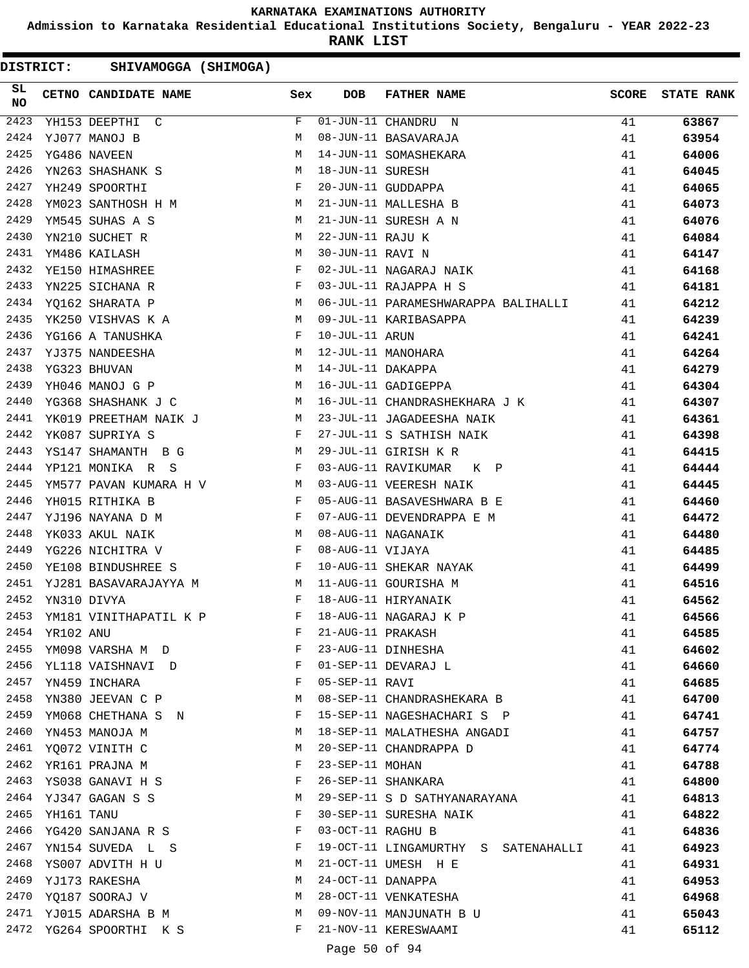**Admission to Karnataka Residential Educational Institutions Society, Bengaluru - YEAR 2022-23**

**RANK LIST**

| SL<br><b>NO</b> |            | CETNO CANDIDATE NAME Sex                                                                                                                                                                                                                                 |              | <b>DOB</b>        | <b>FATHER NAME</b>                                                               | <b>SCORE</b> | <b>STATE RANK</b> |
|-----------------|------------|----------------------------------------------------------------------------------------------------------------------------------------------------------------------------------------------------------------------------------------------------------|--------------|-------------------|----------------------------------------------------------------------------------|--------------|-------------------|
| 2423            |            | YH153 DEEPTHI C                                                                                                                                                                                                                                          | F            |                   | $\overline{01}$ -JUN-11 CHANDRU N                                                | 41           | 63867             |
| 2424            |            | YJ077 MANOJ B                                                                                                                                                                                                                                            | М            |                   | 08-JUN-11 BASAVARAJA                                                             | 41           | 63954             |
| 2425            |            | YG486 NAVEEN                                                                                                                                                                                                                                             | M            |                   | 14-JUN-11 SOMASHEKARA                                                            | 41           | 64006             |
| 2426            |            | YN263 SHASHANK S<br>M <sub>N</sub>                                                                                                                                                                                                                       |              | 18-JUN-11 SURESH  |                                                                                  | 41           | 64045             |
| 2427            |            | $\mathbf{F}$ and the set of the set of the set of the $\mathbf{F}$<br>YH249 SPOORTHI                                                                                                                                                                     |              |                   | 20-JUN-11 GUDDAPPA                                                               | 41           | 64065             |
| 2428            |            | YM023 SANTHOSH H M                                                                                                                                                                                                                                       |              |                   | 21-JUN-11 MALLESHA B                                                             | 41           | 64073             |
| 2429            |            | YM545 SUHAS A S                                                                                                                                                                                                                                          | M            |                   | 21-JUN-11 SURESH A N                                                             | 41           | 64076             |
| 2430            |            | YN210 SUCHET R<br>M <sub>1</sub>                                                                                                                                                                                                                         |              | 22-JUN-11 RAJU K  |                                                                                  | 41           | 64084             |
| 2431            |            | YM486 KAILASH<br>$\mathbb{M}$                                                                                                                                                                                                                            |              | 30-JUN-11 RAVI N  |                                                                                  | 41           | 64147             |
| 2432            |            | $\mathbf{F}$<br>YE150 HIMASHREE                                                                                                                                                                                                                          |              |                   | 02-JUL-11 NAGARAJ NAIK                                                           | 41           | 64168             |
| 2433            |            | YN225 SICHANA R                                                                                                                                                                                                                                          | $\mathbb{F}$ |                   | 03-JUL-11 RAJAPPA H S                                                            | 41           | 64181             |
| 2434            |            | M <sub>1</sub><br>YQ162 SHARATA P                                                                                                                                                                                                                        |              |                   | 06-JUL-11 PARAMESHWARAPPA BALIHALLI                                              | 41           | 64212             |
| 2435            |            | <b>M</b><br>YK250 VISHVAS K A                                                                                                                                                                                                                            |              |                   | 09-JUL-11 KARIBASAPPA                                                            | 41           | 64239             |
| 2436            |            | <b>Experimental Service Service</b><br>YG166 A TANUSHKA                                                                                                                                                                                                  |              |                   | -- contra ARUN<br>12-JUL-11 MANOHARA<br>14-JUL-11 DAKAPPA<br>16-JUL-11 GADIGERRA | 41           | 64241             |
| 2437            |            | M<br>YJ375 NANDEESHA                                                                                                                                                                                                                                     |              |                   |                                                                                  | 41           | 64264             |
| 2438            |            | YG323 BHUVAN                                                                                                                                                                                                                                             | M            |                   |                                                                                  | 41           | 64279             |
| 2439            |            | YH046 MANOJ G P<br><b>M</b>                                                                                                                                                                                                                              |              |                   | 16-JUL-11 GADIGEPPA                                                              | 41           | 64304             |
| 2440            |            | <b>M</b><br>YG368 SHASHANK J C                                                                                                                                                                                                                           |              |                   | 16-JUL-11 CHANDRASHEKHARA J K                                                    | 41           | 64307             |
| 2441            |            | YK019 PREETHAM NAIK J M                                                                                                                                                                                                                                  |              |                   | 23-JUL-11 JAGADEESHA NAIK                                                        | 41           | 64361             |
| 2442            |            | $\mathbf{F}$ . The $\mathbf{F}$<br>YK087 SUPRIYA S                                                                                                                                                                                                       |              |                   | 27-JUL-11 S SATHISH NAIK                                                         | 41           | 64398             |
| 2443            |            | M <sub>1</sub><br>YS147 SHAMANTH B G                                                                                                                                                                                                                     |              |                   | 29-JUL-11 GIRISH K R                                                             | 41           | 64415             |
| 2444            |            | $\mathbf{F}$ and $\mathbf{F}$ and $\mathbf{F}$<br>YP121 MONIKA R S                                                                                                                                                                                       |              |                   | 03-AUG-11 RAVIKUMAR K P                                                          | 41           | 64444             |
| 2445            |            | YM577 PAVAN KUMARA H V M                                                                                                                                                                                                                                 |              |                   | 03-AUG-11 VEERESH NAIK                                                           | 41           | 64445             |
| 2446            |            | $\mathbb{F}^{\mathbb{Z}}$ . The state of the state $\mathbb{F}^{\mathbb{Z}}$<br>YH015 RITHIKA B                                                                                                                                                          |              |                   | 05-AUG-11 BASAVESHWARA B E                                                       | 41           | 64460             |
| 2447            |            | YJ196 NAYANA D M<br>and the contract of the contract of the Property of the Property of the Property of the Property of the Property of the Property of the Property of the Property of the Property of the Property of the Property of the Proper       |              |                   | 07-AUG-11 DEVENDRAPPA E M                                                        | 41           | 64472             |
| 2448            |            | <b>M</b><br>YK033 AKUL NAIK                                                                                                                                                                                                                              |              |                   | 08-AUG-11 NAGANAIK                                                               | 41           | 64480             |
| 2449            |            | YG226 NICHITRA V                                                                                                                                                                                                                                         | $\mathbf{F}$ | 08-AUG-11 VIJAYA  |                                                                                  | 41           | 64485             |
| 2450            |            | $\mathbb F$ . The set of the set of the set of the set of the set of the set of the set of the set of the set of the set of the set of the set of the set of the set of the set of the set of the set of the set of the set of the<br>YE108 BINDUSHREE S |              |                   | 10-AUG-11 SHEKAR NAYAK                                                           | 41           | 64499             |
| 2451            |            | YJ281 BASAVARAJAYYA M<br>M                                                                                                                                                                                                                               |              |                   | 11-AUG-11 GOURISHA M                                                             | 41           | 64516             |
| 2452            |            | <b>Example 20</b><br>YN310 DIVYA                                                                                                                                                                                                                         |              |                   | 18-AUG-11 HIRYANAIK                                                              | 41           | 64562             |
| 2453            |            | $\mathbf{F}$<br>YM181 VINITHAPATIL K P                                                                                                                                                                                                                   |              |                   | 18-AUG-11 NAGARAJ K P                                                            | 41           | 64566             |
| 2454            | YR102 ANU  |                                                                                                                                                                                                                                                          | F            | 21-AUG-11 PRAKASH |                                                                                  | 41           | 64585             |
| 2455            |            | YM098 VARSHA M D                                                                                                                                                                                                                                         | F            |                   | 23-AUG-11 DINHESHA                                                               | 41           | 64602             |
| 2456            |            | YL118 VAISHNAVI D                                                                                                                                                                                                                                        | $\mathbf{F}$ |                   | 01-SEP-11 DEVARAJ L                                                              | 41           | 64660             |
|                 |            | 2457 YN459 INCHARA                                                                                                                                                                                                                                       | F            | 05-SEP-11 RAVI    |                                                                                  | 41           | 64685             |
| 2458            |            | YN380 JEEVAN C P                                                                                                                                                                                                                                         | М            |                   | 08-SEP-11 CHANDRASHEKARA B                                                       | 41           | 64700             |
| 2459            |            | YM068 CHETHANA S N                                                                                                                                                                                                                                       | F            |                   | 15-SEP-11 NAGESHACHARI S P                                                       | 41           | 64741             |
| 2460            |            | YN453 MANOJA M                                                                                                                                                                                                                                           | М            |                   | 18-SEP-11 MALATHESHA ANGADI                                                      | 41           | 64757             |
|                 |            | 2461 YQ072 VINITH C                                                                                                                                                                                                                                      | М            |                   | 20-SEP-11 CHANDRAPPA D                                                           | 41           | 64774             |
| 2462            |            | YR161 PRAJNA M                                                                                                                                                                                                                                           | F            | 23-SEP-11 MOHAN   |                                                                                  | 41           | 64788             |
| 2463            |            | YS038 GANAVI H S                                                                                                                                                                                                                                         | F            |                   | 26-SEP-11 SHANKARA                                                               | 41           | 64800             |
|                 |            | 2464 YJ347 GAGAN S S                                                                                                                                                                                                                                     | M            |                   | 29-SEP-11 S D SATHYANARAYANA                                                     | 41           | 64813             |
| 2465            | YH161 TANU |                                                                                                                                                                                                                                                          | F            |                   | 30-SEP-11 SURESHA NAIK                                                           | 41           | 64822             |
| 2466            |            | YG420 SANJANA R S                                                                                                                                                                                                                                        | F            | 03-OCT-11 RAGHU B |                                                                                  | 41           | 64836             |
| 2467            |            | YN154 SUVEDA L S                                                                                                                                                                                                                                         | F            |                   | 19-OCT-11 LINGAMURTHY S SATENAHALLI                                              | 41           | 64923             |
| 2468            |            | YS007 ADVITH H U                                                                                                                                                                                                                                         | М            |                   | 21-OCT-11 UMESH H E                                                              | 41           | 64931             |
|                 |            | 2469 YJ173 RAKESHA                                                                                                                                                                                                                                       | М            | 24-OCT-11 DANAPPA |                                                                                  | 41           | 64953             |
| 2470            |            | YQ187 SOORAJ V                                                                                                                                                                                                                                           | M            |                   | 28-OCT-11 VENKATESHA                                                             | 41           | 64968             |
|                 |            | 2471 YJ015 ADARSHA B M                                                                                                                                                                                                                                   | M            |                   | 09-NOV-11 MANJUNATH B U                                                          | 41           | 65043             |
|                 |            | 2472 YG264 SPOORTHI K S                                                                                                                                                                                                                                  | F            |                   | 21-NOV-11 KERESWAAMI                                                             | 41           | 65112             |
|                 |            |                                                                                                                                                                                                                                                          |              |                   |                                                                                  |              |                   |
|                 |            |                                                                                                                                                                                                                                                          |              | Page 50 of 94     |                                                                                  |              |                   |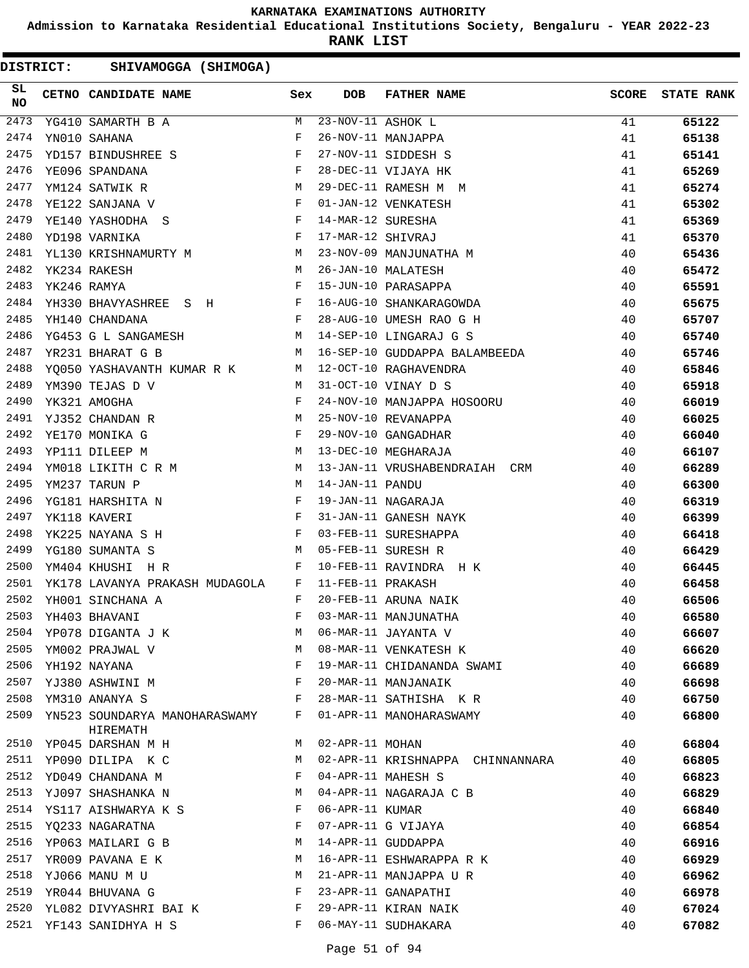**Admission to Karnataka Residential Educational Institutions Society, Bengaluru - YEAR 2022-23**

**RANK LIST**

| SL<br><b>NO</b> |             | CETNO CANDIDATE NAME Sex                                                                                                                                                                                                                             |              | <b>DOB</b>        | <b>FATHER NAME</b>               | <b>SCORE</b> | <b>STATE RANK</b> |
|-----------------|-------------|------------------------------------------------------------------------------------------------------------------------------------------------------------------------------------------------------------------------------------------------------|--------------|-------------------|----------------------------------|--------------|-------------------|
| 2473            |             | YG410 SAMARTH B A                                                                                                                                                                                                                                    | M            | 23-NOV-11 ASHOK L |                                  | 41           | 65122             |
| 2474            |             | YN010 SAHANA                                                                                                                                                                                                                                         | F            |                   | 26-NOV-11 MANJAPPA               | 41           | 65138             |
| 2475            |             | YD157 BINDUSHREE S                                                                                                                                                                                                                                   | $\mathbb{F}$ |                   | 27-NOV-11 SIDDESH S              | 41           | 65141             |
| 2476            |             | $\mathbf{F}$ and $\mathbf{F}$<br>YE096 SPANDANA                                                                                                                                                                                                      |              |                   | 28-DEC-11 VIJAYA HK              | 41           | 65269             |
| 2477            |             | <b>M</b><br>YM124 SATWIK R                                                                                                                                                                                                                           |              |                   | 29-DEC-11 RAMESH M M             | 41           | 65274             |
| 2478            |             | $\mathbf{F}$ and the set of the set of the set of the set of the set of the set of the set of the set of the set of the set of the set of the set of the set of the set of the set of the set of the set of the set of the set of<br>YE122 SANJANA V |              |                   | 01-JAN-12 VENKATESH              | 41           | 65302             |
| 2479            |             | YE140 YASHODHA S                                                                                                                                                                                                                                     | $\mathbf{F}$ | 14-MAR-12 SURESHA |                                  | 41           | 65369             |
| 2480            |             | YD198 VARNIKA                                                                                                                                                                                                                                        | $$\rm \,F$$  | 17-MAR-12 SHIVRAJ |                                  | 41           | 65370             |
| 2481            |             | YL130 KRISHNAMURTY M M                                                                                                                                                                                                                               |              |                   | 23-NOV-09 MANJUNATHA M           | 40           | 65436             |
| 2482            |             | $M_{\rm H}$<br>YK234 RAKESH                                                                                                                                                                                                                          |              |                   | 26-JAN-10 MALATESH               | 40           | 65472             |
| 2483            | YK246 RAMYA |                                                                                                                                                                                                                                                      | $\mathbb{F}$ |                   | 15-JUN-10 PARASAPPA              | 40           | 65591             |
| 2484            |             | YH330 BHAVYASHREE S H                                                                                                                                                                                                                                |              |                   | 16-AUG-10 SHANKARAGOWDA          | 40           | 65675             |
| 2485            |             | YH140 CHANDANA<br>$\mathbf{F}$ and $\mathbf{F}$                                                                                                                                                                                                      |              |                   | 28-AUG-10 UMESH RAO G H          | 40           | 65707             |
| 2486            |             | M <sub>1</sub><br>YG453 G L SANGAMESH                                                                                                                                                                                                                |              |                   | 14-SEP-10 LINGARAJ G S           | 40           | 65740             |
| 2487            |             | YR231 BHARAT G B                                                                                                                                                                                                                                     | M            |                   | 16-SEP-10 GUDDAPPA BALAMBEEDA    | 40           | 65746             |
| 2488            |             | YQ050 YASHAVANTH KUMAR R K M                                                                                                                                                                                                                         |              |                   | 12-OCT-10 RAGHAVENDRA            | 40           | 65846             |
| 2489            |             | YM390 TEJAS D V<br>M <sub>1</sub>                                                                                                                                                                                                                    |              |                   | 31-OCT-10 VINAY D S              | 40           | 65918             |
| 2490            |             | $\mathbf{F}$ and $\mathbf{F}$<br>YK321 AMOGHA                                                                                                                                                                                                        |              |                   | 24-NOV-10 MANJAPPA HOSOORU       | 40           | 66019             |
| 2491            |             | $\begin{aligned} \mathbf{M} \\ \mathbf{F} \end{aligned}$<br>YJ352 CHANDAN R                                                                                                                                                                          |              |                   | 25-NOV-10 REVANAPPA              | 40           | 66025             |
| 2492            |             | YE170 MONIKA G                                                                                                                                                                                                                                       |              |                   | 29-NOV-10 GANGADHAR              | 40           | 66040             |
| 2493            |             | <b>M</b><br>YP111 DILEEP M                                                                                                                                                                                                                           |              |                   | 13-DEC-10 MEGHARAJA              | 40           | 66107             |
| 2494            |             | YM018 LIKITH C R M M                                                                                                                                                                                                                                 |              |                   | 13-JAN-11 VRUSHABENDRAIAH CRM    | 40           | 66289             |
| 2495            |             | YM237 TARUN P                                                                                                                                                                                                                                        | M            | 14-JAN-11 PANDU   |                                  | 40           | 66300             |
| 2496            |             | YG181 HARSHITA N                                                                                                                                                                                                                                     | $_{\rm F}$   |                   | 19-JAN-11 NAGARAJA               | 40           | 66319             |
| 2497            |             | $\mathbf{F}$ and $\mathbf{F}$ and $\mathbf{F}$<br>YK118 KAVERI                                                                                                                                                                                       |              |                   | 31-JAN-11 GANESH NAYK            | 40           | 66399             |
| 2498            |             | $\mathbf{F}$ and the state of the state $\mathbf{F}$<br>YK225 NAYANA S H                                                                                                                                                                             |              |                   | 03-FEB-11 SURESHAPPA             | 40           | 66418             |
| 2499            |             | YG180 SUMANTA S                                                                                                                                                                                                                                      | M            |                   | 05-FEB-11 SURESH R               | 40           | 66429             |
| 2500            |             | YM404 KHUSHI<br>H R                                                                                                                                                                                                                                  | $\mathbf{F}$ |                   | 10-FEB-11 RAVINDRA H K           | 40           | 66445             |
| 2501            |             | YK178 LAVANYA PRAKASH MUDAGOLA                                                                                                                                                                                                                       | $\mathbf{F}$ | 11-FEB-11 PRAKASH |                                  | 40           | 66458             |
| 2502            |             | YH001 SINCHANA A                                                                                                                                                                                                                                     | F            |                   | 20-FEB-11 ARUNA NAIK             | 40           | 66506             |
| 2503            |             | YH403 BHAVANI                                                                                                                                                                                                                                        | F            |                   | 03-MAR-11 MANJUNATHA             | 40           | 66580             |
| 2504            |             | YP078 DIGANTA J K                                                                                                                                                                                                                                    | М            |                   | 06-MAR-11 JAYANTA V              | 40           | 66607             |
| 2505            |             | YM002 PRAJWAL V                                                                                                                                                                                                                                      | М            |                   | 08-MAR-11 VENKATESH K            | 40           | 66620             |
| 2506            |             | YH192 NAYANA                                                                                                                                                                                                                                         | F            |                   | 19-MAR-11 CHIDANANDA SWAMI       | 40           | 66689             |
| 2507            |             | YJ380 ASHWINI M                                                                                                                                                                                                                                      | F            |                   | 20-MAR-11 MANJANAIK              | 40           | 66698             |
| 2508            |             | YM310 ANANYA S                                                                                                                                                                                                                                       | F            |                   | 28-MAR-11 SATHISHA KR            | 40           | 66750             |
| 2509            |             | YN523 SOUNDARYA MANOHARASWAMY                                                                                                                                                                                                                        | F            |                   | 01-APR-11 MANOHARASWAMY          | 40           | 66800             |
|                 |             | HIREMATH                                                                                                                                                                                                                                             |              |                   |                                  |              |                   |
| 2510            |             | YP045 DARSHAN M H                                                                                                                                                                                                                                    | M            | 02-APR-11 MOHAN   |                                  | 40           | 66804             |
| 2511            |             | YP090 DILIPA K C                                                                                                                                                                                                                                     | M            |                   | 02-APR-11 KRISHNAPPA CHINNANNARA | 40           | 66805             |
| 2512            |             | YD049 CHANDANA M                                                                                                                                                                                                                                     | F            |                   | 04-APR-11 MAHESH S               | 40           | 66823             |
| 2513            |             | YJ097 SHASHANKA N                                                                                                                                                                                                                                    | M            |                   | 04-APR-11 NAGARAJA C B           | 40           | 66829             |
| 2514            |             | YS117 AISHWARYA K S                                                                                                                                                                                                                                  | F            | 06-APR-11 KUMAR   |                                  | 40           | 66840             |
| 2515            |             | YQ233 NAGARATNA                                                                                                                                                                                                                                      | F            |                   | 07-APR-11 G VIJAYA               | 40           | 66854             |
| 2516            |             | YP063 MAILARI G B                                                                                                                                                                                                                                    | М            |                   | 14-APR-11 GUDDAPPA               | 40           | 66916             |
| 2517            |             | YR009 PAVANA E K                                                                                                                                                                                                                                     | М            |                   | 16-APR-11 ESHWARAPPA R K         | 40           | 66929             |
| 2518            |             | YJ066 MANU M U                                                                                                                                                                                                                                       | М            |                   | 21-APR-11 MANJAPPA U R           | 40           | 66962             |
| 2519            |             | YR044 BHUVANA G                                                                                                                                                                                                                                      | F            |                   | 23-APR-11 GANAPATHI              | 40           | 66978             |
| 2520            |             | YL082 DIVYASHRI BAI K                                                                                                                                                                                                                                | F            |                   | 29-APR-11 KIRAN NAIK             | 40           | 67024             |
|                 |             | 2521 YF143 SANIDHYA H S                                                                                                                                                                                                                              | F            |                   | 06-MAY-11 SUDHAKARA              | 40           | 67082             |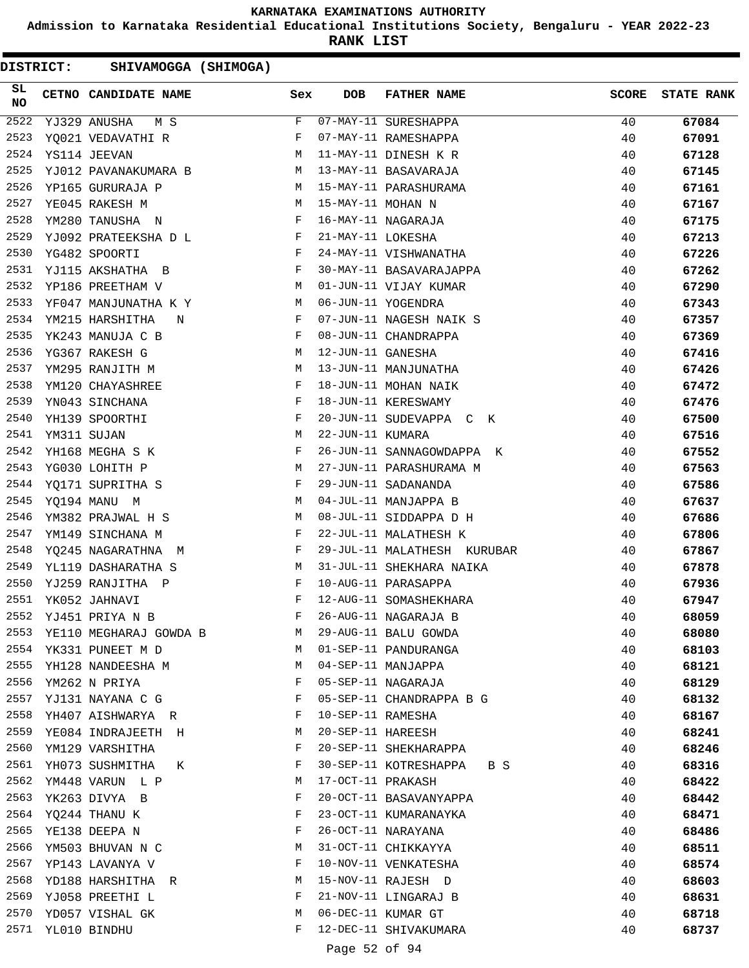**Admission to Karnataka Residential Educational Institutions Society, Bengaluru - YEAR 2022-23**

**RANK LIST**

| <b>DISTRICT:</b> | SHIVAMOGGA (SHIMOGA)   |  |     |                   |                             |              |                   |
|------------------|------------------------|--|-----|-------------------|-----------------------------|--------------|-------------------|
| SL<br><b>NO</b>  | CETNO CANDIDATE NAME   |  | Sex | <b>DOB</b>        | <b>FATHER NAME</b>          | <b>SCORE</b> | <b>STATE RANK</b> |
| 2522             | YJ329 ANUSHA<br>M S    |  | F   |                   | 07-MAY-11 SURESHAPPA        | 40           | 67084             |
| 2523             | YQ021 VEDAVATHI R      |  | F   |                   | 07-MAY-11 RAMESHAPPA        | 40           | 67091             |
| 2524             | YS114 JEEVAN           |  | М   |                   | 11-MAY-11 DINESH K R        | 40           | 67128             |
| 2525             | YJ012 PAVANAKUMARA B   |  | M   |                   | 13-MAY-11 BASAVARAJA        | 40           | 67145             |
| 2526             | YP165 GURURAJA P       |  | M   |                   | 15-MAY-11 PARASHURAMA       | 40           | 67161             |
| 2527             | YE045 RAKESH M         |  | M   | 15-MAY-11 MOHAN N |                             | 40           | 67167             |
| 2528             | YM280 TANUSHA N        |  | F   |                   | 16-MAY-11 NAGARAJA          | 40           | 67175             |
| 2529             | YJ092 PRATEEKSHA D L   |  | F   | 21-MAY-11 LOKESHA |                             | 40           | 67213             |
| 2530             | YG482 SPOORTI          |  | F   |                   | 24-MAY-11 VISHWANATHA       | 40           | 67226             |
| 2531             | YJ115 AKSHATHA B       |  | F   |                   | 30-MAY-11 BASAVARAJAPPA     | 40           | 67262             |
| 2532             | YP186 PREETHAM V       |  | М   |                   | 01-JUN-11 VIJAY KUMAR       | 40           | 67290             |
| 2533             | YF047 MANJUNATHA K Y   |  | M   |                   | 06-JUN-11 YOGENDRA          | 40           | 67343             |
| 2534             | YM215 HARSHITHA<br>N   |  | F   |                   | 07-JUN-11 NAGESH NAIK S     | 40           | 67357             |
| 2535             | YK243 MANUJA C B       |  | F   |                   | 08-JUN-11 CHANDRAPPA        | 40           | 67369             |
| 2536             | YG367 RAKESH G         |  | M   | 12-JUN-11 GANESHA |                             | 40           | 67416             |
| 2537             | YM295 RANJITH M        |  | М   |                   | 13-JUN-11 MANJUNATHA        | 40           | 67426             |
| 2538             | YM120 CHAYASHREE       |  | F   |                   | 18-JUN-11 MOHAN NAIK        | 40           | 67472             |
| 2539             | YN043 SINCHANA         |  | F   |                   | 18-JUN-11 KERESWAMY         | 40           | 67476             |
| 2540             | YH139 SPOORTHI         |  | F   |                   | 20-JUN-11 SUDEVAPPA C K     | 40           | 67500             |
| 2541             | YM311 SUJAN            |  | М   | 22-JUN-11 KUMARA  |                             | 40           | 67516             |
| 2542             | YH168 MEGHA S K        |  | F   |                   | 26-JUN-11 SANNAGOWDAPPA K   | 40           | 67552             |
| 2543             | YG030 LOHITH P         |  | М   |                   | 27-JUN-11 PARASHURAMA M     | 40           | 67563             |
| 2544             | YQ171 SUPRITHA S       |  | F   |                   | 29-JUN-11 SADANANDA         | 40           | 67586             |
| 2545             | YQ194 MANU M           |  | M   |                   | 04-JUL-11 MANJAPPA B        | 40           | 67637             |
| 2546             | YM382 PRAJWAL H S      |  | М   |                   | 08-JUL-11 SIDDAPPA D H      | 40           | 67686             |
| 2547             | YM149 SINCHANA M       |  | F   |                   | 22-JUL-11 MALATHESH K       | 40           | 67806             |
| 2548             | YQ245 NAGARATHNA M     |  | F   |                   | 29-JUL-11 MALATHESH KURUBAR | 40           | 67867             |
| 2549             | YL119 DASHARATHA S     |  | М   |                   | 31-JUL-11 SHEKHARA NAIKA    | 40           | 67878             |
| 2550             | YJ259 RANJITHA P       |  | F   |                   | 10-AUG-11 PARASAPPA         | 40           | 67936             |
| 2551             | YK052 JAHNAVI          |  | F   |                   | 12-AUG-11 SOMASHEKHARA      | 40           | 67947             |
| 2552             | YJ451 PRIYA N B        |  | F   |                   | 26-AUG-11 NAGARAJA B        | 40           | 68059             |
| 2553             | YE110 MEGHARAJ GOWDA B |  | M   |                   | 29-AUG-11 BALU GOWDA        | 40           | 68080             |
| 2554             | YK331 PUNEET M D       |  | M   |                   | 01-SEP-11 PANDURANGA        | 40           | 68103             |
| 2555             | YH128 NANDEESHA M      |  | М   |                   | 04-SEP-11 MANJAPPA          | 40           | 68121             |
| 2556             | YM262 N PRIYA          |  | F   |                   | 05-SEP-11 NAGARAJA          | 40           | 68129             |
| 2557             | YJ131 NAYANA C G       |  | F   |                   | 05-SEP-11 CHANDRAPPA B G    | 40           | 68132             |
| 2558             | YH407 AISHWARYA R      |  | F   | 10-SEP-11 RAMESHA |                             | 40           | 68167             |
| 2559             | YE084 INDRAJEETH H     |  | М   | 20-SEP-11 HAREESH |                             | 40           | 68241             |
| 2560             | YM129 VARSHITHA        |  | F   |                   | 20-SEP-11 SHEKHARAPPA       | 40           | 68246             |
| 2561             | YH073 SUSHMITHA<br>К   |  | F   |                   | 30-SEP-11 KOTRESHAPPA B S   | 40           | 68316             |
| 2562             | YM448 VARUN L P        |  | М   | 17-OCT-11 PRAKASH |                             | 40           | 68422             |
| 2563             | YK263 DIVYA B          |  | F   |                   | 20-OCT-11 BASAVANYAPPA      | 40           | 68442             |
|                  | 2564 YQ244 THANU K     |  | F   |                   | 23-OCT-11 KUMARANAYKA       | 40           | 68471             |
| 2565             | YE138 DEEPA N          |  | F   |                   | 26-OCT-11 NARAYANA          | 40           | 68486             |
| 2566             | YM503 BHUVAN N C       |  | М   |                   | 31-OCT-11 CHIKKAYYA         | 40           | 68511             |
| 2567             | YP143 LAVANYA V        |  | F   |                   | 10-NOV-11 VENKATESHA        | 40           | 68574             |
| 2568             | YD188 HARSHITHA R      |  | М   |                   | 15-NOV-11 RAJESH D          | 40           | 68603             |
| 2569             | YJ058 PREETHI L        |  | F   |                   | 21-NOV-11 LINGARAJ B        | 40           | 68631             |
| 2570             | YD057 VISHAL GK        |  | М   |                   | 06-DEC-11 KUMAR GT          | 40           | 68718             |
| 2571             | YL010 BINDHU           |  | F   |                   | 12-DEC-11 SHIVAKUMARA       | 40           | 68737             |
|                  |                        |  |     |                   |                             |              |                   |

Page 52 of 94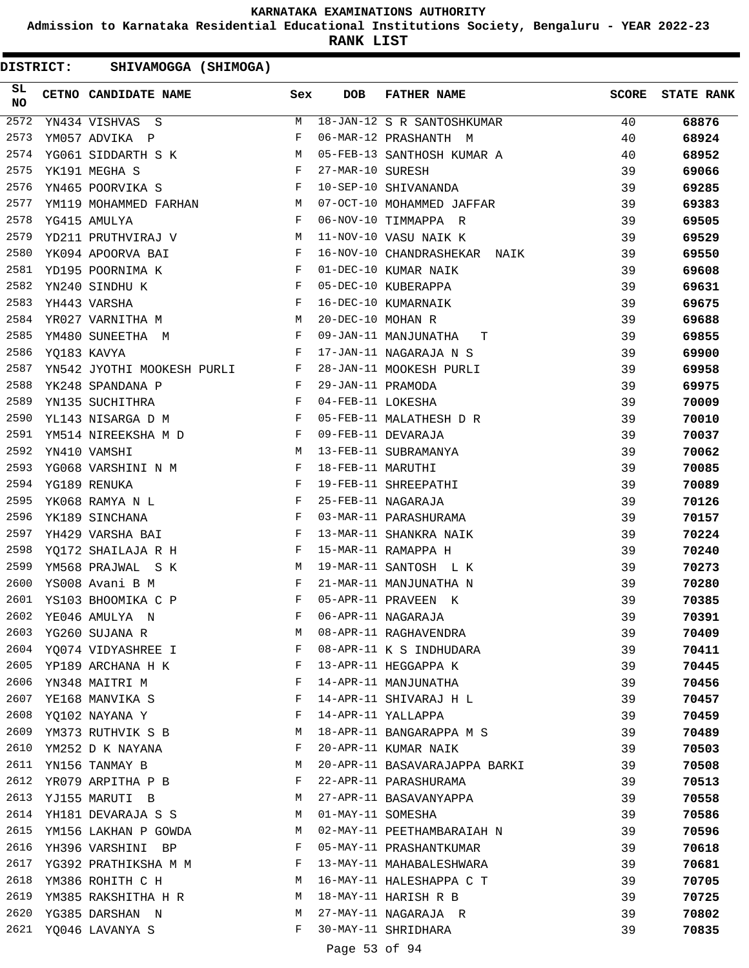**Admission to Karnataka Residential Educational Institutions Society, Bengaluru - YEAR 2022-23**

**RANK LIST**

| SL<br>NO | <b>CETNO CANDIDATE NAME</b>                                                                                                                                                                                                                           | Sex                          | <b>DOB</b>        | <b>FATHER NAME</b>            | <b>SCORE</b> | <b>STATE RANK</b> |
|----------|-------------------------------------------------------------------------------------------------------------------------------------------------------------------------------------------------------------------------------------------------------|------------------------------|-------------------|-------------------------------|--------------|-------------------|
| 2572     | YN434 VISHVAS S                                                                                                                                                                                                                                       | M                            |                   | 18-JAN-12 S R SANTOSHKUMAR    | 40           | 68876             |
| 2573     | YM057 ADVIKA P                                                                                                                                                                                                                                        | F                            |                   | 06-MAR-12 PRASHANTH M         | 40           | 68924             |
| 2574     | YG061 SIDDARTH S K                                                                                                                                                                                                                                    | M                            |                   | 05-FEB-13 SANTHOSH KUMAR A    | 40           | 68952             |
| 2575     | YK191 MEGHA S                                                                                                                                                                                                                                         | F                            | 27-MAR-10 SURESH  |                               | 39           | 69066             |
| 2576     | YN465 POORVIKA S                                                                                                                                                                                                                                      | $\mathbf{F}$                 |                   | 10-SEP-10 SHIVANANDA          | 39           | 69285             |
| 2577     | YM119 MOHAMMED FARHAN M                                                                                                                                                                                                                               |                              |                   | 07-OCT-10 MOHAMMED JAFFAR     | 39           | 69383             |
| 2578     | $\mathbf{F}$ and the set of $\mathbf{F}$ .<br>YG415 AMULYA                                                                                                                                                                                            |                              |                   | 06-NOV-10 TIMMAPPA R          | 39           | 69505             |
| 2579     | YD211 PRUTHVIRAJ V M                                                                                                                                                                                                                                  |                              |                   | 11-NOV-10 VASU NAIK K         | 39           | 69529             |
| 2580     | YK094 APOORVA BAI                                                                                                                                                                                                                                     | $\mathbf{F}$                 |                   | 16-NOV-10 CHANDRASHEKAR NAIK  | 39           | 69550             |
| 2581     | $\mathbf{F} = \mathbf{F} \times \mathbf{F}$<br>YD195 POORNIMA K                                                                                                                                                                                       |                              |                   | 01-DEC-10 KUMAR NAIK          | 39           | 69608             |
| 2582     | YN240 SINDHU K                                                                                                                                                                                                                                        | F                            |                   | 05-DEC-10 KUBERAPPA           | 39           | 69631             |
| 2583     | YH443 VARSHA                                                                                                                                                                                                                                          | F                            |                   | 16-DEC-10 KUMARNAIK           | 39           | 69675             |
| 2584     | M<br>YR027 VARNITHA M                                                                                                                                                                                                                                 |                              | 20-DEC-10 MOHAN R |                               | 39           | 69688             |
| 2585     | $\mathbf{F}$ . The set of the set of the set of the set of the set of the set of the set of the set of the set of the set of the set of the set of the set of the set of the set of the set of the set of the set of the set of t<br>YM480 SUNEETHA M |                              |                   | 09-JAN-11 MANJUNATHA<br>T.    | 39           | 69855             |
| 2586     | $\mathbf{F}$ and the set of $\mathbf{F}$<br>YQ183 KAVYA                                                                                                                                                                                               |                              |                   | 17-JAN-11 NAGARAJA N S        | 39           | 69900             |
| 2587     | YN542 JYOTHI MOOKESH PURLI F                                                                                                                                                                                                                          |                              |                   | 28-JAN-11 MOOKESH PURLI       | 39           | 69958             |
| 2588     | YK248 SPANDANA P                                                                                                                                                                                                                                      | $\mathbf{F}$                 | 29-JAN-11 PRAMODA |                               | 39           | 69975             |
| 2589     | YN135 SUCHITHRA                                                                                                                                                                                                                                       | $\mathbb F$ . If $\mathbb F$ | 04-FEB-11 LOKESHA |                               | 39           | 70009             |
| 2590     | $\mathbf{F}$ and the contract of $\mathbf{F}$<br>YL143 NISARGA D M                                                                                                                                                                                    |                              |                   | 05-FEB-11 MALATHESH D R       | 39           | 70010             |
| 2591     | YM514 NIREEKSHA M D F                                                                                                                                                                                                                                 |                              |                   | 09-FEB-11 DEVARAJA            | 39           | 70037             |
| 2592     | M<br>YN410 VAMSHI                                                                                                                                                                                                                                     |                              |                   | 13-FEB-11 SUBRAMANYA          | 39           | 70062             |
| 2593     | YG068 VARSHINI N M                                                                                                                                                                                                                                    | F                            | 18-FEB-11 MARUTHI |                               | 39           | 70085             |
| 2594     | $\mathbb{F}^{\mathbb{Z}}$ . The state $\mathbb{F}^{\mathbb{Z}}$<br>YG189 RENUKA                                                                                                                                                                       |                              |                   | 19-FEB-11 SHREEPATHI          | 39           | 70089             |
| 2595     | $\mathbf{F}^{\mathbf{r}}$<br>YK068 RAMYA N L                                                                                                                                                                                                          |                              |                   | 25-FEB-11 NAGARAJA            | 39           | 70126             |
| 2596     | YK189 SINCHANA                                                                                                                                                                                                                                        | $\mathbf{F}$                 |                   | 03-MAR-11 PARASHURAMA         | 39           | 70157             |
| 2597     | YH429 VARSHA BAI                                                                                                                                                                                                                                      | F                            |                   | 13-MAR-11 SHANKRA NAIK        | 39           | 70224             |
| 2598     | YQ172 SHAILAJA R H                                                                                                                                                                                                                                    | F                            |                   | 15-MAR-11 RAMAPPA H           | 39           | 70240             |
| 2599     | YM568 PRAJWAL S K                                                                                                                                                                                                                                     | M                            |                   | 19-MAR-11 SANTOSH L K         | 39           | 70273             |
| 2600     | YS008 Avani B M                                                                                                                                                                                                                                       | F                            |                   | 21-MAR-11 MANJUNATHA N        | 39           | 70280             |
| 2601     | YS103 BHOOMIKA C P                                                                                                                                                                                                                                    | F                            |                   | 05-APR-11 PRAVEEN K           | 39           | 70385             |
| 2602     | YE046 AMULYA N                                                                                                                                                                                                                                        | F                            |                   | 06-APR-11 NAGARAJA            | 39           | 70391             |
| 2603     | YG260 SUJANA R                                                                                                                                                                                                                                        | М                            |                   | 08-APR-11 RAGHAVENDRA         | 39           | 70409             |
|          | 2604 YO074 VIDYASHREE I                                                                                                                                                                                                                               | F                            |                   | 08-APR-11 K S INDHUDARA       | 39           | 70411             |
| 2605     | YP189 ARCHANA H K                                                                                                                                                                                                                                     | F                            |                   | 13-APR-11 HEGGAPPA K          | 39           | 70445             |
| 2606     | YN348 MAITRI M                                                                                                                                                                                                                                        | F                            |                   | 14-APR-11 MANJUNATHA          | 39           | 70456             |
| 2607     | YE168 MANVIKA S                                                                                                                                                                                                                                       | F                            |                   | 14-APR-11 SHIVARAJ H L        | 39           | 70457             |
| 2608     | YQ102 NAYANA Y                                                                                                                                                                                                                                        | F                            |                   | 14-APR-11 YALLAPPA            | 39           | 70459             |
| 2609     | YM373 RUTHVIK S B                                                                                                                                                                                                                                     | М                            |                   | 18-APR-11 BANGARAPPA M S      | 39           | 70489             |
| 2610     | YM252 D K NAYANA                                                                                                                                                                                                                                      | F                            |                   | 20-APR-11 KUMAR NAIK          | 39           | 70503             |
| 2611     | YN156 TANMAY B                                                                                                                                                                                                                                        | М                            |                   | 20-APR-11 BASAVARAJAPPA BARKI | 39           | 70508             |
| 2612     | YR079 ARPITHA P B                                                                                                                                                                                                                                     | F                            |                   | 22-APR-11 PARASHURAMA         | 39           | 70513             |
| 2613     | YJ155 MARUTI B                                                                                                                                                                                                                                        | М                            |                   | 27-APR-11 BASAVANYAPPA        | 39           | 70558             |
| 2614     | YH181 DEVARAJA S S                                                                                                                                                                                                                                    | M                            | 01-MAY-11 SOMESHA |                               | 39           | 70586             |
| 2615     |                                                                                                                                                                                                                                                       | М                            |                   | 02-MAY-11 PEETHAMBARAIAH N    | 39           |                   |
| 2616     | YM156 LAKHAN P GOWDA<br>YH396 VARSHINI BP                                                                                                                                                                                                             | F                            |                   | 05-MAY-11 PRASHANTKUMAR       | 39           | 70596<br>70618    |
| 2617     | YG392 PRATHIKSHA M M                                                                                                                                                                                                                                  | F                            |                   | 13-MAY-11 MAHABALESHWARA      | 39           | 70681             |
| 2618     | YM386 ROHITH C H                                                                                                                                                                                                                                      | М                            |                   | 16-MAY-11 HALESHAPPA C T      | 39           | 70705             |
| 2619     |                                                                                                                                                                                                                                                       | М                            |                   | 18-MAY-11 HARISH R B          | 39           | 70725             |
| 2620     | YM385 RAKSHITHA H R                                                                                                                                                                                                                                   | М                            |                   | 27-MAY-11 NAGARAJA R          | 39           |                   |
| 2621     | YG385 DARSHAN N                                                                                                                                                                                                                                       | F                            |                   |                               |              | 70802             |
|          | YQ046 LAVANYA S                                                                                                                                                                                                                                       |                              |                   | 30-MAY-11 SHRIDHARA           | 39           | 70835             |
|          |                                                                                                                                                                                                                                                       |                              | Page 53 of 94     |                               |              |                   |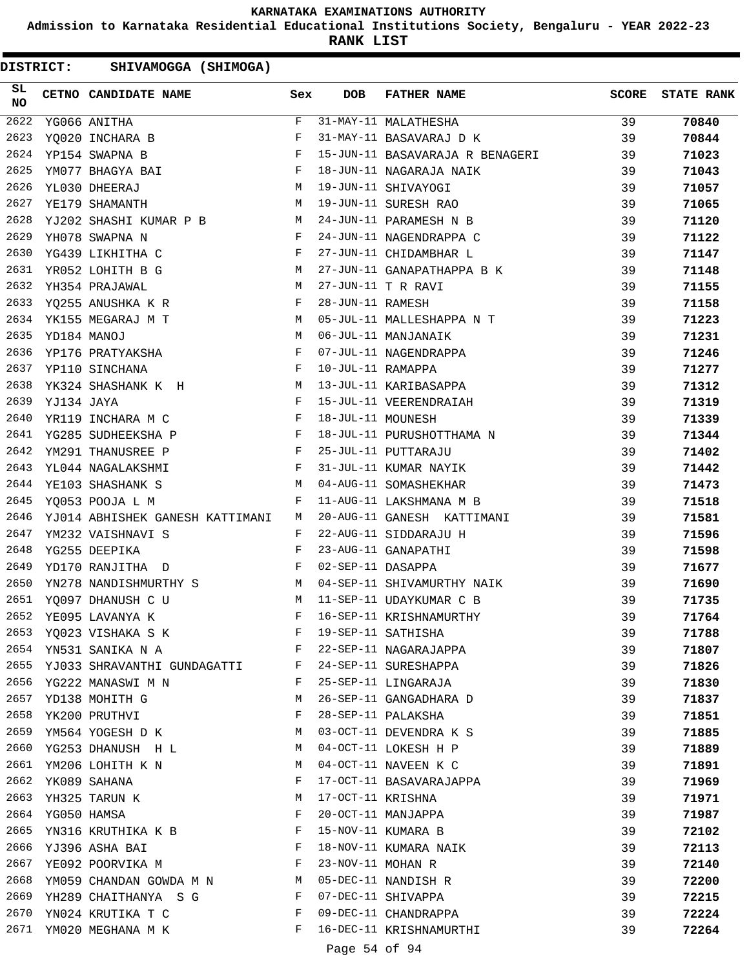**Admission to Karnataka Residential Educational Institutions Society, Bengaluru - YEAR 2022-23**

**RANK LIST**

DISTRICT: SHIVAMOGGA (SHIMOGA)

| SL<br>NO |             | CETNO CANDIDATE NAME                                                                                                                 | Sex          | DOB               | <b>FATHER NAME</b>              | <b>SCORE</b> | <b>STATE RANK</b> |
|----------|-------------|--------------------------------------------------------------------------------------------------------------------------------------|--------------|-------------------|---------------------------------|--------------|-------------------|
| 2622     |             | YG066 ANITHA                                                                                                                         | F            |                   | 31-MAY-11 MALATHESHA            | 39           | 70840             |
| 2623     |             | YQ020 INCHARA B                                                                                                                      | F            |                   | 31-MAY-11 BASAVARAJ D K         | 39           | 70844             |
| 2624     |             | YP154 SWAPNA B                                                                                                                       | F            |                   | 15-JUN-11 BASAVARAJA R BENAGERI | 39           | 71023             |
| 2625     |             | YM077 BHAGYA BAI                                                                                                                     | F            |                   | 18-JUN-11 NAGARAJA NAIK         | 39           | 71043             |
| 2626     |             | M<br>YL030 DHEERAJ                                                                                                                   |              |                   | 19-JUN-11 SHIVAYOGI             | 39           | 71057             |
| 2627     |             | <b>M</b><br>YE179 SHAMANTH                                                                                                           |              |                   | 19-JUN-11 SURESH RAO            | 39           | 71065             |
| 2628     |             | YJ202 SHASHI KUMAR P B M                                                                                                             |              |                   | 24-JUN-11 PARAMESH N B          | 39           | 71120             |
| 2629     |             | YH078 SWAPNA N                                                                                                                       | F            |                   | 24-JUN-11 NAGENDRAPPA C         | 39           | 71122             |
| 2630     |             | YG439 LIKHITHA C                                                                                                                     | F            |                   | 27-JUN-11 CHIDAMBHAR L          | 39           | 71147             |
| 2631     |             | YR052 LOHITH B G<br><b>M</b>                                                                                                         |              |                   | 27-JUN-11 GANAPATHAPPA B K      | 39           | 71148             |
| 2632     |             | YH354 PRAJAWAL                                                                                                                       | M            |                   | 27-JUN-11 T R RAVI              | 39           | 71155             |
| 2633     |             | YQ255 ANUSHKA K R                                                                                                                    | F            | 28-JUN-11 RAMESH  |                                 | 39           | 71158             |
| 2634     |             | YK155 MEGARAJ M T<br>M <sub>N</sub>                                                                                                  |              |                   | 05-JUL-11 MALLESHAPPA N T       | 39           | 71223             |
| 2635     |             | YD184 MANOJ<br><b>Solution M</b>                                                                                                     |              |                   | 06-JUL-11 MANJANAIK             | 39           | 71231             |
| 2636     |             | $\mathbf{F}$ and $\mathbf{F}$<br>YP176 PRATYAKSHA                                                                                    |              |                   | 07-JUL-11 NAGENDRAPPA           | 39           | 71246             |
| 2637     |             | YP110 SINCHANA                                                                                                                       | $\mathbf{F}$ | 10-JUL-11 RAMAPPA |                                 | 39           | 71277             |
| 2638     |             | YK324 SHASHANK K H M                                                                                                                 |              |                   | 13-JUL-11 KARIBASAPPA           | 39           | 71312             |
| 2639     | YJ134 JAYA  |                                                                                                                                      | F            |                   | 15-JUL-11 VEERENDRAIAH          | 39           | 71319             |
| 2640     |             | YR119 INCHARA M C                                                                                                                    | $\mathbf{F}$ | 18-JUL-11 MOUNESH |                                 | 39           | 71339             |
| 2641     |             | YG285 SUDHEEKSHA P                                                                                                                   | $\mathbb{F}$ |                   | 18-JUL-11 PURUSHOTTHAMA N       | 39           | 71344             |
| 2642     |             | YM291 THANUSREE P                                                                                                                    | F            |                   | 25-JUL-11 PUTTARAJU             | 39           | 71402             |
| 2643     |             | the contract of the contract of the Property of the Property of the Property of the Property of the Property of<br>YL044 NAGALAKSHMI |              |                   | 31-JUL-11 KUMAR NAYIK           | 39           | 71442             |
| 2644     |             | $M_{\rm H}$<br>YE103 SHASHANK S                                                                                                      |              |                   | 04-AUG-11 SOMASHEKHAR           | 39           | 71473             |
| 2645     |             | YQ053 POOJA L M                                                                                                                      | $\mathbf{F}$ |                   | 11-AUG-11 LAKSHMANA M B         | 39           | 71518             |
| 2646     |             | YJ014 ABHISHEK GANESH KATTIMANI                                                                                                      | M            |                   | 20-AUG-11 GANESH KATTIMANI      | 39           | 71581             |
| 2647     |             | YM232 VAISHNAVI S                                                                                                                    | F            |                   | 22-AUG-11 SIDDARAJU H           | 39           | 71596             |
| 2648     |             | YG255 DEEPIKA                                                                                                                        | F            |                   | 23-AUG-11 GANAPATHI             | 39           | 71598             |
| 2649     |             | YD170 RANJITHA D                                                                                                                     | $\mathbf{F}$ | 02-SEP-11 DASAPPA |                                 | 39           | 71677             |
| 2650     |             | YN278 NANDISHMURTHY S M                                                                                                              |              |                   | 04-SEP-11 SHIVAMURTHY NAIK      | 39           | 71690             |
| 2651     |             | YQ097 DHANUSH C U<br>M <sub>1</sub>                                                                                                  |              |                   | 11-SEP-11 UDAYKUMAR C B         | 39           | 71735             |
| 2652     |             | YE095 LAVANYA K                                                                                                                      | F            |                   | 16-SEP-11 KRISHNAMURTHY         | 39           | 71764             |
|          |             | 2653 YQ023 VISHAKA S K                                                                                                               | F            |                   | 19-SEP-11 SATHISHA              | 39           | 71788             |
| 2654     |             | YN531 SANIKA N A                                                                                                                     | F            |                   | 22-SEP-11 NAGARAJAPPA           | 39           | 71807             |
|          |             | 2655 YJ033 SHRAVANTHI GUNDAGATTI F                                                                                                   |              |                   | 24-SEP-11 SURESHAPPA            | 39           | 71826             |
| 2656     |             | YG222 MANASWI M N                                                                                                                    | F            |                   | 25-SEP-11 LINGARAJA             | 39           | 71830             |
| 2657     |             | YD138 MOHITH G                                                                                                                       | M            |                   | 26-SEP-11 GANGADHARA D          | 39           | 71837             |
| 2658     |             | YK200 PRUTHVI                                                                                                                        | F            |                   | 28-SEP-11 PALAKSHA              | 39           | 71851             |
| 2659     |             | YM564 YOGESH D K                                                                                                                     | M            |                   | 03-OCT-11 DEVENDRA K S          | 39           | 71885             |
| 2660     |             | YG253 DHANUSH H L                                                                                                                    | M            |                   | 04-OCT-11 LOKESH H P            | 39           | 71889             |
| 2661     |             | YM206 LOHITH K N                                                                                                                     | M            |                   | 04-OCT-11 NAVEEN K C            | 39           | 71891             |
| 2662     |             | YK089 SAHANA                                                                                                                         | F            |                   | 17-OCT-11 BASAVARAJAPPA         | 39           | 71969             |
| 2663     |             | YH325 TARUN K                                                                                                                        | M            | 17-OCT-11 KRISHNA |                                 | 39           | 71971             |
| 2664     | YG050 HAMSA |                                                                                                                                      | F            |                   | 20-OCT-11 MANJAPPA              | 39           | 71987             |
| 2665     |             | YN316 KRUTHIKA K B                                                                                                                   | F            |                   | 15-NOV-11 KUMARA B              | 39           | 72102             |
| 2666     |             | YJ396 ASHA BAI                                                                                                                       | F            |                   | 18-NOV-11 KUMARA NAIK           | 39           | 72113             |
| 2667     |             | YE092 POORVIKA M                                                                                                                     | F            | 23-NOV-11 MOHAN R |                                 | 39           | 72140             |
| 2668     |             | YM059 CHANDAN GOWDA M N M                                                                                                            |              |                   | 05-DEC-11 NANDISH R             | 39           | 72200             |
|          |             | 2669 YH289 CHAITHANYA SG                                                                                                             | F            |                   | 07-DEC-11 SHIVAPPA              | 39           | 72215             |
| 2670     |             | YN024 KRUTIKA T C                                                                                                                    | F            |                   | 09-DEC-11 CHANDRAPPA            | 39           | 72224             |
|          |             | 2671 YM020 MEGHANA M K                                                                                                               | F            |                   | 16-DEC-11 KRISHNAMURTHI         | 39           | 72264             |

Page 54 of 94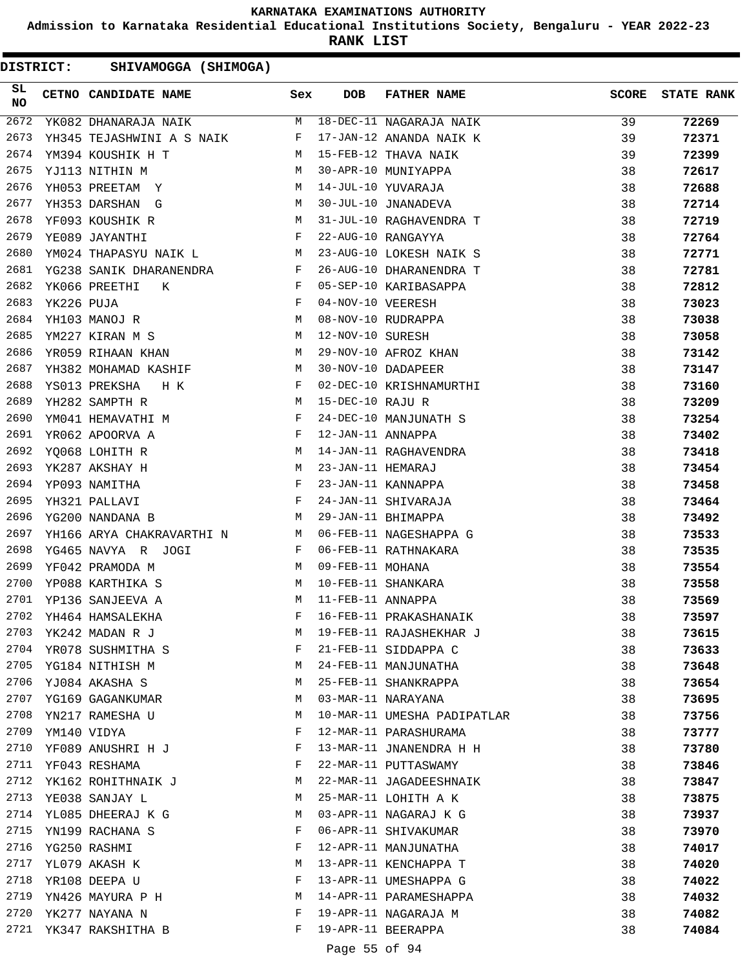**Admission to Karnataka Residential Educational Institutions Society, Bengaluru - YEAR 2022-23**

**RANK LIST**

DISTRICT: SHIVAMOGGA (SHIMOGA)

| SL<br>NO |            | CETNO CANDIDATE NAME                                                                                                                                                                                                                                 | Sex      | <b>DOB</b>        | FATHER NAME                 | <b>SCORE</b> | <b>STATE RANK</b> |
|----------|------------|------------------------------------------------------------------------------------------------------------------------------------------------------------------------------------------------------------------------------------------------------|----------|-------------------|-----------------------------|--------------|-------------------|
| 2672     |            | YK082 DHANARAJA NAIK MARAMA NAIK MARAMA NAIK                                                                                                                                                                                                         |          |                   |                             | 39           | 72269             |
| 2673     |            | YH345 TEJASHWINI A S NAIK F                                                                                                                                                                                                                          |          |                   | 17-JAN-12 ANANDA NAIK K     | 39           | 72371             |
| 2674     |            | <b>M</b><br>YM394 KOUSHIK H T                                                                                                                                                                                                                        |          |                   | 15-FEB-12 THAVA NAIK        | 39           | 72399             |
| 2675     |            | YJ113 NITHIN M                                                                                                                                                                                                                                       | M        |                   | 30-APR-10 MUNIYAPPA         | 38           | 72617             |
| 2676     |            | YH053 PREETAM Y                                                                                                                                                                                                                                      | M        |                   | 14-JUL-10 YUVARAJA          | 38           | 72688             |
| 2677     |            | YH353 DARSHAN G                                                                                                                                                                                                                                      | M        |                   | 30-JUL-10 JNANADEVA         | 38           | 72714             |
| 2678     |            | YF093 KOUSHIK R                                                                                                                                                                                                                                      | M        |                   | 31-JUL-10 RAGHAVENDRA T     | 38           | 72719             |
| 2679     |            | YE089 JAYANTHI                                                                                                                                                                                                                                       | F        |                   | 22-AUG-10 RANGAYYA          | 38           | 72764             |
| 2680     |            | YM024 THAPASYU NAIK L                                                                                                                                                                                                                                |          |                   | 23-AUG-10 LOKESH NAIK S     | 38           | 72771             |
| 2681     |            | YG238 SANIK DHARANENDRA F                                                                                                                                                                                                                            |          |                   | 26-AUG-10 DHARANENDRA T     | 38           | 72781             |
| 2682     |            | $\mathbb{R}^n$ . The set of the set of the set of the set of the set of the set of the set of the set of the set of the set of the set of the set of the set of the set of the set of the set of the set of the set of the set of<br>YK066 PREETHI K |          |                   | 05-SEP-10 KARIBASAPPA       | 38           | 72812             |
| 2683     | YK226 PUJA |                                                                                                                                                                                                                                                      | F        | 04-NOV-10 VEERESH |                             | 38           | 73023             |
| 2684     |            | M <sub>N</sub><br>YH103 MANOJ R                                                                                                                                                                                                                      |          |                   | 08-NOV-10 RUDRAPPA          | 38           | 73038             |
| 2685     |            | YM227 KIRAN M S                                                                                                                                                                                                                                      | M        | 12-NOV-10 SURESH  |                             | 38           | 73058             |
| 2686     |            | YR059 RIHAAN KHAN                                                                                                                                                                                                                                    | M        |                   | 29-NOV-10 AFROZ KHAN        | 38           | 73142             |
| 2687     |            | YH382 MOHAMAD KASHIF                                                                                                                                                                                                                                 | M        |                   | 30-NOV-10 DADAPEER          | 38           | 73147             |
| 2688     |            | YS013 PREKSHA H K                                                                                                                                                                                                                                    | F        |                   | 02-DEC-10 KRISHNAMURTHI     | 38           | 73160             |
| 2689     |            | YH282 SAMPTH R                                                                                                                                                                                                                                       | M        | 15-DEC-10 RAJU R  |                             | 38           | 73209             |
| 2690     |            | YM041 HEMAVATHI M                                                                                                                                                                                                                                    | F        |                   | 24-DEC-10 MANJUNATH S       | 38           | 73254             |
| 2691     |            | YR062 APOORVA A                                                                                                                                                                                                                                      | F        | 12-JAN-11 ANNAPPA |                             | 38           | 73402             |
| 2692     |            | YQ068 LOHITH R                                                                                                                                                                                                                                       | M        |                   | 14-JAN-11 RAGHAVENDRA       | 38           | 73418             |
| 2693     |            | YK287 AKSHAY H                                                                                                                                                                                                                                       | M        | 23-JAN-11 HEMARAJ |                             | 38           | 73454             |
| 2694     |            | $\mathbf{F}$<br>YP093 NAMITHA                                                                                                                                                                                                                        |          |                   | 23-JAN-11 KANNAPPA          | 38           | 73458             |
| 2695     |            | YH321 PALLAVI                                                                                                                                                                                                                                        | F        |                   | 24-JAN-11 SHIVARAJA         | 38           | 73464             |
| 2696     |            | YG200 NANDANA B                                                                                                                                                                                                                                      | <b>M</b> |                   | 29-JAN-11 BHIMAPPA          | 38           | 73492             |
| 2697     |            | YH166 ARYA CHAKRAVARTHI N M                                                                                                                                                                                                                          |          |                   | 06-FEB-11 NAGESHAPPA G      | 38           | 73533             |
| 2698     |            | $\mathbf{F}$ and $\mathbf{F}$ and $\mathbf{F}$<br>YG465 NAVYA R JOGI                                                                                                                                                                                 |          |                   | 06-FEB-11 RATHNAKARA        | 38           | 73535             |
| 2699     |            | M<br>YF042 PRAMODA M                                                                                                                                                                                                                                 |          | 09-FEB-11 MOHANA  |                             | 38           | 73554             |
| 2700     |            | YP088 KARTHIKA S                                                                                                                                                                                                                                     |          |                   | M 10-FEB-11 SHANKARA        | 38           | 73558             |
| 2701     |            | YP136 SANJEEVA A                                                                                                                                                                                                                                     | M        | 11-FEB-11 ANNAPPA |                             | 38           | 73569             |
| 2702     |            | YH464 HAMSALEKHA                                                                                                                                                                                                                                     | F        |                   | 16-FEB-11 PRAKASHANAIK      | 38           | 73597             |
| 2703     |            | YK242 MADAN R J                                                                                                                                                                                                                                      | М        |                   | 19-FEB-11 RAJASHEKHAR J     | 38           | 73615             |
| 2704     |            | YR078 SUSHMITHA S                                                                                                                                                                                                                                    | F        |                   | 21-FEB-11 SIDDAPPA C        | 38           | 73633             |
| 2705     |            | YG184 NITHISH M                                                                                                                                                                                                                                      | M        |                   | 24-FEB-11 MANJUNATHA        | 38           | 73648             |
| 2706     |            | YJ084 AKASHA S                                                                                                                                                                                                                                       | M        |                   | 25-FEB-11 SHANKRAPPA        | 38           | 73654             |
| 2707     |            | YG169 GAGANKUMAR                                                                                                                                                                                                                                     | M        |                   | 03-MAR-11 NARAYANA          | 38           | 73695             |
| 2708     |            | YN217 RAMESHA U                                                                                                                                                                                                                                      | M        |                   | 10-MAR-11 UMESHA PADIPATLAR | 38           | 73756             |
| 2709     |            | YM140 VIDYA                                                                                                                                                                                                                                          | F        |                   | 12-MAR-11 PARASHURAMA       | 38           | 73777             |
| 2710     |            | YF089 ANUSHRI H J                                                                                                                                                                                                                                    | F        |                   | 13-MAR-11 JNANENDRA H H     | 38           | 73780             |
| 2711     |            | YF043 RESHAMA                                                                                                                                                                                                                                        | F        |                   | 22-MAR-11 PUTTASWAMY        | 38           | 73846             |
| 2712     |            | YK162 ROHITHNAIK J                                                                                                                                                                                                                                   | M        |                   | 22-MAR-11 JAGADEESHNAIK     | 38           | 73847             |
| 2713     |            | YE038 SANJAY L                                                                                                                                                                                                                                       | M        |                   | 25-MAR-11 LOHITH A K        | 38           | 73875             |
| 2714     |            | YL085 DHEERAJ K G                                                                                                                                                                                                                                    | M        |                   | 03-APR-11 NAGARAJ K G       | 38           | 73937             |
| 2715     |            | YN199 RACHANA S                                                                                                                                                                                                                                      | F        |                   | 06-APR-11 SHIVAKUMAR        | 38           | 73970             |
| 2716     |            | YG250 RASHMI                                                                                                                                                                                                                                         | F        |                   | 12-APR-11 MANJUNATHA        | 38           | 74017             |
| 2717     |            | YL079 AKASH K                                                                                                                                                                                                                                        | М        |                   | 13-APR-11 KENCHAPPA T       |              |                   |
| 2718     |            |                                                                                                                                                                                                                                                      | F        |                   | 13-APR-11 UMESHAPPA G       | 38<br>38     | 74020             |
| 2719     |            | YR108 DEEPA U                                                                                                                                                                                                                                        | М        |                   | 14-APR-11 PARAMESHAPPA      |              | 74022             |
| 2720     |            | YN426 MAYURA P H                                                                                                                                                                                                                                     | F        |                   |                             | 38           | 74032             |
|          |            | YK277 NAYANA N                                                                                                                                                                                                                                       | F        |                   | 19-APR-11 NAGARAJA M        | 38           | 74082             |
| 2721     |            | YK347 RAKSHITHA B                                                                                                                                                                                                                                    |          |                   | 19-APR-11 BEERAPPA          | 38           | 74084             |

## Page 55 of 94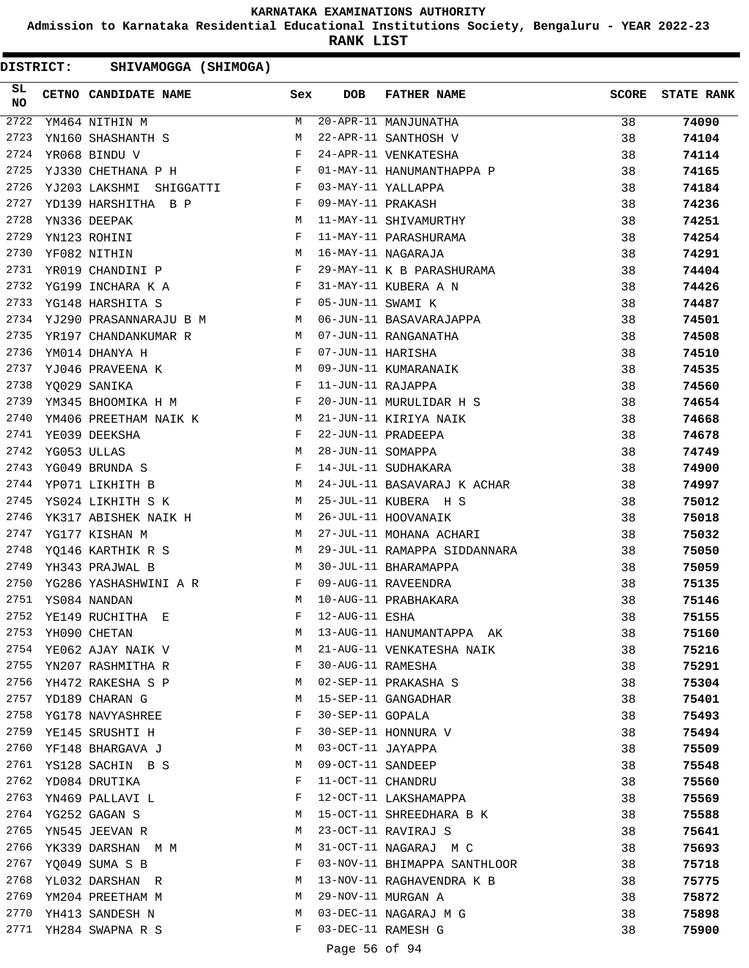**Admission to Karnataka Residential Educational Institutions Society, Bengaluru - YEAR 2022-23**

**RANK LIST**

DISTRICT: SHIVAMOGGA (SHIMOGA)

| SL<br>NO |             | CETNO CANDIDATE NAME                                                                                                                                                                                                                               | Sex        | <b>DOB</b>        | <b>FATHER NAME</b>           | <b>SCORE</b> | <b>STATE RANK</b> |
|----------|-------------|----------------------------------------------------------------------------------------------------------------------------------------------------------------------------------------------------------------------------------------------------|------------|-------------------|------------------------------|--------------|-------------------|
| 2722     |             | YM464 NITHIN M                                                                                                                                                                                                                                     | M          |                   | 20-APR-11 MANJUNATHA         | 38           | 74090             |
| 2723     |             | YN160 SHASHANTH S                                                                                                                                                                                                                                  | M          |                   | 22-APR-11 SANTHOSH V         | 38           | 74104             |
| 2724     |             | YR068 BINDU V                                                                                                                                                                                                                                      | F          |                   | 24-APR-11 VENKATESHA         | 38           | 74114             |
| 2725     |             | YJ330 CHETHANA P H                                                                                                                                                                                                                                 | $$\rm F$$  |                   | 01-MAY-11 HANUMANTHAPPA P    | 38           | 74165             |
| 2726     |             | YJ203 LAKSHMI SHIGGATTI F                                                                                                                                                                                                                          |            |                   | 03-MAY-11 YALLAPPA           | 38           | 74184             |
| 2727     |             | YD139 HARSHITHA B P<br>and the state of the Party of the Party                                                                                                                                                                                     |            | 09-MAY-11 PRAKASH |                              | 38           | 74236             |
| 2728     |             | YN336 DEEPAK                                                                                                                                                                                                                                       | M          |                   | 11-MAY-11 SHIVAMURTHY        | 38           | 74251             |
| 2729     |             | YN123 ROHINI                                                                                                                                                                                                                                       | F          |                   | 11-MAY-11 PARASHURAMA        | 38           | 74254             |
| 2730     |             | YF082 NITHIN                                                                                                                                                                                                                                       | М          |                   | 16-MAY-11 NAGARAJA           | 38           | 74291             |
| 2731     |             | YR019 CHANDINI P F                                                                                                                                                                                                                                 |            |                   | 29-MAY-11 K B PARASHURAMA    | 38           | 74404             |
| 2732     |             | YG199 INCHARA K A                                                                                                                                                                                                                                  | F          |                   | 31-MAY-11 KUBERA A N         | 38           | 74426             |
| 2733     |             | YG148 HARSHITA S                                                                                                                                                                                                                                   | F          | 05-JUN-11 SWAMI K |                              | 38           | 74487             |
| 2734     |             | YJ290 PRASANNARAJU B M M                                                                                                                                                                                                                           |            |                   | 06-JUN-11 BASAVARAJAPPA      | 38           | 74501             |
| 2735     |             | <b>M</b><br>YR197 CHANDANKUMAR R                                                                                                                                                                                                                   |            |                   | 07-JUN-11 RANGANATHA         | 38           | 74508             |
| 2736     |             | $\mathbf{F}$<br>YM014 DHANYA H                                                                                                                                                                                                                     |            | 07-JUN-11 HARISHA |                              | 38           | 74510             |
| 2737     |             | YJ046 PRAVEENA K M                                                                                                                                                                                                                                 |            |                   | 09-JUN-11 KUMARANAIK         | 38           | 74535             |
| 2738     |             | YO029 SANIKA                                                                                                                                                                                                                                       | $_{\rm F}$ | 11-JUN-11 RAJAPPA |                              | 38           | 74560             |
| 2739     |             | YM345 BHOOMIKA H M F                                                                                                                                                                                                                               |            |                   | 20-JUN-11 MURULIDAR H S      | 38           | 74654             |
| 2740     |             | YM406 PREETHAM NAIK K                                                                                                                                                                                                                              | M          |                   | 21-JUN-11 KIRIYA NAIK        | 38           | 74668             |
| 2741     |             | YE039 DEEKSHA                                                                                                                                                                                                                                      | F          |                   | 22-JUN-11 PRADEEPA           | 38           | 74678             |
| 2742     | YG053 ULLAS | M <sub>1</sub>                                                                                                                                                                                                                                     |            | 28-JUN-11 SOMAPPA |                              | 38           | 74749             |
| 2743     |             | $\mathbf{F}$ and the contract of the contract of the contract of the contract of the contract of the contract of the contract of the contract of the contract of the contract of the contract of the contract of the contract of<br>YG049 BRUNDA S |            |                   | 14-JUL-11 SUDHAKARA          | 38           | 74900             |
| 2744     |             | M<br>YP071 LIKHITH B                                                                                                                                                                                                                               |            |                   | 24-JUL-11 BASAVARAJ K ACHAR  | 38           | 74997             |
| 2745     |             | YS024 LIKHITH S K                                                                                                                                                                                                                                  | M          |                   | 25-JUL-11 KUBERA H S         | 38           | 75012             |
| 2746     |             | YK317 ABISHEK NAIK H                                                                                                                                                                                                                               | M          |                   | 26-JUL-11 HOOVANAIK          | 38           | 75018             |
| 2747     |             | YG177 KISHAN M                                                                                                                                                                                                                                     | M          |                   | 27-JUL-11 MOHANA ACHARI      | 38           | 75032             |
| 2748     |             | YQ146 KARTHIK R S                                                                                                                                                                                                                                  | M          |                   | 29-JUL-11 RAMAPPA SIDDANNARA | 38           | 75050             |
| 2749     |             | YH343 PRAJWAL B                                                                                                                                                                                                                                    | M          |                   | 30-JUL-11 BHARAMAPPA         | 38           | 75059             |
| 2750     |             | YG286 YASHASHWINI A R                                                                                                                                                                                                                              | F          |                   | 09-AUG-11 RAVEENDRA          | 38           | 75135             |
| 2751     |             | YS084 NANDAN                                                                                                                                                                                                                                       | M          |                   | 10-AUG-11 PRABHAKARA         | 38           | 75146             |
| 2752     |             | YE149 RUCHITHA E                                                                                                                                                                                                                                   | F          | 12-AUG-11 ESHA    |                              | 38           | 75155             |
| 2753     |             | YH090 CHETAN                                                                                                                                                                                                                                       | М          |                   | 13-AUG-11 HANUMANTAPPA AK    | 38           | 75160             |
| 2754     |             | YE062 AJAY NAIK V                                                                                                                                                                                                                                  | М          |                   | 21-AUG-11 VENKATESHA NAIK    | 38           | 75216             |
| 2755     |             | YN207 RASHMITHA R                                                                                                                                                                                                                                  | F          | 30-AUG-11 RAMESHA |                              | 38           | 75291             |
| 2756     |             | YH472 RAKESHA S P                                                                                                                                                                                                                                  | M          |                   | 02-SEP-11 PRAKASHA S         | 38           | 75304             |
| 2757     |             | YD189 CHARAN G                                                                                                                                                                                                                                     | M          |                   | 15-SEP-11 GANGADHAR          | 38           | 75401             |
| 2758     |             | YG178 NAVYASHREE                                                                                                                                                                                                                                   | F          | 30-SEP-11 GOPALA  |                              | 38           | 75493             |
| 2759     |             | YE145 SRUSHTI H                                                                                                                                                                                                                                    | F          |                   | 30-SEP-11 HONNURA V          | 38           | 75494             |
| 2760     |             | YF148 BHARGAVA J                                                                                                                                                                                                                                   | M          | 03-OCT-11 JAYAPPA |                              | 38           | 75509             |
| 2761     |             | YS128 SACHIN B S                                                                                                                                                                                                                                   | M          | 09-OCT-11 SANDEEP |                              | 38           | 75548             |
| 2762     |             | YD084 DRUTIKA                                                                                                                                                                                                                                      | F          | 11-OCT-11 CHANDRU |                              | 38           | 75560             |
| 2763     |             | YN469 PALLAVI L                                                                                                                                                                                                                                    | F          |                   | 12-OCT-11 LAKSHAMAPPA        | 38           | 75569             |
| 2764     |             | YG252 GAGAN S                                                                                                                                                                                                                                      | M          |                   | 15-OCT-11 SHREEDHARA B K     | 38           | 75588             |
| 2765     |             | YN545 JEEVAN R                                                                                                                                                                                                                                     | M          |                   | 23-OCT-11 RAVIRAJ S          | 38           | 75641             |
| 2766     |             | YK339 DARSHAN M M                                                                                                                                                                                                                                  | M          |                   | 31-OCT-11 NAGARAJ M C        | 38           | 75693             |
| 2767     |             | YQ049 SUMA S B                                                                                                                                                                                                                                     | F          |                   | 03-NOV-11 BHIMAPPA SANTHLOOR | 38           | 75718             |
| 2768     |             | YL032 DARSHAN R                                                                                                                                                                                                                                    | M          |                   | 13-NOV-11 RAGHAVENDRA K B    | 38           | 75775             |
| 2769     |             | YM204 PREETHAM M                                                                                                                                                                                                                                   | M          |                   | 29-NOV-11 MURGAN A           | 38           | 75872             |
| 2770     |             | YH413 SANDESH N                                                                                                                                                                                                                                    | M          |                   | 03-DEC-11 NAGARAJ M G        | 38           | 75898             |
|          |             | 2771 YH284 SWAPNA R S                                                                                                                                                                                                                              | F          |                   | 03-DEC-11 RAMESH G           | 38           | 75900             |

Page 56 of 94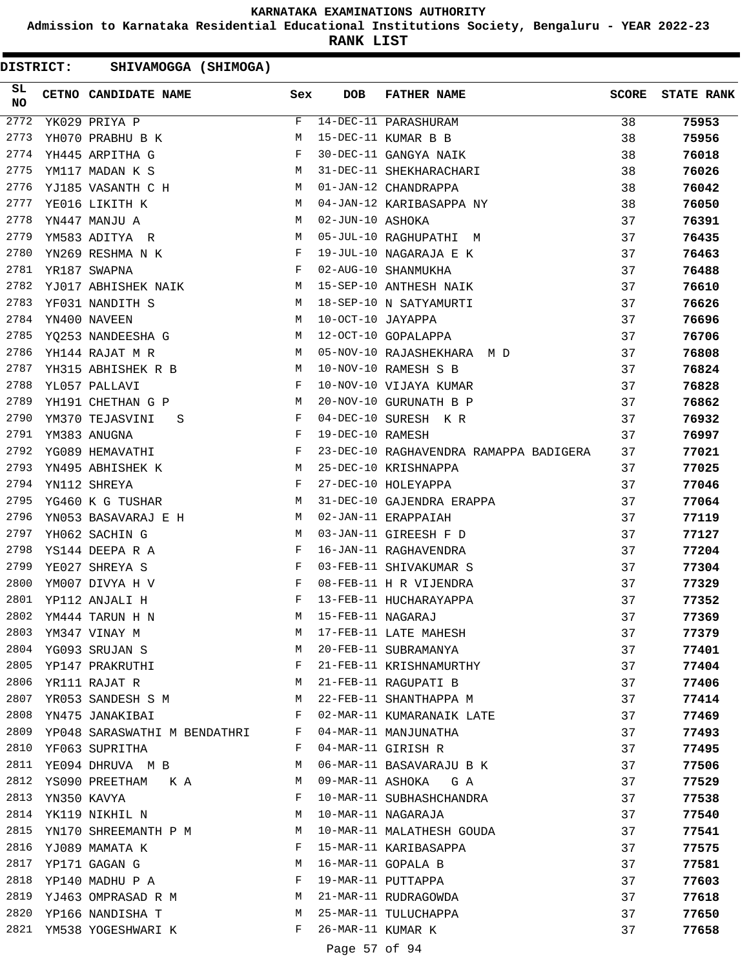**Admission to Karnataka Residential Educational Institutions Society, Bengaluru - YEAR 2022-23**

**RANK LIST**

DISTRICT: SHIVAMOGGA (SHIMOGA)

| SL<br>NO         | CETNO CANDIDATE NAME         | Sex         | <b>DOB</b>        | <b>FATHER NAME</b>                     | <b>SCORE</b> | <b>STATE RANK</b> |
|------------------|------------------------------|-------------|-------------------|----------------------------------------|--------------|-------------------|
| $\frac{2772}{ }$ | YK029 PRIYA P                | $\mathbf F$ |                   | 14-DEC-11 PARASHURAM                   | 38           | 75953             |
| 2773             | YH070 PRABHU B K             | М           |                   | 15-DEC-11 KUMAR B B                    | 38           | 75956             |
| 2774             | YH445 ARPITHA G              | F           |                   | 30-DEC-11 GANGYA NAIK                  | 38           | 76018             |
| 2775             | YM117 MADAN K S              | М           |                   | 31-DEC-11 SHEKHARACHARI                | 38           | 76026             |
| 2776             | YJ185 VASANTH C H            | M           |                   | 01-JAN-12 CHANDRAPPA                   | 38           | 76042             |
| 2777             | YE016 LIKITH K               | M           |                   | 04-JAN-12 KARIBASAPPA NY               | 38           | 76050             |
| 2778             | YN447 MANJU A                | М           | 02-JUN-10 ASHOKA  |                                        | 37           | 76391             |
| 2779             | YM583 ADITYA R               | М           |                   | 05-JUL-10 RAGHUPATHI M                 | 37           | 76435             |
| 2780             | YN269 RESHMA N K             | F           |                   | 19-JUL-10 NAGARAJA E K                 | 37           | 76463             |
| 2781             | YR187 SWAPNA                 | F           |                   | 02-AUG-10 SHANMUKHA                    | 37           | 76488             |
| 2782             | YJ017 ABHISHEK NAIK          | M           |                   | 15-SEP-10 ANTHESH NAIK                 | 37           | 76610             |
| 2783             | YF031 NANDITH S              | M           |                   | 18-SEP-10 N SATYAMURTI                 | 37           | 76626             |
| 2784             | YN400 NAVEEN                 | M           | 10-OCT-10 JAYAPPA |                                        | 37           | 76696             |
| 2785             | YQ253 NANDEESHA G            | M           |                   | 12-OCT-10 GOPALAPPA                    | 37           | 76706             |
| 2786             | YH144 RAJAT M R              | M           |                   | 05-NOV-10 RAJASHEKHARA M D             | 37           | 76808             |
| 2787             | YH315 ABHISHEK R B           | M           |                   | 10-NOV-10 RAMESH S B                   | 37           | 76824             |
| 2788             | YL057 PALLAVI                | F           |                   | 10-NOV-10 VIJAYA KUMAR                 | 37           | 76828             |
| 2789             | YH191 CHETHAN G P            | M           |                   | 20-NOV-10 GURUNATH B P                 | 37           | 76862             |
| 2790             | YM370 TEJASVINI<br>S         | F           |                   | 04-DEC-10 SURESH K R                   | 37           | 76932             |
| 2791             | YM383 ANUGNA                 | F           | 19-DEC-10 RAMESH  |                                        | 37           | 76997             |
| 2792             | YG089 HEMAVATHI              | F           |                   | 23-DEC-10 RAGHAVENDRA RAMAPPA BADIGERA | 37           | 77021             |
| 2793             | YN495 ABHISHEK K             | М           |                   | 25-DEC-10 KRISHNAPPA                   | 37           | 77025             |
| 2794             | YN112 SHREYA                 | F           |                   | 27-DEC-10 HOLEYAPPA                    | 37           | 77046             |
| 2795             | YG460 K G TUSHAR             | М           |                   | 31-DEC-10 GAJENDRA ERAPPA              | 37           | 77064             |
| 2796             | YN053 BASAVARAJ E H          | M           |                   | 02-JAN-11 ERAPPAIAH                    | 37           | 77119             |
| 2797             | YH062 SACHIN G               | М           |                   | 03-JAN-11 GIREESH F D                  | 37           | 77127             |
| 2798             | YS144 DEEPA R A              | F           |                   | 16-JAN-11 RAGHAVENDRA                  | 37           | 77204             |
| 2799             | YE027 SHREYA S               | F           |                   | 03-FEB-11 SHIVAKUMAR S                 | 37           | 77304             |
| 2800             | YM007 DIVYA H V              | F           |                   | 08-FEB-11 H R VIJENDRA                 | 37           | 77329             |
| 2801             | YP112 ANJALI H               | F           |                   | 13-FEB-11 HUCHARAYAPPA                 | 37           | 77352             |
| 2802             | YM444 TARUN H N              | M           | 15-FEB-11 NAGARAJ |                                        | 37           | 77369             |
| 2803             | YM347 VINAY M                | M           |                   | 17-FEB-11 LATE MAHESH                  | 37           | 77379             |
| 2804             | YG093 SRUJAN S               | M           |                   | 20-FEB-11 SUBRAMANYA                   | 37           | 77401             |
| 2805             | YP147 PRAKRUTHI              | F           |                   | 21-FEB-11 KRISHNAMURTHY                | 37           | 77404             |
| 2806             | YR111 RAJAT R                | M           |                   | 21-FEB-11 RAGUPATI B                   | 37           | 77406             |
| 2807             | YR053 SANDESH S M            | M           |                   | 22-FEB-11 SHANTHAPPA M                 | 37           | 77414             |
| 2808             | YN475 JANAKIBAI              | F           |                   | 02-MAR-11 KUMARANAIK LATE              | 37           | 77469             |
| 2809             | YP048 SARASWATHI M BENDATHRI | F           |                   | 04-MAR-11 MANJUNATHA                   | 37           | 77493             |
| 2810             | YF063 SUPRITHA               | F           |                   | 04-MAR-11 GIRISH R                     | 37           | 77495             |
| 2811             | YE094 DHRUVA MB              | M           |                   | 06-MAR-11 BASAVARAJU B K               | 37           | 77506             |
| 2812             | YS090 PREETHAM K A           | M           |                   | 09-MAR-11 ASHOKA GA                    | 37           | 77529             |
| 2813             | YN350 KAVYA                  | F           |                   | 10-MAR-11 SUBHASHCHANDRA               | 37           | 77538             |
| 2814             | YK119 NIKHIL N               | M           |                   | 10-MAR-11 NAGARAJA                     | 37           | 77540             |
| 2815             | YN170 SHREEMANTH P M         | M           |                   | 10-MAR-11 MALATHESH GOUDA              | 37           | 77541             |
| 2816             | YJ089 MAMATA K               | F           |                   | 15-MAR-11 KARIBASAPPA                  | 37           | 77575             |
| 2817             | YP171 GAGAN G                | M           |                   | 16-MAR-11 GOPALA B                     | 37           | 77581             |
| 2818             | YP140 MADHU P A              | F           |                   | 19-MAR-11 PUTTAPPA                     | 37           | 77603             |
| 2819             | YJ463 OMPRASAD R M           | M           |                   | 21-MAR-11 RUDRAGOWDA                   | 37           | 77618             |
| 2820             | YP166 NANDISHA T             | M           |                   | 25-MAR-11 TULUCHAPPA                   | 37           | 77650             |
|                  | 2821 YM538 YOGESHWARI K      | F           | 26-MAR-11 KUMAR K |                                        | 37           | 77658             |
|                  |                              |             |                   |                                        |              |                   |

# Page 57 of 94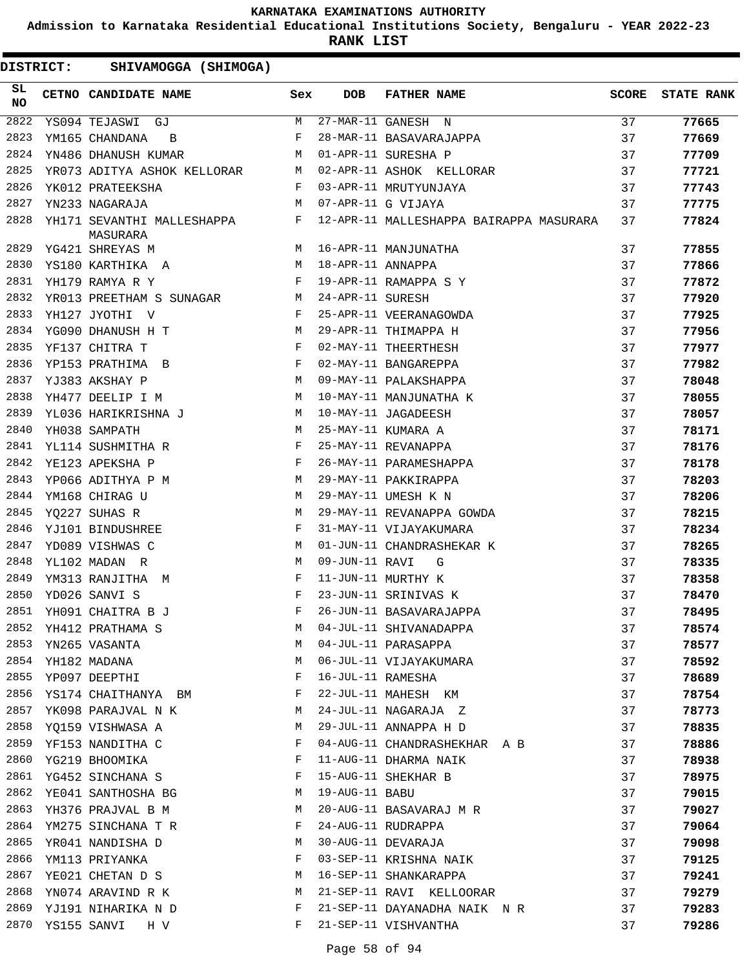**Admission to Karnataka Residential Educational Institutions Society, Bengaluru - YEAR 2022-23**

**RANK LIST**

| SL<br><b>NO</b> |                  | CETNO CANDIDATE NAME                     | Sex | <b>DOB</b>        | <b>FATHER NAME</b>                      | SCORE | <b>STATE RANK</b> |
|-----------------|------------------|------------------------------------------|-----|-------------------|-----------------------------------------|-------|-------------------|
| 2822            |                  | YS094 TEJASWI GJ                         | M   |                   | 27-MAR-11 GANESH N                      | 37    | 77665             |
| 2823            |                  | YM165 CHANDANA<br>$\overline{B}$         | F   |                   | 28-MAR-11 BASAVARAJAPPA                 | 37    | 77669             |
| 2824            |                  | YN486 DHANUSH KUMAR                      | M   |                   | 01-APR-11 SURESHA P                     | 37    | 77709             |
| 2825            |                  | YR073 ADITYA ASHOK KELLORAR M            |     |                   | 02-APR-11 ASHOK KELLORAR                | 37    | 77721             |
| 2826            |                  | YK012 PRATEEKSHA                         | F   |                   | 03-APR-11 MRUTYUNJAYA                   | 37    | 77743             |
| 2827            |                  | YN233 NAGARAJA<br><b>M</b>               |     |                   | 07-APR-11 G VIJAYA                      | 37    | 77775             |
| 2828            |                  | YH171 SEVANTHI MALLESHAPPA F<br>MASURARA |     |                   | 12-APR-11 MALLESHAPPA BAIRAPPA MASURARA | 37    | 77824             |
| 2829            |                  | M <sub>1</sub><br>YG421 SHREYAS M        |     |                   | 16-APR-11 MANJUNATHA                    | 37    | 77855             |
| 2830            |                  | YS180 KARTHIKA A M                       |     | 18-APR-11 ANNAPPA |                                         | 37    | 77866             |
| 2831            |                  | $\mathbf{F}$<br>YH179 RAMYA R Y          |     |                   | 19-APR-11 RAMAPPA S Y                   | 37    | 77872             |
| 2832            |                  | YR013 PREETHAM S SUNAGAR M               |     | 24-APR-11 SURESH  |                                         | 37    | 77920             |
| 2833            |                  | YH127 JYOTHI V                           | F   |                   | 25-APR-11 VEERANAGOWDA                  | 37    | 77925             |
| 2834            |                  | YG090 DHANUSH H T                        | M   |                   | 29-APR-11 THIMAPPA H                    | 37    | 77956             |
| 2835            |                  | $\mathbf{F}$<br>YF137 CHITRA T           |     |                   | 02-MAY-11 THEERTHESH                    | 37    | 77977             |
| 2836            |                  | YP153 PRATHIMA B                         | F   |                   | 02-MAY-11 BANGAREPPA                    | 37    | 77982             |
| 2837            |                  | M<br>YJ383 AKSHAY P                      |     |                   | 09-MAY-11 PALAKSHAPPA                   | 37    | 78048             |
| 2838            |                  | YH477 DEELIP I M                         | M   |                   | 10-MAY-11 MANJUNATHA K                  | 37    | 78055             |
| 2839            |                  | YL036 HARIKRISHNA J                      | M   |                   | 10-MAY-11 JAGADEESH                     | 37    | 78057             |
| 2840            |                  | YH038 SAMPATH                            | M   |                   | 25-MAY-11 KUMARA A                      | 37    | 78171             |
| 2841            |                  | YL114 SUSHMITHA R                        | F   |                   | 25-MAY-11 REVANAPPA                     | 37    | 78176             |
| 2842            |                  | YE123 APEKSHA P                          | F   |                   | 26-MAY-11 PARAMESHAPPA                  | 37    | 78178             |
| 2843            |                  | YP066 ADITHYA P M                        | M   |                   | 29-MAY-11 PAKKIRAPPA                    | 37    | 78203             |
| 2844            |                  | YM168 CHIRAG U                           | М   |                   | 29-MAY-11 UMESH K N                     | 37    | 78206             |
| 2845            |                  | YQ227 SUHAS R                            | M   |                   | 29-MAY-11 REVANAPPA GOWDA               | 37    | 78215             |
| 2846            |                  | YJ101 BINDUSHREE                         | F   |                   | 31-MAY-11 VIJAYAKUMARA                  | 37    | 78234             |
| 2847            |                  | YD089 VISHWAS C                          | M   |                   | 01-JUN-11 CHANDRASHEKAR K               | 37    | 78265             |
| 2848            |                  | YL102 MADAN R                            | M   | 09-JUN-11 RAVI    | G                                       | 37    | 78335             |
| 2849            |                  | YM313 RANJITHA M                         | F   |                   | 11-JUN-11 MURTHY K                      | 37    | 78358             |
| 2850            |                  | YD026 SANVI S                            | F   |                   | 23-JUN-11 SRINIVAS K                    | 37    | 78470             |
|                 |                  | 2851 YH091 CHAITRA B J                   | F   |                   | 26-JUN-11 BASAVARAJAPPA                 | 37    | 78495             |
|                 |                  | 2852 YH412 PRATHAMA S                    |     |                   | M 04-JUL-11 SHIVANADAPPA                | 37    | 78574             |
| 2853            |                  | YN265 VASANTA                            | М   |                   | 04-JUL-11 PARASAPPA                     | 37    | 78577             |
| 2854            |                  | YH182 MADANA                             | М   |                   | 06-JUL-11 VIJAYAKUMARA                  | 37    | 78592             |
| 2855            |                  | YP097 DEEPTHI                            | F   | 16-JUL-11 RAMESHA |                                         | 37    | 78689             |
| 2856            |                  | YS174 CHAITHANYA BM                      | F   |                   | 22-JUL-11 MAHESH KM                     | 37    | 78754             |
| 2857            |                  | YK098 PARAJVAL N K                       | M   |                   | 24-JUL-11 NAGARAJA Z                    | 37    | 78773             |
| 2858            |                  | YQ159 VISHWASA A                         | M   |                   | 29-JUL-11 ANNAPPA H D                   | 37    | 78835             |
| 2859            |                  | YF153 NANDITHA C                         | F   |                   | 04-AUG-11 CHANDRASHEKHAR A B            | 37    | 78886             |
| 2860            |                  | YG219 BHOOMIKA                           | F   |                   | 11-AUG-11 DHARMA NAIK                   | 37    | 78938             |
| 2861            |                  | YG452 SINCHANA S                         | F   |                   | 15-AUG-11 SHEKHAR B                     | 37    | 78975             |
| 2862            |                  | YE041 SANTHOSHA BG                       | М   | 19-AUG-11 BABU    |                                         | 37    | 79015             |
| 2863            |                  | YH376 PRAJVAL B M                        | М   |                   | 20-AUG-11 BASAVARAJ M R                 | 37    | 79027             |
| 2864            |                  | YM275 SINCHANA T R                       | F   |                   | 24-AUG-11 RUDRAPPA                      | 37    | 79064             |
| 2865            |                  | YR041 NANDISHA D                         | M   |                   | 30-AUG-11 DEVARAJA                      | 37    | 79098             |
| 2866            |                  | YM113 PRIYANKA                           | F   |                   | 03-SEP-11 KRISHNA NAIK                  | 37    | 79125             |
| 2867            |                  | YE021 CHETAN D S                         | M   |                   | 16-SEP-11 SHANKARAPPA                   | 37    | 79241             |
| 2868            |                  | YN074 ARAVIND R K                        | M   |                   | 21-SEP-11 RAVI KELLOORAR                | 37    | 79279             |
| 2869            |                  | YJ191 NIHARIKA N D                       | F   |                   | 21-SEP-11 DAYANADHA NAIK N R            | 37    | 79283             |
|                 | 2870 YS155 SANVI | H V                                      | F   |                   | 21-SEP-11 VISHVANTHA                    | 37    | 79286             |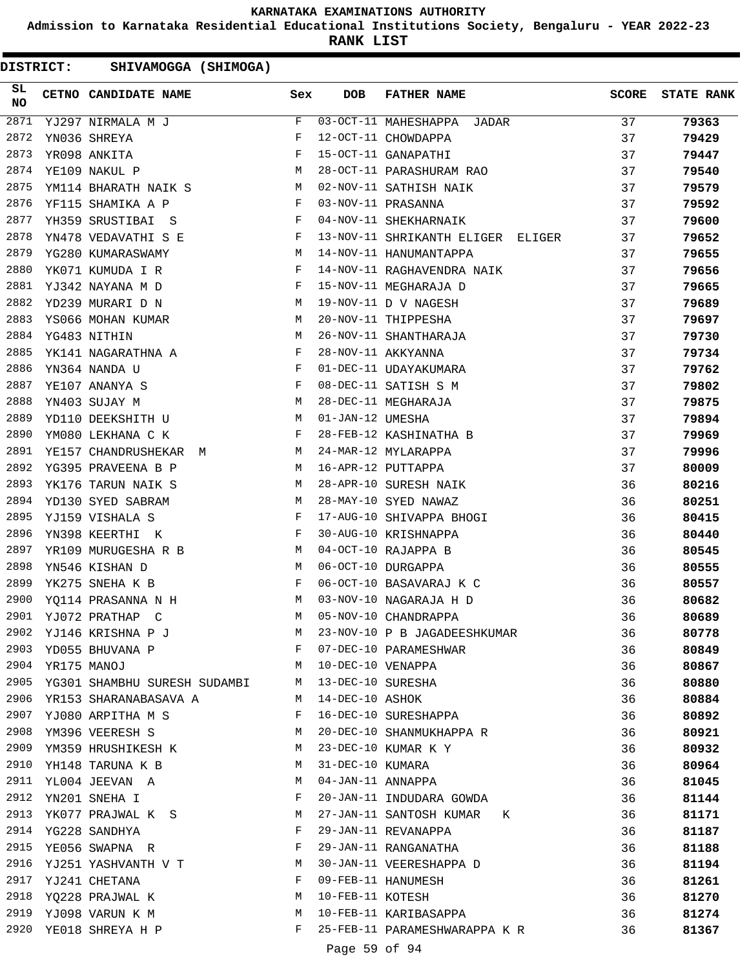**Admission to Karnataka Residential Educational Institutions Society, Bengaluru - YEAR 2022-23**

**RANK LIST**

| SL<br><b>NO</b> |                  | CETNO CANDIDATE NAME Sex                                                                                                                                                                                                                            |              | DOB               | <b>FATHER NAME</b>                | <b>SCORE</b> | <b>STATE RANK</b> |
|-----------------|------------------|-----------------------------------------------------------------------------------------------------------------------------------------------------------------------------------------------------------------------------------------------------|--------------|-------------------|-----------------------------------|--------------|-------------------|
| 2871            |                  | YJ297 NIRMALA M J                                                                                                                                                                                                                                   | F            |                   | 03-OCT-11 MAHESHAPPA JADAR        | 37           | 79363             |
| 2872            |                  | YN036 SHREYA                                                                                                                                                                                                                                        | F            |                   | 12-OCT-11 CHOWDAPPA               | 37           | 79429             |
| 2873            |                  | YR098 ANKITA                                                                                                                                                                                                                                        | F            |                   | 15-OCT-11 GANAPATHI               | 37           | 79447             |
| 2874            |                  | YE109 NAKUL P                                                                                                                                                                                                                                       | M            |                   | 28-OCT-11 PARASHURAM RAO          | 37           | 79540             |
| 2875            |                  | YM114 BHARATH NAIK S M                                                                                                                                                                                                                              |              |                   | 02-NOV-11 SATHISH NAIK            | 37           | 79579             |
| 2876            |                  | YF115 SHAMIKA A P                                                                                                                                                                                                                                   | F            |                   | 03-NOV-11 PRASANNA                | 37           | 79592             |
| 2877            |                  | YH359 SRUSTIBAI S                                                                                                                                                                                                                                   | F            |                   | 04-NOV-11 SHEKHARNAIK             | 37           | 79600             |
| 2878            |                  | YN478 VEDAVATHI S E                                                                                                                                                                                                                                 | $\mathbf{F}$ |                   | 13-NOV-11 SHRIKANTH ELIGER ELIGER | 37           | 79652             |
| 2879            |                  | YG280 KUMARASWAMY<br>M <sub>1</sub>                                                                                                                                                                                                                 |              |                   | 14-NOV-11 HANUMANTAPPA            | 37           | 79655             |
| 2880            |                  | YK071 KUMUDA I R                                                                                                                                                                                                                                    | F            |                   | 14-NOV-11 RAGHAVENDRA NAIK        | 37           | 79656             |
| 2881            |                  | YJ342 NAYANA M D                                                                                                                                                                                                                                    | $\mathbf{F}$ |                   | 15-NOV-11 MEGHARAJA D             | 37           | 79665             |
| 2882            |                  | YD239 MURARI D N                                                                                                                                                                                                                                    | M            |                   | 19-NOV-11 D V NAGESH              | 37           | 79689             |
| 2883            |                  | YS066 MOHAN KUMAR<br>M <sub>N</sub>                                                                                                                                                                                                                 |              |                   | 20-NOV-11 THIPPESHA               | 37           | 79697             |
| 2884            |                  | YG483 NITHIN<br><b>Example 19</b> M                                                                                                                                                                                                                 |              |                   | 26-NOV-11 SHANTHARAJA             | 37           | 79730             |
| 2885            |                  | YK141 NAGARATHNA A $$\rm F$$                                                                                                                                                                                                                        |              |                   | 28-NOV-11 AKKYANNA                | 37           | 79734             |
| 2886            |                  | YN364 NANDA U                                                                                                                                                                                                                                       | $\mathbf{F}$ |                   | 01-DEC-11 UDAYAKUMARA             | 37           | 79762             |
| 2887            |                  | $\mathbb{R}^n$ . The set of the set of the set of the set of the set of the set of the set of the set of the set of the set of the set of the set of the set of the set of the set of the set of the set of the set of the set of<br>YE107 ANANYA S |              |                   | 08-DEC-11 SATISH S M              | 37           | 79802             |
| 2888            |                  | YN403 SUJAY M<br>$M_{\rm H}$                                                                                                                                                                                                                        |              |                   | 28-DEC-11 MEGHARAJA               | 37           | 79875             |
| 2889            |                  | $M_{\odot}$<br>YD110 DEEKSHITH U                                                                                                                                                                                                                    |              | 01-JAN-12 UMESHA  |                                   | 37           | 79894             |
| 2890            |                  | YM080 LEKHANA C K                                                                                                                                                                                                                                   | F            |                   | 28-FEB-12 KASHINATHA B            | 37           | 79969             |
| 2891            |                  | YE157 CHANDRUSHEKAR M<br><b>Example 19</b> M                                                                                                                                                                                                        |              |                   | 24-MAR-12 MYLARAPPA               | 37           | 79996             |
| 2892            |                  | YG395 PRAVEENA B P                                                                                                                                                                                                                                  | M            |                   | 16-APR-12 PUTTAPPA                | 37           | 80009             |
| 2893            |                  | YK176 TARUN NAIK S                                                                                                                                                                                                                                  | M            |                   | 28-APR-10 SURESH NAIK             | 36           | 80216             |
| 2894            |                  | YD130 SYED SABRAM                                                                                                                                                                                                                                   | M            |                   | 28-MAY-10 SYED NAWAZ              | 36           | 80251             |
| 2895            |                  | YJ159 VISHALA S                                                                                                                                                                                                                                     | F            |                   | 17-AUG-10 SHIVAPPA BHOGI          | 36           | 80415             |
| 2896            |                  | $\mathbf{F}$ and the contract of the contract $\mathbf{F}$<br>YN398 KEERTHI K                                                                                                                                                                       |              |                   | 30-AUG-10 KRISHNAPPA              | 36           | 80440             |
| 2897            |                  | YR109 MURUGESHA R B                                                                                                                                                                                                                                 | M            |                   | 04-OCT-10 RAJAPPA B               | 36           | 80545             |
| 2898            |                  | YN546 KISHAN D                                                                                                                                                                                                                                      | M            |                   | 06-OCT-10 DURGAPPA                | 36           | 80555             |
| 2899            |                  | YK275 SNEHA K B                                                                                                                                                                                                                                     | F            |                   | 06-OCT-10 BASAVARAJ K C           | 36           | 80557             |
| 2900            |                  | YQ114 PRASANNA N H                                                                                                                                                                                                                                  | M            |                   | 03-NOV-10 NAGARAJA H D            | 36           | 80682             |
| 2901            |                  | YJ072 PRATHAP C                                                                                                                                                                                                                                     | M            |                   | 05-NOV-10 CHANDRAPPA              | 36           | 80689             |
|                 |                  | 2902 YJ146 KRISHNA P J                                                                                                                                                                                                                              | M            |                   | 23-NOV-10 P B JAGADEESHKUMAR      |              |                   |
|                 |                  | 2903 YD055 BHUVANA P                                                                                                                                                                                                                                | F            |                   |                                   | 36           | 80778             |
|                 |                  | M                                                                                                                                                                                                                                                   |              | 10-DEC-10 VENAPPA | 07-DEC-10 PARAMESHWAR             | 36           | 80849             |
|                 | 2904 YR175 MANOJ |                                                                                                                                                                                                                                                     |              |                   |                                   | 36           | 80867             |
|                 |                  | 2905 YG301 SHAMBHU SURESH SUDAMBI M                                                                                                                                                                                                                 |              | M 14-DEC-10 ASHOK | 13-DEC-10 SURESHA                 | 36           | 80880             |
|                 |                  | 2906 YR153 SHARANABASAVA A                                                                                                                                                                                                                          |              |                   |                                   | 36           | 80884             |
| 2907            |                  | YJ080 ARPITHA M S                                                                                                                                                                                                                                   | F            |                   | 16-DEC-10 SURESHAPPA              | 36           | 80892             |
| 2908            |                  | YM396 VEERESH S                                                                                                                                                                                                                                     | M            |                   | 20-DEC-10 SHANMUKHAPPA R          | 36           | 80921             |
| 2909            |                  | YM359 HRUSHIKESH K                                                                                                                                                                                                                                  | M            |                   | 23-DEC-10 KUMAR K Y               | 36           | 80932             |
|                 |                  | 2910 YH148 TARUNA K B                                                                                                                                                                                                                               | M            | 31-DEC-10 KUMARA  |                                   | 36           | 80964             |
|                 |                  | 2911 YL004 JEEVAN A                                                                                                                                                                                                                                 | M            |                   | 04-JAN-11 ANNAPPA                 | 36           | 81045             |
| 2912            |                  | YN201 SNEHA I                                                                                                                                                                                                                                       | F            |                   | 20-JAN-11 INDUDARA GOWDA          | 36           | 81144             |
|                 |                  | 2913 YK077 PRAJWAL K S                                                                                                                                                                                                                              | M            |                   | 27-JAN-11 SANTOSH KUMAR K         | 36           | 81171             |
|                 |                  | 2914 YG228 SANDHYA                                                                                                                                                                                                                                  | F            |                   | 29-JAN-11 REVANAPPA               | 36           | 81187             |
| 2915            |                  | YE056 SWAPNA R                                                                                                                                                                                                                                      | F            |                   | 29-JAN-11 RANGANATHA              | 36           | 81188             |
| 2916            |                  | YJ251 YASHVANTH V T                                                                                                                                                                                                                                 | M            |                   | 30-JAN-11 VEERESHAPPA D           | 36           | 81194             |
| 2917            |                  | YJ241 CHETANA                                                                                                                                                                                                                                       | F            |                   | 09-FEB-11 HANUMESH                | 36           | 81261             |
|                 |                  | 2918 YQ228 PRAJWAL K                                                                                                                                                                                                                                | M            | 10-FEB-11 KOTESH  |                                   | 36           | 81270             |
| 2919            |                  | YJ098 VARUN K M                                                                                                                                                                                                                                     | M            |                   | 10-FEB-11 KARIBASAPPA             | 36           | 81274             |
|                 |                  | 2920 YE018 SHREYA H P                                                                                                                                                                                                                               | F            |                   | 25-FEB-11 PARAMESHWARAPPA K R     | 36           | 81367             |
|                 |                  |                                                                                                                                                                                                                                                     |              | Page 59 of 94     |                                   |              |                   |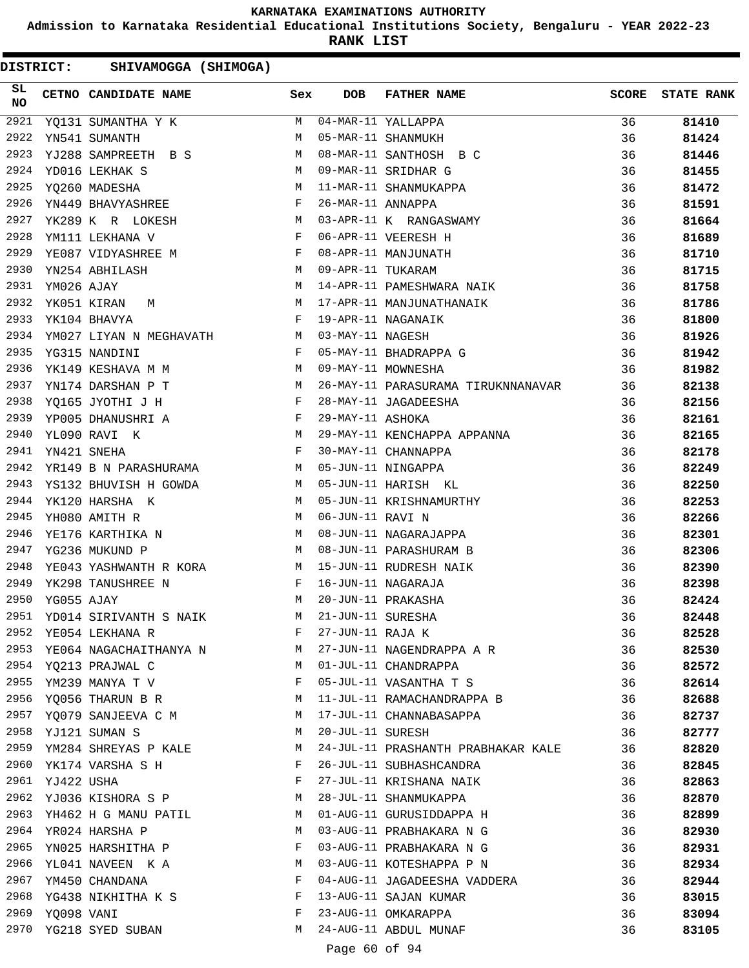**Admission to Karnataka Residential Educational Institutions Society, Bengaluru - YEAR 2022-23**

**RANK LIST**

| SL<br><b>NO</b> |                 | CETNO CANDIDATE NAME                                                                                                                                                                                                                                   | Sex | <b>DOB</b>        | FATHER NAME                        | <b>SCORE</b> | <b>STATE RANK</b> |
|-----------------|-----------------|--------------------------------------------------------------------------------------------------------------------------------------------------------------------------------------------------------------------------------------------------------|-----|-------------------|------------------------------------|--------------|-------------------|
| 2921            |                 | YQ131 SUMANTHA Y K                                                                                                                                                                                                                                     | M   |                   | 04-MAR-11 YALLAPPA                 | 36           | 81410             |
| 2922            |                 | YN541 SUMANTH                                                                                                                                                                                                                                          | M   |                   | 05-MAR-11 SHANMUKH                 | 36           | 81424             |
| 2923            |                 | YJ288 SAMPREETH B S                                                                                                                                                                                                                                    | M   |                   | 08-MAR-11 SANTHOSH B C             | 36           | 81446             |
| 2924            |                 | M <sub>N</sub><br>YD016 LEKHAK S                                                                                                                                                                                                                       |     |                   | 09-MAR-11 SRIDHAR G                | 36           | 81455             |
| 2925            |                 | M<br>YQ260 MADESHA                                                                                                                                                                                                                                     |     |                   | 11-MAR-11 SHANMUKAPPA              | 36           | 81472             |
| 2926            |                 | $\mathbb{F}^{\mathbb{Z}}$ . The state of the state $\mathbb{F}^{\mathbb{Z}}$<br>YN449 BHAVYASHREE                                                                                                                                                      |     | 26-MAR-11 ANNAPPA |                                    | 36           | 81591             |
| 2927            |                 | YK289 K R LOKESH                                                                                                                                                                                                                                       | M   |                   | 03-APR-11 K RANGASWAMY             | 36           | 81664             |
| 2928            |                 | YM111 LEKHANA V                                                                                                                                                                                                                                        | F   |                   | 06-APR-11 VEERESH H                | 36           | 81689             |
| 2929            |                 | <b>Experimental Service State Service</b><br>YE087 VIDYASHREE M                                                                                                                                                                                        |     |                   | 08-APR-11 MANJUNATH                | 36           | 81710             |
| 2930            |                 | YN254 ABHILASH                                                                                                                                                                                                                                         | M   | 09-APR-11 TUKARAM |                                    | 36           | 81715             |
| 2931            | YM026 AJAY      |                                                                                                                                                                                                                                                        | M   |                   | 14-APR-11 PAMESHWARA NAIK          | 36           | 81758             |
| 2932            |                 | M <sub>N</sub><br>YK051 KIRAN<br>М                                                                                                                                                                                                                     |     |                   | 17-APR-11 MANJUNATHANAIK           | 36           | 81786             |
| 2933            |                 | $\mathbb F$ . The set of $\mathbb F$<br>YK104 BHAVYA                                                                                                                                                                                                   |     |                   | 19-APR-11 NAGANAIK                 | 36           | 81800             |
| 2934            |                 | YM027 LIYAN N MEGHAVATH M                                                                                                                                                                                                                              |     | 03-MAY-11 NAGESH  |                                    | 36           | 81926             |
| 2935            |                 | $\mathbf{F}$<br>YG315 NANDINI                                                                                                                                                                                                                          |     |                   | 05-MAY-11 BHADRAPPA G              | 36           | 81942             |
| 2936            |                 | M <sub>N</sub><br>YK149 KESHAVA M M                                                                                                                                                                                                                    |     |                   | 09-MAY-11 MOWNESHA                 | 36           | 81982             |
| 2937            |                 | <b>M</b><br>YN174 DARSHAN P T                                                                                                                                                                                                                          |     |                   | 26-MAY-11 PARASURAMA TIRUKNNANAVAR | 36           | 82138             |
| 2938            |                 | $\mathbf{F}$ and $\mathbf{F}$ and $\mathbf{F}$<br>YO165 JYOTHI J H                                                                                                                                                                                     |     |                   | 28-MAY-11 JAGADEESHA               | 36           | 82156             |
| 2939            |                 |                                                                                                                                                                                                                                                        |     | 29-MAY-11 ASHOKA  |                                    | 36           | 82161             |
| 2940            |                 | YPOO5 DHANUSHRI A<br>YLO90 RAVI K<br>ALOS                                                                                                                                                                                                              |     |                   | 29-MAY-11 KENCHAPPA APPANNA        | 36           | 82165             |
| 2941            |                 | $\mathbf{F}$ and $\mathbf{F}$<br>YN421 SNEHA                                                                                                                                                                                                           |     |                   | 30-MAY-11 CHANNAPPA                | 36           | 82178             |
| 2942            |                 | M <sub>1</sub><br>YR149 B N PARASHURAMA                                                                                                                                                                                                                |     |                   | 05-JUN-11 NINGAPPA                 | 36           | 82249             |
| 2943            |                 | YS132 BHUVISH H GOWDA M                                                                                                                                                                                                                                |     |                   | 05-JUN-11 HARISH KL                | 36           | 82250             |
| 2944            |                 | YK120 HARSHA K                                                                                                                                                                                                                                         | M   |                   | 05-JUN-11 KRISHNAMURTHY            | 36           | 82253             |
| 2945            |                 | YH080 AMITH R                                                                                                                                                                                                                                          | M   | 06-JUN-11 RAVI N  |                                    | 36           | 82266             |
| 2946            |                 | YE176 KARTHIKA N M                                                                                                                                                                                                                                     |     |                   | 08-JUN-11 NAGARAJAPPA              | 36           | 82301             |
| 2947            |                 | M<br>YG236 MUKUND P                                                                                                                                                                                                                                    |     |                   | 08-JUN-11 PARASHURAM B             | 36           | 82306             |
| 2948            |                 | YE043 YASHWANTH R KORA M                                                                                                                                                                                                                               |     |                   | 15-JUN-11 RUDRESH NAIK             | 36           | 82390             |
| 2949            |                 | $\mathbf{F}$ . The set of the set of the set of the set of the set of the set of the set of the set of the set of the set of the set of the set of the set of the set of the set of the set of the set of the set of the set of t<br>YK298 TANUSHREE N |     |                   | 16-JUN-11 NAGARAJA                 | 36           | 82398             |
| 2950            | YG055 AJAY      | M <sub>1</sub>                                                                                                                                                                                                                                         |     |                   | 20-JUN-11 PRAKASHA                 | 36           | 82424             |
| 2951            |                 | YD014 SIRIVANTH S NAIK                                                                                                                                                                                                                                 | M   | 21-JUN-11 SURESHA |                                    | 36           | 82448             |
| 2952            |                 | YE054 LEKHANA R                                                                                                                                                                                                                                        | F   | 27-JUN-11 RAJA K  |                                    | 36           | 82528             |
| 2953            |                 | YE064 NAGACHAITHANYA N                                                                                                                                                                                                                                 | M   |                   | 27-JUN-11 NAGENDRAPPA A R          | 36           | 82530             |
|                 |                 | 2954 YQ213 PRAJWAL C                                                                                                                                                                                                                                   | M   |                   | 01-JUL-11 CHANDRAPPA               | 36           | 82572             |
|                 |                 | 2955 YM239 MANYA T V                                                                                                                                                                                                                                   | F   |                   | 05-JUL-11 VASANTHA T S             | 36           | 82614             |
| 2956            |                 | YQ056 THARUN B R                                                                                                                                                                                                                                       | M   |                   | 11-JUL-11 RAMACHANDRAPPA B         | 36           | 82688             |
| 2957            |                 | YQ079 SANJEEVA C M                                                                                                                                                                                                                                     | M   |                   | 17-JUL-11 CHANNABASAPPA            | 36           | 82737             |
| 2958            |                 | YJ121 SUMAN S                                                                                                                                                                                                                                          | M   | 20-JUL-11 SURESH  |                                    | 36           | 82777             |
| 2959            |                 | YM284 SHREYAS P KALE                                                                                                                                                                                                                                   | M   |                   | 24-JUL-11 PRASHANTH PRABHAKAR KALE | 36           | 82820             |
|                 |                 | 2960 YK174 VARSHA S H                                                                                                                                                                                                                                  | F   |                   | 26-JUL-11 SUBHASHCANDRA            | 36           | 82845             |
|                 | 2961 YJ422 USHA |                                                                                                                                                                                                                                                        | F   |                   | 27-JUL-11 KRISHANA NAIK            | 36           | 82863             |
| 2962            |                 | YJ036 KISHORA S P                                                                                                                                                                                                                                      | M   |                   | 28-JUL-11 SHANMUKAPPA              | 36           | 82870             |
| 2963            |                 | YH462 H G MANU PATIL                                                                                                                                                                                                                                   | M   |                   | 01-AUG-11 GURUSIDDAPPA H           | 36           | 82899             |
| 2964            |                 | YR024 HARSHA P                                                                                                                                                                                                                                         | M   |                   | 03-AUG-11 PRABHAKARA N G           | 36           | 82930             |
| 2965            |                 | YN025 HARSHITHA P                                                                                                                                                                                                                                      | F   |                   | 03-AUG-11 PRABHAKARA N G           | 36           | 82931             |
| 2966            |                 | YL041 NAVEEN K A                                                                                                                                                                                                                                       | M   |                   | 03-AUG-11 KOTESHAPPA P N           | 36           | 82934             |
|                 |                 | 2967 YM450 CHANDANA                                                                                                                                                                                                                                    | F   |                   | 04-AUG-11 JAGADEESHA VADDERA       | 36           | 82944             |
|                 |                 | 2968 YG438 NIKHITHA K S                                                                                                                                                                                                                                | F   |                   | 13-AUG-11 SAJAN KUMAR              | 36           | 83015             |
|                 | 2969 YQ098 VANI |                                                                                                                                                                                                                                                        | F   |                   | 23-AUG-11 OMKARAPPA                | 36           | 83094             |
|                 |                 | 2970 YG218 SYED SUBAN                                                                                                                                                                                                                                  | M   |                   | 24-AUG-11 ABDUL MUNAF              | 36           | 83105             |
|                 |                 |                                                                                                                                                                                                                                                        |     |                   |                                    |              |                   |
|                 |                 |                                                                                                                                                                                                                                                        |     | Page 60 of 94     |                                    |              |                   |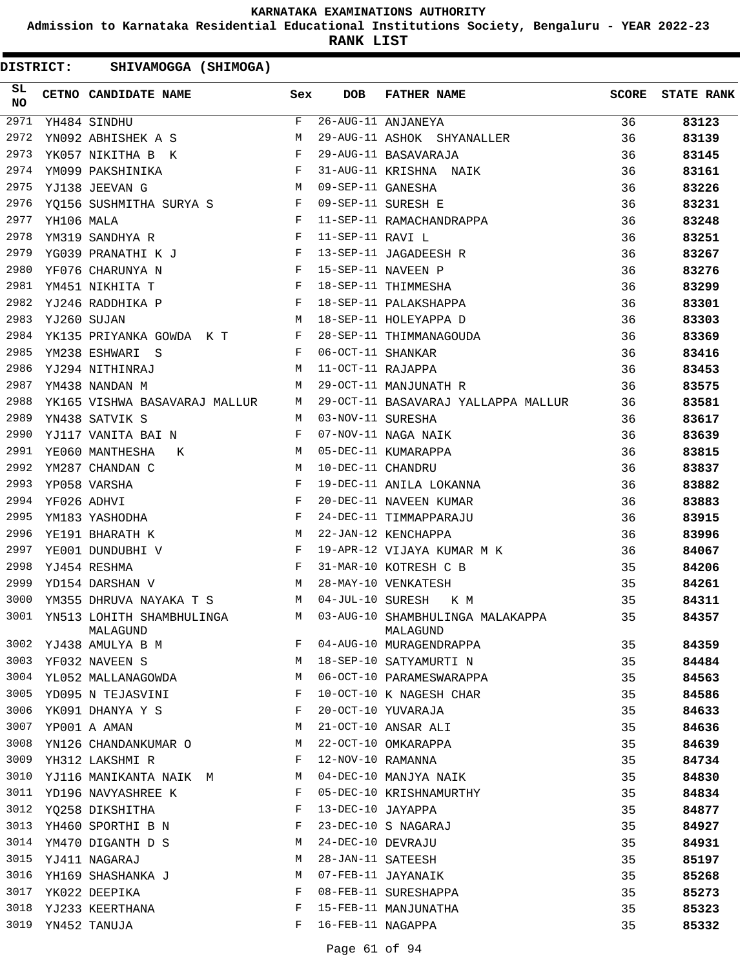**Admission to Karnataka Residential Educational Institutions Society, Bengaluru - YEAR 2022-23**

**RANK LIST**

| SL<br><b>NO</b> |            | CETNO CANDIDATE NAME Sex                                                                                                                                                                                                                              |              | <b>DOB</b>        | FATHER NAME                                                                                                           | SCORE | <b>STATE RANK</b> |
|-----------------|------------|-------------------------------------------------------------------------------------------------------------------------------------------------------------------------------------------------------------------------------------------------------|--------------|-------------------|-----------------------------------------------------------------------------------------------------------------------|-------|-------------------|
| 2971            |            | YH484 SINDHU                                                                                                                                                                                                                                          | $\mathbf{F}$ |                   | 26-AUG-11 ANJANEYA                                                                                                    | 36    | 83123             |
| 2972            |            | YN092 ABHISHEK A S                                                                                                                                                                                                                                    | M            |                   | 29-AUG-11 ASHOK SHYANALLER                                                                                            | 36    | 83139             |
| 2973            |            | YK057 NIKITHA B K F                                                                                                                                                                                                                                   |              |                   | 29-AUG-11 BASAVARAJA                                                                                                  | 36    | 83145             |
| 2974            |            | YM099 PAKSHINIKA F                                                                                                                                                                                                                                    |              |                   | 31-AUG-11 KRISHNA NAIK<br>09-SEP-11 GANESHA<br>09-SEP-11 SURESH E                                                     | 36    | 83161             |
| 2975            |            | M 09-SEP-11 GANESHA<br>YJ138 JEEVAN G                                                                                                                                                                                                                 |              |                   |                                                                                                                       | 36    | 83226             |
| 2976            |            | YQ156 SUSHMITHA SURYA S F 09-SEP-11 SURESH E                                                                                                                                                                                                          |              |                   |                                                                                                                       | 36    | 83231             |
| 2977            | YH106 MALA | $\mathbf{F}$ . The set of $\mathbf{F}$ and $\mathbf{F}$                                                                                                                                                                                               |              |                   | 11-SEP-11 RAMACHANDRAPPA                                                                                              | 36    | 83248             |
| 2978            |            | $\mathbf{F}$<br>YM319 SANDHYA R                                                                                                                                                                                                                       |              |                   |                                                                                                                       | 36    | 83251             |
| 2979            |            | YG039 PRANATHI K J F                                                                                                                                                                                                                                  |              |                   | 11-355-11 RAVI L<br>13-SEP-11 JAGADEESH R<br>15-SEP-11 NAVEEN D                                                       | 36    | 83267             |
| 2980            |            | $\mathbf{F}$ . The set of the set of the set of the set of the set of the set of the set of the set of the set of the set of the set of the set of the set of the set of the set of the set of the set of the set of the set of t<br>YF076 CHARUNYA N |              |                   | 15-SEP-11 NAVEEN P                                                                                                    | 36    | 83276             |
| 2981            |            | $\mathbb F$ . The set of $\mathbb F$<br>YM451 NIKHITA T                                                                                                                                                                                               |              |                   | 18-SEP-11 THIMMESHA                                                                                                   | 36    | 83299             |
| 2982            |            | $\begin{aligned} \mathbf{F} \\ \mathbf{M} \end{aligned}$<br>YJ246 RADDHIKA P                                                                                                                                                                          |              |                   | 18-SEP-11 PALAKSHAPPA                                                                                                 | 36    | 83301             |
| 2983            |            | YJ260 SUJAN                                                                                                                                                                                                                                           |              |                   | 18-SEP-11 HOLEYAPPA D                                                                                                 | 36    | 83303             |
| 2984            |            |                                                                                                                                                                                                                                                       |              |                   | YK135 PRIYANKA GOWDA K T F 28-SEP-11 THIMMANAGOUDA                                                                    | 36    | 83369             |
| 2985            |            | F 06-OCT-11 SHANKAR<br>YM238 ESHWARI S                                                                                                                                                                                                                |              |                   |                                                                                                                       | 36    | 83416             |
| 2986            |            | M 11-OCT-11 RAJAPPA<br>YJ294 NITHINRAJ                                                                                                                                                                                                                |              |                   |                                                                                                                       | 36    | 83453             |
| 2987            |            | YM438 NANDAN M<br>M <sub>1</sub>                                                                                                                                                                                                                      |              |                   | 29-OCT-11 MANJUNATH R                                                                                                 | 36    | 83575             |
| 2988            |            |                                                                                                                                                                                                                                                       |              |                   | YK165 VISHWA BASAVARAJ MALLUR M 29-OCT-11 BASAVARAJ YALLAPPA MALLUR 36                                                |       | 83581             |
| 2989            |            | $M_{\rm H}$ and $M_{\rm H}$<br>YN438 SATVIK S                                                                                                                                                                                                         |              | 03-NOV-11 SURESHA |                                                                                                                       | 36    | 83617             |
| 2990            |            | $\mathbf{F}$<br>YJ117 VANITA BAI N                                                                                                                                                                                                                    |              |                   |                                                                                                                       | 36    | 83639             |
| 2991            |            | M 05-DEC-11 KUMARAPPA<br>YE060 MANTHESHA K                                                                                                                                                                                                            |              |                   |                                                                                                                       | 36    | 83815             |
| 2992            |            | YM287 CHANDAN C<br>M 10-DEC-11 CHANDRU                                                                                                                                                                                                                |              |                   |                                                                                                                       | 36    | 83837             |
| 2993            |            | $\mathbf{F}$ . The set of the set of the set of the set of the set of the set of the set of the set of the set of the set of the set of the set of the set of the set of the set of the set of the set of the set of the set of t<br>YP058 VARSHA     |              |                   | 07-NOV-11 NAGA NAIK<br>05-DEC-11 KUMARAPPA<br>10-DEC-11 CHANDRU<br>19-DEC-11 ANILA LOKANNA<br>20 DEC 11 NILLA LOKANNA | 36    | 83882             |
| 2994            |            |                                                                                                                                                                                                                                                       |              |                   | 20-DEC-11 NAVEEN KUMAR                                                                                                | 36    | 83883             |
| 2995            |            | YF026 ADHVI F<br>YM183 YASHODHA F                                                                                                                                                                                                                     |              |                   | 24-DEC-11 TIMMAPPARAJU                                                                                                | 36    | 83915             |
| 2996            |            | M<br>YE191 BHARATH K                                                                                                                                                                                                                                  |              |                   | 22-JAN-12 KENCHAPPA                                                                                                   | 36    | 83996             |
| 2997            |            | $\mathbf{F}$ and the set of the set of the set of the set of the set of the set of the set of the set of the set of the set of the set of the set of the set of the set of the set of the set of the set of the set of the set of<br>YE001 DUNDUBHI V |              |                   | 19-APR-12 VIJAYA KUMAR M K                                                                                            | 36    | 84067             |
| 2998            |            | $\mathbb{F}^{\mathbb{Z}}$ . The set of $\mathbb{F}^{\mathbb{Z}}$<br>YJ454 RESHMA                                                                                                                                                                      |              |                   | 31-MAR-10 KOTRESH C B                                                                                                 | 35    | 84206             |
| 2999            |            | M 28-MAY-10 VENKATESH<br>YD154 DARSHAN V                                                                                                                                                                                                              |              |                   |                                                                                                                       | 35    | 84261             |
| 3000            |            | YM355 DHRUVA NAYAKA T S M 04-JUL-10 SURESH K M                                                                                                                                                                                                        |              |                   | $\mathbf{M}$                                                                                                          | 35    | 84311             |
|                 |            | MALAGUND                                                                                                                                                                                                                                              |              |                   | 3001 YN513 LOHITH SHAMBHULINGA M 03-AUG-10 SHAMBHULINGA MALAKAPPA<br>MALAGUND                                         | 35    | 84357             |
| 3002            |            | YJ438 AMULYA B M                                                                                                                                                                                                                                      | F            |                   | 04-AUG-10 MURAGENDRAPPA                                                                                               | 35    | 84359             |
| 3003            |            | YF032 NAVEEN S                                                                                                                                                                                                                                        | М            |                   | 18-SEP-10 SATYAMURTI N                                                                                                | 35    | 84484             |
| 3004            |            | YL052 MALLANAGOWDA                                                                                                                                                                                                                                    | М            |                   | 06-OCT-10 PARAMESWARAPPA                                                                                              | 35    | 84563             |
| 3005            |            | YD095 N TEJASVINI                                                                                                                                                                                                                                     | F            |                   | 10-OCT-10 K NAGESH CHAR                                                                                               | 35    | 84586             |
| 3006            |            | YK091 DHANYA Y S                                                                                                                                                                                                                                      | F            |                   | 20-OCT-10 YUVARAJA                                                                                                    | 35    | 84633             |
| 3007            |            | YP001 A AMAN                                                                                                                                                                                                                                          | М            |                   | 21-OCT-10 ANSAR ALI                                                                                                   | 35    | 84636             |
| 3008            |            | YN126 CHANDANKUMAR O                                                                                                                                                                                                                                  | М            |                   | 22-OCT-10 OMKARAPPA                                                                                                   | 35    | 84639             |
| 3009            |            | YH312 LAKSHMI R                                                                                                                                                                                                                                       | F            | 12-NOV-10 RAMANNA |                                                                                                                       | 35    | 84734             |
| 3010            |            | YJ116 MANIKANTA NAIK M                                                                                                                                                                                                                                | М            |                   | 04-DEC-10 MANJYA NAIK                                                                                                 | 35    | 84830             |
| 3011            |            | YD196 NAVYASHREE K                                                                                                                                                                                                                                    | F            |                   | 05-DEC-10 KRISHNAMURTHY                                                                                               | 35    | 84834             |
| 3012            |            | YQ258 DIKSHITHA                                                                                                                                                                                                                                       | F            | 13-DEC-10 JAYAPPA |                                                                                                                       | 35    | 84877             |
| 3013            |            | YH460 SPORTHI B N                                                                                                                                                                                                                                     | F            |                   | 23-DEC-10 S NAGARAJ                                                                                                   | 35    | 84927             |
| 3014            |            | YM470 DIGANTH D S                                                                                                                                                                                                                                     | М            | 24-DEC-10 DEVRAJU |                                                                                                                       | 35    | 84931             |
| 3015            |            | YJ411 NAGARAJ                                                                                                                                                                                                                                         | М            | 28-JAN-11 SATEESH |                                                                                                                       | 35    | 85197             |
| 3016            |            | YH169 SHASHANKA J                                                                                                                                                                                                                                     | М            |                   | 07-FEB-11 JAYANAIK                                                                                                    | 35    | 85268             |
| 3017            |            | YK022 DEEPIKA                                                                                                                                                                                                                                         | F            |                   | 08-FEB-11 SURESHAPPA                                                                                                  | 35    | 85273             |
| 3018            |            | YJ233 KEERTHANA                                                                                                                                                                                                                                       | F            |                   | 15-FEB-11 MANJUNATHA                                                                                                  | 35    | 85323             |
| 3019            |            | YN452 TANUJA                                                                                                                                                                                                                                          | F            | 16-FEB-11 NAGAPPA |                                                                                                                       | 35    | 85332             |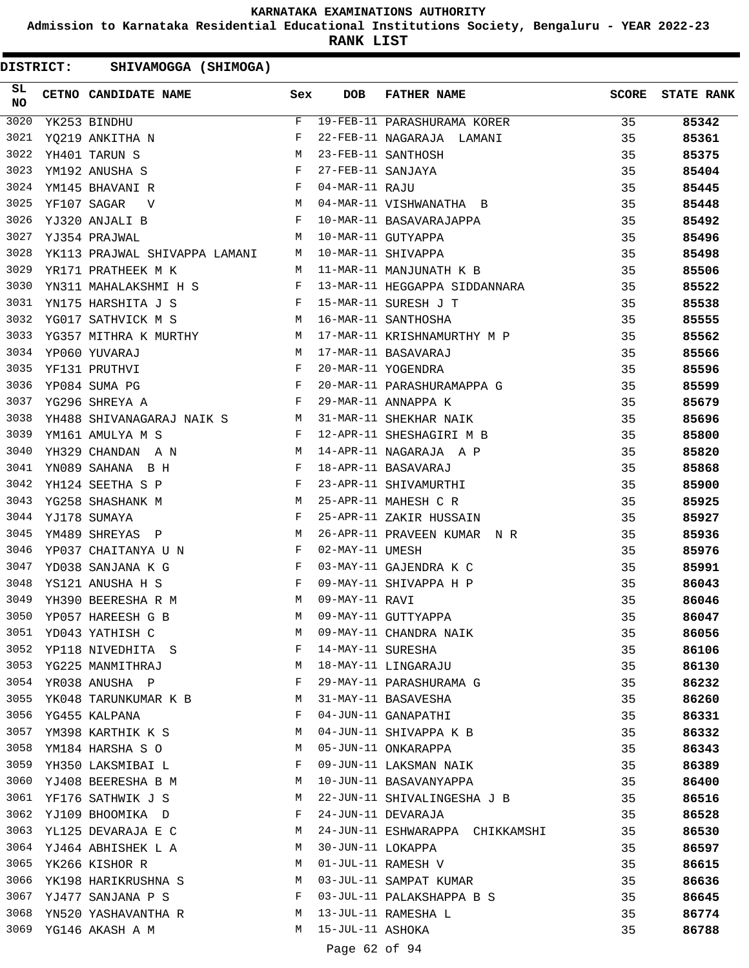**Admission to Karnataka Residential Educational Institutions Society, Bengaluru - YEAR 2022-23**

**RANK LIST**

| SL<br><b>NO</b> | CETNO CANDIDATE NAME Sex                                                                                                                                                                                                                                                                                                                                                                                                                                                          |              | DOB               | FATHER NAME                     | <b>SCORE</b> | <b>STATE RANK</b> |
|-----------------|-----------------------------------------------------------------------------------------------------------------------------------------------------------------------------------------------------------------------------------------------------------------------------------------------------------------------------------------------------------------------------------------------------------------------------------------------------------------------------------|--------------|-------------------|---------------------------------|--------------|-------------------|
| 3020            | YK253 BINDHU                                                                                                                                                                                                                                                                                                                                                                                                                                                                      | F            |                   | 19-FEB-11 PARASHURAMA KORER     | 35           | 85342             |
| 3021            | $\begin{array}{cc} \text{F} & \\ \text{F} & \\ \text{M} & \\ \text{M} & \\ \text{F} & \\ \text{F} & \\ \text{F} & \\ \text{F} & \\ \text{F} & \\ \text{F} & \\ \text{F} & \\ \text{F} & \\ \text{F} & \\ \text{F} & \\ \text{F} & \\ \text{F} & \\ \text{F} & \\ \text{F} & \\ \text{F} & \\ \text{F} & \\ \text{F} & \\ \text{F} & \\ \text{F} & \\ \text{F} & \\ \text{F} & \\ \text{F} & \\ \text{F} & \\ \text{F} & \\ \text{F} & \\ \text{F} & \\ \text{$<br>YQ219 ANKITHA N |              |                   | 22-FEB-11 NAGARAJA LAMANI       | 35           | 85361             |
| 3022            | YH401 TARUN S                                                                                                                                                                                                                                                                                                                                                                                                                                                                     |              |                   | 23-FEB-11 SANTHOSH              | 35           | 85375             |
| 3023            | YM192 ANUSHA S                                                                                                                                                                                                                                                                                                                                                                                                                                                                    |              | 27-FEB-11 SANJAYA |                                 | 35           | 85404             |
| 3024            | YM145 BHAVANI R                                                                                                                                                                                                                                                                                                                                                                                                                                                                   |              | 04-MAR-11 RAJU    |                                 | 35           | 85445             |
| 3025            | M <sub>N</sub><br>YF107 SAGAR<br>$\mathbf{V}$                                                                                                                                                                                                                                                                                                                                                                                                                                     |              |                   | 04-MAR-11 VISHWANATHA B         | 35           | 85448             |
| 3026            | $\mathbf{F}$ and $\mathbf{F}$<br>YJ320 ANJALI B                                                                                                                                                                                                                                                                                                                                                                                                                                   |              |                   | 10-MAR-11 BASAVARAJAPPA         | 35           | 85492             |
| 3027            | YJ354 PRAJWAL                                                                                                                                                                                                                                                                                                                                                                                                                                                                     | M            |                   | 10-MAR-11 GUTYAPPA              | 35           | 85496             |
| 3028            | YK113 PRAJWAL SHIVAPPA LAMANI M                                                                                                                                                                                                                                                                                                                                                                                                                                                   |              |                   | 10-MAR-11 SHIVAPPA              | 35           | 85498             |
| 3029            | YR171 PRATHEEK M K<br><b>M</b>                                                                                                                                                                                                                                                                                                                                                                                                                                                    |              |                   | 11-MAR-11 MANJUNATH K B 35      |              | 85506             |
| 3030            | YN311 MAHALAKSHMI H S F                                                                                                                                                                                                                                                                                                                                                                                                                                                           |              |                   | 13-MAR-11 HEGGAPPA SIDDANNARA   | 35           | 85522             |
| 3031            |                                                                                                                                                                                                                                                                                                                                                                                                                                                                                   |              |                   | 15-MAR-11 SURESH J T            | 35           | 85538             |
| 3032            | YN175 HARSHITA J S<br>YG017 SATHVICK M S M M                                                                                                                                                                                                                                                                                                                                                                                                                                      |              |                   | 16-MAR-11 SANTHOSHA             | 35           | 85555             |
| 3033            | YG357 MITHRA K MURTHY M                                                                                                                                                                                                                                                                                                                                                                                                                                                           |              |                   | 17-MAR-11 KRISHNAMURTHY M P     | 35           | 85562             |
| 3034            | M <sub>1</sub><br>YP060 YUVARAJ                                                                                                                                                                                                                                                                                                                                                                                                                                                   |              |                   | 17-MAR-11 BASAVARAJ             | 35           | 85566             |
| 3035            | $\begin{aligned} \mathbb{M} \\ \mathbb{F} \\ \mathbb{F} \end{aligned}$<br>YF131 PRUTHVI                                                                                                                                                                                                                                                                                                                                                                                           |              |                   | 20-MAR-11 YOGENDRA              | 35           | 85596             |
| 3036            | YP084 SUMA PG                                                                                                                                                                                                                                                                                                                                                                                                                                                                     |              |                   | 20-MAR-11 PARASHURAMAPPA G      | 35           | 85599             |
| 3037            | $\mathbf{F}$ and $\mathbf{F}$ and $\mathbf{F}$<br>YG296 SHREYA A                                                                                                                                                                                                                                                                                                                                                                                                                  |              |                   | 29-MAR-11 ANNAPPA K             | 35           | 85679             |
| 3038            | YH488 SHIVANAGARAJ NAIK S $$\tt M$ YM161 AMULYA M S                                                                                                                                                                                                                                                                                                                                                                                                                               |              |                   | 31-MAR-11 SHEKHAR NAIK          | 35           | 85696             |
| 3039            |                                                                                                                                                                                                                                                                                                                                                                                                                                                                                   |              |                   | 12-APR-11 SHESHAGIRI M B        | 35           | 85800             |
| 3040            | M<br>YH329 CHANDAN A N                                                                                                                                                                                                                                                                                                                                                                                                                                                            |              |                   | 14-APR-11 NAGARAJA A P          | 35           | 85820             |
| 3041            | $\mathbf{F}$ and the set of the set of the set of the set of the set of the set of the set of the set of the set of the set of the set of the set of the set of the set of the set of the set of the set of the set of the set of<br>YN089 SAHANA B H                                                                                                                                                                                                                             |              |                   | 18-APR-11 BASAVARAJ             | 35           | 85868             |
| 3042            | YH124 SEETHA S P F                                                                                                                                                                                                                                                                                                                                                                                                                                                                |              |                   | 23-APR-11 SHIVAMURTHI           | 35           | 85900             |
| 3043            | M<br>YG258 SHASHANK M                                                                                                                                                                                                                                                                                                                                                                                                                                                             |              |                   | 25-APR-11 MAHESH C R            | 35           | 85925             |
| 3044            | YJ178 SUMAYA                                                                                                                                                                                                                                                                                                                                                                                                                                                                      | $\mathbf{F}$ |                   | 25-APR-11 ZAKIR HUSSAIN         | 35           | 85927             |
| 3045            | YM489 SHREYAS P<br><b>M</b>                                                                                                                                                                                                                                                                                                                                                                                                                                                       |              |                   | 26-APR-11 PRAVEEN KUMAR N R     | 35           | 85936             |
| 3046            | YP037 CHAITANYA U N F                                                                                                                                                                                                                                                                                                                                                                                                                                                             |              | 02-MAY-11 UMESH   |                                 | 35           | 85976             |
| 3047            | $\begin{aligned} \mathbf{F} \\ \mathbf{F} \end{aligned}$<br>YD038 SANJANA K G                                                                                                                                                                                                                                                                                                                                                                                                     |              |                   | 03-MAY-11 GAJENDRA K C          | 35           | 85991             |
| 3048            | YS121 ANUSHA H S                                                                                                                                                                                                                                                                                                                                                                                                                                                                  |              |                   | 09-MAY-11 SHIVAPPA H P          | 35           | 86043             |
| 3049            | YH390 BEERESHA R M                                                                                                                                                                                                                                                                                                                                                                                                                                                                |              | 09-MAY-11 RAVI    |                                 | 35           | 86046             |
| 3050            | YP057 HAREESH G B                                                                                                                                                                                                                                                                                                                                                                                                                                                                 | M            |                   | 09-MAY-11 GUTTYAPPA             | 35           | 86047             |
| 3051            | YD043 YATHISH C                                                                                                                                                                                                                                                                                                                                                                                                                                                                   | M            |                   | 09-MAY-11 CHANDRA NAIK          | 35           | 86056             |
| 3052            | YP118 NIVEDHITA S                                                                                                                                                                                                                                                                                                                                                                                                                                                                 | F            | 14-MAY-11 SURESHA |                                 | 35           | 86106             |
|                 | 3053 YG225 MANMITHRAJ                                                                                                                                                                                                                                                                                                                                                                                                                                                             | М            |                   | 18-MAY-11 LINGARAJU             | 35           | 86130             |
| 3054            | YR038 ANUSHA P                                                                                                                                                                                                                                                                                                                                                                                                                                                                    | F            |                   | 29-MAY-11 PARASHURAMA G         | 35           | 86232             |
| 3055            | YK048 TARUNKUMAR K B                                                                                                                                                                                                                                                                                                                                                                                                                                                              | M            |                   | 31-MAY-11 BASAVESHA             | 35           | 86260             |
| 3056            | YG455 KALPANA                                                                                                                                                                                                                                                                                                                                                                                                                                                                     | F            |                   | 04-JUN-11 GANAPATHI             | 35           | 86331             |
| 3057            | YM398 KARTHIK K S                                                                                                                                                                                                                                                                                                                                                                                                                                                                 | M            |                   | 04-JUN-11 SHIVAPPA K B          | 35           | 86332             |
| 3058            | YM184 HARSHA S O                                                                                                                                                                                                                                                                                                                                                                                                                                                                  | M            |                   | 05-JUN-11 ONKARAPPA             | 35           | 86343             |
|                 | 3059 YH350 LAKSMIBAI L                                                                                                                                                                                                                                                                                                                                                                                                                                                            | F            |                   | 09-JUN-11 LAKSMAN NAIK          | 35           | 86389             |
| 3060            | YJ408 BEERESHA B M                                                                                                                                                                                                                                                                                                                                                                                                                                                                | М            |                   | 10-JUN-11 BASAVANYAPPA          | 35           | 86400             |
| 3061            | YF176 SATHWIK J S                                                                                                                                                                                                                                                                                                                                                                                                                                                                 | M            |                   | 22-JUN-11 SHIVALINGESHA J B     | 35           | 86516             |
| 3062            | YJ109 BHOOMIKA D                                                                                                                                                                                                                                                                                                                                                                                                                                                                  | F            |                   | 24-JUN-11 DEVARAJA              | 35           | 86528             |
|                 | 3063 YL125 DEVARAJA E C                                                                                                                                                                                                                                                                                                                                                                                                                                                           | M            |                   | 24-JUN-11 ESHWARAPPA CHIKKAMSHI | 35           | 86530             |
|                 | 3064 YJ464 ABHISHEK L A                                                                                                                                                                                                                                                                                                                                                                                                                                                           | M            | 30-JUN-11 LOKAPPA |                                 | 35           | 86597             |
| 3065            | YK266 KISHOR R                                                                                                                                                                                                                                                                                                                                                                                                                                                                    | М            |                   | 01-JUL-11 RAMESH V              | 35           | 86615             |
| 3066            | YK198 HARIKRUSHNA S                                                                                                                                                                                                                                                                                                                                                                                                                                                               | M            |                   | 03-JUL-11 SAMPAT KUMAR          | 35           | 86636             |
|                 | 3067 YJ477 SANJANA P S                                                                                                                                                                                                                                                                                                                                                                                                                                                            | F            |                   | 03-JUL-11 PALAKSHAPPA B S       | 35           | 86645             |
| 3068            | YN520 YASHAVANTHA R                                                                                                                                                                                                                                                                                                                                                                                                                                                               | M            |                   | 13-JUL-11 RAMESHA L             | 35           | 86774             |
|                 | 3069 YG146 AKASH A M                                                                                                                                                                                                                                                                                                                                                                                                                                                              | M            | 15-JUL-11 ASHOKA  |                                 | 35           | 86788             |
|                 |                                                                                                                                                                                                                                                                                                                                                                                                                                                                                   |              | Page 62 of 94     |                                 |              |                   |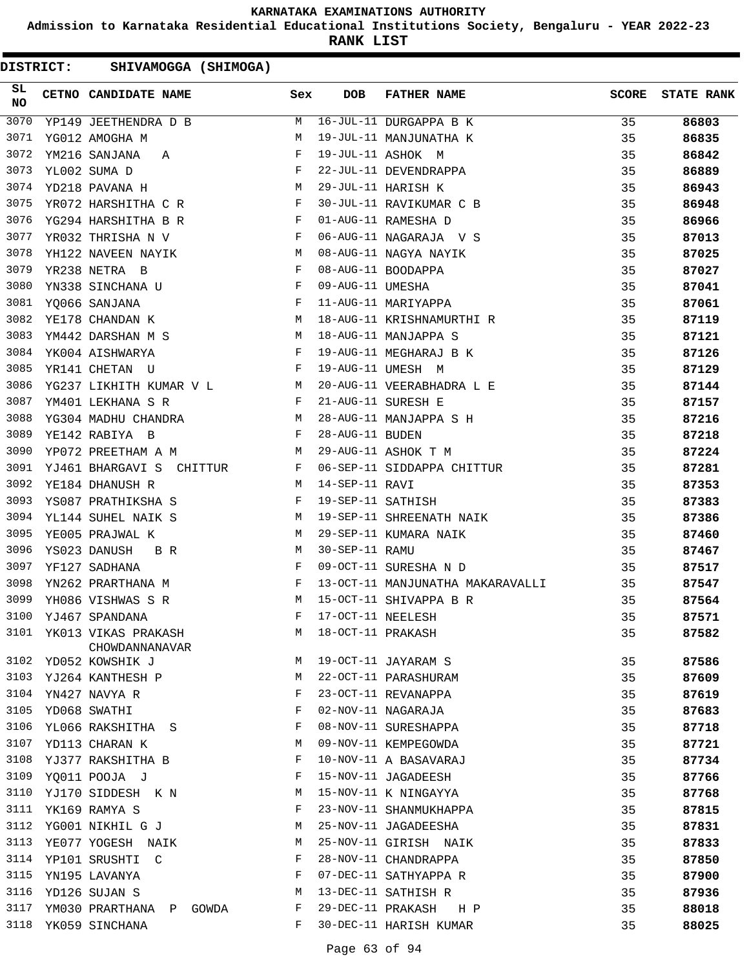**Admission to Karnataka Residential Educational Institutions Society, Bengaluru - YEAR 2022-23**

**RANK LIST**

| SL<br><b>NO</b> | CETNO CANDIDATE NAME Sex                                                                                                                                                                                                                               |             | <b>DOB</b>        | FATHER NAME                      | SCORE | <b>STATE RANK</b> |
|-----------------|--------------------------------------------------------------------------------------------------------------------------------------------------------------------------------------------------------------------------------------------------------|-------------|-------------------|----------------------------------|-------|-------------------|
| 3070            | YP149 JEETHENDRA D B                                                                                                                                                                                                                                   | M           |                   | 16-JUL-11 DURGAPPA B K           | 35    | 86803             |
| 3071            | YG012 AMOGHA M                                                                                                                                                                                                                                         | M           |                   | 19-JUL-11 MANJUNATHA K           | 35    | 86835             |
| 3072            | YM216 SANJANA A                                                                                                                                                                                                                                        | F           |                   | 19-JUL-11 ASHOK M                | 35    | 86842             |
| 3073            | YL002 SUMA D                                                                                                                                                                                                                                           | F           |                   | 22-JUL-11 DEVENDRAPPA            | 35    | 86889             |
| 3074            | M <sub>N</sub><br>YD218 PAVANA H                                                                                                                                                                                                                       |             |                   | 29-JUL-11 HARISH K               | 35    | 86943             |
| 3075            | $\mathbf{F}$ and $\mathbf{F}$ and $\mathbf{F}$<br>YR072 HARSHITHA C R                                                                                                                                                                                  |             |                   | 30-JUL-11 RAVIKUMAR C B          | 35    | 86948             |
| 3076            | $\mathbf{F}$<br>YG294 HARSHITHA B R                                                                                                                                                                                                                    |             |                   | 01-AUG-11 RAMESHA D              | 35    | 86966             |
| 3077            | YR032 THRISHA N V                                                                                                                                                                                                                                      | F           |                   | 06-AUG-11 NAGARAJA V S           | 35    | 87013             |
| 3078            | YH122 NAVEEN NAYIK M                                                                                                                                                                                                                                   |             |                   | 08-AUG-11 NAGYA NAYIK            | 35    | 87025             |
| 3079            | YR238 NETRA B                                                                                                                                                                                                                                          | F           |                   | 08-AUG-11 BOODAPPA               | 35    | 87027             |
| 3080            | $\mathbf{F}$<br>YN338 SINCHANA U                                                                                                                                                                                                                       |             | 09-AUG-11 UMESHA  |                                  | 35    | 87041             |
| 3081            | $\mathbb{R}^n$ . The set of $\mathbb{R}^n$<br>YO066 SANJANA                                                                                                                                                                                            |             |                   | 11-AUG-11 MARIYAPPA              | 35    | 87061             |
| 3082            | $\mathbf M$<br>YE178 CHANDAN K                                                                                                                                                                                                                         |             |                   | 18-AUG-11 KRISHNAMURTHI R        | 35    | 87119             |
| 3083            | $M_{\odot}$<br>YM442 DARSHAN M S                                                                                                                                                                                                                       |             |                   | 18-AUG-11 MANJAPPA S             | 35    | 87121             |
| 3084            | $\mathbf{F}$<br>YK004 AISHWARYA                                                                                                                                                                                                                        |             |                   | 19-AUG-11 MEGHARAJ B K           | 35    | 87126             |
| 3085            | YR141 CHETAN U                                                                                                                                                                                                                                         | $\mathbb F$ |                   | 19-AUG-11 UMESH M                | 35    | 87129             |
| 3086            | YG237 LIKHITH KUMAR V L M                                                                                                                                                                                                                              |             |                   | 20-AUG-11 VEERABHADRA L E        | 35    | 87144             |
| 3087            | $\mathbf{F}$ . The contract of the contract of $\mathbf{F}$<br>YM401 LEKHANA S R                                                                                                                                                                       |             |                   | 21-AUG-11 SURESH E               | 35    | 87157             |
| 3088            |                                                                                                                                                                                                                                                        |             |                   | 28-AUG-11 MANJAPPA S H           | 35    | 87216             |
| 3089            | $\begin{array}{cccc} \tt YG304 & \tt MADHU & \tt CHANDRA & \tt M \\ \tt YE142 & \tt RABIYA & \tt B & \tt F \\ \end{array}$                                                                                                                             |             | 28-AUG-11 BUDEN   |                                  | 35    | 87218             |
| 3090            | YP072 PREETHAM A M<br><b>M</b>                                                                                                                                                                                                                         |             |                   | 29-AUG-11 ASHOK T M              | 35    | 87224             |
| 3091            | YJ461 BHARGAVI S CHITTUR F                                                                                                                                                                                                                             |             |                   | 06-SEP-11 SIDDAPPA CHITTUR       | 35    | 87281             |
| 3092            | M<br>YE184 DHANUSH R                                                                                                                                                                                                                                   |             | 14-SEP-11 RAVI    |                                  | 35    | 87353             |
| 3093            | $\mathbf{F}$<br>YS087 PRATHIKSHA S                                                                                                                                                                                                                     |             | 19-SEP-11 SATHISH |                                  | 35    | 87383             |
| 3094            | YL144 SUHEL NAIK S<br><b>M</b>                                                                                                                                                                                                                         |             |                   | 19-SEP-11 SHREENATH NAIK         | 35    | 87386             |
| 3095            | YE005 PRAJWAL K                                                                                                                                                                                                                                        | M           |                   | 29-SEP-11 KUMARA NAIK            | 35    | 87460             |
| 3096            | B R<br>YS023 DANUSH                                                                                                                                                                                                                                    | M           | 30-SEP-11 RAMU    |                                  | 35    | 87467             |
| 3097            | YF127 SADHANA                                                                                                                                                                                                                                          | F           |                   | 09-OCT-11 SURESHA N D            | 35    | 87517             |
| 3098            | $\mathbf{F}$ . The set of the set of the set of the set of the set of the set of the set of the set of the set of the set of the set of the set of the set of the set of the set of the set of the set of the set of the set of t<br>YN262 PRARTHANA M |             |                   | 13-OCT-11 MANJUNATHA MAKARAVALLI | 35    | 87547             |
| 3099            | M <sub>N</sub><br>YH086 VISHWAS S R                                                                                                                                                                                                                    |             |                   | 15-OCT-11 SHIVAPPA B R           | 35    | 87564             |
| 3100            | YJ467 SPANDANA                                                                                                                                                                                                                                         | F           | 17-OCT-11 NEELESH |                                  | 35    | 87571             |
| 3101            | YK013 VIKAS PRAKASH<br>CHOWDANNANAVAR                                                                                                                                                                                                                  | М           | 18-OCT-11 PRAKASH |                                  | 35    | 87582             |
| 3102            | YD052 KOWSHIK J                                                                                                                                                                                                                                        | М           |                   | 19-OCT-11 JAYARAM S              | 35    | 87586             |
| 3103            | YJ264 KANTHESH P                                                                                                                                                                                                                                       | М           |                   | 22-OCT-11 PARASHURAM             | 35    | 87609             |
| 3104            | YN427 NAVYA R                                                                                                                                                                                                                                          | F           |                   | 23-OCT-11 REVANAPPA              | 35    | 87619             |
| 3105            | YD068 SWATHI                                                                                                                                                                                                                                           | F           |                   | 02-NOV-11 NAGARAJA               | 35    | 87683             |
| 3106            | YL066 RAKSHITHA S                                                                                                                                                                                                                                      | F           |                   | 08-NOV-11 SURESHAPPA             | 35    | 87718             |
| 3107            | YD113 CHARAN K                                                                                                                                                                                                                                         | М           |                   | 09-NOV-11 KEMPEGOWDA             | 35    | 87721             |
| 3108            | YJ377 RAKSHITHA B                                                                                                                                                                                                                                      | F           |                   | 10-NOV-11 A BASAVARAJ            | 35    | 87734             |
| 3109            | YQ011 POOJA J                                                                                                                                                                                                                                          | F           |                   | 15-NOV-11 JAGADEESH              | 35    | 87766             |
| 3110            | YJ170 SIDDESH K N                                                                                                                                                                                                                                      | M           |                   | 15-NOV-11 K NINGAYYA             | 35    | 87768             |
| 3111            | YK169 RAMYA S                                                                                                                                                                                                                                          | F           |                   | 23-NOV-11 SHANMUKHAPPA           | 35    | 87815             |
| 3112            | YG001 NIKHIL G J                                                                                                                                                                                                                                       | М           |                   | 25-NOV-11 JAGADEESHA             | 35    | 87831             |
| 3113            | YE077 YOGESH NAIK                                                                                                                                                                                                                                      | М           |                   | 25-NOV-11 GIRISH NAIK            | 35    | 87833             |
|                 | 3114 YP101 SRUSHTI C                                                                                                                                                                                                                                   | F           |                   | 28-NOV-11 CHANDRAPPA             | 35    | 87850             |
| 3115            | YN195 LAVANYA                                                                                                                                                                                                                                          | F           |                   | 07-DEC-11 SATHYAPPA R            | 35    | 87900             |
| 3116            | YD126 SUJAN S                                                                                                                                                                                                                                          | М           |                   | 13-DEC-11 SATHISH R              | 35    | 87936             |
| 3117            | YM030 PRARTHANA P GOWDA                                                                                                                                                                                                                                | F           | 29-DEC-11 PRAKASH | H P                              | 35    | 88018             |
| 3118            | YK059 SINCHANA                                                                                                                                                                                                                                         | F           |                   | 30-DEC-11 HARISH KUMAR           | 35    | 88025             |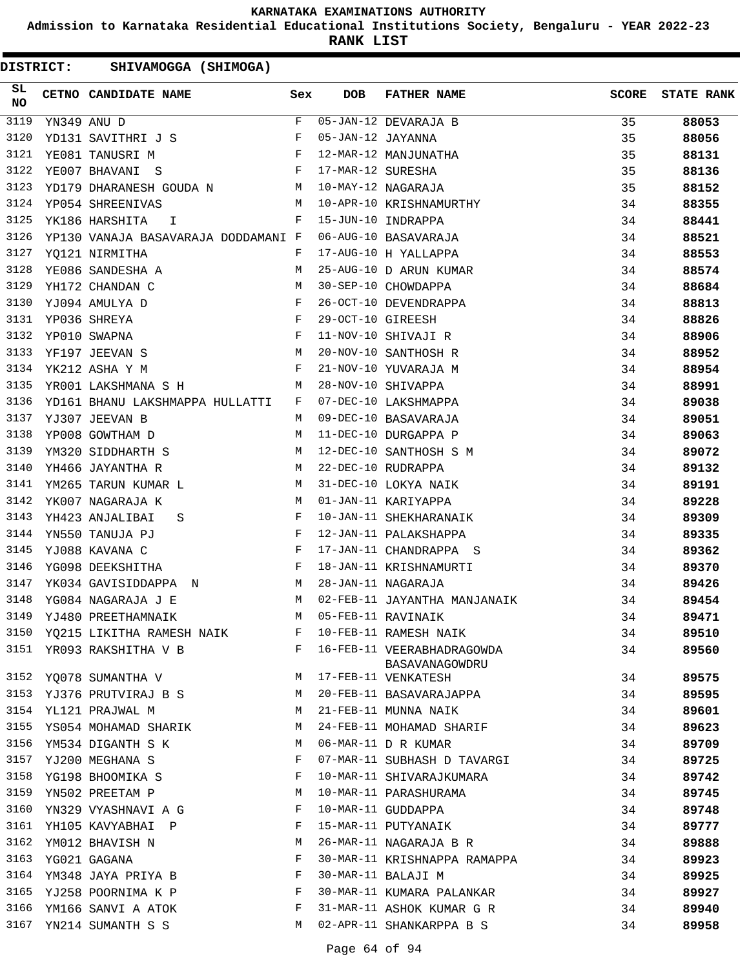**Admission to Karnataka Residential Educational Institutions Society, Bengaluru - YEAR 2022-23**

**RANK LIST**

| SL<br><b>NO</b> | CETNO CANDIDATE NAME                                                 | Sex | DOB                | <b>FATHER NAME</b>           | <b>SCORE</b> | <b>STATE RANK</b> |
|-----------------|----------------------------------------------------------------------|-----|--------------------|------------------------------|--------------|-------------------|
| 3119            | YN349 ANU D                                                          | F   |                    | 05-JAN-12 DEVARAJA B         | 35           | 88053             |
| 3120            | $\mathbf{F}$ and $\mathbf{F}$ and $\mathbf{F}$<br>YD131 SAVITHRI J S |     | 05-JAN-12 JAYANNA  |                              | 35           | 88056             |
| 3121            | $\mathbf{F}$<br>YE081 TANUSRI M                                      |     |                    | 12-MAR-12 MANJUNATHA         | 35           | 88131             |
| 3122            | $\mathbf{F}$ . The set of $\mathbf{F}$<br>YE007 BHAVANI S            |     | 17-MAR-12 SURESHA  |                              | 35           | 88136             |
| 3123            | YD179 DHARANESH GOUDA N M 10-MAY-12 NAGARAJA                         |     |                    |                              | 35           | 88152             |
| 3124            | <b>M</b><br>YP054 SHREENIVAS                                         |     |                    | 10-APR-10 KRISHNAMURTHY      | 34           | 88355             |
| 3125            | $\mathbb F$<br>YK186 HARSHITA<br>I.                                  |     |                    | 15-JUN-10 INDRAPPA           | 34           | 88441             |
| 3126            | YP130 VANAJA BASAVARAJA DODDAMANI F                                  |     |                    | 06-AUG-10 BASAVARAJA         | 34           | 88521             |
| 3127            | YQ121 NIRMITHA                                                       | F   |                    | 17-AUG-10 H YALLAPPA         | 34           | 88553             |
| 3128            | YE086 SANDESHA A                                                     | M   |                    | 25-AUG-10 D ARUN KUMAR       | 34           | 88574             |
| 3129            | YH172 CHANDAN C                                                      | M   |                    | 30-SEP-10 CHOWDAPPA          | 34           | 88684             |
| 3130            | YJ094 AMULYA D                                                       | F   |                    | 26-OCT-10 DEVENDRAPPA        | 34           | 88813             |
| 3131            | $\mathbf{F}$ and $\mathbf{F}$<br>YP036 SHREYA                        |     | 29-OCT-10 GIREESH  |                              | 34           | 88826             |
| 3132            | $\mathbf{F}$<br>YP010 SWAPNA                                         |     |                    | 11-NOV-10 SHIVAJI R          | 34           | 88906             |
| 3133            | M<br>YF197 JEEVAN S                                                  |     |                    | 20-NOV-10 SANTHOSH R         | 34           | 88952             |
| 3134            | YK212 ASHA Y M                                                       | F   |                    | 21-NOV-10 YUVARAJA M         | 34           | 88954             |
| 3135            | YR001 LAKSHMANA S H<br>$\mathbb{M}$                                  |     |                    | 28-NOV-10 SHIVAPPA           | 34           | 88991             |
| 3136            | YD161 BHANU LAKSHMAPPA HULLATTI                                      | F   |                    | 07-DEC-10 LAKSHMAPPA         | 34           | 89038             |
| 3137            | YJ307 JEEVAN B                                                       | M   |                    | 09-DEC-10 BASAVARAJA         | 34           | 89051             |
| 3138            | YP008 GOWTHAM D                                                      | M   |                    | 11-DEC-10 DURGAPPA P         | 34           | 89063             |
| 3139            | YM320 SIDDHARTH S<br><b>Example 19</b> M                             |     |                    | 12-DEC-10 SANTHOSH S M       | 34           | 89072             |
| 3140            | <b>M</b><br>YH466 JAYANTHA R                                         |     |                    | 22-DEC-10 RUDRAPPA           | 34           | 89132             |
| 3141            | YM265 TARUN KUMAR L                                                  | M   |                    | 31-DEC-10 LOKYA NAIK         | 34           | 89191             |
| 3142            | YK007 NAGARAJA K                                                     | M   |                    | 01-JAN-11 KARIYAPPA          | 34           | 89228             |
| 3143            | YH423 ANJALIBAI<br>S                                                 | F   |                    | 10-JAN-11 SHEKHARANAIK       | 34           | 89309             |
| 3144            | YN550 TANUJA PJ<br>and the state of the Fig.                         |     |                    | 12-JAN-11 PALAKSHAPPA        | 34           | 89335             |
| 3145            | $\mathbb{F}$ . The set of $\mathbb{F}^n$<br>YJ088 KAVANA C           |     |                    | 17-JAN-11 CHANDRAPPA S       | 34           | 89362             |
| 3146            | $\mathbf{F}$ and $\mathbf{F}$<br>YG098 DEEKSHITHA                    |     |                    | 18-JAN-11 KRISHNAMURTI       | 34           | 89370             |
| 3147            | YK034 GAVISIDDAPPA N<br>$\mathbf{M}$                                 |     | 28-JAN-11 NAGARAJA |                              | 34           | 89426             |
| 3148            | YG084 NAGARAJA J E                                                   | M   |                    | 02-FEB-11 JAYANTHA MANJANAIK | 34           | 89454             |
| 3149            | YJ480 PREETHAMNAIK                                                   | M   |                    | 05-FEB-11 RAVINAIK           | 34           | 89471             |
|                 | 3150 YQ215 LIKITHA RAMESH NAIK                                       | F   |                    | 10-FEB-11 RAMESH NAIK        | 34           | 89510             |
|                 | 3151 YR093 RAKSHITHA V B                                             |     |                    | F 16-FEB-11 VEERABHADRAGOWDA | 34           | 89560             |
|                 |                                                                      |     |                    | BASAVANAGOWDRU               |              |                   |
| 3152            | YQ078 SUMANTHA V                                                     | M   |                    | 17-FEB-11 VENKATESH          | 34           | 89575             |
| 3153            | YJ376 PRUTVIRAJ B S                                                  | M   |                    | 20-FEB-11 BASAVARAJAPPA      | 34           | 89595             |
| 3154            | YL121 PRAJWAL M                                                      | M   |                    | 21-FEB-11 MUNNA NAIK         | 34           | 89601             |
|                 | 3155 YS054 MOHAMAD SHARIK                                            | M   |                    | 24-FEB-11 MOHAMAD SHARIF     | 34           | 89623             |
| 3156            | YM534 DIGANTH S K                                                    | M   |                    | 06-MAR-11 D R KUMAR          | 34           | 89709             |
| 3157            | YJ200 MEGHANA S                                                      | F   |                    | 07-MAR-11 SUBHASH D TAVARGI  | 34           | 89725             |
| 3158            | YG198 BHOOMIKA S                                                     | F   |                    | 10-MAR-11 SHIVARAJKUMARA     | 34           | 89742             |
| 3159            | YN502 PREETAM P                                                      | М   |                    | 10-MAR-11 PARASHURAMA        | 34           | 89745             |
| 3160            | YN329 VYASHNAVI A G                                                  | F   |                    | 10-MAR-11 GUDDAPPA           | 34           | 89748             |
|                 | 3161 YH105 KAVYABHAI P                                               | F   |                    | 15-MAR-11 PUTYANAIK          | 34           | 89777             |
| 3162            | YM012 BHAVISH N                                                      | M   |                    | 26-MAR-11 NAGARAJA B R       | 34           | 89888             |
| 3163            | YG021 GAGANA                                                         | F   |                    | 30-MAR-11 KRISHNAPPA RAMAPPA | 34           | 89923             |
| 3164            | YM348 JAYA PRIYA B                                                   | F   |                    | 30-MAR-11 BALAJI M           | 34           | 89925             |
| 3165            | YJ258 POORNIMA K P                                                   | F   |                    | 30-MAR-11 KUMARA PALANKAR    | 34           | 89927             |
| 3166            | YM166 SANVI A ATOK                                                   | F   |                    | 31-MAR-11 ASHOK KUMAR G R    | 34           | 89940             |
|                 | 3167 YN214 SUMANTH S S                                               | M   |                    | 02-APR-11 SHANKARPPA B S     | 34           | 89958             |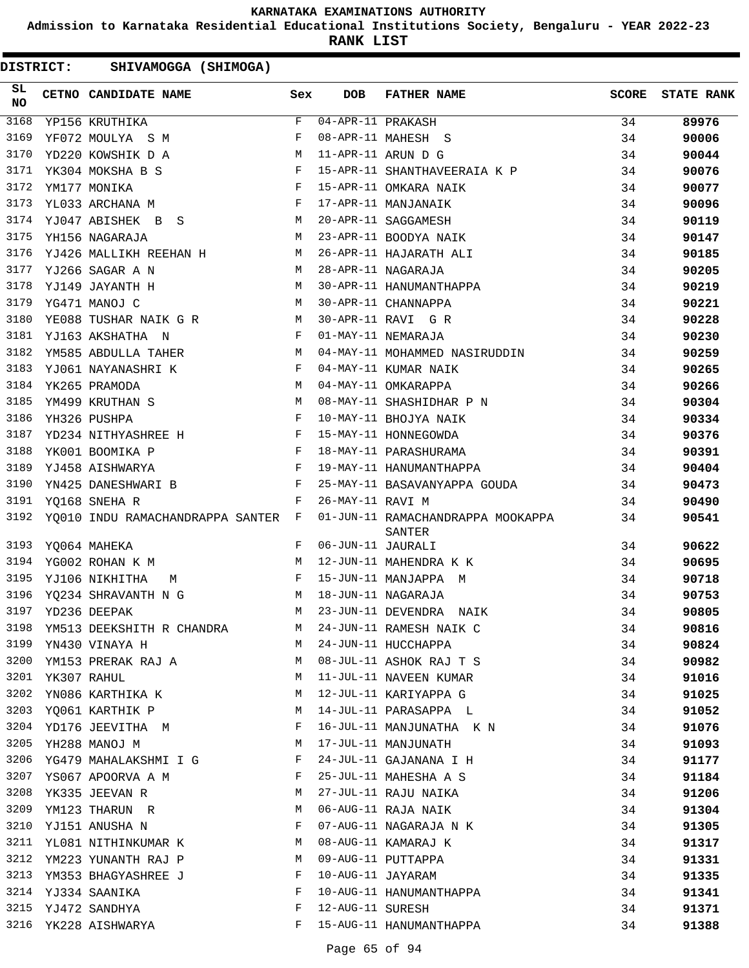**Admission to Karnataka Residential Educational Institutions Society, Bengaluru - YEAR 2022-23**

**RANK LIST**

| SL<br><b>NO</b> | <b>CETNO CANDIDATE NAME</b>                                                                                                              | Sex | <b>DOB</b>                         | <b>FATHER NAME</b>                          | SCORE | <b>STATE RANK</b> |
|-----------------|------------------------------------------------------------------------------------------------------------------------------------------|-----|------------------------------------|---------------------------------------------|-------|-------------------|
| 3168            | YP156 KRUTHIKA                                                                                                                           | F   | $\overline{04 - APR - 11}$ PRAKASH |                                             | 34    | 89976             |
| 3169            | YF072 MOULYA S M                                                                                                                         | F   |                                    | 08-APR-11 MAHESH S                          | 34    | 90006             |
| 3170            | YD220 KOWSHIK D A                                                                                                                        | М   |                                    | 11-APR-11 ARUN D G                          | 34    | 90044             |
| 3171            | YK304 MOKSHA B S                                                                                                                         | F   |                                    | 15-APR-11 SHANTHAVEERAIA K P                | 34    | 90076             |
| 3172            | YM177 MONIKA                                                                                                                             | F   |                                    | 15-APR-11 OMKARA NAIK                       | 34    | 90077             |
| 3173            | YL033 ARCHANA M                                                                                                                          | F   |                                    | 17-APR-11 MANJANAIK                         | 34    | 90096             |
| 3174            | YJ047 ABISHEK B S                                                                                                                        | M   |                                    | 20-APR-11 SAGGAMESH                         | 34    | 90119             |
| 3175            | YH156 NAGARAJA                                                                                                                           | M   |                                    | 23-APR-11 BOODYA NAIK                       | 34    | 90147             |
| 3176            | YJ426 MALLIKH REEHAN H                                                                                                                   | M   |                                    | 26-APR-11 HAJARATH ALI                      | 34    | 90185             |
| 3177            | YJ266 SAGAR A N                                                                                                                          | M   |                                    | 28-APR-11 NAGARAJA                          | 34    | 90205             |
| 3178            | YJ149 JAYANTH H                                                                                                                          | М   |                                    | 30-APR-11 HANUMANTHAPPA                     | 34    | 90219             |
| 3179            | M<br>YG471 MANOJ C                                                                                                                       |     |                                    | 30-APR-11 CHANNAPPA                         | 34    | 90221             |
| 3180            | YE088 TUSHAR NAIK G R                                                                                                                    | M   |                                    | 30-APR-11 RAVI G R                          | 34    | 90228             |
| 3181            | YJ163 AKSHATHA N                                                                                                                         | F   |                                    | 01-MAY-11 NEMARAJA                          | 34    | 90230             |
| 3182            | YM585 ABDULLA TAHER                                                                                                                      | M   |                                    | 04-MAY-11 MOHAMMED NASIRUDDIN               | 34    | 90259             |
| 3183            | YJ061 NAYANASHRI K                                                                                                                       | F   |                                    | 04-MAY-11 KUMAR NAIK                        | 34    | 90265             |
| 3184            | YK265 PRAMODA                                                                                                                            | M   |                                    | 04-MAY-11 OMKARAPPA                         | 34    | 90266             |
| 3185            | YM499 KRUTHAN S                                                                                                                          | M   |                                    | 08-MAY-11 SHASHIDHAR P N                    | 34    | 90304             |
| 3186            | YH326 PUSHPA                                                                                                                             | F   |                                    | 10-MAY-11 BHOJYA NAIK                       | 34    | 90334             |
| 3187            | $\mathbf{F}$ and $\mathbf{F}$<br>YD234 NITHYASHREE H                                                                                     |     |                                    | 15-MAY-11 HONNEGOWDA                        | 34    | 90376             |
| 3188            | <b>Experimental Street Except Street Street Street Street Street Street Street Street Street Street Street Street</b><br>YK001 BOOMIKA P |     |                                    | 18-MAY-11 PARASHURAMA                       | 34    | 90391             |
| 3189            | <b>Example 2</b><br>YJ458 AISHWARYA                                                                                                      |     |                                    | 19-MAY-11 HANUMANTHAPPA                     | 34    | 90404             |
| 3190            | YN425 DANESHWARI B                                                                                                                       | F   |                                    | 25-MAY-11 BASAVANYAPPA GOUDA                | 34    | 90473             |
| 3191            | YO168 SNEHA R                                                                                                                            | F   | 26-MAY-11 RAVI M                   |                                             | 34    | 90490             |
| 3192            | YQ010 INDU RAMACHANDRAPPA SANTER F                                                                                                       |     |                                    | 01-JUN-11 RAMACHANDRAPPA MOOKAPPA<br>SANTER | 34    | 90541             |
| 3193            | YQ064 MAHEKA                                                                                                                             | F   | 06-JUN-11 JAURALI                  |                                             | 34    | 90622             |
| 3194            | YG002 ROHAN K M                                                                                                                          | M   |                                    | 12-JUN-11 MAHENDRA K K                      | 34    | 90695             |
| 3195            | YJ106 NIKHITHA<br>М                                                                                                                      | F   |                                    | 15-JUN-11 MANJAPPA M                        | 34    | 90718             |
| 3196            | YQ234 SHRAVANTH N G                                                                                                                      | М   |                                    | 18-JUN-11 NAGARAJA                          | 34    | 90753             |
| 3197            | YD236 DEEPAK                                                                                                                             | M   |                                    | 23-JUN-11 DEVENDRA NAIK                     | 34    | 90805             |
| 3198            | YM513 DEEKSHITH R CHANDRA                                                                                                                | M   |                                    | 24-JUN-11 RAMESH NAIK C                     | 34    | 90816             |
| 3199            | YN430 VINAYA H                                                                                                                           | М   |                                    | 24-JUN-11 HUCCHAPPA                         | 34    | 90824             |
| 3200            | YM153 PRERAK RAJ A                                                                                                                       | M   |                                    | 08-JUL-11 ASHOK RAJ T S                     | 34    | 90982             |
| 3201            | YK307 RAHUL                                                                                                                              | М   |                                    | 11-JUL-11 NAVEEN KUMAR                      | 34    | 91016             |
| 3202            | YN086 KARTHIKA K                                                                                                                         | M   |                                    | 12-JUL-11 KARIYAPPA G                       | 34    | 91025             |
| 3203            | YQ061 KARTHIK P                                                                                                                          | M   |                                    | 14-JUL-11 PARASAPPA L                       | 34    | 91052             |
| 3204            | YD176 JEEVITHA M                                                                                                                         | F   |                                    | 16-JUL-11 MANJUNATHA K N                    | 34    | 91076             |
| 3205            | YH288 MANOJ M                                                                                                                            | М   |                                    | 17-JUL-11 MANJUNATH                         | 34    | 91093             |
| 3206            | YG479 MAHALAKSHMI I G                                                                                                                    | F   |                                    | 24-JUL-11 GAJANANA I H                      | 34    | 91177             |
| 3207            | YS067 APOORVA A M                                                                                                                        | F   |                                    | 25-JUL-11 MAHESHA A S                       | 34    | 91184             |
| 3208            | YK335 JEEVAN R                                                                                                                           | М   |                                    | 27-JUL-11 RAJU NAIKA                        | 34    | 91206             |
| 3209            | YM123 THARUN R                                                                                                                           | М   |                                    | 06-AUG-11 RAJA NAIK                         | 34    | 91304             |
| 3210            | YJ151 ANUSHA N                                                                                                                           | F   |                                    | 07-AUG-11 NAGARAJA N K                      | 34    | 91305             |
| 3211            | YL081 NITHINKUMAR K                                                                                                                      | M   |                                    | 08-AUG-11 KAMARAJ K                         | 34    | 91317             |
| 3212            | YM223 YUNANTH RAJ P                                                                                                                      | M   |                                    | 09-AUG-11 PUTTAPPA                          | 34    | 91331             |
| 3213            | YM353 BHAGYASHREE J                                                                                                                      | F   | 10-AUG-11 JAYARAM                  |                                             | 34    | 91335             |
| 3214            | YJ334 SAANIKA                                                                                                                            | F   |                                    | 10-AUG-11 HANUMANTHAPPA                     | 34    | 91341             |
| 3215            | YJ472 SANDHYA                                                                                                                            | F   | 12-AUG-11 SURESH                   |                                             | 34    | 91371             |
| 3216            | YK228 AISHWARYA                                                                                                                          | F   |                                    | 15-AUG-11 HANUMANTHAPPA                     | 34    | 91388             |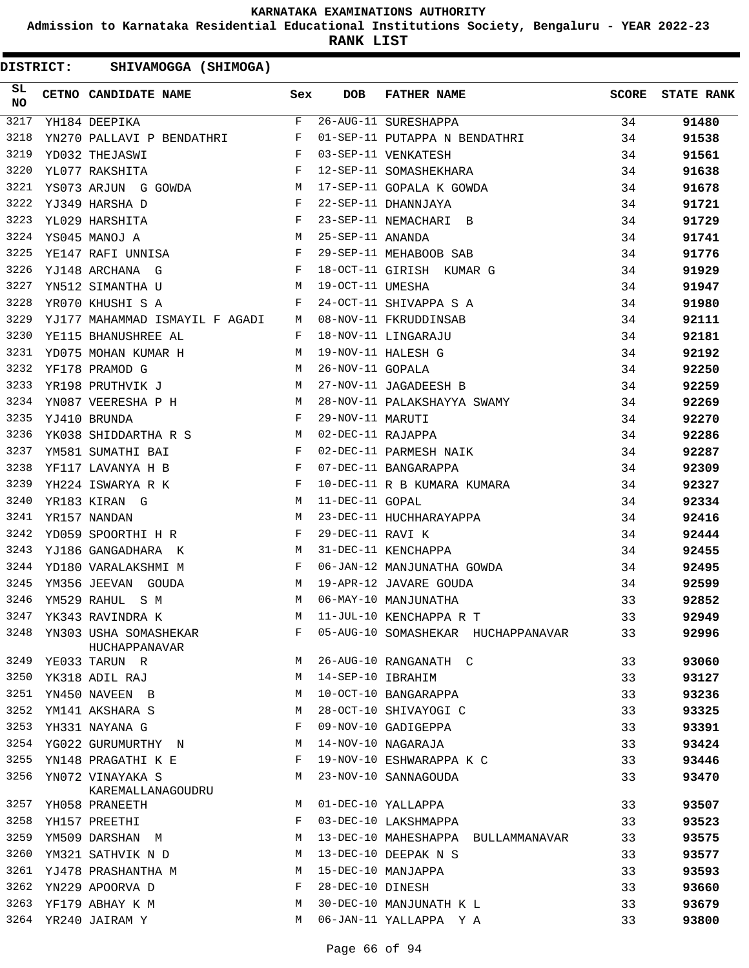**Admission to Karnataka Residential Educational Institutions Society, Bengaluru - YEAR 2022-23**

**RANK LIST**

| SL<br>NO | CETNO CANDIDATE NAME Sex                                                                                                                   |   | <b>DOB</b>        | FATHER NAME                                                                                                      | <b>SCORE</b> | <b>STATE RANK</b> |
|----------|--------------------------------------------------------------------------------------------------------------------------------------------|---|-------------------|------------------------------------------------------------------------------------------------------------------|--------------|-------------------|
| 3217     | $\overline{F}$<br>YH184 DEEPIKA                                                                                                            |   |                   | 26-AUG-11 SURESHAPPA 34                                                                                          |              | 91480             |
| 3218     | YN270 PALLAVI P BENDATHRI F                                                                                                                |   |                   | 01-SEP-11 PUTAPPA N BENDATHRI 34                                                                                 |              | 91538             |
| 3219     | $\mathbf{F}$ and $\mathbf{F}$ are the set of $\mathbf{F}$<br>YD032 THEJASWI                                                                |   |                   | 03-SEP-11 VENKATESH                                                                                              | 34           | 91561             |
| 3220     | $\mathbf{F}$<br>YL077 RAKSHITA                                                                                                             |   |                   |                                                                                                                  | 34           | 91638             |
| 3221     | YS073 ARJUN G GOWDA M                                                                                                                      |   |                   | 12-SEP-11 SOMASHEKHARA<br>17-SEP-11 GOPALA K GOWDA<br>22-SEP-11 DHANNJAYA                                        | 34           | 91678             |
| 3222     | YJ349 HARSHA D<br>YL029 HARSHITA F<br>YS045 MANOJ A M<br>YE147 RAFI UNNISA F<br>YE140 JRGUJNI A T                                          |   |                   |                                                                                                                  | 34           | 91721             |
| 3223     |                                                                                                                                            |   |                   | 23-SEP-11 NEMACHARI B                                                                                            | 34           | 91729             |
| 3224     |                                                                                                                                            |   |                   | 25-SEP-11 ANANDA<br>29-SEP-11 MEHABOOB SAB                                                                       | 34           | 91741             |
| 3225     |                                                                                                                                            |   |                   |                                                                                                                  | 34           | 91776             |
| 3226     | $\mathbf{F} = \mathbf{F} \times \mathbf{F}$<br>YJ148 ARCHANA G                                                                             |   |                   | 18-OCT-11 GIRISH KUMAR G                                                                                         | 34           | 91929             |
| 3227     | <b>Example 19</b> Manual Manual Manual Manual Manual Manual Manual Manual Manual Manual Manual Manual Manual Manual Ma<br>YN512 SIMANTHA U |   | 19-OCT-11 UMESHA  |                                                                                                                  | 34           | 91947             |
| 3228     | <b>Example 20 Service State</b><br>YR070 KHUSHI S A                                                                                        |   |                   |                                                                                                                  | 34           | 91980             |
| 3229     | YJ177 MAHAMMAD ISMAYIL F AGADI M                                                                                                           |   |                   | 24-OCT-11 SHIVAPPA S A<br>08-NOV-11 FKRUDDINSAB<br>18-NOV-11 LINGARAJU<br>19-NOV-11 HALESH G<br>26-NOV-11 GOPALA | 34           | 92111             |
| 3230     | YE115 BHANUSHREE AL                                                                                                                        | F |                   |                                                                                                                  | 34           | 92181             |
| 3231     | <b>M</b><br>YD075 MOHAN KUMAR H                                                                                                            |   |                   |                                                                                                                  | 34           | 92192             |
| 3232     | YF178 PRAMOD G M<br>YR198 PRUTHVIK J M                                                                                                     |   |                   |                                                                                                                  | 34           | 92250             |
| 3233     |                                                                                                                                            |   |                   | 27-NOV-11 JAGADEESH B                                                                                            | 34           | 92259             |
| 3234     | YN087 VEERESHA P H M                                                                                                                       |   |                   | 28-NOV-11 PALAKSHAYYA SWAMY                                                                                      | 34           | 92269             |
| 3235     | $\mathbf{F}$ and $\mathbf{F}$ and $\mathbf{F}$<br>YJ410 BRUNDA                                                                             |   |                   |                                                                                                                  | 34           | 92270             |
| 3236     | YK038 SHIDDARTHA R S M                                                                                                                     |   |                   | 29-NOV-11 MARUTI<br>02-DEC-11 RAJAPPA<br>02-DEC-11 PARMESH NAIK<br>07-DEC-11 BANGARAPPA                          | 34           | 92286             |
| 3237     | $\mathbb F$<br>YM581 SUMATHI BAI                                                                                                           |   |                   |                                                                                                                  | 34           | 92287             |
| 3238     | $\begin{array}{c}\n\ddots \\ \hline\n\end{array}$<br>YF117 LAVANYA H B                                                                     |   |                   |                                                                                                                  | 34           | 92309             |
| 3239     | $\mathbf{F}$ . The set of $\mathbf{F}$<br>YH224 ISWARYA R K                                                                                |   |                   | 10-DEC-11 R B KUMARA KUMARA                                                                                      | 34           | 92327             |
| 3240     |                                                                                                                                            |   | 11-DEC-11 GOPAL   |                                                                                                                  | 34           | 92334             |
| 3241     | YR183 KIRANG<br>YR157 NANDAN M<br>YD059 SPOORTHI HR                                                                                        |   |                   | 23-DEC-11 HUCHHARAYAPPA<br>29-DEC-11 RAVI K<br>31-DEC-11 KENCHAPPA                                               | 34           | 92416             |
| 3242     |                                                                                                                                            |   |                   |                                                                                                                  | 34           | 92444             |
| 3243     | <b>M</b><br>YJ186 GANGADHARA K                                                                                                             |   |                   |                                                                                                                  | 34           | 92455             |
| 3244     | YD180 VARALAKSHMI M                                                                                                                        | F |                   | 06-JAN-12 MANJUNATHA GOWDA                                                                                       | 34           | 92495             |
| 3245     | YM356 JEEVAN GOUDA                                                                                                                         | M |                   | 19-APR-12 JAVARE GOUDA                                                                                           | 34           | 92599             |
| 3246     | M <sub>N</sub><br>YM529 RAHUL S M                                                                                                          |   |                   | 06-MAY-10 MANJUNATHA                                                                                             | 33           | 92852             |
|          | 3247 YK343 RAVINDRA K                                                                                                                      | M |                   | 11-JUL-10 KENCHAPPA R T                                                                                          | 33           | 92949             |
| 3248     | YN303 USHA SOMASHEKAR<br>HUCHAPPANAVAR                                                                                                     | F |                   | 05-AUG-10 SOMASHEKAR HUCHAPPANAVAR                                                                               | 33           | 92996             |
| 3249     | YE033 TARUN R                                                                                                                              | М |                   | 26-AUG-10 RANGANATH C                                                                                            | 33           | 93060             |
| 3250     | YK318 ADIL RAJ                                                                                                                             | М | 14-SEP-10 IBRAHIM |                                                                                                                  | 33           | 93127             |
| 3251     | YN450 NAVEEN B                                                                                                                             | М |                   | 10-OCT-10 BANGARAPPA                                                                                             | 33           | 93236             |
| 3252     | YM141 AKSHARA S                                                                                                                            | М |                   | 28-OCT-10 SHIVAYOGI C                                                                                            | 33           | 93325             |
| 3253     | YH331 NAYANA G                                                                                                                             | F |                   | 09-NOV-10 GADIGEPPA                                                                                              | 33           | 93391             |
|          | 3254 YG022 GURUMURTHY N                                                                                                                    | М |                   | 14-NOV-10 NAGARAJA                                                                                               | 33           | 93424             |
| 3255     | YN148 PRAGATHI K E                                                                                                                         | F |                   | 19-NOV-10 ESHWARAPPA K C                                                                                         | 33           | 93446             |
| 3256     | YN072 VINAYAKA S<br>KAREMALLANAGOUDRU                                                                                                      | М |                   | 23-NOV-10 SANNAGOUDA                                                                                             | 33           | 93470             |
| 3257     | YH058 PRANEETH                                                                                                                             | M |                   | 01-DEC-10 YALLAPPA                                                                                               | 33           | 93507             |
| 3258     | YH157 PREETHI                                                                                                                              | F |                   | 03-DEC-10 LAKSHMAPPA                                                                                             | 33           | 93523             |
| 3259     | YM509 DARSHAN M                                                                                                                            | М |                   | 13-DEC-10 MAHESHAPPA BULLAMMANAVAR                                                                               | 33           | 93575             |
| 3260     | YM321 SATHVIK N D                                                                                                                          | М |                   | 13-DEC-10 DEEPAK N S                                                                                             | 33           | 93577             |
| 3261     | YJ478 PRASHANTHA M                                                                                                                         | М |                   | 15-DEC-10 MANJAPPA                                                                                               | 33           | 93593             |
| 3262     | YN229 APOORVA D                                                                                                                            | F | 28-DEC-10 DINESH  |                                                                                                                  | 33           | 93660             |
| 3263     | YF179 ABHAY K M                                                                                                                            | М |                   | 30-DEC-10 MANJUNATH K L                                                                                          | 33           | 93679             |
|          | 3264 YR240 JAIRAM Y                                                                                                                        | M |                   | 06-JAN-11 YALLAPPA Y A                                                                                           | 33           | 93800             |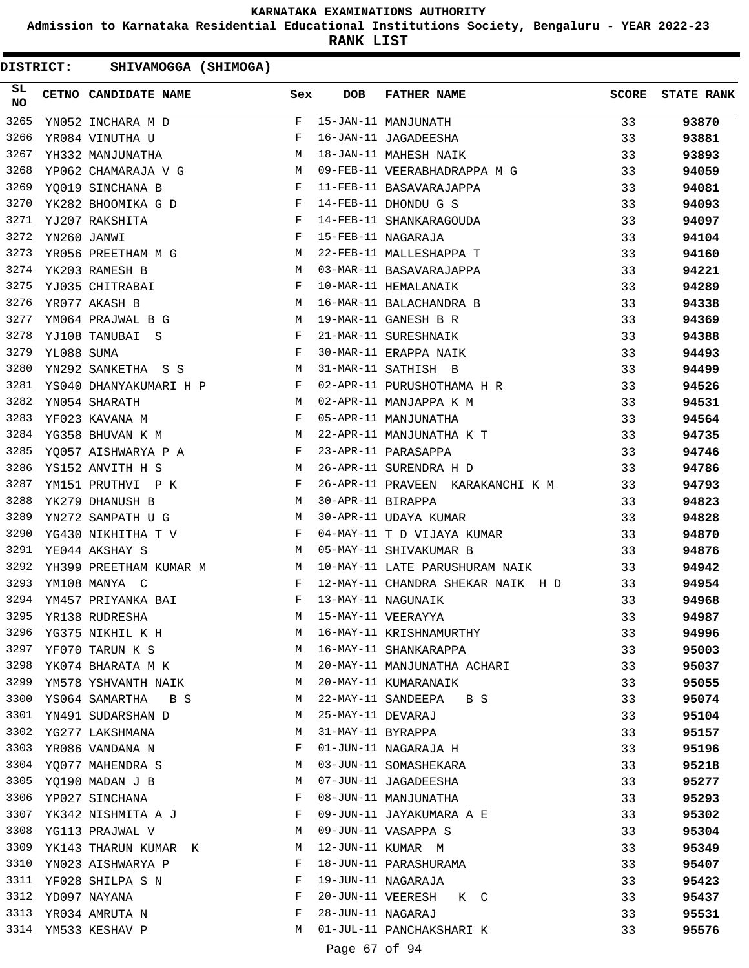**Admission to Karnataka Residential Educational Institutions Society, Bengaluru - YEAR 2022-23**

**RANK LIST**

| <b>DISTRICT:</b> |             | SHIVAMOGGA (SHIMOGA)   |                                                 |              |                   |                                   |              |                   |
|------------------|-------------|------------------------|-------------------------------------------------|--------------|-------------------|-----------------------------------|--------------|-------------------|
| SL.<br><b>NO</b> |             | CETNO CANDIDATE NAME   |                                                 | Sex          | <b>DOB</b>        | <b>FATHER NAME</b>                | <b>SCORE</b> | <b>STATE RANK</b> |
| 3265             |             | YN052 INCHARA M D      |                                                 | F            |                   | 15-JAN-11 MANJUNATH               | 33           | 93870             |
| 3266             |             | YR084 VINUTHA U        |                                                 | F            |                   | 16-JAN-11 JAGADEESHA              | 33           | 93881             |
| 3267             |             | YH332 MANJUNATHA       |                                                 | М            |                   | 18-JAN-11 MAHESH NAIK             | 33           | 93893             |
| 3268             |             | YP062 CHAMARAJA V G    |                                                 | M            |                   | 09-FEB-11 VEERABHADRAPPA M G      | 33           | 94059             |
| 3269             |             | YO019 SINCHANA B       |                                                 | F            |                   | 11-FEB-11 BASAVARAJAPPA           | 33           | 94081             |
| 3270             |             | YK282 BHOOMIKA G D     | $\mathbf{F}$ and the contract of $\mathbf{F}$ . |              |                   | 14-FEB-11 DHONDU G S              | 33           | 94093             |
| 3271             |             | YJ207 RAKSHITA         |                                                 | $\mathbf{F}$ |                   | 14-FEB-11 SHANKARAGOUDA           | 33           | 94097             |
| 3272             | YN260 JANWI |                        |                                                 | F            |                   | 15-FEB-11 NAGARAJA                | 33           | 94104             |
| 3273             |             | YR056 PREETHAM M G     |                                                 | М            |                   | 22-FEB-11 MALLESHAPPA T           | 33           | 94160             |
| 3274             |             | YK203 RAMESH B         |                                                 | M            |                   | 03-MAR-11 BASAVARAJAPPA           | 33           | 94221             |
| 3275             |             | YJ035 CHITRABAI        |                                                 | F            |                   | 10-MAR-11 HEMALANAIK              | 33           | 94289             |
| 3276             |             | YR077 AKASH B          |                                                 | М            |                   | 16-MAR-11 BALACHANDRA B           | 33           | 94338             |
| 3277             |             | YM064 PRAJWAL B G      | <b>M</b>                                        |              |                   | 19-MAR-11 GANESH B R              | 33           | 94369             |
| 3278             |             | YJ108 TANUBAI S        |                                                 | $\mathbf{F}$ |                   | 21-MAR-11 SURESHNAIK              | 33           | 94388             |
| 3279             | YL088 SUMA  |                        |                                                 | F            |                   | 30-MAR-11 ERAPPA NAIK             | 33           | 94493             |
| 3280             |             | YN292 SANKETHA S S     |                                                 | М            |                   | 31-MAR-11 SATHISH B               | 33           | 94499             |
| 3281             |             | YS040 DHANYAKUMARI H P |                                                 | F            |                   | 02-APR-11 PURUSHOTHAMA H R        | 33           | 94526             |
| 3282             |             | YN054 SHARATH          |                                                 | М            |                   | 02-APR-11 MANJAPPA K M            | 33           | 94531             |
| 3283             |             | YF023 KAVANA M         |                                                 | F            |                   | 05-APR-11 MANJUNATHA              | 33           | 94564             |
| 3284             |             | YG358 BHUVAN K M       |                                                 | М            |                   | 22-APR-11 MANJUNATHA K T          | 33           | 94735             |
| 3285             |             | YQ057 AISHWARYA P A    |                                                 | F            |                   | 23-APR-11 PARASAPPA               | 33           | 94746             |
| 3286             |             | YS152 ANVITH H S       |                                                 | M            |                   | 26-APR-11 SURENDRA H D            | 33           | 94786             |
| 3287             |             | YM151 PRUTHVI P K      |                                                 | F            |                   | 26-APR-11 PRAVEEN KARAKANCHI K M  | 33           | 94793             |
| 3288             |             | YK279 DHANUSH B        |                                                 | M            | 30-APR-11 BIRAPPA |                                   | 33           | 94823             |
| 3289             |             | YN272 SAMPATH U G      |                                                 | М            |                   | 30-APR-11 UDAYA KUMAR             | 33           | 94828             |
| 3290             |             | YG430 NIKHITHA T V     |                                                 | F            |                   | 04-MAY-11 T D VIJAYA KUMAR        | 33           | 94870             |
| 3291             |             | YE044 AKSHAY S         |                                                 | M            |                   | 05-MAY-11 SHIVAKUMAR B            | 33           | 94876             |
| 3292             |             | YH399 PREETHAM KUMAR M |                                                 | M            |                   | 10-MAY-11 LATE PARUSHURAM NAIK    | 33           | 94942             |
| 3293             |             | YM108 MANYA C          |                                                 | F            |                   | 12-MAY-11 CHANDRA SHEKAR NAIK H D | 33           | 94954             |
| 3294             |             | YM457 PRIYANKA BAI     |                                                 | F            |                   | 13-MAY-11 NAGUNAIK                | 33           | 94968             |
| 3295             |             | YR138 RUDRESHA         |                                                 | М            |                   | 15-MAY-11 VEERAYYA                | 33           | 94987             |
| 3296             |             | YG375 NIKHIL K H       |                                                 | M            |                   | 16-MAY-11 KRISHNAMURTHY           | 33           | 94996             |
| 3297             |             | YF070 TARUN K S        |                                                 | M            |                   | 16-MAY-11 SHANKARAPPA             | 33           | 95003             |
| 3298             |             | YK074 BHARATA M K      |                                                 | M            |                   | 20-MAY-11 MANJUNATHA ACHARI       | 33           | 95037             |
| 3299             |             | YM578 YSHVANTH NAIK    |                                                 | M            |                   | 20-MAY-11 KUMARANAIK              | 33           | 95055             |
| 3300             |             | YS064 SAMARTHA B S     |                                                 | M            |                   | 22-MAY-11 SANDEEPA B S            | 33           | 95074             |
| 3301             |             | YN491 SUDARSHAN D      |                                                 | М            | 25-MAY-11 DEVARAJ |                                   | 33           | 95104             |
| 3302             |             | YG277 LAKSHMANA        |                                                 | М            | 31-MAY-11 BYRAPPA |                                   | 33           | 95157             |
| 3303             |             | YR086 VANDANA N        |                                                 | F            |                   | 01-JUN-11 NAGARAJA H              | 33           | 95196             |
| 3304             |             | YQ077 MAHENDRA S       |                                                 | М            |                   | 03-JUN-11 SOMASHEKARA             | 33           | 95218             |
| 3305             |             | YQ190 MADAN J B        |                                                 | M            |                   | 07-JUN-11 JAGADEESHA              | 33           | 95277             |
| 3306             |             | YP027 SINCHANA         |                                                 | F            |                   | 08-JUN-11 MANJUNATHA              | 33           | 95293             |
| 3307             |             | YK342 NISHMITA A J     |                                                 | F            |                   | 09-JUN-11 JAYAKUMARA A E          | 33           | 95302             |
| 3308             |             | YG113 PRAJWAL V        |                                                 | М            |                   | 09-JUN-11 VASAPPA S               | 33           | 95304             |
| 3309             |             | YK143 THARUN KUMAR K   |                                                 | M            |                   | 12-JUN-11 KUMAR M                 | 33           | 95349             |
| 3310             |             | YN023 AISHWARYA P      |                                                 | F            |                   | 18-JUN-11 PARASHURAMA             | 33           | 95407             |
|                  |             | 3311 YF028 SHILPA S N  |                                                 | F            |                   | 19-JUN-11 NAGARAJA                | 33           | 95423             |
|                  |             | 3312 YD097 NAYANA      |                                                 | F            |                   | 20-JUN-11 VEERESH K C             | 33           | 95437             |
| 3313             |             | YR034 AMRUTA N         |                                                 | F            | 28-JUN-11 NAGARAJ |                                   | 33           | 95531             |
| 3314             |             | YM533 KESHAV P         |                                                 | M            |                   | 01-JUL-11 PANCHAKSHARI K          | 33           | 95576             |
|                  |             |                        |                                                 |              | Page 67 of 94     |                                   |              |                   |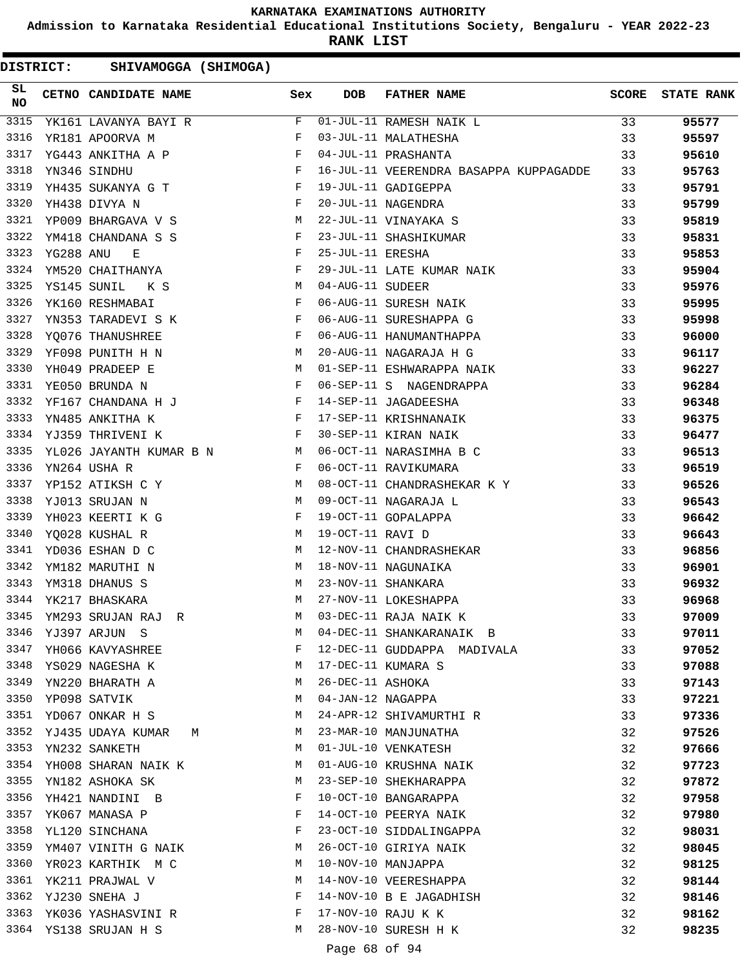**Admission to Karnataka Residential Educational Institutions Society, Bengaluru - YEAR 2022-23**

**RANK LIST**

| <b>DISTRICT:</b> |           | SHIVAMOGGA (SHIMOGA)     |                     |              |                   |                                        |              |                   |
|------------------|-----------|--------------------------|---------------------|--------------|-------------------|----------------------------------------|--------------|-------------------|
| SL<br><b>NO</b>  |           | CETNO CANDIDATE NAME     |                     | Sex          | <b>DOB</b>        | <b>FATHER NAME</b>                     | <b>SCORE</b> | <b>STATE RANK</b> |
| 3315             |           | YK161 LAVANYA BAYI R     |                     | F            |                   | 01-JUL-11 RAMESH NAIK L                | 33           | 95577             |
| 3316             |           | YR181 APOORVA M          |                     | F            |                   | 03-JUL-11 MALATHESHA                   | 33           | 95597             |
| 3317             |           | YG443 ANKITHA A P        |                     | F            |                   | 04-JUL-11 PRASHANTA                    | 33           | 95610             |
| 3318             |           | YN346 SINDHU             |                     | F            |                   | 16-JUL-11 VEERENDRA BASAPPA KUPPAGADDE | 33           | 95763             |
| 3319             |           | YH435 SUKANYA G T        |                     | $\mathbf{F}$ |                   | 19-JUL-11 GADIGEPPA                    | 33           | 95791             |
| 3320             |           | YH438 DIVYA N            |                     | F            |                   | 20-JUL-11 NAGENDRA                     | 33           | 95799             |
| 3321             |           | YP009 BHARGAVA V S       |                     | M            |                   | 22-JUL-11 VINAYAKA S                   | 33           | 95819             |
| 3322             |           | YM418 CHANDANA S S       |                     | F            |                   | 23-JUL-11 SHASHIKUMAR                  | 33           | 95831             |
| 3323             | YG288 ANU | Е                        |                     | F            | 25-JUL-11 ERESHA  |                                        | 33           | 95853             |
| 3324             |           | YM520 CHAITHANYA         |                     | F            |                   | 29-JUL-11 LATE KUMAR NAIK              | 33           | 95904             |
| 3325             |           | YS145 SUNIL<br>K S       |                     | M            | 04-AUG-11 SUDEER  |                                        | 33           | 95976             |
| 3326             |           | YK160 RESHMABAI          |                     | F            |                   | 06-AUG-11 SURESH NAIK                  | 33           | 95995             |
| 3327             |           | YN353 TARADEVI S K       |                     | F            |                   | 06-AUG-11 SURESHAPPA G                 | 33           | 95998             |
| 3328             |           | YQ076 THANUSHREE         |                     | $\mathbf{F}$ |                   | 06-AUG-11 HANUMANTHAPPA                | 33           | 96000             |
| 3329             |           | YF098 PUNITH H N         |                     | M            |                   | 20-AUG-11 NAGARAJA H G                 | 33           | 96117             |
| 3330             |           | YH049 PRADEEP E          |                     | M            |                   | 01-SEP-11 ESHWARAPPA NAIK              | 33           | 96227             |
| 3331             |           | YE050 BRUNDA N           |                     | F            |                   | 06-SEP-11 S NAGENDRAPPA                | 33           | 96284             |
| 3332             |           | YF167 CHANDANA H J F     |                     |              |                   | 14-SEP-11 JAGADEESHA                   | 33           | 96348             |
| 3333             |           | YN485 ANKITHA K          |                     | $\mathbf{F}$ |                   | 17-SEP-11 KRISHNANAIK                  | 33           | 96375             |
| 3334             |           | YJ359 THRIVENI K         |                     | F            |                   | 30-SEP-11 KIRAN NAIK                   | 33           | 96477             |
| 3335             |           | YL026 JAYANTH KUMAR B N  | <b>Example 19</b> M |              |                   | 06-OCT-11 NARASIMHA B C                | 33           | 96513             |
| 3336             |           | YN264 USHA R             |                     | F            |                   | 06-OCT-11 RAVIKUMARA                   | 33           | 96519             |
| 3337             |           | YP152 ATIKSH C Y         |                     | M            |                   | 08-OCT-11 CHANDRASHEKAR K Y            | 33           | 96526             |
| 3338             |           | YJ013 SRUJAN N           |                     | M            |                   | 09-OCT-11 NAGARAJA L                   | 33           | 96543             |
| 3339             |           | YH023 KEERTI K G         |                     | F            |                   | 19-OCT-11 GOPALAPPA                    | 33           | 96642             |
| 3340             |           | YQ028 KUSHAL R           |                     | М            | 19-OCT-11 RAVI D  |                                        | 33           | 96643             |
| 3341             |           | YD036 ESHAN D C          |                     | M            |                   | 12-NOV-11 CHANDRASHEKAR                | 33           | 96856             |
| 3342             |           | YM182 MARUTHI N          |                     | М            |                   | 18-NOV-11 NAGUNAIKA                    | 33           | 96901             |
| 3343             |           | YM318 DHANUS S           |                     | М            |                   | 23-NOV-11 SHANKARA                     | 33           | 96932             |
| 3344             |           | YK217 BHASKARA           |                     | M            |                   | 27-NOV-11 LOKESHAPPA                   | 33           | 96968             |
|                  |           | 3345 YM293 SRUJAN RAJ R  |                     | M            |                   | 03-DEC-11 RAJA NAIK K                  | 33           | 97009             |
| 3346             |           | YJ397 ARJUN S            |                     | M            |                   | 04-DEC-11 SHANKARANAIK B               | 33           | 97011             |
| 3347             |           | YH066 KAVYASHREE         |                     | F            |                   | 12-DEC-11 GUDDAPPA MADIVALA            | 33           | 97052             |
| 3348             |           | YS029 NAGESHA K          |                     | M            |                   | 17-DEC-11 KUMARA S                     | 33           | 97088             |
|                  |           | 3349 YN220 BHARATH A     |                     | M            | 26-DEC-11 ASHOKA  |                                        | 33           | 97143             |
| 3350             |           | YP098 SATVIK             |                     | M            | 04-JAN-12 NAGAPPA |                                        | 33           | 97221             |
| 3351             |           | YD067 ONKAR H S          |                     | M            |                   | 24-APR-12 SHIVAMURTHI R                | 33           | 97336             |
| 3352             |           | YJ435 UDAYA KUMAR M      |                     | M            |                   | 23-MAR-10 MANJUNATHA                   | 32           | 97526             |
|                  |           | 3353 YN232 SANKETH       |                     | M            |                   | 01-JUL-10 VENKATESH                    | 32           | 97666             |
|                  |           | 3354 YH008 SHARAN NAIK K |                     | M            |                   | 01-AUG-10 KRUSHNA NAIK                 | 32           | 97723             |
| 3355             |           | YN182 ASHOKA SK          |                     | M            |                   | 23-SEP-10 SHEKHARAPPA                  | 32           | 97872             |
| 3356             |           | YH421 NANDINI B          |                     | F            |                   | 10-OCT-10 BANGARAPPA                   | 32           | 97958             |
| 3357             |           | YK067 MANASA P           |                     | F            |                   | 14-OCT-10 PEERYA NAIK                  | 32           | 97980             |
| 3358             |           | YL120 SINCHANA           |                     | F            |                   | 23-OCT-10 SIDDALINGAPPA                | 32           | 98031             |
| 3359             |           | YM407 VINITH G NAIK      |                     | M            |                   | 26-OCT-10 GIRIYA NAIK                  | 32           | 98045             |
| 3360             |           | YR023 KARTHIK M C        |                     | M            |                   | 10-NOV-10 MANJAPPA                     | 32           | 98125             |
|                  |           | 3361 YK211 PRAJWAL V     |                     | М            |                   | 14-NOV-10 VEERESHAPPA                  | 32           | 98144             |
|                  |           | 3362 YJ230 SNEHA J       |                     | F            |                   | 14-NOV-10 B E JAGADHISH                | 32           | 98146             |
|                  |           | 3363 YK036 YASHASVINI R  |                     | F            |                   | 17-NOV-10 RAJU K K                     | 32           | 98162             |
|                  |           | 3364 YS138 SRUJAN H S    |                     | M            |                   | 28-NOV-10 SURESH H K                   | 32           | 98235             |
|                  |           |                          |                     |              | Page 68 of 94     |                                        |              |                   |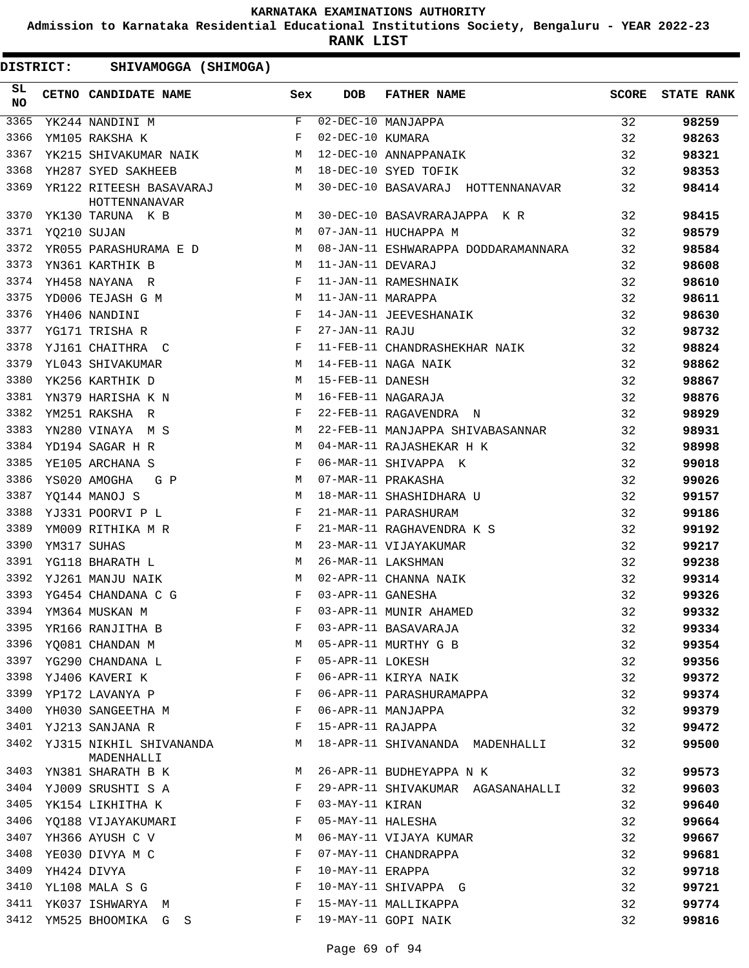**Admission to Karnataka Residential Educational Institutions Society, Bengaluru - YEAR 2022-23**

**RANK LIST**

| SL<br>NO | CETNO CANDIDATE NAME                                               | Sex          | DOB               | FATHER NAME                         | SCORE | <b>STATE RANK</b> |
|----------|--------------------------------------------------------------------|--------------|-------------------|-------------------------------------|-------|-------------------|
| 3365     | YK244 NANDINI M                                                    | F            |                   | $02-\text{DEC}-10$ MANJAPPA         | 32    | 98259             |
| 3366     | YM105 RAKSHA K                                                     | F            | 02-DEC-10 KUMARA  |                                     | 32    | 98263             |
| 3367     | YK215 SHIVAKUMAR NAIK M                                            |              |                   | 12-DEC-10 ANNAPPANAIK               | 32    | 98321             |
| 3368     | YH287 SYED SAKHEEB                                                 |              |                   | M 18-DEC-10 SYED TOFIK              | 32    | 98353             |
| 3369     | YR122 RITEESH BASAVARAJ M<br>HOTTENNANAVAR                         |              |                   | 30-DEC-10 BASAVARAJ HOTTENNANAVAR   | 32    | 98414             |
| 3370     | M<br>YK130 TARUNA K B                                              |              |                   | 30-DEC-10 BASAVRARAJAPPA K R        | 32    | 98415             |
| 3371     | <b>M</b><br>YQ210 SUJAN                                            |              |                   | 07-JAN-11 HUCHAPPA M                | 32    | 98579             |
| 3372     | YR055 PARASHURAMA E D M                                            |              |                   | 08-JAN-11 ESHWARAPPA DODDARAMANNARA | 32    | 98584             |
| 3373     | YN361 KARTHIK B                                                    | M            | 11-JAN-11 DEVARAJ |                                     | 32    | 98608             |
| 3374     | YH458 NAYANA R                                                     | F            |                   | 11-JAN-11 RAMESHNAIK                | 32    | 98610             |
| 3375     | YD006 TEJASH G M<br><b>Example 20</b> M                            |              | 11-JAN-11 MARAPPA |                                     | 32    | 98611             |
| 3376     | YH406 NANDINI                                                      | F            |                   | 14-JAN-11 JEEVESHANAIK              | 32    | 98630             |
| 3377     | YG171 TRISHA R                                                     | $\mathbf{F}$ | 27-JAN-11 RAJU    |                                     | 32    | 98732             |
| 3378     | YJ161 CHAITHRA C                                                   | F            |                   | 11-FEB-11 CHANDRASHEKHAR NAIK       | 32    | 98824             |
| 3379     | YL043 SHIVAKUMAR<br>M <sub>1</sub>                                 |              |                   | 14-FEB-11 NAGA NAIK                 | 32    | 98862             |
| 3380     | YK256 KARTHIK D                                                    | M            | 15-FEB-11 DANESH  |                                     | 32    | 98867             |
| 3381     | M <sub>N</sub><br>YN379 HARISHA K N                                |              |                   | 16-FEB-11 NAGARAJA                  | 32    | 98876             |
| 3382     | YM251 RAKSHA R                                                     | F            |                   | 22-FEB-11 RAGAVENDRA N              | 32    | 98929             |
| 3383     | YN280 VINAYA M S                                                   | M            |                   | 22-FEB-11 MANJAPPA SHIVABASANNAR    | 32    | 98931             |
| 3384     | YD194 SAGAR H R                                                    | M            |                   | 04-MAR-11 RAJASHEKAR H K            | 32    | 98998             |
| 3385     | YE105 ARCHANA S                                                    | F            |                   | 06-MAR-11 SHIVAPPA K                | 32    | 99018             |
| 3386     | YS020 AMOGHA<br>G P                                                | M            |                   | 07-MAR-11 PRAKASHA                  | 32    | 99026             |
| 3387     | YQ144 MANOJ S                                                      | M            |                   | 18-MAR-11 SHASHIDHARA U             | 32    | 99157             |
| 3388     | $\mathbf{F}$ and $\mathbf{F}$ and $\mathbf{F}$<br>YJ331 POORVI P L |              |                   | 21-MAR-11 PARASHURAM                | 32    | 99186             |
| 3389     | $\mathbb F$<br>YM009 RITHIKA M R                                   |              |                   | 21-MAR-11 RAGHAVENDRA K S           | 32    | 99192             |
| 3390     | YM317 SUHAS                                                        | M            |                   | 23-MAR-11 VIJAYAKUMAR               | 32    | 99217             |
| 3391     | YG118 BHARATH L                                                    | M            |                   | 26-MAR-11 LAKSHMAN                  | 32    | 99238             |
| 3392     | YJ261 MANJU NAIK                                                   | M            |                   | 02-APR-11 CHANNA NAIK               | 32    | 99314             |
| 3393     | YG454 CHANDANA C G                                                 | $\mathbf{F}$ | 03-APR-11 GANESHA |                                     | 32    | 99326             |
|          | 3394 YM364 MUSKAN M                                                | F            |                   | 03-APR-11 MUNIR AHAMED              | 32    | 99332             |
| 3395     | YR166 RANJITHA B                                                   | $\rm F$      |                   | 03-APR-11 BASAVARAJA                | 32    | 99334             |
| 3396     | YQ081 CHANDAN M                                                    | М            |                   | 05-APR-11 MURTHY G B                | 32    | 99354             |
| 3397     | YG290 CHANDANA L                                                   | F            | 05-APR-11 LOKESH  |                                     | 32    | 99356             |
| 3398     | YJ406 KAVERI K                                                     | F            |                   | 06-APR-11 KIRYA NAIK                | 32    | 99372             |
| 3399     | YP172 LAVANYA P                                                    | F            |                   | 06-APR-11 PARASHURAMAPPA            | 32    | 99374             |
| 3400     | YH030 SANGEETHA M                                                  | F            |                   | 06-APR-11 MANJAPPA                  | 32    | 99379             |
| 3401     | YJ213 SANJANA R                                                    | F            | 15-APR-11 RAJAPPA |                                     | 32    | 99472             |
| 3402     | YJ315 NIKHIL SHIVANANDA<br>MADENHALLI                              | M            |                   | 18-APR-11 SHIVANANDA MADENHALLI     | 32    | 99500             |
| 3403     | YN381 SHARATH B K                                                  | М            |                   | 26-APR-11 BUDHEYAPPA N K            | 32    | 99573             |
| 3404     | YJ009 SRUSHTI S A                                                  | F            |                   | 29-APR-11 SHIVAKUMAR AGASANAHALLI   | 32    | 99603             |
| 3405     | YK154 LIKHITHA K                                                   | F            | 03-MAY-11 KIRAN   |                                     | 32    | 99640             |
| 3406     | YQ188 VIJAYAKUMARI                                                 | F            | 05-MAY-11 HALESHA |                                     | 32    | 99664             |
| 3407     | YH366 AYUSH C V                                                    | М            |                   | 06-MAY-11 VIJAYA KUMAR              | 32    | 99667             |
| 3408     | YE030 DIVYA M C                                                    | F            |                   | 07-MAY-11 CHANDRAPPA                | 32    | 99681             |
| 3409     | YH424 DIVYA                                                        | F            | 10-MAY-11 ERAPPA  |                                     | 32    | 99718             |
| 3410     | YL108 MALA S G                                                     | F            |                   | 10-MAY-11 SHIVAPPA G                | 32    | 99721             |
| 3411     | YK037 ISHWARYA M                                                   | F            |                   | 15-MAY-11 MALLIKAPPA                | 32    | 99774             |
| 3412     | YM525 BHOOMIKA G S                                                 | F            |                   | 19-MAY-11 GOPI NAIK                 | 32    | 99816             |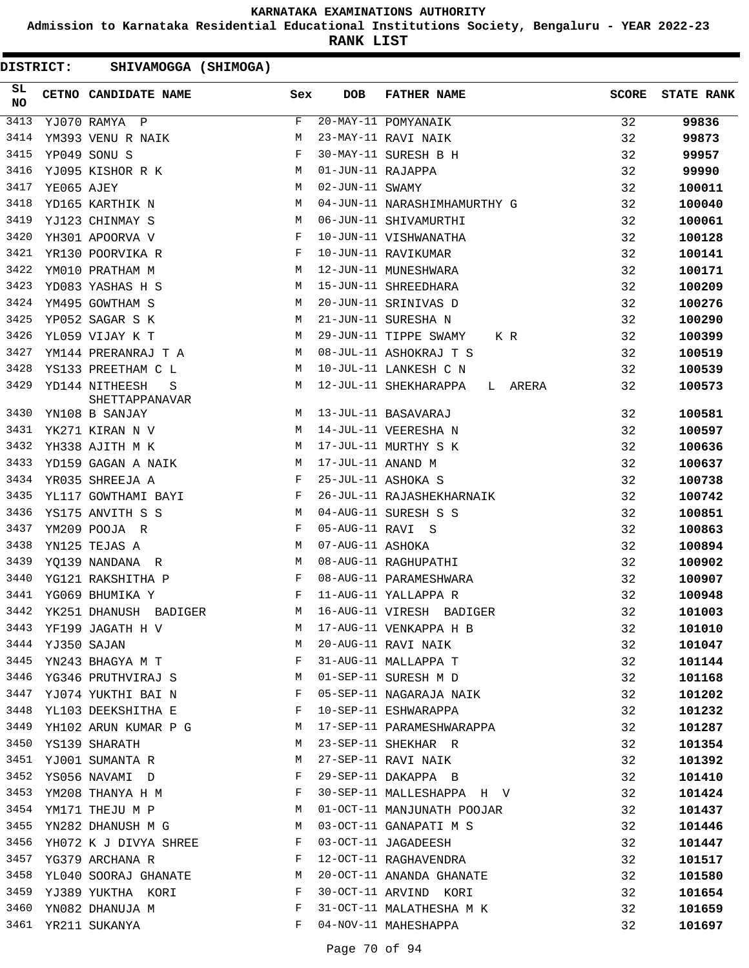**Admission to Karnataka Residential Educational Institutions Society, Bengaluru - YEAR 2022-23**

**RANK LIST**

| 3413<br>20-MAY-11 POMYANAIK<br>F<br>32<br>99836<br>YJ070 RAMYA P<br>3414<br>YM393 VENU R NAIK<br>М<br>23-MAY-11 RAVI NAIK<br>32<br>99873<br>3415<br>30-MAY-11 SURESH B H<br>YP049 SONU S<br>F<br>32<br>99957<br>3416<br>YJ095 KISHOR R K<br>M<br>01-JUN-11 RAJAPPA<br>32<br>99990<br>3417<br>02-JUN-11 SWAMY<br>YE065 AJEY<br>M<br>32<br>100011<br>3418<br>YD165 KARTHIK N<br>M<br>04-JUN-11 NARASHIMHAMURTHY G<br>32<br>100040<br>3419<br>YJ123 CHINMAY S<br>M<br>06-JUN-11 SHIVAMURTHI<br>32<br>100061<br>3420<br>32<br>YH301 APOORVA V<br>F<br>10-JUN-11 VISHWANATHA<br>100128<br>3421<br>32<br>YR130 POORVIKA R<br>F<br>10-JUN-11 RAVIKUMAR<br>100141<br>3422<br>YM010 PRATHAM M<br>12-JUN-11 MUNESHWARA<br>32<br>100171<br>M<br>3423<br>32<br>YD083 YASHAS H S<br>M<br>15-JUN-11 SHREEDHARA<br>100209<br>3424<br>YM495 GOWTHAM S<br>M<br>20-JUN-11 SRINIVAS D<br>32<br>100276<br>3425<br>YP052 SAGAR S K<br>M<br>21-JUN-11 SURESHA N<br>32<br>100290<br>3426<br>YL059 VIJAY K T<br>M<br>29-JUN-11 TIPPE SWAMY<br>32<br>100399<br>K R<br>3427<br>YM144 PRERANRAJ T A<br>M<br>08-JUL-11 ASHOKRAJ T S<br>32<br>100519<br>3428<br>YS133 PREETHAM C L<br>М<br>10-JUL-11 LANKESH C N<br>32<br>100539<br>3429<br>YD144 NITHEESH<br>М<br>12-JUL-11 SHEKHARAPPA<br>32<br>L ARERA<br>100573<br>S<br>SHETTAPPANAVAR<br>3430<br>32<br>М<br>13-JUL-11 BASAVARAJ<br>100581<br>YN108 B SANJAY<br>3431<br>32<br>YK271 KIRAN N V<br><b>M</b><br>14-JUL-11 VEERESHA N<br>100597<br>3432<br>17-JUL-11 MURTHY S K<br>32<br>YH338 AJITH M K<br>100636<br>M<br>3433<br>17-JUL-11 ANAND M<br>32<br>M<br>YD159 GAGAN A NAIK<br>100637<br>3434<br>YR035 SHREEJA A<br>F<br>25-JUL-11 ASHOKA S<br>32<br>100738<br>3435<br>YL117 GOWTHAMI BAYI<br>F<br>26-JUL-11 RAJASHEKHARNAIK<br>32<br>100742<br>3436<br>YS175 ANVITH S S<br>M<br>04-AUG-11 SURESH S S<br>32<br>100851<br>3437<br>F<br>05-AUG-11 RAVI S<br>32<br>YM209 POOJA R<br>100863<br>3438<br>32<br>YN125 TEJAS A<br>M<br>07-AUG-11 ASHOKA<br>100894<br>3439<br>YQ139 NANDANA R<br>M<br>08-AUG-11 RAGHUPATHI<br>32<br>100902<br>3440<br>32<br>YG121 RAKSHITHA P<br>$\mathbf{F}$<br>08-AUG-11 PARAMESHWARA<br>100907<br>3441<br>YG069 BHUMIKA Y<br>$\mathbf{F}$<br>11-AUG-11 YALLAPPA R<br>32<br>100948<br>3442<br>YK251 DHANUSH BADIGER<br>М<br>16-AUG-11 VIRESH BADIGER<br>32<br>101003<br>3443<br>YF199 JAGATH H V<br>М<br>17-AUG-11 VENKAPPA H B<br>32<br>101010<br>3444<br>20-AUG-11 RAVI NAIK<br>YJ350 SAJAN<br>32<br>101047<br>М<br>3445<br>31-AUG-11 MALLAPPA T<br>32<br>YN243 BHAGYA M T<br>F<br>101144<br>3446<br>32<br>YG346 PRUTHVIRAJ S<br>01-SEP-11 SURESH M D<br>М<br>101168<br>3447<br>05-SEP-11 NAGARAJA NAIK<br>YJ074 YUKTHI BAI N<br>F<br>32<br>101202<br>3448<br>YL103 DEEKSHITHA E<br>F<br>10-SEP-11 ESHWARAPPA<br>32<br>101232<br>3449<br>YH102 ARUN KUMAR P G<br>17-SEP-11 PARAMESHWARAPPA<br>32<br>М<br>101287<br>3450<br>32<br>YS139 SHARATH<br>23-SEP-11 SHEKHAR R<br>M<br>101354<br>3451<br>27-SEP-11 RAVI NAIK<br>32<br>YJ001 SUMANTA R<br>101392<br>М<br>3452<br>29-SEP-11 DAKAPPA B<br>32<br>YS056 NAVAMI D<br>F<br>101410<br>3453<br>30-SEP-11 MALLESHAPPA H V<br>32<br>YM208 THANYA H M<br>F<br>101424<br>3454<br>YM171 THEJU M P<br>M<br>01-OCT-11 MANJUNATH POOJAR<br>32<br>101437<br>3455<br>YN282 DHANUSH M G<br>M<br>03-OCT-11 GANAPATI M S<br>32<br>101446<br>3456<br>YH072 K J DIVYA SHREE<br>F<br>03-OCT-11 JAGADEESH<br>32<br>101447<br>3457<br>12-OCT-11 RAGHAVENDRA<br>YG379 ARCHANA R<br>F<br>32<br>101517<br>3458<br>YL040 SOORAJ GHANATE<br>20-OCT-11 ANANDA GHANATE<br>32<br>M<br>101580<br>3459<br>30-OCT-11 ARVIND KORI<br>YJ389 YUKTHA KORI<br>F<br>32<br>101654<br>3460<br>32<br>YN082 DHANUJA M<br>F<br>31-OCT-11 MALATHESHA M K<br>101659<br>3461 YR211 SUKANYA<br>F<br>04-NOV-11 MAHESHAPPA<br>32<br>101697 | SL<br><b>NO</b> | CETNO CANDIDATE NAME | Sex | DOB | <b>FATHER NAME</b> | <b>SCORE</b> | <b>STATE RANK</b> |
|----------------------------------------------------------------------------------------------------------------------------------------------------------------------------------------------------------------------------------------------------------------------------------------------------------------------------------------------------------------------------------------------------------------------------------------------------------------------------------------------------------------------------------------------------------------------------------------------------------------------------------------------------------------------------------------------------------------------------------------------------------------------------------------------------------------------------------------------------------------------------------------------------------------------------------------------------------------------------------------------------------------------------------------------------------------------------------------------------------------------------------------------------------------------------------------------------------------------------------------------------------------------------------------------------------------------------------------------------------------------------------------------------------------------------------------------------------------------------------------------------------------------------------------------------------------------------------------------------------------------------------------------------------------------------------------------------------------------------------------------------------------------------------------------------------------------------------------------------------------------------------------------------------------------------------------------------------------------------------------------------------------------------------------------------------------------------------------------------------------------------------------------------------------------------------------------------------------------------------------------------------------------------------------------------------------------------------------------------------------------------------------------------------------------------------------------------------------------------------------------------------------------------------------------------------------------------------------------------------------------------------------------------------------------------------------------------------------------------------------------------------------------------------------------------------------------------------------------------------------------------------------------------------------------------------------------------------------------------------------------------------------------------------------------------------------------------------------------------------------------------------------------------------------------------------------------------------------------------------------------------------------------------------------------------------------------------------------------------------------------------------------------------------------------------------------------------------------------------------------------------------------------------------------------------------------------------------------------------------------------------------------------------------------------------------------------------------------------------------------------------------------------------------------------------|-----------------|----------------------|-----|-----|--------------------|--------------|-------------------|
|                                                                                                                                                                                                                                                                                                                                                                                                                                                                                                                                                                                                                                                                                                                                                                                                                                                                                                                                                                                                                                                                                                                                                                                                                                                                                                                                                                                                                                                                                                                                                                                                                                                                                                                                                                                                                                                                                                                                                                                                                                                                                                                                                                                                                                                                                                                                                                                                                                                                                                                                                                                                                                                                                                                                                                                                                                                                                                                                                                                                                                                                                                                                                                                                                                                                                                                                                                                                                                                                                                                                                                                                                                                                                                                                                                                                    |                 |                      |     |     |                    |              |                   |
|                                                                                                                                                                                                                                                                                                                                                                                                                                                                                                                                                                                                                                                                                                                                                                                                                                                                                                                                                                                                                                                                                                                                                                                                                                                                                                                                                                                                                                                                                                                                                                                                                                                                                                                                                                                                                                                                                                                                                                                                                                                                                                                                                                                                                                                                                                                                                                                                                                                                                                                                                                                                                                                                                                                                                                                                                                                                                                                                                                                                                                                                                                                                                                                                                                                                                                                                                                                                                                                                                                                                                                                                                                                                                                                                                                                                    |                 |                      |     |     |                    |              |                   |
|                                                                                                                                                                                                                                                                                                                                                                                                                                                                                                                                                                                                                                                                                                                                                                                                                                                                                                                                                                                                                                                                                                                                                                                                                                                                                                                                                                                                                                                                                                                                                                                                                                                                                                                                                                                                                                                                                                                                                                                                                                                                                                                                                                                                                                                                                                                                                                                                                                                                                                                                                                                                                                                                                                                                                                                                                                                                                                                                                                                                                                                                                                                                                                                                                                                                                                                                                                                                                                                                                                                                                                                                                                                                                                                                                                                                    |                 |                      |     |     |                    |              |                   |
|                                                                                                                                                                                                                                                                                                                                                                                                                                                                                                                                                                                                                                                                                                                                                                                                                                                                                                                                                                                                                                                                                                                                                                                                                                                                                                                                                                                                                                                                                                                                                                                                                                                                                                                                                                                                                                                                                                                                                                                                                                                                                                                                                                                                                                                                                                                                                                                                                                                                                                                                                                                                                                                                                                                                                                                                                                                                                                                                                                                                                                                                                                                                                                                                                                                                                                                                                                                                                                                                                                                                                                                                                                                                                                                                                                                                    |                 |                      |     |     |                    |              |                   |
|                                                                                                                                                                                                                                                                                                                                                                                                                                                                                                                                                                                                                                                                                                                                                                                                                                                                                                                                                                                                                                                                                                                                                                                                                                                                                                                                                                                                                                                                                                                                                                                                                                                                                                                                                                                                                                                                                                                                                                                                                                                                                                                                                                                                                                                                                                                                                                                                                                                                                                                                                                                                                                                                                                                                                                                                                                                                                                                                                                                                                                                                                                                                                                                                                                                                                                                                                                                                                                                                                                                                                                                                                                                                                                                                                                                                    |                 |                      |     |     |                    |              |                   |
|                                                                                                                                                                                                                                                                                                                                                                                                                                                                                                                                                                                                                                                                                                                                                                                                                                                                                                                                                                                                                                                                                                                                                                                                                                                                                                                                                                                                                                                                                                                                                                                                                                                                                                                                                                                                                                                                                                                                                                                                                                                                                                                                                                                                                                                                                                                                                                                                                                                                                                                                                                                                                                                                                                                                                                                                                                                                                                                                                                                                                                                                                                                                                                                                                                                                                                                                                                                                                                                                                                                                                                                                                                                                                                                                                                                                    |                 |                      |     |     |                    |              |                   |
|                                                                                                                                                                                                                                                                                                                                                                                                                                                                                                                                                                                                                                                                                                                                                                                                                                                                                                                                                                                                                                                                                                                                                                                                                                                                                                                                                                                                                                                                                                                                                                                                                                                                                                                                                                                                                                                                                                                                                                                                                                                                                                                                                                                                                                                                                                                                                                                                                                                                                                                                                                                                                                                                                                                                                                                                                                                                                                                                                                                                                                                                                                                                                                                                                                                                                                                                                                                                                                                                                                                                                                                                                                                                                                                                                                                                    |                 |                      |     |     |                    |              |                   |
|                                                                                                                                                                                                                                                                                                                                                                                                                                                                                                                                                                                                                                                                                                                                                                                                                                                                                                                                                                                                                                                                                                                                                                                                                                                                                                                                                                                                                                                                                                                                                                                                                                                                                                                                                                                                                                                                                                                                                                                                                                                                                                                                                                                                                                                                                                                                                                                                                                                                                                                                                                                                                                                                                                                                                                                                                                                                                                                                                                                                                                                                                                                                                                                                                                                                                                                                                                                                                                                                                                                                                                                                                                                                                                                                                                                                    |                 |                      |     |     |                    |              |                   |
|                                                                                                                                                                                                                                                                                                                                                                                                                                                                                                                                                                                                                                                                                                                                                                                                                                                                                                                                                                                                                                                                                                                                                                                                                                                                                                                                                                                                                                                                                                                                                                                                                                                                                                                                                                                                                                                                                                                                                                                                                                                                                                                                                                                                                                                                                                                                                                                                                                                                                                                                                                                                                                                                                                                                                                                                                                                                                                                                                                                                                                                                                                                                                                                                                                                                                                                                                                                                                                                                                                                                                                                                                                                                                                                                                                                                    |                 |                      |     |     |                    |              |                   |
|                                                                                                                                                                                                                                                                                                                                                                                                                                                                                                                                                                                                                                                                                                                                                                                                                                                                                                                                                                                                                                                                                                                                                                                                                                                                                                                                                                                                                                                                                                                                                                                                                                                                                                                                                                                                                                                                                                                                                                                                                                                                                                                                                                                                                                                                                                                                                                                                                                                                                                                                                                                                                                                                                                                                                                                                                                                                                                                                                                                                                                                                                                                                                                                                                                                                                                                                                                                                                                                                                                                                                                                                                                                                                                                                                                                                    |                 |                      |     |     |                    |              |                   |
|                                                                                                                                                                                                                                                                                                                                                                                                                                                                                                                                                                                                                                                                                                                                                                                                                                                                                                                                                                                                                                                                                                                                                                                                                                                                                                                                                                                                                                                                                                                                                                                                                                                                                                                                                                                                                                                                                                                                                                                                                                                                                                                                                                                                                                                                                                                                                                                                                                                                                                                                                                                                                                                                                                                                                                                                                                                                                                                                                                                                                                                                                                                                                                                                                                                                                                                                                                                                                                                                                                                                                                                                                                                                                                                                                                                                    |                 |                      |     |     |                    |              |                   |
|                                                                                                                                                                                                                                                                                                                                                                                                                                                                                                                                                                                                                                                                                                                                                                                                                                                                                                                                                                                                                                                                                                                                                                                                                                                                                                                                                                                                                                                                                                                                                                                                                                                                                                                                                                                                                                                                                                                                                                                                                                                                                                                                                                                                                                                                                                                                                                                                                                                                                                                                                                                                                                                                                                                                                                                                                                                                                                                                                                                                                                                                                                                                                                                                                                                                                                                                                                                                                                                                                                                                                                                                                                                                                                                                                                                                    |                 |                      |     |     |                    |              |                   |
|                                                                                                                                                                                                                                                                                                                                                                                                                                                                                                                                                                                                                                                                                                                                                                                                                                                                                                                                                                                                                                                                                                                                                                                                                                                                                                                                                                                                                                                                                                                                                                                                                                                                                                                                                                                                                                                                                                                                                                                                                                                                                                                                                                                                                                                                                                                                                                                                                                                                                                                                                                                                                                                                                                                                                                                                                                                                                                                                                                                                                                                                                                                                                                                                                                                                                                                                                                                                                                                                                                                                                                                                                                                                                                                                                                                                    |                 |                      |     |     |                    |              |                   |
|                                                                                                                                                                                                                                                                                                                                                                                                                                                                                                                                                                                                                                                                                                                                                                                                                                                                                                                                                                                                                                                                                                                                                                                                                                                                                                                                                                                                                                                                                                                                                                                                                                                                                                                                                                                                                                                                                                                                                                                                                                                                                                                                                                                                                                                                                                                                                                                                                                                                                                                                                                                                                                                                                                                                                                                                                                                                                                                                                                                                                                                                                                                                                                                                                                                                                                                                                                                                                                                                                                                                                                                                                                                                                                                                                                                                    |                 |                      |     |     |                    |              |                   |
|                                                                                                                                                                                                                                                                                                                                                                                                                                                                                                                                                                                                                                                                                                                                                                                                                                                                                                                                                                                                                                                                                                                                                                                                                                                                                                                                                                                                                                                                                                                                                                                                                                                                                                                                                                                                                                                                                                                                                                                                                                                                                                                                                                                                                                                                                                                                                                                                                                                                                                                                                                                                                                                                                                                                                                                                                                                                                                                                                                                                                                                                                                                                                                                                                                                                                                                                                                                                                                                                                                                                                                                                                                                                                                                                                                                                    |                 |                      |     |     |                    |              |                   |
|                                                                                                                                                                                                                                                                                                                                                                                                                                                                                                                                                                                                                                                                                                                                                                                                                                                                                                                                                                                                                                                                                                                                                                                                                                                                                                                                                                                                                                                                                                                                                                                                                                                                                                                                                                                                                                                                                                                                                                                                                                                                                                                                                                                                                                                                                                                                                                                                                                                                                                                                                                                                                                                                                                                                                                                                                                                                                                                                                                                                                                                                                                                                                                                                                                                                                                                                                                                                                                                                                                                                                                                                                                                                                                                                                                                                    |                 |                      |     |     |                    |              |                   |
|                                                                                                                                                                                                                                                                                                                                                                                                                                                                                                                                                                                                                                                                                                                                                                                                                                                                                                                                                                                                                                                                                                                                                                                                                                                                                                                                                                                                                                                                                                                                                                                                                                                                                                                                                                                                                                                                                                                                                                                                                                                                                                                                                                                                                                                                                                                                                                                                                                                                                                                                                                                                                                                                                                                                                                                                                                                                                                                                                                                                                                                                                                                                                                                                                                                                                                                                                                                                                                                                                                                                                                                                                                                                                                                                                                                                    |                 |                      |     |     |                    |              |                   |
|                                                                                                                                                                                                                                                                                                                                                                                                                                                                                                                                                                                                                                                                                                                                                                                                                                                                                                                                                                                                                                                                                                                                                                                                                                                                                                                                                                                                                                                                                                                                                                                                                                                                                                                                                                                                                                                                                                                                                                                                                                                                                                                                                                                                                                                                                                                                                                                                                                                                                                                                                                                                                                                                                                                                                                                                                                                                                                                                                                                                                                                                                                                                                                                                                                                                                                                                                                                                                                                                                                                                                                                                                                                                                                                                                                                                    |                 |                      |     |     |                    |              |                   |
|                                                                                                                                                                                                                                                                                                                                                                                                                                                                                                                                                                                                                                                                                                                                                                                                                                                                                                                                                                                                                                                                                                                                                                                                                                                                                                                                                                                                                                                                                                                                                                                                                                                                                                                                                                                                                                                                                                                                                                                                                                                                                                                                                                                                                                                                                                                                                                                                                                                                                                                                                                                                                                                                                                                                                                                                                                                                                                                                                                                                                                                                                                                                                                                                                                                                                                                                                                                                                                                                                                                                                                                                                                                                                                                                                                                                    |                 |                      |     |     |                    |              |                   |
|                                                                                                                                                                                                                                                                                                                                                                                                                                                                                                                                                                                                                                                                                                                                                                                                                                                                                                                                                                                                                                                                                                                                                                                                                                                                                                                                                                                                                                                                                                                                                                                                                                                                                                                                                                                                                                                                                                                                                                                                                                                                                                                                                                                                                                                                                                                                                                                                                                                                                                                                                                                                                                                                                                                                                                                                                                                                                                                                                                                                                                                                                                                                                                                                                                                                                                                                                                                                                                                                                                                                                                                                                                                                                                                                                                                                    |                 |                      |     |     |                    |              |                   |
|                                                                                                                                                                                                                                                                                                                                                                                                                                                                                                                                                                                                                                                                                                                                                                                                                                                                                                                                                                                                                                                                                                                                                                                                                                                                                                                                                                                                                                                                                                                                                                                                                                                                                                                                                                                                                                                                                                                                                                                                                                                                                                                                                                                                                                                                                                                                                                                                                                                                                                                                                                                                                                                                                                                                                                                                                                                                                                                                                                                                                                                                                                                                                                                                                                                                                                                                                                                                                                                                                                                                                                                                                                                                                                                                                                                                    |                 |                      |     |     |                    |              |                   |
|                                                                                                                                                                                                                                                                                                                                                                                                                                                                                                                                                                                                                                                                                                                                                                                                                                                                                                                                                                                                                                                                                                                                                                                                                                                                                                                                                                                                                                                                                                                                                                                                                                                                                                                                                                                                                                                                                                                                                                                                                                                                                                                                                                                                                                                                                                                                                                                                                                                                                                                                                                                                                                                                                                                                                                                                                                                                                                                                                                                                                                                                                                                                                                                                                                                                                                                                                                                                                                                                                                                                                                                                                                                                                                                                                                                                    |                 |                      |     |     |                    |              |                   |
|                                                                                                                                                                                                                                                                                                                                                                                                                                                                                                                                                                                                                                                                                                                                                                                                                                                                                                                                                                                                                                                                                                                                                                                                                                                                                                                                                                                                                                                                                                                                                                                                                                                                                                                                                                                                                                                                                                                                                                                                                                                                                                                                                                                                                                                                                                                                                                                                                                                                                                                                                                                                                                                                                                                                                                                                                                                                                                                                                                                                                                                                                                                                                                                                                                                                                                                                                                                                                                                                                                                                                                                                                                                                                                                                                                                                    |                 |                      |     |     |                    |              |                   |
|                                                                                                                                                                                                                                                                                                                                                                                                                                                                                                                                                                                                                                                                                                                                                                                                                                                                                                                                                                                                                                                                                                                                                                                                                                                                                                                                                                                                                                                                                                                                                                                                                                                                                                                                                                                                                                                                                                                                                                                                                                                                                                                                                                                                                                                                                                                                                                                                                                                                                                                                                                                                                                                                                                                                                                                                                                                                                                                                                                                                                                                                                                                                                                                                                                                                                                                                                                                                                                                                                                                                                                                                                                                                                                                                                                                                    |                 |                      |     |     |                    |              |                   |
|                                                                                                                                                                                                                                                                                                                                                                                                                                                                                                                                                                                                                                                                                                                                                                                                                                                                                                                                                                                                                                                                                                                                                                                                                                                                                                                                                                                                                                                                                                                                                                                                                                                                                                                                                                                                                                                                                                                                                                                                                                                                                                                                                                                                                                                                                                                                                                                                                                                                                                                                                                                                                                                                                                                                                                                                                                                                                                                                                                                                                                                                                                                                                                                                                                                                                                                                                                                                                                                                                                                                                                                                                                                                                                                                                                                                    |                 |                      |     |     |                    |              |                   |
|                                                                                                                                                                                                                                                                                                                                                                                                                                                                                                                                                                                                                                                                                                                                                                                                                                                                                                                                                                                                                                                                                                                                                                                                                                                                                                                                                                                                                                                                                                                                                                                                                                                                                                                                                                                                                                                                                                                                                                                                                                                                                                                                                                                                                                                                                                                                                                                                                                                                                                                                                                                                                                                                                                                                                                                                                                                                                                                                                                                                                                                                                                                                                                                                                                                                                                                                                                                                                                                                                                                                                                                                                                                                                                                                                                                                    |                 |                      |     |     |                    |              |                   |
|                                                                                                                                                                                                                                                                                                                                                                                                                                                                                                                                                                                                                                                                                                                                                                                                                                                                                                                                                                                                                                                                                                                                                                                                                                                                                                                                                                                                                                                                                                                                                                                                                                                                                                                                                                                                                                                                                                                                                                                                                                                                                                                                                                                                                                                                                                                                                                                                                                                                                                                                                                                                                                                                                                                                                                                                                                                                                                                                                                                                                                                                                                                                                                                                                                                                                                                                                                                                                                                                                                                                                                                                                                                                                                                                                                                                    |                 |                      |     |     |                    |              |                   |
|                                                                                                                                                                                                                                                                                                                                                                                                                                                                                                                                                                                                                                                                                                                                                                                                                                                                                                                                                                                                                                                                                                                                                                                                                                                                                                                                                                                                                                                                                                                                                                                                                                                                                                                                                                                                                                                                                                                                                                                                                                                                                                                                                                                                                                                                                                                                                                                                                                                                                                                                                                                                                                                                                                                                                                                                                                                                                                                                                                                                                                                                                                                                                                                                                                                                                                                                                                                                                                                                                                                                                                                                                                                                                                                                                                                                    |                 |                      |     |     |                    |              |                   |
|                                                                                                                                                                                                                                                                                                                                                                                                                                                                                                                                                                                                                                                                                                                                                                                                                                                                                                                                                                                                                                                                                                                                                                                                                                                                                                                                                                                                                                                                                                                                                                                                                                                                                                                                                                                                                                                                                                                                                                                                                                                                                                                                                                                                                                                                                                                                                                                                                                                                                                                                                                                                                                                                                                                                                                                                                                                                                                                                                                                                                                                                                                                                                                                                                                                                                                                                                                                                                                                                                                                                                                                                                                                                                                                                                                                                    |                 |                      |     |     |                    |              |                   |
|                                                                                                                                                                                                                                                                                                                                                                                                                                                                                                                                                                                                                                                                                                                                                                                                                                                                                                                                                                                                                                                                                                                                                                                                                                                                                                                                                                                                                                                                                                                                                                                                                                                                                                                                                                                                                                                                                                                                                                                                                                                                                                                                                                                                                                                                                                                                                                                                                                                                                                                                                                                                                                                                                                                                                                                                                                                                                                                                                                                                                                                                                                                                                                                                                                                                                                                                                                                                                                                                                                                                                                                                                                                                                                                                                                                                    |                 |                      |     |     |                    |              |                   |
|                                                                                                                                                                                                                                                                                                                                                                                                                                                                                                                                                                                                                                                                                                                                                                                                                                                                                                                                                                                                                                                                                                                                                                                                                                                                                                                                                                                                                                                                                                                                                                                                                                                                                                                                                                                                                                                                                                                                                                                                                                                                                                                                                                                                                                                                                                                                                                                                                                                                                                                                                                                                                                                                                                                                                                                                                                                                                                                                                                                                                                                                                                                                                                                                                                                                                                                                                                                                                                                                                                                                                                                                                                                                                                                                                                                                    |                 |                      |     |     |                    |              |                   |
|                                                                                                                                                                                                                                                                                                                                                                                                                                                                                                                                                                                                                                                                                                                                                                                                                                                                                                                                                                                                                                                                                                                                                                                                                                                                                                                                                                                                                                                                                                                                                                                                                                                                                                                                                                                                                                                                                                                                                                                                                                                                                                                                                                                                                                                                                                                                                                                                                                                                                                                                                                                                                                                                                                                                                                                                                                                                                                                                                                                                                                                                                                                                                                                                                                                                                                                                                                                                                                                                                                                                                                                                                                                                                                                                                                                                    |                 |                      |     |     |                    |              |                   |
|                                                                                                                                                                                                                                                                                                                                                                                                                                                                                                                                                                                                                                                                                                                                                                                                                                                                                                                                                                                                                                                                                                                                                                                                                                                                                                                                                                                                                                                                                                                                                                                                                                                                                                                                                                                                                                                                                                                                                                                                                                                                                                                                                                                                                                                                                                                                                                                                                                                                                                                                                                                                                                                                                                                                                                                                                                                                                                                                                                                                                                                                                                                                                                                                                                                                                                                                                                                                                                                                                                                                                                                                                                                                                                                                                                                                    |                 |                      |     |     |                    |              |                   |
|                                                                                                                                                                                                                                                                                                                                                                                                                                                                                                                                                                                                                                                                                                                                                                                                                                                                                                                                                                                                                                                                                                                                                                                                                                                                                                                                                                                                                                                                                                                                                                                                                                                                                                                                                                                                                                                                                                                                                                                                                                                                                                                                                                                                                                                                                                                                                                                                                                                                                                                                                                                                                                                                                                                                                                                                                                                                                                                                                                                                                                                                                                                                                                                                                                                                                                                                                                                                                                                                                                                                                                                                                                                                                                                                                                                                    |                 |                      |     |     |                    |              |                   |
|                                                                                                                                                                                                                                                                                                                                                                                                                                                                                                                                                                                                                                                                                                                                                                                                                                                                                                                                                                                                                                                                                                                                                                                                                                                                                                                                                                                                                                                                                                                                                                                                                                                                                                                                                                                                                                                                                                                                                                                                                                                                                                                                                                                                                                                                                                                                                                                                                                                                                                                                                                                                                                                                                                                                                                                                                                                                                                                                                                                                                                                                                                                                                                                                                                                                                                                                                                                                                                                                                                                                                                                                                                                                                                                                                                                                    |                 |                      |     |     |                    |              |                   |
|                                                                                                                                                                                                                                                                                                                                                                                                                                                                                                                                                                                                                                                                                                                                                                                                                                                                                                                                                                                                                                                                                                                                                                                                                                                                                                                                                                                                                                                                                                                                                                                                                                                                                                                                                                                                                                                                                                                                                                                                                                                                                                                                                                                                                                                                                                                                                                                                                                                                                                                                                                                                                                                                                                                                                                                                                                                                                                                                                                                                                                                                                                                                                                                                                                                                                                                                                                                                                                                                                                                                                                                                                                                                                                                                                                                                    |                 |                      |     |     |                    |              |                   |
|                                                                                                                                                                                                                                                                                                                                                                                                                                                                                                                                                                                                                                                                                                                                                                                                                                                                                                                                                                                                                                                                                                                                                                                                                                                                                                                                                                                                                                                                                                                                                                                                                                                                                                                                                                                                                                                                                                                                                                                                                                                                                                                                                                                                                                                                                                                                                                                                                                                                                                                                                                                                                                                                                                                                                                                                                                                                                                                                                                                                                                                                                                                                                                                                                                                                                                                                                                                                                                                                                                                                                                                                                                                                                                                                                                                                    |                 |                      |     |     |                    |              |                   |
|                                                                                                                                                                                                                                                                                                                                                                                                                                                                                                                                                                                                                                                                                                                                                                                                                                                                                                                                                                                                                                                                                                                                                                                                                                                                                                                                                                                                                                                                                                                                                                                                                                                                                                                                                                                                                                                                                                                                                                                                                                                                                                                                                                                                                                                                                                                                                                                                                                                                                                                                                                                                                                                                                                                                                                                                                                                                                                                                                                                                                                                                                                                                                                                                                                                                                                                                                                                                                                                                                                                                                                                                                                                                                                                                                                                                    |                 |                      |     |     |                    |              |                   |
|                                                                                                                                                                                                                                                                                                                                                                                                                                                                                                                                                                                                                                                                                                                                                                                                                                                                                                                                                                                                                                                                                                                                                                                                                                                                                                                                                                                                                                                                                                                                                                                                                                                                                                                                                                                                                                                                                                                                                                                                                                                                                                                                                                                                                                                                                                                                                                                                                                                                                                                                                                                                                                                                                                                                                                                                                                                                                                                                                                                                                                                                                                                                                                                                                                                                                                                                                                                                                                                                                                                                                                                                                                                                                                                                                                                                    |                 |                      |     |     |                    |              |                   |
|                                                                                                                                                                                                                                                                                                                                                                                                                                                                                                                                                                                                                                                                                                                                                                                                                                                                                                                                                                                                                                                                                                                                                                                                                                                                                                                                                                                                                                                                                                                                                                                                                                                                                                                                                                                                                                                                                                                                                                                                                                                                                                                                                                                                                                                                                                                                                                                                                                                                                                                                                                                                                                                                                                                                                                                                                                                                                                                                                                                                                                                                                                                                                                                                                                                                                                                                                                                                                                                                                                                                                                                                                                                                                                                                                                                                    |                 |                      |     |     |                    |              |                   |
|                                                                                                                                                                                                                                                                                                                                                                                                                                                                                                                                                                                                                                                                                                                                                                                                                                                                                                                                                                                                                                                                                                                                                                                                                                                                                                                                                                                                                                                                                                                                                                                                                                                                                                                                                                                                                                                                                                                                                                                                                                                                                                                                                                                                                                                                                                                                                                                                                                                                                                                                                                                                                                                                                                                                                                                                                                                                                                                                                                                                                                                                                                                                                                                                                                                                                                                                                                                                                                                                                                                                                                                                                                                                                                                                                                                                    |                 |                      |     |     |                    |              |                   |
|                                                                                                                                                                                                                                                                                                                                                                                                                                                                                                                                                                                                                                                                                                                                                                                                                                                                                                                                                                                                                                                                                                                                                                                                                                                                                                                                                                                                                                                                                                                                                                                                                                                                                                                                                                                                                                                                                                                                                                                                                                                                                                                                                                                                                                                                                                                                                                                                                                                                                                                                                                                                                                                                                                                                                                                                                                                                                                                                                                                                                                                                                                                                                                                                                                                                                                                                                                                                                                                                                                                                                                                                                                                                                                                                                                                                    |                 |                      |     |     |                    |              |                   |
|                                                                                                                                                                                                                                                                                                                                                                                                                                                                                                                                                                                                                                                                                                                                                                                                                                                                                                                                                                                                                                                                                                                                                                                                                                                                                                                                                                                                                                                                                                                                                                                                                                                                                                                                                                                                                                                                                                                                                                                                                                                                                                                                                                                                                                                                                                                                                                                                                                                                                                                                                                                                                                                                                                                                                                                                                                                                                                                                                                                                                                                                                                                                                                                                                                                                                                                                                                                                                                                                                                                                                                                                                                                                                                                                                                                                    |                 |                      |     |     |                    |              |                   |
|                                                                                                                                                                                                                                                                                                                                                                                                                                                                                                                                                                                                                                                                                                                                                                                                                                                                                                                                                                                                                                                                                                                                                                                                                                                                                                                                                                                                                                                                                                                                                                                                                                                                                                                                                                                                                                                                                                                                                                                                                                                                                                                                                                                                                                                                                                                                                                                                                                                                                                                                                                                                                                                                                                                                                                                                                                                                                                                                                                                                                                                                                                                                                                                                                                                                                                                                                                                                                                                                                                                                                                                                                                                                                                                                                                                                    |                 |                      |     |     |                    |              |                   |
|                                                                                                                                                                                                                                                                                                                                                                                                                                                                                                                                                                                                                                                                                                                                                                                                                                                                                                                                                                                                                                                                                                                                                                                                                                                                                                                                                                                                                                                                                                                                                                                                                                                                                                                                                                                                                                                                                                                                                                                                                                                                                                                                                                                                                                                                                                                                                                                                                                                                                                                                                                                                                                                                                                                                                                                                                                                                                                                                                                                                                                                                                                                                                                                                                                                                                                                                                                                                                                                                                                                                                                                                                                                                                                                                                                                                    |                 |                      |     |     |                    |              |                   |
|                                                                                                                                                                                                                                                                                                                                                                                                                                                                                                                                                                                                                                                                                                                                                                                                                                                                                                                                                                                                                                                                                                                                                                                                                                                                                                                                                                                                                                                                                                                                                                                                                                                                                                                                                                                                                                                                                                                                                                                                                                                                                                                                                                                                                                                                                                                                                                                                                                                                                                                                                                                                                                                                                                                                                                                                                                                                                                                                                                                                                                                                                                                                                                                                                                                                                                                                                                                                                                                                                                                                                                                                                                                                                                                                                                                                    |                 |                      |     |     |                    |              |                   |
|                                                                                                                                                                                                                                                                                                                                                                                                                                                                                                                                                                                                                                                                                                                                                                                                                                                                                                                                                                                                                                                                                                                                                                                                                                                                                                                                                                                                                                                                                                                                                                                                                                                                                                                                                                                                                                                                                                                                                                                                                                                                                                                                                                                                                                                                                                                                                                                                                                                                                                                                                                                                                                                                                                                                                                                                                                                                                                                                                                                                                                                                                                                                                                                                                                                                                                                                                                                                                                                                                                                                                                                                                                                                                                                                                                                                    |                 |                      |     |     |                    |              |                   |
|                                                                                                                                                                                                                                                                                                                                                                                                                                                                                                                                                                                                                                                                                                                                                                                                                                                                                                                                                                                                                                                                                                                                                                                                                                                                                                                                                                                                                                                                                                                                                                                                                                                                                                                                                                                                                                                                                                                                                                                                                                                                                                                                                                                                                                                                                                                                                                                                                                                                                                                                                                                                                                                                                                                                                                                                                                                                                                                                                                                                                                                                                                                                                                                                                                                                                                                                                                                                                                                                                                                                                                                                                                                                                                                                                                                                    |                 |                      |     |     |                    |              |                   |
|                                                                                                                                                                                                                                                                                                                                                                                                                                                                                                                                                                                                                                                                                                                                                                                                                                                                                                                                                                                                                                                                                                                                                                                                                                                                                                                                                                                                                                                                                                                                                                                                                                                                                                                                                                                                                                                                                                                                                                                                                                                                                                                                                                                                                                                                                                                                                                                                                                                                                                                                                                                                                                                                                                                                                                                                                                                                                                                                                                                                                                                                                                                                                                                                                                                                                                                                                                                                                                                                                                                                                                                                                                                                                                                                                                                                    |                 |                      |     |     |                    |              |                   |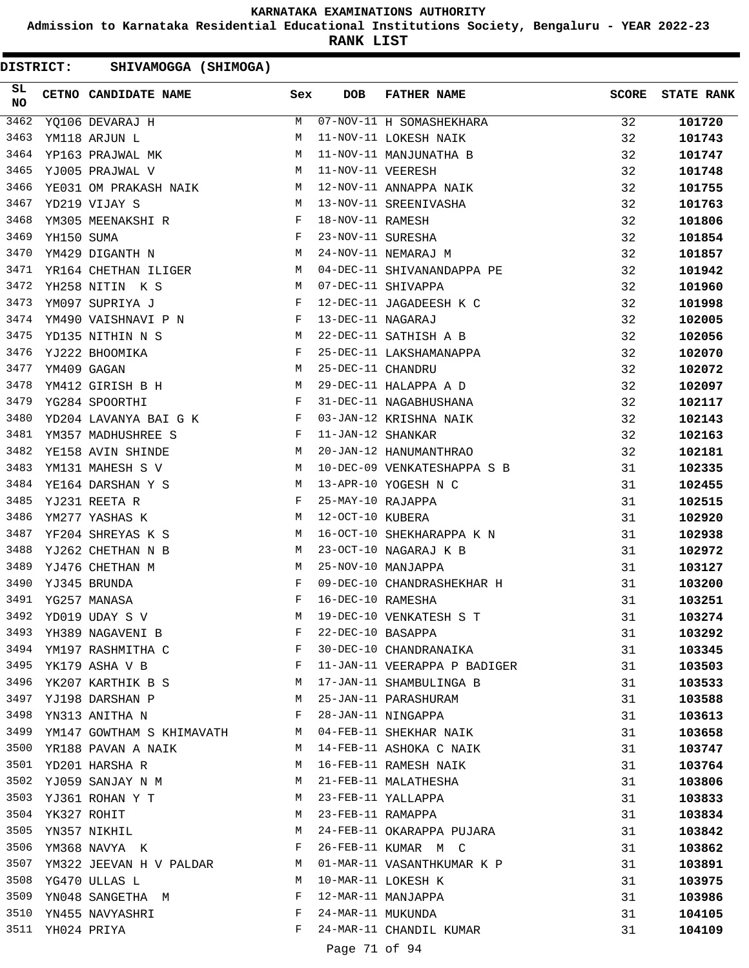**Admission to Karnataka Residential Educational Institutions Society, Bengaluru - YEAR 2022-23**

**RANK LIST**

| 3462<br>M 07-NOV-11 H SOMASHEKHARA<br>32<br>101720<br>YQ106 DEVARAJ H<br>3463<br>32<br>YM118 ARJUN L<br>М<br>11-NOV-11 LOKESH NAIK<br>101743<br>YP163 PRAJWAL MK<br>3464<br>11-NOV-11 MANJUNATHA B<br>32<br>M<br>101747<br>3465<br>11-NOV-11 VEERESH<br>32<br>YJ005 PRAJWAL V<br>M<br>101748<br>3466<br>12-NOV-11 ANNAPPA NAIK<br>32<br>YE031 OM PRAKASH NAIK M<br>101755<br>M <sub>N</sub><br>3467<br>32<br>YD219 VIJAY S<br>13-NOV-11 SREENIVASHA<br>101763<br>3468<br>YM305 MEENAKSHI R F<br>18-NOV-11 RAMESH<br>32<br>101806<br>$F$<br>M<br>3469<br>23-NOV-11 SURESHA<br>32<br>YH150 SUMA<br>101854<br>3470<br>24-NOV-11 NEMARAJ M<br>32<br>YM429 DIGANTH N<br>101857<br>3471<br>YR164 CHETHAN ILIGER<br>32<br>04-DEC-11 SHIVANANDAPPA PE<br>101942<br>M<br>3472<br>YH258 NITIN K S<br>07-DEC-11 SHIVAPPA<br>32<br>M<br>101960<br>3473<br>12-DEC-11 JAGADEESH K C<br>32<br>YM097 SUPRIYA J<br>F<br>101998<br>3474<br>YM490 VAISHNAVI P N F<br>13-DEC-11 NAGARAJ<br>32<br>102005<br>3475<br>32<br>YD135 NITHIN N S<br>M <sub>N</sub><br>22-DEC-11 SATHISH A B<br>102056<br>$\mathbf{F}_{\mathbf{r}}$ . The state of the state $\mathbf{F}_{\mathbf{r}}$<br>25-DEC-11 LAKSHAMANAPPA<br>3476<br>32<br>YJ222 BHOOMIKA<br>102070<br>M<br>25-DEC-11 CHANDRU<br>29-DEC-11 HALAPPA A D<br>3477<br>32<br>YM409 GAGAN<br>102072<br>YM4US GAGAN<br>YM412 GIRISH B H<br>3478<br>32<br>102097<br>3479<br>$\mathbf{F}$ and $\mathbf{F}$ and $\mathbf{F}$<br>31-DEC-11 NAGABHUSHANA<br>32<br>YG284 SPOORTHI<br>102117<br>3480<br>YD204 LAVANYA BAI G K F<br>03-JAN-12 KRISHNA NAIK<br>32<br>102143<br>$\mathbf{F}$ and $\mathbf{F}$ and $\mathbf{F}$<br>3481<br>11-JAN-12 SHANKAR<br>32<br>YM357 MADHUSHREE S<br>102163<br>M<br>3482<br>20-JAN-12 HANUMANTHRAO<br>32<br>YE158 AVIN SHINDE<br>102181<br>3483<br>M <sub>N</sub><br>10-DEC-09 VENKATESHAPPA S B<br>YM131 MAHESH S V<br>31<br>102335<br>3484<br>M<br>13-APR-10 YOGESH N C<br>YE164 DARSHAN Y S<br>31<br>102455<br>$\begin{aligned} \mathbf{F} \\ \mathbf{M} \end{aligned}$<br>3485<br>25-MAY-10 RAJAPPA<br>YJ231 REETA R<br>31<br>102515<br>3486<br>12-OCT-10 KUBERA<br>YM277 YASHAS K<br>31<br>102920<br>3487<br>16-OCT-10 SHEKHARAPPA K N<br>YF204 SHREYAS K S<br>M<br>31<br>102938<br>3488<br>YJ262 CHETHAN N B<br>23-OCT-10 NAGARAJ K B<br>31<br>102972<br>M<br>3489<br>25-NOV-10 MANJAPPA<br>YJ476 CHETHAN M<br>M<br>31<br>103127<br>3490<br>F<br>09-DEC-10 CHANDRASHEKHAR H<br>YJ345 BRUNDA<br>31<br>103200<br>3491<br>F<br>16-DEC-10 RAMESHA<br>YG257 MANASA<br>31<br>103251<br>3492<br>YD019 UDAY S V<br>M<br>19-DEC-10 VENKATESH S T<br>31<br>103274<br>3493<br>22-DEC-10 BASAPPA<br>YH389 NAGAVENI B<br>103292<br>F<br>31<br>3494<br>30-DEC-10 CHANDRANAIKA<br>YM197 RASHMITHA C<br>F<br>31<br>103345<br>3495<br>YK179 ASHA V B<br>F<br>11-JAN-11 VEERAPPA P BADIGER<br>31<br>103503<br>3496<br>YK207 KARTHIK B S<br>17-JAN-11 SHAMBULINGA B<br>M<br>31<br>103533<br>3497<br>25-JAN-11 PARASHURAM<br>YJ198 DARSHAN P<br>M<br>31<br>103588<br>3498<br>28-JAN-11 NINGAPPA<br>YN313 ANITHA N<br>F<br>31<br>103613<br>3499<br>04-FEB-11 SHEKHAR NAIK<br>YM147 GOWTHAM S KHIMAVATH<br>31<br>M<br>103658<br>3500<br>YR188 PAVAN A NAIK<br>14-FEB-11 ASHOKA C NAIK<br>31<br>M<br>103747<br>3501<br>16-FEB-11 RAMESH NAIK<br>YD201 HARSHA R<br>31<br>103764<br>M<br>3502<br>21-FEB-11 MALATHESHA<br>YJ059 SANJAY N M<br>31<br>M<br>103806<br>3503<br>23-FEB-11 YALLAPPA<br>31<br>YJ361 ROHAN Y T<br>M<br>103833<br>3504<br>YK327 ROHIT<br>23-FEB-11 RAMAPPA<br>M<br>31<br>103834<br>3505<br>24-FEB-11 OKARAPPA PUJARA<br>YN357 NIKHIL<br>M<br>31<br>103842<br>3506<br>F<br>26-FEB-11 KUMAR M C<br>YM368 NAVYA K<br>31<br>103862<br>3507<br>YM322 JEEVAN H V PALDAR<br>01-MAR-11 VASANTHKUMAR K P<br>31<br>M<br>103891<br>3508<br>10-MAR-11 LOKESH K<br>YG470 ULLAS L<br>31<br>M<br>103975<br>3509<br>12-MAR-11 MANJAPPA<br>YN048 SANGETHA M<br>F<br>31<br>103986<br>3510<br>24-MAR-11 MUKUNDA<br>F<br>YN455 NAVYASHRI<br>31<br>104105<br>3511<br>24-MAR-11 CHANDIL KUMAR<br>YH024 PRIYA<br>F<br>31<br>104109<br>Page 71 of 94 | SL<br><b>NO</b> | CETNO CANDIDATE NAME | Sex | <b>DOB</b> | FATHER NAME | <b>SCORE</b> | <b>STATE RANK</b> |
|----------------------------------------------------------------------------------------------------------------------------------------------------------------------------------------------------------------------------------------------------------------------------------------------------------------------------------------------------------------------------------------------------------------------------------------------------------------------------------------------------------------------------------------------------------------------------------------------------------------------------------------------------------------------------------------------------------------------------------------------------------------------------------------------------------------------------------------------------------------------------------------------------------------------------------------------------------------------------------------------------------------------------------------------------------------------------------------------------------------------------------------------------------------------------------------------------------------------------------------------------------------------------------------------------------------------------------------------------------------------------------------------------------------------------------------------------------------------------------------------------------------------------------------------------------------------------------------------------------------------------------------------------------------------------------------------------------------------------------------------------------------------------------------------------------------------------------------------------------------------------------------------------------------------------------------------------------------------------------------------------------------------------------------------------------------------------------------------------------------------------------------------------------------------------------------------------------------------------------------------------------------------------------------------------------------------------------------------------------------------------------------------------------------------------------------------------------------------------------------------------------------------------------------------------------------------------------------------------------------------------------------------------------------------------------------------------------------------------------------------------------------------------------------------------------------------------------------------------------------------------------------------------------------------------------------------------------------------------------------------------------------------------------------------------------------------------------------------------------------------------------------------------------------------------------------------------------------------------------------------------------------------------------------------------------------------------------------------------------------------------------------------------------------------------------------------------------------------------------------------------------------------------------------------------------------------------------------------------------------------------------------------------------------------------------------------------------------------------------------------------------------------------------------------------------------------------------------------------------------------------------------------------------------------------------------------------------------------------------------------------------------------------------------------------------------------------------|-----------------|----------------------|-----|------------|-------------|--------------|-------------------|
|                                                                                                                                                                                                                                                                                                                                                                                                                                                                                                                                                                                                                                                                                                                                                                                                                                                                                                                                                                                                                                                                                                                                                                                                                                                                                                                                                                                                                                                                                                                                                                                                                                                                                                                                                                                                                                                                                                                                                                                                                                                                                                                                                                                                                                                                                                                                                                                                                                                                                                                                                                                                                                                                                                                                                                                                                                                                                                                                                                                                                                                                                                                                                                                                                                                                                                                                                                                                                                                                                                                                                                                                                                                                                                                                                                                                                                                                                                                                                                                                                                                                                  |                 |                      |     |            |             |              |                   |
|                                                                                                                                                                                                                                                                                                                                                                                                                                                                                                                                                                                                                                                                                                                                                                                                                                                                                                                                                                                                                                                                                                                                                                                                                                                                                                                                                                                                                                                                                                                                                                                                                                                                                                                                                                                                                                                                                                                                                                                                                                                                                                                                                                                                                                                                                                                                                                                                                                                                                                                                                                                                                                                                                                                                                                                                                                                                                                                                                                                                                                                                                                                                                                                                                                                                                                                                                                                                                                                                                                                                                                                                                                                                                                                                                                                                                                                                                                                                                                                                                                                                                  |                 |                      |     |            |             |              |                   |
|                                                                                                                                                                                                                                                                                                                                                                                                                                                                                                                                                                                                                                                                                                                                                                                                                                                                                                                                                                                                                                                                                                                                                                                                                                                                                                                                                                                                                                                                                                                                                                                                                                                                                                                                                                                                                                                                                                                                                                                                                                                                                                                                                                                                                                                                                                                                                                                                                                                                                                                                                                                                                                                                                                                                                                                                                                                                                                                                                                                                                                                                                                                                                                                                                                                                                                                                                                                                                                                                                                                                                                                                                                                                                                                                                                                                                                                                                                                                                                                                                                                                                  |                 |                      |     |            |             |              |                   |
|                                                                                                                                                                                                                                                                                                                                                                                                                                                                                                                                                                                                                                                                                                                                                                                                                                                                                                                                                                                                                                                                                                                                                                                                                                                                                                                                                                                                                                                                                                                                                                                                                                                                                                                                                                                                                                                                                                                                                                                                                                                                                                                                                                                                                                                                                                                                                                                                                                                                                                                                                                                                                                                                                                                                                                                                                                                                                                                                                                                                                                                                                                                                                                                                                                                                                                                                                                                                                                                                                                                                                                                                                                                                                                                                                                                                                                                                                                                                                                                                                                                                                  |                 |                      |     |            |             |              |                   |
|                                                                                                                                                                                                                                                                                                                                                                                                                                                                                                                                                                                                                                                                                                                                                                                                                                                                                                                                                                                                                                                                                                                                                                                                                                                                                                                                                                                                                                                                                                                                                                                                                                                                                                                                                                                                                                                                                                                                                                                                                                                                                                                                                                                                                                                                                                                                                                                                                                                                                                                                                                                                                                                                                                                                                                                                                                                                                                                                                                                                                                                                                                                                                                                                                                                                                                                                                                                                                                                                                                                                                                                                                                                                                                                                                                                                                                                                                                                                                                                                                                                                                  |                 |                      |     |            |             |              |                   |
|                                                                                                                                                                                                                                                                                                                                                                                                                                                                                                                                                                                                                                                                                                                                                                                                                                                                                                                                                                                                                                                                                                                                                                                                                                                                                                                                                                                                                                                                                                                                                                                                                                                                                                                                                                                                                                                                                                                                                                                                                                                                                                                                                                                                                                                                                                                                                                                                                                                                                                                                                                                                                                                                                                                                                                                                                                                                                                                                                                                                                                                                                                                                                                                                                                                                                                                                                                                                                                                                                                                                                                                                                                                                                                                                                                                                                                                                                                                                                                                                                                                                                  |                 |                      |     |            |             |              |                   |
|                                                                                                                                                                                                                                                                                                                                                                                                                                                                                                                                                                                                                                                                                                                                                                                                                                                                                                                                                                                                                                                                                                                                                                                                                                                                                                                                                                                                                                                                                                                                                                                                                                                                                                                                                                                                                                                                                                                                                                                                                                                                                                                                                                                                                                                                                                                                                                                                                                                                                                                                                                                                                                                                                                                                                                                                                                                                                                                                                                                                                                                                                                                                                                                                                                                                                                                                                                                                                                                                                                                                                                                                                                                                                                                                                                                                                                                                                                                                                                                                                                                                                  |                 |                      |     |            |             |              |                   |
|                                                                                                                                                                                                                                                                                                                                                                                                                                                                                                                                                                                                                                                                                                                                                                                                                                                                                                                                                                                                                                                                                                                                                                                                                                                                                                                                                                                                                                                                                                                                                                                                                                                                                                                                                                                                                                                                                                                                                                                                                                                                                                                                                                                                                                                                                                                                                                                                                                                                                                                                                                                                                                                                                                                                                                                                                                                                                                                                                                                                                                                                                                                                                                                                                                                                                                                                                                                                                                                                                                                                                                                                                                                                                                                                                                                                                                                                                                                                                                                                                                                                                  |                 |                      |     |            |             |              |                   |
|                                                                                                                                                                                                                                                                                                                                                                                                                                                                                                                                                                                                                                                                                                                                                                                                                                                                                                                                                                                                                                                                                                                                                                                                                                                                                                                                                                                                                                                                                                                                                                                                                                                                                                                                                                                                                                                                                                                                                                                                                                                                                                                                                                                                                                                                                                                                                                                                                                                                                                                                                                                                                                                                                                                                                                                                                                                                                                                                                                                                                                                                                                                                                                                                                                                                                                                                                                                                                                                                                                                                                                                                                                                                                                                                                                                                                                                                                                                                                                                                                                                                                  |                 |                      |     |            |             |              |                   |
|                                                                                                                                                                                                                                                                                                                                                                                                                                                                                                                                                                                                                                                                                                                                                                                                                                                                                                                                                                                                                                                                                                                                                                                                                                                                                                                                                                                                                                                                                                                                                                                                                                                                                                                                                                                                                                                                                                                                                                                                                                                                                                                                                                                                                                                                                                                                                                                                                                                                                                                                                                                                                                                                                                                                                                                                                                                                                                                                                                                                                                                                                                                                                                                                                                                                                                                                                                                                                                                                                                                                                                                                                                                                                                                                                                                                                                                                                                                                                                                                                                                                                  |                 |                      |     |            |             |              |                   |
|                                                                                                                                                                                                                                                                                                                                                                                                                                                                                                                                                                                                                                                                                                                                                                                                                                                                                                                                                                                                                                                                                                                                                                                                                                                                                                                                                                                                                                                                                                                                                                                                                                                                                                                                                                                                                                                                                                                                                                                                                                                                                                                                                                                                                                                                                                                                                                                                                                                                                                                                                                                                                                                                                                                                                                                                                                                                                                                                                                                                                                                                                                                                                                                                                                                                                                                                                                                                                                                                                                                                                                                                                                                                                                                                                                                                                                                                                                                                                                                                                                                                                  |                 |                      |     |            |             |              |                   |
|                                                                                                                                                                                                                                                                                                                                                                                                                                                                                                                                                                                                                                                                                                                                                                                                                                                                                                                                                                                                                                                                                                                                                                                                                                                                                                                                                                                                                                                                                                                                                                                                                                                                                                                                                                                                                                                                                                                                                                                                                                                                                                                                                                                                                                                                                                                                                                                                                                                                                                                                                                                                                                                                                                                                                                                                                                                                                                                                                                                                                                                                                                                                                                                                                                                                                                                                                                                                                                                                                                                                                                                                                                                                                                                                                                                                                                                                                                                                                                                                                                                                                  |                 |                      |     |            |             |              |                   |
|                                                                                                                                                                                                                                                                                                                                                                                                                                                                                                                                                                                                                                                                                                                                                                                                                                                                                                                                                                                                                                                                                                                                                                                                                                                                                                                                                                                                                                                                                                                                                                                                                                                                                                                                                                                                                                                                                                                                                                                                                                                                                                                                                                                                                                                                                                                                                                                                                                                                                                                                                                                                                                                                                                                                                                                                                                                                                                                                                                                                                                                                                                                                                                                                                                                                                                                                                                                                                                                                                                                                                                                                                                                                                                                                                                                                                                                                                                                                                                                                                                                                                  |                 |                      |     |            |             |              |                   |
|                                                                                                                                                                                                                                                                                                                                                                                                                                                                                                                                                                                                                                                                                                                                                                                                                                                                                                                                                                                                                                                                                                                                                                                                                                                                                                                                                                                                                                                                                                                                                                                                                                                                                                                                                                                                                                                                                                                                                                                                                                                                                                                                                                                                                                                                                                                                                                                                                                                                                                                                                                                                                                                                                                                                                                                                                                                                                                                                                                                                                                                                                                                                                                                                                                                                                                                                                                                                                                                                                                                                                                                                                                                                                                                                                                                                                                                                                                                                                                                                                                                                                  |                 |                      |     |            |             |              |                   |
|                                                                                                                                                                                                                                                                                                                                                                                                                                                                                                                                                                                                                                                                                                                                                                                                                                                                                                                                                                                                                                                                                                                                                                                                                                                                                                                                                                                                                                                                                                                                                                                                                                                                                                                                                                                                                                                                                                                                                                                                                                                                                                                                                                                                                                                                                                                                                                                                                                                                                                                                                                                                                                                                                                                                                                                                                                                                                                                                                                                                                                                                                                                                                                                                                                                                                                                                                                                                                                                                                                                                                                                                                                                                                                                                                                                                                                                                                                                                                                                                                                                                                  |                 |                      |     |            |             |              |                   |
|                                                                                                                                                                                                                                                                                                                                                                                                                                                                                                                                                                                                                                                                                                                                                                                                                                                                                                                                                                                                                                                                                                                                                                                                                                                                                                                                                                                                                                                                                                                                                                                                                                                                                                                                                                                                                                                                                                                                                                                                                                                                                                                                                                                                                                                                                                                                                                                                                                                                                                                                                                                                                                                                                                                                                                                                                                                                                                                                                                                                                                                                                                                                                                                                                                                                                                                                                                                                                                                                                                                                                                                                                                                                                                                                                                                                                                                                                                                                                                                                                                                                                  |                 |                      |     |            |             |              |                   |
|                                                                                                                                                                                                                                                                                                                                                                                                                                                                                                                                                                                                                                                                                                                                                                                                                                                                                                                                                                                                                                                                                                                                                                                                                                                                                                                                                                                                                                                                                                                                                                                                                                                                                                                                                                                                                                                                                                                                                                                                                                                                                                                                                                                                                                                                                                                                                                                                                                                                                                                                                                                                                                                                                                                                                                                                                                                                                                                                                                                                                                                                                                                                                                                                                                                                                                                                                                                                                                                                                                                                                                                                                                                                                                                                                                                                                                                                                                                                                                                                                                                                                  |                 |                      |     |            |             |              |                   |
|                                                                                                                                                                                                                                                                                                                                                                                                                                                                                                                                                                                                                                                                                                                                                                                                                                                                                                                                                                                                                                                                                                                                                                                                                                                                                                                                                                                                                                                                                                                                                                                                                                                                                                                                                                                                                                                                                                                                                                                                                                                                                                                                                                                                                                                                                                                                                                                                                                                                                                                                                                                                                                                                                                                                                                                                                                                                                                                                                                                                                                                                                                                                                                                                                                                                                                                                                                                                                                                                                                                                                                                                                                                                                                                                                                                                                                                                                                                                                                                                                                                                                  |                 |                      |     |            |             |              |                   |
|                                                                                                                                                                                                                                                                                                                                                                                                                                                                                                                                                                                                                                                                                                                                                                                                                                                                                                                                                                                                                                                                                                                                                                                                                                                                                                                                                                                                                                                                                                                                                                                                                                                                                                                                                                                                                                                                                                                                                                                                                                                                                                                                                                                                                                                                                                                                                                                                                                                                                                                                                                                                                                                                                                                                                                                                                                                                                                                                                                                                                                                                                                                                                                                                                                                                                                                                                                                                                                                                                                                                                                                                                                                                                                                                                                                                                                                                                                                                                                                                                                                                                  |                 |                      |     |            |             |              |                   |
|                                                                                                                                                                                                                                                                                                                                                                                                                                                                                                                                                                                                                                                                                                                                                                                                                                                                                                                                                                                                                                                                                                                                                                                                                                                                                                                                                                                                                                                                                                                                                                                                                                                                                                                                                                                                                                                                                                                                                                                                                                                                                                                                                                                                                                                                                                                                                                                                                                                                                                                                                                                                                                                                                                                                                                                                                                                                                                                                                                                                                                                                                                                                                                                                                                                                                                                                                                                                                                                                                                                                                                                                                                                                                                                                                                                                                                                                                                                                                                                                                                                                                  |                 |                      |     |            |             |              |                   |
|                                                                                                                                                                                                                                                                                                                                                                                                                                                                                                                                                                                                                                                                                                                                                                                                                                                                                                                                                                                                                                                                                                                                                                                                                                                                                                                                                                                                                                                                                                                                                                                                                                                                                                                                                                                                                                                                                                                                                                                                                                                                                                                                                                                                                                                                                                                                                                                                                                                                                                                                                                                                                                                                                                                                                                                                                                                                                                                                                                                                                                                                                                                                                                                                                                                                                                                                                                                                                                                                                                                                                                                                                                                                                                                                                                                                                                                                                                                                                                                                                                                                                  |                 |                      |     |            |             |              |                   |
|                                                                                                                                                                                                                                                                                                                                                                                                                                                                                                                                                                                                                                                                                                                                                                                                                                                                                                                                                                                                                                                                                                                                                                                                                                                                                                                                                                                                                                                                                                                                                                                                                                                                                                                                                                                                                                                                                                                                                                                                                                                                                                                                                                                                                                                                                                                                                                                                                                                                                                                                                                                                                                                                                                                                                                                                                                                                                                                                                                                                                                                                                                                                                                                                                                                                                                                                                                                                                                                                                                                                                                                                                                                                                                                                                                                                                                                                                                                                                                                                                                                                                  |                 |                      |     |            |             |              |                   |
|                                                                                                                                                                                                                                                                                                                                                                                                                                                                                                                                                                                                                                                                                                                                                                                                                                                                                                                                                                                                                                                                                                                                                                                                                                                                                                                                                                                                                                                                                                                                                                                                                                                                                                                                                                                                                                                                                                                                                                                                                                                                                                                                                                                                                                                                                                                                                                                                                                                                                                                                                                                                                                                                                                                                                                                                                                                                                                                                                                                                                                                                                                                                                                                                                                                                                                                                                                                                                                                                                                                                                                                                                                                                                                                                                                                                                                                                                                                                                                                                                                                                                  |                 |                      |     |            |             |              |                   |
|                                                                                                                                                                                                                                                                                                                                                                                                                                                                                                                                                                                                                                                                                                                                                                                                                                                                                                                                                                                                                                                                                                                                                                                                                                                                                                                                                                                                                                                                                                                                                                                                                                                                                                                                                                                                                                                                                                                                                                                                                                                                                                                                                                                                                                                                                                                                                                                                                                                                                                                                                                                                                                                                                                                                                                                                                                                                                                                                                                                                                                                                                                                                                                                                                                                                                                                                                                                                                                                                                                                                                                                                                                                                                                                                                                                                                                                                                                                                                                                                                                                                                  |                 |                      |     |            |             |              |                   |
|                                                                                                                                                                                                                                                                                                                                                                                                                                                                                                                                                                                                                                                                                                                                                                                                                                                                                                                                                                                                                                                                                                                                                                                                                                                                                                                                                                                                                                                                                                                                                                                                                                                                                                                                                                                                                                                                                                                                                                                                                                                                                                                                                                                                                                                                                                                                                                                                                                                                                                                                                                                                                                                                                                                                                                                                                                                                                                                                                                                                                                                                                                                                                                                                                                                                                                                                                                                                                                                                                                                                                                                                                                                                                                                                                                                                                                                                                                                                                                                                                                                                                  |                 |                      |     |            |             |              |                   |
|                                                                                                                                                                                                                                                                                                                                                                                                                                                                                                                                                                                                                                                                                                                                                                                                                                                                                                                                                                                                                                                                                                                                                                                                                                                                                                                                                                                                                                                                                                                                                                                                                                                                                                                                                                                                                                                                                                                                                                                                                                                                                                                                                                                                                                                                                                                                                                                                                                                                                                                                                                                                                                                                                                                                                                                                                                                                                                                                                                                                                                                                                                                                                                                                                                                                                                                                                                                                                                                                                                                                                                                                                                                                                                                                                                                                                                                                                                                                                                                                                                                                                  |                 |                      |     |            |             |              |                   |
|                                                                                                                                                                                                                                                                                                                                                                                                                                                                                                                                                                                                                                                                                                                                                                                                                                                                                                                                                                                                                                                                                                                                                                                                                                                                                                                                                                                                                                                                                                                                                                                                                                                                                                                                                                                                                                                                                                                                                                                                                                                                                                                                                                                                                                                                                                                                                                                                                                                                                                                                                                                                                                                                                                                                                                                                                                                                                                                                                                                                                                                                                                                                                                                                                                                                                                                                                                                                                                                                                                                                                                                                                                                                                                                                                                                                                                                                                                                                                                                                                                                                                  |                 |                      |     |            |             |              |                   |
|                                                                                                                                                                                                                                                                                                                                                                                                                                                                                                                                                                                                                                                                                                                                                                                                                                                                                                                                                                                                                                                                                                                                                                                                                                                                                                                                                                                                                                                                                                                                                                                                                                                                                                                                                                                                                                                                                                                                                                                                                                                                                                                                                                                                                                                                                                                                                                                                                                                                                                                                                                                                                                                                                                                                                                                                                                                                                                                                                                                                                                                                                                                                                                                                                                                                                                                                                                                                                                                                                                                                                                                                                                                                                                                                                                                                                                                                                                                                                                                                                                                                                  |                 |                      |     |            |             |              |                   |
|                                                                                                                                                                                                                                                                                                                                                                                                                                                                                                                                                                                                                                                                                                                                                                                                                                                                                                                                                                                                                                                                                                                                                                                                                                                                                                                                                                                                                                                                                                                                                                                                                                                                                                                                                                                                                                                                                                                                                                                                                                                                                                                                                                                                                                                                                                                                                                                                                                                                                                                                                                                                                                                                                                                                                                                                                                                                                                                                                                                                                                                                                                                                                                                                                                                                                                                                                                                                                                                                                                                                                                                                                                                                                                                                                                                                                                                                                                                                                                                                                                                                                  |                 |                      |     |            |             |              |                   |
|                                                                                                                                                                                                                                                                                                                                                                                                                                                                                                                                                                                                                                                                                                                                                                                                                                                                                                                                                                                                                                                                                                                                                                                                                                                                                                                                                                                                                                                                                                                                                                                                                                                                                                                                                                                                                                                                                                                                                                                                                                                                                                                                                                                                                                                                                                                                                                                                                                                                                                                                                                                                                                                                                                                                                                                                                                                                                                                                                                                                                                                                                                                                                                                                                                                                                                                                                                                                                                                                                                                                                                                                                                                                                                                                                                                                                                                                                                                                                                                                                                                                                  |                 |                      |     |            |             |              |                   |
|                                                                                                                                                                                                                                                                                                                                                                                                                                                                                                                                                                                                                                                                                                                                                                                                                                                                                                                                                                                                                                                                                                                                                                                                                                                                                                                                                                                                                                                                                                                                                                                                                                                                                                                                                                                                                                                                                                                                                                                                                                                                                                                                                                                                                                                                                                                                                                                                                                                                                                                                                                                                                                                                                                                                                                                                                                                                                                                                                                                                                                                                                                                                                                                                                                                                                                                                                                                                                                                                                                                                                                                                                                                                                                                                                                                                                                                                                                                                                                                                                                                                                  |                 |                      |     |            |             |              |                   |
|                                                                                                                                                                                                                                                                                                                                                                                                                                                                                                                                                                                                                                                                                                                                                                                                                                                                                                                                                                                                                                                                                                                                                                                                                                                                                                                                                                                                                                                                                                                                                                                                                                                                                                                                                                                                                                                                                                                                                                                                                                                                                                                                                                                                                                                                                                                                                                                                                                                                                                                                                                                                                                                                                                                                                                                                                                                                                                                                                                                                                                                                                                                                                                                                                                                                                                                                                                                                                                                                                                                                                                                                                                                                                                                                                                                                                                                                                                                                                                                                                                                                                  |                 |                      |     |            |             |              |                   |
|                                                                                                                                                                                                                                                                                                                                                                                                                                                                                                                                                                                                                                                                                                                                                                                                                                                                                                                                                                                                                                                                                                                                                                                                                                                                                                                                                                                                                                                                                                                                                                                                                                                                                                                                                                                                                                                                                                                                                                                                                                                                                                                                                                                                                                                                                                                                                                                                                                                                                                                                                                                                                                                                                                                                                                                                                                                                                                                                                                                                                                                                                                                                                                                                                                                                                                                                                                                                                                                                                                                                                                                                                                                                                                                                                                                                                                                                                                                                                                                                                                                                                  |                 |                      |     |            |             |              |                   |
|                                                                                                                                                                                                                                                                                                                                                                                                                                                                                                                                                                                                                                                                                                                                                                                                                                                                                                                                                                                                                                                                                                                                                                                                                                                                                                                                                                                                                                                                                                                                                                                                                                                                                                                                                                                                                                                                                                                                                                                                                                                                                                                                                                                                                                                                                                                                                                                                                                                                                                                                                                                                                                                                                                                                                                                                                                                                                                                                                                                                                                                                                                                                                                                                                                                                                                                                                                                                                                                                                                                                                                                                                                                                                                                                                                                                                                                                                                                                                                                                                                                                                  |                 |                      |     |            |             |              |                   |
|                                                                                                                                                                                                                                                                                                                                                                                                                                                                                                                                                                                                                                                                                                                                                                                                                                                                                                                                                                                                                                                                                                                                                                                                                                                                                                                                                                                                                                                                                                                                                                                                                                                                                                                                                                                                                                                                                                                                                                                                                                                                                                                                                                                                                                                                                                                                                                                                                                                                                                                                                                                                                                                                                                                                                                                                                                                                                                                                                                                                                                                                                                                                                                                                                                                                                                                                                                                                                                                                                                                                                                                                                                                                                                                                                                                                                                                                                                                                                                                                                                                                                  |                 |                      |     |            |             |              |                   |
|                                                                                                                                                                                                                                                                                                                                                                                                                                                                                                                                                                                                                                                                                                                                                                                                                                                                                                                                                                                                                                                                                                                                                                                                                                                                                                                                                                                                                                                                                                                                                                                                                                                                                                                                                                                                                                                                                                                                                                                                                                                                                                                                                                                                                                                                                                                                                                                                                                                                                                                                                                                                                                                                                                                                                                                                                                                                                                                                                                                                                                                                                                                                                                                                                                                                                                                                                                                                                                                                                                                                                                                                                                                                                                                                                                                                                                                                                                                                                                                                                                                                                  |                 |                      |     |            |             |              |                   |
|                                                                                                                                                                                                                                                                                                                                                                                                                                                                                                                                                                                                                                                                                                                                                                                                                                                                                                                                                                                                                                                                                                                                                                                                                                                                                                                                                                                                                                                                                                                                                                                                                                                                                                                                                                                                                                                                                                                                                                                                                                                                                                                                                                                                                                                                                                                                                                                                                                                                                                                                                                                                                                                                                                                                                                                                                                                                                                                                                                                                                                                                                                                                                                                                                                                                                                                                                                                                                                                                                                                                                                                                                                                                                                                                                                                                                                                                                                                                                                                                                                                                                  |                 |                      |     |            |             |              |                   |
|                                                                                                                                                                                                                                                                                                                                                                                                                                                                                                                                                                                                                                                                                                                                                                                                                                                                                                                                                                                                                                                                                                                                                                                                                                                                                                                                                                                                                                                                                                                                                                                                                                                                                                                                                                                                                                                                                                                                                                                                                                                                                                                                                                                                                                                                                                                                                                                                                                                                                                                                                                                                                                                                                                                                                                                                                                                                                                                                                                                                                                                                                                                                                                                                                                                                                                                                                                                                                                                                                                                                                                                                                                                                                                                                                                                                                                                                                                                                                                                                                                                                                  |                 |                      |     |            |             |              |                   |
|                                                                                                                                                                                                                                                                                                                                                                                                                                                                                                                                                                                                                                                                                                                                                                                                                                                                                                                                                                                                                                                                                                                                                                                                                                                                                                                                                                                                                                                                                                                                                                                                                                                                                                                                                                                                                                                                                                                                                                                                                                                                                                                                                                                                                                                                                                                                                                                                                                                                                                                                                                                                                                                                                                                                                                                                                                                                                                                                                                                                                                                                                                                                                                                                                                                                                                                                                                                                                                                                                                                                                                                                                                                                                                                                                                                                                                                                                                                                                                                                                                                                                  |                 |                      |     |            |             |              |                   |
|                                                                                                                                                                                                                                                                                                                                                                                                                                                                                                                                                                                                                                                                                                                                                                                                                                                                                                                                                                                                                                                                                                                                                                                                                                                                                                                                                                                                                                                                                                                                                                                                                                                                                                                                                                                                                                                                                                                                                                                                                                                                                                                                                                                                                                                                                                                                                                                                                                                                                                                                                                                                                                                                                                                                                                                                                                                                                                                                                                                                                                                                                                                                                                                                                                                                                                                                                                                                                                                                                                                                                                                                                                                                                                                                                                                                                                                                                                                                                                                                                                                                                  |                 |                      |     |            |             |              |                   |
|                                                                                                                                                                                                                                                                                                                                                                                                                                                                                                                                                                                                                                                                                                                                                                                                                                                                                                                                                                                                                                                                                                                                                                                                                                                                                                                                                                                                                                                                                                                                                                                                                                                                                                                                                                                                                                                                                                                                                                                                                                                                                                                                                                                                                                                                                                                                                                                                                                                                                                                                                                                                                                                                                                                                                                                                                                                                                                                                                                                                                                                                                                                                                                                                                                                                                                                                                                                                                                                                                                                                                                                                                                                                                                                                                                                                                                                                                                                                                                                                                                                                                  |                 |                      |     |            |             |              |                   |
|                                                                                                                                                                                                                                                                                                                                                                                                                                                                                                                                                                                                                                                                                                                                                                                                                                                                                                                                                                                                                                                                                                                                                                                                                                                                                                                                                                                                                                                                                                                                                                                                                                                                                                                                                                                                                                                                                                                                                                                                                                                                                                                                                                                                                                                                                                                                                                                                                                                                                                                                                                                                                                                                                                                                                                                                                                                                                                                                                                                                                                                                                                                                                                                                                                                                                                                                                                                                                                                                                                                                                                                                                                                                                                                                                                                                                                                                                                                                                                                                                                                                                  |                 |                      |     |            |             |              |                   |
|                                                                                                                                                                                                                                                                                                                                                                                                                                                                                                                                                                                                                                                                                                                                                                                                                                                                                                                                                                                                                                                                                                                                                                                                                                                                                                                                                                                                                                                                                                                                                                                                                                                                                                                                                                                                                                                                                                                                                                                                                                                                                                                                                                                                                                                                                                                                                                                                                                                                                                                                                                                                                                                                                                                                                                                                                                                                                                                                                                                                                                                                                                                                                                                                                                                                                                                                                                                                                                                                                                                                                                                                                                                                                                                                                                                                                                                                                                                                                                                                                                                                                  |                 |                      |     |            |             |              |                   |
|                                                                                                                                                                                                                                                                                                                                                                                                                                                                                                                                                                                                                                                                                                                                                                                                                                                                                                                                                                                                                                                                                                                                                                                                                                                                                                                                                                                                                                                                                                                                                                                                                                                                                                                                                                                                                                                                                                                                                                                                                                                                                                                                                                                                                                                                                                                                                                                                                                                                                                                                                                                                                                                                                                                                                                                                                                                                                                                                                                                                                                                                                                                                                                                                                                                                                                                                                                                                                                                                                                                                                                                                                                                                                                                                                                                                                                                                                                                                                                                                                                                                                  |                 |                      |     |            |             |              |                   |
|                                                                                                                                                                                                                                                                                                                                                                                                                                                                                                                                                                                                                                                                                                                                                                                                                                                                                                                                                                                                                                                                                                                                                                                                                                                                                                                                                                                                                                                                                                                                                                                                                                                                                                                                                                                                                                                                                                                                                                                                                                                                                                                                                                                                                                                                                                                                                                                                                                                                                                                                                                                                                                                                                                                                                                                                                                                                                                                                                                                                                                                                                                                                                                                                                                                                                                                                                                                                                                                                                                                                                                                                                                                                                                                                                                                                                                                                                                                                                                                                                                                                                  |                 |                      |     |            |             |              |                   |
|                                                                                                                                                                                                                                                                                                                                                                                                                                                                                                                                                                                                                                                                                                                                                                                                                                                                                                                                                                                                                                                                                                                                                                                                                                                                                                                                                                                                                                                                                                                                                                                                                                                                                                                                                                                                                                                                                                                                                                                                                                                                                                                                                                                                                                                                                                                                                                                                                                                                                                                                                                                                                                                                                                                                                                                                                                                                                                                                                                                                                                                                                                                                                                                                                                                                                                                                                                                                                                                                                                                                                                                                                                                                                                                                                                                                                                                                                                                                                                                                                                                                                  |                 |                      |     |            |             |              |                   |
|                                                                                                                                                                                                                                                                                                                                                                                                                                                                                                                                                                                                                                                                                                                                                                                                                                                                                                                                                                                                                                                                                                                                                                                                                                                                                                                                                                                                                                                                                                                                                                                                                                                                                                                                                                                                                                                                                                                                                                                                                                                                                                                                                                                                                                                                                                                                                                                                                                                                                                                                                                                                                                                                                                                                                                                                                                                                                                                                                                                                                                                                                                                                                                                                                                                                                                                                                                                                                                                                                                                                                                                                                                                                                                                                                                                                                                                                                                                                                                                                                                                                                  |                 |                      |     |            |             |              |                   |
|                                                                                                                                                                                                                                                                                                                                                                                                                                                                                                                                                                                                                                                                                                                                                                                                                                                                                                                                                                                                                                                                                                                                                                                                                                                                                                                                                                                                                                                                                                                                                                                                                                                                                                                                                                                                                                                                                                                                                                                                                                                                                                                                                                                                                                                                                                                                                                                                                                                                                                                                                                                                                                                                                                                                                                                                                                                                                                                                                                                                                                                                                                                                                                                                                                                                                                                                                                                                                                                                                                                                                                                                                                                                                                                                                                                                                                                                                                                                                                                                                                                                                  |                 |                      |     |            |             |              |                   |
|                                                                                                                                                                                                                                                                                                                                                                                                                                                                                                                                                                                                                                                                                                                                                                                                                                                                                                                                                                                                                                                                                                                                                                                                                                                                                                                                                                                                                                                                                                                                                                                                                                                                                                                                                                                                                                                                                                                                                                                                                                                                                                                                                                                                                                                                                                                                                                                                                                                                                                                                                                                                                                                                                                                                                                                                                                                                                                                                                                                                                                                                                                                                                                                                                                                                                                                                                                                                                                                                                                                                                                                                                                                                                                                                                                                                                                                                                                                                                                                                                                                                                  |                 |                      |     |            |             |              |                   |
|                                                                                                                                                                                                                                                                                                                                                                                                                                                                                                                                                                                                                                                                                                                                                                                                                                                                                                                                                                                                                                                                                                                                                                                                                                                                                                                                                                                                                                                                                                                                                                                                                                                                                                                                                                                                                                                                                                                                                                                                                                                                                                                                                                                                                                                                                                                                                                                                                                                                                                                                                                                                                                                                                                                                                                                                                                                                                                                                                                                                                                                                                                                                                                                                                                                                                                                                                                                                                                                                                                                                                                                                                                                                                                                                                                                                                                                                                                                                                                                                                                                                                  |                 |                      |     |            |             |              |                   |
|                                                                                                                                                                                                                                                                                                                                                                                                                                                                                                                                                                                                                                                                                                                                                                                                                                                                                                                                                                                                                                                                                                                                                                                                                                                                                                                                                                                                                                                                                                                                                                                                                                                                                                                                                                                                                                                                                                                                                                                                                                                                                                                                                                                                                                                                                                                                                                                                                                                                                                                                                                                                                                                                                                                                                                                                                                                                                                                                                                                                                                                                                                                                                                                                                                                                                                                                                                                                                                                                                                                                                                                                                                                                                                                                                                                                                                                                                                                                                                                                                                                                                  |                 |                      |     |            |             |              |                   |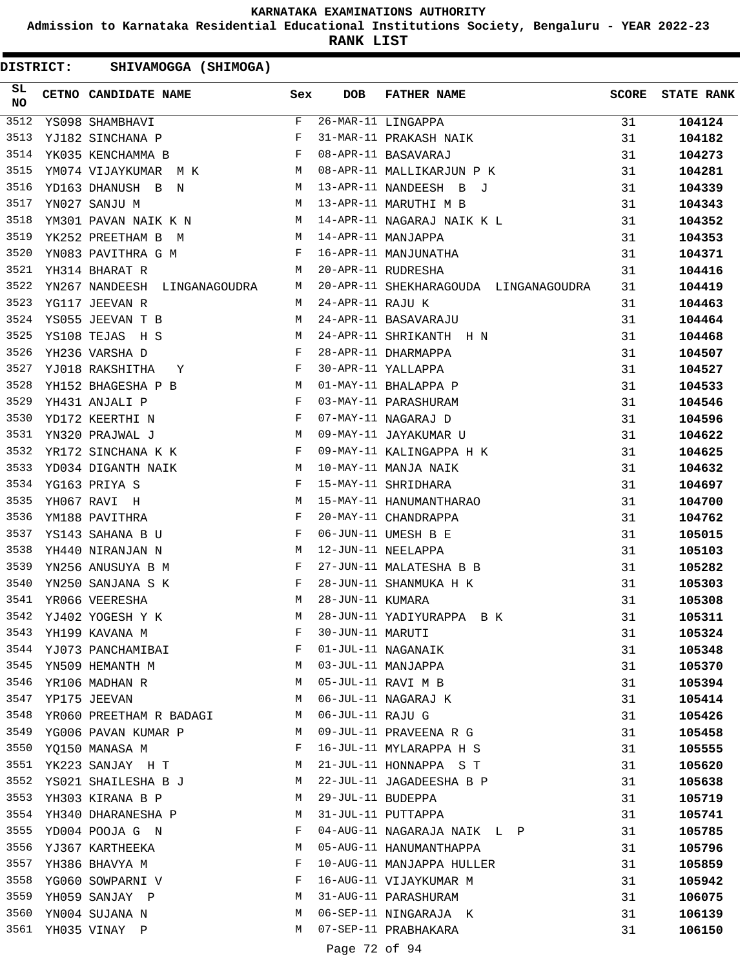**Admission to Karnataka Residential Educational Institutions Society, Bengaluru - YEAR 2022-23**

**RANK LIST**

| SL<br><b>NO</b> | CETNO CANDIDATE NAME Sex                                                                                                                                                                                                       |              | <b>DOB</b>        | FATHER NAME                                                                                | <b>SCORE</b> | <b>STATE RANK</b> |
|-----------------|--------------------------------------------------------------------------------------------------------------------------------------------------------------------------------------------------------------------------------|--------------|-------------------|--------------------------------------------------------------------------------------------|--------------|-------------------|
| 3512            | YS098 SHAMBHAVI                                                                                                                                                                                                                | F            |                   | 26-MAR-11 LINGAPPA<br>31-MAR-11 PRAKASH NAIK                                               | 31           | 104124            |
| 3513            | YJ182 SINCHANA P                                                                                                                                                                                                               | F            |                   |                                                                                            | 31           | 104182            |
| 3514            | $\mathbf{F}$<br>YK035 KENCHAMMA B                                                                                                                                                                                              |              |                   | 08-APR-11 BASAVARAJ<br>08-APR-11 MALLIKARJUN P K                                           | 31           | 104273            |
| 3515            | YM074 VIJAYKUMAR M K M                                                                                                                                                                                                         |              |                   |                                                                                            | 31           | 104281            |
| 3516            | YD163 DHANUSH B N<br>M                                                                                                                                                                                                         |              |                   | 13-APR-11 NANDEESH B J                                                                     | 31           | 104339            |
| 3517            | <b>M</b><br>YN027 SANJU M                                                                                                                                                                                                      |              |                   | 13-APR-11 MARUTHI M B                                                                      | 31           | 104343            |
| 3518            | YM301 PAVAN NAIK K N M                                                                                                                                                                                                         |              |                   | 14-APR-11 NAGARAJ NAIK K L                                                                 | 31           | 104352            |
| 3519            | M<br>YK252 PREETHAM B M                                                                                                                                                                                                        |              |                   | 14-APR-11 MANJAPPA<br>16-APR-11 MANJUNATHA<br>20-APR-11 RUDRESHA<br>14-APR-11 MANJAPPA     | 31           | 104353            |
| 3520            | YN083 PAVITHRA G M<br>$\mathbf{F}$                                                                                                                                                                                             |              |                   |                                                                                            | 31           | 104371            |
| 3521            | $M_{\odot}$<br>YH314 BHARAT R                                                                                                                                                                                                  |              |                   |                                                                                            | 31           | 104416            |
| 3522            | YN267 NANDEESH LINGANAGOUDRA                                                                                                                                                                                                   | M            |                   | 20-APR-11 SHEKHARAGOUDA LINGANAGOUDRA                                                      | 31           | 104419            |
| 3523            | YG117 JEEVAN R                                                                                                                                                                                                                 | M            | 24-APR-11 RAJU K  |                                                                                            | 31           | 104463            |
| 3524            | YS055 JEEVAN T B<br><b>M</b>                                                                                                                                                                                                   |              |                   | 24-APR-11 BASAVARAJU                                                                       | 31           | 104464            |
| 3525            | M <sub>N</sub><br>YS108 TEJAS H S                                                                                                                                                                                              |              |                   | 24-APR-11 SHRIKANTH H N                                                                    | 31           | 104468            |
| 3526            | $\mathbf{F}^{\mathcal{A}}$<br>YH236 VARSHA D                                                                                                                                                                                   |              |                   | 28-APR-11 DHARMAPPA                                                                        | 31           | 104507            |
| 3527            | $\mathbf{Y} \qquad \qquad \mathbf{F}$<br>YJ018 RAKSHITHA                                                                                                                                                                       |              |                   | 30-APR-11 YALLAPPA                                                                         | 31           | 104527            |
| 3528            | YH152 BHAGESHA P B M                                                                                                                                                                                                           |              |                   | 01-MAY-11 BHALAPPA P                                                                       | 31           | 104533            |
| 3529            | $\mathbf{F}$<br>YH431 ANJALI P                                                                                                                                                                                                 |              |                   | 03-MAY-11 PARASHURAM                                                                       | 31           | 104546            |
| 3530            | $\mathbf{F}$ and $\mathbf{F}$ and $\mathbf{F}$<br>YD172 KEERTHI N                                                                                                                                                              |              |                   | 07-MAY-11 NAGARAJ D                                                                        | 31           | 104596            |
| 3531            | TERRIT IN THE TRACK THE TRACK OF THE TRACK OF THE TRACK OF THE TRACK THE TRACK THE TRACK THE TRACK THE TRACK THE TRACK THE TRACK THE TRACK THE TRACK THE TRACK THE TRACK THE TRACK THE TRACK THE TRACK THE TRACK THE TRACK THE |              |                   | 09-MAY-11 JAYAKUMAR U                                                                      | 31           | 104622            |
| 3532            |                                                                                                                                                                                                                                |              |                   | 09-MAY-11 KALINGAPPA H K                                                                   | 31           | 104625            |
| 3533            | YD034 DIGANTH NAIK M                                                                                                                                                                                                           |              |                   | 10-MAY-11 MANJA NAIK                                                                       | 31           | 104632            |
| 3534            | YG163 PRIYA S                                                                                                                                                                                                                  |              |                   | 15-MAY-11 SHRIDHARA                                                                        | 31           | 104697            |
| 3535            | $\begin{array}{c} \mathbf{F} \\ \mathbf{M} \\ \mathbf{F} \end{array}$<br>YH067 RAVI H                                                                                                                                          |              |                   | 15-MAY-11 HANUMANTHARAO                                                                    | 31           | 104700            |
| 3536            | YM188 PAVITHRA                                                                                                                                                                                                                 |              |                   | 20-MAY-11 CHANDRAPPA                                                                       | 31           | 104762            |
| 3537            | $\mathbf{F}$ and the contract of the contract of $\mathbf{F}$<br>YS143 SAHANA B U                                                                                                                                              |              |                   | 20-FRI 11 UMESH B E<br>12-JUN-11 NEELAPPA<br>27-JUN-11 NEELAPPA<br>27-JUN-11 MALATESHA B B | 31           | 105015            |
| 3538            | <b>M</b><br>YH440 NIRANJAN N                                                                                                                                                                                                   |              |                   |                                                                                            | 31           | 105103            |
| 3539            | YN256 ANUSUYA B M                                                                                                                                                                                                              | $\mathbf{F}$ |                   |                                                                                            | 31           | 105282            |
| 3540            | YN250 SANJANA S K                                                                                                                                                                                                              |              |                   |                                                                                            | 31           | 105303            |
| 3541            | $\begin{array}{ccc} & & & \mathbf{F} \\ & & & \mathbf{M} \end{array}$<br>YR066 VEERESHA                                                                                                                                        |              |                   | 28-JUN-11 SHANMUKA H K<br>28-JUN-11 KUMARA                                                 | 31           | 105308            |
| 3542            | YJ402 YOGESH Y K                                                                                                                                                                                                               | M            |                   | 28-JUN-11 YADIYURAPPA B K                                                                  | 31           | 105311            |
| 3543            | YH199 KAVANA M                                                                                                                                                                                                                 | F            | 30-JUN-11 MARUTI  |                                                                                            | 31           | 105324            |
|                 | 3544 YJ073 PANCHAMIBAI                                                                                                                                                                                                         | F            |                   | 01-JUL-11 NAGANAIK                                                                         | 31           | 105348            |
| 3545            | YN509 HEMANTH M                                                                                                                                                                                                                | M            |                   | 03-JUL-11 MANJAPPA                                                                         | 31           | 105370            |
| 3546            | YR106 MADHAN R                                                                                                                                                                                                                 | M            |                   | 05-JUL-11 RAVI M B                                                                         | 31           | 105394            |
| 3547            | YP175 JEEVAN                                                                                                                                                                                                                   | M            |                   | 06-JUL-11 NAGARAJ K                                                                        | 31           | 105414            |
| 3548            | YR060 PREETHAM R BADAGI                                                                                                                                                                                                        | M            | 06-JUL-11 RAJU G  |                                                                                            | 31           | 105426            |
| 3549            | YG006 PAVAN KUMAR P                                                                                                                                                                                                            | M            |                   | 09-JUL-11 PRAVEENA R G                                                                     | 31           | 105458            |
| 3550            | YQ150 MANASA M                                                                                                                                                                                                                 | F            |                   | 16-JUL-11 MYLARAPPA H S                                                                    | 31           | 105555            |
| 3551            | YK223 SANJAY H T                                                                                                                                                                                                               | М            |                   | 21-JUL-11 HONNAPPA S T                                                                     | 31           | 105620            |
|                 | 3552 YS021 SHAILESHA B J                                                                                                                                                                                                       | M            |                   | 22-JUL-11 JAGADEESHA B P                                                                   | 31           | 105638            |
| 3553            | YH303 KIRANA B P                                                                                                                                                                                                               | M            | 29-JUL-11 BUDEPPA |                                                                                            | 31           | 105719            |
| 3554            | YH340 DHARANESHA P                                                                                                                                                                                                             | M            |                   | 31-JUL-11 PUTTAPPA                                                                         | 31           | 105741            |
| 3555            | YD004 POOJA G N                                                                                                                                                                                                                | F            |                   | 04-AUG-11 NAGARAJA NAIK L P                                                                | 31           | 105785            |
| 3556            | YJ367 KARTHEEKA                                                                                                                                                                                                                | М            |                   | 05-AUG-11 HANUMANTHAPPA                                                                    | 31           | 105796            |
| 3557            | YH386 BHAVYA M                                                                                                                                                                                                                 | F            |                   | 10-AUG-11 MANJAPPA HULLER                                                                  | 31           | 105859            |
| 3558            | YG060 SOWPARNI V                                                                                                                                                                                                               | F            |                   | 16-AUG-11 VIJAYKUMAR M                                                                     | 31           | 105942            |
|                 | 3559 YH059 SANJAY P                                                                                                                                                                                                            | М            |                   | 31-AUG-11 PARASHURAM                                                                       | 31           | 106075            |
| 3560            | YN004 SUJANA N                                                                                                                                                                                                                 | M            |                   | 06-SEP-11 NINGARAJA K                                                                      | 31           | 106139            |
| 3561            | YH035 VINAY P                                                                                                                                                                                                                  | M            |                   | 07-SEP-11 PRABHAKARA                                                                       | 31           |                   |
|                 |                                                                                                                                                                                                                                |              |                   |                                                                                            |              | 106150            |
|                 |                                                                                                                                                                                                                                |              | Page 72 of 94     |                                                                                            |              |                   |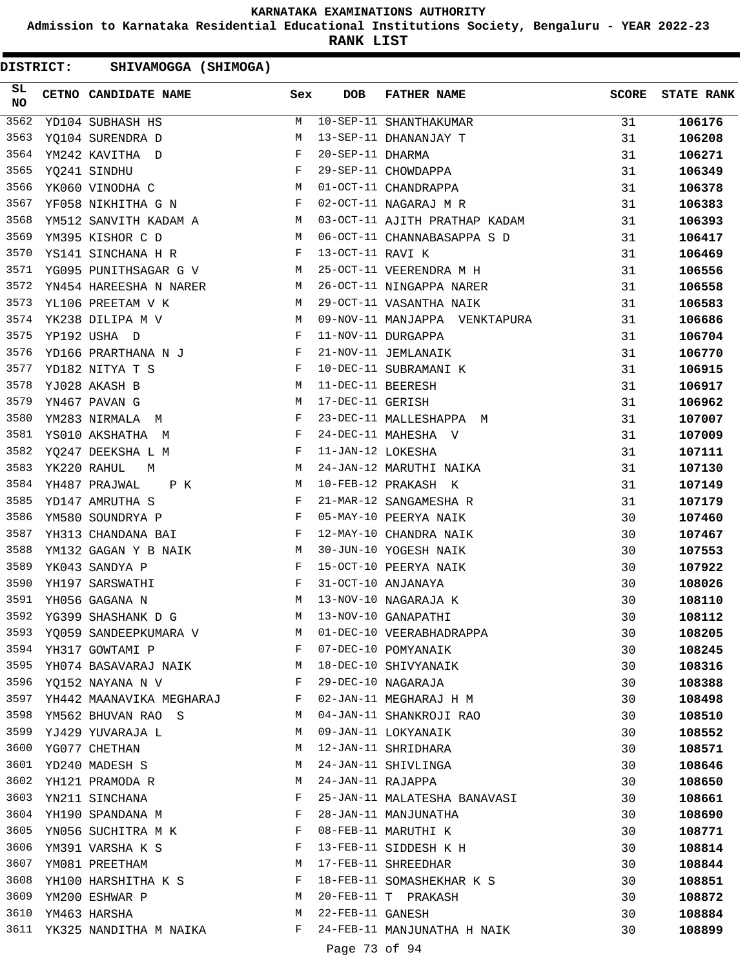**Admission to Karnataka Residential Educational Institutions Society, Bengaluru - YEAR 2022-23**

**RANK LIST**

| SL<br>NO | CETNO CANDIDATE NAME                                                                                                                                            | Sex                   | <b>DOB</b>        | FATHER NAME                   | <b>SCORE</b> | <b>STATE RANK</b> |
|----------|-----------------------------------------------------------------------------------------------------------------------------------------------------------------|-----------------------|-------------------|-------------------------------|--------------|-------------------|
| 3562     | YD104 SUBHASH HS                                                                                                                                                | M                     |                   | 10-SEP-11 SHANTHAKUMAR        | 31           | 106176            |
| 3563     | YQ104 SURENDRA D                                                                                                                                                | М                     |                   | 13-SEP-11 DHANANJAY T         | 31           | 106208            |
| 3564     | YM242 KAVITHA D                                                                                                                                                 | F                     | 20-SEP-11 DHARMA  |                               | 31           | 106271            |
| 3565     | $\begin{aligned} \mathbf{F} \\ \mathbf{M} \end{aligned}$<br>YQ241 SINDHU                                                                                        |                       |                   | 29-SEP-11 CHOWDAPPA           | 31           | 106349            |
| 3566     | YK060 VINODHA C                                                                                                                                                 |                       |                   | 01-OCT-11 CHANDRAPPA          | 31           | 106378            |
| 3567     | YF058 NIKHITHA G N F                                                                                                                                            |                       |                   | 02-OCT-11 NAGARAJ M R         | 31           | 106383            |
| 3568     | YM512 SANVITH KADAM A M                                                                                                                                         |                       |                   | 03-OCT-11 AJITH PRATHAP KADAM | 31           | 106393            |
| 3569     | M<br>YM395 KISHOR C D                                                                                                                                           |                       |                   | 06-OCT-11 CHANNABASAPPA S D   | 31           | 106417            |
| 3570     | YS141 SINCHANA H R F                                                                                                                                            |                       | 13-OCT-11 RAVI K  |                               | 31           | 106469            |
| 3571     | YG095 PUNITHSAGAR G V M                                                                                                                                         |                       |                   | 25-OCT-11 VEERENDRA M H       | 31           | 106556            |
| 3572     | YN454 HAREESHA N NARER M                                                                                                                                        |                       |                   | 26-OCT-11 NINGAPPA NARER      | 31           | 106558            |
| 3573     | M<br>YL106 PREETAM V K                                                                                                                                          |                       |                   | 29-OCT-11 VASANTHA NAIK       | 31           | 106583            |
| 3574     | $\begin{array}{c}\nM \\ N \\ F\n\end{array}$<br>YK238 DILIPA M V                                                                                                |                       |                   | 09-NOV-11 MANJAPPA VENKTAPURA | 31           | 106686            |
| 3575     | YP192 USHA D                                                                                                                                                    |                       |                   | 11-NOV-11 DURGAPPA            | 31           | 106704            |
| 3576     | YD166 PRARTHANA N J F                                                                                                                                           |                       |                   | 21-NOV-11 JEMLANAIK           | 31           | 106770            |
| 3577     | $\mathbf{F}^{\mathcal{I}}$<br>YD182 NITYA T S                                                                                                                   |                       |                   | 10-DEC-11 SUBRAMANI K         | 31           | 106915            |
| 3578     | YJ028 AKASH B                                                                                                                                                   | М                     | 11-DEC-11 BEERESH |                               | 31           | 106917            |
| 3579     | YN467 PAVAN G                                                                                                                                                   | М                     | 17-DEC-11 GERISH  |                               | 31           | 106962            |
| 3580     | <b>Example 20</b> Section 20 and 20 Section 20 and 20 Section 20 and 20 Section 20 and 20 Section 20 and 20 Section 20 $\overline{\text{F}}$<br>YM283 NIRMALA M |                       |                   | 23-DEC-11 MALLESHAPPA M       | 31           | 107007            |
| 3581     | YS010 AKSHATHA M                                                                                                                                                | F                     |                   | 24-DEC-11 MAHESHA V           | 31           | 107009            |
| 3582     | YQ247 DEEKSHA L M                                                                                                                                               | $\mathbf{F}$          | 11-JAN-12 LOKESHA |                               | 31           | 107111            |
| 3583     | YK220 RAHUL<br><b>M</b><br>M                                                                                                                                    |                       |                   | 24-JAN-12 MARUTHI NAIKA       | 31           | 107130            |
| 3584     | <b>M</b><br>YH487 PRAJWAL<br>P K                                                                                                                                |                       |                   | 10-FEB-12 PRAKASH K           | 31           | 107149            |
| 3585     | $\mathbf{F}$ and $\mathbf{F}$<br>YD147 AMRUTHA S                                                                                                                |                       |                   | 21-MAR-12 SANGAMESHA R        | 31           | 107179            |
| 3586     | YM580 SOUNDRYA P                                                                                                                                                | $\mathbb{F}$          |                   | 05-MAY-10 PEERYA NAIK         | 30           | 107460            |
| 3587     | YH313 CHANDANA BAI F                                                                                                                                            |                       |                   | 12-MAY-10 CHANDRA NAIK        | 30           | 107467            |
| 3588     | YM132 GAGAN Y B NAIK M                                                                                                                                          |                       |                   | 30-JUN-10 YOGESH NAIK         | 30           | 107553            |
| 3589     | $\mathbf{F}$<br>YK043 SANDYA P                                                                                                                                  |                       |                   | 15-OCT-10 PEERYA NAIK         | 30           | 107922            |
| 3590     | $\mathbf{F}$<br>YH197 SARSWATHI                                                                                                                                 |                       |                   | 31-OCT-10 ANJANAYA            | 30           | 108026            |
| 3591     | M <sub>N</sub><br>YH056 GAGANA N                                                                                                                                |                       |                   | 13-NOV-10 NAGARAJA K          | 30           | 108110            |
| 3592     | YG399 SHASHANK D G                                                                                                                                              | M                     |                   | 13-NOV-10 GANAPATHI           | 30           | 108112            |
|          | 3593 YQ059 SANDEEPKUMARA V                                                                                                                                      |                       |                   | M 01-DEC-10 VEERABHADRAPPA    | 30           | 108205            |
|          | 3594 YH317 GOWTAMI P                                                                                                                                            | $\mathbb{F}^{\times}$ |                   | 07-DEC-10 POMYANAIK           | 30           | 108245            |
|          | 3595 YH074 BASAVARAJ NAIK M                                                                                                                                     |                       |                   | 18-DEC-10 SHIVYANAIK          | 30           | 108316            |
|          | $\mathbf{F}$ and the contract of the contract of $\mathbf{F}$<br>3596 YQ152 NAYANA N V                                                                          |                       |                   | 29-DEC-10 NAGARAJA            | 30           | 108388            |
|          | 3597 YH442 MAANAVIKA MEGHARAJ F                                                                                                                                 |                       |                   | 02-JAN-11 MEGHARAJ H M        | 30           | 108498            |
|          | 3598 YM562 BHUVAN RAO S                                                                                                                                         | M                     |                   | 04-JAN-11 SHANKROJI RAO       | 30           | 108510            |
|          | 3599 YJ429 YUVARAJA L                                                                                                                                           | M                     |                   | 09-JAN-11 LOKYANAIK           | 30           | 108552            |
| 3600     | YG077 CHETHAN                                                                                                                                                   | M                     |                   | 12-JAN-11 SHRIDHARA           | 30           | 108571            |
|          | 3601 YD240 MADESH S                                                                                                                                             | М                     |                   | 24-JAN-11 SHIVLINGA           | 30           | 108646            |
|          | 3602 YH121 PRAMODA R                                                                                                                                            | M                     | 24-JAN-11 RAJAPPA |                               | 30           | 108650            |
|          | 3603 YN211 SINCHANA                                                                                                                                             | F                     |                   | 25-JAN-11 MALATESHA BANAVASI  | 30           | 108661            |
|          | 3604 YH190 SPANDANA M                                                                                                                                           | F                     |                   | 28-JAN-11 MANJUNATHA          | 30           | 108690            |
|          | 3605 YN056 SUCHITRA M K                                                                                                                                         | F                     |                   | 08-FEB-11 MARUTHI K           | 30           | 108771            |
|          | 3606 YM391 VARSHA K S                                                                                                                                           | F                     |                   | 13-FEB-11 SIDDESH K H         | 30           | 108814            |
| 3607     | YM081 PREETHAM                                                                                                                                                  | М                     |                   | 17-FEB-11 SHREEDHAR           | 30           | 108844            |
| 3608     | YH100 HARSHITHA K S                                                                                                                                             | F                     |                   | 18-FEB-11 SOMASHEKHAR K S     | 30           | 108851            |
|          | 3609 YM200 ESHWAR P                                                                                                                                             | M                     |                   | 20-FEB-11 T PRAKASH           | 30           | 108872            |
|          | 3610 YM463 HARSHA                                                                                                                                               | M                     | 22-FEB-11 GANESH  |                               | 30           | 108884            |
|          | 3611 YK325 NANDITHA M NAIKA                                                                                                                                     | F                     |                   | 24-FEB-11 MANJUNATHA H NAIK   | 30           | 108899            |
|          |                                                                                                                                                                 |                       |                   |                               |              |                   |
|          |                                                                                                                                                                 |                       | Page 73 of 94     |                               |              |                   |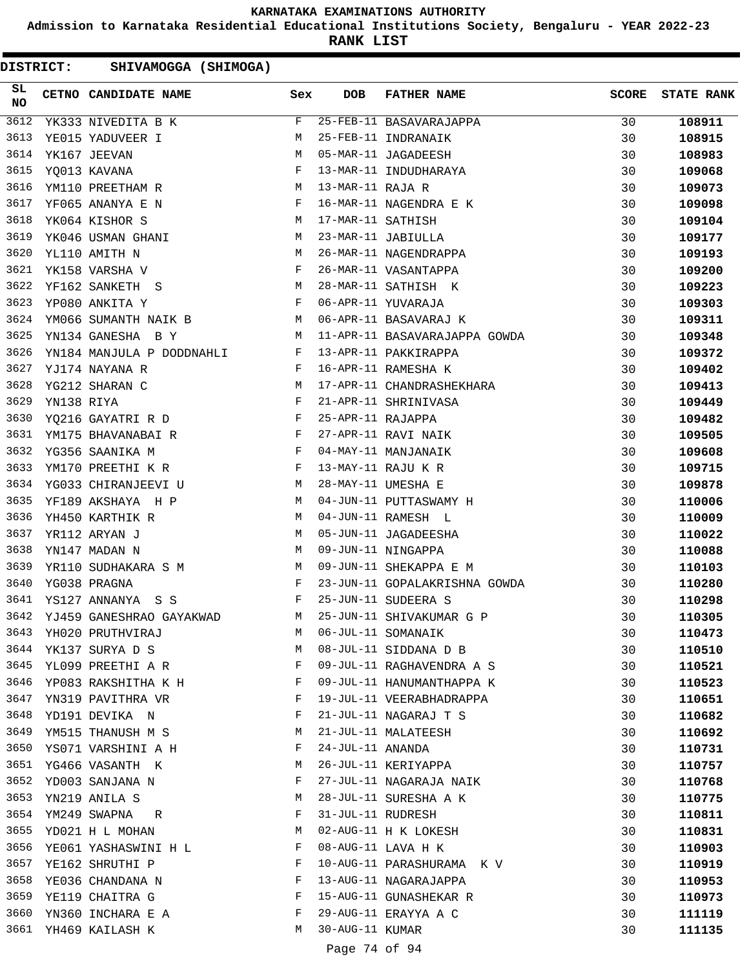**Admission to Karnataka Residential Educational Institutions Society, Bengaluru - YEAR 2022-23**

**RANK LIST**

| SL<br><b>NO</b> | CETNO CANDIDATE NAME Sex                                                                                                                                                                                                                                 |   | DOB               | FATHER NAME                                                                                                        | <b>SCORE</b> | <b>STATE RANK</b> |
|-----------------|----------------------------------------------------------------------------------------------------------------------------------------------------------------------------------------------------------------------------------------------------------|---|-------------------|--------------------------------------------------------------------------------------------------------------------|--------------|-------------------|
| 3612            | <u> 1970 - Jan Sterling Sterling (</u><br>YK333 NIVEDITA B K                                                                                                                                                                                             | F |                   | 25-FEB-11 BASAVARAJAPPA<br>25-FEB-11 INDRANAIK<br>05-MAR-11 JAGADEESH<br>13-MAR-11 INDUDHARAYA<br>13-MAR-11 RAJA R | 30           | 108911            |
| 3613            | YE015 YADUVEER I                                                                                                                                                                                                                                         | М |                   |                                                                                                                    | 30           | 108915            |
| 3614            | YK167 JEEVAN                                                                                                                                                                                                                                             | M |                   |                                                                                                                    | 30           | 108983            |
| 3615            | YO013 KAVANA                                                                                                                                                                                                                                             | F |                   |                                                                                                                    | 30           | 109068            |
| 3616            | M <sub>1</sub><br>YM110 PREETHAM R                                                                                                                                                                                                                       |   |                   |                                                                                                                    | 30           | 109073            |
| 3617            | $\mathbf{F}$ and the contract of the contract of $\mathbf{F}$<br>YF065 ANANYA E N                                                                                                                                                                        |   |                   | 16-MAR-11 NAGENDRA E K                                                                                             | 30           | 109098            |
| 3618            | M<br>YK064 KISHOR S                                                                                                                                                                                                                                      |   | 17-MAR-11 SATHISH |                                                                                                                    | 30           | 109104            |
| 3619            | M<br>YK046 USMAN GHANI                                                                                                                                                                                                                                   |   |                   | 23-MAR-11 JABIULLA                                                                                                 | 30           | 109177            |
| 3620            | YL110 AMITH N<br>M <sub>N</sub>                                                                                                                                                                                                                          |   |                   | 26-MAR-11 NAGENDRAPPA                                                                                              | 30           | 109193            |
| 3621            | $\mathbf{F}$ and $\mathbf{F}$ and $\mathbf{F}$<br>YK158 VARSHA V                                                                                                                                                                                         |   |                   | 26-MAR-11 VASANTAPPA                                                                                               | 30           | 109200            |
| 3622            | M<br>YF162 SANKETH S                                                                                                                                                                                                                                     |   |                   | 28-MAR-11 SATHISH K                                                                                                | 30           | 109223            |
| 3623            | $\mathbb F$ . The set of $\mathbb F$<br>YP080 ANKITA Y                                                                                                                                                                                                   |   |                   | 06-APR-11 YUVARAJA                                                                                                 | 30           | 109303            |
| 3624            | YM066 SUMANTH NAIK B M                                                                                                                                                                                                                                   |   |                   | 06-APR-11 BASAVARAJ K                                                                                              | 30           | 109311            |
| 3625            | YN134 GANESHA B Y<br><b>Example 18</b> and 20 and 20 and 20 and 20 and 20 and 20 and 20 and 20 and 20 and 20 and 20 and 20 and 20 and 20 and 20 and 20 and 20 and 20 and 20 and 20 and 20 and 20 and 20 and 20 and 20 and 20 and 20 and 20 and 20 and 20 |   |                   | 11-APR-11 BASAVARAJAPPA GOWDA                                                                                      | 30           | 109348            |
| 3626            |                                                                                                                                                                                                                                                          |   |                   | 13-APR-11 PAKKIRAPPA                                                                                               | 30           | 109372            |
| 3627            | YN184 MANJULA P DODDNAHLI F<br>YJ174 NAYANA R F<br>YG212 SHARAN C M<br>YN138 RIYA F                                                                                                                                                                      |   |                   | 16-APR-11 RAMESHA K                                                                                                | 30           | 109402            |
| 3628            |                                                                                                                                                                                                                                                          |   |                   | 17-APR-11 CHANDRASHEKHARA                                                                                          | 30           | 109413            |
| 3629            |                                                                                                                                                                                                                                                          |   |                   | 21-APR-11 SHRINIVASA                                                                                               | 30           | 109449            |
| 3630            | YQ216 GAYATRI R D F                                                                                                                                                                                                                                      |   | 25-APR-11 RAJAPPA |                                                                                                                    | 30           | 109482            |
| 3631            |                                                                                                                                                                                                                                                          |   |                   | 27-APR-11 RAVI NAIK                                                                                                | 30           | 109505            |
| 3632            | YM175 BHAVANABAIR<br>YG356 SAANIKA M                                                                                                                                                                                                                     |   |                   | 04-MAY-11 MANJANAIK                                                                                                | 30           | 109608            |
| 3633            | $\mathbf{F}$ and $\mathbf{F}$ and $\mathbf{F}$<br>YM170 PREETHI K R                                                                                                                                                                                      |   |                   | 13-MAY-11 RAJU K R                                                                                                 | 30           | 109715            |
| 3634            | M <sub>1</sub><br>YG033 CHIRANJEEVI U                                                                                                                                                                                                                    |   |                   | 28-MAY-11 UMESHA E                                                                                                 | 30           | 109878            |
| 3635            | YF189 AKSHAYA H P                                                                                                                                                                                                                                        | M |                   | 04-JUN-11 PUTTASWAMY H                                                                                             | 30           | 110006            |
| 3636            | YH450 KARTHIK R                                                                                                                                                                                                                                          | M |                   | 04-JUN-11 RAMESH L                                                                                                 | 30           | 110009            |
| 3637            | YR112 ARYAN J                                                                                                                                                                                                                                            | M |                   | 05-JUN-11 JAGADEESHA                                                                                               | 30           | 110022            |
| 3638            | M<br>YN147 MADAN N                                                                                                                                                                                                                                       |   |                   | 09-JUN-11 NINGAPPA                                                                                                 | 30           | 110088            |
| 3639            | YR110 SUDHAKARA S M                                                                                                                                                                                                                                      | M |                   | 09-JUN-11 SHEKAPPA E M                                                                                             | 30           | 110103            |
| 3640            | YG038 PRAGNA<br>$\mathbf{F}$ . The $\mathbf{F}$                                                                                                                                                                                                          |   |                   | 23-JUN-11 GOPALAKRISHNA GOWDA                                                                                      | 30           | 110280            |
| 3641            | $\begin{array}{ccc}\n YS127 & \text{ANNANYA} & S & S & F\n\end{array}$                                                                                                                                                                                   |   |                   | 25-JUN-11 SUDEERA S                                                                                                | 30           | 110298            |
| 3642            | YJ459 GANESHRAO GAYAKWAD M                                                                                                                                                                                                                               |   |                   | 25-JUN-11 SHIVAKUMAR G P                                                                                           | 30           | 110305            |
| 3643            |                                                                                                                                                                                                                                                          | М |                   | 06-JUL-11 SOMANAIK                                                                                                 |              |                   |
| 3644            | YH020 PRUTHVIRAJ                                                                                                                                                                                                                                         |   |                   |                                                                                                                    | 30           | 110473            |
|                 | YK137 SURYA D S                                                                                                                                                                                                                                          | М |                   | 08-JUL-11 SIDDANA D B                                                                                              | 30           | 110510            |
| 3645            | YL099 PREETHI A R                                                                                                                                                                                                                                        | F |                   | 09-JUL-11 RAGHAVENDRA A S                                                                                          | 30           | 110521            |
| 3646            | YP083 RAKSHITHA K H                                                                                                                                                                                                                                      | F |                   | 09-JUL-11 HANUMANTHAPPA K                                                                                          | 30           | 110523            |
| 3647            | YN319 PAVITHRA VR                                                                                                                                                                                                                                        | F |                   | 19-JUL-11 VEERABHADRAPPA                                                                                           | 30           | 110651            |
| 3648            | YD191 DEVIKA N                                                                                                                                                                                                                                           | F |                   | 21-JUL-11 NAGARAJ T S                                                                                              | 30           | 110682            |
| 3649            | YM515 THANUSH M S                                                                                                                                                                                                                                        | М |                   | 21-JUL-11 MALATEESH                                                                                                | 30           | 110692            |
| 3650            | YS071 VARSHINI A H                                                                                                                                                                                                                                       | F | 24-JUL-11 ANANDA  |                                                                                                                    | 30           | 110731            |
| 3651            | YG466 VASANTH K                                                                                                                                                                                                                                          | М |                   | 26-JUL-11 KERIYAPPA                                                                                                | 30           | 110757            |
| 3652            | YD003 SANJANA N                                                                                                                                                                                                                                          | F |                   | 27-JUL-11 NAGARAJA NAIK                                                                                            | 30           | 110768            |
| 3653            | YN219 ANILA S                                                                                                                                                                                                                                            | М |                   | 28-JUL-11 SURESHA A K                                                                                              | 30           | 110775            |
| 3654            | YM249 SWAPNA<br>R                                                                                                                                                                                                                                        | F | 31-JUL-11 RUDRESH |                                                                                                                    | 30           | 110811            |
| 3655            | YD021 H L MOHAN                                                                                                                                                                                                                                          | М |                   | 02-AUG-11 H K LOKESH                                                                                               | 30           | 110831            |
| 3656            | YE061 YASHASWINI H L                                                                                                                                                                                                                                     | F |                   | 08-AUG-11 LAVA H K                                                                                                 | 30           | 110903            |
| 3657            | YE162 SHRUTHI P                                                                                                                                                                                                                                          | F |                   | 10-AUG-11 PARASHURAMA K V                                                                                          | 30           | 110919            |
| 3658            | YE036 CHANDANA N                                                                                                                                                                                                                                         | F |                   | 13-AUG-11 NAGARAJAPPA                                                                                              | 30           | 110953            |
|                 | 3659 YE119 CHAITRA G                                                                                                                                                                                                                                     | F |                   | 15-AUG-11 GUNASHEKAR R                                                                                             | 30           | 110973            |
| 3660            | YN360 INCHARA E A                                                                                                                                                                                                                                        | F |                   | 29-AUG-11 ERAYYA A C                                                                                               | 30           | 111119            |
|                 | 3661 YH469 KAILASH K                                                                                                                                                                                                                                     | М | 30-AUG-11 KUMAR   |                                                                                                                    | 30           | 111135            |
|                 |                                                                                                                                                                                                                                                          |   |                   |                                                                                                                    |              |                   |

Page 74 of 94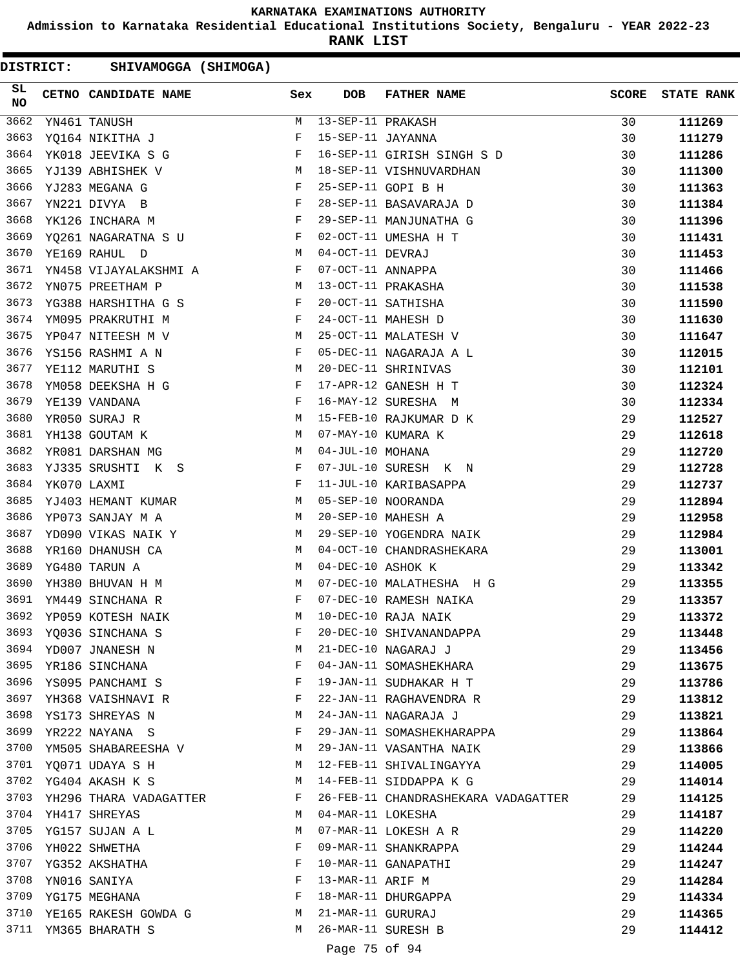**Admission to Karnataka Residential Educational Institutions Society, Bengaluru - YEAR 2022-23**

**RANK LIST**

DISTRICT: SHIVAMOGGA (SHIMOGA)

| SL<br><b>NO</b> | CETNO CANDIDATE NAME                                                                                                                                                                                                                                   | Sex          | DOB               | FATHER NAME                         | <b>SCORE</b> | <b>STATE RANK</b> |
|-----------------|--------------------------------------------------------------------------------------------------------------------------------------------------------------------------------------------------------------------------------------------------------|--------------|-------------------|-------------------------------------|--------------|-------------------|
| 3662            | YN461 TANUSH                                                                                                                                                                                                                                           | М            | 13-SEP-11 PRAKASH |                                     | 30           | 111269            |
| 3663            | YQ164 NIKITHA J                                                                                                                                                                                                                                        | F            | 15-SEP-11 JAYANNA |                                     | 30           | 111279            |
| 3664            | YK018 JEEVIKA S G                                                                                                                                                                                                                                      | $\mathbf{F}$ |                   | 16-SEP-11 GIRISH SINGH S D          | 30           | 111286            |
| 3665            | M<br>YJ139 ABHISHEK V                                                                                                                                                                                                                                  |              |                   | 18-SEP-11 VISHNUVARDHAN             | 30           | 111300            |
| 3666            | YJ283 MEGANA G                                                                                                                                                                                                                                         | $_{\rm F}$   |                   | 25-SEP-11 GOPI B H                  | 30           | 111363            |
| 3667            | $\mathbf{F}$ and the contract of the contract $\mathbf{F}$<br>YN221 DIVYA B                                                                                                                                                                            |              |                   | 28-SEP-11 BASAVARAJA D              | 30           | 111384            |
| 3668            | $\mathbf{F}$<br>YK126 INCHARA M                                                                                                                                                                                                                        |              |                   | 29-SEP-11 MANJUNATHA G              | 30           | 111396            |
| 3669            | YQ261 NAGARATNA S U                                                                                                                                                                                                                                    | $\mathbf{F}$ |                   | 02-OCT-11 UMESHA H T                | 30           | 111431            |
| 3670            | YE169 RAHUL D<br>M <sub>N</sub>                                                                                                                                                                                                                        |              | 04-OCT-11 DEVRAJ  |                                     | 30           | 111453            |
| 3671            | YN458 VIJAYALAKSHMI A                                                                                                                                                                                                                                  | F            | 07-OCT-11 ANNAPPA |                                     | 30           | 111466            |
| 3672            | M<br>YN075 PREETHAM P                                                                                                                                                                                                                                  |              |                   | 13-OCT-11 PRAKASHA                  | 30           | 111538            |
| 3673            | YG388 HARSHITHA G S                                                                                                                                                                                                                                    | $\mathbf{F}$ |                   | 20-OCT-11 SATHISHA                  | 30           | 111590            |
| 3674            | $\mathbb{R}^n$ . The set of the set of the set of the set of the set of the set of the set of the set of the set of the set of the set of the set of the set of the set of the set of the set of the set of the set of the set of<br>YM095 PRAKRUTHI M |              |                   | 24-OCT-11 MAHESH D                  | 30           | 111630            |
| 3675            | YP047 NITEESH M V                                                                                                                                                                                                                                      | M            |                   | 25-OCT-11 MALATESH V                | 30           | 111647            |
| 3676            | YS156 RASHMI A N                                                                                                                                                                                                                                       | F            |                   | 05-DEC-11 NAGARAJA A L              | 30           | 112015            |
| 3677            | YE112 MARUTHI S                                                                                                                                                                                                                                        | M            |                   | 20-DEC-11 SHRINIVAS                 | 30           | 112101            |
| 3678            | YM058 DEEKSHA H G                                                                                                                                                                                                                                      | F            |                   | 17-APR-12 GANESH H T                | 30           | 112324            |
| 3679            | YE139 VANDANA                                                                                                                                                                                                                                          | F            |                   | 16-MAY-12 SURESHA M                 | 30           | 112334            |
| 3680            | YR050 SURAJ R                                                                                                                                                                                                                                          | М            |                   | 15-FEB-10 RAJKUMAR D K              | 29           | 112527            |
| 3681            | YH138 GOUTAM K                                                                                                                                                                                                                                         | М            |                   | 07-MAY-10 KUMARA K                  | 29           | 112618            |
| 3682            | YR081 DARSHAN MG                                                                                                                                                                                                                                       | М            | 04-JUL-10 MOHANA  |                                     | 29           | 112720            |
| 3683            | YJ335 SRUSHTI K S                                                                                                                                                                                                                                      | F            |                   | 07-JUL-10 SURESH K N                | 29           | 112728            |
| 3684            | YK070 LAXMI                                                                                                                                                                                                                                            | $\mathbf{F}$ |                   | 11-JUL-10 KARIBASAPPA               | 29           | 112737            |
| 3685            | YJ403 HEMANT KUMAR                                                                                                                                                                                                                                     | M            |                   | 05-SEP-10 NOORANDA                  | 29           | 112894            |
| 3686            | YP073 SANJAY M A                                                                                                                                                                                                                                       | M            |                   | 20-SEP-10 MAHESH A                  | 29           | 112958            |
| 3687            | YD090 VIKAS NAIK Y                                                                                                                                                                                                                                     | M            |                   | 29-SEP-10 YOGENDRA NAIK             | 29           | 112984            |
| 3688            | YR160 DHANUSH CA                                                                                                                                                                                                                                       | М            |                   | 04-OCT-10 CHANDRASHEKARA            | 29           | 113001            |
| 3689            | YG480 TARUN A                                                                                                                                                                                                                                          | М            | 04-DEC-10 ASHOK K |                                     | 29           | 113342            |
| 3690            | YH380 BHUVAN H M                                                                                                                                                                                                                                       | M            |                   | 07-DEC-10 MALATHESHA H G            | 29           | 113355            |
| 3691            | YM449 SINCHANA R                                                                                                                                                                                                                                       | F            |                   | 07-DEC-10 RAMESH NAIKA              | 29           | 113357            |
| 3692            | YP059 KOTESH NAIK                                                                                                                                                                                                                                      | М            |                   | 10-DEC-10 RAJA NAIK                 | 29           | 113372            |
|                 | 3693 YQ036 SINCHANA S                                                                                                                                                                                                                                  | F            |                   | 20-DEC-10 SHIVANANDAPPA             | 29           | 113448            |
|                 | 3694 YD007 JNANESH N                                                                                                                                                                                                                                   | M            |                   | 21-DEC-10 NAGARAJ J                 | 29           | 113456            |
| 3695            | YR186 SINCHANA                                                                                                                                                                                                                                         | F            |                   | 04-JAN-11 SOMASHEKHARA              | 29           | 113675            |
| 3696            | YS095 PANCHAMI S                                                                                                                                                                                                                                       | F            |                   | 19-JAN-11 SUDHAKAR H T              | 29           | 113786            |
| 3697            | YH368 VAISHNAVI R                                                                                                                                                                                                                                      | F            |                   | 22-JAN-11 RAGHAVENDRA R             | 29           | 113812            |
| 3698            | YS173 SHREYAS N                                                                                                                                                                                                                                        | M            |                   | 24-JAN-11 NAGARAJA J                | 29           | 113821            |
| 3699            | YR222 NAYANA S                                                                                                                                                                                                                                         | F            |                   | 29-JAN-11 SOMASHEKHARAPPA           | 29           | 113864            |
| 3700            | YM505 SHABAREESHA V                                                                                                                                                                                                                                    | M            |                   | 29-JAN-11 VASANTHA NAIK             | 29           | 113866            |
|                 | 3701 YO071 UDAYA S H                                                                                                                                                                                                                                   | M            |                   | 12-FEB-11 SHIVALINGAYYA             | 29           | 114005            |
|                 | 3702 YG404 AKASH K S                                                                                                                                                                                                                                   | M            |                   | 14-FEB-11 SIDDAPPA K G              | 29           | 114014            |
| 3703            | YH296 THARA VADAGATTER                                                                                                                                                                                                                                 | F            |                   | 26-FEB-11 CHANDRASHEKARA VADAGATTER | 29           | 114125            |
|                 | 3704 YH417 SHREYAS                                                                                                                                                                                                                                     | M            | 04-MAR-11 LOKESHA |                                     | 29           | 114187            |
|                 | 3705 YG157 SUJAN A L                                                                                                                                                                                                                                   | M            |                   | 07-MAR-11 LOKESH A R                | 29           | 114220            |
| 3706            | YH022 SHWETHA                                                                                                                                                                                                                                          | F            |                   | 09-MAR-11 SHANKRAPPA                | 29           | 114244            |
| 3707            | YG352 AKSHATHA                                                                                                                                                                                                                                         | F            |                   | 10-MAR-11 GANAPATHI                 | 29           | 114247            |
| 3708            | YN016 SANIYA                                                                                                                                                                                                                                           | F            | 13-MAR-11 ARIF M  |                                     | 29           | 114284            |
| 3709            | YG175 MEGHANA                                                                                                                                                                                                                                          | F            |                   | 18-MAR-11 DHURGAPPA                 | 29           | 114334            |
|                 | 3710 YE165 RAKESH GOWDA G                                                                                                                                                                                                                              | M            | 21-MAR-11 GURURAJ |                                     | 29           | 114365            |
|                 | 3711 YM365 BHARATH S                                                                                                                                                                                                                                   | M            |                   | 26-MAR-11 SURESH B                  | 29           | 114412            |
|                 |                                                                                                                                                                                                                                                        |              |                   |                                     |              |                   |

# Page 75 of 94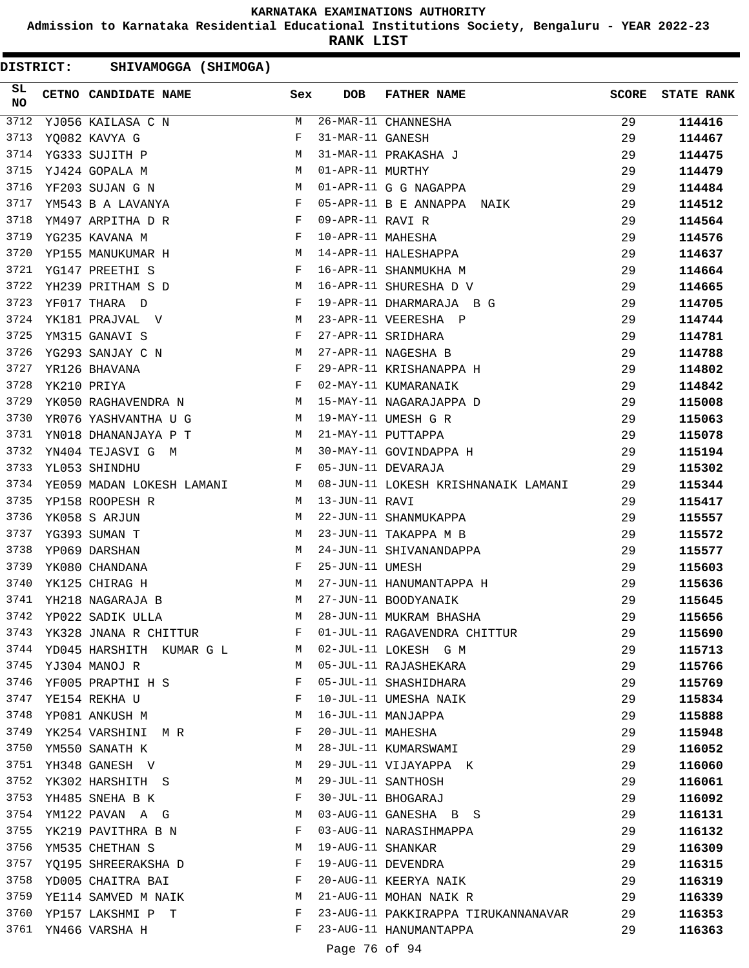**Admission to Karnataka Residential Educational Institutions Society, Bengaluru - YEAR 2022-23**

**RANK LIST**

| <b>DISTRICT:</b> | SHIVAMOGGA (SHIMOGA)          |              |                   |                                     |              |                   |
|------------------|-------------------------------|--------------|-------------------|-------------------------------------|--------------|-------------------|
| SL<br>NO         | CETNO CANDIDATE NAME          | Sex          | <b>DOB</b>        | <b>FATHER NAME</b>                  | <b>SCORE</b> | <b>STATE RANK</b> |
| 3712             | YJ056 KAILASA C N             | M            |                   | 26-MAR-11 CHANNESHA                 | 29           | 114416            |
| 3713             | YQ082 KAVYA G                 | F            | 31-MAR-11 GANESH  |                                     | 29           | 114467            |
| 3714             | YG333 SUJITH P                | М            |                   | 31-MAR-11 PRAKASHA J                | 29           | 114475            |
| 3715             | YJ424 GOPALA M                | М            | 01-APR-11 MURTHY  |                                     | 29           | 114479            |
| 3716             | YF203 SUJAN G N               | М            |                   | 01-APR-11 G G NAGAPPA               | 29           | 114484            |
| 3717             | YM543 B A LAVANYA             | F            |                   | 05-APR-11 B E ANNAPPA NAIK          | 29           | 114512            |
| 3718             | YM497 ARPITHA D R             | $\mathbf{F}$ | 09-APR-11 RAVI R  |                                     | 29           | 114564            |
| 3719             | YG235 KAVANA M                | F            | 10-APR-11 MAHESHA |                                     | 29           | 114576            |
| 3720             | YP155 MANUKUMAR H             | М            |                   | 14-APR-11 HALESHAPPA                | 29           | 114637            |
| 3721             | YG147 PREETHI S               | F            |                   | 16-APR-11 SHANMUKHA M               | 29           | 114664            |
| 3722             | YH239 PRITHAM S D             | M            |                   | 16-APR-11 SHURESHA D V              | 29           | 114665            |
| 3723             | YF017 THARA D                 | F            |                   | 19-APR-11 DHARMARAJA B G            | 29           | 114705            |
| 3724             | YK181 PRAJVAL V               | M            |                   | 23-APR-11 VEERESHA P                | 29           | 114744            |
| 3725             | YM315 GANAVI S                | F            |                   | 27-APR-11 SRIDHARA                  | 29           | 114781            |
| 3726             | YG293 SANJAY C N              | M            |                   | 27-APR-11 NAGESHA B                 | 29           | 114788            |
| 3727             | YR126 BHAVANA                 | F            |                   | 29-APR-11 KRISHANAPPA H             | 29           | 114802            |
| 3728             | YK210 PRIYA                   | F            |                   | 02-MAY-11 KUMARANAIK                | 29           | 114842            |
| 3729             | YK050 RAGHAVENDRA N           | M            |                   | 15-MAY-11 NAGARAJAPPA D             | 29           | 115008            |
| 3730             | YR076 YASHVANTHA U G          | M            |                   | 19-MAY-11 UMESH G R                 | 29           | 115063            |
| 3731             | YN018 DHANANJAYA P T          | M            |                   | 21-MAY-11 PUTTAPPA                  | 29           | 115078            |
| 3732             | YN404 TEJASVI G M             | M            |                   | 30-MAY-11 GOVINDAPPA H              | 29           | 115194            |
| 3733             | YL053 SHINDHU                 | $\mathbf{F}$ |                   | 05-JUN-11 DEVARAJA                  | 29           | 115302            |
| 3734             | YE059 MADAN LOKESH LAMANI     | M            |                   | 08-JUN-11 LOKESH KRISHNANAIK LAMANI | 29           | 115344            |
| 3735             | YP158 ROOPESH R               | M            | 13-JUN-11 RAVI    |                                     | 29           | 115417            |
| 3736             | YK058 S ARJUN                 | М            |                   | 22-JUN-11 SHANMUKAPPA               | 29           | 115557            |
| 3737             | YG393 SUMAN T                 | М            |                   | 23-JUN-11 TAKAPPA M B               | 29           | 115572            |
| 3738             | YP069 DARSHAN                 | М            |                   | 24-JUN-11 SHIVANANDAPPA             | 29           | 115577            |
| 3739             | YK080 CHANDANA                | F            | 25-JUN-11 UMESH   |                                     | 29           | 115603            |
| 3740             | YK125 CHIRAG H                | М            |                   | 27-JUN-11 HANUMANTAPPA H            | 29           | 115636            |
| 3741             | YH218 NAGARAJA B              | М            |                   | 27-JUN-11 BOODYANAIK                | 29           | 115645            |
|                  | 3742 YP022 SADIK ULLA         | М            |                   | 28-JUN-11 MUKRAM BHASHA             |              |                   |
|                  | 3743 YK328 JNANA R CHITTUR    | F            |                   | 01-JUL-11 RAGAVENDRA CHITTUR        | 29<br>29     | 115656            |
|                  | 3744 YD045 HARSHITH KUMAR G L | M            |                   | 02-JUL-11 LOKESH G M                | 29           | 115690            |
| 3745             | YJ304 MANOJ R                 | M            |                   | 05-JUL-11 RAJASHEKARA               | 29           | 115713            |
|                  | 3746 YF005 PRAPTHI H S        | F            |                   | 05-JUL-11 SHASHIDHARA               | 29           | 115766            |
| 3747             |                               | F            |                   | 10-JUL-11 UMESHA NAIK               |              | 115769            |
| 3748             | YE154 REKHA U                 | М            |                   | 16-JUL-11 MANJAPPA                  | 29           | 115834            |
|                  | YP081 ANKUSH M                |              |                   |                                     | 29           | 115888            |
| 3749             | YK254 VARSHINI MR             | F            | 20-JUL-11 MAHESHA |                                     | 29           | 115948            |
| 3750             | YM550 SANATH K                | М            |                   | 28-JUL-11 KUMARSWAMI                | 29           | 116052            |
| 3751             | YH348 GANESH V                | М            |                   | 29-JUL-11 VIJAYAPPA K               | 29           | 116060            |
| 3752             | YK302 HARSHITH S              | M            |                   | 29-JUL-11 SANTHOSH                  | 29           | 116061            |
| 3753             | YH485 SNEHA B K               | F            |                   | 30-JUL-11 BHOGARAJ                  | 29           | 116092            |
|                  | 3754 YM122 PAVAN A G          | M            |                   | 03-AUG-11 GANESHA B S               | 29           | 116131            |
| 3755             | YK219 PAVITHRA B N            | F            |                   | 03-AUG-11 NARASIHMAPPA              | 29           | 116132            |
| 3756             | YM535 CHETHAN S               | М            | 19-AUG-11 SHANKAR |                                     | 29           | 116309            |
| 3757             | YQ195 SHREERAKSHA D           | F            |                   | 19-AUG-11 DEVENDRA                  | 29           | 116315            |
| 3758             | YD005 CHAITRA BAI             | F            |                   | 20-AUG-11 KEERYA NAIK               | 29           | 116319            |
| 3759             | YE114 SAMVED M NAIK           | M            |                   | 21-AUG-11 MOHAN NAIK R              | 29           | 116339            |
| 3760             | YP157 LAKSHMI P T             | F            |                   | 23-AUG-11 PAKKIRAPPA TIRUKANNANAVAR | 29           | 116353            |
|                  | 3761 YN466 VARSHA H           | F            |                   | 23-AUG-11 HANUMANTAPPA              | 29           | 116363            |

Page 76 of 94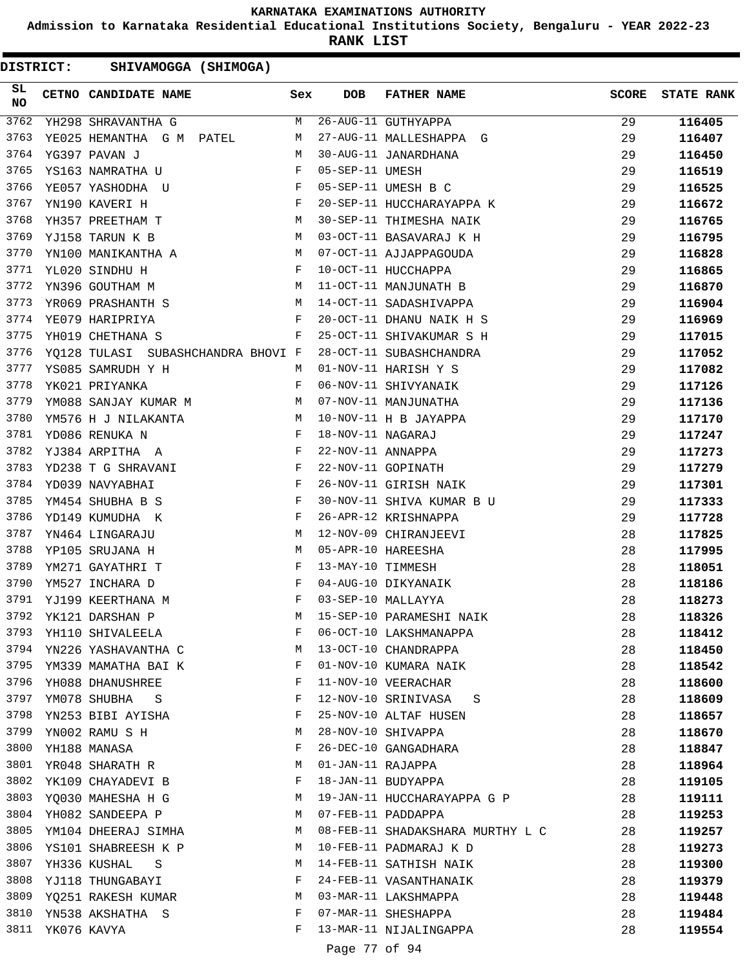**Admission to Karnataka Residential Educational Institutions Society, Bengaluru - YEAR 2022-23**

**RANK LIST**

| SL<br>NO |                  | CETNO CANDIDATE NAME                                                                                                                                                                                                                                  | Sex          | <b>DOB</b>        | FATHER NAME                      | <b>SCORE</b> | <b>STATE RANK</b> |
|----------|------------------|-------------------------------------------------------------------------------------------------------------------------------------------------------------------------------------------------------------------------------------------------------|--------------|-------------------|----------------------------------|--------------|-------------------|
| 3762     |                  | YH298 SHRAVANTHA G                                                                                                                                                                                                                                    | М            |                   | 26-AUG-11 GUTHYAPPA              | 29           | 116405            |
| 3763     |                  | YE025 HEMANTHA G M PATEL                                                                                                                                                                                                                              | M            |                   | 27-AUG-11 MALLESHAPPA G          | 29           | 116407            |
| 3764     |                  | YG397 PAVAN J                                                                                                                                                                                                                                         | М            |                   | 30-AUG-11 JANARDHANA             | 29           | 116450            |
| 3765     |                  | YS163 NAMRATHA U                                                                                                                                                                                                                                      | $\mathbf{F}$ | 05-SEP-11 UMESH   |                                  | 29           | 116519            |
| 3766     |                  | YE057 YASHODHA U<br>$\mathbb{R}^n$ . The set of the set of the set of the set of the set of the set of the set of the set of the set of the set of the set of the set of the set of the set of the set of the set of the set of the set of the set of |              |                   | 05-SEP-11 UMESH B C              | 29           | 116525            |
| 3767     |                  | $\mathbb{P}^1$ . The set of the set of the set of the set of the set of the set of the set of the set of the set of the set of the set of the set of the set of the set of the set of the set of the set of the set of the set of<br>YN190 KAVERI H   |              |                   | 20-SEP-11 HUCCHARAYAPPA K        | 29           | 116672            |
| 3768     |                  | M<br>YH357 PREETHAM T                                                                                                                                                                                                                                 |              |                   | 30-SEP-11 THIMESHA NAIK          | 29           | 116765            |
| 3769     |                  | YJ158 TARUN K B                                                                                                                                                                                                                                       | M            |                   | 03-OCT-11 BASAVARAJ K H          | 29           | 116795            |
| 3770     |                  | YN100 MANIKANTHA A                                                                                                                                                                                                                                    | M            |                   | 07-OCT-11 AJJAPPAGOUDA           | 29           | 116828            |
| 3771     |                  | YL020 SINDHU H                                                                                                                                                                                                                                        | F            |                   | 10-OCT-11 HUCCHAPPA              | 29           | 116865            |
| 3772     |                  | YN396 GOUTHAM M                                                                                                                                                                                                                                       | M            |                   | 11-OCT-11 MANJUNATH B            | 29           | 116870            |
| 3773     |                  | YR069 PRASHANTH S M                                                                                                                                                                                                                                   |              |                   | 14-OCT-11 SADASHIVAPPA           | 29           | 116904            |
| 3774     |                  | YE079 HARIPRIYA                                                                                                                                                                                                                                       | F            |                   | 20-OCT-11 DHANU NAIK H S         | 29           | 116969            |
| 3775     |                  | YH019 CHETHANA S                                                                                                                                                                                                                                      | F            |                   | 25-OCT-11 SHIVAKUMAR S H         | 29           | 117015            |
| 3776     |                  | YO128 TULASI SUBASHCHANDRA BHOVI F                                                                                                                                                                                                                    |              |                   | 28-OCT-11 SUBASHCHANDRA          | 29           | 117052            |
| 3777     |                  | YS085 SAMRUDH Y H<br>YK021 PRIYANKA F                                                                                                                                                                                                                 |              |                   | 01-NOV-11 HARISH Y S             | 29           | 117082            |
| 3778     |                  | YK021 PRIYANKA                                                                                                                                                                                                                                        | F            |                   | 06-NOV-11 SHIVYANAIK             | 29           | 117126            |
| 3779     |                  | YM088 SANJAY KUMAR M M                                                                                                                                                                                                                                |              |                   | 07-NOV-11 MANJUNATHA             | 29           | 117136            |
| 3780     |                  | YM576 H J NILAKANTA M                                                                                                                                                                                                                                 |              |                   | 10-NOV-11 H B JAYAPPA            | 29           | 117170            |
| 3781     |                  | $\frac{1}{\mathbf{F}}$<br>YD086 RENUKA N                                                                                                                                                                                                              |              | 18-NOV-11 NAGARAJ |                                  | 29           | 117247            |
| 3782     |                  | $\mathbf{F}^{\mathcal{L}}_{\mathcal{L}}=\mathbf{F}^{\mathcal{L}}_{\mathcal{L}}\mathbf{F}^{\mathcal{L}}_{\mathcal{L}}$<br>YJ384 ARPITHA A                                                                                                              |              | 22-NOV-11 ANNAPPA |                                  | 29           | 117273            |
| 3783     |                  | YD238 T G SHRAVANI F                                                                                                                                                                                                                                  |              |                   | 22-NOV-11 GOPINATH               | 29           | 117279            |
| 3784     |                  | $\mathbf{F}$<br>YD039 NAVYABHAI                                                                                                                                                                                                                       |              |                   | 26-NOV-11 GIRISH NAIK            | 29           | 117301            |
| 3785     |                  | YM454 SHUBHA B S                                                                                                                                                                                                                                      | $\mathbf{F}$ |                   | 30-NOV-11 SHIVA KUMAR B U        | 29           | 117333            |
| 3786     |                  | YD149 KUMUDHA K                                                                                                                                                                                                                                       | F            |                   | 26-APR-12 KRISHNAPPA             | 29           | 117728            |
| 3787     |                  | YN464 LINGARAJU                                                                                                                                                                                                                                       | М            |                   | 12-NOV-09 CHIRANJEEVI            | 28           | 117825            |
| 3788     |                  | YP105 SRUJANA H                                                                                                                                                                                                                                       | M            |                   | 05-APR-10 HAREESHA               | 28           | 117995            |
| 3789     |                  | YM271 GAYATHRI T                                                                                                                                                                                                                                      | F            | 13-MAY-10 TIMMESH |                                  | 28           | 118051            |
| 3790     |                  | YM527 INCHARA D                                                                                                                                                                                                                                       | F            |                   | 04-AUG-10 DIKYANAIK              | 28           | 118186            |
| 3791     |                  | $\mathbf{F}$ and $\mathbf{F}$ and $\mathbf{F}$<br>YJ199 KEERTHANA M                                                                                                                                                                                   |              |                   | 03-SEP-10 MALLAYYA               | 28           | 118273            |
| 3792     |                  | YK121 DARSHAN P                                                                                                                                                                                                                                       | М            |                   | 15-SEP-10 PARAMESHI NAIK         | 28           | 118326            |
| 3793     |                  | YH110 SHIVALEELA                                                                                                                                                                                                                                      | F            |                   | 06-OCT-10 LAKSHMANAPPA           | 28           | 118412            |
| 3794     |                  | YN226 YASHAVANTHA C                                                                                                                                                                                                                                   | M            |                   | 13-OCT-10 CHANDRAPPA             | 28           | 118450            |
| 3795     |                  | YM339 MAMATHA BAI K                                                                                                                                                                                                                                   | F            |                   | 01-NOV-10 KUMARA NAIK            | 28           | 118542            |
| 3796     |                  | YH088 DHANUSHREE                                                                                                                                                                                                                                      | F            |                   | 11-NOV-10 VEERACHAR              | 28           | 118600            |
| 3797     |                  | YM078 SHUBHA S                                                                                                                                                                                                                                        | F            |                   | 12-NOV-10 SRINIVASA<br>S         | 28           | 118609            |
| 3798     |                  | YN253 BIBI AYISHA                                                                                                                                                                                                                                     | F            |                   | 25-NOV-10 ALTAF HUSEN            | 28           | 118657            |
| 3799     |                  | YN002 RAMU S H                                                                                                                                                                                                                                        | М            |                   | 28-NOV-10 SHIVAPPA               | 28           | 118670            |
| 3800     |                  | YH188 MANASA                                                                                                                                                                                                                                          | F            |                   | 26-DEC-10 GANGADHARA             | 28           | 118847            |
| 3801     |                  | YR048 SHARATH R                                                                                                                                                                                                                                       | М            | 01-JAN-11 RAJAPPA |                                  | 28           | 118964            |
| 3802     |                  | YK109 CHAYADEVI B                                                                                                                                                                                                                                     | F            |                   | 18-JAN-11 BUDYAPPA               | 28           | 119105            |
| 3803     |                  | YQ030 MAHESHA H G                                                                                                                                                                                                                                     | M            |                   | 19-JAN-11 HUCCHARAYAPPA G P      | 28           | 119111            |
| 3804     |                  | YH082 SANDEEPA P                                                                                                                                                                                                                                      | M            |                   | 07-FEB-11 PADDAPPA               | 28           | 119253            |
| 3805     |                  | YM104 DHEERAJ SIMHA                                                                                                                                                                                                                                   | M            |                   | 08-FEB-11 SHADAKSHARA MURTHY L C | 28           | 119257            |
| 3806     |                  | YS101 SHABREESH K P                                                                                                                                                                                                                                   | M            |                   | 10-FEB-11 PADMARAJ K D           | 28           | 119273            |
| 3807     |                  | YH336 KUSHAL<br>S                                                                                                                                                                                                                                     | M            |                   | 14-FEB-11 SATHISH NAIK           | 28           | 119300            |
| 3808     |                  | YJ118 THUNGABAYI                                                                                                                                                                                                                                      | F            |                   | 24-FEB-11 VASANTHANAIK           | 28           | 119379            |
| 3809     |                  | YQ251 RAKESH KUMAR                                                                                                                                                                                                                                    | M            |                   | 03-MAR-11 LAKSHMAPPA             | 28           | 119448            |
| 3810     |                  | YN538 AKSHATHA S                                                                                                                                                                                                                                      | F            |                   | 07-MAR-11 SHESHAPPA              | 28           | 119484            |
|          | 3811 YK076 KAVYA |                                                                                                                                                                                                                                                       | F            |                   | 13-MAR-11 NIJALINGAPPA           | 28           | 119554            |
|          |                  |                                                                                                                                                                                                                                                       |              |                   |                                  |              |                   |
|          |                  |                                                                                                                                                                                                                                                       |              | Page 77 of 94     |                                  |              |                   |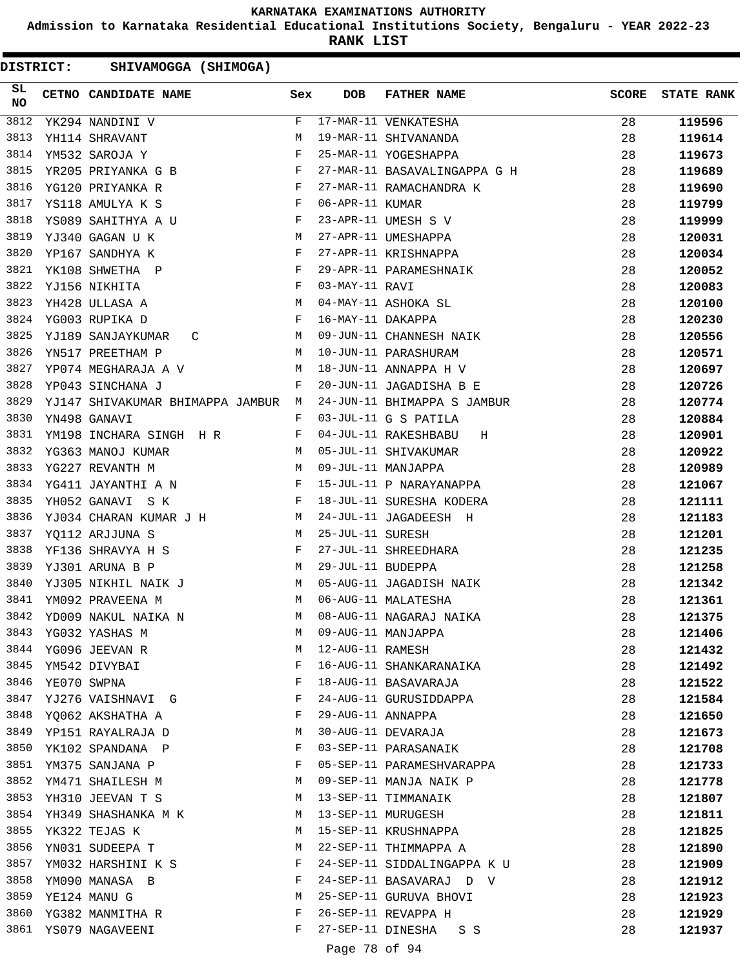**Admission to Karnataka Residential Educational Institutions Society, Bengaluru - YEAR 2022-23**

**RANK LIST**

DISTRICT: SHIVAMOGGA (SHIMOGA)

| SL<br>NO | CETNO CANDIDATE NAME                                                                                                                                                                                                                                  | Sex          | <b>DOB</b>        | <b>FATHER NAME</b>                                        | <b>SCORE</b> | <b>STATE RANK</b> |
|----------|-------------------------------------------------------------------------------------------------------------------------------------------------------------------------------------------------------------------------------------------------------|--------------|-------------------|-----------------------------------------------------------|--------------|-------------------|
| 3812     | YK294 NANDINI V                                                                                                                                                                                                                                       | F            |                   | 17-MAR-11 VENKATESHA                                      | 28           | 119596            |
| 3813     | YH114 SHRAVANT                                                                                                                                                                                                                                        | М            |                   | 19-MAR-11 SHIVANANDA                                      | 28           | 119614            |
| 3814     | YM532 SAROJA Y                                                                                                                                                                                                                                        | F            |                   | 25-MAR-11 YOGESHAPPA                                      | 28           | 119673            |
| 3815     | $\mathbf{F}$ and $\mathbf{F}$<br>YR205 PRIYANKA G B                                                                                                                                                                                                   |              |                   | 27-MAR-11 BASAVALINGAPPA G H                              | 28           | 119689            |
| 3816     | $\mathbf{F}$ and the set of the set of the set of the set of the set of the set of the set of the set of the set of the set of the set of the set of the set of the set of the set of the set of the set of the set of the set of<br>YG120 PRIYANKA R |              |                   | 27-MAR-11 RAMACHANDRA K                                   | 28           | 119690            |
| 3817     | $\mathbf{F}$<br>YS118 AMULYA K S                                                                                                                                                                                                                      |              |                   |                                                           | 28           | 119799            |
| 3818     | YS089 SAHITHYA A U                                                                                                                                                                                                                                    | $\mathbf{F}$ |                   | 27-MAR-11 KUMAR<br>06-APR-11 KUMAR<br>23-APR-11 UMESH S V | 28           | 119999            |
| 3819     | YJ340 GAGAN U K<br>M                                                                                                                                                                                                                                  |              |                   |                                                           | 28           | 120031            |
| 3820     | YP167 SANDHYA K                                                                                                                                                                                                                                       | F            |                   | 27-APR-11 KRISHNAPPA                                      | 28           | 120034            |
| 3821     | $\mathbf{F}$<br>YK108 SHWETHA P                                                                                                                                                                                                                       |              |                   | 29-APR-11 PARAMESHNAIK                                    | 28           | 120052            |
| 3822     | YJ156 NIKHITA                                                                                                                                                                                                                                         |              | 03-MAY-11 RAVI    |                                                           | 28           | 120083            |
| 3823     | $\begin{aligned} \mathbf{F} \\ \mathbf{M} \end{aligned}$<br>YH428 ULLASA A                                                                                                                                                                            |              |                   | 04-MAY-11 ASHOKA SL                                       | 28           | 120100            |
| 3824     | $\mathbf{F}$ and $\mathbf{F}$<br>YG003 RUPIKA D                                                                                                                                                                                                       |              | 16-MAY-11 DAKAPPA |                                                           | 28           | 120230            |
| 3825     | M <sub>1</sub><br>YJ189 SANJAYKUMAR<br>C                                                                                                                                                                                                              |              |                   | 09-JUN-11 CHANNESH NAIK                                   | 28           | 120556            |
| 3826     | YN517 PREETHAM P                                                                                                                                                                                                                                      | м            |                   | 10-JUN-11 PARASHURAM                                      | 28           | 120571            |
| 3827     | YP074 MEGHARAJA A V                                                                                                                                                                                                                                   | M            |                   | 18-JUN-11 ANNAPPA H V                                     | 28           | 120697            |
| 3828     | YP043 SINCHANA J                                                                                                                                                                                                                                      | F            |                   | 20-JUN-11 JAGADISHA B E                                   | 28           | 120726            |
| 3829     | YJ147 SHIVAKUMAR BHIMAPPA JAMBUR M                                                                                                                                                                                                                    |              |                   | 24-JUN-11 BHIMAPPA S JAMBUR                               | 28           | 120774            |
| 3830     | YN498 GANAVI                                                                                                                                                                                                                                          | F            |                   | 03-JUL-11 G S PATILA                                      | 28           | 120884            |
| 3831     | YM198 INCHARA SINGH H R                                                                                                                                                                                                                               | F            |                   | 04-JUL-11 RAKESHBABU<br>H                                 | 28           | 120901            |
| 3832     | M<br>YG363 MANOJ KUMAR                                                                                                                                                                                                                                |              |                   | 05-JUL-11 SHIVAKUMAR                                      | 28           | 120922            |
| 3833     | M<br>YG227 REVANTH M                                                                                                                                                                                                                                  |              |                   | 09-JUL-11 MANJAPPA                                        | 28           | 120989            |
| 3834     | YG411 JAYANTHI A N $$\rm F$$                                                                                                                                                                                                                          |              |                   | 15-JUL-11 P NARAYANAPPA                                   | 28           | 121067            |
| 3835     | YH052 GANAVI S K<br>$\mathbf{F}$ and the set of the set of the set of the set of the set of the set of the set of the set of the set of the set of the set of the set of the set of the set of the set of the set of the set of the set of the set of |              |                   | 18-JUL-11 SURESHA KODERA                                  | 28           | 121111            |
| 3836     | YJ034 CHARAN KUMAR J H M                                                                                                                                                                                                                              |              |                   | 24-JUL-11 JAGADEESH H                                     | 28           | 121183            |
| 3837     | <b>M</b><br>YQ112 ARJJUNA S                                                                                                                                                                                                                           |              | 25-JUL-11 SURESH  |                                                           | 28           | 121201            |
| 3838     | YF136 SHRAVYA H S                                                                                                                                                                                                                                     | $\mathbf{F}$ |                   | 27-JUL-11 SHREEDHARA                                      | 28           | 121235            |
| 3839     | YJ301 ARUNA B P<br>M <sub>N</sub>                                                                                                                                                                                                                     |              | 29-JUL-11 BUDEPPA |                                                           | 28           | 121258            |
| 3840     | YJ305 NIKHIL NAIK J                                                                                                                                                                                                                                   | M            |                   | 05-AUG-11 JAGADISH NAIK                                   | 28           | 121342            |
| 3841     | YM092 PRAVEENA M                                                                                                                                                                                                                                      | M            |                   | 06-AUG-11 MALATESHA                                       | 28           | 121361            |
| 3842     | YD009 NAKUL NAIKA N                                                                                                                                                                                                                                   | M            |                   | 08-AUG-11 NAGARAJ NAIKA                                   | 28           | 121375            |
| 3843     | YG032 YASHAS M                                                                                                                                                                                                                                        | М            |                   | 09-AUG-11 MANJAPPA                                        | 28           | 121406            |
| 3844     | YG096 JEEVAN R                                                                                                                                                                                                                                        | M            | 12-AUG-11 RAMESH  |                                                           | 28           | 121432            |
| 3845     | YM542 DIVYBAI                                                                                                                                                                                                                                         | F            |                   | 16-AUG-11 SHANKARANAIKA                                   | 28           |                   |
| 3846     | YE070 SWPNA                                                                                                                                                                                                                                           | F            |                   | 18-AUG-11 BASAVARAJA                                      | 28           | 121492            |
| 3847     |                                                                                                                                                                                                                                                       | F            |                   | 24-AUG-11 GURUSIDDAPPA                                    |              | 121522            |
|          | YJ276 VAISHNAVI G                                                                                                                                                                                                                                     |              |                   |                                                           | 28           | 121584            |
| 3848     | YQ062 AKSHATHA A                                                                                                                                                                                                                                      | F            | 29-AUG-11 ANNAPPA |                                                           | 28           | 121650            |
| 3849     | YP151 RAYALRAJA D                                                                                                                                                                                                                                     | М            |                   | 30-AUG-11 DEVARAJA                                        | 28           | 121673            |
| 3850     | YK102 SPANDANA P                                                                                                                                                                                                                                      | F            |                   | 03-SEP-11 PARASANAIK                                      | 28           | 121708            |
| 3851     | YM375 SANJANA P                                                                                                                                                                                                                                       | F            |                   | 05-SEP-11 PARAMESHVARAPPA                                 | 28           | 121733            |
| 3852     | YM471 SHAILESH M                                                                                                                                                                                                                                      | M            |                   | 09-SEP-11 MANJA NAIK P                                    | 28           | 121778            |
| 3853     | YH310 JEEVAN T S                                                                                                                                                                                                                                      | M            |                   | 13-SEP-11 TIMMANAIK                                       | 28           | 121807            |
| 3854     | YH349 SHASHANKA M K                                                                                                                                                                                                                                   | M            |                   | 13-SEP-11 MURUGESH                                        | 28           | 121811            |
| 3855     | YK322 TEJAS K                                                                                                                                                                                                                                         | M            |                   | 15-SEP-11 KRUSHNAPPA                                      | 28           | 121825            |
| 3856     | YN031 SUDEEPA T                                                                                                                                                                                                                                       | М            |                   | 22-SEP-11 THIMMAPPA A                                     | 28           | 121890            |
| 3857     | YM032 HARSHINI K S                                                                                                                                                                                                                                    | F            |                   | 24-SEP-11 SIDDALINGAPPA K U                               | 28           | 121909            |
| 3858     | YM090 MANASA B                                                                                                                                                                                                                                        | F            |                   | 24-SEP-11 BASAVARAJ D V                                   | 28           | 121912            |
| 3859     | YE124 MANU G                                                                                                                                                                                                                                          | M            |                   | 25-SEP-11 GURUVA BHOVI                                    | 28           | 121923            |
| 3860     | YG382 MANMITHA R                                                                                                                                                                                                                                      | F            |                   | 26-SEP-11 REVAPPA H                                       | 28           | 121929            |
|          | 3861 YS079 NAGAVEENI                                                                                                                                                                                                                                  | F            |                   | 27-SEP-11 DINESHA S S                                     | 28           | 121937            |

Page 78 of 94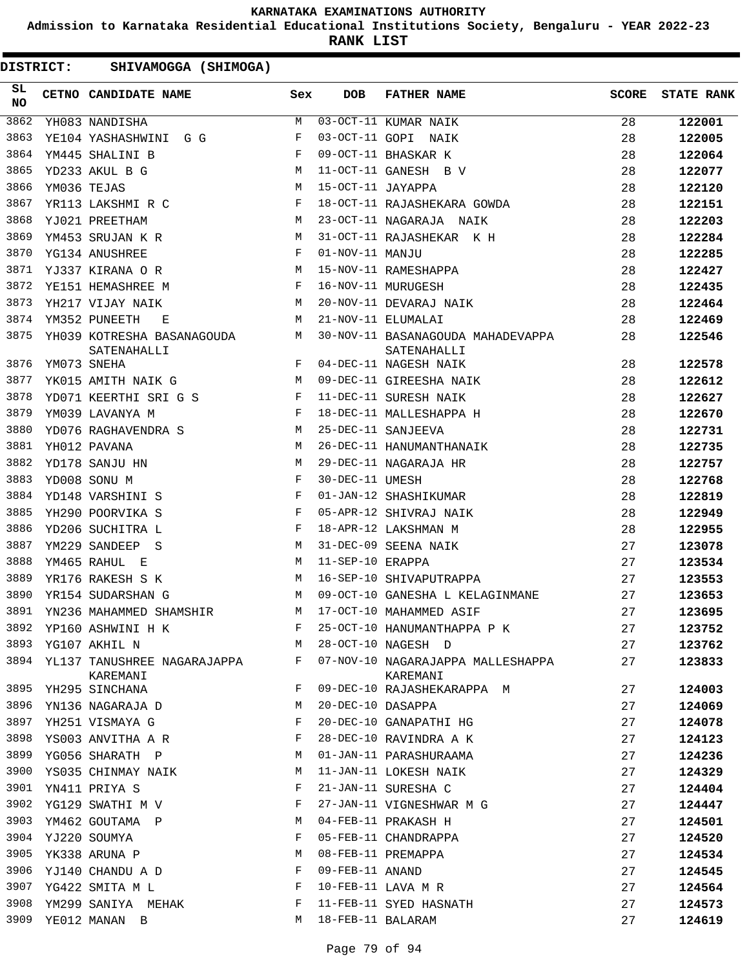**Admission to Karnataka Residential Educational Institutions Society, Bengaluru - YEAR 2022-23**

**RANK LIST**

| SL<br><b>NO</b> |             | <b>CETNO CANDIDATE NAME</b>                                         | Sex            | <b>DOB</b>        | <b>FATHER NAME</b>                               | <b>SCORE</b> | <b>STATE RANK</b> |
|-----------------|-------------|---------------------------------------------------------------------|----------------|-------------------|--------------------------------------------------|--------------|-------------------|
| 3862            |             | YH083 NANDISHA                                                      | M              |                   | 03-OCT-11 KUMAR NAIK                             | 28           | 122001            |
| 3863            |             | YE104 YASHASHWINI G G                                               | F              |                   | 03-OCT-11 GOPI NAIK                              | 28           | 122005            |
| 3864            |             | YM445 SHALINI B                                                     | $_{\rm F}$     |                   | 09-OCT-11 BHASKAR K                              | 28           | 122064            |
| 3865            |             | YD233 AKUL B G                                                      | М              |                   | 11-OCT-11 GANESH B V                             | 28           | 122077            |
| 3866            | YM036 TEJAS |                                                                     | М              | 15-OCT-11 JAYAPPA |                                                  | 28           | 122120            |
| 3867            |             | YR113 LAKSHMI R C                                                   | F              |                   | 18-OCT-11 RAJASHEKARA GOWDA                      | 28           | 122151            |
| 3868            |             | <b>M</b><br>YJ021 PREETHAM                                          |                |                   | 23-OCT-11 NAGARAJA NAIK                          | 28           | 122203            |
| 3869            |             | YM453 SRUJAN K R                                                    | M              |                   | 31-OCT-11 RAJASHEKAR K H                         | 28           | 122284            |
| 3870            |             | YG134 ANUSHREE                                                      | F              | 01-NOV-11 MANJU   |                                                  | 28           | 122285            |
| 3871            |             | YJ337 KIRANA O R                                                    | M              |                   | 15-NOV-11 RAMESHAPPA                             | 28           | 122427            |
| 3872            |             | $\mathbf{F}$ and $\mathbf{F}$ and $\mathbf{F}$<br>YE151 HEMASHREE M |                |                   | 16-NOV-11 MURUGESH                               | 28           | 122435            |
| 3873            |             | YH217 VIJAY NAIK                                                    | M              |                   | 20-NOV-11 DEVARAJ NAIK                           | 28           | 122464            |
| 3874            |             | YM352 PUNEETH<br>Е                                                  | М              |                   | 21-NOV-11 ELUMALAI                               | 28           | 122469            |
| 3875            |             | YH039 KOTRESHA BASANAGOUDA M<br>SATENAHALLI                         |                |                   | 30-NOV-11 BASANAGOUDA MAHADEVAPPA<br>SATENAHALLI | 28           | 122546            |
| 3876            |             | YM073 SNEHA                                                         | F              |                   | 04-DEC-11 NAGESH NAIK                            | 28           | 122578            |
| 3877            |             | <b>M</b><br>YK015 AMITH NAIK G                                      |                |                   | 09-DEC-11 GIREESHA NAIK                          | 28           | 122612            |
| 3878            |             | YD071 KEERTHI SRI G S F                                             |                |                   | 11-DEC-11 SURESH NAIK                            | 28           | 122627            |
| 3879            |             | YM039 LAVANYA M                                                     | $_{\rm F}$     |                   | 18-DEC-11 MALLESHAPPA H                          | 28           | 122670            |
| 3880            |             | YD076 RAGHAVENDRA S M                                               |                |                   | 25-DEC-11 SANJEEVA                               | 28           | 122731            |
| 3881            |             | YH012 PAVANA                                                        | М              |                   | 26-DEC-11 HANUMANTHANAIK                         | 28           | 122735            |
| 3882            |             | YD178 SANJU HN                                                      | М              |                   | 29-DEC-11 NAGARAJA HR                            | 28           | 122757            |
| 3883            |             | YD008 SONU M                                                        | $_{\rm F}$     | 30-DEC-11 UMESH   |                                                  | 28           | 122768            |
| 3884            |             | YD148 VARSHINI S                                                    | F              |                   | 01-JAN-12 SHASHIKUMAR                            | 28           | 122819            |
| 3885            |             | YH290 POORVIKA S                                                    | F              |                   | 05-APR-12 SHIVRAJ NAIK                           | 28           | 122949            |
| 3886            |             | YD206 SUCHITRA L                                                    | $-F$           |                   | 18-APR-12 LAKSHMAN M                             | 28           | 122955            |
| 3887            |             | YM229 SANDEEP S                                                     | M              |                   | 31-DEC-09 SEENA NAIK                             | 27           | 123078            |
| 3888            |             | YM465 RAHUL E                                                       | M              | 11-SEP-10 ERAPPA  |                                                  | 27           | 123534            |
| 3889            |             | YR176 RAKESH S K                                                    | М              |                   | 16-SEP-10 SHIVAPUTRAPPA                          | 27           | 123553            |
| 3890            |             | YR154 SUDARSHAN G                                                   | M              |                   | 09-OCT-10 GANESHA L KELAGINMANE                  | 27           | 123653            |
| 3891            |             | YN236 MAHAMMED SHAMSHIR                                             | М              |                   | 17-OCT-10 MAHAMMED ASIF                          | 27           | 123695            |
| 3892            |             | YP160 ASHWINI H K                                                   | $\mathbb{F}^-$ |                   | 25-OCT-10 HANUMANTHAPPA P K                      | 27           | 123752            |
| 3893            |             | YG107 AKHIL N                                                       | М              |                   | 28-OCT-10 NAGESH D                               | 27           | 123762            |
| 3894            |             | YL137 TANUSHREE NAGARAJAPPA<br>KAREMANI                             | F              |                   | 07-NOV-10 NAGARAJAPPA MALLESHAPPA<br>KAREMANI    | 27           | 123833            |
| 3895            |             | YH295 SINCHANA                                                      | F              |                   | 09-DEC-10 RAJASHEKARAPPA M                       | 27           | 124003            |
| 3896            |             | YN136 NAGARAJA D                                                    | М              | 20-DEC-10 DASAPPA |                                                  | 27           | 124069            |
| 3897            |             | YH251 VISMAYA G                                                     | F              |                   | 20-DEC-10 GANAPATHI HG                           | 27           | 124078            |
| 3898            |             | YS003 ANVITHA A R                                                   | F              |                   | 28-DEC-10 RAVINDRA A K                           | 27           | 124123            |
| 3899            |             | YG056 SHARATH P                                                     | М              |                   | 01-JAN-11 PARASHURAAMA                           | 27           | 124236            |
| 3900            |             | YS035 CHINMAY NAIK                                                  | М              |                   | 11-JAN-11 LOKESH NAIK                            | 27           | 124329            |
| 3901            |             | YN411 PRIYA S                                                       | F              |                   | 21-JAN-11 SURESHA C                              | 27           | 124404            |
| 3902            |             | YG129 SWATHI M V                                                    | F              |                   | 27-JAN-11 VIGNESHWAR M G                         | 27           | 124447            |
| 3903            |             | YM462 GOUTAMA P                                                     | М              |                   | 04-FEB-11 PRAKASH H                              | 27           | 124501            |
| 3904            |             | YJ220 SOUMYA                                                        | F              |                   | 05-FEB-11 CHANDRAPPA                             | 27           | 124520            |
| 3905            |             | YK338 ARUNA P                                                       | М              |                   | 08-FEB-11 PREMAPPA                               | 27           | 124534            |
| 3906            |             | YJ140 CHANDU A D                                                    | F              | 09-FEB-11 ANAND   |                                                  | 27           | 124545            |
| 3907            |             | YG422 SMITA M L                                                     | F              |                   | 10-FEB-11 LAVA M R                               | 27           | 124564            |
| 3908            |             | YM299 SANIYA MEHAK                                                  | F              |                   | 11-FEB-11 SYED HASNATH                           | 27           | 124573            |
| 3909            |             | YE012 MANAN B                                                       | M              | 18-FEB-11 BALARAM |                                                  | 27           | 124619            |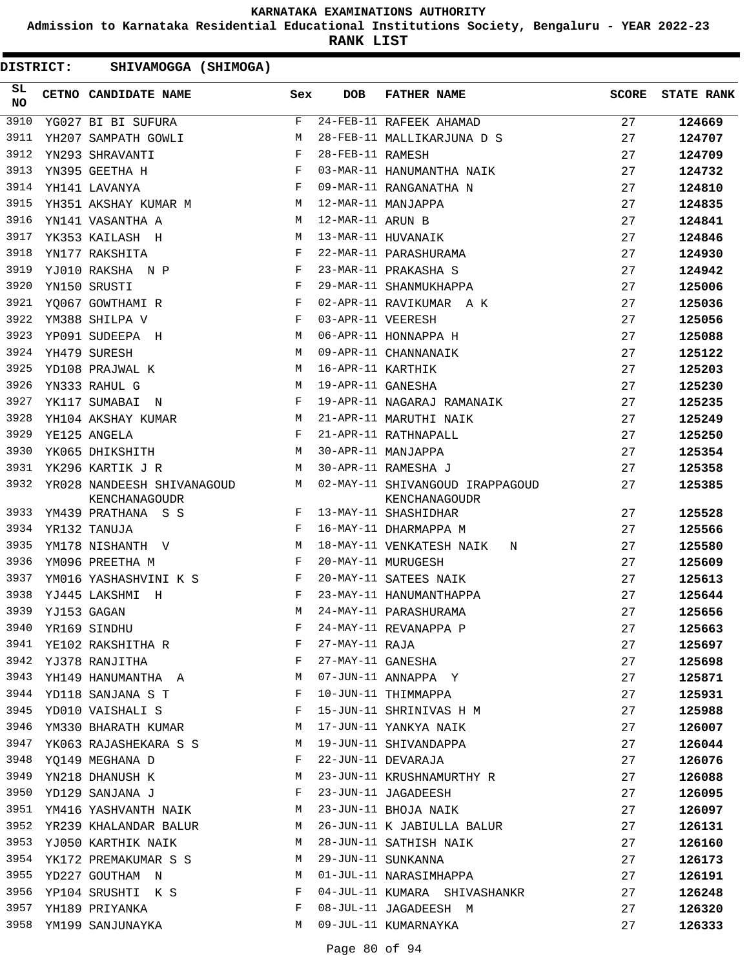**Admission to Karnataka Residential Educational Institutions Society, Bengaluru - YEAR 2022-23**

**RANK LIST**

| SL<br><b>NO</b> | <b>CETNO CANDIDATE NAME</b>                       | Sex                           | <b>DOB</b>        | <b>FATHER NAME</b>                               | <b>SCORE</b> | <b>STATE RANK</b> |
|-----------------|---------------------------------------------------|-------------------------------|-------------------|--------------------------------------------------|--------------|-------------------|
| 3910            | YG027 BI BI SUFURA                                | F                             |                   | $24$ -FEB-11 RAFEEK AHAMAD                       | 27           | 124669            |
| 3911            | YH207 SAMPATH GOWLI                               | М                             |                   | 28-FEB-11 MALLIKARJUNA D S                       | 27           | 124707            |
| 3912            | YN293 SHRAVANTI                                   | $_{\rm F}$                    | 28-FEB-11 RAMESH  |                                                  | 27           | 124709            |
| 3913            | YN395 GEETHA H                                    | $_{\rm F}$                    |                   | 03-MAR-11 HANUMANTHA NAIK                        | 27           | 124732            |
| 3914            | YH141 LAVANYA                                     | $_{\rm F}$                    |                   | 09-MAR-11 RANGANATHA N                           | 27           | 124810            |
| 3915            | YH351 AKSHAY KUMAR M                              |                               |                   | 12-MAR-11 MANJAPPA                               | 27           | 124835            |
| 3916            | YN141 VASANTHA A                                  | M                             | 12-MAR-11 ARUN B  |                                                  | 27           | 124841            |
| 3917            | YK353 KAILASH H                                   | M                             |                   | 13-MAR-11 HUVANAIK                               | 27           | 124846            |
| 3918            | YN177 RAKSHITA                                    | F                             |                   | 22-MAR-11 PARASHURAMA                            | 27           | 124930            |
| 3919            | $\mathbf{F}$ and $\mathbf{F}$<br>YJ010 RAKSHA N P |                               |                   | 23-MAR-11 PRAKASHA S                             | 27           | 124942            |
| 3920            | YN150 SRUSTI                                      | $\mathbf{F}$                  |                   | 29-MAR-11 SHANMUKHAPPA                           | 27           | 125006            |
| 3921            | YO067 GOWTHAMI R                                  | $_{\rm F}$                    |                   | 02-APR-11 RAVIKUMAR A K                          | 27           | 125036            |
| 3922            | YM388 SHILPA V                                    | $_{\rm F}$                    | 03-APR-11 VEERESH |                                                  | 27           | 125056            |
| 3923            | YP091 SUDEEPA H                                   | M                             |                   | 06-APR-11 HONNAPPA H                             | 27           | 125088            |
| 3924            | YH479 SURESH                                      | M                             |                   | 09-APR-11 CHANNANAIK                             | 27           | 125122            |
| 3925            | YD108 PRAJWAL K                                   | M                             | 16-APR-11 KARTHIK |                                                  | 27           | 125203            |
| 3926            | YN333 RAHUL G                                     | М                             | 19-APR-11 GANESHA |                                                  | 27           | 125230            |
| 3927            | YK117 SUMABAI N                                   | F                             |                   | 19-APR-11 NAGARAJ RAMANAIK                       | 27           | 125235            |
| 3928            | YH104 AKSHAY KUMAR                                | M                             |                   | 21-APR-11 MARUTHI NAIK                           | 27           | 125249            |
| 3929            | YE125 ANGELA                                      | F                             |                   | 21-APR-11 RATHNAPALL                             | 27           | 125250            |
| 3930            | YK065 DHIKSHITH                                   | M                             |                   | 30-APR-11 MANJAPPA                               | 27           | 125354            |
| 3931            | YK296 KARTIK J R                                  | М                             |                   | 30-APR-11 RAMESHA J                              | 27           | 125358            |
| 3932            | YR028 NANDEESH SHIVANAGOUD M<br>KENCHANAGOUDR     |                               |                   | 02-MAY-11 SHIVANGOUD IRAPPAGOUD<br>KENCHANAGOUDR | 27           | 125385            |
| 3933            | $\mathbb F$<br>YM439 PRATHANA S S                 |                               |                   | 13-MAY-11 SHASHIDHAR                             | 27           | 125528            |
| 3934            | YR132 TANUJA                                      | $\mathbf{F}$                  |                   | 16-MAY-11 DHARMAPPA M                            | 27           | 125566            |
| 3935            | YM178 NISHANTH V M                                |                               |                   | 18-MAY-11 VENKATESH NAIK<br>N                    | 27           | 125580            |
| 3936            | YM096 PREETHA M                                   | $\mathbf{F}$ and $\mathbf{F}$ |                   | 20-MAY-11 MURUGESH                               | 27           | 125609            |
| 3937            | YM016 YASHASHVINI K S F                           |                               |                   | 20-MAY-11 SATEES NAIK                            | 27           | 125613            |
| 3938            | YJ445 LAKSHMI H                                   | $_{\rm F}$                    |                   | 23-MAY-11 HANUMANTHAPPA                          | 27           | 125644            |
| 3939            | YJ153 GAGAN                                       | M                             |                   | 24-MAY-11 PARASHURAMA                            | 27           | 125656            |
| 3940            | YR169 SINDHU                                      |                               |                   | 24-MAY-11 REVANAPPA P                            | 27           | 125663            |
| 3941            | YE102 RAKSHITHA R                                 | F                             | 27-MAY-11 RAJA    |                                                  | 27           | 125697            |
| 3942            | YJ378 RANJITHA                                    | F                             | 27-MAY-11 GANESHA |                                                  | 27           | 125698            |
| 3943            | YH149 HANUMANTHA A                                | М                             |                   | 07-JUN-11 ANNAPPA Y                              | 27           | 125871            |
| 3944            | YD118 SANJANA S T                                 | F                             |                   | 10-JUN-11 THIMMAPPA                              | 27           | 125931            |
| 3945            | YD010 VAISHALI S                                  | F                             |                   | 15-JUN-11 SHRINIVAS H M                          | 27           | 125988            |
| 3946            | YM330 BHARATH KUMAR                               | M                             |                   | 17-JUN-11 YANKYA NAIK                            | 27           | 126007            |
| 3947            | YK063 RAJASHEKARA S S                             | М                             |                   | 19-JUN-11 SHIVANDAPPA                            | 27           | 126044            |
| 3948            | YO149 MEGHANA D                                   | F                             |                   | 22-JUN-11 DEVARAJA                               | 27           | 126076            |
| 3949            | YN218 DHANUSH K                                   | М                             |                   | 23-JUN-11 KRUSHNAMURTHY R                        | 27           | 126088            |
| 3950            | YD129 SANJANA J                                   | F                             |                   | 23-JUN-11 JAGADEESH                              | 27           | 126095            |
| 3951            | YM416 YASHVANTH NAIK                              | M                             |                   | 23-JUN-11 BHOJA NAIK                             | 27           | 126097            |
| 3952            | YR239 KHALANDAR BALUR                             | M                             |                   | 26-JUN-11 K JABIULLA BALUR                       | 27           | 126131            |
| 3953            | YJ050 KARTHIK NAIK                                | М                             |                   | 28-JUN-11 SATHISH NAIK                           | 27           | 126160            |
| 3954            | YK172 PREMAKUMAR S S                              | М                             |                   | 29-JUN-11 SUNKANNA                               | 27           | 126173            |
| 3955            | YD227 GOUTHAM N                                   | М                             |                   | 01-JUL-11 NARASIMHAPPA                           | 27           | 126191            |
| 3956            | YP104 SRUSHTI K S                                 | F                             |                   | 04-JUL-11 KUMARA SHIVASHANKR                     | 27           | 126248            |
| 3957            | YH189 PRIYANKA                                    | F                             |                   | 08-JUL-11 JAGADEESH M                            | 27           | 126320            |
| 3958            | YM199 SANJUNAYKA                                  | М                             |                   | 09-JUL-11 KUMARNAYKA                             | 27           | 126333            |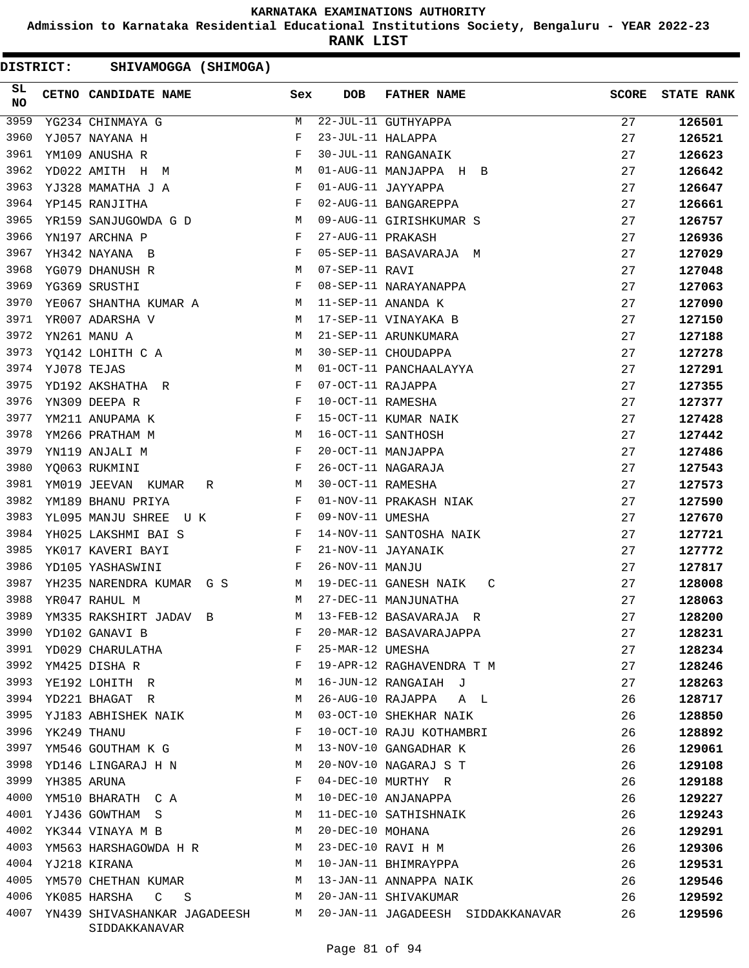**Admission to Karnataka Residential Educational Institutions Society, Bengaluru - YEAR 2022-23**

**RANK LIST**

| SL<br><b>NO</b> | CETNO CANDIDATE NAME Sex                                                        |              | <b>DOB</b>        | <b>FATHER NAME</b>                | <b>SCORE</b> | <b>STATE RANK</b> |
|-----------------|---------------------------------------------------------------------------------|--------------|-------------------|-----------------------------------|--------------|-------------------|
| 3959            | YG234 CHINMAYA G                                                                | М            |                   | 22-JUL-11 GUTHYAPPA               | 27           | 126501            |
| 3960            | YJ057 NAYANA H                                                                  | F            | 23-JUL-11 HALAPPA |                                   | 27           | 126521            |
| 3961            | YM109 ANUSHA R                                                                  | F            |                   | 30-JUL-11 RANGANAIK               | 27           | 126623            |
| 3962            | <b>M</b><br>YD022 AMITH H M                                                     |              |                   | 01-AUG-11 MANJAPPA H B            | 27           | 126642            |
| 3963            | YJ328 MAMATHA J A<br>$\mathbf{F}$ and $\mathbf{F}$ and $\mathbf{F}$             |              |                   | 01-AUG-11 JAYYAPPA                | 27           | 126647            |
| 3964            | $\mathbf{F}$<br>YP145 RANJITHA                                                  |              |                   | 02-AUG-11 BANGAREPPA              | 27           | 126661            |
| 3965            | YR159 SANJUGOWDA G D                                                            | M            |                   | 09-AUG-11 GIRISHKUMAR S           | 27           | 126757            |
| 3966            | YN197 ARCHNA P                                                                  | F            | 27-AUG-11 PRAKASH |                                   | 27           | 126936            |
| 3967            | YH342 NAYANA B                                                                  | F            |                   | 05-SEP-11 BASAVARAJA M            | 27           | 127029            |
| 3968            | $M_{\odot}$<br>YG079 DHANUSH R                                                  |              | 07-SEP-11 RAVI    |                                   | 27           | 127048            |
| 3969            | $\mathbf{F}$<br>YG369 SRUSTHI                                                   |              |                   | 08-SEP-11 NARAYANAPPA             | 27           | 127063            |
| 3970            | YE067 SHANTHA KUMAR A M                                                         |              |                   | 11-SEP-11 ANANDA K                | 27           | 127090            |
| 3971            | YR007 ADARSHA V<br>M <sub>1</sub>                                               |              |                   | 17-SEP-11 VINAYAKA B              | 27           | 127150            |
| 3972            | <b>M</b><br>YN261 MANU A                                                        |              |                   | 21-SEP-11 ARUNKUMARA              | 27           | 127188            |
| 3973            | YO142 LOHITH C A                                                                | M            |                   | 30-SEP-11 CHOUDAPPA               | 27           | 127278            |
| 3974            | YJ078 TEJAS                                                                     | М            |                   | 01-OCT-11 PANCHAALAYYA            | 27           | 127291            |
| 3975            | YD192 AKSHATHA R                                                                | F            | 07-OCT-11 RAJAPPA |                                   | 27           | 127355            |
| 3976            | YN309 DEEPA R                                                                   | F            | 10-OCT-11 RAMESHA |                                   | 27           | 127377            |
| 3977            | YM211 ANUPAMA K                                                                 | $\mathbb{F}$ |                   | 15-OCT-11 KUMAR NAIK              | 27           | 127428            |
| 3978            | M<br>YM266 PRATHAM M                                                            |              |                   | 16-OCT-11 SANTHOSH                | 27           | 127442            |
| 3979            | $\mathbf{F}$ and the contract of the contract of $\mathbf{F}$<br>YN119 ANJALI M |              |                   | 20-OCT-11 MANJAPPA                | 27           | 127486            |
| 3980            | $\mathbf{F}$<br>YQ063 RUKMINI                                                   |              |                   | 26-OCT-11 NAGARAJA                | 27           | 127543            |
| 3981            | YM019 JEEVAN KUMAR R<br><b>M</b>                                                |              | 30-OCT-11 RAMESHA |                                   | 27           | 127573            |
| 3982            | YM189 BHANU PRIYA                                                               | F            |                   | 01-NOV-11 PRAKASH NIAK            | 27           | 127590            |
| 3983            | YL095 MANJU SHREE U K                                                           | F            | 09-NOV-11 UMESHA  |                                   | 27           | 127670            |
| 3984            | $\mathbf{F}$ and $\mathbf{F}$ and $\mathbf{F}$<br>YH025 LAKSHMI BAI S           |              |                   | 14-NOV-11 SANTOSHA NAIK           | 27           | 127721            |
| 3985            | YK017 KAVERI BAYI                                                               | $\mathbf{F}$ |                   | 21-NOV-11 JAYANAIK                | 27           | 127772            |
| 3986            | YD105 YASHASWINI                                                                | $\mathbf{F}$ | 26-NOV-11 MANJU   |                                   | 27           | 127817            |
| 3987            | YH235 NARENDRA KUMAR G S<br><b>M</b>                                            |              |                   | 19-DEC-11 GANESH NAIK<br>C        | 27           | 128008            |
| 3988            | YR047 RAHUL M<br><b>Example 19</b>                                              |              |                   | 27-DEC-11 MANJUNATHA              | 27           | 128063            |
| 3989            | YM335 RAKSHIRT JADAV B                                                          | М            |                   | 13-FEB-12 BASAVARAJA R            | 27           | 128200            |
| 3990            | YD102 GANAVI B                                                                  | F            |                   | 20-MAR-12 BASAVARAJAPPA           | 27           | 128231            |
| 3991            | YD029 CHARULATHA                                                                | F            | 25-MAR-12 UMESHA  |                                   | 27           | 128234            |
| 3992            | YM425 DISHA R                                                                   | F            |                   | 19-APR-12 RAGHAVENDRA T M         | 27           | 128246            |
| 3993            | YE192 LOHITH R                                                                  | М            |                   | 16-JUN-12 RANGAIAH J              | 27           | 128263            |
| 3994            | YD221 BHAGAT R                                                                  | M            |                   | 26-AUG-10 RAJAPPA A L             | 26           | 128717            |
| 3995            | YJ183 ABHISHEK NAIK                                                             | M            |                   | 03-OCT-10 SHEKHAR NAIK            | 26           | 128850            |
| 3996            | YK249 THANU                                                                     | F            |                   | 10-OCT-10 RAJU KOTHAMBRI          | 26           | 128892            |
| 3997            | YM546 GOUTHAM K G                                                               | М            |                   | 13-NOV-10 GANGADHAR K             | 26           | 129061            |
| 3998            | YD146 LINGARAJ H N                                                              | M            |                   | 20-NOV-10 NAGARAJ S T             | 26           | 129108            |
| 3999            | YH385 ARUNA                                                                     | F            |                   | 04-DEC-10 MURTHY R                | 26           | 129188            |
| 4000            | YM510 BHARATH C A                                                               | M            |                   | 10-DEC-10 ANJANAPPA               | 26           | 129227            |
| 4001            | YJ436 GOWTHAM S                                                                 | M            |                   | 11-DEC-10 SATHISHNAIK             | 26           | 129243            |
| 4002            | YK344 VINAYA M B                                                                | M            | 20-DEC-10 MOHANA  |                                   | 26           | 129291            |
| 4003            | YM563 HARSHAGOWDA H R                                                           | M            |                   | 23-DEC-10 RAVI H M                | 26           | 129306            |
| 4004            | YJ218 KIRANA                                                                    | M            |                   | 10-JAN-11 BHIMRAYPPA              | 26           | 129531            |
| 4005            | YM570 CHETHAN KUMAR                                                             | M            |                   | 13-JAN-11 ANNAPPA NAIK            | 26           | 129546            |
| 4006            | YK085 HARSHA C S                                                                | M            |                   | 20-JAN-11 SHIVAKUMAR              | 26           | 129592            |
| 4007            | YN439 SHIVASHANKAR JAGADEESH<br>SIDDAKKANAVAR                                   | M            |                   | 20-JAN-11 JAGADEESH SIDDAKKANAVAR | 26           | 129596            |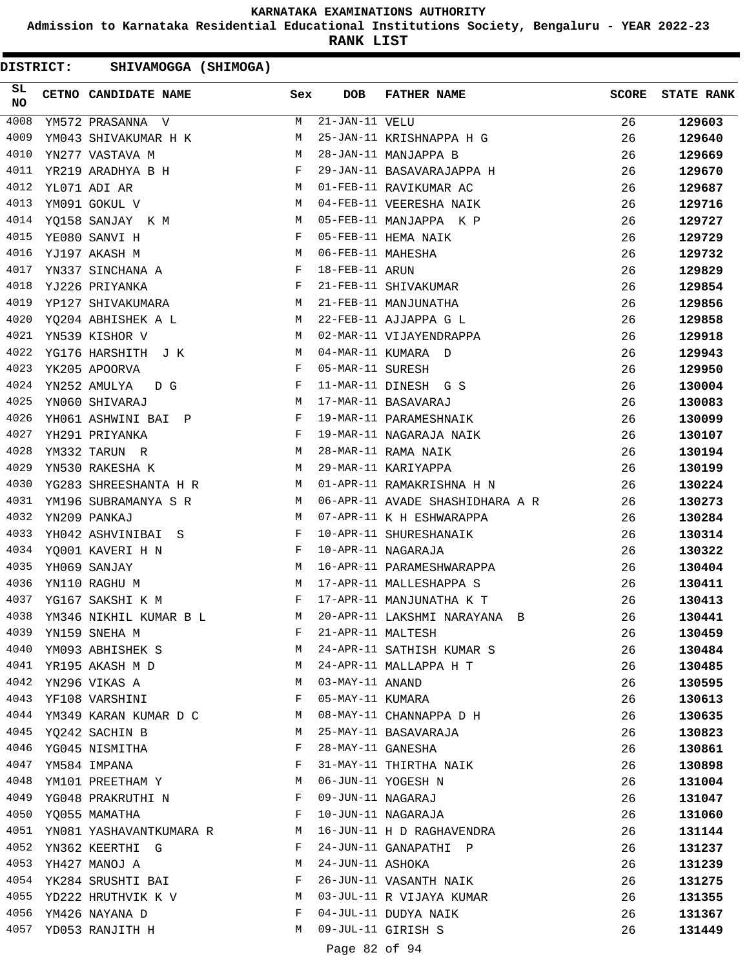**Admission to Karnataka Residential Educational Institutions Society, Bengaluru - YEAR 2022-23**

**RANK LIST**

DISTRICT: SHIVAMOGGA (SHIMOGA)

| SL<br>NO | CETNO CANDIDATE NAME                                                                                                                                                                                                                                   | Sex          | <b>DOB</b>        | <b>FATHER NAME</b>              | <b>SCORE</b> | <b>STATE RANK</b> |
|----------|--------------------------------------------------------------------------------------------------------------------------------------------------------------------------------------------------------------------------------------------------------|--------------|-------------------|---------------------------------|--------------|-------------------|
| 4008     | YM572 PRASANNA V                                                                                                                                                                                                                                       | М            | 21-JAN-11 VELU    |                                 | 26           | 129603            |
| 4009     | YM043 SHIVAKUMAR H K                                                                                                                                                                                                                                   | M            |                   | 25-JAN-11 KRISHNAPPA H G        | 26           | 129640            |
| 4010     | M<br>YN277 VASTAVA M                                                                                                                                                                                                                                   |              |                   | 28-JAN-11 MANJAPPA B            | 26           | 129669            |
| 4011     | YR219 ARADHYA B H<br>$\mathbf{F}$ . The set of the set of the set of the set of the set of the set of the set of the set of the set of the set of the set of the set of the set of the set of the set of the set of the set of the set of the set of t |              |                   | 29-JAN-11 BASAVARAJAPPA H       | 26           | 129670            |
| 4012     | M<br>YL071 ADI AR                                                                                                                                                                                                                                      |              |                   | 01-FEB-11 RAVIKUMAR AC          | 26           | 129687            |
| 4013     | M<br>YM091 GOKUL V                                                                                                                                                                                                                                     |              |                   | 04-FEB-11 VEERESHA NAIK         | 26           | 129716            |
| 4014     | YQ158 SANJAY K M                                                                                                                                                                                                                                       | M            |                   | 05-FEB-11 MANJAPPA K P          | 26           | 129727            |
| 4015     | YE080 SANVI H                                                                                                                                                                                                                                          | $\mathbf{F}$ |                   | 05-FEB-11 HEMA NAIK             | 26           | 129729            |
| 4016     | YJ197 AKASH M                                                                                                                                                                                                                                          | М            | 06-FEB-11 MAHESHA |                                 | 26           | 129732            |
| 4017     | $\mathbf{F}$<br>YN337 SINCHANA A                                                                                                                                                                                                                       |              | 18-FEB-11 ARUN    |                                 | 26           | 129829            |
| 4018     | YJ226 PRIYANKA                                                                                                                                                                                                                                         | F            |                   | 21-FEB-11 SHIVAKUMAR            | 26           | 129854            |
| 4019     | YP127 SHIVAKUMARA M                                                                                                                                                                                                                                    |              |                   | 21-FEB-11 MANJUNATHA            | 26           | 129856            |
| 4020     | <b>M</b><br>YQ204 ABHISHEK A L                                                                                                                                                                                                                         |              |                   | 22-FEB-11 AJJAPPA G L           | 26           | 129858            |
| 4021     | YN539 KISHOR V                                                                                                                                                                                                                                         | M            |                   | 02-MAR-11 VIJAYENDRAPPA         | 26           | 129918            |
| 4022     | YG176 HARSHITH J K                                                                                                                                                                                                                                     | M            |                   | 04-MAR-11 KUMARA D              | 26           | 129943            |
| 4023     | YK205 APOORVA                                                                                                                                                                                                                                          | F            | 05-MAR-11 SURESH  |                                 | 26           | 129950            |
| 4024     | YN252 AMULYA DG<br>$\mathbf{F}$ and $\mathbf{F}$                                                                                                                                                                                                       |              |                   | 11-MAR-11 DINESH G S            | 26           | 130004            |
| 4025     | <b>M</b><br>YN060 SHIVARAJ                                                                                                                                                                                                                             |              |                   | 17-MAR-11 BASAVARAJ             | 26           | 130083            |
| 4026     | YH061 ASHWINI BAI P                                                                                                                                                                                                                                    | F            |                   | 19-MAR-11 PARAMESHNAIK          | 26           | 130099            |
| 4027     | $\mathbf{F}$ . The contract of the contract of $\mathbf{F}$<br>YH291 PRIYANKA                                                                                                                                                                          |              |                   | 19-MAR-11 NAGARAJA NAIK         | 26           | 130107            |
| 4028     | M <sub>N</sub><br>YM332 TARUN R                                                                                                                                                                                                                        |              |                   | 28-MAR-11 RAMA NAIK             | 26           | 130194            |
| 4029     | <b>M</b><br>YN530 RAKESHA K                                                                                                                                                                                                                            |              |                   | 29-MAR-11 KARIYAPPA             | 26           | 130199            |
| 4030     | YG283 SHREESHANTA H R                                                                                                                                                                                                                                  | M            |                   | 01-APR-11 RAMAKRISHNA H N       | 26           | 130224            |
| 4031     | YM196 SUBRAMANYA S R                                                                                                                                                                                                                                   | M            |                   | 06-APR-11 AVADE SHASHIDHARA A R | 26           | 130273            |
| 4032     | YN209 PANKAJ                                                                                                                                                                                                                                           | М            |                   | 07-APR-11 K H ESHWARAPPA        | 26           | 130284            |
| 4033     | $\mathbf{F}$ and $\mathbf{F}$ and $\mathbf{F}$<br>YH042 ASHVINIBAI S                                                                                                                                                                                   |              |                   | 10-APR-11 SHURESHANAIK          | 26           | 130314            |
| 4034     | YQ001 KAVERI H N                                                                                                                                                                                                                                       | $\mathbf{F}$ |                   | 10-APR-11 NAGARAJA              | 26           | 130322            |
| 4035     | M<br>YH069 SANJAY                                                                                                                                                                                                                                      |              |                   | 16-APR-11 PARAMESHWARAPPA       | 26           | 130404            |
| 4036     | <b>M</b><br>YN110 RAGHU M                                                                                                                                                                                                                              |              |                   | 17-APR-11 MALLESHAPPA S         | 26           | 130411            |
| 4037     | $\mathbf{F}$ and $\mathbf{F}$ and $\mathbf{F}$<br>YG167 SAKSHI K M                                                                                                                                                                                     |              |                   | 17-APR-11 MANJUNATHA K T        | 26           | 130413            |
| 4038     | YM346 NIKHIL KUMAR B L                                                                                                                                                                                                                                 | М            |                   | 20-APR-11 LAKSHMI NARAYANA B    | 26           | 130441            |
| 4039     | YN159 SNEHA M                                                                                                                                                                                                                                          | F            | 21-APR-11 MALTESH |                                 | 26           | 130459            |
| 4040     | YM093 ABHISHEK S                                                                                                                                                                                                                                       | M            |                   | 24-APR-11 SATHISH KUMAR S       | 26           | 130484            |
| 4041     | YR195 AKASH M D                                                                                                                                                                                                                                        | М            |                   | 24-APR-11 MALLAPPA H T          | 26           | 130485            |
| 4042     | YN296 VIKAS A                                                                                                                                                                                                                                          | M            | 03-MAY-11 ANAND   |                                 | 26           | 130595            |
| 4043     | YF108 VARSHINI                                                                                                                                                                                                                                         | F            | 05-MAY-11 KUMARA  |                                 | 26           | 130613            |
| 4044     | YM349 KARAN KUMAR D C                                                                                                                                                                                                                                  | M            |                   | 08-MAY-11 CHANNAPPA D H         | 26           | 130635            |
| 4045     | YQ242 SACHIN B                                                                                                                                                                                                                                         | М            |                   | 25-MAY-11 BASAVARAJA            | 26           | 130823            |
| 4046     | YG045 NISMITHA                                                                                                                                                                                                                                         | F            | 28-MAY-11 GANESHA |                                 | 26           | 130861            |
| 4047     | YM584 IMPANA                                                                                                                                                                                                                                           | F            |                   | 31-MAY-11 THIRTHA NAIK          | 26           | 130898            |
| 4048     | YM101 PREETHAM Y                                                                                                                                                                                                                                       | M            |                   | 06-JUN-11 YOGESH N              | 26           | 131004            |
| 4049     | YG048 PRAKRUTHI N                                                                                                                                                                                                                                      | F            | 09-JUN-11 NAGARAJ |                                 | 26           | 131047            |
|          | 4050 YQ055 MAMATHA                                                                                                                                                                                                                                     | F            |                   | 10-JUN-11 NAGARAJA              | 26           | 131060            |
| 4051     | YN081 YASHAVANTKUMARA R                                                                                                                                                                                                                                | M            |                   | 16-JUN-11 H D RAGHAVENDRA       | 26           | 131144            |
| 4052     | YN362 KEERTHI G                                                                                                                                                                                                                                        | F            |                   | 24-JUN-11 GANAPATHI P           | 26           | 131237            |
| 4053     | YH427 MANOJ A                                                                                                                                                                                                                                          | М            | 24-JUN-11 ASHOKA  |                                 | 26           | 131239            |
| 4054     | YK284 SRUSHTI BAI                                                                                                                                                                                                                                      | F            |                   | 26-JUN-11 VASANTH NAIK          | 26           | 131275            |
| 4055     | YD222 HRUTHVIK K V                                                                                                                                                                                                                                     | M            |                   | 03-JUL-11 R VIJAYA KUMAR        | 26           | 131355            |
| 4056     | YM426 NAYANA D                                                                                                                                                                                                                                         | F            |                   | 04-JUL-11 DUDYA NAIK            | 26           | 131367            |
| 4057     | YD053 RANJITH H                                                                                                                                                                                                                                        | M            |                   | 09-JUL-11 GIRISH S              | 26           | 131449            |
|          |                                                                                                                                                                                                                                                        |              |                   |                                 |              |                   |

Page 82 of 94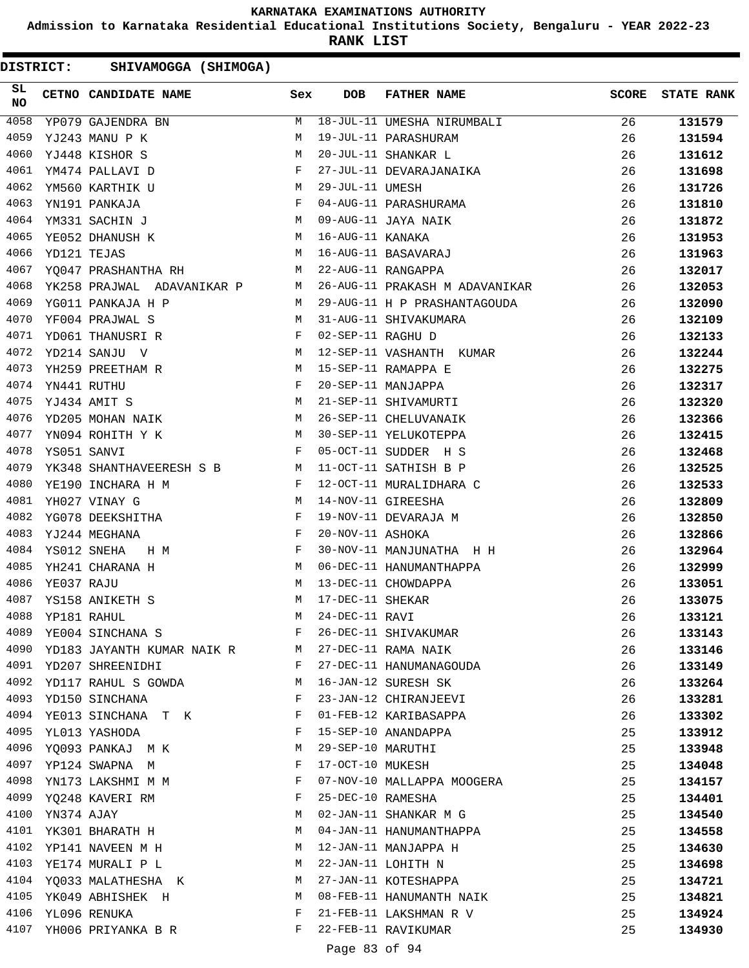**Admission to Karnataka Residential Educational Institutions Society, Bengaluru - YEAR 2022-23**

**RANK LIST**

DISTRICT: SHIVAMOGGA (SHIMOGA)

| SL<br><b>NO</b> |                 | CETNO CANDIDATE NAME Sex                                                                                                                      |              | <b>DOB</b>        | <b>FATHER NAME</b>             | <b>SCORE</b> | <b>STATE RANK</b> |
|-----------------|-----------------|-----------------------------------------------------------------------------------------------------------------------------------------------|--------------|-------------------|--------------------------------|--------------|-------------------|
| 4058            |                 | YP079 GAJENDRA BN                                                                                                                             | M            |                   | 18-JUL-11 UMESHA NIRUMBALI     | 26           | 131579            |
| 4059            |                 | YJ243 MANU P K                                                                                                                                | М            |                   | 19-JUL-11 PARASHURAM           | 26           | 131594            |
| 4060            |                 | YJ448 KISHOR S                                                                                                                                | M            |                   | 20-JUL-11 SHANKAR L            | 26           | 131612            |
| 4061            |                 | YM474 PALLAVI D                                                                                                                               | F            |                   | 27-JUL-11 DEVARAJANAIKA        | 26           | 131698            |
| 4062            |                 | YM560 KARTHIK U<br>M <sub>1</sub>                                                                                                             |              | 29-JUL-11 UMESH   |                                | 26           | 131726            |
| 4063            |                 | YN191 PANKAJA<br>and the state of the Fig.                                                                                                    |              |                   | 04-AUG-11 PARASHURAMA          | 26           | 131810            |
| 4064            |                 | $\begin{aligned} M \\ M \end{aligned}$<br>YM331 SACHIN J                                                                                      |              |                   | 09-AUG-11 JAYA NAIK            | 26           | 131872            |
| 4065            |                 | YE052 DHANUSH K                                                                                                                               |              | 16-AUG-11 KANAKA  |                                | 26           | 131953            |
| 4066            | YD121 TEJAS     |                                                                                                                                               | M            |                   | 16-AUG-11 BASAVARAJ            | 26           | 131963            |
| 4067            |                 | YQ047 PRASHANTHA RH M                                                                                                                         |              |                   | 22-AUG-11 RANGAPPA             | 26           | 132017            |
| 4068            |                 | YK258 PRAJWAL ADAVANIKAR P M                                                                                                                  |              |                   | 26-AUG-11 PRAKASH M ADAVANIKAR | 26           | 132053            |
| 4069            |                 | YG011 PANKAJA H P                                                                                                                             | M            |                   | 29-AUG-11 H P PRASHANTAGOUDA   | 26           | 132090            |
| 4070            |                 | YF004 PRAJWAL S<br>$\mathbb M$                                                                                                                |              |                   | 31-AUG-11 SHIVAKUMARA          | 26           | 132109            |
| 4071            |                 | $\mathbf{F}$ and the contract of the contract of $\mathbf{F}$<br>YD061 THANUSRI R                                                             |              | 02-SEP-11 RAGHU D |                                | 26           | 132133            |
| 4072            |                 | M<br>YD214 SANJU V                                                                                                                            |              |                   | 12-SEP-11 VASHANTH KUMAR       | 26           | 132244            |
| 4073            |                 | M <sub>N</sub><br>YH259 PREETHAM R                                                                                                            |              |                   | 15-SEP-11 RAMAPPA E            | 26           | 132275            |
| 4074            |                 | YN441 RUTHU                                                                                                                                   | F            |                   | 20-SEP-11 MANJAPPA             | 26           | 132317            |
| 4075            |                 | <b>M</b><br>YJ434 AMIT S                                                                                                                      |              |                   | 21-SEP-11 SHIVAMURTI           | 26           | 132320            |
| 4076            |                 | M<br>YD205 MOHAN NAIK                                                                                                                         |              |                   | 26-SEP-11 CHELUVANAIK          | 26           | 132366            |
| 4077            |                 | <b>M</b><br>YN094 ROHITH Y K                                                                                                                  |              |                   | 30-SEP-11 YELUKOTEPPA          | 26           | 132415            |
| 4078            | YS051 SANVI     | $\mathbf{F}$                                                                                                                                  |              |                   | 05-OCT-11 SUDDER H S           | 26           | 132468            |
| 4079            |                 | YK348 SHANTHAVEERESH S B M                                                                                                                    |              |                   | 11-OCT-11 SATHISH B P          | 26           | 132525            |
| 4080            |                 | $\mathbf{F}$<br>YE190 INCHARA H M                                                                                                             |              |                   | 12-OCT-11 MURALIDHARA C        | 26           | 132533            |
| 4081            |                 | YH027 VINAY G                                                                                                                                 | M            |                   | 14-NOV-11 GIREESHA             | 26           | 132809            |
| 4082            |                 | YG078 DEEKSHITHA<br><b>Example 20</b> Service Service Service Service Service Service Service Service Service Service Service Service Service |              |                   | 19-NOV-11 DEVARAJA M           | 26           | 132850            |
| 4083            |                 | YJ244 MEGHANA<br><b>Example 2</b>                                                                                                             |              | 20-NOV-11 ASHOKA  |                                | 26           | 132866            |
| 4084            |                 | YS012 SNEHA<br>H M                                                                                                                            | $\mathbf{F}$ |                   | 30-NOV-11 MANJUNATHA H H       | 26           | 132964            |
| 4085            |                 | YH241 CHARANA H                                                                                                                               | M            |                   | 06-DEC-11 HANUMANTHAPPA        | 26           | 132999            |
| 4086            | YE037 RAJU      | $M_{\rm H}$                                                                                                                                   |              |                   | 13-DEC-11 CHOWDAPPA            | 26           | 133051            |
| 4087            |                 | <b>M</b><br>YS158 ANIKETH S                                                                                                                   |              | 17-DEC-11 SHEKAR  |                                | 26           | 133075            |
| 4088            | YP181 RAHUL     |                                                                                                                                               | M            | 24-DEC-11 RAVI    |                                | 26           | 133121            |
| 4089            |                 | YE004 SINCHANA S                                                                                                                              | F            |                   | 26-DEC-11 SHIVAKUMAR           | 26           | 133143            |
|                 |                 | 4090 YD183 JAYANTH KUMAR NAIK R M                                                                                                             |              |                   | 27-DEC-11 RAMA NAIK            | 26           | 133146            |
| 4091            |                 | YD207 SHREENIDHI<br>$\mathbf{F}$ and $\mathbf{F}$ and $\mathbf{F}$ and $\mathbf{F}$                                                           |              |                   | 27-DEC-11 HANUMANAGOUDA        | 26           | 133149            |
|                 |                 | 4092 YD117 RAHUL S GOWDA                                                                                                                      | M            |                   | 16-JAN-12 SURESH SK            | 26           | 133264            |
|                 |                 | 4093 YD150 SINCHANA                                                                                                                           | F            |                   | 23-JAN-12 CHIRANJEEVI          | 26           | 133281            |
| 4094            |                 | YE013 SINCHANA T K                                                                                                                            | F            |                   | 01-FEB-12 KARIBASAPPA          | 26           | 133302            |
| 4095            |                 | YL013 YASHODA                                                                                                                                 | F            |                   | 15-SEP-10 ANANDAPPA            | 25           | 133912            |
|                 |                 | 4096 YQ093 PANKAJ MK                                                                                                                          | М            | 29-SEP-10 MARUTHI |                                | 25           | 133948            |
|                 |                 | 4097 YP124 SWAPNA M                                                                                                                           | F            | 17-OCT-10 MUKESH  |                                | 25           | 134048            |
|                 |                 | 4098 YN173 LAKSHMI M M                                                                                                                        | F            |                   | 07-NOV-10 MALLAPPA MOOGERA     | 25           | 134157            |
|                 |                 | 4099 YQ248 KAVERI RM                                                                                                                          | F            | 25-DEC-10 RAMESHA |                                | 25           | 134401            |
|                 | 4100 YN374 AJAY |                                                                                                                                               | M            |                   | 02-JAN-11 SHANKAR M G          | 25           | 134540            |
|                 |                 | 4101 YK301 BHARATH H                                                                                                                          | M            |                   | 04-JAN-11 HANUMANTHAPPA        | 25           | 134558            |
| 4102            |                 | YP141 NAVEEN M H                                                                                                                              | M            |                   | 12-JAN-11 MANJAPPA H           | 25           | 134630            |
| 4103            |                 | YE174 MURALI P L                                                                                                                              | M            |                   | 22-JAN-11 LOHITH N             | 25           | 134698            |
|                 |                 | 4104 YQ033 MALATHESHA K                                                                                                                       | M            |                   | 27-JAN-11 KOTESHAPPA           | 25           | 134721            |
|                 |                 | 4105 YK049 ABHISHEK H                                                                                                                         | M            |                   | 08-FEB-11 HANUMANTH NAIK       | 25           | 134821            |
| 4106            |                 | YL096 RENUKA                                                                                                                                  | F            |                   | 21-FEB-11 LAKSHMAN R V         | 25           | 134924            |
|                 |                 | 4107 YH006 PRIYANKA B R                                                                                                                       | F            |                   | 22-FEB-11 RAVIKUMAR            | 25           | 134930            |
|                 |                 |                                                                                                                                               |              |                   |                                |              |                   |

Page 83 of 94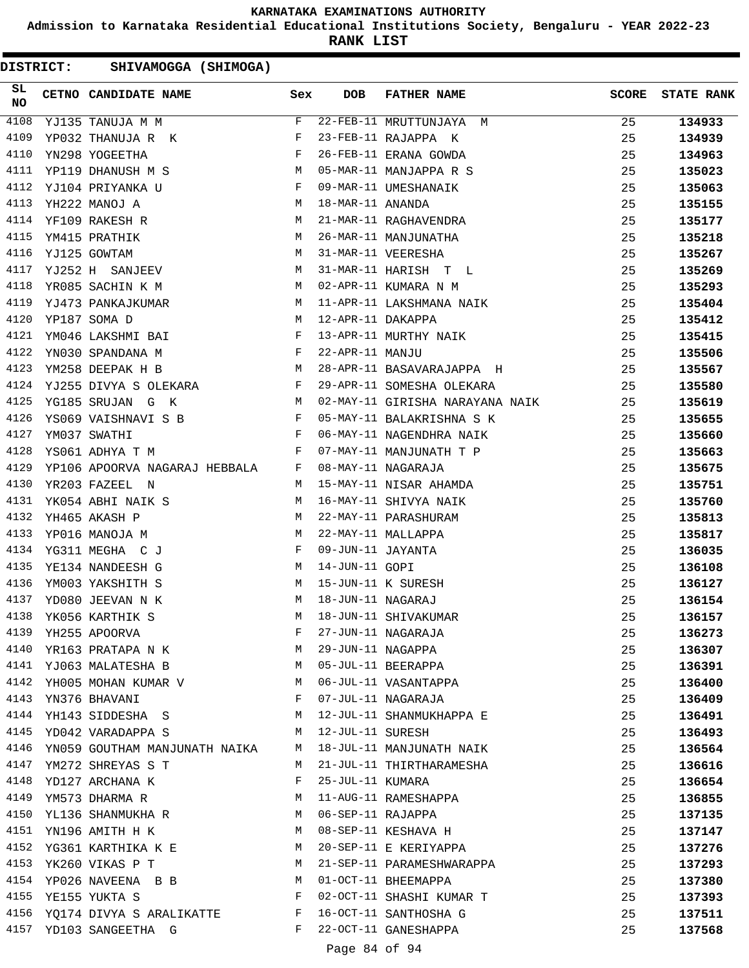**Admission to Karnataka Residential Educational Institutions Society, Bengaluru - YEAR 2022-23**

**RANK LIST**

| DISTRICT: | SHIVAMOGGA (SHIMOGA)               |              |              |                     |                                 |              |                   |
|-----------|------------------------------------|--------------|--------------|---------------------|---------------------------------|--------------|-------------------|
| SL<br>NO  | CETNO CANDIDATE NAME               |              | Sex          | <b>DOB</b>          | <b>FATHER NAME</b>              | <b>SCORE</b> | <b>STATE RANK</b> |
| 4108      | YJ135 TANUJA M M                   |              | F            |                     | 22-FEB-11 MRUTTUNJAYA M         | 25           | 134933            |
| 4109      | YP032 THANUJA R K                  |              | F            |                     | 23-FEB-11 RAJAPPA K             | 25           | 134939            |
| 4110      | YN298 YOGEETHA                     |              | F            |                     | 26-FEB-11 ERANA GOWDA           | 25           | 134963            |
| 4111      | YP119 DHANUSH M S                  |              | M            |                     | 05-MAR-11 MANJAPPA R S          | 25           | 135023            |
| 4112      | YJ104 PRIYANKA U                   |              | F            |                     | 09-MAR-11 UMESHANAIK            | 25           | 135063            |
| 4113      | YH222 MANOJ A                      |              | M            | 18-MAR-11 ANANDA    |                                 | 25           | 135155            |
| 4114      | YF109 RAKESH R                     |              | M            |                     | 21-MAR-11 RAGHAVENDRA           | 25           | 135177            |
| 4115      | YM415 PRATHIK                      |              | М            |                     | 26-MAR-11 MANJUNATHA            | 25           | 135218            |
| 4116      | YJ125 GOWTAM                       |              | M            |                     | 31-MAR-11 VEERESHA              | 25           | 135267            |
| 4117      | YJ252 H SANJEEV                    |              | M            |                     | 31-MAR-11 HARISH T L            | 25           | 135269            |
| 4118      | YR085 SACHIN K M                   |              | M            |                     | 02-APR-11 KUMARA N M            | 25           | 135293            |
| 4119      | YJ473 PANKAJKUMAR                  |              | M            |                     | 11-APR-11 LAKSHMANA NAIK        | 25           | 135404            |
| 4120      | YP187 SOMA D                       |              | M            | 12-APR-11 DAKAPPA   |                                 | 25           | 135412            |
| 4121      | YM046 LAKSHMI BAI                  | $\mathbf{F}$ |              |                     | 13-APR-11 MURTHY NAIK           | 25           | 135415            |
| 4122      | YN030 SPANDANA M                   |              | $\mathbf{F}$ | 22-APR-11 MANJU     |                                 | 25           | 135506            |
| 4123      | YM258 DEEPAK H B                   |              | M            |                     | 28-APR-11 BASAVARAJAPPA H       | 25           | 135567            |
| 4124      | YJ255 DIVYA S OLEKARA              |              | F            |                     | 29-APR-11 SOMESHA OLEKARA       | 25           | 135580            |
| 4125      | YG185 SRUJAN G K                   | M            |              |                     | 02-MAY-11 GIRISHA NARAYANA NAIK | 25           | 135619            |
| 4126      | YS069 VAISHNAVI S B                |              | F            |                     | 05-MAY-11 BALAKRISHNA S K       | 25           | 135655            |
| 4127      | YM037 SWATHI                       |              | F            |                     | 06-MAY-11 NAGENDHRA NAIK        | 25           | 135660            |
| 4128      | YS061 ADHYA T M                    |              | F            |                     | 07-MAY-11 MANJUNATH T P         | 25           | 135663            |
| 4129      | YP106 APOORVA NAGARAJ HEBBALA      |              | F            |                     | 08-MAY-11 NAGARAJA              | 25           | 135675            |
| 4130      | YR203 FAZEEL N                     |              | M            |                     | 15-MAY-11 NISAR AHAMDA          | 25           | 135751            |
| 4131      | YK054 ABHI NAIK S                  |              | М            |                     | 16-MAY-11 SHIVYA NAIK           | 25           | 135760            |
| 4132      | YH465 AKASH P                      |              | M            |                     | 22-MAY-11 PARASHURAM            | 25           | 135813            |
| 4133      | YP016 MANOJA M                     |              | M            |                     | 22-MAY-11 MALLAPPA              | 25           | 135817            |
| 4134      | YG311 MEGHA C J                    |              | F            | 09-JUN-11 JAYANTA   |                                 | 25           | 136035            |
| 4135      | YE134 NANDEESH G                   |              | M            | 14-JUN-11 GOPI      |                                 | 25           | 136108            |
| 4136      | YM003 YAKSHITH S                   |              | M            |                     | 15-JUN-11 K SURESH              | 25           | 136127            |
| 4137      | YD080 JEEVAN N K                   |              | M            | 18-JUN-11 NAGARAJ   |                                 | 25           | 136154            |
| 4138      | YK056 KARTHIK S                    |              | M            |                     | 18-JUN-11 SHIVAKUMAR            | 25           | 136157            |
| 4139      | YH255 APOORVA                      |              | F            |                     | 27-JUN-11 NAGARAJA              | 25           | 136273            |
|           | 4140 YR163 PRATAPA N K             |              | M            |                     | 29-JUN-11 NAGAPPA               | 25           | 136307            |
|           | 4141 YJ063 MALATESHA B             |              | M            |                     | 05-JUL-11 BEERAPPA              | 25           | 136391            |
|           | 4142 YH005 MOHAN KUMAR V           |              |              |                     | M 06-JUL-11 VASANTAPPA          | 25           | 136400            |
| 4143      | YN376 BHAVANI                      |              | F            |                     | 07-JUL-11 NAGARAJA              | 25           | 136409            |
| 4144      | YH143 SIDDESHA S                   |              | M            |                     | 12-JUL-11 SHANMUKHAPPA E        | 25           | 136491            |
| 4145      | YD042 VARADAPPA S                  |              | M            | 12-JUL-11 SURESH    |                                 | 25           | 136493            |
|           | 4146 YN059 GOUTHAM MANJUNATH NAIKA |              | M            |                     | 18-JUL-11 MANJUNATH NAIK        | 25           | 136564            |
|           | 4147 YM272 SHREYAS S T             |              | M            |                     | 21-JUL-11 THIRTHARAMESHA        | 25           | 136616            |
|           | 4148 YD127 ARCHANA K               |              | F            | 25-JUL-11 KUMARA    |                                 | 25           | 136654            |
|           | 4149 YM573 DHARMA R                |              | M            |                     | 11-AUG-11 RAMESHAPPA            | 25           | 136855            |
|           | 4150 YL136 SHANMUKHA R             |              |              | M 06-SEP-11 RAJAPPA |                                 | 25           | 137135            |
|           | 4151 YN196 AMITH H K               |              | M            |                     | 08-SEP-11 KESHAVA H             | 25           | 137147            |
| 4152      | YG361 KARTHIKA K E                 |              | M            |                     | 20-SEP-11 E KERIYAPPA           | 25           | 137276            |
| 4153      | YK260 VIKAS P T                    |              | M            |                     | 21-SEP-11 PARAMESHWARAPPA       | 25           | 137293            |
|           | 4154 YP026 NAVEENA B B             |              | M            |                     | 01-OCT-11 BHEEMAPPA             | 25           | 137380            |
|           | 4155 YE155 YUKTA S                 |              | F            |                     | 02-OCT-11 SHASHI KUMAR T        | 25           | 137393            |
|           | 4156 YQ174 DIVYA S ARALIKATTE F    |              |              |                     | 16-OCT-11 SANTHOSHA G           | 25           | 137511            |
|           | 4157 YD103 SANGEETHA G             |              | F            |                     | 22-OCT-11 GANESHAPPA            | 25           | 137568            |
|           |                                    |              |              | Page 84 of 94       |                                 |              |                   |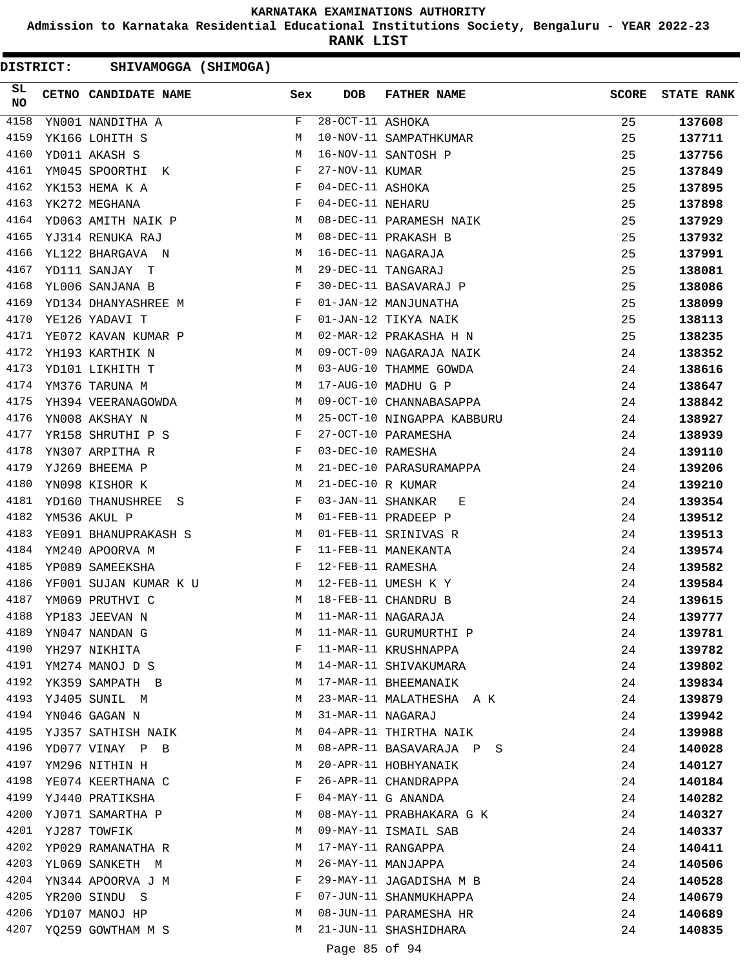**Admission to Karnataka Residential Educational Institutions Society, Bengaluru - YEAR 2022-23**

**RANK LIST**

DISTRICT: SHIVAMOGGA (SHIMOGA)

| SL<br>NO | CETNO CANDIDATE NAME Sex                                                                                                                      |              | <b>DOB</b>        | FATHER NAME                | <b>SCORE</b> | <b>STATE RANK</b> |
|----------|-----------------------------------------------------------------------------------------------------------------------------------------------|--------------|-------------------|----------------------------|--------------|-------------------|
| 4158     | YN001 NANDITHA A                                                                                                                              | F            | 28-OCT-11 ASHOKA  |                            | 25           | 137608            |
| 4159     | YK166 LOHITH S                                                                                                                                | М            |                   | 10-NOV-11 SAMPATHKUMAR     | 25           | 137711            |
| 4160     | YD011 AKASH S                                                                                                                                 | М            |                   | 16-NOV-11 SANTOSH P        | 25           | 137756            |
| 4161     | YM045 SPOORTHI K                                                                                                                              | F            | 27-NOV-11 KUMAR   |                            | 25           | 137849            |
| 4162     | YK153 HEMA K A                                                                                                                                | F            | 04-DEC-11 ASHOKA  |                            | 25           | 137895            |
| 4163     | $\mathbf{F}$ and $\mathbf{F}$<br>YK272 MEGHANA                                                                                                |              | 04-DEC-11 NEHARU  |                            | 25           | 137898            |
| 4164     | YD063 AMITH NAIK P M                                                                                                                          |              |                   | 08-DEC-11 PARAMESH NAIK    | 25           | 137929            |
| 4165     | YJ314 RENUKA RAJ                                                                                                                              | M            |                   | 08-DEC-11 PRAKASH B        | 25           | 137932            |
| 4166     | YL122 BHARGAVA N                                                                                                                              | М            |                   | 16-DEC-11 NAGARAJA         | 25           | 137991            |
| 4167     | YD111 SANJAY T                                                                                                                                | М            |                   | 29-DEC-11 TANGARAJ         | 25           | 138081            |
| 4168     | YL006 SANJANA B                                                                                                                               | F            |                   | 30-DEC-11 BASAVARAJ P      | 25           | 138086            |
| 4169     | YD134 DHANYASHREE M                                                                                                                           | $\mathbf{F}$ |                   | 01-JAN-12 MANJUNATHA       | 25           | 138099            |
| 4170     | YE126 YADAVI T                                                                                                                                | F            |                   | 01-JAN-12 TIKYA NAIK       | 25           | 138113            |
| 4171     | <b>Example 19</b> Manual Manual Manual Manual Manual Manual Manual Manual Manual Manual Manual Manual Manual Manual Ma<br>YE072 KAVAN KUMAR P |              |                   | 02-MAR-12 PRAKASHA H N     | 25           | 138235            |
| 4172     | YH193 KARTHIK N                                                                                                                               | M            |                   | 09-OCT-09 NAGARAJA NAIK    | 24           | 138352            |
| 4173     | YD101 LIKHITH T                                                                                                                               | M            |                   | 03-AUG-10 THAMME GOWDA     | 24           | 138616            |
| 4174     | YM376 TARUNA M                                                                                                                                | М            |                   | 17-AUG-10 MADHU G P        | 24           | 138647            |
| 4175     | YH394 VEERANAGOWDA                                                                                                                            | M            |                   | 09-OCT-10 CHANNABASAPPA    | 24           | 138842            |
| 4176     | YN008 AKSHAY N                                                                                                                                | М            |                   | 25-OCT-10 NINGAPPA KABBURU | 24           | 138927            |
| 4177     | YR158 SHRUTHI P S                                                                                                                             | F            |                   | 27-OCT-10 PARAMESHA        | 24           | 138939            |
| 4178     | YN307 ARPITHA R                                                                                                                               | F            | 03-DEC-10 RAMESHA |                            | 24           | 139110            |
| 4179     | <b>M</b><br>YJ269 BHEEMA P                                                                                                                    |              |                   | 21-DEC-10 PARASURAMAPPA    | 24           | 139206            |
| 4180     | YN098 KISHOR K                                                                                                                                | M            | 21-DEC-10 R KUMAR |                            | 24           | 139210            |
| 4181     | YD160 THANUSHREE S                                                                                                                            | F            | 03-JAN-11 SHANKAR | E                          | 24           | 139354            |
| 4182     | YM536 AKUL P                                                                                                                                  | М            |                   | 01-FEB-11 PRADEEP P        | 24           | 139512            |
| 4183     | YE091 BHANUPRAKASH S                                                                                                                          | M            |                   | 01-FEB-11 SRINIVAS R       | 24           | 139513            |
| 4184     | $\mathbf{F}$<br>YM240 APOORVA M                                                                                                               |              |                   | 11-FEB-11 MANEKANTA        | 24           | 139574            |
| 4185     | YP089 SAMEEKSHA                                                                                                                               | $\mathbf{F}$ | 12-FEB-11 RAMESHA |                            | 24           | 139582            |
| 4186     | YF001 SUJAN KUMAR K U M                                                                                                                       |              |                   | 12-FEB-11 UMESH K Y        | 24           | 139584            |
| 4187     | YM069 PRUTHVI C                                                                                                                               | M            |                   | 18-FEB-11 CHANDRU B        | 24           | 139615            |
| 4188     | YP183 JEEVAN N                                                                                                                                | М            |                   | 11-MAR-11 NAGARAJA         | 24           | 139777            |
| 4189     | YN047 NANDAN G                                                                                                                                | М            |                   | 11-MAR-11 GURUMURTHI P     | 24           | 139781            |
| 4190     | YH297 NIKHITA                                                                                                                                 | F            |                   | 11-MAR-11 KRUSHNAPPA       | 24           | 139782            |
| 4191     | YM274 MANOJ D S                                                                                                                               | М            |                   | 14-MAR-11 SHIVAKUMARA      | 24           | 139802            |
| 4192     | YK359 SAMPATH B                                                                                                                               | M            |                   | 17-MAR-11 BHEEMANAIK       | 24           | 139834            |
| 4193     | YJ405 SUNIL M                                                                                                                                 | М            |                   | 23-MAR-11 MALATHESHA A K   | 24           | 139879            |
| 4194     | YN046 GAGAN N                                                                                                                                 | M            | 31-MAR-11 NAGARAJ |                            | 24           | 139942            |
| 4195     | YJ357 SATHISH NAIK                                                                                                                            | M            |                   | 04-APR-11 THIRTHA NAIK     | 24           | 139988            |
| 4196     | YD077 VINAY P B                                                                                                                               | M            |                   | 08-APR-11 BASAVARAJA P S   | 24           | 140028            |
| 4197     | YM296 NITHIN H                                                                                                                                | М            |                   | 20-APR-11 HOBHYANAIK       | 24           | 140127            |
| 4198     | YE074 KEERTHANA C                                                                                                                             | F            |                   | 26-APR-11 CHANDRAPPA       | 24           | 140184            |
| 4199     | YJ440 PRATIKSHA                                                                                                                               | F            |                   | 04-MAY-11 G ANANDA         | 24           | 140282            |
| 4200     | YJ071 SAMARTHA P                                                                                                                              | M            |                   | 08-MAY-11 PRABHAKARA G K   | 24           | 140327            |
| 4201     | YJ287 TOWFIK                                                                                                                                  | M            |                   | 09-MAY-11 ISMAIL SAB       | 24           | 140337            |
| 4202     | YP029 RAMANATHA R                                                                                                                             | M            |                   | 17-MAY-11 RANGAPPA         | 24           | 140411            |
| 4203     | YL069 SANKETH M                                                                                                                               | М            |                   | 26-MAY-11 MANJAPPA         | 24           | 140506            |
| 4204     | YN344 APOORVA J M                                                                                                                             | F            |                   | 29-MAY-11 JAGADISHA M B    | 24           | 140528            |
| 4205     | YR200 SINDU S                                                                                                                                 | F            |                   | 07-JUN-11 SHANMUKHAPPA     | 24           | 140679            |
| 4206     | YD107 MANOJ HP                                                                                                                                | M            |                   | 08-JUN-11 PARAMESHA HR     | 24           | 140689            |
| 4207     | YQ259 GOWTHAM M S                                                                                                                             | М            |                   | 21-JUN-11 SHASHIDHARA      | 24           | 140835            |

# Page 85 of 94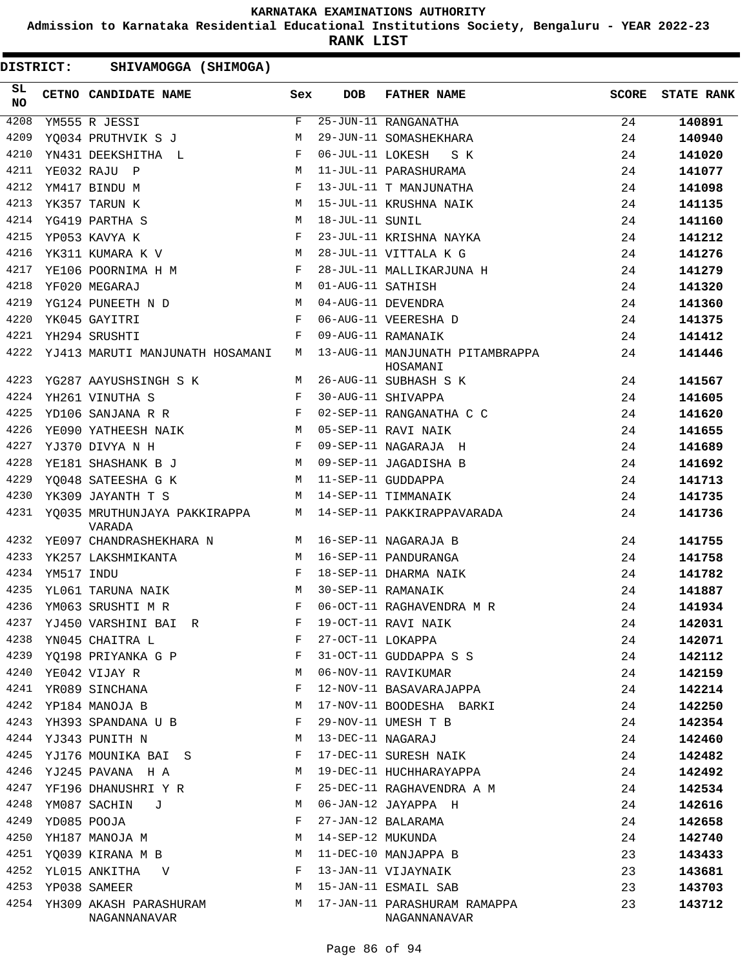**Admission to Karnataka Residential Educational Institutions Society, Bengaluru - YEAR 2022-23**

**RANK LIST**

| SL<br><b>NO</b> |            | CETNO CANDIDATE NAME                                 | Sex         | <b>DOB</b>        | <b>FATHER NAME</b>                          | <b>SCORE</b> | <b>STATE RANK</b> |
|-----------------|------------|------------------------------------------------------|-------------|-------------------|---------------------------------------------|--------------|-------------------|
| 4208            |            | YM555 R JESSI                                        | F           |                   | 25-JUN-11 RANGANATHA                        | 24           | 140891            |
| 4209            |            | YQ034 PRUTHVIK S J                                   | М           |                   | 29-JUN-11 SOMASHEKHARA                      | 24           | 140940            |
| 4210            |            | YN431 DEEKSHITHA L                                   | $_{\rm F}$  | 06-JUL-11 LOKESH  | S K                                         | 24           | 141020            |
| 4211            |            | YE032 RAJU P                                         | М           |                   | 11-JUL-11 PARASHURAMA                       | 24           | 141077            |
| 4212            |            | YM417 BINDU M                                        | F           |                   | 13-JUL-11 T MANJUNATHA                      | 24           | 141098            |
| 4213            |            | M <sub>N</sub><br>YK357 TARUN K                      |             |                   | 15-JUL-11 KRUSHNA NAIK                      | 24           | 141135            |
| 4214            |            | YG419 PARTHA S                                       | M           | 18-JUL-11 SUNIL   |                                             | 24           | 141160            |
| 4215            |            | YP053 KAVYA K                                        | F           |                   | 23-JUL-11 KRISHNA NAYKA                     | 24           | 141212            |
| 4216            |            | YK311 KUMARA K V                                     | М           |                   | 28-JUL-11 VITTALA K G                       | 24           | 141276            |
| 4217            |            | YE106 POORNIMA H M                                   | F           |                   | 28-JUL-11 MALLIKARJUNA H                    | 24           | 141279            |
| 4218            |            | YF020 MEGARAJ                                        | M           | 01-AUG-11 SATHISH |                                             | 24           | 141320            |
| 4219            |            | YG124 PUNEETH N D                                    | M           |                   | 04-AUG-11 DEVENDRA                          | 24           | 141360            |
| 4220            |            | YK045 GAYITRI                                        | F           |                   | 06-AUG-11 VEERESHA D                        | 24           | 141375            |
| 4221            |            | YH294 SRUSHTI                                        | F           |                   | 09-AUG-11 RAMANAIK                          | 24           | 141412            |
| 4222            |            | YJ413 MARUTI MANJUNATH HOSAMANI                      | M           |                   | 13-AUG-11 MANJUNATH PITAMBRAPPA<br>HOSAMANI | 24           | 141446            |
| 4223            |            | YG287 AAYUSHSINGH S K                                | M           |                   | 26-AUG-11 SUBHASH S K                       | 24           | 141567            |
| 4224            |            | YH261 VINUTHA S                                      | $$\rm \,F$$ |                   | 30-AUG-11 SHIVAPPA                          | 24           | 141605            |
| 4225            |            | YD106 SANJANA R R F F                                |             |                   | 02-SEP-11 RANGANATHA C C                    | 24           | 141620            |
| 4226            |            | YE090 YATHEESH NAIK M                                |             |                   | 05-SEP-11 RAVI NAIK                         | 24           | 141655            |
| 4227            |            | YJ370 DIVYA N H                                      | F           |                   | 09-SEP-11 NAGARAJA H                        | 24           | 141689            |
| 4228            |            | YE181 SHASHANK B J                                   | M           |                   | 09-SEP-11 JAGADISHA B                       | 24           | 141692            |
| 4229            |            | YQ048 SATEESHA G K                                   | M           |                   | 11-SEP-11 GUDDAPPA                          | 24           | 141713            |
| 4230            |            | YK309 JAYANTH T S                                    | M           |                   | 14-SEP-11 TIMMANAIK                         | 24           | 141735            |
| 4231            |            | YQ035 MRUTHUNJAYA PAKKIRAPPA M<br><b>VARADA</b>      |             |                   | 14-SEP-11 PAKKIRAPPAVARADA                  | 24           | 141736            |
| 4232            |            | YE097 CHANDRASHEKHARA N                              |             |                   | M 16-SEP-11 NAGARAJA B                      | 24           | 141755            |
| 4233            |            | YK257 LAKSHMIKANTA                                   | M           |                   | 16-SEP-11 PANDURANGA                        | 24           | 141758            |
| 4234            | YM517 INDU |                                                      | F           |                   | 18-SEP-11 DHARMA NAIK                       | 24           | 141782            |
| 4235            |            | YL061 TARUNA NAIK                                    | М           |                   | 30-SEP-11 RAMANAIK                          | 24           | 141887            |
| 4236            |            | YM063 SRUSHTI M R                                    | F           |                   | 06-OCT-11 RAGHAVENDRA M R                   | 24           | 141934            |
|                 |            | 4237 YJ450 VARSHINI BAI R MARI F 19-OCT-11 RAVI NAIK |             |                   |                                             | 24           | 142031            |
| 4238<br>4239    |            | YN045 CHAITRA L<br>YQ198 PRIYANKA G P                | F<br>F      | 27-OCT-11 LOKAPPA | 31-OCT-11 GUDDAPPA S S                      | 24<br>24     | 142071<br>142112  |
| 4240            |            | YE042 VIJAY R                                        | М           |                   | 06-NOV-11 RAVIKUMAR                         | 24           | 142159            |
| 4241            |            | YR089 SINCHANA                                       | F           |                   | 12-NOV-11 BASAVARAJAPPA                     | 24           | 142214            |
| 4242            |            | YP184 MANOJA B                                       | М           |                   | 17-NOV-11 BOODESHA BARKI                    | 24           | 142250            |
| 4243            |            | YH393 SPANDANA U B                                   | F           |                   | 29-NOV-11 UMESH T B                         | 24           | 142354            |
| 4244            |            | YJ343 PUNITH N                                       | М           | 13-DEC-11 NAGARAJ |                                             | 24           | 142460            |
| 4245            |            | YJ176 MOUNIKA BAI S                                  | F           |                   | 17-DEC-11 SURESH NAIK                       | 24           | 142482            |
| 4246            |            | YJ245 PAVANA H A                                     | М           |                   | 19-DEC-11 HUCHHARAYAPPA                     | 24           | 142492            |
| 4247            |            | YF196 DHANUSHRI Y R                                  | F           |                   | 25-DEC-11 RAGHAVENDRA A M                   | 24           | 142534            |
| 4248            |            | YM087 SACHIN<br>J                                    | М           |                   | 06-JAN-12 JAYAPPA H                         | 24           | 142616            |
| 4249            |            | YD085 POOJA                                          | F           |                   | 27-JAN-12 BALARAMA                          | 24           | 142658            |
| 4250            |            | YH187 MANOJA M                                       | М           | 14-SEP-12 MUKUNDA |                                             | 24           | 142740            |
| 4251            |            | YO039 KIRANA M B                                     | М           |                   | 11-DEC-10 MANJAPPA B                        | 23           | 143433            |
| 4252            |            | YL015 ANKITHA<br>V                                   | F           |                   | 13-JAN-11 VIJAYNAIK                         | 23           | 143681            |
| 4253            |            | YP038 SAMEER                                         | M           |                   | 15-JAN-11 ESMAIL SAB                        | 23           | 143703            |
| 4254            |            | YH309 AKASH PARASHURAM                               | M           |                   | 17-JAN-11 PARASHURAM RAMAPPA                | 23           | 143712            |
|                 |            | NAGANNANAVAR                                         |             |                   | NAGANNANAVAR                                |              |                   |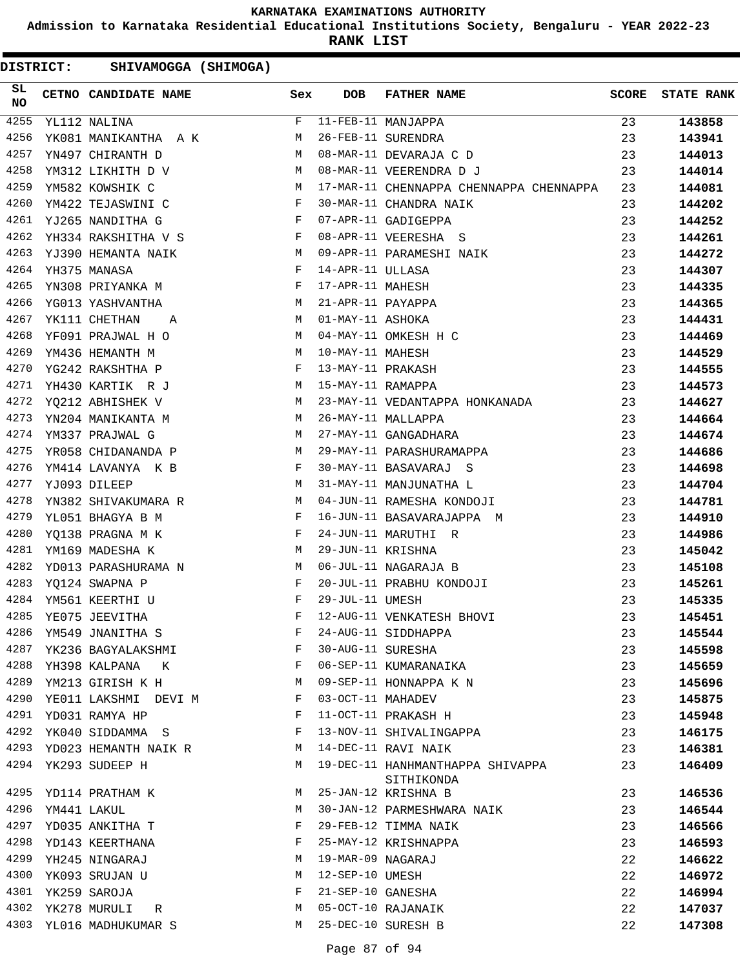**Admission to Karnataka Residential Educational Institutions Society, Bengaluru - YEAR 2022-23**

**RANK LIST**

| SL<br><b>NO</b> |             | CETNO CANDIDATE NAME Sex         |                                                                 | <b>DOB</b>        | <b>FATHER NAME</b>                             | <b>SCORE</b> | <b>STATE RANK</b> |
|-----------------|-------------|----------------------------------|-----------------------------------------------------------------|-------------------|------------------------------------------------|--------------|-------------------|
| 4255            |             | YL112 NALINA                     | F                                                               |                   | 11-FEB-11 MANJAPPA                             | 23           | 143858            |
| 4256            |             | YK081 MANIKANTHA A K             | M                                                               |                   | 26-FEB-11 SURENDRA                             | 23           | 143941            |
| 4257            |             | YN497 CHIRANTH D                 | M                                                               |                   | 08-MAR-11 DEVARAJA C D                         | 23           | 144013            |
| 4258            |             | YM312 LIKHITH D V                | M <sub>N</sub>                                                  |                   | 08-MAR-11 VEERENDRA D J                        | 23           | 144014            |
| 4259            |             | YM582 KOWSHIK C                  | <b>M</b>                                                        |                   | 17-MAR-11 CHENNAPPA CHENNAPPA CHENNAPPA        | 23           | 144081            |
| 4260            |             | YM422 TEJASWINI C                | $\mathbf{F}$                                                    |                   | 30-MAR-11 CHANDRA NAIK                         | 23           | 144202            |
| 4261            |             | YJ265 NANDITHA G                 | $\mathbf{F}$                                                    |                   | 07-APR-11 GADIGEPPA                            | 23           | 144252            |
| 4262            |             | YH334 RAKSHITHA V S F            |                                                                 |                   | 08-APR-11 VEERESHA S                           | 23           | 144261            |
| 4263            |             | YJ390 HEMANTA NAIK               | <b>M</b>                                                        |                   | 09-APR-11 PARAMESHI NAIK                       | 23           | 144272            |
| 4264            |             | YH375 MANASA                     | $\mathbf{F}$ and $\mathbf{F}$                                   | 14-APR-11 ULLASA  |                                                | 23           | 144307            |
| 4265            |             | $\mathbf{F}$<br>YN308 PRIYANKA M |                                                                 | 17-APR-11 MAHESH  |                                                | 23           | 144335            |
| 4266            |             | YG013 YASHVANTHA                 | M <sub>N</sub>                                                  | 21-APR-11 PAYAPPA |                                                | 23           | 144365            |
| 4267            |             | YK111 CHETHAN<br>$A$ M           |                                                                 | 01-MAY-11 ASHOKA  |                                                | 23           | 144431            |
| 4268            |             | YF091 PRAJWAL H O                | <b>M</b>                                                        |                   | 04-MAY-11 OMKESH H C                           | 23           | 144469            |
| 4269            |             | YM436 HEMANTH M                  | M                                                               | 10-MAY-11 MAHESH  |                                                | 23           | 144529            |
| 4270            |             | YG242 RAKSHTHA P                 | $\mathbf{F}$                                                    | 13-MAY-11 PRAKASH |                                                | 23           | 144555            |
| 4271            |             | YH430 KARTIK R J                 | <b>M</b>                                                        | 15-MAY-11 RAMAPPA |                                                | 23           | 144573            |
| 4272            |             | YQ212 ABHISHEK V                 | <b>M</b>                                                        |                   | 23-MAY-11 VEDANTAPPA HONKANADA                 | 23           | 144627            |
| 4273            |             | YN204 MANIKANTA M                | M <sub>N</sub>                                                  |                   | 26-MAY-11 MALLAPPA                             | 23           | 144664            |
| 4274            |             | YM337 PRAJWAL G                  | M <sub>N</sub>                                                  |                   | 27-MAY-11 GANGADHARA                           | 23           | 144674            |
| 4275            |             | YR058 CHIDANANDA P               | <b>M</b>                                                        |                   | 29-MAY-11 PARASHURAMAPPA                       | 23           | 144686            |
| 4276            |             | YM414 LAVANYA K B                | $\mathbb{F}^{\mathbb{Z}}$ . The state $\mathbb{F}^{\mathbb{Z}}$ |                   | 30-MAY-11 BASAVARAJ S                          | 23           | 144698            |
| 4277            |             | YJ093 DILEEP                     | M                                                               |                   | 31-MAY-11 MANJUNATHA L                         | 23           | 144704            |
| 4278            |             | YN382 SHIVAKUMARA R              | <b>M</b>                                                        |                   | 04-JUN-11 RAMESHA KONDOJI                      | 23           | 144781            |
| 4279            |             | YL051 BHAGYA B M                 | $\mathbf{F}$ and the contract of $\mathbf{F}$                   |                   | 16-JUN-11 BASAVARAJAPPA M                      | 23           | 144910            |
| 4280            |             | YQ138 PRAGNA M K                 | $\mathbf{F}$                                                    |                   | 24-JUN-11 MARUTHI R                            | 23           | 144986            |
| 4281            |             | YM169 MADESHA K                  | M                                                               | 29-JUN-11 KRISHNA |                                                | 23           | 145042            |
| 4282            |             | YD013 PARASHURAMA N              | M <sub>1</sub>                                                  |                   | 06-JUL-11 NAGARAJA B                           | 23           | 145108            |
| 4283            |             | YQ124 SWAPNA P                   | $\mathbf{F}$ and the state of the state $\mathbf{F}$            |                   | 20-JUL-11 PRABHU KONDOJI                       | 23           | 145261            |
| 4284            |             | YM561 KEERTHI U                  | $\mathbf{F}$ and $\mathbf{F}$ are $\mathbf{F}$                  | 29-JUL-11 UMESH   |                                                | 23           | 145335            |
| 4285            |             | YE075 JEEVITHA                   | $\mathbf F$                                                     |                   | 12-AUG-11 VENKATESH BHOVI                      | 23           | 145451            |
| 4286            |             | YM549 JNANITHA S                 | F                                                               |                   | 24-AUG-11 SIDDHAPPA                            | 23           | 145544            |
| 4287            |             | YK236 BAGYALAKSHMI               | F                                                               | 30-AUG-11 SURESHA |                                                | 23           | 145598            |
| 4288            |             | YH398 KALPANA<br>K               | F                                                               |                   | 06-SEP-11 KUMARANAIKA                          | 23           | 145659            |
|                 |             | 4289 YM213 GIRISH K H            | M                                                               |                   | 09-SEP-11 HONNAPPA K N                         | 23           | 145696            |
| 4290            |             | YE011 LAKSHMI DEVI M             | F                                                               | 03-OCT-11 MAHADEV |                                                | 23           | 145875            |
| 4291            |             | YD031 RAMYA HP                   | F                                                               |                   | 11-OCT-11 PRAKASH H                            | 23           | 145948            |
| 4292            |             | YK040 SIDDAMMA S                 | F                                                               |                   | 13-NOV-11 SHIVALINGAPPA                        | 23           | 146175            |
|                 |             | 4293 YD023 HEMANTH NAIK R        | М                                                               |                   | 14-DEC-11 RAVI NAIK                            | 23           | 146381            |
|                 |             | 4294 YK293 SUDEEP H              | M                                                               |                   | 19-DEC-11 HANHMANTHAPPA SHIVAPPA<br>SITHIKONDA | 23           | 146409            |
|                 |             | 4295 YD114 PRATHAM K             | M                                                               |                   | 25-JAN-12 KRISHNA B                            | 23           | 146536            |
| 4296            | YM441 LAKUL |                                  | М                                                               |                   | 30-JAN-12 PARMESHWARA NAIK                     | 23           | 146544            |
| 4297            |             | YD035 ANKITHA T                  | F                                                               |                   | 29-FEB-12 TIMMA NAIK                           | 23           | 146566            |
| 4298            |             | YD143 KEERTHANA                  | F                                                               |                   | 25-MAY-12 KRISHNAPPA                           | 23           | 146593            |
|                 |             | 4299 YH245 NINGARAJ              | М                                                               | 19-MAR-09 NAGARAJ |                                                | 22           | 146622            |
| 4300            |             | YK093 SRUJAN U                   | М                                                               | 12-SEP-10 UMESH   |                                                | 22           | 146972            |
| 4301            |             | YK259 SAROJA                     | F                                                               | 21-SEP-10 GANESHA |                                                | 22           | 146994            |
| 4302            |             | YK278 MURULI<br>R                | М                                                               |                   | 05-OCT-10 RAJANAIK                             | 22           | 147037            |
|                 |             | 4303 YL016 MADHUKUMAR S          | М                                                               |                   | 25-DEC-10 SURESH B                             | 22           | 147308            |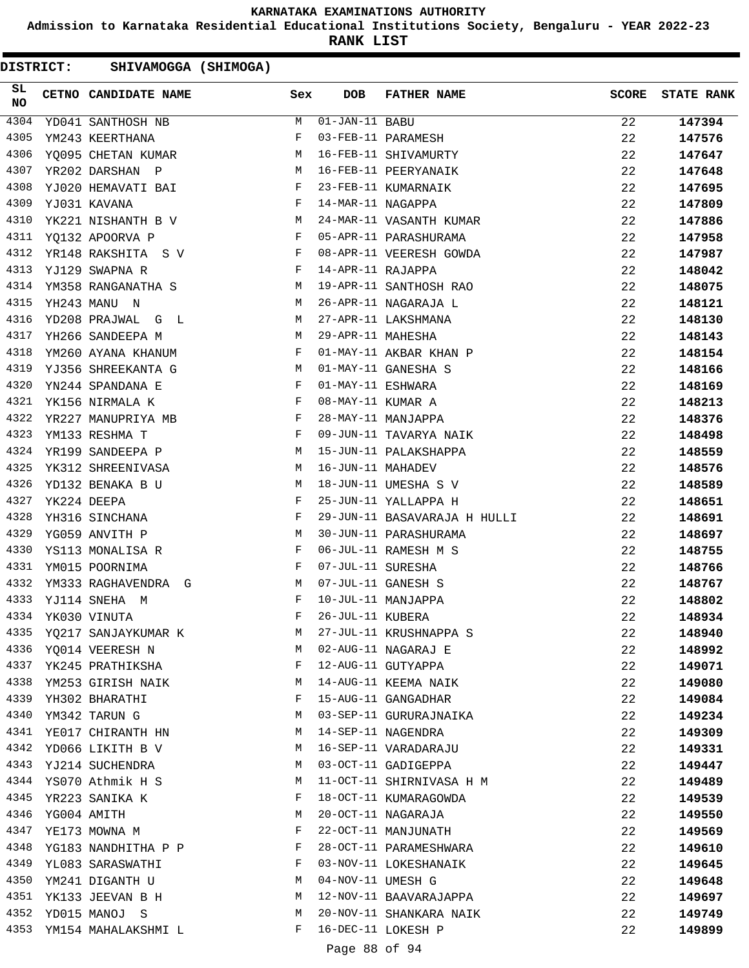**Admission to Karnataka Residential Educational Institutions Society, Bengaluru - YEAR 2022-23**

**RANK LIST**

| SL<br><b>NO</b> |                  | <b>Sex</b><br>CETNO CANDIDATE NAME                                                                                                                                                                                                                    |              | <b>DOB</b>                  | FATHER NAME                  | <b>SCORE</b> | <b>STATE RANK</b> |
|-----------------|------------------|-------------------------------------------------------------------------------------------------------------------------------------------------------------------------------------------------------------------------------------------------------|--------------|-----------------------------|------------------------------|--------------|-------------------|
| 4304            |                  | YD041 SANTHOSH NB                                                                                                                                                                                                                                     | M            | $\overline{01-JAN}-11$ BABU |                              | 22           | 147394            |
| 4305            |                  | YM243 KEERTHANA                                                                                                                                                                                                                                       | F            |                             | 03-FEB-11 PARAMESH           | 22           | 147576            |
| 4306            |                  | YQ095 CHETAN KUMAR                                                                                                                                                                                                                                    | M            |                             | 16-FEB-11 SHIVAMURTY         | 22           | 147647            |
| 4307            |                  | M<br>YR202 DARSHAN P                                                                                                                                                                                                                                  |              |                             | 16-FEB-11 PEERYANAIK         | 22           | 147648            |
| 4308            |                  | YJ020 HEMAVATI BAI<br>$\mathbf{F}$ and $\mathbf{F}$ and $\mathbf{F}$                                                                                                                                                                                  |              |                             | 23-FEB-11 KUMARNAIK          | 22           | 147695            |
| 4309            |                  | $\mathbf{F}$ and $\mathbf{F}$<br>YJ031 KAVANA                                                                                                                                                                                                         |              | 14-MAR-11 NAGAPPA           |                              | 22           | 147809            |
| 4310            |                  | M<br>YK221 NISHANTH B V                                                                                                                                                                                                                               |              |                             | 24-MAR-11 VASANTH KUMAR      | 22           | 147886            |
| 4311            |                  | YQ132 APOORVA P                                                                                                                                                                                                                                       | F            |                             | 05-APR-11 PARASHURAMA        | 22           | 147958            |
| 4312            |                  | YR148 RAKSHITA S V<br><b>Experimental Service Service</b>                                                                                                                                                                                             |              |                             | 08-APR-11 VEERESH GOWDA      | 22           | 147987            |
| 4313            |                  | YJ129 SWAPNA R<br>and the state of the state of the Party                                                                                                                                                                                             |              | 14-APR-11 RAJAPPA           |                              | 22           | 148042            |
| 4314            |                  | YM358 RANGANATHA S                                                                                                                                                                                                                                    | M            |                             | 19-APR-11 SANTHOSH RAO       | 22           | 148075            |
| 4315            |                  | YH243 MANU N                                                                                                                                                                                                                                          | M            |                             | 26-APR-11 NAGARAJA L         | 22           | 148121            |
| 4316            |                  | YD208 PRAJWAL G L                                                                                                                                                                                                                                     | M            |                             | 27-APR-11 LAKSHMANA          | 22           | 148130            |
| 4317            |                  | YH266 SANDEEPA M<br>$M_{\rm}$                                                                                                                                                                                                                         |              | 29-APR-11 MAHESHA           |                              | 22           | 148143            |
| 4318            |                  | YM260 AYANA KHANUM                                                                                                                                                                                                                                    | $\mathbf{F}$ |                             | 01-MAY-11 AKBAR KHAN P       | 22           | 148154            |
| 4319            |                  | M <sub>N</sub><br>YJ356 SHREEKANTA G                                                                                                                                                                                                                  |              |                             | 01-MAY-11 GANESHA S          | 22           | 148166            |
| 4320            |                  | YN244 SPANDANA E<br>$\mathbf{F}$ and the set of the set of the set of the set of the set of the set of the set of the set of the set of the set of the set of the set of the set of the set of the set of the set of the set of the set of the set of |              | 01-MAY-11 ESHWARA           |                              | 22           | 148169            |
| 4321            |                  | $\mathbf{F}$<br>YK156 NIRMALA K                                                                                                                                                                                                                       |              | 08-MAY-11 KUMAR A           |                              | 22           | 148213            |
| 4322            |                  | YR227 MANUPRIYA MB                                                                                                                                                                                                                                    | $\mathbf{F}$ |                             | 28-MAY-11 MANJAPPA           | 22           | 148376            |
| 4323            |                  | YM133 RESHMA T                                                                                                                                                                                                                                        | F            |                             | 09-JUN-11 TAVARYA NAIK       | 22           | 148498            |
| 4324            |                  | <b>M</b><br>YR199 SANDEEPA P                                                                                                                                                                                                                          |              |                             | 15-JUN-11 PALAKSHAPPA        | 22           | 148559            |
| 4325            |                  | YK312 SHREENIVASA M                                                                                                                                                                                                                                   |              | 16-JUN-11 MAHADEV           |                              | 22           | 148576            |
| 4326            |                  | YD132 BENAKA B U                                                                                                                                                                                                                                      | M            |                             | 18-JUN-11 UMESHA S V         | 22           | 148589            |
| 4327            |                  | YK224 DEEPA                                                                                                                                                                                                                                           | F            |                             | 25-JUN-11 YALLAPPA H         | 22           | 148651            |
| 4328            |                  | YH316 SINCHANA                                                                                                                                                                                                                                        | F            |                             | 29-JUN-11 BASAVARAJA H HULLI | 22           | 148691            |
| 4329            |                  | $M_{\odot}$<br>YG059 ANVITH P                                                                                                                                                                                                                         |              |                             | 30-JUN-11 PARASHURAMA        | 22           | 148697            |
| 4330            |                  | YS113 MONALISA R                                                                                                                                                                                                                                      | $\mathbf{F}$ |                             | 06-JUL-11 RAMESH M S         | 22           | 148755            |
| 4331            |                  | YM015 POORNIMA                                                                                                                                                                                                                                        | F            | 07-JUL-11 SURESHA           |                              | 22           | 148766            |
| 4332            |                  | YM333 RAGHAVENDRA G<br><b>M</b>                                                                                                                                                                                                                       |              |                             | 07-JUL-11 GANESH S           | 22           | 148767            |
| 4333            |                  | YJ114 SNEHA M                                                                                                                                                                                                                                         | F            |                             | 10-JUL-11 MANJAPPA           | 22           | 148802            |
| 4334            |                  | YK030 VINUTA                                                                                                                                                                                                                                          | F            | 26-JUL-11 KUBERA            |                              | 22           | 148934            |
|                 |                  | 4335 YQ217 SANJAYKUMAR K                                                                                                                                                                                                                              | M            |                             | 27-JUL-11 KRUSHNAPPA S       | 22           | 148940            |
|                 |                  | 4336 YQ014 VEERESH N                                                                                                                                                                                                                                  | M            |                             | 02-AUG-11 NAGARAJ E          | 22           | 148992            |
|                 |                  | 4337 YK245 PRATHIKSHA                                                                                                                                                                                                                                 | F            |                             | 12-AUG-11 GUTYAPPA           | 22           | 149071            |
|                 |                  | 4338 YM253 GIRISH NAIK                                                                                                                                                                                                                                | M            |                             | 14-AUG-11 KEEMA NAIK         | 22           | 149080            |
|                 |                  | 4339 YH302 BHARATHI                                                                                                                                                                                                                                   | F            |                             | 15-AUG-11 GANGADHAR          | 22           | 149084            |
| 4340            |                  | YM342 TARUN G                                                                                                                                                                                                                                         | M            |                             | 03-SEP-11 GURURAJNAIKA       | 22           | 149234            |
| 4341            |                  | YE017 CHIRANTH HN                                                                                                                                                                                                                                     | M            |                             | 14-SEP-11 NAGENDRA           | 22           | 149309            |
|                 |                  | 4342 YD066 LIKITH B V                                                                                                                                                                                                                                 | M            |                             | 16-SEP-11 VARADARAJU         | 22           | 149331            |
|                 |                  | 4343 YJ214 SUCHENDRA                                                                                                                                                                                                                                  | M            |                             | 03-OCT-11 GADIGEPPA          | 22           | 149447            |
|                 |                  | 4344 YS070 Athmik H S                                                                                                                                                                                                                                 | M            |                             | 11-OCT-11 SHIRNIVASA H M     | 22           | 149489            |
| 4345            |                  | YR223 SANIKA K                                                                                                                                                                                                                                        | F            |                             | 18-OCT-11 KUMARAGOWDA        | 22           | 149539            |
|                 | 4346 YG004 AMITH |                                                                                                                                                                                                                                                       | М            |                             | 20-OCT-11 NAGARAJA           | 22           | 149550            |
| 4347            |                  | YE173 MOWNA M                                                                                                                                                                                                                                         | F            |                             | 22-OCT-11 MANJUNATH          | 22           | 149569            |
| 4348            |                  | YG183 NANDHITHA P P                                                                                                                                                                                                                                   | F            |                             | 28-OCT-11 PARAMESHWARA       | 22           | 149610            |
| 4349            |                  | YL083 SARASWATHI                                                                                                                                                                                                                                      | F            |                             | 03-NOV-11 LOKESHANAIK        | 22           | 149645            |
|                 |                  | 4350 YM241 DIGANTH U                                                                                                                                                                                                                                  | M            | 04-NOV-11 UMESH G           |                              | 22           | 149648            |
|                 |                  | 4351 YK133 JEEVAN B H                                                                                                                                                                                                                                 | M            |                             | 12-NOV-11 BAAVARAJAPPA       | 22           | 149697            |
|                 |                  | 4352 YD015 MANOJ S                                                                                                                                                                                                                                    | M            |                             | 20-NOV-11 SHANKARA NAIK      | 22           | 149749            |
|                 |                  | 4353 YM154 MAHALAKSHMI L                                                                                                                                                                                                                              | F            |                             | 16-DEC-11 LOKESH P           | 22           | 149899            |
|                 |                  |                                                                                                                                                                                                                                                       |              | Page 88 of 94               |                              |              |                   |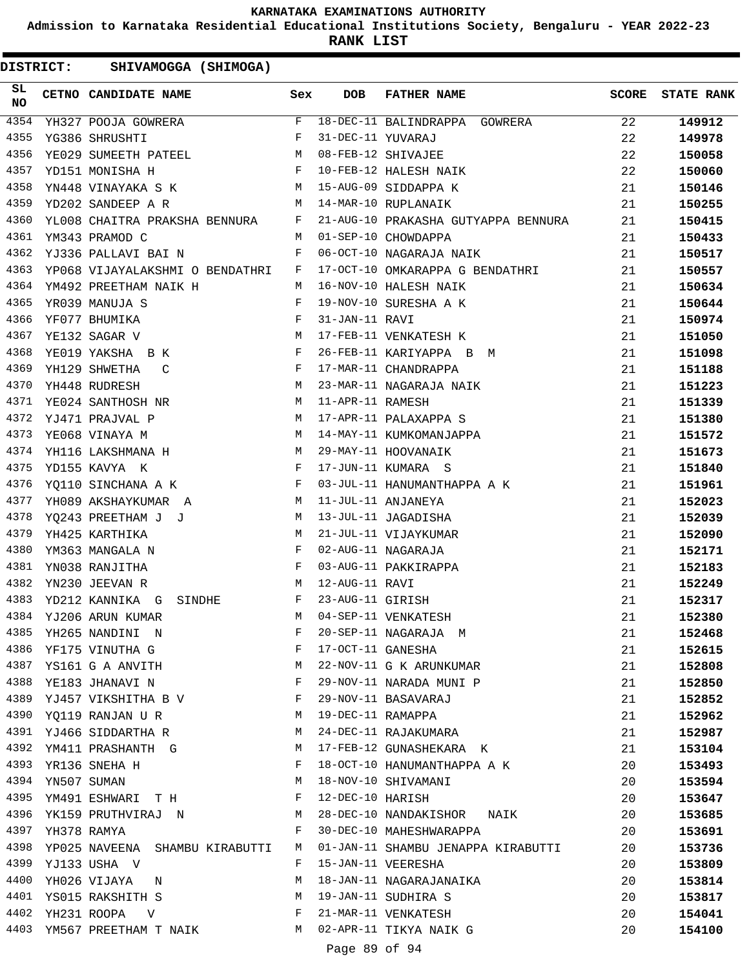**Admission to Karnataka Residential Educational Institutions Society, Bengaluru - YEAR 2022-23**

**RANK LIST**

DISTRICT: SHIVAMOGGA (SHIMOGA)

| SL<br>NO |             | CETNO CANDIDATE NAME Sex                                                                                                                                                                                                                                 |              | <b>DOB</b>        | FATHER NAME                                                                                                     | SCORE | <b>STATE RANK</b> |
|----------|-------------|----------------------------------------------------------------------------------------------------------------------------------------------------------------------------------------------------------------------------------------------------------|--------------|-------------------|-----------------------------------------------------------------------------------------------------------------|-------|-------------------|
| 4354     |             | YH327 POOJA GOWRERA                                                                                                                                                                                                                                      | F            |                   | 18-DEC-11 BALINDRAPPA GOWRERA                                                                                   | 22    | 149912            |
| 4355     |             | YG386 SHRUSHTI                                                                                                                                                                                                                                           | F            | 31-DEC-11 YUVARAJ |                                                                                                                 | 22    | 149978            |
| 4356     |             | YE029 SUMEETH PATEEL M                                                                                                                                                                                                                                   |              |                   | 31-DEC-11 YOVARAO<br>08-FEB-12 SHIVAJEE<br>10-FEB-12 HALESH NAIK<br>15-AUG-09 SIDDAPPA K<br>14-MAR-10 RUPLANAIK | 22    | 150058            |
| 4357     |             | $\mathbf{F}^{\mathcal{A}}_{\mathcal{A}}=\mathbf{F}^{\mathcal{A}}_{\mathcal{A}}\mathbf{F}^{\mathcal{A}}_{\mathcal{A}}$<br>YD151 MONISHA H                                                                                                                 |              |                   |                                                                                                                 | 22    | 150060            |
| 4358     |             | YN448 VINAYAKA S K M                                                                                                                                                                                                                                     |              |                   |                                                                                                                 | 21    | 150146            |
| 4359     |             | YD202 SANDEEP A R<br>M 14-MAR-10 RUPLANAIK                                                                                                                                                                                                               |              |                   |                                                                                                                 | 21    | 150255            |
| 4360     |             | YL008 CHAITRA PRAKSHA BENNURA F                                                                                                                                                                                                                          |              |                   | 21-AUG-10 PRAKASHA GUTYAPPA BENNURA                                                                             | 21    | 150415            |
| 4361     |             | YM343 PRAMOD C                                                                                                                                                                                                                                           |              |                   | M 01-SEP-10 CHOWDAPPA                                                                                           | 21    | 150433            |
| 4362     |             | $\mathbf{F}$ and the set of the set of the set of the set of the set of the set of the set of the set of the set of the set of the set of the set of the set of the set of the set of the set of the set of the set of the set of<br>YJ336 PALLAVI BAI N |              |                   | 06-OCT-10 NAGARAJA NAIK                                                                                         | 21    | 150517            |
| 4363     |             | YP068 VIJAYALAKSHMI O BENDATHRI F                                                                                                                                                                                                                        |              |                   | 17-OCT-10 OMKARAPPA G BENDATHRI                                                                                 | 21    | 150557            |
| 4364     |             | YM492 PREETHAM NAIK HNN M                                                                                                                                                                                                                                |              |                   | 16-NOV-10 HALESH NAIK                                                                                           | 21    | 150634            |
| 4365     |             | YR039 MANUJA S                                                                                                                                                                                                                                           |              |                   | 19-NOV-10 SURESHA A K                                                                                           | 21    | 150644            |
| 4366     |             | $\begin{aligned} \mathbf{F} \\ \mathbf{F} \\ \mathbf{M} \end{aligned}$<br>YF077 BHUMIKA                                                                                                                                                                  |              | 31-JAN-11 RAVI    |                                                                                                                 | 21    | 150974            |
| 4367     |             | YE132 SAGAR V                                                                                                                                                                                                                                            |              |                   | 17-FEB-11 VENKATESH K                                                                                           | 21    | 151050            |
| 4368     |             | $\mathbf{F}$ and $\mathbf{F}$<br>YE019 YAKSHA B K                                                                                                                                                                                                        |              |                   | 26-FEB-11 KARIYAPPA B M                                                                                         | 21    | 151098            |
| 4369     |             | YH129 SHWETHA C                                                                                                                                                                                                                                          | $\mathbf{F}$ |                   | 17-MAR-11 CHANDRAPPA                                                                                            | 21    | 151188            |
| 4370     |             | M<br>YH448 RUDRESH                                                                                                                                                                                                                                       |              |                   | 23-MAR-11 NAGARAJA NAIK                                                                                         | 21    | 151223            |
| 4371     |             | YE024 SANTHOSH NR M                                                                                                                                                                                                                                      |              | 11-APR-11 RAMESH  |                                                                                                                 | 21    | 151339            |
| 4372     |             | M<br>YJ471 PRAJVAL P                                                                                                                                                                                                                                     |              |                   | 17-APR-11 PALAXAPPA S                                                                                           | 21    | 151380            |
| 4373     |             | $\overline{M}$<br>YE068 VINAYA M                                                                                                                                                                                                                         |              |                   |                                                                                                                 | 21    | 151572            |
| 4374     |             | YH116 LAKSHMANA H                                                                                                                                                                                                                                        |              |                   | 14-MAY-11 KUMKOMANJAPPA<br>29-MAY-11 HOOVANAIK                                                                  | 21    | 151673            |
| 4375     |             | $\mathbf{F}$ and $\mathbf{F}$ are the set of $\mathbf{F}$<br>YD155 KAVYA K                                                                                                                                                                               |              |                   | 17-JUN-11 KUMARA S                                                                                              | 21    | 151840            |
| 4376     |             | YQ110 SINCHANA A K F                                                                                                                                                                                                                                     |              |                   | 03-JUL-11 HANUMANTHAPPA A K                                                                                     | 21    | 151961            |
| 4377     |             | YH089 AKSHAYKUMAR A                                                                                                                                                                                                                                      | M            |                   | 11-JUL-11 ANJANEYA                                                                                              | 21    | 152023            |
| 4378     |             | YQ243 PREETHAM J J M                                                                                                                                                                                                                                     |              |                   | 13-JUL-11 JAGADISHA                                                                                             | 21    | 152039            |
| 4379     |             | M <sub>N</sub><br>YH425 KARTHIKA                                                                                                                                                                                                                         |              |                   | 21-JUL-11 VIJAYKUMAR                                                                                            | 21    | 152090            |
| 4380     |             | $\mathbf{F}$ and $\mathbf{F}$ and $\mathbf{F}$<br>YM363 MANGALA N                                                                                                                                                                                        |              |                   | 02-AUG-11 NAGARAJA                                                                                              | 21    | 152171            |
| 4381     |             | $\mathbb F$<br>YN038 RANJITHA                                                                                                                                                                                                                            |              |                   | 03-AUG-11 PAKKIRAPPA                                                                                            | 21    | 152183            |
| 4382     |             | <b>M</b><br>YN230 JEEVAN R                                                                                                                                                                                                                               |              | 12-AUG-11 RAVI    |                                                                                                                 | 21    | 152249            |
| 4383     |             | SINDHE F<br>YD212 KANNIKA G                                                                                                                                                                                                                              |              | 23-AUG-11 GIRISH  |                                                                                                                 | 21    | 152317            |
|          |             | 4384 YJ206 ARUN KUMAR                                                                                                                                                                                                                                    | M            |                   | 04-SEP-11 VENKATESH                                                                                             | 21    | 152380            |
| 4385     |             | YH265 NANDINI N                                                                                                                                                                                                                                          | F            |                   | 20-SEP-11 NAGARAJA M                                                                                            | 21    | 152468            |
| 4386     |             | YF175 VINUTHA G                                                                                                                                                                                                                                          | F            | 17-OCT-11 GANESHA |                                                                                                                 | 21    | 152615            |
| 4387     |             | YS161 G A ANVITH M                                                                                                                                                                                                                                       |              |                   | 22-NOV-11 G K ARUNKUMAR                                                                                         | 21    | 152808            |
| 4388     |             | YE183 JHANAVI N<br>$\mathbf{F}$ and $\mathbf{F}$ and $\mathbf{F}$                                                                                                                                                                                        |              |                   | 29-NOV-11 NARADA MUNI P                                                                                         | 21    | 152850            |
|          |             | 4389 YJ457 VIKSHITHA B V                                                                                                                                                                                                                                 | F            |                   | 29-NOV-11 BASAVARAJ                                                                                             | 21    | 152852            |
| 4390     |             | YQ119 RANJAN U R                                                                                                                                                                                                                                         | M            | 19-DEC-11 RAMAPPA |                                                                                                                 | 21    | 152962            |
| 4391     |             | YJ466 SIDDARTHA R                                                                                                                                                                                                                                        | M            |                   | 24-DEC-11 RAJAKUMARA                                                                                            | 21    | 152987            |
| 4392     |             | YM411 PRASHANTH G                                                                                                                                                                                                                                        | M            |                   | 17-FEB-12 GUNASHEKARA K                                                                                         | 21    | 153104            |
| 4393     |             | YR136 SNEHA H                                                                                                                                                                                                                                            | F            |                   | 18-OCT-10 HANUMANTHAPPA A K                                                                                     | 20    | 153493            |
| 4394     | YN507 SUMAN |                                                                                                                                                                                                                                                          | М            |                   | 18-NOV-10 SHIVAMANI                                                                                             | 20    | 153594            |
| 4395     |             | YM491 ESHWARI T H                                                                                                                                                                                                                                        | F            | 12-DEC-10 HARISH  |                                                                                                                 | 20    | 153647            |
| 4396     |             | YK159 PRUTHVIRAJ N                                                                                                                                                                                                                                       | M            |                   | 28-DEC-10 NANDAKISHOR NAIK                                                                                      | 20    | 153685            |
| 4397     |             | YH378 RAMYA                                                                                                                                                                                                                                              | F            |                   | 30-DEC-10 MAHESHWARAPPA                                                                                         | 20    | 153691            |
| 4398     |             | YP025 NAVEENA SHAMBU KIRABUTTI                                                                                                                                                                                                                           | M            |                   | 01-JAN-11 SHAMBU JENAPPA KIRABUTTI                                                                              | 20    | 153736            |
| 4399     |             | YJ133 USHA V                                                                                                                                                                                                                                             | F            |                   | 15-JAN-11 VEERESHA                                                                                              | 20    | 153809            |
| 4400     |             | YH026 VIJAYA N                                                                                                                                                                                                                                           | M            |                   | 18-JAN-11 NAGARAJANAIKA                                                                                         | 20    | 153814            |
|          |             | 4401 YS015 RAKSHITH S                                                                                                                                                                                                                                    | M            |                   | 19-JAN-11 SUDHIRA S                                                                                             | 20    | 153817            |
| 4402     |             | YH231 ROOPA<br>$\mathbf V$                                                                                                                                                                                                                               | F            |                   | 21-MAR-11 VENKATESH                                                                                             | 20    | 154041            |
|          |             | 4403 YM567 PREETHAM T NAIK M M 02-APR-11 TIKYA NAIK G                                                                                                                                                                                                    |              |                   |                                                                                                                 | 20    | 154100            |
|          |             |                                                                                                                                                                                                                                                          |              |                   |                                                                                                                 |       |                   |

Page 89 of 94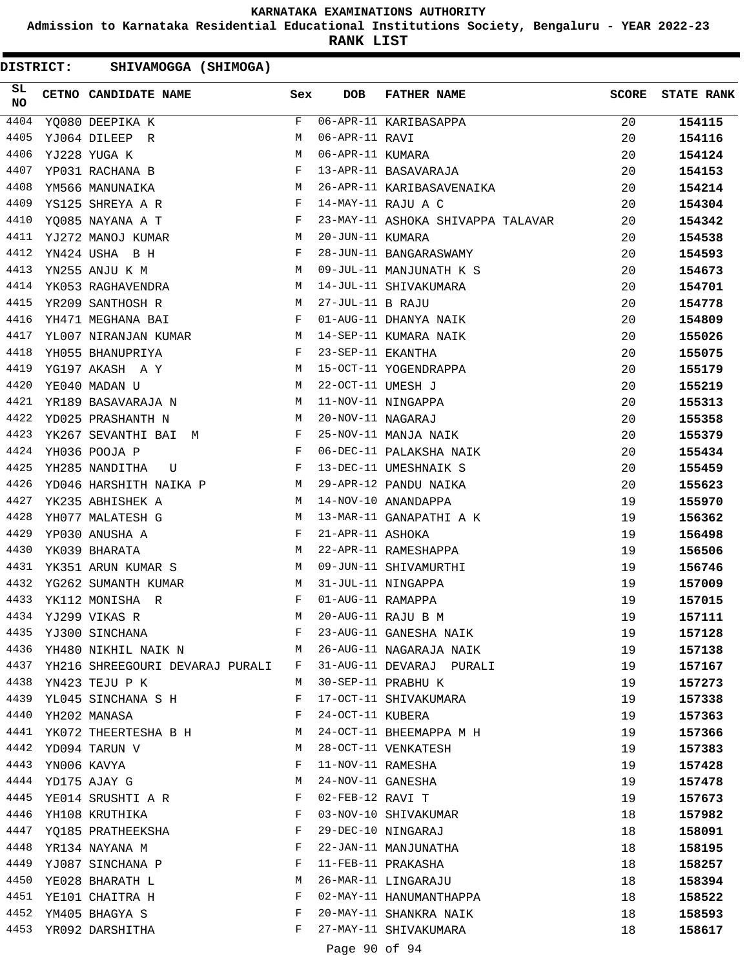**Admission to Karnataka Residential Educational Institutions Society, Bengaluru - YEAR 2022-23**

**RANK LIST**

DISTRICT: SHIVAMOGGA (SHIMOGA)

| 4404<br>F<br>06-APR-11 KARIBASAPPA<br>20<br>YQ080 DEEPIKA K<br>154115<br>4405<br>YJ064 DILEEP R<br>06-APR-11 RAVI<br>20<br>154116<br>M<br>4406<br>06-APR-11 KUMARA<br>YJ228 YUGA K<br>M<br>20<br>154124<br>4407<br>F<br>13-APR-11 BASAVARAJA<br>20<br>YP031 RACHANA B<br>154153<br>M <sub>N</sub><br>4408<br>26-APR-11 KARIBASAVENAIKA<br>20<br>154214<br>YM566 MANUNAIKA<br><b>Experimental Service Service</b><br>4409<br>YS125 SHREYA A R<br>14-MAY-11 RAJU A C<br>20<br>154304<br>$\mathbf{F}$<br>23-MAY-11 ASHOKA SHIVAPPA TALAVAR<br>4410<br>YQ085 NAYANA A T<br>20<br>154342<br>4411<br>YJ272 MANOJ KUMAR<br>M<br>20-JUN-11 KUMARA<br>20<br>154538<br>4412<br>YN424 USHA B H<br>F<br>28-JUN-11 BANGARASWAMY<br>20<br>154593<br><b>M</b><br>4413<br>YN255 ANJU K M<br>09-JUL-11 MANJUNATH K S<br>20<br>154673<br>YK053 RAGHAVENDRA M<br>4414<br>14-JUL-11 SHIVAKUMARA<br>20<br>154701<br>M <sub>N</sub><br>4415<br>27-JUL-11 B RAJU<br>20<br>YR209 SANTHOSH R<br>154778<br>$\mathbf{F}$ . The set of the set of the set of the set of the set of the set of the set of the set of the set of the set of the set of the set of the set of the set of the set of the set of the set of the set of the set of t<br>4416<br>01-AUG-11 DHANYA NAIK<br>20<br>YH471 MEGHANA BAI<br>154809<br>YL007 NIRANJAN KUMAR M 14-SEP-11 KUMARA NAIK<br>4417<br>20<br>155026<br>$\mathbb{R}^n$ . The set of the set of the set of the set of the set of the set of the set of the set of the set of the set of the set of the set of the set of the set of the set of the set of the set of the set of the set of<br>4418<br>23-SEP-11 EKANTHA<br>YH055 BHANUPRIYA<br>20<br>155075<br>4419<br>YG197 AKASH A Y<br>M<br>15-OCT-11 YOGENDRAPPA<br>20<br>155179<br>4420<br><b>M</b><br>YE040 MADAN U<br>22-OCT-11 UMESH J<br>20<br>155219<br>4421<br>YR189 BASAVARAJA N M<br>11-NOV-11 NINGAPPA<br>20<br>155313<br>M<br>4422<br>20-NOV-11 NAGARAJ<br>YD025 PRASHANTH N<br>20<br>155358<br>4423<br>YK267 SEVANTHI BAI M<br>25-NOV-11 MANJA NAIK<br>20<br>155379<br>4424<br>$\mathbf{F}$<br>YH036 POOJA P<br>06-DEC-11 PALAKSHA NAIK<br>20<br>155434<br>$\mathbf{F}$ and $\mathbf{F}$ are $\mathbf{F}$<br>4425<br>YH285 NANDITHA<br>13-DEC-11 UMESHNAIK S<br>20<br>155459<br>U<br>YD046 HARSHITH NAIKA P M<br>4426<br>29-APR-12 PANDU NAIKA<br>20<br>155623<br>4427<br>14-NOV-10 ANANDAPPA<br>YK235 ABHISHEK A<br>M<br>19<br>155970<br>4428<br>YH077 MALATESH G<br>M<br>13-MAR-11 GANAPATHI A K<br>19<br>156362<br>4429<br>YP030 ANUSHA A<br>F<br>21-APR-11 ASHOKA<br>19<br>156498<br>4430<br>22-APR-11 RAMESHAPPA<br>YK039 BHARATA<br>M<br>19<br>156506<br>YK351 ARUN KUMAR S<br>4431<br>M<br>09-JUN-11 SHIVAMURTHI<br>19<br>156746<br>4432<br>YG262 SUMANTH KUMAR<br>31-JUL-11 NINGAPPA<br>M<br>19<br>157009<br>4433<br>01-AUG-11 RAMAPPA<br>YK112 MONISHA R<br>F<br>19<br>157015<br>4434<br>20-AUG-11 RAJU B M<br>YJ299 VIKAS R<br>M<br>19<br>157111<br>4435<br>23-AUG-11 GANESHA NAIK<br>YJ300 SINCHANA<br>F<br>19<br>157128<br>4436<br>YH480 NIKHIL NAIK N<br>26-AUG-11 NAGARAJA NAIK<br>M<br>19<br>157138<br>4437<br>YH216 SHREEGOURI DEVARAJ PURALI<br>31-AUG-11 DEVARAJ PURALI<br>19<br>F<br>157167<br>4438<br>30-SEP-11 PRABHU K<br>YN423 TEJU P K<br>19<br>157273<br>M<br>4439<br>YL045 SINCHANA S H<br>F<br>17-OCT-11 SHIVAKUMARA<br>19<br>157338<br>4440<br>24-OCT-11 KUBERA<br>YH202 MANASA<br>F<br>19<br>157363<br>4441<br>24-OCT-11 BHEEMAPPA M H<br>YK072 THEERTESHA B H<br>19<br>157366<br>M<br>4442<br>28-OCT-11 VENKATESH<br>YD094 TARUN V<br>М<br>19<br>157383<br>4443<br>YN006 KAVYA<br>F<br>11-NOV-11 RAMESHA<br>19<br>157428<br>4444<br>24-NOV-11 GANESHA<br>19<br>YD175 AJAY G<br>M<br>157478<br>4445<br>YE014 SRUSHTI A R<br>F<br>02-FEB-12 RAVI T<br>19<br>157673<br>4446<br>03-NOV-10 SHIVAKUMAR<br>YH108 KRUTHIKA<br>F<br>18<br>157982<br>4447 YO185 PRATHEEKSHA<br>29-DEC-10 NINGARAJ<br>F<br>18<br>158091<br>4448<br>F<br>22-JAN-11 MANJUNATHA<br>18<br>YR134 NAYANA M<br>158195<br>4449<br>11-FEB-11 PRAKASHA<br>YJ087 SINCHANA P<br>F<br>18<br>158257<br>4450<br>26-MAR-11 LINGARAJU<br>YE028 BHARATH L<br>18<br>158394<br>M<br>4451 YE101 CHAITRA H<br>F<br>02-MAY-11 HANUMANTHAPPA<br>18<br>158522<br>4452<br>YM405 BHAGYA S<br>20-MAY-11 SHANKRA NAIK<br>F<br>18<br>158593<br>4453<br>YR092 DARSHITHA<br>F<br>27-MAY-11 SHIVAKUMARA<br>18<br>158617 | SL<br><b>NO</b> | CETNO CANDIDATE NAME Sex | <b>DOB</b> | FATHER NAME | <b>SCORE</b> | <b>STATE RANK</b> |
|----------------------------------------------------------------------------------------------------------------------------------------------------------------------------------------------------------------------------------------------------------------------------------------------------------------------------------------------------------------------------------------------------------------------------------------------------------------------------------------------------------------------------------------------------------------------------------------------------------------------------------------------------------------------------------------------------------------------------------------------------------------------------------------------------------------------------------------------------------------------------------------------------------------------------------------------------------------------------------------------------------------------------------------------------------------------------------------------------------------------------------------------------------------------------------------------------------------------------------------------------------------------------------------------------------------------------------------------------------------------------------------------------------------------------------------------------------------------------------------------------------------------------------------------------------------------------------------------------------------------------------------------------------------------------------------------------------------------------------------------------------------------------------------------------------------------------------------------------------------------------------------------------------------------------------------------------------------------------------------------------------------------------------------------------------------------------------------------------------------------------------------------------------------------------------------------------------------------------------------------------------------------------------------------------------------------------------------------------------------------------------------------------------------------------------------------------------------------------------------------------------------------------------------------------------------------------------------------------------------------------------------------------------------------------------------------------------------------------------------------------------------------------------------------------------------------------------------------------------------------------------------------------------------------------------------------------------------------------------------------------------------------------------------------------------------------------------------------------------------------------------------------------------------------------------------------------------------------------------------------------------------------------------------------------------------------------------------------------------------------------------------------------------------------------------------------------------------------------------------------------------------------------------------------------------------------------------------------------------------------------------------------------------------------------------------------------------------------------------------------------------------------------------------------------------------------------------------------------------------------------------------------------------------------------------------------------------------------------------------------------------------------------------------------------------------------------------------------------------------------------------------------------------------------------------------------------------------------------------------------------------------------------------------------------------------------------------------------------------------------|-----------------|--------------------------|------------|-------------|--------------|-------------------|
|                                                                                                                                                                                                                                                                                                                                                                                                                                                                                                                                                                                                                                                                                                                                                                                                                                                                                                                                                                                                                                                                                                                                                                                                                                                                                                                                                                                                                                                                                                                                                                                                                                                                                                                                                                                                                                                                                                                                                                                                                                                                                                                                                                                                                                                                                                                                                                                                                                                                                                                                                                                                                                                                                                                                                                                                                                                                                                                                                                                                                                                                                                                                                                                                                                                                                                                                                                                                                                                                                                                                                                                                                                                                                                                                                                                                                                                                                                                                                                                                                                                                                                                                                                                                                                                                                                                                                                      |                 |                          |            |             |              |                   |
|                                                                                                                                                                                                                                                                                                                                                                                                                                                                                                                                                                                                                                                                                                                                                                                                                                                                                                                                                                                                                                                                                                                                                                                                                                                                                                                                                                                                                                                                                                                                                                                                                                                                                                                                                                                                                                                                                                                                                                                                                                                                                                                                                                                                                                                                                                                                                                                                                                                                                                                                                                                                                                                                                                                                                                                                                                                                                                                                                                                                                                                                                                                                                                                                                                                                                                                                                                                                                                                                                                                                                                                                                                                                                                                                                                                                                                                                                                                                                                                                                                                                                                                                                                                                                                                                                                                                                                      |                 |                          |            |             |              |                   |
|                                                                                                                                                                                                                                                                                                                                                                                                                                                                                                                                                                                                                                                                                                                                                                                                                                                                                                                                                                                                                                                                                                                                                                                                                                                                                                                                                                                                                                                                                                                                                                                                                                                                                                                                                                                                                                                                                                                                                                                                                                                                                                                                                                                                                                                                                                                                                                                                                                                                                                                                                                                                                                                                                                                                                                                                                                                                                                                                                                                                                                                                                                                                                                                                                                                                                                                                                                                                                                                                                                                                                                                                                                                                                                                                                                                                                                                                                                                                                                                                                                                                                                                                                                                                                                                                                                                                                                      |                 |                          |            |             |              |                   |
|                                                                                                                                                                                                                                                                                                                                                                                                                                                                                                                                                                                                                                                                                                                                                                                                                                                                                                                                                                                                                                                                                                                                                                                                                                                                                                                                                                                                                                                                                                                                                                                                                                                                                                                                                                                                                                                                                                                                                                                                                                                                                                                                                                                                                                                                                                                                                                                                                                                                                                                                                                                                                                                                                                                                                                                                                                                                                                                                                                                                                                                                                                                                                                                                                                                                                                                                                                                                                                                                                                                                                                                                                                                                                                                                                                                                                                                                                                                                                                                                                                                                                                                                                                                                                                                                                                                                                                      |                 |                          |            |             |              |                   |
|                                                                                                                                                                                                                                                                                                                                                                                                                                                                                                                                                                                                                                                                                                                                                                                                                                                                                                                                                                                                                                                                                                                                                                                                                                                                                                                                                                                                                                                                                                                                                                                                                                                                                                                                                                                                                                                                                                                                                                                                                                                                                                                                                                                                                                                                                                                                                                                                                                                                                                                                                                                                                                                                                                                                                                                                                                                                                                                                                                                                                                                                                                                                                                                                                                                                                                                                                                                                                                                                                                                                                                                                                                                                                                                                                                                                                                                                                                                                                                                                                                                                                                                                                                                                                                                                                                                                                                      |                 |                          |            |             |              |                   |
|                                                                                                                                                                                                                                                                                                                                                                                                                                                                                                                                                                                                                                                                                                                                                                                                                                                                                                                                                                                                                                                                                                                                                                                                                                                                                                                                                                                                                                                                                                                                                                                                                                                                                                                                                                                                                                                                                                                                                                                                                                                                                                                                                                                                                                                                                                                                                                                                                                                                                                                                                                                                                                                                                                                                                                                                                                                                                                                                                                                                                                                                                                                                                                                                                                                                                                                                                                                                                                                                                                                                                                                                                                                                                                                                                                                                                                                                                                                                                                                                                                                                                                                                                                                                                                                                                                                                                                      |                 |                          |            |             |              |                   |
|                                                                                                                                                                                                                                                                                                                                                                                                                                                                                                                                                                                                                                                                                                                                                                                                                                                                                                                                                                                                                                                                                                                                                                                                                                                                                                                                                                                                                                                                                                                                                                                                                                                                                                                                                                                                                                                                                                                                                                                                                                                                                                                                                                                                                                                                                                                                                                                                                                                                                                                                                                                                                                                                                                                                                                                                                                                                                                                                                                                                                                                                                                                                                                                                                                                                                                                                                                                                                                                                                                                                                                                                                                                                                                                                                                                                                                                                                                                                                                                                                                                                                                                                                                                                                                                                                                                                                                      |                 |                          |            |             |              |                   |
|                                                                                                                                                                                                                                                                                                                                                                                                                                                                                                                                                                                                                                                                                                                                                                                                                                                                                                                                                                                                                                                                                                                                                                                                                                                                                                                                                                                                                                                                                                                                                                                                                                                                                                                                                                                                                                                                                                                                                                                                                                                                                                                                                                                                                                                                                                                                                                                                                                                                                                                                                                                                                                                                                                                                                                                                                                                                                                                                                                                                                                                                                                                                                                                                                                                                                                                                                                                                                                                                                                                                                                                                                                                                                                                                                                                                                                                                                                                                                                                                                                                                                                                                                                                                                                                                                                                                                                      |                 |                          |            |             |              |                   |
|                                                                                                                                                                                                                                                                                                                                                                                                                                                                                                                                                                                                                                                                                                                                                                                                                                                                                                                                                                                                                                                                                                                                                                                                                                                                                                                                                                                                                                                                                                                                                                                                                                                                                                                                                                                                                                                                                                                                                                                                                                                                                                                                                                                                                                                                                                                                                                                                                                                                                                                                                                                                                                                                                                                                                                                                                                                                                                                                                                                                                                                                                                                                                                                                                                                                                                                                                                                                                                                                                                                                                                                                                                                                                                                                                                                                                                                                                                                                                                                                                                                                                                                                                                                                                                                                                                                                                                      |                 |                          |            |             |              |                   |
|                                                                                                                                                                                                                                                                                                                                                                                                                                                                                                                                                                                                                                                                                                                                                                                                                                                                                                                                                                                                                                                                                                                                                                                                                                                                                                                                                                                                                                                                                                                                                                                                                                                                                                                                                                                                                                                                                                                                                                                                                                                                                                                                                                                                                                                                                                                                                                                                                                                                                                                                                                                                                                                                                                                                                                                                                                                                                                                                                                                                                                                                                                                                                                                                                                                                                                                                                                                                                                                                                                                                                                                                                                                                                                                                                                                                                                                                                                                                                                                                                                                                                                                                                                                                                                                                                                                                                                      |                 |                          |            |             |              |                   |
|                                                                                                                                                                                                                                                                                                                                                                                                                                                                                                                                                                                                                                                                                                                                                                                                                                                                                                                                                                                                                                                                                                                                                                                                                                                                                                                                                                                                                                                                                                                                                                                                                                                                                                                                                                                                                                                                                                                                                                                                                                                                                                                                                                                                                                                                                                                                                                                                                                                                                                                                                                                                                                                                                                                                                                                                                                                                                                                                                                                                                                                                                                                                                                                                                                                                                                                                                                                                                                                                                                                                                                                                                                                                                                                                                                                                                                                                                                                                                                                                                                                                                                                                                                                                                                                                                                                                                                      |                 |                          |            |             |              |                   |
|                                                                                                                                                                                                                                                                                                                                                                                                                                                                                                                                                                                                                                                                                                                                                                                                                                                                                                                                                                                                                                                                                                                                                                                                                                                                                                                                                                                                                                                                                                                                                                                                                                                                                                                                                                                                                                                                                                                                                                                                                                                                                                                                                                                                                                                                                                                                                                                                                                                                                                                                                                                                                                                                                                                                                                                                                                                                                                                                                                                                                                                                                                                                                                                                                                                                                                                                                                                                                                                                                                                                                                                                                                                                                                                                                                                                                                                                                                                                                                                                                                                                                                                                                                                                                                                                                                                                                                      |                 |                          |            |             |              |                   |
|                                                                                                                                                                                                                                                                                                                                                                                                                                                                                                                                                                                                                                                                                                                                                                                                                                                                                                                                                                                                                                                                                                                                                                                                                                                                                                                                                                                                                                                                                                                                                                                                                                                                                                                                                                                                                                                                                                                                                                                                                                                                                                                                                                                                                                                                                                                                                                                                                                                                                                                                                                                                                                                                                                                                                                                                                                                                                                                                                                                                                                                                                                                                                                                                                                                                                                                                                                                                                                                                                                                                                                                                                                                                                                                                                                                                                                                                                                                                                                                                                                                                                                                                                                                                                                                                                                                                                                      |                 |                          |            |             |              |                   |
|                                                                                                                                                                                                                                                                                                                                                                                                                                                                                                                                                                                                                                                                                                                                                                                                                                                                                                                                                                                                                                                                                                                                                                                                                                                                                                                                                                                                                                                                                                                                                                                                                                                                                                                                                                                                                                                                                                                                                                                                                                                                                                                                                                                                                                                                                                                                                                                                                                                                                                                                                                                                                                                                                                                                                                                                                                                                                                                                                                                                                                                                                                                                                                                                                                                                                                                                                                                                                                                                                                                                                                                                                                                                                                                                                                                                                                                                                                                                                                                                                                                                                                                                                                                                                                                                                                                                                                      |                 |                          |            |             |              |                   |
|                                                                                                                                                                                                                                                                                                                                                                                                                                                                                                                                                                                                                                                                                                                                                                                                                                                                                                                                                                                                                                                                                                                                                                                                                                                                                                                                                                                                                                                                                                                                                                                                                                                                                                                                                                                                                                                                                                                                                                                                                                                                                                                                                                                                                                                                                                                                                                                                                                                                                                                                                                                                                                                                                                                                                                                                                                                                                                                                                                                                                                                                                                                                                                                                                                                                                                                                                                                                                                                                                                                                                                                                                                                                                                                                                                                                                                                                                                                                                                                                                                                                                                                                                                                                                                                                                                                                                                      |                 |                          |            |             |              |                   |
|                                                                                                                                                                                                                                                                                                                                                                                                                                                                                                                                                                                                                                                                                                                                                                                                                                                                                                                                                                                                                                                                                                                                                                                                                                                                                                                                                                                                                                                                                                                                                                                                                                                                                                                                                                                                                                                                                                                                                                                                                                                                                                                                                                                                                                                                                                                                                                                                                                                                                                                                                                                                                                                                                                                                                                                                                                                                                                                                                                                                                                                                                                                                                                                                                                                                                                                                                                                                                                                                                                                                                                                                                                                                                                                                                                                                                                                                                                                                                                                                                                                                                                                                                                                                                                                                                                                                                                      |                 |                          |            |             |              |                   |
|                                                                                                                                                                                                                                                                                                                                                                                                                                                                                                                                                                                                                                                                                                                                                                                                                                                                                                                                                                                                                                                                                                                                                                                                                                                                                                                                                                                                                                                                                                                                                                                                                                                                                                                                                                                                                                                                                                                                                                                                                                                                                                                                                                                                                                                                                                                                                                                                                                                                                                                                                                                                                                                                                                                                                                                                                                                                                                                                                                                                                                                                                                                                                                                                                                                                                                                                                                                                                                                                                                                                                                                                                                                                                                                                                                                                                                                                                                                                                                                                                                                                                                                                                                                                                                                                                                                                                                      |                 |                          |            |             |              |                   |
|                                                                                                                                                                                                                                                                                                                                                                                                                                                                                                                                                                                                                                                                                                                                                                                                                                                                                                                                                                                                                                                                                                                                                                                                                                                                                                                                                                                                                                                                                                                                                                                                                                                                                                                                                                                                                                                                                                                                                                                                                                                                                                                                                                                                                                                                                                                                                                                                                                                                                                                                                                                                                                                                                                                                                                                                                                                                                                                                                                                                                                                                                                                                                                                                                                                                                                                                                                                                                                                                                                                                                                                                                                                                                                                                                                                                                                                                                                                                                                                                                                                                                                                                                                                                                                                                                                                                                                      |                 |                          |            |             |              |                   |
|                                                                                                                                                                                                                                                                                                                                                                                                                                                                                                                                                                                                                                                                                                                                                                                                                                                                                                                                                                                                                                                                                                                                                                                                                                                                                                                                                                                                                                                                                                                                                                                                                                                                                                                                                                                                                                                                                                                                                                                                                                                                                                                                                                                                                                                                                                                                                                                                                                                                                                                                                                                                                                                                                                                                                                                                                                                                                                                                                                                                                                                                                                                                                                                                                                                                                                                                                                                                                                                                                                                                                                                                                                                                                                                                                                                                                                                                                                                                                                                                                                                                                                                                                                                                                                                                                                                                                                      |                 |                          |            |             |              |                   |
|                                                                                                                                                                                                                                                                                                                                                                                                                                                                                                                                                                                                                                                                                                                                                                                                                                                                                                                                                                                                                                                                                                                                                                                                                                                                                                                                                                                                                                                                                                                                                                                                                                                                                                                                                                                                                                                                                                                                                                                                                                                                                                                                                                                                                                                                                                                                                                                                                                                                                                                                                                                                                                                                                                                                                                                                                                                                                                                                                                                                                                                                                                                                                                                                                                                                                                                                                                                                                                                                                                                                                                                                                                                                                                                                                                                                                                                                                                                                                                                                                                                                                                                                                                                                                                                                                                                                                                      |                 |                          |            |             |              |                   |
|                                                                                                                                                                                                                                                                                                                                                                                                                                                                                                                                                                                                                                                                                                                                                                                                                                                                                                                                                                                                                                                                                                                                                                                                                                                                                                                                                                                                                                                                                                                                                                                                                                                                                                                                                                                                                                                                                                                                                                                                                                                                                                                                                                                                                                                                                                                                                                                                                                                                                                                                                                                                                                                                                                                                                                                                                                                                                                                                                                                                                                                                                                                                                                                                                                                                                                                                                                                                                                                                                                                                                                                                                                                                                                                                                                                                                                                                                                                                                                                                                                                                                                                                                                                                                                                                                                                                                                      |                 |                          |            |             |              |                   |
|                                                                                                                                                                                                                                                                                                                                                                                                                                                                                                                                                                                                                                                                                                                                                                                                                                                                                                                                                                                                                                                                                                                                                                                                                                                                                                                                                                                                                                                                                                                                                                                                                                                                                                                                                                                                                                                                                                                                                                                                                                                                                                                                                                                                                                                                                                                                                                                                                                                                                                                                                                                                                                                                                                                                                                                                                                                                                                                                                                                                                                                                                                                                                                                                                                                                                                                                                                                                                                                                                                                                                                                                                                                                                                                                                                                                                                                                                                                                                                                                                                                                                                                                                                                                                                                                                                                                                                      |                 |                          |            |             |              |                   |
|                                                                                                                                                                                                                                                                                                                                                                                                                                                                                                                                                                                                                                                                                                                                                                                                                                                                                                                                                                                                                                                                                                                                                                                                                                                                                                                                                                                                                                                                                                                                                                                                                                                                                                                                                                                                                                                                                                                                                                                                                                                                                                                                                                                                                                                                                                                                                                                                                                                                                                                                                                                                                                                                                                                                                                                                                                                                                                                                                                                                                                                                                                                                                                                                                                                                                                                                                                                                                                                                                                                                                                                                                                                                                                                                                                                                                                                                                                                                                                                                                                                                                                                                                                                                                                                                                                                                                                      |                 |                          |            |             |              |                   |
|                                                                                                                                                                                                                                                                                                                                                                                                                                                                                                                                                                                                                                                                                                                                                                                                                                                                                                                                                                                                                                                                                                                                                                                                                                                                                                                                                                                                                                                                                                                                                                                                                                                                                                                                                                                                                                                                                                                                                                                                                                                                                                                                                                                                                                                                                                                                                                                                                                                                                                                                                                                                                                                                                                                                                                                                                                                                                                                                                                                                                                                                                                                                                                                                                                                                                                                                                                                                                                                                                                                                                                                                                                                                                                                                                                                                                                                                                                                                                                                                                                                                                                                                                                                                                                                                                                                                                                      |                 |                          |            |             |              |                   |
|                                                                                                                                                                                                                                                                                                                                                                                                                                                                                                                                                                                                                                                                                                                                                                                                                                                                                                                                                                                                                                                                                                                                                                                                                                                                                                                                                                                                                                                                                                                                                                                                                                                                                                                                                                                                                                                                                                                                                                                                                                                                                                                                                                                                                                                                                                                                                                                                                                                                                                                                                                                                                                                                                                                                                                                                                                                                                                                                                                                                                                                                                                                                                                                                                                                                                                                                                                                                                                                                                                                                                                                                                                                                                                                                                                                                                                                                                                                                                                                                                                                                                                                                                                                                                                                                                                                                                                      |                 |                          |            |             |              |                   |
|                                                                                                                                                                                                                                                                                                                                                                                                                                                                                                                                                                                                                                                                                                                                                                                                                                                                                                                                                                                                                                                                                                                                                                                                                                                                                                                                                                                                                                                                                                                                                                                                                                                                                                                                                                                                                                                                                                                                                                                                                                                                                                                                                                                                                                                                                                                                                                                                                                                                                                                                                                                                                                                                                                                                                                                                                                                                                                                                                                                                                                                                                                                                                                                                                                                                                                                                                                                                                                                                                                                                                                                                                                                                                                                                                                                                                                                                                                                                                                                                                                                                                                                                                                                                                                                                                                                                                                      |                 |                          |            |             |              |                   |
|                                                                                                                                                                                                                                                                                                                                                                                                                                                                                                                                                                                                                                                                                                                                                                                                                                                                                                                                                                                                                                                                                                                                                                                                                                                                                                                                                                                                                                                                                                                                                                                                                                                                                                                                                                                                                                                                                                                                                                                                                                                                                                                                                                                                                                                                                                                                                                                                                                                                                                                                                                                                                                                                                                                                                                                                                                                                                                                                                                                                                                                                                                                                                                                                                                                                                                                                                                                                                                                                                                                                                                                                                                                                                                                                                                                                                                                                                                                                                                                                                                                                                                                                                                                                                                                                                                                                                                      |                 |                          |            |             |              |                   |
|                                                                                                                                                                                                                                                                                                                                                                                                                                                                                                                                                                                                                                                                                                                                                                                                                                                                                                                                                                                                                                                                                                                                                                                                                                                                                                                                                                                                                                                                                                                                                                                                                                                                                                                                                                                                                                                                                                                                                                                                                                                                                                                                                                                                                                                                                                                                                                                                                                                                                                                                                                                                                                                                                                                                                                                                                                                                                                                                                                                                                                                                                                                                                                                                                                                                                                                                                                                                                                                                                                                                                                                                                                                                                                                                                                                                                                                                                                                                                                                                                                                                                                                                                                                                                                                                                                                                                                      |                 |                          |            |             |              |                   |
|                                                                                                                                                                                                                                                                                                                                                                                                                                                                                                                                                                                                                                                                                                                                                                                                                                                                                                                                                                                                                                                                                                                                                                                                                                                                                                                                                                                                                                                                                                                                                                                                                                                                                                                                                                                                                                                                                                                                                                                                                                                                                                                                                                                                                                                                                                                                                                                                                                                                                                                                                                                                                                                                                                                                                                                                                                                                                                                                                                                                                                                                                                                                                                                                                                                                                                                                                                                                                                                                                                                                                                                                                                                                                                                                                                                                                                                                                                                                                                                                                                                                                                                                                                                                                                                                                                                                                                      |                 |                          |            |             |              |                   |
|                                                                                                                                                                                                                                                                                                                                                                                                                                                                                                                                                                                                                                                                                                                                                                                                                                                                                                                                                                                                                                                                                                                                                                                                                                                                                                                                                                                                                                                                                                                                                                                                                                                                                                                                                                                                                                                                                                                                                                                                                                                                                                                                                                                                                                                                                                                                                                                                                                                                                                                                                                                                                                                                                                                                                                                                                                                                                                                                                                                                                                                                                                                                                                                                                                                                                                                                                                                                                                                                                                                                                                                                                                                                                                                                                                                                                                                                                                                                                                                                                                                                                                                                                                                                                                                                                                                                                                      |                 |                          |            |             |              |                   |
|                                                                                                                                                                                                                                                                                                                                                                                                                                                                                                                                                                                                                                                                                                                                                                                                                                                                                                                                                                                                                                                                                                                                                                                                                                                                                                                                                                                                                                                                                                                                                                                                                                                                                                                                                                                                                                                                                                                                                                                                                                                                                                                                                                                                                                                                                                                                                                                                                                                                                                                                                                                                                                                                                                                                                                                                                                                                                                                                                                                                                                                                                                                                                                                                                                                                                                                                                                                                                                                                                                                                                                                                                                                                                                                                                                                                                                                                                                                                                                                                                                                                                                                                                                                                                                                                                                                                                                      |                 |                          |            |             |              |                   |
|                                                                                                                                                                                                                                                                                                                                                                                                                                                                                                                                                                                                                                                                                                                                                                                                                                                                                                                                                                                                                                                                                                                                                                                                                                                                                                                                                                                                                                                                                                                                                                                                                                                                                                                                                                                                                                                                                                                                                                                                                                                                                                                                                                                                                                                                                                                                                                                                                                                                                                                                                                                                                                                                                                                                                                                                                                                                                                                                                                                                                                                                                                                                                                                                                                                                                                                                                                                                                                                                                                                                                                                                                                                                                                                                                                                                                                                                                                                                                                                                                                                                                                                                                                                                                                                                                                                                                                      |                 |                          |            |             |              |                   |
|                                                                                                                                                                                                                                                                                                                                                                                                                                                                                                                                                                                                                                                                                                                                                                                                                                                                                                                                                                                                                                                                                                                                                                                                                                                                                                                                                                                                                                                                                                                                                                                                                                                                                                                                                                                                                                                                                                                                                                                                                                                                                                                                                                                                                                                                                                                                                                                                                                                                                                                                                                                                                                                                                                                                                                                                                                                                                                                                                                                                                                                                                                                                                                                                                                                                                                                                                                                                                                                                                                                                                                                                                                                                                                                                                                                                                                                                                                                                                                                                                                                                                                                                                                                                                                                                                                                                                                      |                 |                          |            |             |              |                   |
|                                                                                                                                                                                                                                                                                                                                                                                                                                                                                                                                                                                                                                                                                                                                                                                                                                                                                                                                                                                                                                                                                                                                                                                                                                                                                                                                                                                                                                                                                                                                                                                                                                                                                                                                                                                                                                                                                                                                                                                                                                                                                                                                                                                                                                                                                                                                                                                                                                                                                                                                                                                                                                                                                                                                                                                                                                                                                                                                                                                                                                                                                                                                                                                                                                                                                                                                                                                                                                                                                                                                                                                                                                                                                                                                                                                                                                                                                                                                                                                                                                                                                                                                                                                                                                                                                                                                                                      |                 |                          |            |             |              |                   |
|                                                                                                                                                                                                                                                                                                                                                                                                                                                                                                                                                                                                                                                                                                                                                                                                                                                                                                                                                                                                                                                                                                                                                                                                                                                                                                                                                                                                                                                                                                                                                                                                                                                                                                                                                                                                                                                                                                                                                                                                                                                                                                                                                                                                                                                                                                                                                                                                                                                                                                                                                                                                                                                                                                                                                                                                                                                                                                                                                                                                                                                                                                                                                                                                                                                                                                                                                                                                                                                                                                                                                                                                                                                                                                                                                                                                                                                                                                                                                                                                                                                                                                                                                                                                                                                                                                                                                                      |                 |                          |            |             |              |                   |
|                                                                                                                                                                                                                                                                                                                                                                                                                                                                                                                                                                                                                                                                                                                                                                                                                                                                                                                                                                                                                                                                                                                                                                                                                                                                                                                                                                                                                                                                                                                                                                                                                                                                                                                                                                                                                                                                                                                                                                                                                                                                                                                                                                                                                                                                                                                                                                                                                                                                                                                                                                                                                                                                                                                                                                                                                                                                                                                                                                                                                                                                                                                                                                                                                                                                                                                                                                                                                                                                                                                                                                                                                                                                                                                                                                                                                                                                                                                                                                                                                                                                                                                                                                                                                                                                                                                                                                      |                 |                          |            |             |              |                   |
|                                                                                                                                                                                                                                                                                                                                                                                                                                                                                                                                                                                                                                                                                                                                                                                                                                                                                                                                                                                                                                                                                                                                                                                                                                                                                                                                                                                                                                                                                                                                                                                                                                                                                                                                                                                                                                                                                                                                                                                                                                                                                                                                                                                                                                                                                                                                                                                                                                                                                                                                                                                                                                                                                                                                                                                                                                                                                                                                                                                                                                                                                                                                                                                                                                                                                                                                                                                                                                                                                                                                                                                                                                                                                                                                                                                                                                                                                                                                                                                                                                                                                                                                                                                                                                                                                                                                                                      |                 |                          |            |             |              |                   |
|                                                                                                                                                                                                                                                                                                                                                                                                                                                                                                                                                                                                                                                                                                                                                                                                                                                                                                                                                                                                                                                                                                                                                                                                                                                                                                                                                                                                                                                                                                                                                                                                                                                                                                                                                                                                                                                                                                                                                                                                                                                                                                                                                                                                                                                                                                                                                                                                                                                                                                                                                                                                                                                                                                                                                                                                                                                                                                                                                                                                                                                                                                                                                                                                                                                                                                                                                                                                                                                                                                                                                                                                                                                                                                                                                                                                                                                                                                                                                                                                                                                                                                                                                                                                                                                                                                                                                                      |                 |                          |            |             |              |                   |
|                                                                                                                                                                                                                                                                                                                                                                                                                                                                                                                                                                                                                                                                                                                                                                                                                                                                                                                                                                                                                                                                                                                                                                                                                                                                                                                                                                                                                                                                                                                                                                                                                                                                                                                                                                                                                                                                                                                                                                                                                                                                                                                                                                                                                                                                                                                                                                                                                                                                                                                                                                                                                                                                                                                                                                                                                                                                                                                                                                                                                                                                                                                                                                                                                                                                                                                                                                                                                                                                                                                                                                                                                                                                                                                                                                                                                                                                                                                                                                                                                                                                                                                                                                                                                                                                                                                                                                      |                 |                          |            |             |              |                   |
|                                                                                                                                                                                                                                                                                                                                                                                                                                                                                                                                                                                                                                                                                                                                                                                                                                                                                                                                                                                                                                                                                                                                                                                                                                                                                                                                                                                                                                                                                                                                                                                                                                                                                                                                                                                                                                                                                                                                                                                                                                                                                                                                                                                                                                                                                                                                                                                                                                                                                                                                                                                                                                                                                                                                                                                                                                                                                                                                                                                                                                                                                                                                                                                                                                                                                                                                                                                                                                                                                                                                                                                                                                                                                                                                                                                                                                                                                                                                                                                                                                                                                                                                                                                                                                                                                                                                                                      |                 |                          |            |             |              |                   |
|                                                                                                                                                                                                                                                                                                                                                                                                                                                                                                                                                                                                                                                                                                                                                                                                                                                                                                                                                                                                                                                                                                                                                                                                                                                                                                                                                                                                                                                                                                                                                                                                                                                                                                                                                                                                                                                                                                                                                                                                                                                                                                                                                                                                                                                                                                                                                                                                                                                                                                                                                                                                                                                                                                                                                                                                                                                                                                                                                                                                                                                                                                                                                                                                                                                                                                                                                                                                                                                                                                                                                                                                                                                                                                                                                                                                                                                                                                                                                                                                                                                                                                                                                                                                                                                                                                                                                                      |                 |                          |            |             |              |                   |
|                                                                                                                                                                                                                                                                                                                                                                                                                                                                                                                                                                                                                                                                                                                                                                                                                                                                                                                                                                                                                                                                                                                                                                                                                                                                                                                                                                                                                                                                                                                                                                                                                                                                                                                                                                                                                                                                                                                                                                                                                                                                                                                                                                                                                                                                                                                                                                                                                                                                                                                                                                                                                                                                                                                                                                                                                                                                                                                                                                                                                                                                                                                                                                                                                                                                                                                                                                                                                                                                                                                                                                                                                                                                                                                                                                                                                                                                                                                                                                                                                                                                                                                                                                                                                                                                                                                                                                      |                 |                          |            |             |              |                   |
|                                                                                                                                                                                                                                                                                                                                                                                                                                                                                                                                                                                                                                                                                                                                                                                                                                                                                                                                                                                                                                                                                                                                                                                                                                                                                                                                                                                                                                                                                                                                                                                                                                                                                                                                                                                                                                                                                                                                                                                                                                                                                                                                                                                                                                                                                                                                                                                                                                                                                                                                                                                                                                                                                                                                                                                                                                                                                                                                                                                                                                                                                                                                                                                                                                                                                                                                                                                                                                                                                                                                                                                                                                                                                                                                                                                                                                                                                                                                                                                                                                                                                                                                                                                                                                                                                                                                                                      |                 |                          |            |             |              |                   |
|                                                                                                                                                                                                                                                                                                                                                                                                                                                                                                                                                                                                                                                                                                                                                                                                                                                                                                                                                                                                                                                                                                                                                                                                                                                                                                                                                                                                                                                                                                                                                                                                                                                                                                                                                                                                                                                                                                                                                                                                                                                                                                                                                                                                                                                                                                                                                                                                                                                                                                                                                                                                                                                                                                                                                                                                                                                                                                                                                                                                                                                                                                                                                                                                                                                                                                                                                                                                                                                                                                                                                                                                                                                                                                                                                                                                                                                                                                                                                                                                                                                                                                                                                                                                                                                                                                                                                                      |                 |                          |            |             |              |                   |
|                                                                                                                                                                                                                                                                                                                                                                                                                                                                                                                                                                                                                                                                                                                                                                                                                                                                                                                                                                                                                                                                                                                                                                                                                                                                                                                                                                                                                                                                                                                                                                                                                                                                                                                                                                                                                                                                                                                                                                                                                                                                                                                                                                                                                                                                                                                                                                                                                                                                                                                                                                                                                                                                                                                                                                                                                                                                                                                                                                                                                                                                                                                                                                                                                                                                                                                                                                                                                                                                                                                                                                                                                                                                                                                                                                                                                                                                                                                                                                                                                                                                                                                                                                                                                                                                                                                                                                      |                 |                          |            |             |              |                   |
|                                                                                                                                                                                                                                                                                                                                                                                                                                                                                                                                                                                                                                                                                                                                                                                                                                                                                                                                                                                                                                                                                                                                                                                                                                                                                                                                                                                                                                                                                                                                                                                                                                                                                                                                                                                                                                                                                                                                                                                                                                                                                                                                                                                                                                                                                                                                                                                                                                                                                                                                                                                                                                                                                                                                                                                                                                                                                                                                                                                                                                                                                                                                                                                                                                                                                                                                                                                                                                                                                                                                                                                                                                                                                                                                                                                                                                                                                                                                                                                                                                                                                                                                                                                                                                                                                                                                                                      |                 |                          |            |             |              |                   |
|                                                                                                                                                                                                                                                                                                                                                                                                                                                                                                                                                                                                                                                                                                                                                                                                                                                                                                                                                                                                                                                                                                                                                                                                                                                                                                                                                                                                                                                                                                                                                                                                                                                                                                                                                                                                                                                                                                                                                                                                                                                                                                                                                                                                                                                                                                                                                                                                                                                                                                                                                                                                                                                                                                                                                                                                                                                                                                                                                                                                                                                                                                                                                                                                                                                                                                                                                                                                                                                                                                                                                                                                                                                                                                                                                                                                                                                                                                                                                                                                                                                                                                                                                                                                                                                                                                                                                                      |                 |                          |            |             |              |                   |
|                                                                                                                                                                                                                                                                                                                                                                                                                                                                                                                                                                                                                                                                                                                                                                                                                                                                                                                                                                                                                                                                                                                                                                                                                                                                                                                                                                                                                                                                                                                                                                                                                                                                                                                                                                                                                                                                                                                                                                                                                                                                                                                                                                                                                                                                                                                                                                                                                                                                                                                                                                                                                                                                                                                                                                                                                                                                                                                                                                                                                                                                                                                                                                                                                                                                                                                                                                                                                                                                                                                                                                                                                                                                                                                                                                                                                                                                                                                                                                                                                                                                                                                                                                                                                                                                                                                                                                      |                 |                          |            |             |              |                   |
|                                                                                                                                                                                                                                                                                                                                                                                                                                                                                                                                                                                                                                                                                                                                                                                                                                                                                                                                                                                                                                                                                                                                                                                                                                                                                                                                                                                                                                                                                                                                                                                                                                                                                                                                                                                                                                                                                                                                                                                                                                                                                                                                                                                                                                                                                                                                                                                                                                                                                                                                                                                                                                                                                                                                                                                                                                                                                                                                                                                                                                                                                                                                                                                                                                                                                                                                                                                                                                                                                                                                                                                                                                                                                                                                                                                                                                                                                                                                                                                                                                                                                                                                                                                                                                                                                                                                                                      |                 |                          |            |             |              |                   |
|                                                                                                                                                                                                                                                                                                                                                                                                                                                                                                                                                                                                                                                                                                                                                                                                                                                                                                                                                                                                                                                                                                                                                                                                                                                                                                                                                                                                                                                                                                                                                                                                                                                                                                                                                                                                                                                                                                                                                                                                                                                                                                                                                                                                                                                                                                                                                                                                                                                                                                                                                                                                                                                                                                                                                                                                                                                                                                                                                                                                                                                                                                                                                                                                                                                                                                                                                                                                                                                                                                                                                                                                                                                                                                                                                                                                                                                                                                                                                                                                                                                                                                                                                                                                                                                                                                                                                                      |                 |                          |            |             |              |                   |

Page 90 of 94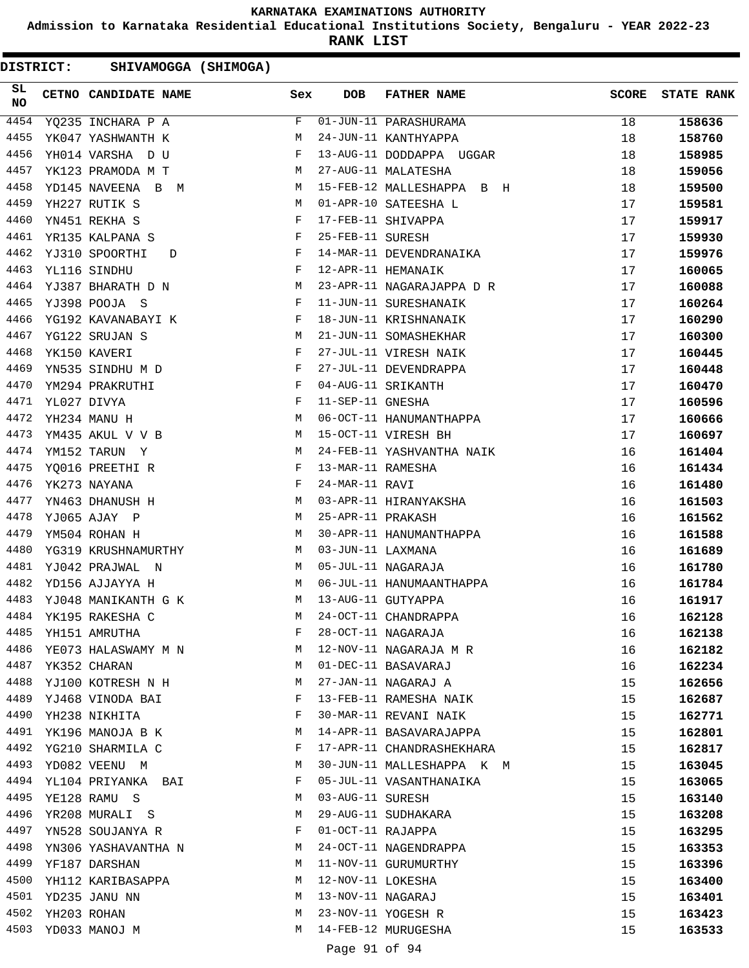**Admission to Karnataka Residential Educational Institutions Society, Bengaluru - YEAR 2022-23**

**RANK LIST**

| DISTRICT: |             | SHIVAMOGGA (SHIMOGA)     |   |     |                    |                           |              |                   |
|-----------|-------------|--------------------------|---|-----|--------------------|---------------------------|--------------|-------------------|
| SL<br>NO  |             | CETNO CANDIDATE NAME     |   | Sex | <b>DOB</b>         | <b>FATHER NAME</b>        | <b>SCORE</b> | <b>STATE RANK</b> |
| 4454      |             | YQ235 INCHARA P A        |   | F   |                    | 01-JUN-11 PARASHURAMA     | 18           | 158636            |
| 4455      |             | YK047 YASHWANTH K        | М |     |                    | 24-JUN-11 KANTHYAPPA      | 18           | 158760            |
| 4456      |             | YH014 VARSHA D U         | F |     |                    | 13-AUG-11 DODDAPPA UGGAR  | 18           | 158985            |
| 4457      |             | YK123 PRAMODA M T        | М |     |                    | 27-AUG-11 MALATESHA       | 18           | 159056            |
| 4458      |             | YD145 NAVEENA B M        |   | M   |                    | 15-FEB-12 MALLESHAPPA B H | 18           | 159500            |
| 4459      |             | YH227 RUTIK S            | М |     |                    | 01-APR-10 SATEESHA L      | 17           | 159581            |
| 4460      |             | YN451 REKHA S            | F |     | 17-FEB-11 SHIVAPPA |                           | 17           | 159917            |
| 4461      |             | YR135 KALPANA S          | F |     | 25-FEB-11 SURESH   |                           | 17           | 159930            |
| 4462      |             | YJ310 SPOORTHI<br>D      | F |     |                    | 14-MAR-11 DEVENDRANAIKA   | 17           | 159976            |
| 4463      |             | YL116 SINDHU             | F |     | 12-APR-11 HEMANAIK |                           | 17           | 160065            |
| 4464      |             | YJ387 BHARATH D N        | М |     |                    | 23-APR-11 NAGARAJAPPA D R | 17           | 160088            |
| 4465      |             | YJ398 POOJA S            | F |     |                    | 11-JUN-11 SURESHANAIK     | 17           | 160264            |
| 4466      |             | YG192 KAVANABAYI K       | F |     |                    | 18-JUN-11 KRISHNANAIK     | 17           | 160290            |
| 4467      |             | YG122 SRUJAN S           | М |     |                    | 21-JUN-11 SOMASHEKHAR     | 17           | 160300            |
| 4468      |             | YK150 KAVERI             | F |     |                    | 27-JUL-11 VIRESH NAIK     | 17           | 160445            |
| 4469      |             | YN535 SINDHU M D         | F |     |                    | 27-JUL-11 DEVENDRAPPA     | 17           | 160448            |
| 4470      |             | YM294 PRAKRUTHI          | F |     | 04-AUG-11 SRIKANTH |                           | 17           | 160470            |
| 4471      |             | YL027 DIVYA              | F |     | 11-SEP-11 GNESHA   |                           | 17           | 160596            |
| 4472      |             | YH234 MANU H             | М |     |                    | 06-OCT-11 HANUMANTHAPPA   | 17           | 160666            |
| 4473      |             | YM435 AKUL V V B         | М |     |                    | 15-OCT-11 VIRESH BH       | 17           | 160697            |
| 4474      |             | YM152 TARUN Y            | М |     |                    | 24-FEB-11 YASHVANTHA NAIK | 16           | 161404            |
| 4475      |             | YQ016 PREETHI R          | F |     | 13-MAR-11 RAMESHA  |                           | 16           | 161434            |
| 4476      |             | YK273 NAYANA             | F |     | 24-MAR-11 RAVI     |                           | 16           | 161480            |
| 4477      |             | YN463 DHANUSH H          | М |     |                    | 03-APR-11 HIRANYAKSHA     | 16           | 161503            |
| 4478      |             | YJ065 AJAY P             | М |     | 25-APR-11 PRAKASH  |                           | 16           | 161562            |
| 4479      |             | YM504 ROHAN H            | М |     |                    | 30-APR-11 HANUMANTHAPPA   | 16           | 161588            |
| 4480      |             | YG319 KRUSHNAMURTHY      |   | M   | 03-JUN-11 LAXMANA  |                           | 16           | 161689            |
| 4481      |             | YJ042 PRAJWAL N          |   | M   | 05-JUL-11 NAGARAJA |                           | 16           | 161780            |
| 4482      |             | YD156 AJJAYYA H          | М |     |                    | 06-JUL-11 HANUMAANTHAPPA  | 16           | 161784            |
| 4483      |             | YJ048 MANIKANTH G K      |   | М   | 13-AUG-11 GUTYAPPA |                           | 16           | 161917            |
|           |             | 4484 YK195 RAKESHA C     |   | М   |                    | 24-OCT-11 CHANDRAPPA      | 16           | 162128            |
| 4485      |             | YH151 AMRUTHA            |   | F   |                    | 28-OCT-11 NAGARAJA        | 16           | 162138            |
|           |             | 4486 YE073 HALASWAMY M N | M |     |                    | 12-NOV-11 NAGARAJA M R    | 16           | 162182            |
| 4487      |             | YK352 CHARAN             |   | М   |                    | 01-DEC-11 BASAVARAJ       | 16           | 162234            |
|           |             | 4488 YJ100 KOTRESH N H   |   | М   |                    | 27-JAN-11 NAGARAJ A       | 15           | 162656            |
| 4489      |             | YJ468 VINODA BAI         | F |     |                    | 13-FEB-11 RAMESHA NAIK    | 15           | 162687            |
| 4490      |             | YH238 NIKHITA            |   | F   |                    | 30-MAR-11 REVANI NAIK     | 15           | 162771            |
| 4491      |             | YK196 MANOJA B K         | М |     |                    | 14-APR-11 BASAVARAJAPPA   | 15           | 162801            |
| 4492      |             | YG210 SHARMILA C         | F |     |                    | 17-APR-11 CHANDRASHEKHARA | 15           | 162817            |
| 4493      |             | YD082 VEENU M            | М |     |                    | 30-JUN-11 MALLESHAPPA K M | 15           | 163045            |
| 4494      |             | YL104 PRIYANKA BAI       |   | F   |                    | 05-JUL-11 VASANTHANAIKA   | 15           | 163065            |
| 4495      |             | YE128 RAMU S             | М |     | 03-AUG-11 SURESH   |                           | 15           | 163140            |
| 4496      |             | YR208 MURALI S           | М |     |                    | 29-AUG-11 SUDHAKARA       | 15           | 163208            |
| 4497      |             | YN528 SOUJANYA R         |   | F   | 01-OCT-11 RAJAPPA  |                           | 15           | 163295            |
| 4498      |             | YN306 YASHAVANTHA N      | М |     |                    | 24-OCT-11 NAGENDRAPPA     | 15           | 163353            |
| 4499      |             | YF187 DARSHAN            |   | М   |                    | 11-NOV-11 GURUMURTHY      | 15           | 163396            |
| 4500      |             | YH112 KARIBASAPPA        | М |     | 12-NOV-11 LOKESHA  |                           | 15           | 163400            |
|           |             | 4501 YD235 JANU NN       |   | M   | 13-NOV-11 NAGARAJ  |                           | 15           | 163401            |
| 4502      | YH203 ROHAN |                          |   | М   |                    | 23-NOV-11 YOGESH R        | 15           | 163423            |
| 4503      |             | YD033 MANOJ M            |   | М   |                    | 14-FEB-12 MURUGESHA       | 15           |                   |
|           |             |                          |   |     |                    |                           |              | 163533            |

Page 91 of 94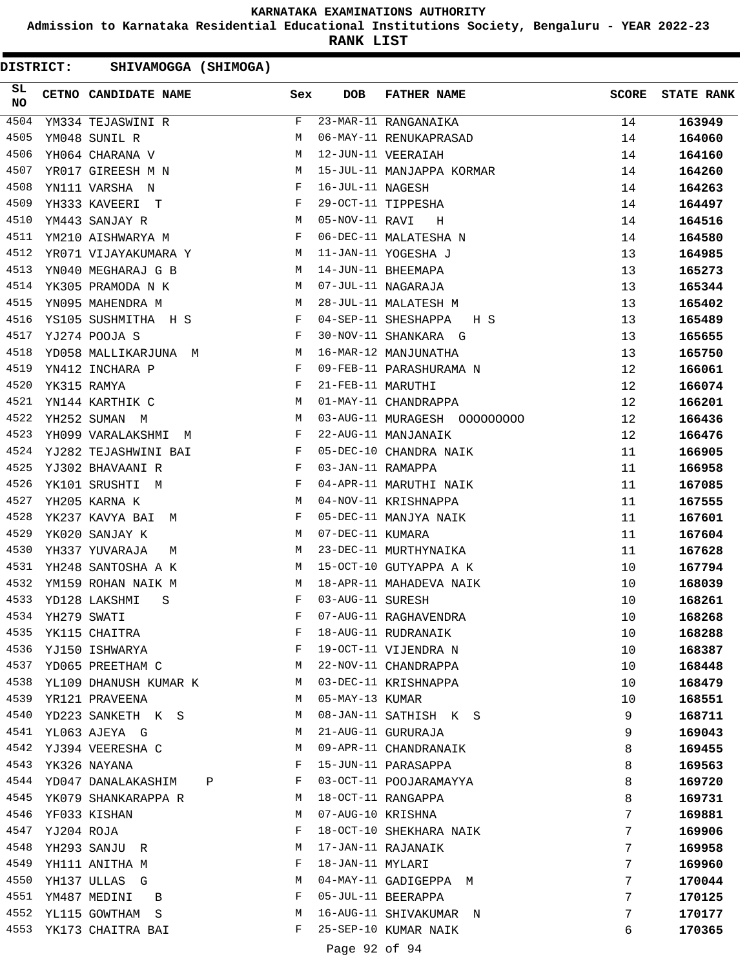**Admission to Karnataka Residential Educational Institutions Society, Bengaluru - YEAR 2022-23**

**RANK LIST**

DISTRICT: SHIVAMOGGA (SHIMOGA)

| SL<br>NO |             | CETNO CANDIDATE NAME Sex                   |              | <b>DOB</b>        | FATHER NAME                                                            | <b>SCORE</b> | <b>STATE RANK</b> |
|----------|-------------|--------------------------------------------|--------------|-------------------|------------------------------------------------------------------------|--------------|-------------------|
| 4504     |             | YM334 TEJASWINI R                          | F            |                   | 23-MAR-11 RANGANAIKA<br>23-MAR-11 RANGANAIKA<br>06-MAY-11 RENUKAPRASAD | 14           | 163949            |
| 4505     |             | YM048 SUNIL R                              | М            |                   |                                                                        | 14           | 164060            |
| 4506     |             | YH064 CHARANA V                            | М            |                   | 12-JUN-11 VEERAIAH                                                     | 14           | 164160            |
| 4507     |             | YR017 GIREESH M N                          | M            |                   | 15-JUL-11 MANJAPPA KORMAR                                              | 14           | 164260            |
| 4508     |             | YN111 VARSHA N                             | F            | 16-JUL-11 NAGESH  |                                                                        | 14           | 164263            |
| 4509     |             | YH333 KAVEERI T                            | F            |                   | 29-OCT-11 TIPPESHA                                                     | 14           | 164497            |
| 4510     |             | M<br>YM443 SANJAY R                        |              | 05-NOV-11 RAVI    | $_{\rm H}$                                                             | 14           | 164516            |
| 4511     |             | YM210 AISHWARYA M                          | F            |                   | 06-DEC-11 MALATESHA N                                                  | 14           | 164580            |
| 4512     |             | YR071 VIJAYAKUMARA Y                       | М            |                   | 11-JAN-11 YOGESHA J                                                    | 13           | 164985            |
| 4513     |             | YN040 MEGHARAJ G B                         | M            |                   | 14-JUN-11 BHEEMAPA                                                     | 13           | 165273            |
| 4514     |             | YK305 PRAMODA N K                          | M            |                   | 07-JUL-11 NAGARAJA                                                     | 13           | 165344            |
| 4515     |             | YN095 MAHENDRA M                           | M            |                   | 28-JUL-11 MALATESH M                                                   | 13           | 165402            |
| 4516     |             | YS105 SUSHMITHA H S F                      |              |                   | 04-SEP-11 SHESHAPPA<br>H S                                             | 13           | 165489            |
| 4517     |             | YJ274 POOJA S<br>and the state of the Fig. |              |                   | 30-NOV-11 SHANKARA G                                                   | 13           | 165655            |
| 4518     |             | M <sub>1</sub><br>YD058 MALLIKARJUNA M     |              |                   | 16-MAR-12 MANJUNATHA                                                   | 13           | 165750            |
| 4519     |             | YN412 INCHARA P                            | $\mathbb{F}$ |                   | 09-FEB-11 PARASHURAMA N<br>21-FEB-11 MARUTHI                           | 12           | 166061            |
| 4520     |             | YK315 RAMYA                                | F            |                   |                                                                        | 12           | 166074            |
| 4521     |             | <b>M</b><br>YN144 KARTHIK C                |              |                   | 01-MAY-11 CHANDRAPPA                                                   | 12           | 166201            |
| 4522     |             | YH252 SUMAN M                              | M            |                   |                                                                        | 12           | 166436            |
| 4523     |             | YH099 VARALAKSHMI M                        | $\mathbf{F}$ |                   | 22-AUG-11 MANJANAIK                                                    | 12           | 166476            |
| 4524     |             | YJ282 TEJASHWINI BAI                       | F            |                   | 05-DEC-10 CHANDRA NAIK                                                 | 11           | 166905            |
| 4525     |             | YJ302 BHAVAANI R                           | F            | 03-JAN-11 RAMAPPA |                                                                        | 11           | 166958            |
| 4526     |             | YK101 SRUSHTI M                            | $\mathbf{F}$ |                   | 04-APR-11 MARUTHI NAIK                                                 | 11           | 167085            |
| 4527     |             | YH205 KARNA K                              | M            |                   | 04-NOV-11 KRISHNAPPA                                                   | 11           | 167555            |
| 4528     |             | YK237 KAVYA BAI<br>M                       | F            |                   | 05-DEC-11 MANJYA NAIK                                                  | 11           | 167601            |
| 4529     |             | YK020 SANJAY K                             | M            | 07-DEC-11 KUMARA  |                                                                        | 11           | 167604            |
| 4530     |             | YH337 YUVARAJA<br>М                        | M            |                   | 23-DEC-11 MURTHYNAIKA                                                  | 11           | 167628            |
| 4531     |             | YH248 SANTOSHA A K                         | М            |                   | 15-OCT-10 GUTYAPPA A K                                                 | 10           | 167794            |
| 4532     |             | YM159 ROHAN NAIK M                         | M            |                   | 18-APR-11 MAHADEVA NAIK                                                | 10           | 168039            |
| 4533     |             | YD128 LAKSHMI<br>S                         | F            | 03-AUG-11 SURESH  |                                                                        | 10           | 168261            |
| 4534     | YH279 SWATI |                                            | F            |                   | 07-AUG-11 RAGHAVENDRA                                                  | 10           | 168268            |
| 4535     |             | YK115 CHAITRA                              | F            |                   | 18-AUG-11 RUDRANAIK                                                    | 10           | 168288            |
| 4536     |             | YJ150 ISHWARYA                             | F            |                   | 19-OCT-11 VIJENDRA N                                                   | 10           | 168387            |
| 4537     |             | YD065 PREETHAM C                           | М            |                   | 22-NOV-11 CHANDRAPPA                                                   | 10           | 168448            |
| 4538     |             | YL109 DHANUSH KUMAR K                      | M            |                   | 03-DEC-11 KRISHNAPPA                                                   | 10           | 168479            |
| 4539     |             | YR121 PRAVEENA                             | M            | 05-MAY-13 KUMAR   |                                                                        | 10           | 168551            |
| 4540     |             | YD223 SANKETH K S                          | M            |                   | 08-JAN-11 SATHISH K S                                                  | 9            | 168711            |
| 4541     |             | YL063 AJEYA G                              | М            |                   | 21-AUG-11 GURURAJA                                                     | 9            | 169043            |
| 4542     |             | YJ394 VEERESHA C                           | M            |                   | 09-APR-11 CHANDRANAIK                                                  | 8            | 169455            |
| 4543     |             | YK326 NAYANA                               | F            |                   | 15-JUN-11 PARASAPPA                                                    | 8            | 169563            |
|          |             | 4544 YD047 DANALAKASHIM P                  | F            |                   | 03-OCT-11 POOJARAMAYYA                                                 | 8            | 169720            |
| 4545     |             | YK079 SHANKARAPPA R                        | М            |                   | 18-OCT-11 RANGAPPA                                                     | 8            | 169731            |
| 4546     |             | YF033 KISHAN                               | M            | 07-AUG-10 KRISHNA |                                                                        | 7            | 169881            |
| 4547     | YJ204 ROJA  |                                            | F            |                   | 18-OCT-10 SHEKHARA NAIK                                                | 7            | 169906            |
| 4548     |             | YH293 SANJU R                              | М            |                   | 17-JAN-11 RAJANAIK                                                     | 7            | 169958            |
| 4549     |             | YH111 ANITHA M                             | F            | 18-JAN-11 MYLARI  |                                                                        | 7            | 169960            |
| 4550     |             | YH137 ULLAS G                              | М            |                   | 04-MAY-11 GADIGEPPA M                                                  | 7            | 170044            |
| 4551     |             | YM487 MEDINI<br>B                          | F            |                   | 05-JUL-11 BEERAPPA                                                     | 7            | 170125            |
| 4552     |             | YL115 GOWTHAM S                            | М            |                   | 16-AUG-11 SHIVAKUMAR N                                                 | 7            | 170177            |
| 4553     |             | YK173 CHAITRA BAI                          | F            |                   | 25-SEP-10 KUMAR NAIK                                                   | 6            | 170365            |

Page 92 of 94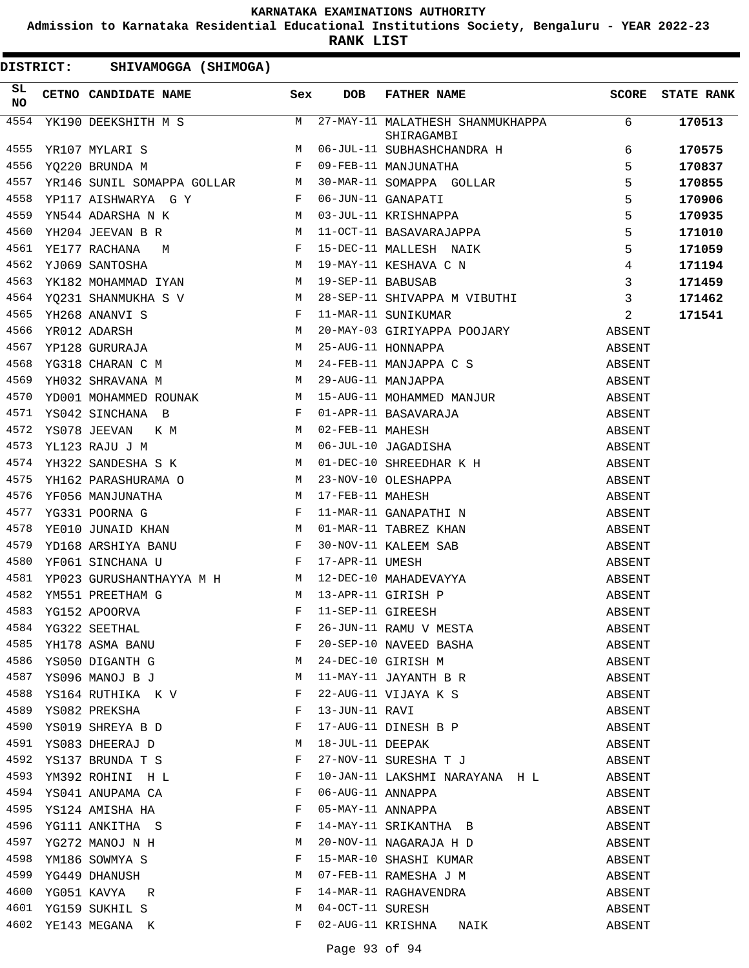**Admission to Karnataka Residential Educational Institutions Society, Bengaluru - YEAR 2022-23**

**RANK LIST**

| $\begin{tabular}{l c c c c c} \hline YK190 DEEKSHITH M S & M & 27-MAY-11 MALATHESH SHANNUKHAPPA & 6 \\ \hline & SHITRAGAMBI & SHITRAGAMBI & SHITRAGAMBI & SYQ220 BRUNDA M & F & 09-FEB-11 MANJUNATHA & 5 \\ \hline YQ220 BRUNDA M & F & 09-FEB-11 MANJUNATHA & 5 \\ \hline YR146 SWIL SOMAPPA GOLLAR & M & 30-MAR-11 GOMAPPA GOLLAR & 5 \\ \hline YP171 AISHMRRRA N & K & M & 03-JUL-11 KRISHMPPAR$<br>4554<br>170513<br>4555<br>170575<br>4556<br>170837<br>4557<br>170855<br>4558<br>170906<br>4559<br>170935<br>4560<br>171010<br>4561<br>171059<br>4562<br>171194<br>4563<br>171459<br>4564<br>171462<br>YH268 ANANVI S<br>YR012 ADARSH M 20-MAY-03 GIRIYAPPA<br>YP128 GURURAJA M 25-AUG-11 HONNAPPA<br>YG318 CHARAN C M M 24-FEB-11 MANJAPPA<br>W 24-FEB-11 MANJAPPA<br>4565<br>2<br>11-MAR-11 SUNIKUMAR<br>171541<br>20-MAY-03 GIRIYAPPA POOJARY ABSENT<br>25-AUG-11 HONNAPPA 25-AUG<br>4566<br>4567<br>4568<br>4569<br>4570<br>4571<br>4572<br>4573<br>4574<br>4575<br>4576<br>4577<br>4578<br>4579<br>4580<br>4581<br>4582<br>4583<br>4584<br>YG322 SEETHAL<br>26-JUN-11 RAMU V MESTA<br>ABSENT<br>20-SEP-10 NAVEED BASHA<br>24-DEC-10 GIRISH M<br>11-MAY-11 JAYANTH B R<br>4585<br>YH178 ASMA BANU<br>F<br>ABSENT<br>4586<br>YS050 DIGANTH G<br>М<br>ABSENT<br>4587<br>YS096 MANOJ B J<br>M<br>ABSENT<br>4588<br>YS164 RUTHIKA K V<br>F<br>22-AUG-11 VIJAYA K S<br>ABSENT<br>4589<br>YS082 PREKSHA<br>F<br>13-JUN-11 RAVI<br>ABSENT<br>YS019 SHREYA B D<br>------<br>17-AUG-11 DINESH B P<br>18-JUL-11 DEEPAK<br>4590<br>F<br>ABSENT<br>4591<br>YS083 DHEERAJ D<br>M<br>ABSENT<br>27-NOV-11 SURESHA T J<br>4592<br>YS137 BRUNDA T S<br>F<br>ABSENT<br>4593<br>YM392 ROHINI H L<br>10-JAN-11 LAKSHMI NARAYANA H L<br>F<br>ABSENT<br>4594<br>F<br>06-AUG-11 ANNAPPA<br>YS041 ANUPAMA CA<br>ABSENT<br>4595<br>F<br>05-MAY-11 ANNAPPA<br>YS124 AMISHA HA<br>ABSENT<br>4596<br>YG111 ANKITHA S<br>F<br>14-MAY-11 SRIKANTHA B<br>ABSENT<br>4597<br>YG272 MANOJ N H<br>20-NOV-11 NAGARAJA H D<br>M<br>ABSENT<br>15-MAR-10 SHASHI KUMAR<br>4598<br>F<br>YM186 SOWMYA S<br>ABSENT<br>4599<br>07-FEB-11 RAMESHA J M<br>YG449 DHANUSH<br>M<br>ABSENT<br>4600<br>YG051 KAVYA<br>F<br>14-MAR-11 RAGHAVENDRA<br>ABSENT<br>R<br>4601<br>04-OCT-11 SURESH<br>YG159 SUKHIL S<br>М<br>ABSENT<br>4602 YE143 MEGANA K<br>02-AUG-11 KRISHNA NAIK | SL<br><b>NO</b> | CETNO CANDIDATE NAME Sex |   | <b>DOB</b> | FATHER NAME |        | SCORE STATE RANK |
|--------------------------------------------------------------------------------------------------------------------------------------------------------------------------------------------------------------------------------------------------------------------------------------------------------------------------------------------------------------------------------------------------------------------------------------------------------------------------------------------------------------------------------------------------------------------------------------------------------------------------------------------------------------------------------------------------------------------------------------------------------------------------------------------------------------------------------------------------------------------------------------------------------------------------------------------------------------------------------------------------------------------------------------------------------------------------------------------------------------------------------------------------------------------------------------------------------------------------------------------------------------------------------------------------------------------------------------------------------------------------------------------------------------------------------------------------------------------------------------------------------------------------------------------------------------------------------------------------------------------------------------------------------------------------------------------------------------------------------------------------------------------------------------------------------------------------------------------------------------------------------------------------------------------------------------------------------------------------------------------------------------------------------------------------------------------------------------------------------------------------------------------------------------------------------------------------------------------------------------------------------------------------------------------------------------------------------------|-----------------|--------------------------|---|------------|-------------|--------|------------------|
|                                                                                                                                                                                                                                                                                                                                                                                                                                                                                                                                                                                                                                                                                                                                                                                                                                                                                                                                                                                                                                                                                                                                                                                                                                                                                                                                                                                                                                                                                                                                                                                                                                                                                                                                                                                                                                                                                                                                                                                                                                                                                                                                                                                                                                                                                                                                      |                 |                          |   |            |             |        |                  |
|                                                                                                                                                                                                                                                                                                                                                                                                                                                                                                                                                                                                                                                                                                                                                                                                                                                                                                                                                                                                                                                                                                                                                                                                                                                                                                                                                                                                                                                                                                                                                                                                                                                                                                                                                                                                                                                                                                                                                                                                                                                                                                                                                                                                                                                                                                                                      |                 |                          |   |            |             |        |                  |
|                                                                                                                                                                                                                                                                                                                                                                                                                                                                                                                                                                                                                                                                                                                                                                                                                                                                                                                                                                                                                                                                                                                                                                                                                                                                                                                                                                                                                                                                                                                                                                                                                                                                                                                                                                                                                                                                                                                                                                                                                                                                                                                                                                                                                                                                                                                                      |                 |                          |   |            |             |        |                  |
|                                                                                                                                                                                                                                                                                                                                                                                                                                                                                                                                                                                                                                                                                                                                                                                                                                                                                                                                                                                                                                                                                                                                                                                                                                                                                                                                                                                                                                                                                                                                                                                                                                                                                                                                                                                                                                                                                                                                                                                                                                                                                                                                                                                                                                                                                                                                      |                 |                          |   |            |             |        |                  |
|                                                                                                                                                                                                                                                                                                                                                                                                                                                                                                                                                                                                                                                                                                                                                                                                                                                                                                                                                                                                                                                                                                                                                                                                                                                                                                                                                                                                                                                                                                                                                                                                                                                                                                                                                                                                                                                                                                                                                                                                                                                                                                                                                                                                                                                                                                                                      |                 |                          |   |            |             |        |                  |
|                                                                                                                                                                                                                                                                                                                                                                                                                                                                                                                                                                                                                                                                                                                                                                                                                                                                                                                                                                                                                                                                                                                                                                                                                                                                                                                                                                                                                                                                                                                                                                                                                                                                                                                                                                                                                                                                                                                                                                                                                                                                                                                                                                                                                                                                                                                                      |                 |                          |   |            |             |        |                  |
|                                                                                                                                                                                                                                                                                                                                                                                                                                                                                                                                                                                                                                                                                                                                                                                                                                                                                                                                                                                                                                                                                                                                                                                                                                                                                                                                                                                                                                                                                                                                                                                                                                                                                                                                                                                                                                                                                                                                                                                                                                                                                                                                                                                                                                                                                                                                      |                 |                          |   |            |             |        |                  |
|                                                                                                                                                                                                                                                                                                                                                                                                                                                                                                                                                                                                                                                                                                                                                                                                                                                                                                                                                                                                                                                                                                                                                                                                                                                                                                                                                                                                                                                                                                                                                                                                                                                                                                                                                                                                                                                                                                                                                                                                                                                                                                                                                                                                                                                                                                                                      |                 |                          |   |            |             |        |                  |
|                                                                                                                                                                                                                                                                                                                                                                                                                                                                                                                                                                                                                                                                                                                                                                                                                                                                                                                                                                                                                                                                                                                                                                                                                                                                                                                                                                                                                                                                                                                                                                                                                                                                                                                                                                                                                                                                                                                                                                                                                                                                                                                                                                                                                                                                                                                                      |                 |                          |   |            |             |        |                  |
|                                                                                                                                                                                                                                                                                                                                                                                                                                                                                                                                                                                                                                                                                                                                                                                                                                                                                                                                                                                                                                                                                                                                                                                                                                                                                                                                                                                                                                                                                                                                                                                                                                                                                                                                                                                                                                                                                                                                                                                                                                                                                                                                                                                                                                                                                                                                      |                 |                          |   |            |             |        |                  |
|                                                                                                                                                                                                                                                                                                                                                                                                                                                                                                                                                                                                                                                                                                                                                                                                                                                                                                                                                                                                                                                                                                                                                                                                                                                                                                                                                                                                                                                                                                                                                                                                                                                                                                                                                                                                                                                                                                                                                                                                                                                                                                                                                                                                                                                                                                                                      |                 |                          |   |            |             |        |                  |
|                                                                                                                                                                                                                                                                                                                                                                                                                                                                                                                                                                                                                                                                                                                                                                                                                                                                                                                                                                                                                                                                                                                                                                                                                                                                                                                                                                                                                                                                                                                                                                                                                                                                                                                                                                                                                                                                                                                                                                                                                                                                                                                                                                                                                                                                                                                                      |                 |                          |   |            |             |        |                  |
|                                                                                                                                                                                                                                                                                                                                                                                                                                                                                                                                                                                                                                                                                                                                                                                                                                                                                                                                                                                                                                                                                                                                                                                                                                                                                                                                                                                                                                                                                                                                                                                                                                                                                                                                                                                                                                                                                                                                                                                                                                                                                                                                                                                                                                                                                                                                      |                 |                          |   |            |             |        |                  |
|                                                                                                                                                                                                                                                                                                                                                                                                                                                                                                                                                                                                                                                                                                                                                                                                                                                                                                                                                                                                                                                                                                                                                                                                                                                                                                                                                                                                                                                                                                                                                                                                                                                                                                                                                                                                                                                                                                                                                                                                                                                                                                                                                                                                                                                                                                                                      |                 |                          |   |            |             |        |                  |
|                                                                                                                                                                                                                                                                                                                                                                                                                                                                                                                                                                                                                                                                                                                                                                                                                                                                                                                                                                                                                                                                                                                                                                                                                                                                                                                                                                                                                                                                                                                                                                                                                                                                                                                                                                                                                                                                                                                                                                                                                                                                                                                                                                                                                                                                                                                                      |                 |                          |   |            |             |        |                  |
|                                                                                                                                                                                                                                                                                                                                                                                                                                                                                                                                                                                                                                                                                                                                                                                                                                                                                                                                                                                                                                                                                                                                                                                                                                                                                                                                                                                                                                                                                                                                                                                                                                                                                                                                                                                                                                                                                                                                                                                                                                                                                                                                                                                                                                                                                                                                      |                 |                          |   |            |             |        |                  |
|                                                                                                                                                                                                                                                                                                                                                                                                                                                                                                                                                                                                                                                                                                                                                                                                                                                                                                                                                                                                                                                                                                                                                                                                                                                                                                                                                                                                                                                                                                                                                                                                                                                                                                                                                                                                                                                                                                                                                                                                                                                                                                                                                                                                                                                                                                                                      |                 |                          |   |            |             |        |                  |
|                                                                                                                                                                                                                                                                                                                                                                                                                                                                                                                                                                                                                                                                                                                                                                                                                                                                                                                                                                                                                                                                                                                                                                                                                                                                                                                                                                                                                                                                                                                                                                                                                                                                                                                                                                                                                                                                                                                                                                                                                                                                                                                                                                                                                                                                                                                                      |                 |                          |   |            |             |        |                  |
|                                                                                                                                                                                                                                                                                                                                                                                                                                                                                                                                                                                                                                                                                                                                                                                                                                                                                                                                                                                                                                                                                                                                                                                                                                                                                                                                                                                                                                                                                                                                                                                                                                                                                                                                                                                                                                                                                                                                                                                                                                                                                                                                                                                                                                                                                                                                      |                 |                          |   |            |             |        |                  |
|                                                                                                                                                                                                                                                                                                                                                                                                                                                                                                                                                                                                                                                                                                                                                                                                                                                                                                                                                                                                                                                                                                                                                                                                                                                                                                                                                                                                                                                                                                                                                                                                                                                                                                                                                                                                                                                                                                                                                                                                                                                                                                                                                                                                                                                                                                                                      |                 |                          |   |            |             |        |                  |
|                                                                                                                                                                                                                                                                                                                                                                                                                                                                                                                                                                                                                                                                                                                                                                                                                                                                                                                                                                                                                                                                                                                                                                                                                                                                                                                                                                                                                                                                                                                                                                                                                                                                                                                                                                                                                                                                                                                                                                                                                                                                                                                                                                                                                                                                                                                                      |                 |                          |   |            |             |        |                  |
|                                                                                                                                                                                                                                                                                                                                                                                                                                                                                                                                                                                                                                                                                                                                                                                                                                                                                                                                                                                                                                                                                                                                                                                                                                                                                                                                                                                                                                                                                                                                                                                                                                                                                                                                                                                                                                                                                                                                                                                                                                                                                                                                                                                                                                                                                                                                      |                 |                          |   |            |             |        |                  |
|                                                                                                                                                                                                                                                                                                                                                                                                                                                                                                                                                                                                                                                                                                                                                                                                                                                                                                                                                                                                                                                                                                                                                                                                                                                                                                                                                                                                                                                                                                                                                                                                                                                                                                                                                                                                                                                                                                                                                                                                                                                                                                                                                                                                                                                                                                                                      |                 |                          |   |            |             |        |                  |
|                                                                                                                                                                                                                                                                                                                                                                                                                                                                                                                                                                                                                                                                                                                                                                                                                                                                                                                                                                                                                                                                                                                                                                                                                                                                                                                                                                                                                                                                                                                                                                                                                                                                                                                                                                                                                                                                                                                                                                                                                                                                                                                                                                                                                                                                                                                                      |                 |                          |   |            |             |        |                  |
|                                                                                                                                                                                                                                                                                                                                                                                                                                                                                                                                                                                                                                                                                                                                                                                                                                                                                                                                                                                                                                                                                                                                                                                                                                                                                                                                                                                                                                                                                                                                                                                                                                                                                                                                                                                                                                                                                                                                                                                                                                                                                                                                                                                                                                                                                                                                      |                 |                          |   |            |             |        |                  |
|                                                                                                                                                                                                                                                                                                                                                                                                                                                                                                                                                                                                                                                                                                                                                                                                                                                                                                                                                                                                                                                                                                                                                                                                                                                                                                                                                                                                                                                                                                                                                                                                                                                                                                                                                                                                                                                                                                                                                                                                                                                                                                                                                                                                                                                                                                                                      |                 |                          |   |            |             |        |                  |
|                                                                                                                                                                                                                                                                                                                                                                                                                                                                                                                                                                                                                                                                                                                                                                                                                                                                                                                                                                                                                                                                                                                                                                                                                                                                                                                                                                                                                                                                                                                                                                                                                                                                                                                                                                                                                                                                                                                                                                                                                                                                                                                                                                                                                                                                                                                                      |                 |                          |   |            |             |        |                  |
|                                                                                                                                                                                                                                                                                                                                                                                                                                                                                                                                                                                                                                                                                                                                                                                                                                                                                                                                                                                                                                                                                                                                                                                                                                                                                                                                                                                                                                                                                                                                                                                                                                                                                                                                                                                                                                                                                                                                                                                                                                                                                                                                                                                                                                                                                                                                      |                 |                          |   |            |             |        |                  |
|                                                                                                                                                                                                                                                                                                                                                                                                                                                                                                                                                                                                                                                                                                                                                                                                                                                                                                                                                                                                                                                                                                                                                                                                                                                                                                                                                                                                                                                                                                                                                                                                                                                                                                                                                                                                                                                                                                                                                                                                                                                                                                                                                                                                                                                                                                                                      |                 |                          |   |            |             |        |                  |
|                                                                                                                                                                                                                                                                                                                                                                                                                                                                                                                                                                                                                                                                                                                                                                                                                                                                                                                                                                                                                                                                                                                                                                                                                                                                                                                                                                                                                                                                                                                                                                                                                                                                                                                                                                                                                                                                                                                                                                                                                                                                                                                                                                                                                                                                                                                                      |                 |                          |   |            |             |        |                  |
|                                                                                                                                                                                                                                                                                                                                                                                                                                                                                                                                                                                                                                                                                                                                                                                                                                                                                                                                                                                                                                                                                                                                                                                                                                                                                                                                                                                                                                                                                                                                                                                                                                                                                                                                                                                                                                                                                                                                                                                                                                                                                                                                                                                                                                                                                                                                      |                 |                          |   |            |             |        |                  |
|                                                                                                                                                                                                                                                                                                                                                                                                                                                                                                                                                                                                                                                                                                                                                                                                                                                                                                                                                                                                                                                                                                                                                                                                                                                                                                                                                                                                                                                                                                                                                                                                                                                                                                                                                                                                                                                                                                                                                                                                                                                                                                                                                                                                                                                                                                                                      |                 |                          |   |            |             |        |                  |
|                                                                                                                                                                                                                                                                                                                                                                                                                                                                                                                                                                                                                                                                                                                                                                                                                                                                                                                                                                                                                                                                                                                                                                                                                                                                                                                                                                                                                                                                                                                                                                                                                                                                                                                                                                                                                                                                                                                                                                                                                                                                                                                                                                                                                                                                                                                                      |                 |                          |   |            |             |        |                  |
|                                                                                                                                                                                                                                                                                                                                                                                                                                                                                                                                                                                                                                                                                                                                                                                                                                                                                                                                                                                                                                                                                                                                                                                                                                                                                                                                                                                                                                                                                                                                                                                                                                                                                                                                                                                                                                                                                                                                                                                                                                                                                                                                                                                                                                                                                                                                      |                 |                          |   |            |             |        |                  |
|                                                                                                                                                                                                                                                                                                                                                                                                                                                                                                                                                                                                                                                                                                                                                                                                                                                                                                                                                                                                                                                                                                                                                                                                                                                                                                                                                                                                                                                                                                                                                                                                                                                                                                                                                                                                                                                                                                                                                                                                                                                                                                                                                                                                                                                                                                                                      |                 |                          |   |            |             |        |                  |
|                                                                                                                                                                                                                                                                                                                                                                                                                                                                                                                                                                                                                                                                                                                                                                                                                                                                                                                                                                                                                                                                                                                                                                                                                                                                                                                                                                                                                                                                                                                                                                                                                                                                                                                                                                                                                                                                                                                                                                                                                                                                                                                                                                                                                                                                                                                                      |                 |                          |   |            |             |        |                  |
|                                                                                                                                                                                                                                                                                                                                                                                                                                                                                                                                                                                                                                                                                                                                                                                                                                                                                                                                                                                                                                                                                                                                                                                                                                                                                                                                                                                                                                                                                                                                                                                                                                                                                                                                                                                                                                                                                                                                                                                                                                                                                                                                                                                                                                                                                                                                      |                 |                          |   |            |             |        |                  |
|                                                                                                                                                                                                                                                                                                                                                                                                                                                                                                                                                                                                                                                                                                                                                                                                                                                                                                                                                                                                                                                                                                                                                                                                                                                                                                                                                                                                                                                                                                                                                                                                                                                                                                                                                                                                                                                                                                                                                                                                                                                                                                                                                                                                                                                                                                                                      |                 |                          |   |            |             |        |                  |
|                                                                                                                                                                                                                                                                                                                                                                                                                                                                                                                                                                                                                                                                                                                                                                                                                                                                                                                                                                                                                                                                                                                                                                                                                                                                                                                                                                                                                                                                                                                                                                                                                                                                                                                                                                                                                                                                                                                                                                                                                                                                                                                                                                                                                                                                                                                                      |                 |                          |   |            |             |        |                  |
|                                                                                                                                                                                                                                                                                                                                                                                                                                                                                                                                                                                                                                                                                                                                                                                                                                                                                                                                                                                                                                                                                                                                                                                                                                                                                                                                                                                                                                                                                                                                                                                                                                                                                                                                                                                                                                                                                                                                                                                                                                                                                                                                                                                                                                                                                                                                      |                 |                          |   |            |             |        |                  |
|                                                                                                                                                                                                                                                                                                                                                                                                                                                                                                                                                                                                                                                                                                                                                                                                                                                                                                                                                                                                                                                                                                                                                                                                                                                                                                                                                                                                                                                                                                                                                                                                                                                                                                                                                                                                                                                                                                                                                                                                                                                                                                                                                                                                                                                                                                                                      |                 |                          |   |            |             |        |                  |
|                                                                                                                                                                                                                                                                                                                                                                                                                                                                                                                                                                                                                                                                                                                                                                                                                                                                                                                                                                                                                                                                                                                                                                                                                                                                                                                                                                                                                                                                                                                                                                                                                                                                                                                                                                                                                                                                                                                                                                                                                                                                                                                                                                                                                                                                                                                                      |                 |                          |   |            |             |        |                  |
|                                                                                                                                                                                                                                                                                                                                                                                                                                                                                                                                                                                                                                                                                                                                                                                                                                                                                                                                                                                                                                                                                                                                                                                                                                                                                                                                                                                                                                                                                                                                                                                                                                                                                                                                                                                                                                                                                                                                                                                                                                                                                                                                                                                                                                                                                                                                      |                 |                          |   |            |             |        |                  |
|                                                                                                                                                                                                                                                                                                                                                                                                                                                                                                                                                                                                                                                                                                                                                                                                                                                                                                                                                                                                                                                                                                                                                                                                                                                                                                                                                                                                                                                                                                                                                                                                                                                                                                                                                                                                                                                                                                                                                                                                                                                                                                                                                                                                                                                                                                                                      |                 |                          |   |            |             |        |                  |
|                                                                                                                                                                                                                                                                                                                                                                                                                                                                                                                                                                                                                                                                                                                                                                                                                                                                                                                                                                                                                                                                                                                                                                                                                                                                                                                                                                                                                                                                                                                                                                                                                                                                                                                                                                                                                                                                                                                                                                                                                                                                                                                                                                                                                                                                                                                                      |                 |                          |   |            |             |        |                  |
|                                                                                                                                                                                                                                                                                                                                                                                                                                                                                                                                                                                                                                                                                                                                                                                                                                                                                                                                                                                                                                                                                                                                                                                                                                                                                                                                                                                                                                                                                                                                                                                                                                                                                                                                                                                                                                                                                                                                                                                                                                                                                                                                                                                                                                                                                                                                      |                 |                          |   |            |             |        |                  |
|                                                                                                                                                                                                                                                                                                                                                                                                                                                                                                                                                                                                                                                                                                                                                                                                                                                                                                                                                                                                                                                                                                                                                                                                                                                                                                                                                                                                                                                                                                                                                                                                                                                                                                                                                                                                                                                                                                                                                                                                                                                                                                                                                                                                                                                                                                                                      |                 |                          |   |            |             |        |                  |
|                                                                                                                                                                                                                                                                                                                                                                                                                                                                                                                                                                                                                                                                                                                                                                                                                                                                                                                                                                                                                                                                                                                                                                                                                                                                                                                                                                                                                                                                                                                                                                                                                                                                                                                                                                                                                                                                                                                                                                                                                                                                                                                                                                                                                                                                                                                                      |                 |                          |   |            |             |        |                  |
|                                                                                                                                                                                                                                                                                                                                                                                                                                                                                                                                                                                                                                                                                                                                                                                                                                                                                                                                                                                                                                                                                                                                                                                                                                                                                                                                                                                                                                                                                                                                                                                                                                                                                                                                                                                                                                                                                                                                                                                                                                                                                                                                                                                                                                                                                                                                      |                 |                          | F |            |             | ABSENT |                  |